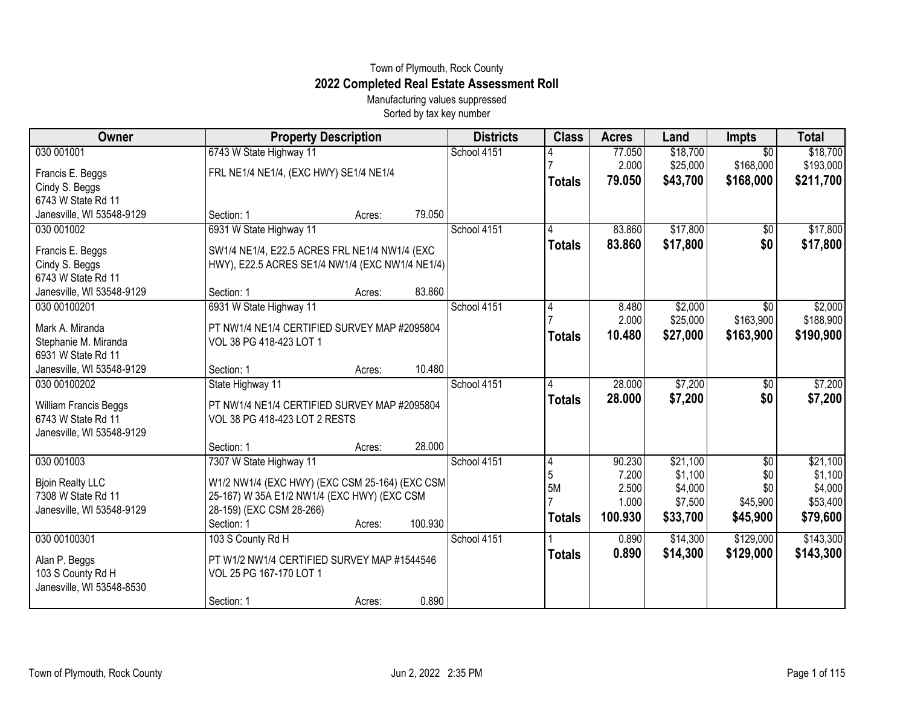## Town of Plymouth, Rock County **2022 Completed Real Estate Assessment Roll**

Manufacturing values suppressed Sorted by tax key number

| Owner                     | <b>Property Description</b>                     |        |         | <b>Districts</b> | <b>Class</b>  | <b>Acres</b>   | Land               | <b>Impts</b>    | <b>Total</b>       |
|---------------------------|-------------------------------------------------|--------|---------|------------------|---------------|----------------|--------------------|-----------------|--------------------|
| 030 001001                | 6743 W State Highway 11                         |        |         | School 4151      |               | 77.050         | \$18,700           | $\overline{30}$ | \$18,700           |
| Francis E. Beggs          | FRL NE1/4 NE1/4, (EXC HWY) SE1/4 NE1/4          |        |         |                  |               | 2.000          | \$25,000           | \$168,000       | \$193,000          |
| Cindy S. Beggs            |                                                 |        |         |                  | <b>Totals</b> | 79.050         | \$43,700           | \$168,000       | \$211,700          |
| 6743 W State Rd 11        |                                                 |        |         |                  |               |                |                    |                 |                    |
| Janesville, WI 53548-9129 | Section: 1                                      | Acres: | 79.050  |                  |               |                |                    |                 |                    |
| 030 001002                | 6931 W State Highway 11                         |        |         | School 4151      | 4             | 83.860         | \$17,800           | $\sqrt{6}$      | \$17,800           |
| Francis E. Beggs          | SW1/4 NE1/4, E22.5 ACRES FRL NE1/4 NW1/4 (EXC   |        |         |                  | <b>Totals</b> | 83.860         | \$17,800           | \$0             | \$17,800           |
| Cindy S. Beggs            | HWY), E22.5 ACRES SE1/4 NW1/4 (EXC NW1/4 NE1/4) |        |         |                  |               |                |                    |                 |                    |
| 6743 W State Rd 11        |                                                 |        |         |                  |               |                |                    |                 |                    |
| Janesville, WI 53548-9129 | Section: 1                                      | Acres: | 83.860  |                  |               |                |                    |                 |                    |
| 030 00100201              | 6931 W State Highway 11                         |        |         | School 4151      | 4             | 8.480          | \$2,000            | $\overline{50}$ | \$2,000            |
| Mark A. Miranda           | PT NW1/4 NE1/4 CERTIFIED SURVEY MAP #2095804    |        |         |                  |               | 2.000          | \$25,000           | \$163,900       | \$188,900          |
| Stephanie M. Miranda      | VOL 38 PG 418-423 LOT 1                         |        |         |                  | <b>Totals</b> | 10.480         | \$27,000           | \$163,900       | \$190,900          |
| 6931 W State Rd 11        |                                                 |        |         |                  |               |                |                    |                 |                    |
| Janesville, WI 53548-9129 | Section: 1                                      | Acres: | 10.480  |                  |               |                |                    |                 |                    |
| 030 00100202              | State Highway 11                                |        |         | School 4151      | 4             | 28.000         | \$7,200            | \$0             | \$7,200            |
| William Francis Beggs     | PT NW1/4 NE1/4 CERTIFIED SURVEY MAP #2095804    |        |         |                  | <b>Totals</b> | 28.000         | \$7,200            | \$0             | \$7,200            |
| 6743 W State Rd 11        | VOL 38 PG 418-423 LOT 2 RESTS                   |        |         |                  |               |                |                    |                 |                    |
| Janesville, WI 53548-9129 |                                                 |        |         |                  |               |                |                    |                 |                    |
|                           | Section: 1                                      | Acres: | 28.000  |                  |               |                |                    |                 |                    |
| 030 001003                | 7307 W State Highway 11                         |        |         | School 4151      | 4             | 90.230         | \$21,100           | \$0             | \$21,100           |
| <b>Bjoin Realty LLC</b>   | W1/2 NW1/4 (EXC HWY) (EXC CSM 25-164) (EXC CSM  |        |         |                  | 5<br>5M       | 7.200<br>2.500 | \$1,100<br>\$4,000 | \$0<br>\$0      | \$1,100<br>\$4,000 |
| 7308 W State Rd 11        | 25-167) W 35A E1/2 NW1/4 (EXC HWY) (EXC CSM     |        |         |                  |               | 1.000          | \$7,500            | \$45,900        | \$53,400           |
| Janesville, WI 53548-9129 | 28-159) (EXC CSM 28-266)                        |        |         |                  | <b>Totals</b> | 100.930        | \$33,700           | \$45,900        | \$79,600           |
|                           | Section: 1                                      | Acres: | 100.930 |                  |               |                |                    |                 |                    |
| 030 00100301              | 103 S County Rd H                               |        |         | School 4151      |               | 0.890          | \$14,300           | \$129,000       | \$143,300          |
| Alan P. Beggs             | PT W1/2 NW1/4 CERTIFIED SURVEY MAP #1544546     |        |         |                  | <b>Totals</b> | 0.890          | \$14,300           | \$129,000       | \$143,300          |
| 103 S County Rd H         | VOL 25 PG 167-170 LOT 1                         |        |         |                  |               |                |                    |                 |                    |
| Janesville, WI 53548-8530 |                                                 |        |         |                  |               |                |                    |                 |                    |
|                           | Section: 1                                      | Acres: | 0.890   |                  |               |                |                    |                 |                    |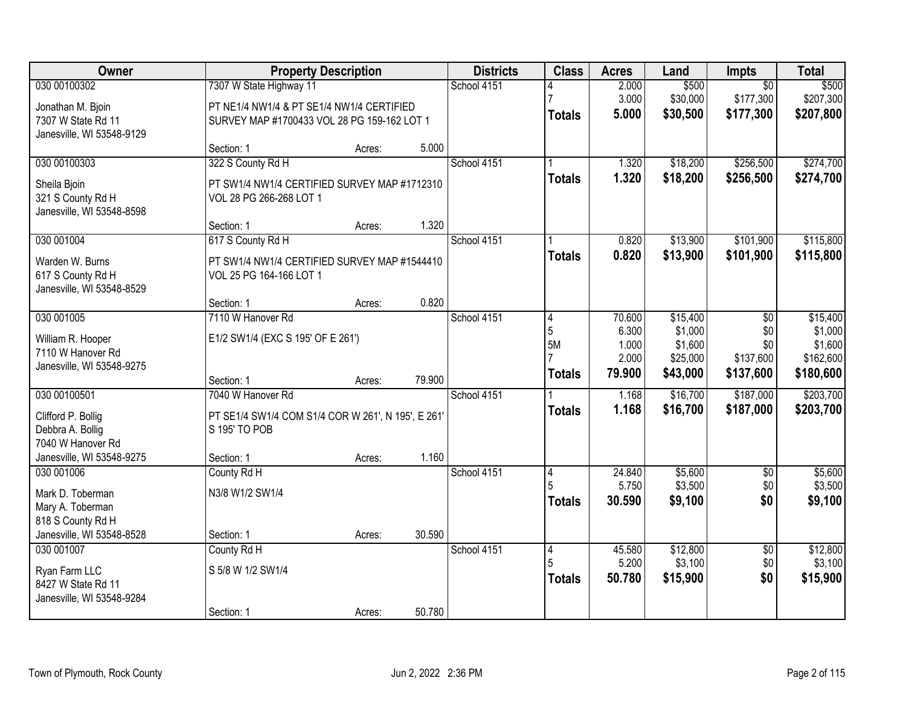| Owner<br><b>Property Description</b>                                                                                                                             |        | <b>Districts</b> | <b>Class</b>  | <b>Acres</b>    | Land                 | Impts                  | <b>Total</b>           |
|------------------------------------------------------------------------------------------------------------------------------------------------------------------|--------|------------------|---------------|-----------------|----------------------|------------------------|------------------------|
| 030 00100302<br>7307 W State Highway 11                                                                                                                          |        | School 4151      |               | 2.000           | \$500                | $\overline{50}$        | \$500                  |
| PT NE1/4 NW1/4 & PT SE1/4 NW1/4 CERTIFIED<br>Jonathan M. Bjoin<br>7307 W State Rd 11<br>SURVEY MAP #1700433 VOL 28 PG 159-162 LOT 1<br>Janesville, WI 53548-9129 |        |                  | <b>Totals</b> | 3.000<br>5.000  | \$30,000<br>\$30,500 | \$177,300<br>\$177,300 | \$207,300<br>\$207,800 |
| Section: 1<br>Acres:                                                                                                                                             | 5.000  |                  |               |                 |                      |                        |                        |
| 030 00100303<br>322 S County Rd H                                                                                                                                |        | School 4151      |               | 1.320           | \$18,200             | \$256,500              | \$274,700              |
| PT SW1/4 NW1/4 CERTIFIED SURVEY MAP #1712310<br>Sheila Bjoin<br>321 S County Rd H<br>VOL 28 PG 266-268 LOT 1<br>Janesville, WI 53548-8598                        |        |                  | <b>Totals</b> | 1.320           | \$18,200             | \$256,500              | \$274,700              |
| Section: 1<br>Acres:                                                                                                                                             | 1.320  |                  |               |                 |                      |                        |                        |
| 030 001004<br>617 S County Rd H                                                                                                                                  |        | School 4151      |               | 0.820           | \$13,900             | \$101,900              | \$115,800              |
| Warden W. Burns<br>PT SW1/4 NW1/4 CERTIFIED SURVEY MAP #1544410<br>617 S County Rd H<br>VOL 25 PG 164-166 LOT 1<br>Janesville, WI 53548-8529                     |        |                  | <b>Totals</b> | 0.820           | \$13,900             | \$101,900              | \$115,800              |
| Section: 1<br>Acres:                                                                                                                                             | 0.820  |                  |               |                 |                      |                        |                        |
| 030 001005<br>7110 W Hanover Rd                                                                                                                                  |        | School 4151      | 4             | 70.600          | \$15,400             | \$0                    | \$15,400               |
| William R. Hooper<br>E1/2 SW1/4 (EXC S 195' OF E 261')                                                                                                           |        |                  | 5             | 6.300           | \$1,000              | \$0                    | \$1,000                |
| 7110 W Hanover Rd                                                                                                                                                |        |                  | 5M            | 1.000<br>2.000  | \$1,600<br>\$25,000  | \$0<br>\$137,600       | \$1,600<br>\$162,600   |
| Janesville, WI 53548-9275                                                                                                                                        |        |                  | <b>Totals</b> | 79.900          | \$43,000             | \$137,600              | \$180,600              |
| Section: 1<br>Acres:                                                                                                                                             | 79.900 |                  |               |                 |                      |                        |                        |
| 7040 W Hanover Rd<br>030 00100501                                                                                                                                |        | School 4151      |               | 1.168           | \$16,700             | \$187,000              | \$203,700              |
| Clifford P. Bollig<br>PT SE1/4 SW1/4 COM S1/4 COR W 261', N 195', E 261'                                                                                         |        |                  | <b>Totals</b> | 1.168           | \$16,700             | \$187,000              | \$203,700              |
| S 195' TO POB<br>Debbra A. Bollig                                                                                                                                |        |                  |               |                 |                      |                        |                        |
| 7040 W Hanover Rd                                                                                                                                                |        |                  |               |                 |                      |                        |                        |
| Janesville, WI 53548-9275<br>Section: 1<br>Acres:                                                                                                                | 1.160  |                  |               |                 |                      |                        |                        |
| 030 001006<br>County Rd H                                                                                                                                        |        | School 4151      | 4<br>5        | 24.840<br>5.750 | \$5,600<br>\$3,500   | $\overline{50}$<br>\$0 | \$5,600<br>\$3,500     |
| Mark D. Toberman<br>N3/8 W1/2 SW1/4                                                                                                                              |        |                  | <b>Totals</b> | 30.590          | \$9,100              | \$0                    | \$9,100                |
| Mary A. Toberman                                                                                                                                                 |        |                  |               |                 |                      |                        |                        |
| 818 S County Rd H                                                                                                                                                | 30.590 |                  |               |                 |                      |                        |                        |
| Janesville, WI 53548-8528<br>Section: 1<br>Acres:<br>030 001007<br>County Rd H                                                                                   |        | School 4151      | 4             | 45.580          | \$12,800             | $\overline{50}$        | \$12,800               |
|                                                                                                                                                                  |        |                  |               | 5.200           | \$3,100              | \$0                    | \$3,100                |
| S 5/8 W 1/2 SW1/4<br>Ryan Farm LLC                                                                                                                               |        |                  | <b>Totals</b> | 50.780          | \$15,900             | \$0                    | \$15,900               |
| 8427 W State Rd 11                                                                                                                                               |        |                  |               |                 |                      |                        |                        |
| Janesville, WI 53548-9284<br>Section: 1<br>Acres:                                                                                                                | 50.780 |                  |               |                 |                      |                        |                        |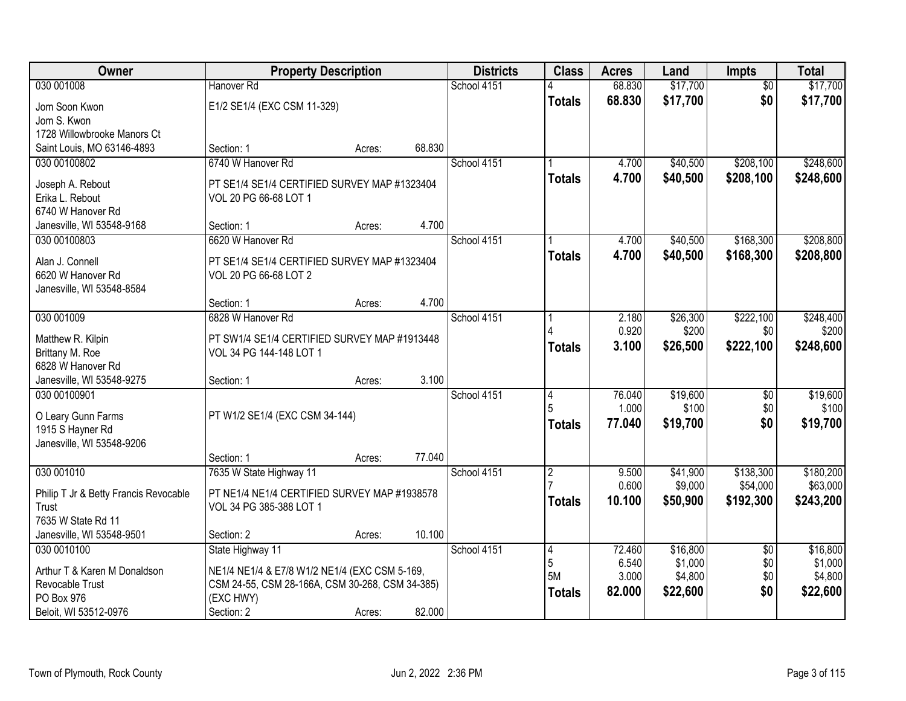| Owner                                 | <b>Property Description</b>                     |        |        | <b>Districts</b> | <b>Class</b>   | <b>Acres</b>    | Land                | <b>Impts</b>           | <b>Total</b>          |
|---------------------------------------|-------------------------------------------------|--------|--------|------------------|----------------|-----------------|---------------------|------------------------|-----------------------|
| 030 001008                            | Hanover Rd                                      |        |        | School 4151      |                | 68.830          | \$17,700            | $\overline{50}$        | \$17,700              |
| Jom Soon Kwon                         | E1/2 SE1/4 (EXC CSM 11-329)                     |        |        |                  | <b>Totals</b>  | 68.830          | \$17,700            | \$0                    | \$17,700              |
| Jom S. Kwon                           |                                                 |        |        |                  |                |                 |                     |                        |                       |
| 1728 Willowbrooke Manors Ct           |                                                 |        |        |                  |                |                 |                     |                        |                       |
| Saint Louis, MO 63146-4893            | Section: 1                                      | Acres: | 68.830 |                  |                |                 |                     |                        |                       |
| 030 00100802                          | 6740 W Hanover Rd                               |        |        | School 4151      |                | 4.700           | \$40,500            | \$208,100              | \$248,600             |
| Joseph A. Rebout                      | PT SE1/4 SE1/4 CERTIFIED SURVEY MAP #1323404    |        |        |                  | <b>Totals</b>  | 4.700           | \$40,500            | \$208,100              | \$248,600             |
| Erika L. Rebout                       | VOL 20 PG 66-68 LOT 1                           |        |        |                  |                |                 |                     |                        |                       |
| 6740 W Hanover Rd                     |                                                 |        |        |                  |                |                 |                     |                        |                       |
| Janesville, WI 53548-9168             | Section: 1                                      | Acres: | 4.700  |                  |                |                 |                     |                        |                       |
| 030 00100803                          | 6620 W Hanover Rd                               |        |        | School 4151      |                | 4.700           | \$40,500            | \$168,300              | \$208,800             |
| Alan J. Connell                       | PT SE1/4 SE1/4 CERTIFIED SURVEY MAP #1323404    |        |        |                  | <b>Totals</b>  | 4.700           | \$40,500            | \$168,300              | \$208,800             |
| 6620 W Hanover Rd                     | VOL 20 PG 66-68 LOT 2                           |        |        |                  |                |                 |                     |                        |                       |
| Janesville, WI 53548-8584             |                                                 |        |        |                  |                |                 |                     |                        |                       |
|                                       | Section: 1                                      | Acres: | 4.700  |                  |                |                 |                     |                        |                       |
| 030 001009                            | 6828 W Hanover Rd                               |        |        | School 4151      |                | 2.180           | \$26,300            | \$222,100              | \$248,400             |
| Matthew R. Kilpin                     | PT SW1/4 SE1/4 CERTIFIED SURVEY MAP #1913448    |        |        |                  |                | 0.920           | \$200               | \$0                    | \$200                 |
| Brittany M. Roe                       | VOL 34 PG 144-148 LOT 1                         |        |        |                  | <b>Totals</b>  | 3.100           | \$26,500            | \$222,100              | \$248,600             |
| 6828 W Hanover Rd                     |                                                 |        |        |                  |                |                 |                     |                        |                       |
| Janesville, WI 53548-9275             | Section: 1                                      | Acres: | 3.100  |                  |                |                 |                     |                        |                       |
| 030 00100901                          |                                                 |        |        | School 4151      | 4<br>5         | 76.040          | \$19,600            | \$0                    | \$19,600              |
| O Leary Gunn Farms                    | PT W1/2 SE1/4 (EXC CSM 34-144)                  |        |        |                  |                | 1.000<br>77.040 | \$100<br>\$19,700   | \$0<br>\$0             | \$100<br>\$19,700     |
| 1915 S Hayner Rd                      |                                                 |        |        |                  | <b>Totals</b>  |                 |                     |                        |                       |
| Janesville, WI 53548-9206             |                                                 |        |        |                  |                |                 |                     |                        |                       |
|                                       | Section: 1                                      | Acres: | 77.040 |                  |                |                 |                     |                        |                       |
| 030 001010                            | 7635 W State Highway 11                         |        |        | School 4151      | $\overline{2}$ | 9.500<br>0.600  | \$41,900<br>\$9,000 | \$138,300<br>\$54,000  | \$180,200<br>\$63,000 |
| Philip T Jr & Betty Francis Revocable | PT NE1/4 NE1/4 CERTIFIED SURVEY MAP #1938578    |        |        |                  | <b>Totals</b>  | 10.100          | \$50,900            | \$192,300              | \$243,200             |
| <b>Trust</b>                          | VOL 34 PG 385-388 LOT 1                         |        |        |                  |                |                 |                     |                        |                       |
| 7635 W State Rd 11                    |                                                 |        |        |                  |                |                 |                     |                        |                       |
| Janesville, WI 53548-9501             | Section: 2                                      | Acres: | 10.100 |                  |                |                 |                     |                        |                       |
| 030 0010100                           | State Highway 11                                |        |        | School 4151      | 4<br>5         | 72.460<br>6.540 | \$16,800<br>\$1,000 | $\overline{50}$<br>\$0 | \$16,800<br>\$1,000   |
| Arthur T & Karen M Donaldson          | NE1/4 NE1/4 & E7/8 W1/2 NE1/4 (EXC CSM 5-169,   |        |        |                  | <b>5M</b>      | 3.000           | \$4,800             | \$0                    | \$4,800               |
| Revocable Trust                       | CSM 24-55, CSM 28-166A, CSM 30-268, CSM 34-385) |        |        |                  | <b>Totals</b>  | 82.000          | \$22,600            | \$0                    | \$22,600              |
| PO Box 976                            | (EXC HWY)                                       |        |        |                  |                |                 |                     |                        |                       |
| Beloit, WI 53512-0976                 | Section: 2                                      | Acres: | 82.000 |                  |                |                 |                     |                        |                       |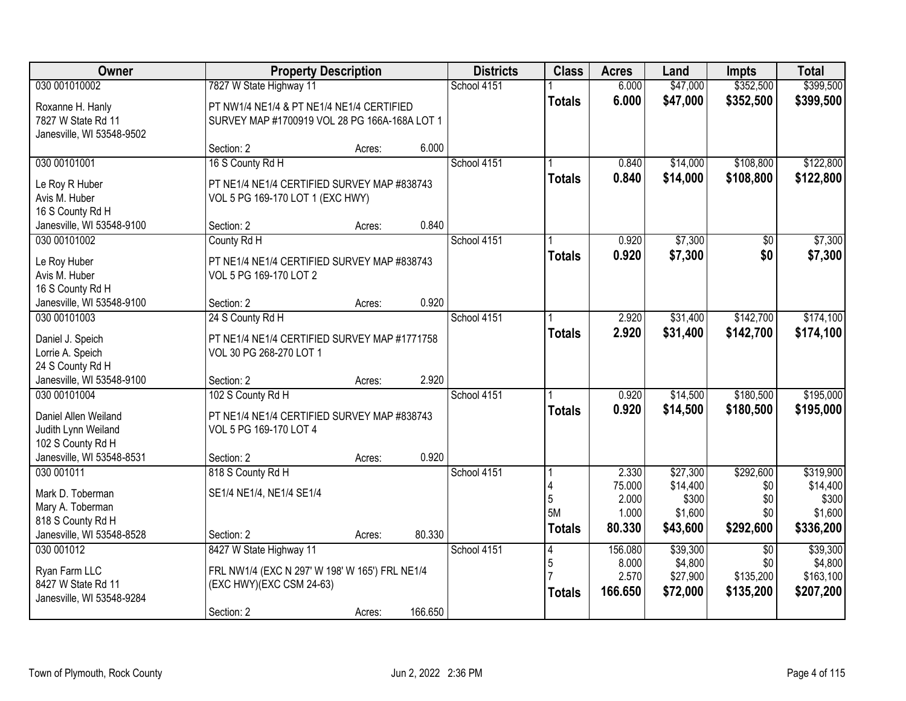| Owner                                                               |                                                                                            | <b>Property Description</b> |         | <b>Districts</b> | <b>Class</b>  | <b>Acres</b>             | Land                         | <b>Impts</b>           | <b>Total</b>                 |
|---------------------------------------------------------------------|--------------------------------------------------------------------------------------------|-----------------------------|---------|------------------|---------------|--------------------------|------------------------------|------------------------|------------------------------|
| 030 001010002                                                       | 7827 W State Highway 11                                                                    |                             |         | School 4151      |               | 6.000                    | \$47,000                     | \$352,500              | \$399,500                    |
| Roxanne H. Hanly<br>7827 W State Rd 11<br>Janesville, WI 53548-9502 | PT NW1/4 NE1/4 & PT NE1/4 NE1/4 CERTIFIED<br>SURVEY MAP #1700919 VOL 28 PG 166A-168A LOT 1 |                             |         |                  | <b>Totals</b> | 6.000                    | \$47,000                     | \$352,500              | \$399,500                    |
|                                                                     | Section: 2                                                                                 | Acres:                      | 6.000   |                  |               |                          |                              |                        |                              |
| 030 00101001<br>Le Roy R Huber                                      | 16 S County Rd H<br>PT NE1/4 NE1/4 CERTIFIED SURVEY MAP #838743                            |                             |         | School 4151      | <b>Totals</b> | 0.840<br>0.840           | \$14,000<br>\$14,000         | \$108,800<br>\$108,800 | \$122,800<br>\$122,800       |
| Avis M. Huber<br>16 S County Rd H                                   | VOL 5 PG 169-170 LOT 1 (EXC HWY)                                                           |                             |         |                  |               |                          |                              |                        |                              |
| Janesville, WI 53548-9100                                           | Section: 2                                                                                 | Acres:                      | 0.840   |                  |               |                          |                              |                        |                              |
| 030 00101002                                                        | County Rd H                                                                                |                             |         | School 4151      |               | 0.920                    | \$7,300                      | \$0                    | \$7,300                      |
| Le Roy Huber<br>Avis M. Huber<br>16 S County Rd H                   | PT NE1/4 NE1/4 CERTIFIED SURVEY MAP #838743<br>VOL 5 PG 169-170 LOT 2                      |                             |         |                  | <b>Totals</b> | 0.920                    | \$7,300                      | \$0                    | \$7,300                      |
| Janesville, WI 53548-9100                                           | Section: 2                                                                                 | Acres:                      | 0.920   |                  |               |                          |                              |                        |                              |
| 030 00101003                                                        | 24 S County Rd H                                                                           |                             |         | School 4151      |               | 2.920                    | \$31,400                     | \$142,700              | \$174,100                    |
| Daniel J. Speich<br>Lorrie A. Speich<br>24 S County Rd H            | PT NE1/4 NE1/4 CERTIFIED SURVEY MAP #1771758<br>VOL 30 PG 268-270 LOT 1                    |                             |         |                  | <b>Totals</b> | 2.920                    | \$31,400                     | \$142,700              | \$174,100                    |
| Janesville, WI 53548-9100                                           | Section: 2                                                                                 | Acres:                      | 2.920   |                  |               |                          |                              |                        |                              |
| 030 00101004<br>Daniel Allen Weiland                                | 102 S County Rd H<br>PT NE1/4 NE1/4 CERTIFIED SURVEY MAP #838743                           |                             |         | School 4151      | <b>Totals</b> | 0.920<br>0.920           | \$14,500<br>\$14,500         | \$180,500<br>\$180,500 | \$195,000<br>\$195,000       |
| Judith Lynn Weiland<br>102 S County Rd H                            | VOL 5 PG 169-170 LOT 4                                                                     |                             |         |                  |               |                          |                              |                        |                              |
| Janesville, WI 53548-8531                                           | Section: 2                                                                                 | Acres:                      | 0.920   |                  |               |                          |                              |                        |                              |
| 030 001011                                                          | 818 S County Rd H                                                                          |                             |         | School 4151      |               | 2.330                    | \$27,300                     | \$292,600              | \$319,900                    |
| Mark D. Toberman<br>Mary A. Toberman                                | SE1/4 NE1/4, NE1/4 SE1/4                                                                   |                             |         |                  | 5<br>5M       | 75.000<br>2.000<br>1.000 | \$14,400<br>\$300<br>\$1,600 | \$0<br>\$0<br>\$0      | \$14,400<br>\$300<br>\$1,600 |
| 818 S County Rd H                                                   |                                                                                            |                             |         |                  | <b>Totals</b> | 80.330                   | \$43,600                     | \$292,600              | \$336,200                    |
| Janesville, WI 53548-8528                                           | Section: 2                                                                                 | Acres:                      | 80.330  |                  |               |                          |                              |                        |                              |
| 030 001012                                                          | 8427 W State Highway 11                                                                    |                             |         | School 4151      | 4<br>5        | 156.080<br>8.000         | \$39,300<br>\$4,800          | $\overline{30}$<br>\$0 | \$39,300<br>\$4,800          |
| Ryan Farm LLC                                                       | FRL NW1/4 (EXC N 297' W 198' W 165') FRL NE1/4                                             |                             |         |                  |               | 2.570                    | \$27,900                     | \$135,200              | \$163,100                    |
| 8427 W State Rd 11<br>Janesville, WI 53548-9284                     | (EXC HWY)(EXC CSM 24-63)                                                                   |                             |         |                  | <b>Totals</b> | 166.650                  | \$72,000                     | \$135,200              | \$207,200                    |
|                                                                     | Section: 2                                                                                 | Acres:                      | 166.650 |                  |               |                          |                              |                        |                              |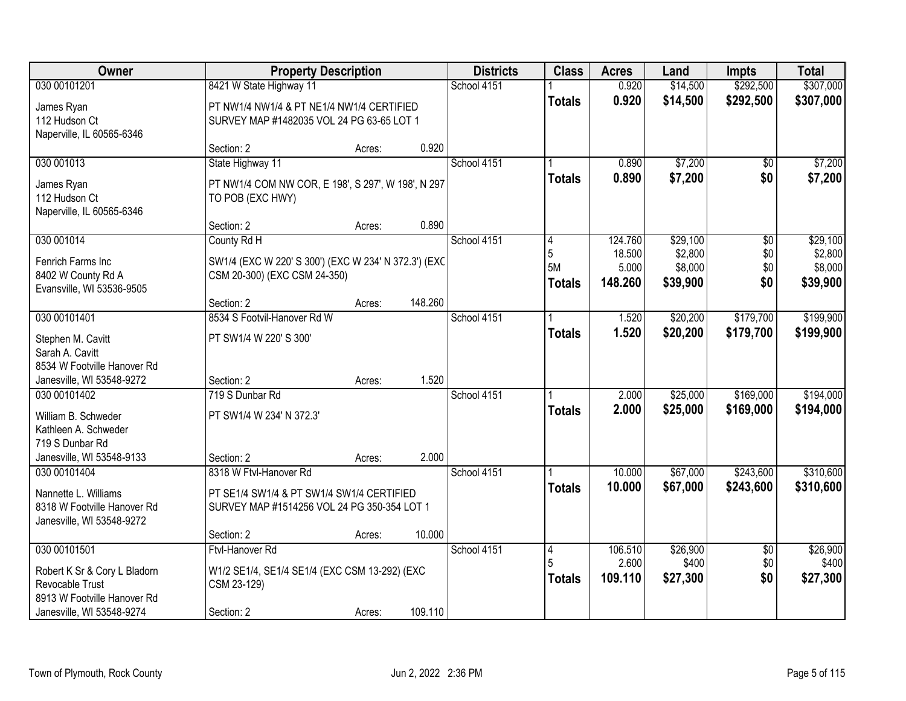| Owner                                                                                                                       |                                                                                                                                  | <b>Property Description</b> |         | <b>Districts</b> | <b>Class</b>                  | <b>Acres</b>                          | Land                                       | <b>Impts</b>                         | <b>Total</b>                               |
|-----------------------------------------------------------------------------------------------------------------------------|----------------------------------------------------------------------------------------------------------------------------------|-----------------------------|---------|------------------|-------------------------------|---------------------------------------|--------------------------------------------|--------------------------------------|--------------------------------------------|
| 030 00101201                                                                                                                | 8421 W State Highway 11                                                                                                          |                             |         | School 4151      |                               | 0.920                                 | \$14,500                                   | \$292,500                            | \$307,000                                  |
| James Ryan<br>112 Hudson Ct<br>Naperville, IL 60565-6346                                                                    | PT NW1/4 NW1/4 & PT NE1/4 NW1/4 CERTIFIED<br>SURVEY MAP #1482035 VOL 24 PG 63-65 LOT 1                                           |                             |         |                  | <b>Totals</b>                 | 0.920                                 | \$14,500                                   | \$292,500                            | \$307,000                                  |
|                                                                                                                             | Section: 2                                                                                                                       | Acres:                      | 0.920   |                  |                               |                                       |                                            |                                      |                                            |
| 030 001013<br>James Ryan<br>112 Hudson Ct<br>Naperville, IL 60565-6346                                                      | State Highway 11<br>PT NW1/4 COM NW COR, E 198', S 297', W 198', N 297<br>TO POB (EXC HWY)                                       |                             |         | School 4151      | <b>Totals</b>                 | 0.890<br>0.890                        | \$7,200<br>\$7,200                         | \$0<br>\$0                           | \$7,200<br>\$7,200                         |
|                                                                                                                             | Section: 2                                                                                                                       | Acres:                      | 0.890   |                  |                               |                                       |                                            |                                      |                                            |
| 030 001014<br>Fenrich Farms Inc<br>8402 W County Rd A<br>Evansville, WI 53536-9505                                          | County Rd H<br>SW1/4 (EXC W 220' S 300') (EXC W 234' N 372.3') (EXC<br>CSM 20-300) (EXC CSM 24-350)                              |                             |         | School 4151      | 4<br>5<br>5M<br><b>Totals</b> | 124.760<br>18.500<br>5.000<br>148.260 | \$29,100<br>\$2,800<br>\$8,000<br>\$39,900 | $\overline{50}$<br>\$0<br>\$0<br>\$0 | \$29,100<br>\$2,800<br>\$8,000<br>\$39,900 |
|                                                                                                                             | Section: 2                                                                                                                       | Acres:                      | 148.260 |                  |                               |                                       |                                            |                                      |                                            |
| 030 00101401<br>Stephen M. Cavitt<br>Sarah A. Cavitt<br>8534 W Footville Hanover Rd<br>Janesville, WI 53548-9272            | 8534 S Footvil-Hanover Rd W<br>PT SW1/4 W 220' S 300'<br>Section: 2                                                              | Acres:                      | 1.520   | School 4151      | <b>Totals</b>                 | 1.520<br>1.520                        | \$20,200<br>\$20,200                       | \$179,700<br>\$179,700               | \$199,900<br>\$199,900                     |
| 030 00101402<br>William B. Schweder<br>Kathleen A. Schweder<br>719 S Dunbar Rd<br>Janesville, WI 53548-9133                 | 719 S Dunbar Rd<br>PT SW1/4 W 234' N 372.3'<br>Section: 2                                                                        | Acres:                      | 2.000   | School 4151      | <b>Totals</b>                 | 2.000<br>2.000                        | \$25,000<br>\$25,000                       | \$169,000<br>\$169,000               | \$194,000<br>\$194,000                     |
| 030 00101404<br>Nannette L. Williams<br>8318 W Footville Hanover Rd<br>Janesville, WI 53548-9272                            | 8318 W Ftvl-Hanover Rd<br>PT SE1/4 SW1/4 & PT SW1/4 SW1/4 CERTIFIED<br>SURVEY MAP #1514256 VOL 24 PG 350-354 LOT 1<br>Section: 2 | Acres:                      | 10.000  | School 4151      | <b>Totals</b>                 | 10.000<br>10.000                      | \$67,000<br>\$67,000                       | \$243,600<br>\$243,600               | \$310,600<br>\$310,600                     |
| 030 00101501<br>Robert K Sr & Cory L Bladorn<br>Revocable Trust<br>8913 W Footville Hanover Rd<br>Janesville, WI 53548-9274 | Ftvl-Hanover Rd<br>W1/2 SE1/4, SE1/4 SE1/4 (EXC CSM 13-292) (EXC<br>CSM 23-129)<br>Section: 2                                    | Acres:                      | 109.110 | School 4151      | 4<br>5<br><b>Totals</b>       | 106.510<br>2.600<br>109.110           | \$26,900<br>\$400<br>\$27,300              | $\overline{50}$<br>\$0<br>\$0        | \$26,900<br>\$400<br>\$27,300              |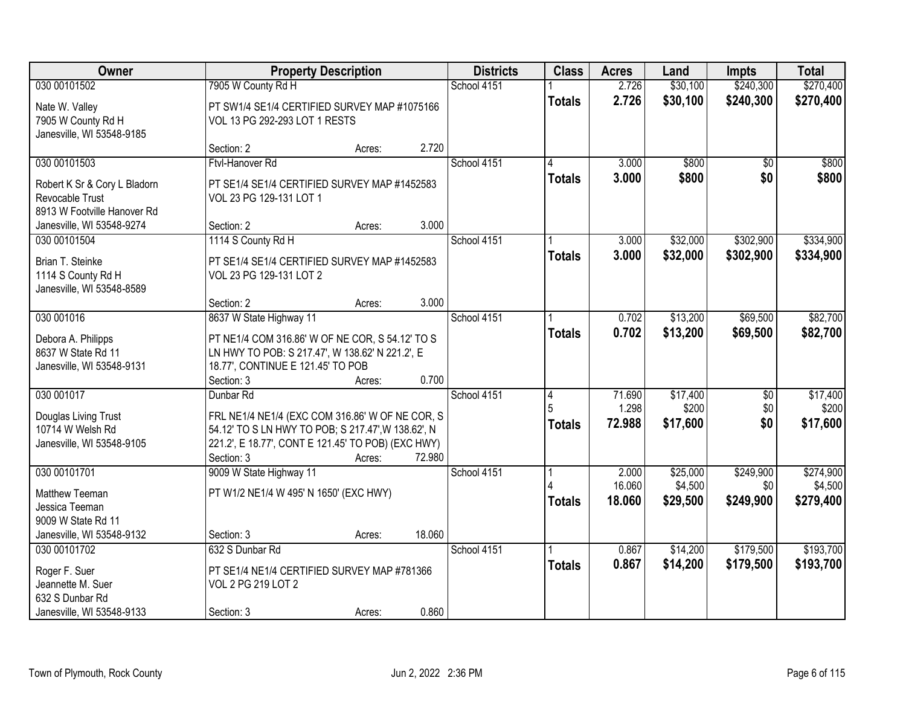| Owner                                                                              |                                                                                                                                                                           | <b>Property Description</b> |        | <b>Districts</b> | <b>Class</b>  | <b>Acres</b>     | Land                | <b>Impts</b>           | <b>Total</b>         |
|------------------------------------------------------------------------------------|---------------------------------------------------------------------------------------------------------------------------------------------------------------------------|-----------------------------|--------|------------------|---------------|------------------|---------------------|------------------------|----------------------|
| 030 00101502                                                                       | 7905 W County Rd H                                                                                                                                                        |                             |        | School 4151      |               | 2.726            | \$30,100            | \$240,300              | \$270,400            |
| Nate W. Valley<br>7905 W County Rd H<br>Janesville, WI 53548-9185                  | PT SW1/4 SE1/4 CERTIFIED SURVEY MAP #1075166<br>VOL 13 PG 292-293 LOT 1 RESTS                                                                                             |                             |        |                  | <b>Totals</b> | 2.726            | \$30,100            | \$240,300              | \$270,400            |
|                                                                                    | Section: 2                                                                                                                                                                | Acres:                      | 2.720  |                  |               |                  |                     |                        |                      |
| 030 00101503                                                                       | Ftvl-Hanover Rd                                                                                                                                                           |                             |        | School 4151      | <b>Totals</b> | 3.000<br>3.000   | \$800<br>\$800      | $\overline{50}$<br>\$0 | \$800<br>\$800       |
| Robert K Sr & Cory L Bladorn<br>Revocable Trust<br>8913 W Footville Hanover Rd     | PT SE1/4 SE1/4 CERTIFIED SURVEY MAP #1452583<br>VOL 23 PG 129-131 LOT 1                                                                                                   |                             |        |                  |               |                  |                     |                        |                      |
| Janesville, WI 53548-9274                                                          | Section: 2                                                                                                                                                                | Acres:                      | 3.000  |                  |               |                  |                     |                        |                      |
| 030 00101504                                                                       | 1114 S County Rd H                                                                                                                                                        |                             |        | School 4151      |               | 3.000            | \$32,000            | \$302,900              | \$334,900            |
| Brian T. Steinke<br>1114 S County Rd H<br>Janesville, WI 53548-8589                | PT SE1/4 SE1/4 CERTIFIED SURVEY MAP #1452583<br>VOL 23 PG 129-131 LOT 2                                                                                                   |                             |        |                  | <b>Totals</b> | 3.000            | \$32,000            | \$302,900              | \$334,900            |
|                                                                                    | Section: 2                                                                                                                                                                | Acres:                      | 3.000  |                  |               |                  |                     |                        |                      |
| 030 001016                                                                         | 8637 W State Highway 11                                                                                                                                                   |                             |        | School 4151      |               | 0.702            | \$13,200            | \$69,500               | \$82,700             |
| Debora A. Philipps<br>8637 W State Rd 11<br>Janesville, WI 53548-9131              | PT NE1/4 COM 316.86' W OF NE COR, S 54.12' TO S<br>LN HWY TO POB: S 217.47', W 138.62' N 221.2', E<br>18.77', CONTINUE E 121.45' TO POB                                   |                             |        |                  | <b>Totals</b> | 0.702            | \$13,200            | \$69,500               | \$82,700             |
|                                                                                    | Section: 3                                                                                                                                                                | Acres:                      | 0.700  |                  |               |                  |                     |                        |                      |
| 030 001017                                                                         | Dunbar Rd                                                                                                                                                                 |                             |        | School 4151      | 4             | 71.690           | \$17,400            | $\overline{50}$        | \$17,400             |
| Douglas Living Trust<br>10714 W Welsh Rd<br>Janesville, WI 53548-9105              | FRL NE1/4 NE1/4 (EXC COM 316.86' W OF NE COR, S<br>54.12' TO S LN HWY TO POB; S 217.47', W 138.62', N<br>221.2', E 18.77', CONT E 121.45' TO POB) (EXC HWY)<br>Section: 3 | Acres:                      | 72.980 |                  | <b>Totals</b> | 1.298<br>72.988  | \$200<br>\$17,600   | \$0<br>\$0             | \$200<br>\$17,600    |
| 030 00101701                                                                       | 9009 W State Highway 11                                                                                                                                                   |                             |        | School 4151      |               | 2.000            | \$25,000            | \$249,900              | \$274,900            |
| Matthew Teeman<br>Jessica Teeman<br>9009 W State Rd 11                             | PT W1/2 NE1/4 W 495' N 1650' (EXC HWY)                                                                                                                                    |                             |        |                  | <b>Totals</b> | 16.060<br>18.060 | \$4,500<br>\$29,500 | \$0<br>\$249,900       | \$4,500<br>\$279,400 |
| Janesville, WI 53548-9132                                                          | Section: 3                                                                                                                                                                | Acres:                      | 18.060 |                  |               |                  |                     |                        |                      |
| 030 00101702                                                                       | 632 S Dunbar Rd                                                                                                                                                           |                             |        | School 4151      |               | 0.867            | \$14,200            | \$179,500              | \$193,700            |
| Roger F. Suer<br>Jeannette M. Suer<br>632 S Dunbar Rd<br>Janesville, WI 53548-9133 | PT SE1/4 NE1/4 CERTIFIED SURVEY MAP #781366<br>VOL 2 PG 219 LOT 2<br>Section: 3                                                                                           | Acres:                      | 0.860  |                  | <b>Totals</b> | 0.867            | \$14,200            | \$179,500              | \$193,700            |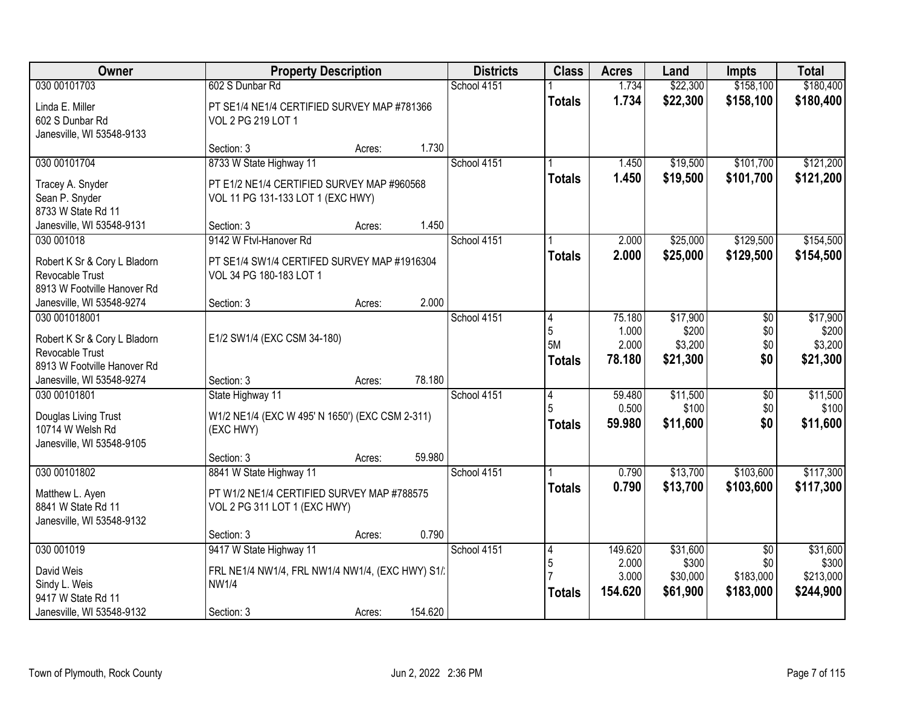| Owner                                                                          |                                                                                 | <b>Property Description</b> |         | <b>Districts</b> | <b>Class</b>                  | <b>Acres</b>                       | Land                                     | <b>Impts</b>             | <b>Total</b>                             |
|--------------------------------------------------------------------------------|---------------------------------------------------------------------------------|-----------------------------|---------|------------------|-------------------------------|------------------------------------|------------------------------------------|--------------------------|------------------------------------------|
| 030 00101703                                                                   | 602 S Dunbar Rd                                                                 |                             |         | School 4151      |                               | 1.734                              | \$22,300                                 | \$158,100                | \$180,400                                |
| Linda E. Miller<br>602 S Dunbar Rd<br>Janesville, WI 53548-9133                | PT SE1/4 NE1/4 CERTIFIED SURVEY MAP #781366<br>VOL 2 PG 219 LOT 1               |                             |         |                  | <b>Totals</b>                 | 1.734                              | \$22,300                                 | \$158,100                | \$180,400                                |
|                                                                                | Section: 3                                                                      | Acres:                      | 1.730   |                  |                               |                                    |                                          |                          |                                          |
| 030 00101704                                                                   | 8733 W State Highway 11                                                         |                             |         | School 4151      |                               | 1.450                              | \$19,500                                 | \$101,700                | \$121,200                                |
| Tracey A. Snyder<br>Sean P. Snyder<br>8733 W State Rd 11                       | PT E1/2 NE1/4 CERTIFIED SURVEY MAP #960568<br>VOL 11 PG 131-133 LOT 1 (EXC HWY) |                             |         |                  | <b>Totals</b>                 | 1.450                              | \$19,500                                 | \$101,700                | \$121,200                                |
| Janesville, WI 53548-9131                                                      | Section: 3                                                                      | Acres:                      | 1.450   |                  |                               |                                    |                                          |                          |                                          |
| 030 001018                                                                     | 9142 W Ftvl-Hanover Rd                                                          |                             |         | School 4151      |                               | 2.000                              | \$25,000                                 | \$129,500                | \$154,500                                |
| Robert K Sr & Cory L Bladorn<br>Revocable Trust<br>8913 W Footville Hanover Rd | PT SE1/4 SW1/4 CERTIFED SURVEY MAP #1916304<br>VOL 34 PG 180-183 LOT 1          |                             |         |                  | <b>Totals</b>                 | 2.000                              | \$25,000                                 | \$129,500                | \$154,500                                |
| Janesville, WI 53548-9274                                                      | Section: 3                                                                      | Acres:                      | 2.000   |                  |                               |                                    |                                          |                          |                                          |
| 030 001018001<br>Robert K Sr & Cory L Bladorn<br>Revocable Trust               | E1/2 SW1/4 (EXC CSM 34-180)                                                     |                             |         | School 4151      | 4<br>5<br>5M<br><b>Totals</b> | 75.180<br>1.000<br>2.000<br>78.180 | \$17,900<br>\$200<br>\$3,200<br>\$21,300 | \$0<br>\$0<br>\$0<br>\$0 | \$17,900<br>\$200<br>\$3,200<br>\$21,300 |
| 8913 W Footville Hanover Rd                                                    |                                                                                 |                             | 78.180  |                  |                               |                                    |                                          |                          |                                          |
| Janesville, WI 53548-9274<br>030 00101801                                      | Section: 3<br>State Highway 11                                                  | Acres:                      |         | School 4151      | $\overline{4}$                | 59.480                             | \$11,500                                 | $\overline{50}$          | \$11,500                                 |
|                                                                                |                                                                                 |                             |         |                  | 5                             | 0.500                              | \$100                                    | \$0                      | \$100                                    |
| Douglas Living Trust<br>10714 W Welsh Rd<br>Janesville, WI 53548-9105          | W1/2 NE1/4 (EXC W 495' N 1650') (EXC CSM 2-311)<br>(EXC HWY)                    |                             |         |                  | <b>Totals</b>                 | 59.980                             | \$11,600                                 | \$0                      | \$11,600                                 |
|                                                                                | Section: 3                                                                      | Acres:                      | 59.980  |                  |                               |                                    |                                          |                          |                                          |
| 030 00101802                                                                   | 8841 W State Highway 11                                                         |                             |         | School 4151      |                               | 0.790                              | \$13,700                                 | \$103,600                | \$117,300                                |
| Matthew L. Ayen<br>8841 W State Rd 11<br>Janesville, WI 53548-9132             | PT W1/2 NE1/4 CERTIFIED SURVEY MAP #788575<br>VOL 2 PG 311 LOT 1 (EXC HWY)      |                             |         |                  | <b>Totals</b>                 | 0.790                              | \$13,700                                 | \$103,600                | \$117,300                                |
|                                                                                | Section: 3                                                                      | Acres:                      | 0.790   |                  |                               |                                    |                                          |                          |                                          |
| 030 001019                                                                     | 9417 W State Highway 11                                                         |                             |         | School 4151      | 4                             | 149.620                            | \$31,600                                 | $\overline{50}$          | \$31,600                                 |
| David Weis                                                                     | FRL NE1/4 NW1/4, FRL NW1/4 NW1/4, (EXC HWY) S1/.                                |                             |         |                  | $\sqrt{5}$                    | 2.000                              | \$300                                    | \$0                      | \$300                                    |
| Sindy L. Weis                                                                  | <b>NW1/4</b>                                                                    |                             |         |                  |                               | 3.000<br>154.620                   | \$30,000<br>\$61,900                     | \$183,000<br>\$183,000   | \$213,000<br>\$244,900                   |
| 9417 W State Rd 11                                                             |                                                                                 |                             |         |                  | <b>Totals</b>                 |                                    |                                          |                          |                                          |
| Janesville, WI 53548-9132                                                      | Section: 3                                                                      | Acres:                      | 154.620 |                  |                               |                                    |                                          |                          |                                          |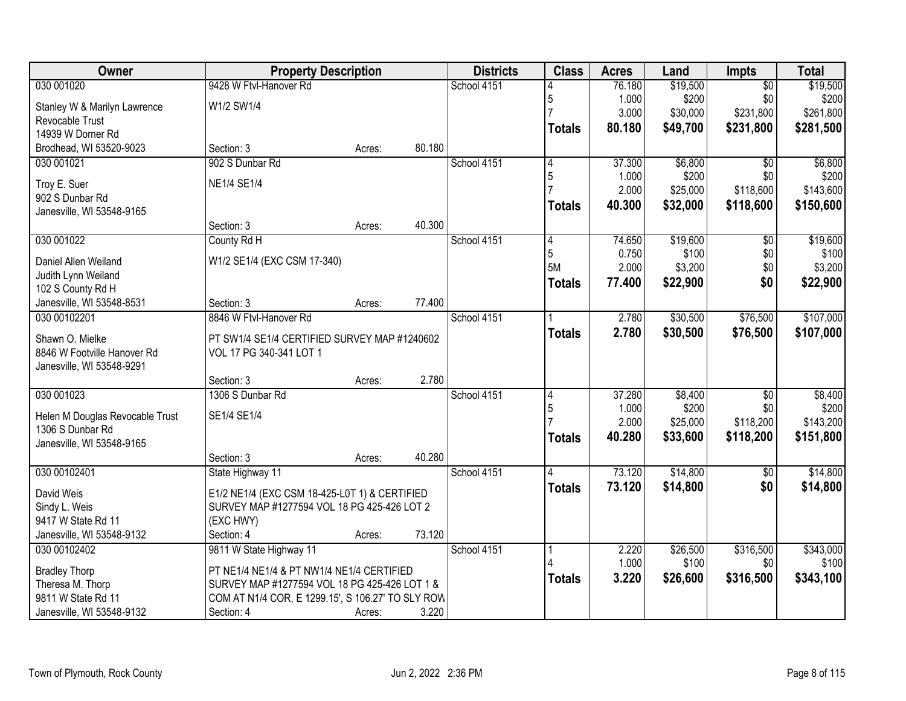| Owner                                               | <b>Property Description</b>                       |        |        | <b>Districts</b> | <b>Class</b>  | <b>Acres</b> | Land     | <b>Impts</b>    | <b>Total</b> |
|-----------------------------------------------------|---------------------------------------------------|--------|--------|------------------|---------------|--------------|----------|-----------------|--------------|
| 030 001020                                          | 9428 W Ftyl-Hanover Rd                            |        |        | School 4151      |               | 76.180       | \$19,500 | $\overline{50}$ | \$19,500     |
| Stanley W & Marilyn Lawrence                        | W1/2 SW1/4                                        |        |        |                  | 5             | 1.000        | \$200    | \$0             | \$200        |
| Revocable Trust                                     |                                                   |        |        |                  |               | 3.000        | \$30,000 | \$231,800       | \$261,800    |
| 14939 W Dorner Rd                                   |                                                   |        |        |                  | Totals        | 80.180       | \$49,700 | \$231,800       | \$281,500    |
| Brodhead, WI 53520-9023                             | Section: 3                                        | Acres: | 80.180 |                  |               |              |          |                 |              |
| 030 001021                                          | 902 S Dunbar Rd                                   |        |        | School 4151      | 4             | 37.300       | \$6,800  | $\overline{50}$ | \$6,800      |
| Troy E. Suer                                        | <b>NE1/4 SE1/4</b>                                |        |        |                  | 5             | 1.000        | \$200    | \$0             | \$200        |
| 902 S Dunbar Rd                                     |                                                   |        |        |                  |               | 2.000        | \$25,000 | \$118,600       | \$143,600    |
| Janesville, WI 53548-9165                           |                                                   |        |        |                  | <b>Totals</b> | 40.300       | \$32,000 | \$118,600       | \$150,600    |
|                                                     | Section: 3                                        | Acres: | 40.300 |                  |               |              |          |                 |              |
| 030 001022                                          | County Rd H                                       |        |        | School 4151      | 4             | 74.650       | \$19,600 | $\overline{50}$ | \$19,600     |
| Daniel Allen Weiland                                | W1/2 SE1/4 (EXC CSM 17-340)                       |        |        |                  | 5             | 0.750        | \$100    | \$0             | \$100        |
| Judith Lynn Weiland                                 |                                                   |        |        |                  | 5M            | 2.000        | \$3,200  | \$0             | \$3,200      |
| 102 S County Rd H                                   |                                                   |        |        |                  | <b>Totals</b> | 77.400       | \$22,900 | \$0             | \$22,900     |
| Janesville, WI 53548-8531                           | Section: 3                                        | Acres: | 77.400 |                  |               |              |          |                 |              |
| 030 00102201                                        | 8846 W Ftvl-Hanover Rd                            |        |        | School 4151      |               | 2.780        | \$30,500 | \$76,500        | \$107,000    |
| Shawn O. Mielke                                     | PT SW1/4 SE1/4 CERTIFIED SURVEY MAP #1240602      |        |        |                  | <b>Totals</b> | 2.780        | \$30,500 | \$76,500        | \$107,000    |
| 8846 W Footville Hanover Rd                         | VOL 17 PG 340-341 LOT 1                           |        |        |                  |               |              |          |                 |              |
| Janesville, WI 53548-9291                           |                                                   |        |        |                  |               |              |          |                 |              |
|                                                     | Section: 3                                        | Acres: | 2.780  |                  |               |              |          |                 |              |
| 030 001023                                          | 1306 S Dunbar Rd                                  |        |        | School 4151      | 4             | 37.280       | \$8,400  | $\overline{50}$ | \$8,400      |
|                                                     |                                                   |        |        |                  | 5             | 1.000        | \$200    | \$0             | \$200        |
| Helen M Douglas Revocable Trust<br>1306 S Dunbar Rd | SE1/4 SE1/4                                       |        |        |                  |               | 2.000        | \$25,000 | \$118,200       | \$143,200    |
| Janesville, WI 53548-9165                           |                                                   |        |        |                  | <b>Totals</b> | 40.280       | \$33,600 | \$118,200       | \$151,800    |
|                                                     | Section: 3                                        | Acres: | 40.280 |                  |               |              |          |                 |              |
| 030 00102401                                        | State Highway 11                                  |        |        | School 4151      |               | 73.120       | \$14,800 | $\overline{50}$ | \$14,800     |
|                                                     |                                                   |        |        |                  | <b>Totals</b> | 73.120       | \$14,800 | \$0             | \$14,800     |
| David Weis                                          | E1/2 NE1/4 (EXC CSM 18-425-L0T 1) & CERTIFIED     |        |        |                  |               |              |          |                 |              |
| Sindy L. Weis                                       | SURVEY MAP #1277594 VOL 18 PG 425-426 LOT 2       |        |        |                  |               |              |          |                 |              |
| 9417 W State Rd 11                                  | (EXC HWY)                                         |        | 73.120 |                  |               |              |          |                 |              |
| Janesville, WI 53548-9132<br>030 00102402           | Section: 4<br>9811 W State Highway 11             | Acres: |        | School 4151      |               | 2.220        | \$26,500 | \$316,500       | \$343,000    |
|                                                     |                                                   |        |        |                  |               | 1.000        | \$100    | \$0             | \$100        |
| <b>Bradley Thorp</b>                                | PT NE1/4 NE1/4 & PT NW1/4 NE1/4 CERTIFIED         |        |        |                  | <b>Totals</b> | 3.220        | \$26,600 | \$316,500       | \$343,100    |
| Theresa M. Thorp                                    | SURVEY MAP #1277594 VOL 18 PG 425-426 LOT 1 &     |        |        |                  |               |              |          |                 |              |
| 9811 W State Rd 11                                  | COM AT N1/4 COR, E 1299.15', S 106.27' TO SLY ROW |        |        |                  |               |              |          |                 |              |
| Janesville, WI 53548-9132                           | Section: 4                                        | Acres: | 3.220  |                  |               |              |          |                 |              |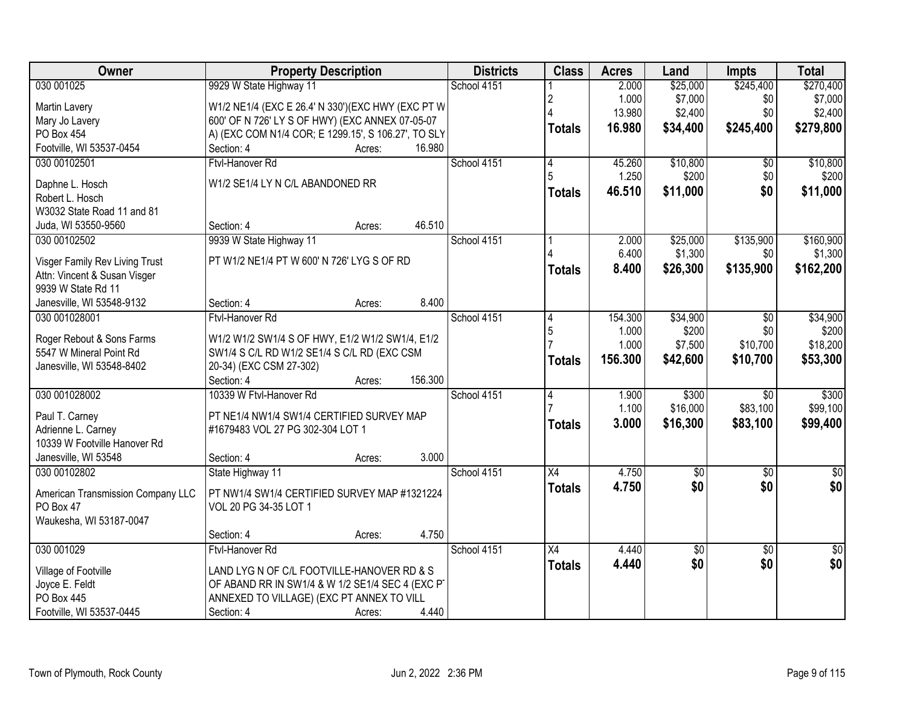| Owner                             | <b>Property Description</b>                         |             | <b>Districts</b> | <b>Class</b>    | <b>Acres</b>   | Land        | <b>Impts</b>    | <b>Total</b>    |
|-----------------------------------|-----------------------------------------------------|-------------|------------------|-----------------|----------------|-------------|-----------------|-----------------|
| 030 001025                        | 9929 W State Highway 11                             | School 4151 |                  |                 | 2.000          | \$25,000    | \$245,400       | \$270,400       |
| Martin Lavery                     | W1/2 NE1/4 (EXC E 26.4' N 330')(EXC HWY (EXC PT W   |             |                  | 2               | 1.000          | \$7,000     | \$0             | \$7,000         |
| Mary Jo Lavery                    | 600' OF N 726' LY S OF HWY) (EXC ANNEX 07-05-07     |             |                  |                 | 13.980         | \$2,400     | \$0             | \$2,400         |
| <b>PO Box 454</b>                 | A) (EXC COM N1/4 COR; E 1299.15', S 106.27', TO SLY |             |                  | <b>Totals</b>   | 16.980         | \$34,400    | \$245,400       | \$279,800       |
| Footville, WI 53537-0454          | Section: 4<br>Acres:                                | 16.980      |                  |                 |                |             |                 |                 |
| 030 00102501                      | Ftvl-Hanover Rd                                     | School 4151 |                  | 4               | 45.260         | \$10,800    | $\overline{50}$ | \$10,800        |
|                                   |                                                     |             |                  | 5               | 1.250          | \$200       | \$0             | \$200           |
| Daphne L. Hosch                   | W1/2 SE1/4 LY N C/L ABANDONED RR                    |             |                  | <b>Totals</b>   | 46.510         | \$11,000    | \$0             | \$11,000        |
| Robert L. Hosch                   |                                                     |             |                  |                 |                |             |                 |                 |
| W3032 State Road 11 and 81        |                                                     | 46.510      |                  |                 |                |             |                 |                 |
| Juda, WI 53550-9560               | Section: 4<br>Acres:                                |             |                  |                 |                |             |                 |                 |
| 030 00102502                      | 9939 W State Highway 11                             | School 4151 |                  |                 | 2.000<br>6.400 | \$25,000    | \$135,900       | \$160,900       |
| Visger Family Rev Living Trust    | PT W1/2 NE1/4 PT W 600' N 726' LYG S OF RD          |             |                  |                 |                | \$1,300     | \$0             | \$1,300         |
| Attn: Vincent & Susan Visger      |                                                     |             |                  | <b>Totals</b>   | 8.400          | \$26,300    | \$135,900       | \$162,200       |
| 9939 W State Rd 11                |                                                     |             |                  |                 |                |             |                 |                 |
| Janesville, WI 53548-9132         | Section: 4<br>Acres:                                | 8.400       |                  |                 |                |             |                 |                 |
| 030 001028001                     | Ftvl-Hanover Rd                                     | School 4151 |                  | 4               | 154.300        | \$34,900    | \$0             | \$34,900        |
| Roger Rebout & Sons Farms         | W1/2 W1/2 SW1/4 S OF HWY, E1/2 W1/2 SW1/4, E1/2     |             |                  | 5               | 1.000          | \$200       | \$0             | \$200           |
| 5547 W Mineral Point Rd           | SW1/4 S C/L RD W1/2 SE1/4 S C/L RD (EXC CSM         |             |                  |                 | 1.000          | \$7,500     | \$10,700        | \$18,200        |
| Janesville, WI 53548-8402         | 20-34) (EXC CSM 27-302)                             |             |                  | <b>Totals</b>   | 156.300        | \$42,600    | \$10,700        | \$53,300        |
|                                   | Section: 4<br>Acres:                                | 156.300     |                  |                 |                |             |                 |                 |
| 030 001028002                     | 10339 W Ftvl-Hanover Rd                             | School 4151 |                  | 4               | 1.900          | \$300       | $\overline{50}$ | \$300           |
|                                   |                                                     |             |                  |                 | 1.100          | \$16,000    | \$83,100        | \$99,100        |
| Paul T. Carney                    | PT NE1/4 NW1/4 SW1/4 CERTIFIED SURVEY MAP           |             |                  | <b>Totals</b>   | 3.000          | \$16,300    | \$83,100        | \$99,400        |
| Adrienne L. Carney                | #1679483 VOL 27 PG 302-304 LOT 1                    |             |                  |                 |                |             |                 |                 |
| 10339 W Footville Hanover Rd      |                                                     |             |                  |                 |                |             |                 |                 |
| Janesville, WI 53548              | Section: 4<br>Acres:                                | 3.000       |                  |                 |                |             |                 |                 |
| 030 00102802                      | State Highway 11                                    | School 4151 |                  | $\overline{X4}$ | 4.750          | $\sqrt{50}$ | $\overline{50}$ | $\overline{50}$ |
| American Transmission Company LLC | PT NW1/4 SW1/4 CERTIFIED SURVEY MAP #1321224        |             |                  | <b>Totals</b>   | 4.750          | \$0         | \$0             | \$0             |
| PO Box 47                         | VOL 20 PG 34-35 LOT 1                               |             |                  |                 |                |             |                 |                 |
| Waukesha, WI 53187-0047           |                                                     |             |                  |                 |                |             |                 |                 |
|                                   | Section: 4<br>Acres:                                | 4.750       |                  |                 |                |             |                 |                 |
| 030 001029                        | Ftvl-Hanover Rd                                     | School 4151 |                  | $\overline{X4}$ | 4.440          | \$0         | $\overline{30}$ | $\overline{50}$ |
| Village of Footville              | LAND LYG N OF C/L FOOTVILLE-HANOVER RD & S          |             |                  | <b>Totals</b>   | 4.440          | \$0         | \$0             | \$0             |
| Joyce E. Feldt                    | OF ABAND RR IN SW1/4 & W 1/2 SE1/4 SEC 4 (EXC PT    |             |                  |                 |                |             |                 |                 |
| <b>PO Box 445</b>                 | ANNEXED TO VILLAGE) (EXC PT ANNEX TO VILL           |             |                  |                 |                |             |                 |                 |
| Footville, WI 53537-0445          | Section: 4<br>Acres:                                | 4.440       |                  |                 |                |             |                 |                 |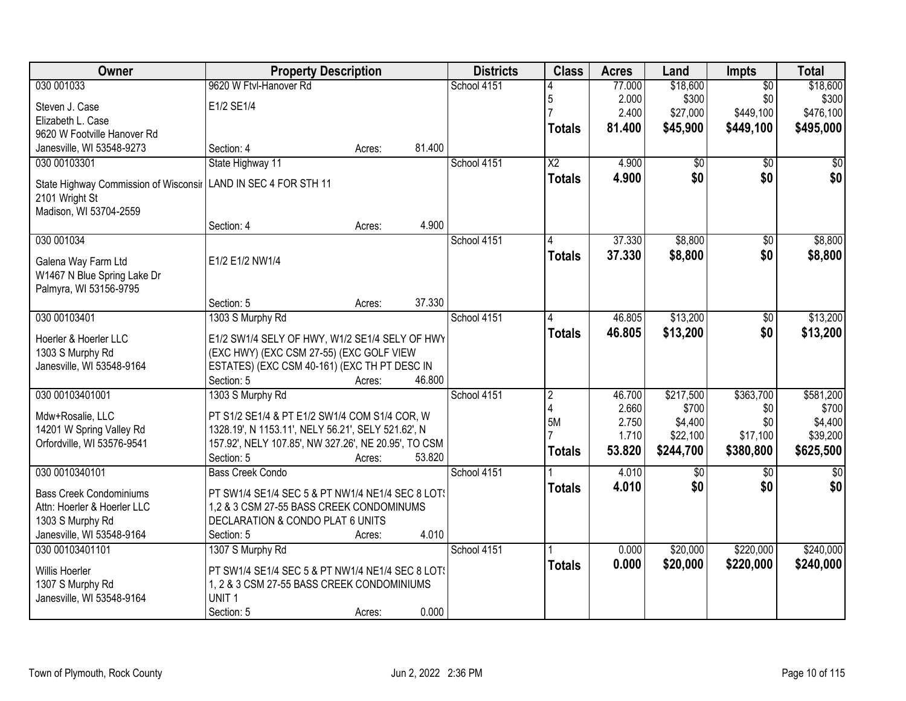| Owner                                              | <b>Property Description</b>                                |        |        | <b>Districts</b> | <b>Class</b>           | <b>Acres</b> | Land            | <b>Impts</b>    | <b>Total</b>           |
|----------------------------------------------------|------------------------------------------------------------|--------|--------|------------------|------------------------|--------------|-----------------|-----------------|------------------------|
| 030 001033                                         | 9620 W Ftyl-Hanover Rd                                     |        |        | School 4151      |                        | 77.000       | \$18,600        | $\overline{50}$ | \$18,600               |
| Steven J. Case                                     | E1/2 SE1/4                                                 |        |        |                  | 5                      | 2.000        | \$300           | \$0             | \$300                  |
| Elizabeth L. Case                                  |                                                            |        |        |                  |                        | 2.400        | \$27,000        | \$449,100       | \$476,100              |
| 9620 W Footville Hanover Rd                        |                                                            |        |        |                  | <b>Totals</b>          | 81.400       | \$45,900        | \$449,100       | \$495,000              |
| Janesville, WI 53548-9273                          | Section: 4                                                 | Acres: | 81.400 |                  |                        |              |                 |                 |                        |
| 030 00103301                                       | State Highway 11                                           |        |        | School 4151      | $\overline{X2}$        | 4.900        | $\overline{50}$ | $\overline{50}$ | $\overline{50}$        |
| State Highway Commission of Wisconsir              | LAND IN SEC 4 FOR STH 11                                   |        |        |                  | <b>Totals</b>          | 4.900        | \$0             | \$0             | \$0                    |
| 2101 Wright St                                     |                                                            |        |        |                  |                        |              |                 |                 |                        |
| Madison, WI 53704-2559                             |                                                            |        |        |                  |                        |              |                 |                 |                        |
|                                                    | Section: 4                                                 | Acres: | 4.900  |                  |                        |              |                 |                 |                        |
| 030 001034                                         |                                                            |        |        | School 4151      |                        | 37.330       | \$8,800         | \$0             | \$8,800                |
|                                                    | E1/2 E1/2 NW1/4                                            |        |        |                  | <b>Totals</b>          | 37.330       | \$8,800         | \$0             | \$8,800                |
| Galena Way Farm Ltd<br>W1467 N Blue Spring Lake Dr |                                                            |        |        |                  |                        |              |                 |                 |                        |
| Palmyra, WI 53156-9795                             |                                                            |        |        |                  |                        |              |                 |                 |                        |
|                                                    | Section: 5                                                 | Acres: | 37.330 |                  |                        |              |                 |                 |                        |
| 030 00103401                                       | 1303 S Murphy Rd                                           |        |        | School 4151      | 4                      | 46.805       | \$13,200        | \$0             | \$13,200               |
|                                                    |                                                            |        |        |                  | <b>Totals</b>          | 46.805       | \$13,200        | \$0             | \$13,200               |
| Hoerler & Hoerler LLC                              | E1/2 SW1/4 SELY OF HWY, W1/2 SE1/4 SELY OF HWY             |        |        |                  |                        |              |                 |                 |                        |
| 1303 S Murphy Rd                                   | (EXC HWY) (EXC CSM 27-55) (EXC GOLF VIEW                   |        |        |                  |                        |              |                 |                 |                        |
| Janesville, WI 53548-9164                          | ESTATES) (EXC CSM 40-161) (EXC TH PT DESC IN<br>Section: 5 | Acres: | 46.800 |                  |                        |              |                 |                 |                        |
| 030 00103401001                                    | 1303 S Murphy Rd                                           |        |        | School 4151      | $\overline{2}$         | 46.700       | \$217,500       | \$363,700       | \$581,200              |
|                                                    |                                                            |        |        |                  | $\boldsymbol{\Lambda}$ | 2.660        | \$700           | \$0             | \$700                  |
| Mdw+Rosalie, LLC                                   | PT S1/2 SE1/4 & PT E1/2 SW1/4 COM S1/4 COR, W              |        |        |                  | 5M                     | 2.750        | \$4,400         | \$0             | \$4,400                |
| 14201 W Spring Valley Rd                           | 1328.19', N 1153.11', NELY 56.21', SELY 521.62', N         |        |        |                  |                        | 1.710        | \$22,100        | \$17,100        | \$39,200               |
| Orfordville, WI 53576-9541                         | 157.92', NELY 107.85', NW 327.26', NE 20.95', TO CSM       |        |        |                  | <b>Totals</b>          | 53.820       | \$244,700       | \$380,800       | \$625,500              |
|                                                    | Section: 5                                                 | Acres: | 53.820 |                  |                        |              |                 |                 |                        |
| 030 0010340101                                     | <b>Bass Creek Condo</b>                                    |        |        | School 4151      |                        | 4.010        | \$0<br>\$0      | $\overline{50}$ | $\overline{50}$<br>\$0 |
| <b>Bass Creek Condominiums</b>                     | PT SW1/4 SE1/4 SEC 5 & PT NW1/4 NE1/4 SEC 8 LOT!           |        |        |                  | <b>Totals</b>          | 4.010        |                 | \$0             |                        |
| Attn: Hoerler & Hoerler LLC                        | 1,2 & 3 CSM 27-55 BASS CREEK CONDOMINUMS                   |        |        |                  |                        |              |                 |                 |                        |
| 1303 S Murphy Rd                                   | DECLARATION & CONDO PLAT 6 UNITS                           |        |        |                  |                        |              |                 |                 |                        |
| Janesville, WI 53548-9164                          | Section: 5                                                 | Acres: | 4.010  |                  |                        |              |                 |                 |                        |
| 030 00103401101                                    | 1307 S Murphy Rd                                           |        |        | School 4151      |                        | 0.000        | \$20,000        | \$220,000       | \$240,000              |
| <b>Willis Hoerler</b>                              | PT SW1/4 SE1/4 SEC 5 & PT NW1/4 NE1/4 SEC 8 LOT!           |        |        |                  | <b>Totals</b>          | 0.000        | \$20,000        | \$220,000       | \$240,000              |
| 1307 S Murphy Rd                                   | 1, 2 & 3 CSM 27-55 BASS CREEK CONDOMINIUMS                 |        |        |                  |                        |              |                 |                 |                        |
| Janesville, WI 53548-9164                          | UNIT <sub>1</sub>                                          |        |        |                  |                        |              |                 |                 |                        |
|                                                    | Section: 5                                                 | Acres: | 0.000  |                  |                        |              |                 |                 |                        |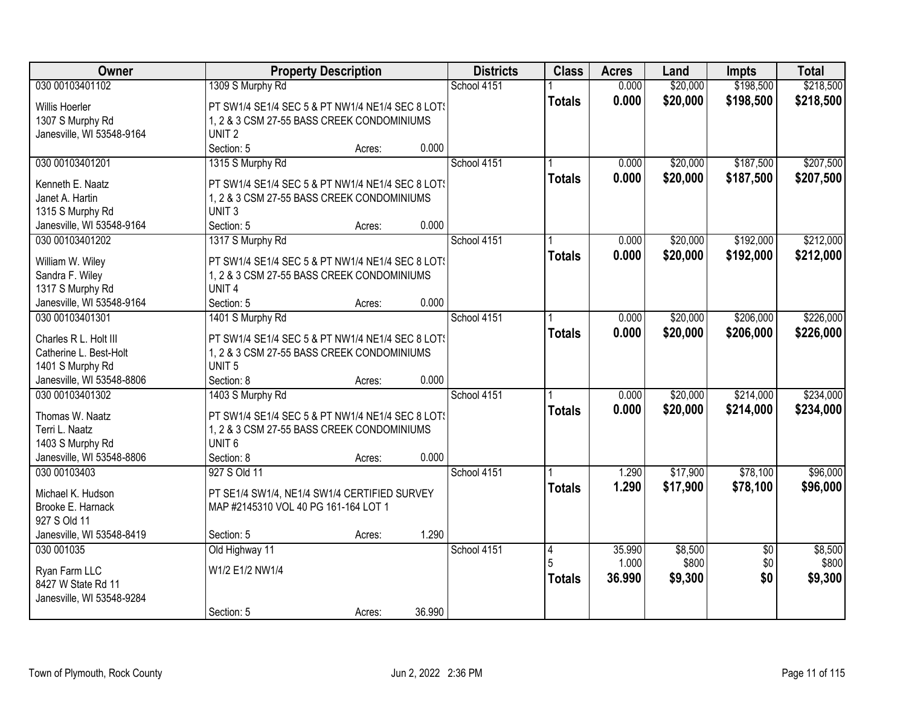| Owner                     | <b>Property Description</b>                      |        |        | <b>Districts</b> | <b>Class</b>  | <b>Acres</b>    | Land             | <b>Impts</b>           | <b>Total</b>     |
|---------------------------|--------------------------------------------------|--------|--------|------------------|---------------|-----------------|------------------|------------------------|------------------|
| 030 00103401102           | 1309 S Murphy Rd                                 |        |        | School 4151      |               | 0.000           | \$20,000         | \$198,500              | \$218,500        |
| Willis Hoerler            | PT SW1/4 SE1/4 SEC 5 & PT NW1/4 NE1/4 SEC 8 LOT! |        |        |                  | <b>Totals</b> | 0.000           | \$20,000         | \$198,500              | \$218,500        |
| 1307 S Murphy Rd          | 1, 2 & 3 CSM 27-55 BASS CREEK CONDOMINIUMS       |        |        |                  |               |                 |                  |                        |                  |
| Janesville, WI 53548-9164 | UNIT <sub>2</sub>                                |        |        |                  |               |                 |                  |                        |                  |
|                           | Section: 5                                       | Acres: | 0.000  |                  |               |                 |                  |                        |                  |
| 030 00103401201           | 1315 S Murphy Rd                                 |        |        | School 4151      |               | 0.000           | \$20,000         | \$187,500              | \$207,500        |
|                           |                                                  |        |        |                  | <b>Totals</b> | 0.000           | \$20,000         | \$187,500              | \$207,500        |
| Kenneth E. Naatz          | PT SW1/4 SE1/4 SEC 5 & PT NW1/4 NE1/4 SEC 8 LOT: |        |        |                  |               |                 |                  |                        |                  |
| Janet A. Hartin           | 1, 2 & 3 CSM 27-55 BASS CREEK CONDOMINIUMS       |        |        |                  |               |                 |                  |                        |                  |
| 1315 S Murphy Rd          | UNIT <sub>3</sub>                                |        | 0.000  |                  |               |                 |                  |                        |                  |
| Janesville, WI 53548-9164 | Section: 5                                       | Acres: |        |                  |               |                 |                  |                        |                  |
| 030 00103401202           | 1317 S Murphy Rd                                 |        |        | School 4151      |               | 0.000           | \$20,000         | \$192,000              | \$212,000        |
| William W. Wiley          | PT SW1/4 SE1/4 SEC 5 & PT NW1/4 NE1/4 SEC 8 LOT! |        |        |                  | <b>Totals</b> | 0.000           | \$20,000         | \$192,000              | \$212,000        |
| Sandra F. Wiley           | 1, 2 & 3 CSM 27-55 BASS CREEK CONDOMINIUMS       |        |        |                  |               |                 |                  |                        |                  |
| 1317 S Murphy Rd          | UNIT <sub>4</sub>                                |        |        |                  |               |                 |                  |                        |                  |
| Janesville, WI 53548-9164 | Section: 5                                       | Acres: | 0.000  |                  |               |                 |                  |                        |                  |
| 030 00103401301           | 1401 S Murphy Rd                                 |        |        | School 4151      |               | 0.000           | \$20,000         | \$206,000              | \$226,000        |
|                           |                                                  |        |        |                  | <b>Totals</b> | 0.000           | \$20,000         | \$206,000              | \$226,000        |
| Charles R L. Holt III     | PT SW1/4 SE1/4 SEC 5 & PT NW1/4 NE1/4 SEC 8 LOT! |        |        |                  |               |                 |                  |                        |                  |
| Catherine L. Best-Holt    | 1, 2 & 3 CSM 27-55 BASS CREEK CONDOMINIUMS       |        |        |                  |               |                 |                  |                        |                  |
| 1401 S Murphy Rd          | UNIT <sub>5</sub>                                |        |        |                  |               |                 |                  |                        |                  |
| Janesville, WI 53548-8806 | Section: 8                                       | Acres: | 0.000  |                  |               |                 |                  |                        |                  |
| 030 00103401302           | 1403 S Murphy Rd                                 |        |        | School 4151      |               | 0.000           | \$20,000         | \$214,000              | \$234,000        |
| Thomas W. Naatz           | PT SW1/4 SE1/4 SEC 5 & PT NW1/4 NE1/4 SEC 8 LOT! |        |        |                  | <b>Totals</b> | 0.000           | \$20,000         | \$214,000              | \$234,000        |
| Terri L. Naatz            | 1, 2 & 3 CSM 27-55 BASS CREEK CONDOMINIUMS       |        |        |                  |               |                 |                  |                        |                  |
| 1403 S Murphy Rd          | UNIT <sub>6</sub>                                |        |        |                  |               |                 |                  |                        |                  |
| Janesville, WI 53548-8806 | Section: 8                                       | Acres: | 0.000  |                  |               |                 |                  |                        |                  |
| 030 00103403              | 927 S Old 11                                     |        |        | School 4151      |               | 1.290           | \$17,900         | \$78,100               | \$96,000         |
|                           |                                                  |        |        |                  | <b>Totals</b> | 1.290           | \$17,900         | \$78,100               | \$96,000         |
| Michael K. Hudson         | PT SE1/4 SW1/4, NE1/4 SW1/4 CERTIFIED SURVEY     |        |        |                  |               |                 |                  |                        |                  |
| Brooke E. Harnack         | MAP #2145310 VOL 40 PG 161-164 LOT 1             |        |        |                  |               |                 |                  |                        |                  |
| 927 S Old 11              |                                                  |        | 1.290  |                  |               |                 |                  |                        |                  |
| Janesville, WI 53548-8419 | Section: 5                                       | Acres: |        |                  |               |                 |                  |                        |                  |
| 030 001035                | Old Highway 11                                   |        |        | School 4151      | 4             | 35.990<br>1.000 | \$8,500<br>\$800 | $\overline{50}$<br>\$0 | \$8,500<br>\$800 |
| Ryan Farm LLC             | W1/2 E1/2 NW1/4                                  |        |        |                  |               |                 |                  |                        |                  |
| 8427 W State Rd 11        |                                                  |        |        |                  | <b>Totals</b> | 36.990          | \$9,300          | \$0                    | \$9,300          |
| Janesville, WI 53548-9284 |                                                  |        |        |                  |               |                 |                  |                        |                  |
|                           | Section: 5                                       | Acres: | 36.990 |                  |               |                 |                  |                        |                  |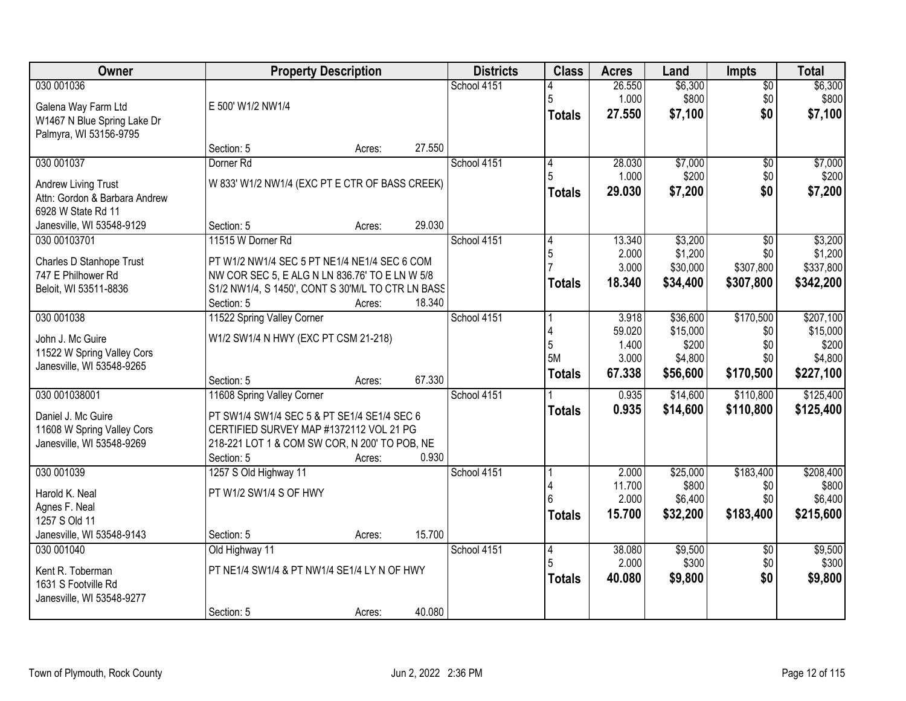| Owner                                                                                          | <b>Property Description</b>                                                                                                                                                            |        |        | <b>Districts</b> | <b>Class</b>                         | <b>Acres</b>                                | Land                                                 | <b>Impts</b>                                     | <b>Total</b>                                           |
|------------------------------------------------------------------------------------------------|----------------------------------------------------------------------------------------------------------------------------------------------------------------------------------------|--------|--------|------------------|--------------------------------------|---------------------------------------------|------------------------------------------------------|--------------------------------------------------|--------------------------------------------------------|
| 030 001036<br>Galena Way Farm Ltd<br>W1467 N Blue Spring Lake Dr<br>Palmyra, WI 53156-9795     | E 500' W1/2 NW1/4                                                                                                                                                                      |        |        | School 4151      | 5<br><b>Totals</b>                   | 26.550<br>1.000<br>27.550                   | \$6,300<br>\$800<br>\$7,100                          | $\overline{50}$<br>\$0<br>\$0                    | \$6,300<br>\$800<br>\$7,100                            |
|                                                                                                | Section: 5                                                                                                                                                                             | Acres: | 27.550 |                  |                                      |                                             |                                                      |                                                  |                                                        |
| 030 001037<br>Andrew Living Trust<br>Attn: Gordon & Barbara Andrew<br>6928 W State Rd 11       | Dorner <sub>Rd</sub><br>W 833' W1/2 NW1/4 (EXC PT E CTR OF BASS CREEK)                                                                                                                 |        |        | School 4151      | $\overline{4}$<br>5<br><b>Totals</b> | 28.030<br>1.000<br>29.030                   | \$7,000<br>\$200<br>\$7,200                          | $\overline{50}$<br>\$0<br>\$0                    | \$7,000<br>\$200<br>\$7,200                            |
| Janesville, WI 53548-9129                                                                      | Section: 5                                                                                                                                                                             | Acres: | 29.030 |                  |                                      |                                             |                                                      |                                                  |                                                        |
| 030 00103701<br>Charles D Stanhope Trust<br>747 E Philhower Rd<br>Beloit, WI 53511-8836        | 11515 W Dorner Rd<br>PT W1/2 NW1/4 SEC 5 PT NE1/4 NE1/4 SEC 6 COM<br>NW COR SEC 5, E ALG N LN 836.76' TO E LN W 5/8<br>S1/2 NW1/4, S 1450', CONT S 30'M/L TO CTR LN BASS<br>Section: 5 | Acres: | 18.340 | School 4151      | 4<br>5<br><b>Totals</b>              | 13.340<br>2.000<br>3.000<br>18,340          | \$3,200<br>\$1,200<br>\$30,000<br>\$34,400           | $\overline{50}$<br>\$0<br>\$307,800<br>\$307,800 | \$3,200<br>\$1,200<br>\$337,800<br>\$342,200           |
| 030 001038<br>John J. Mc Guire<br>11522 W Spring Valley Cors<br>Janesville, WI 53548-9265      | 11522 Spring Valley Corner<br>W1/2 SW1/4 N HWY (EXC PT CSM 21-218)<br>Section: 5                                                                                                       | Acres: | 67.330 | School 4151      | 4<br>5<br>5M<br><b>Totals</b>        | 3.918<br>59.020<br>1.400<br>3.000<br>67.338 | \$36,600<br>\$15,000<br>\$200<br>\$4,800<br>\$56,600 | \$170,500<br>\$0<br>\$0<br>\$0<br>\$170,500      | \$207,100<br>\$15,000<br>\$200<br>\$4,800<br>\$227,100 |
| 030 001038001<br>Daniel J. Mc Guire<br>11608 W Spring Valley Cors<br>Janesville, WI 53548-9269 | 11608 Spring Valley Corner<br>PT SW1/4 SW1/4 SEC 5 & PT SE1/4 SE1/4 SEC 6<br>CERTIFIED SURVEY MAP #1372112 VOL 21 PG<br>218-221 LOT 1 & COM SW COR, N 200' TO POB, NE<br>Section: 5    | Acres: | 0.930  | School 4151      | <b>Totals</b>                        | 0.935<br>0.935                              | \$14,600<br>\$14,600                                 | \$110,800<br>\$110,800                           | \$125,400<br>\$125,400                                 |
| 030 001039<br>Harold K. Neal<br>Agnes F. Neal<br>1257 S Old 11<br>Janesville, WI 53548-9143    | 1257 S Old Highway 11<br>PT W1/2 SW1/4 S OF HWY<br>Section: 5                                                                                                                          | Acres: | 15.700 | School 4151      | <b>Totals</b>                        | 2.000<br>11.700<br>2.000<br>15.700          | \$25,000<br>\$800<br>\$6,400<br>\$32,200             | \$183,400<br>\$0<br>\$0<br>\$183,400             | \$208,400<br>\$800<br>\$6,400<br>\$215,600             |
| 030 001040<br>Kent R. Toberman<br>1631 S Footville Rd<br>Janesville, WI 53548-9277             | Old Highway 11<br>PT NE1/4 SW1/4 & PT NW1/4 SE1/4 LY N OF HWY<br>Section: 5                                                                                                            | Acres: | 40.080 | School 4151      | $\overline{4}$<br>5<br><b>Totals</b> | 38.080<br>2.000<br>40.080                   | \$9,500<br>\$300<br>\$9,800                          | $\overline{50}$<br>\$0<br>\$0                    | \$9,500<br>\$300<br>\$9,800                            |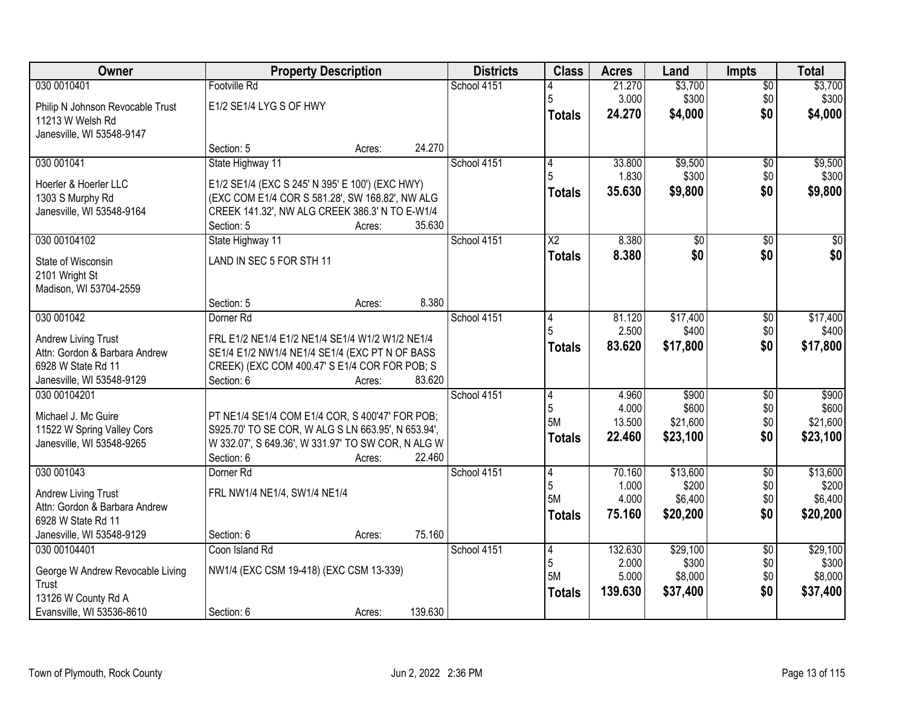| Owner                            | <b>Property Description</b>                        |        |         | <b>Districts</b> | <b>Class</b>    | <b>Acres</b> | Land     | Impts           | <b>Total</b> |
|----------------------------------|----------------------------------------------------|--------|---------|------------------|-----------------|--------------|----------|-----------------|--------------|
| 030 0010401                      | Footville Rd                                       |        |         | School 4151      |                 | 21.270       | \$3,700  | $\overline{50}$ | \$3,700      |
| Philip N Johnson Revocable Trust | E1/2 SE1/4 LYG S OF HWY                            |        |         |                  | 5               | 3.000        | \$300    | \$0             | \$300        |
| 11213 W Welsh Rd                 |                                                    |        |         |                  | <b>Totals</b>   | 24.270       | \$4,000  | \$0             | \$4,000      |
| Janesville, WI 53548-9147        |                                                    |        |         |                  |                 |              |          |                 |              |
|                                  | Section: 5                                         | Acres: | 24.270  |                  |                 |              |          |                 |              |
| 030 001041                       | State Highway 11                                   |        |         | School 4151      | 4               | 33.800       | \$9,500  | $\overline{50}$ | \$9,500      |
| Hoerler & Hoerler LLC            | E1/2 SE1/4 (EXC S 245' N 395' E 100') (EXC HWY)    |        |         |                  |                 | 1.830        | \$300    | \$0             | \$300        |
| 1303 S Murphy Rd                 | (EXC COM E1/4 COR S 581.28', SW 168.82', NW ALG    |        |         |                  | <b>Totals</b>   | 35.630       | \$9,800  | \$0             | \$9,800      |
| Janesville, WI 53548-9164        | CREEK 141.32', NW ALG CREEK 386.3' N TO E-W1/4     |        |         |                  |                 |              |          |                 |              |
|                                  | Section: 5                                         | Acres: | 35.630  |                  |                 |              |          |                 |              |
| 030 00104102                     | State Highway 11                                   |        |         | School 4151      | $\overline{X2}$ | 8.380        | \$0      | \$0             | $\sqrt{50}$  |
| State of Wisconsin               | LAND IN SEC 5 FOR STH 11                           |        |         |                  | <b>Totals</b>   | 8.380        | \$0      | \$0             | \$0          |
| 2101 Wright St                   |                                                    |        |         |                  |                 |              |          |                 |              |
| Madison, WI 53704-2559           |                                                    |        |         |                  |                 |              |          |                 |              |
|                                  | Section: 5                                         | Acres: | 8.380   |                  |                 |              |          |                 |              |
| 030 001042                       | Dorner Rd                                          |        |         | School 4151      | 4               | 81.120       | \$17,400 | \$0             | \$17,400     |
| Andrew Living Trust              | FRL E1/2 NE1/4 E1/2 NE1/4 SE1/4 W1/2 W1/2 NE1/4    |        |         |                  |                 | 2.500        | \$400    | \$0             | \$400        |
| Attn: Gordon & Barbara Andrew    | SE1/4 E1/2 NW1/4 NE1/4 SE1/4 (EXC PT N OF BASS     |        |         |                  | <b>Totals</b>   | 83.620       | \$17,800 | \$0             | \$17,800     |
| 6928 W State Rd 11               | CREEK) (EXC COM 400.47' S E1/4 COR FOR POB; S      |        |         |                  |                 |              |          |                 |              |
| Janesville, WI 53548-9129        | Section: 6                                         | Acres: | 83.620  |                  |                 |              |          |                 |              |
| 030 00104201                     |                                                    |        |         | School 4151      | 14              | 4.960        | \$900    | \$0             | \$900        |
| Michael J. Mc Guire              | PT NE1/4 SE1/4 COM E1/4 COR, S 400'47' FOR POB;    |        |         |                  | 5               | 4.000        | \$600    | \$0             | \$600        |
| 11522 W Spring Valley Cors       | S925.70' TO SE COR, W ALG S LN 663.95', N 653.94', |        |         |                  | 5M              | 13.500       | \$21,600 | \$0             | \$21,600     |
| Janesville, WI 53548-9265        | W 332.07', S 649.36', W 331.97' TO SW COR, N ALG W |        |         |                  | <b>Totals</b>   | 22.460       | \$23,100 | \$0             | \$23,100     |
|                                  | Section: 6                                         | Acres: | 22.460  |                  |                 |              |          |                 |              |
| 030 001043                       | Dorner <sub>Rd</sub>                               |        |         | School 4151      | 4               | 70.160       | \$13,600 | $\sqrt{$0}$     | \$13,600     |
| Andrew Living Trust              | FRL NW1/4 NE1/4, SW1/4 NE1/4                       |        |         |                  | 5               | 1.000        | \$200    | \$0             | \$200        |
| Attn: Gordon & Barbara Andrew    |                                                    |        |         |                  | 5M              | 4.000        | \$6,400  | \$0             | \$6,400      |
| 6928 W State Rd 11               |                                                    |        |         |                  | Totals          | 75.160       | \$20,200 | \$0             | \$20,200     |
| Janesville, WI 53548-9129        | Section: 6                                         | Acres: | 75.160  |                  |                 |              |          |                 |              |
| 030 00104401                     | Coon Island Rd                                     |        |         | School 4151      | 14              | 132.630      | \$29,100 | $\overline{50}$ | \$29,100     |
| George W Andrew Revocable Living | NW1/4 (EXC CSM 19-418) (EXC CSM 13-339)            |        |         |                  | 5               | 2.000        | \$300    | \$0             | \$300        |
| Trust                            |                                                    |        |         |                  | 5M              | 5.000        | \$8,000  | \$0             | \$8,000      |
| 13126 W County Rd A              |                                                    |        |         |                  | <b>Totals</b>   | 139.630      | \$37,400 | \$0             | \$37,400     |
| Evansville, WI 53536-8610        | Section: 6                                         | Acres: | 139.630 |                  |                 |              |          |                 |              |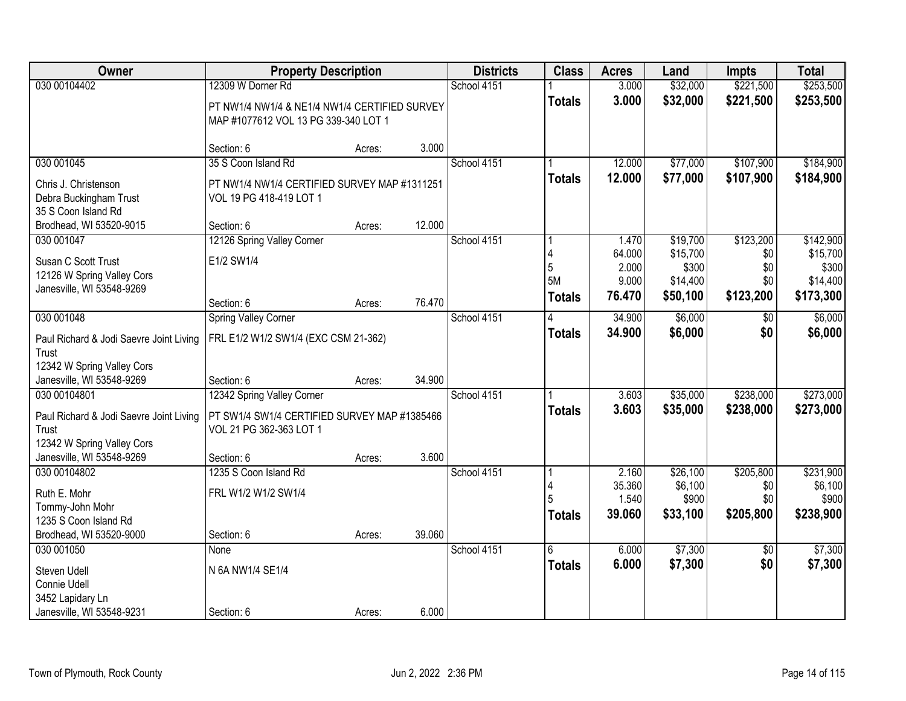| Owner                                                                                               | <b>Property Description</b>                                                                                |        |        | <b>Districts</b> | <b>Class</b>                  | <b>Acres</b>                                | Land                                                  | <b>Impts</b>                                | <b>Total</b>                                            |
|-----------------------------------------------------------------------------------------------------|------------------------------------------------------------------------------------------------------------|--------|--------|------------------|-------------------------------|---------------------------------------------|-------------------------------------------------------|---------------------------------------------|---------------------------------------------------------|
| 030 00104402                                                                                        | 12309 W Dorner Rd<br>PT NW1/4 NW1/4 & NE1/4 NW1/4 CERTIFIED SURVEY<br>MAP #1077612 VOL 13 PG 339-340 LOT 1 |        |        | School 4151      | <b>Totals</b>                 | 3.000<br>3.000                              | \$32,000<br>\$32,000                                  | \$221,500<br>\$221,500                      | \$253,500<br>\$253,500                                  |
|                                                                                                     | Section: 6                                                                                                 | Acres: | 3.000  |                  |                               |                                             |                                                       |                                             |                                                         |
| 030 001045<br>Chris J. Christenson<br>Debra Buckingham Trust<br>35 S Coon Island Rd                 | 35 S Coon Island Rd<br>PT NW1/4 NW1/4 CERTIFIED SURVEY MAP #1311251<br>VOL 19 PG 418-419 LOT 1             |        |        | School 4151      | <b>Totals</b>                 | 12.000<br>12.000                            | \$77,000<br>\$77,000                                  | \$107,900<br>\$107,900                      | \$184,900<br>\$184,900                                  |
| Brodhead, WI 53520-9015                                                                             | Section: 6                                                                                                 | Acres: | 12.000 |                  |                               |                                             |                                                       |                                             |                                                         |
| 030 001047<br>Susan C Scott Trust<br>12126 W Spring Valley Cors<br>Janesville, WI 53548-9269        | 12126 Spring Valley Corner<br>E1/2 SW1/4                                                                   |        |        | School 4151      | 4<br>5<br>5M<br><b>Totals</b> | 1.470<br>64.000<br>2.000<br>9.000<br>76.470 | \$19,700<br>\$15,700<br>\$300<br>\$14,400<br>\$50,100 | \$123,200<br>\$0<br>\$0<br>\$0<br>\$123,200 | \$142,900<br>\$15,700<br>\$300<br>\$14,400<br>\$173,300 |
|                                                                                                     | Section: 6                                                                                                 | Acres: | 76.470 |                  |                               |                                             |                                                       |                                             |                                                         |
| 030 001048<br>Paul Richard & Jodi Saevre Joint Living<br>Trust<br>12342 W Spring Valley Cors        | <b>Spring Valley Corner</b><br>FRL E1/2 W1/2 SW1/4 (EXC CSM 21-362)                                        |        |        | School 4151      | <b>Totals</b>                 | 34.900<br>34.900                            | \$6,000<br>\$6,000                                    | $\sqrt[6]{}$<br>\$0                         | \$6,000<br>\$6,000                                      |
| Janesville, WI 53548-9269                                                                           | Section: 6                                                                                                 | Acres: | 34.900 |                  |                               |                                             |                                                       |                                             |                                                         |
| 030 00104801<br>Paul Richard & Jodi Saevre Joint Living<br>Trust<br>12342 W Spring Valley Cors      | 12342 Spring Valley Corner<br>PT SW1/4 SW1/4 CERTIFIED SURVEY MAP #1385466<br>VOL 21 PG 362-363 LOT 1      |        |        | School 4151      | <b>Totals</b>                 | 3.603<br>3.603                              | \$35,000<br>\$35,000                                  | \$238,000<br>\$238,000                      | \$273,000<br>\$273,000                                  |
| Janesville, WI 53548-9269                                                                           | Section: 6                                                                                                 | Acres: | 3.600  |                  |                               |                                             |                                                       |                                             |                                                         |
| 030 00104802<br>Ruth E. Mohr<br>Tommy-John Mohr<br>1235 S Coon Island Rd<br>Brodhead, WI 53520-9000 | 1235 S Coon Island Rd<br>FRL W1/2 W1/2 SW1/4<br>Section: 6                                                 | Acres: | 39.060 | School 4151      | <b>Totals</b>                 | 2.160<br>35.360<br>1.540<br>39.060          | \$26,100<br>\$6,100<br>\$900<br>\$33,100              | \$205,800<br>\$0<br>\$0<br>\$205,800        | \$231,900<br>\$6,100<br>\$900<br>\$238,900              |
| 030 001050<br>Steven Udell<br>Connie Udell<br>3452 Lapidary Ln<br>Janesville, WI 53548-9231         | None<br>N 6A NW1/4 SE1/4<br>Section: 6                                                                     | Acres: | 6.000  | School 4151      | 6<br><b>Totals</b>            | 6.000<br>6.000                              | \$7,300<br>\$7,300                                    | $\overline{50}$<br>\$0                      | \$7,300<br>\$7,300                                      |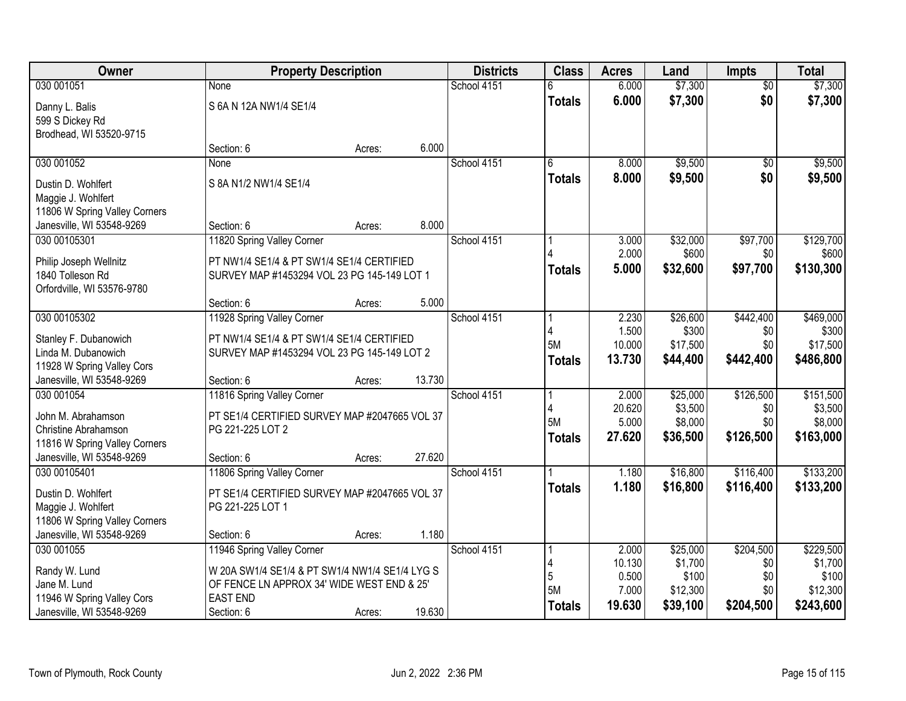| Owner                                   | <b>Property Description</b>                    |        |        | <b>Districts</b> | <b>Class</b>  | <b>Acres</b>    | Land                 | <b>Impts</b>     | <b>Total</b>         |
|-----------------------------------------|------------------------------------------------|--------|--------|------------------|---------------|-----------------|----------------------|------------------|----------------------|
| 030 001051                              | None                                           |        |        | School 4151      | 6             | 6.000           | \$7,300              | $\overline{30}$  | \$7,300              |
| Danny L. Balis                          | S 6A N 12A NW1/4 SE1/4                         |        |        |                  | <b>Totals</b> | 6.000           | \$7,300              | \$0              | \$7,300              |
| 599 S Dickey Rd                         |                                                |        |        |                  |               |                 |                      |                  |                      |
| Brodhead, WI 53520-9715                 |                                                |        |        |                  |               |                 |                      |                  |                      |
|                                         | Section: 6                                     | Acres: | 6.000  |                  |               |                 |                      |                  |                      |
| 030 001052                              | None                                           |        |        | School 4151      | 6             | 8.000           | \$9,500              | $\overline{50}$  | \$9,500              |
| Dustin D. Wohlfert                      | S 8A N1/2 NW1/4 SE1/4                          |        |        |                  | Totals        | 8.000           | \$9,500              | \$0              | \$9,500              |
| Maggie J. Wohlfert                      |                                                |        |        |                  |               |                 |                      |                  |                      |
| 11806 W Spring Valley Corners           |                                                |        |        |                  |               |                 |                      |                  |                      |
| Janesville, WI 53548-9269               | Section: 6                                     | Acres: | 8.000  |                  |               |                 |                      |                  |                      |
| 030 00105301                            | 11820 Spring Valley Corner                     |        |        | School 4151      |               | 3.000           | \$32,000             | \$97,700         | \$129,700            |
| Philip Joseph Wellnitz                  | PT NW1/4 SE1/4 & PT SW1/4 SE1/4 CERTIFIED      |        |        |                  |               | 2.000<br>5.000  | \$600<br>\$32,600    | \$0<br>\$97,700  | \$600<br>\$130,300   |
| 1840 Tolleson Rd                        | SURVEY MAP #1453294 VOL 23 PG 145-149 LOT 1    |        |        |                  | Totals        |                 |                      |                  |                      |
| Orfordville, WI 53576-9780              |                                                |        |        |                  |               |                 |                      |                  |                      |
|                                         | Section: 6                                     | Acres: | 5.000  |                  |               |                 |                      |                  |                      |
| 030 00105302                            | 11928 Spring Valley Corner                     |        |        | School 4151      |               | 2.230<br>1.500  | \$26,600<br>\$300    | \$442,400        | \$469,000<br>\$300   |
| Stanley F. Dubanowich                   | PT NW1/4 SE1/4 & PT SW1/4 SE1/4 CERTIFIED      |        |        |                  | <b>5M</b>     | 10.000          | \$17,500             | \$0<br>\$0       | \$17,500             |
| Linda M. Dubanowich                     | SURVEY MAP #1453294 VOL 23 PG 145-149 LOT 2    |        |        |                  | <b>Totals</b> | 13.730          | \$44,400             | \$442,400        | \$486,800            |
| 11928 W Spring Valley Cors              |                                                |        |        |                  |               |                 |                      |                  |                      |
| Janesville, WI 53548-9269               | Section: 6                                     | Acres: | 13.730 |                  |               |                 |                      |                  |                      |
| 030 001054                              | 11816 Spring Valley Corner                     |        |        | School 4151      | -1            | 2.000<br>20.620 | \$25,000<br>\$3,500  | \$126,500<br>\$0 | \$151,500<br>\$3,500 |
| John M. Abrahamson                      | PT SE1/4 CERTIFIED SURVEY MAP #2047665 VOL 37  |        |        |                  | 5M            | 5.000           | \$8,000              | \$0              | \$8,000              |
| Christine Abrahamson                    | PG 221-225 LOT 2                               |        |        |                  | <b>Totals</b> | 27.620          | \$36,500             | \$126,500        | \$163,000            |
| 11816 W Spring Valley Corners           |                                                |        |        |                  |               |                 |                      |                  |                      |
| Janesville, WI 53548-9269               | Section: 6                                     | Acres: | 27.620 |                  |               |                 |                      |                  |                      |
| 030 00105401                            | 11806 Spring Valley Corner                     |        |        | School 4151      |               | 1.180<br>1.180  | \$16,800<br>\$16,800 | \$116,400        | \$133,200            |
| Dustin D. Wohlfert                      | PT SE1/4 CERTIFIED SURVEY MAP #2047665 VOL 37  |        |        |                  | <b>Totals</b> |                 |                      | \$116,400        | \$133,200            |
| Maggie J. Wohlfert                      | PG 221-225 LOT 1                               |        |        |                  |               |                 |                      |                  |                      |
| 11806 W Spring Valley Corners           |                                                |        |        |                  |               |                 |                      |                  |                      |
| Janesville, WI 53548-9269<br>030 001055 | Section: 6                                     | Acres: | 1.180  | School 4151      |               | 2.000           |                      | \$204,500        |                      |
|                                         | 11946 Spring Valley Corner                     |        |        |                  |               | 10.130          | \$25,000<br>\$1,700  | \$0              | \$229,500<br>\$1,700 |
| Randy W. Lund                           | W 20A SW1/4 SE1/4 & PT SW1/4 NW1/4 SE1/4 LYG S |        |        |                  | 5             | 0.500           | \$100                | \$0              | \$100                |
| Jane M. Lund                            | OF FENCE LN APPROX 34' WIDE WEST END & 25'     |        |        |                  | 5M            | 7.000           | \$12,300             | \$0              | \$12,300             |
| 11946 W Spring Valley Cors              | <b>EAST END</b>                                |        |        |                  | <b>Totals</b> | 19.630          | \$39,100             | \$204,500        | \$243,600            |
| Janesville, WI 53548-9269               | Section: 6                                     | Acres: | 19.630 |                  |               |                 |                      |                  |                      |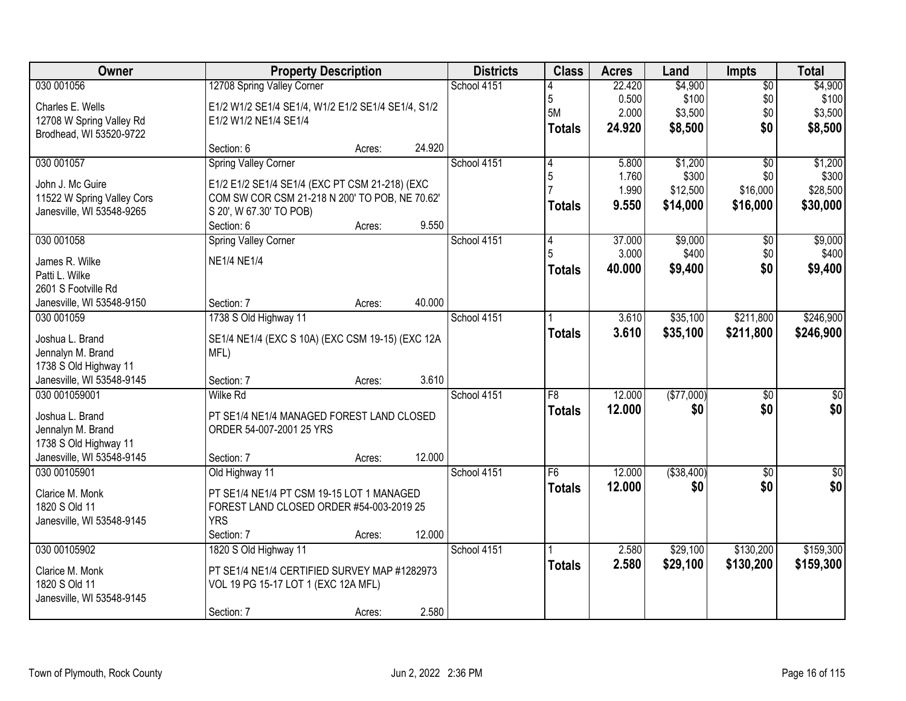| Owner                                              |                                                                                     | <b>Property Description</b> |        | <b>Districts</b> | <b>Class</b>  | <b>Acres</b>    | Land              | <b>Impts</b>    | <b>Total</b>      |
|----------------------------------------------------|-------------------------------------------------------------------------------------|-----------------------------|--------|------------------|---------------|-----------------|-------------------|-----------------|-------------------|
| 030 001056                                         | 12708 Spring Valley Corner                                                          |                             |        | School 4151      |               | 22.420          | \$4,900           | $\overline{50}$ | \$4,900           |
| Charles E. Wells                                   | E1/2 W1/2 SE1/4 SE1/4, W1/2 E1/2 SE1/4 SE1/4, S1/2                                  |                             |        |                  | 5<br>5M       | 0.500           | \$100             | \$0             | \$100             |
| 12708 W Spring Valley Rd                           | E1/2 W1/2 NE1/4 SE1/4                                                               |                             |        |                  |               | 2.000<br>24.920 | \$3,500           | \$0<br>\$0      | \$3,500           |
| Brodhead, WI 53520-9722                            |                                                                                     |                             |        |                  | <b>Totals</b> |                 | \$8,500           |                 | \$8,500           |
|                                                    | Section: 6                                                                          | Acres:                      | 24.920 |                  |               |                 |                   |                 |                   |
| 030 001057                                         | <b>Spring Valley Corner</b>                                                         |                             |        | School 4151      | 4             | 5.800           | \$1,200           | $\overline{50}$ | \$1,200           |
| John J. Mc Guire                                   | E1/2 E1/2 SE1/4 SE1/4 (EXC PT CSM 21-218) (EXC                                      |                             |        |                  | 5             | 1.760<br>1.990  | \$300<br>\$12,500 | \$0<br>\$16,000 | \$300<br>\$28,500 |
| 11522 W Spring Valley Cors                         | COM SW COR CSM 21-218 N 200' TO POB, NE 70.62'                                      |                             |        |                  | <b>Totals</b> | 9.550           | \$14,000          | \$16,000        | \$30,000          |
| Janesville, WI 53548-9265                          | S 20', W 67.30' TO POB)                                                             |                             |        |                  |               |                 |                   |                 |                   |
|                                                    | Section: 6                                                                          | Acres:                      | 9.550  |                  |               |                 |                   |                 |                   |
| 030 001058                                         | <b>Spring Valley Corner</b>                                                         |                             |        | School 4151      | 4             | 37.000          | \$9,000<br>\$400  | \$0             | \$9,000           |
| James R. Wilke                                     | <b>NE1/4 NE1/4</b>                                                                  |                             |        |                  | <b>Totals</b> | 3.000<br>40.000 | \$9,400           | \$0<br>\$0      | \$400<br>\$9,400  |
| Patti L. Wilke                                     |                                                                                     |                             |        |                  |               |                 |                   |                 |                   |
| 2601 S Footville Rd                                |                                                                                     |                             |        |                  |               |                 |                   |                 |                   |
| Janesville, WI 53548-9150                          | Section: 7                                                                          | Acres:                      | 40.000 |                  |               |                 | \$35,100          | \$211,800       | \$246,900         |
| 030 001059                                         | 1738 S Old Highway 11                                                               |                             |        | School 4151      |               | 3.610<br>3.610  | \$35,100          | \$211,800       | \$246,900         |
| Joshua L. Brand                                    | SE1/4 NE1/4 (EXC S 10A) (EXC CSM 19-15) (EXC 12A                                    |                             |        |                  | <b>Totals</b> |                 |                   |                 |                   |
| Jennalyn M. Brand                                  | MFL)                                                                                |                             |        |                  |               |                 |                   |                 |                   |
| 1738 S Old Highway 11                              |                                                                                     |                             | 3.610  |                  |               |                 |                   |                 |                   |
| Janesville, WI 53548-9145<br>030 001059001         | Section: 7<br><b>Wilke Rd</b>                                                       | Acres:                      |        | School 4151      | F8            | 12.000          | (\$77,000)        | $\overline{50}$ | $\sqrt{50}$       |
|                                                    |                                                                                     |                             |        |                  | <b>Totals</b> | 12.000          | \$0               | \$0             | \$0               |
| Joshua L. Brand                                    | PT SE1/4 NE1/4 MANAGED FOREST LAND CLOSED                                           |                             |        |                  |               |                 |                   |                 |                   |
| Jennalyn M. Brand                                  | ORDER 54-007-2001 25 YRS                                                            |                             |        |                  |               |                 |                   |                 |                   |
| 1738 S Old Highway 11<br>Janesville, WI 53548-9145 | Section: 7                                                                          | Acres:                      | 12.000 |                  |               |                 |                   |                 |                   |
| 030 00105901                                       | Old Highway 11                                                                      |                             |        | School 4151      | F6            | 12.000          | ( \$38,400)       | $\overline{50}$ | $\overline{\$0}$  |
|                                                    |                                                                                     |                             |        |                  | <b>Totals</b> | 12.000          | \$0               | \$0             | \$0               |
| Clarice M. Monk                                    | PT SE1/4 NE1/4 PT CSM 19-15 LOT 1 MANAGED                                           |                             |        |                  |               |                 |                   |                 |                   |
| 1820 S Old 11<br>Janesville, WI 53548-9145         | FOREST LAND CLOSED ORDER #54-003-2019 25<br><b>YRS</b>                              |                             |        |                  |               |                 |                   |                 |                   |
|                                                    | Section: 7                                                                          | Acres:                      | 12.000 |                  |               |                 |                   |                 |                   |
| 030 00105902                                       | 1820 S Old Highway 11                                                               |                             |        | School 4151      |               | 2.580           | \$29,100          | \$130,200       | \$159,300         |
|                                                    |                                                                                     |                             |        |                  | <b>Totals</b> | 2.580           | \$29,100          | \$130,200       | \$159,300         |
| Clarice M. Monk<br>1820 S Old 11                   | PT SE1/4 NE1/4 CERTIFIED SURVEY MAP #1282973<br>VOL 19 PG 15-17 LOT 1 (EXC 12A MFL) |                             |        |                  |               |                 |                   |                 |                   |
| Janesville, WI 53548-9145                          |                                                                                     |                             |        |                  |               |                 |                   |                 |                   |
|                                                    | Section: 7                                                                          | Acres:                      | 2.580  |                  |               |                 |                   |                 |                   |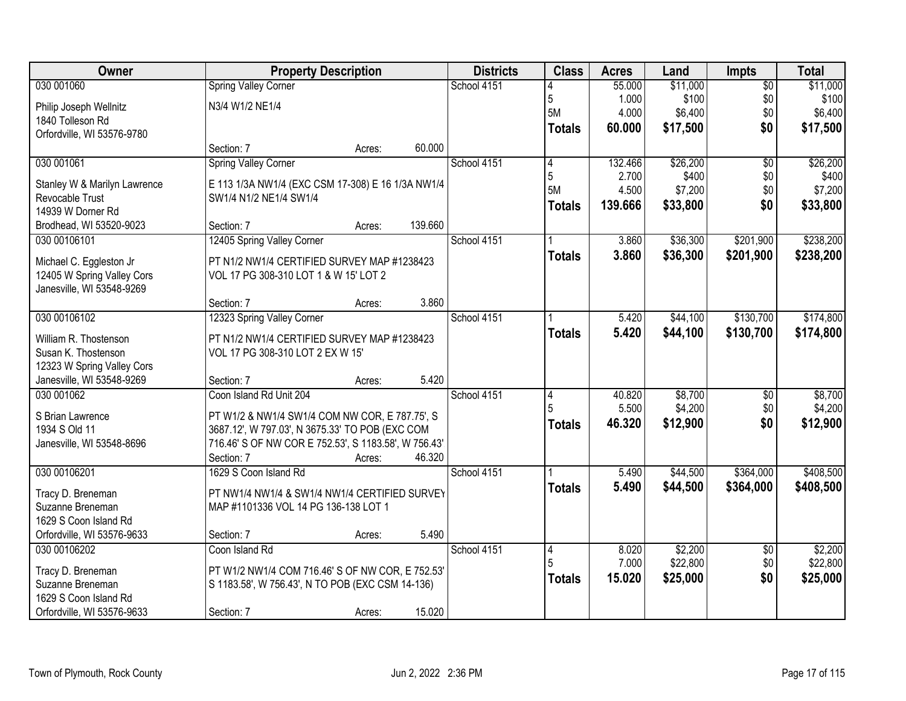| Owner                        | <b>Property Description</b>                          |        |         | <b>Districts</b> | <b>Class</b>  | <b>Acres</b> | Land     | <b>Impts</b>    | <b>Total</b> |
|------------------------------|------------------------------------------------------|--------|---------|------------------|---------------|--------------|----------|-----------------|--------------|
| 030 001060                   | <b>Spring Valley Corner</b>                          |        |         | School 4151      |               | 55.000       | \$11,000 | $\overline{50}$ | \$11,000     |
| Philip Joseph Wellnitz       | N3/4 W1/2 NE1/4                                      |        |         |                  | 5             | 1.000        | \$100    | \$0             | \$100        |
| 1840 Tolleson Rd             |                                                      |        |         |                  | <b>5M</b>     | 4.000        | \$6,400  | \$0             | \$6,400      |
| Orfordville, WI 53576-9780   |                                                      |        |         |                  | <b>Totals</b> | 60.000       | \$17,500 | \$0             | \$17,500     |
|                              | Section: 7                                           | Acres: | 60.000  |                  |               |              |          |                 |              |
| 030 001061                   | <b>Spring Valley Corner</b>                          |        |         | School 4151      | 4             | 132.466      | \$26,200 | $\overline{50}$ | \$26,200     |
| Stanley W & Marilyn Lawrence | E 113 1/3A NW1/4 (EXC CSM 17-308) E 16 1/3A NW1/4    |        |         |                  | 5             | 2.700        | \$400    | \$0             | \$400        |
| Revocable Trust              | SW1/4 N1/2 NE1/4 SW1/4                               |        |         |                  | 5M            | 4.500        | \$7,200  | \$0             | \$7,200      |
| 14939 W Dorner Rd            |                                                      |        |         |                  | <b>Totals</b> | 139.666      | \$33,800 | \$0             | \$33,800     |
| Brodhead, WI 53520-9023      | Section: 7                                           | Acres: | 139.660 |                  |               |              |          |                 |              |
| 030 00106101                 | 12405 Spring Valley Corner                           |        |         | School 4151      |               | 3.860        | \$36,300 | \$201,900       | \$238,200    |
| Michael C. Eggleston Jr      | PT N1/2 NW1/4 CERTIFIED SURVEY MAP #1238423          |        |         |                  | <b>Totals</b> | 3.860        | \$36,300 | \$201,900       | \$238,200    |
| 12405 W Spring Valley Cors   | VOL 17 PG 308-310 LOT 1 & W 15' LOT 2                |        |         |                  |               |              |          |                 |              |
| Janesville, WI 53548-9269    |                                                      |        |         |                  |               |              |          |                 |              |
|                              | Section: 7                                           | Acres: | 3.860   |                  |               |              |          |                 |              |
| 030 00106102                 | 12323 Spring Valley Corner                           |        |         | School 4151      |               | 5.420        | \$44,100 | \$130,700       | \$174,800    |
| William R. Thostenson        | PT N1/2 NW1/4 CERTIFIED SURVEY MAP #1238423          |        |         |                  | <b>Totals</b> | 5.420        | \$44,100 | \$130,700       | \$174,800    |
| Susan K. Thostenson          | VOL 17 PG 308-310 LOT 2 EX W 15'                     |        |         |                  |               |              |          |                 |              |
| 12323 W Spring Valley Cors   |                                                      |        |         |                  |               |              |          |                 |              |
| Janesville, WI 53548-9269    | Section: 7                                           | Acres: | 5.420   |                  |               |              |          |                 |              |
| 030 001062                   | Coon Island Rd Unit 204                              |        |         | School 4151      | 4             | 40.820       | \$8,700  | $\overline{50}$ | \$8,700      |
| S Brian Lawrence             | PT W1/2 & NW1/4 SW1/4 COM NW COR, E 787.75', S       |        |         |                  |               | 5.500        | \$4,200  | \$0             | \$4,200      |
| 1934 S Old 11                | 3687.12', W 797.03', N 3675.33' TO POB (EXC COM      |        |         |                  | <b>Totals</b> | 46.320       | \$12,900 | \$0             | \$12,900     |
| Janesville, WI 53548-8696    | 716.46' S OF NW COR E 752.53', S 1183.58', W 756.43' |        |         |                  |               |              |          |                 |              |
|                              | Section: 7                                           | Acres: | 46.320  |                  |               |              |          |                 |              |
| 030 00106201                 | 1629 S Coon Island Rd                                |        |         | School 4151      |               | 5.490        | \$44,500 | \$364,000       | \$408,500    |
| Tracy D. Breneman            | PT NW1/4 NW1/4 & SW1/4 NW1/4 CERTIFIED SURVEY        |        |         |                  | <b>Totals</b> | 5.490        | \$44,500 | \$364,000       | \$408,500    |
| Suzanne Breneman             | MAP #1101336 VOL 14 PG 136-138 LOT 1                 |        |         |                  |               |              |          |                 |              |
| 1629 S Coon Island Rd        |                                                      |        |         |                  |               |              |          |                 |              |
| Orfordville, WI 53576-9633   | Section: 7                                           | Acres: | 5.490   |                  |               |              |          |                 |              |
| 030 00106202                 | Coon Island Rd                                       |        |         | School 4151      | 4             | 8.020        | \$2,200  | $\overline{30}$ | \$2,200      |
| Tracy D. Breneman            | PT W1/2 NW1/4 COM 716.46' S OF NW COR, E 752.53'     |        |         |                  |               | 7.000        | \$22,800 | \$0             | \$22,800     |
| Suzanne Breneman             | S 1183.58', W 756.43', N TO POB (EXC CSM 14-136)     |        |         |                  | <b>Totals</b> | 15.020       | \$25,000 | \$0             | \$25,000     |
| 1629 S Coon Island Rd        |                                                      |        |         |                  |               |              |          |                 |              |
| Orfordville, WI 53576-9633   | Section: 7                                           | Acres: | 15.020  |                  |               |              |          |                 |              |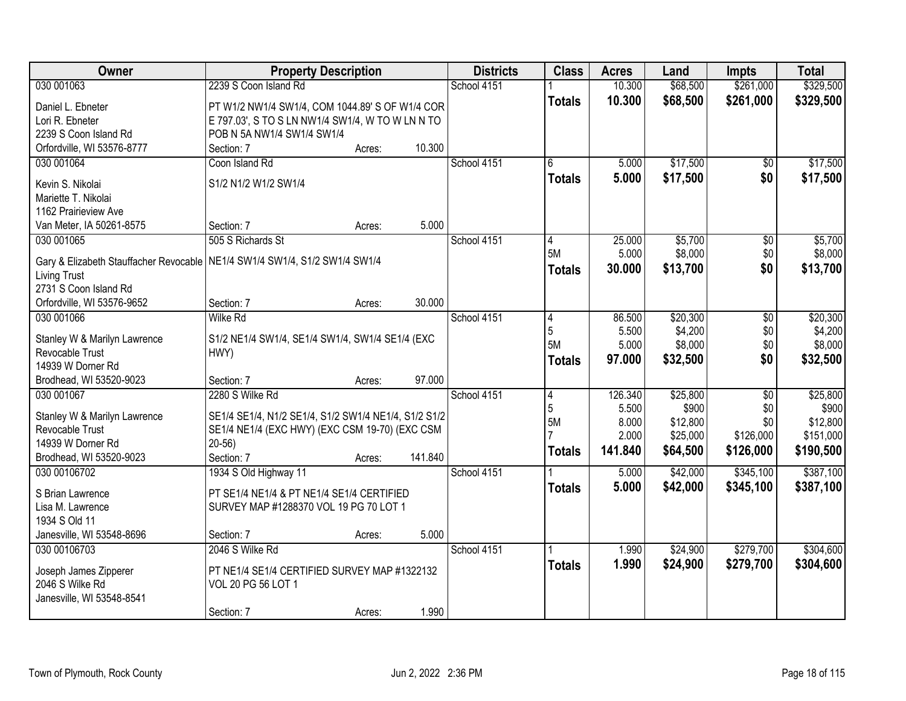| <b>Owner</b>                                                                 | <b>Property Description</b>                          |        |         | <b>Districts</b> | <b>Class</b>  | <b>Acres</b>   | Land                 | <b>Impts</b>     | <b>Total</b>      |
|------------------------------------------------------------------------------|------------------------------------------------------|--------|---------|------------------|---------------|----------------|----------------------|------------------|-------------------|
| 030 001063                                                                   | 2239 S Coon Island Rd                                |        |         | School 4151      |               | 10.300         | \$68,500             | \$261,000        | \$329,500         |
| Daniel L. Ebneter                                                            | PT W1/2 NW1/4 SW1/4, COM 1044.89' S OF W1/4 COR      |        |         |                  | <b>Totals</b> | 10.300         | \$68,500             | \$261,000        | \$329,500         |
| Lori R. Ebneter                                                              | E 797.03', S TO S LN NW1/4 SW1/4, W TO W LN N TO     |        |         |                  |               |                |                      |                  |                   |
| 2239 S Coon Island Rd                                                        | POB N 5A NW1/4 SW1/4 SW1/4                           |        |         |                  |               |                |                      |                  |                   |
| Orfordville, WI 53576-8777                                                   | Section: 7                                           | Acres: | 10.300  |                  |               |                |                      |                  |                   |
| 030 001064                                                                   | Coon Island Rd                                       |        |         | School 4151      | 6             | 5.000          | \$17,500             | $\overline{50}$  | \$17,500          |
|                                                                              |                                                      |        |         |                  | <b>Totals</b> | 5.000          | \$17,500             | \$0              | \$17,500          |
| Kevin S. Nikolai                                                             | S1/2 N1/2 W1/2 SW1/4                                 |        |         |                  |               |                |                      |                  |                   |
| Mariette T. Nikolai                                                          |                                                      |        |         |                  |               |                |                      |                  |                   |
| 1162 Prairieview Ave                                                         |                                                      |        |         |                  |               |                |                      |                  |                   |
| Van Meter, IA 50261-8575                                                     | Section: 7                                           | Acres: | 5.000   |                  |               |                |                      |                  |                   |
| 030 001065                                                                   | 505 S Richards St                                    |        |         | School 4151      | 4             | 25.000         | \$5,700              | \$0              | \$5,700           |
| Gary & Elizabeth Stauffacher Revocable   NE1/4 SW1/4 SW1/4, S1/2 SW1/4 SW1/4 |                                                      |        |         |                  | 5M            | 5.000          | \$8,000              | \$0              | \$8,000           |
| Living Trust                                                                 |                                                      |        |         |                  | <b>Totals</b> | 30.000         | \$13,700             | \$0              | \$13,700          |
| 2731 S Coon Island Rd                                                        |                                                      |        |         |                  |               |                |                      |                  |                   |
| Orfordville, WI 53576-9652                                                   | Section: 7                                           | Acres: | 30.000  |                  |               |                |                      |                  |                   |
| 030 001066                                                                   | <b>Wilke Rd</b>                                      |        |         | School 4151      | 14            | 86.500         | \$20,300             | \$0              | \$20,300          |
|                                                                              |                                                      |        |         |                  | 5             | 5.500          | \$4,200              | \$0              | \$4,200           |
| Stanley W & Marilyn Lawrence                                                 | S1/2 NE1/4 SW1/4, SE1/4 SW1/4, SW1/4 SE1/4 (EXC      |        |         |                  | <b>5M</b>     | 5.000          | \$8,000              | \$0              | \$8,000           |
| Revocable Trust                                                              | HWY)                                                 |        |         |                  | <b>Totals</b> | 97.000         | \$32,500             | \$0              | \$32,500          |
| 14939 W Dorner Rd                                                            |                                                      |        |         |                  |               |                |                      |                  |                   |
| Brodhead, WI 53520-9023                                                      | Section: 7                                           | Acres: | 97.000  |                  |               |                |                      |                  |                   |
| 030 001067                                                                   | 2280 S Wilke Rd                                      |        |         | School 4151      | 4             | 126.340        | \$25,800             | $\overline{30}$  | \$25,800          |
| Stanley W & Marilyn Lawrence                                                 | SE1/4 SE1/4, N1/2 SE1/4, S1/2 SW1/4 NE1/4, S1/2 S1/2 |        |         |                  | 5<br>5M       | 5.500<br>8.000 | \$900                | \$0              | \$900<br>\$12,800 |
| Revocable Trust                                                              | SE1/4 NE1/4 (EXC HWY) (EXC CSM 19-70) (EXC CSM       |        |         |                  |               | 2.000          | \$12,800<br>\$25,000 | \$0<br>\$126,000 | \$151,000         |
| 14939 W Dorner Rd                                                            | $20-56$                                              |        |         |                  |               |                |                      |                  |                   |
| Brodhead, WI 53520-9023                                                      | Section: 7                                           | Acres: | 141.840 |                  | <b>Totals</b> | 141.840        | \$64,500             | \$126,000        | \$190,500         |
| 030 00106702                                                                 | 1934 S Old Highway 11                                |        |         | School 4151      |               | 5.000          | \$42,000             | \$345,100        | \$387,100         |
|                                                                              |                                                      |        |         |                  | <b>Totals</b> | 5.000          | \$42,000             | \$345,100        | \$387,100         |
| S Brian Lawrence                                                             | PT SE1/4 NE1/4 & PT NE1/4 SE1/4 CERTIFIED            |        |         |                  |               |                |                      |                  |                   |
| Lisa M. Lawrence                                                             | SURVEY MAP #1288370 VOL 19 PG 70 LOT 1               |        |         |                  |               |                |                      |                  |                   |
| 1934 S Old 11                                                                |                                                      |        | 5.000   |                  |               |                |                      |                  |                   |
| Janesville, WI 53548-8696                                                    | Section: 7<br>2046 S Wilke Rd                        | Acres: |         | School 4151      |               |                |                      |                  |                   |
| 030 00106703                                                                 |                                                      |        |         |                  |               | 1.990          | \$24,900             | \$279,700        | \$304,600         |
| Joseph James Zipperer                                                        | PT NE1/4 SE1/4 CERTIFIED SURVEY MAP #1322132         |        |         |                  | <b>Totals</b> | 1.990          | \$24,900             | \$279,700        | \$304,600         |
| 2046 S Wilke Rd                                                              | VOL 20 PG 56 LOT 1                                   |        |         |                  |               |                |                      |                  |                   |
| Janesville, WI 53548-8541                                                    |                                                      |        |         |                  |               |                |                      |                  |                   |
|                                                                              | Section: 7                                           | Acres: | 1.990   |                  |               |                |                      |                  |                   |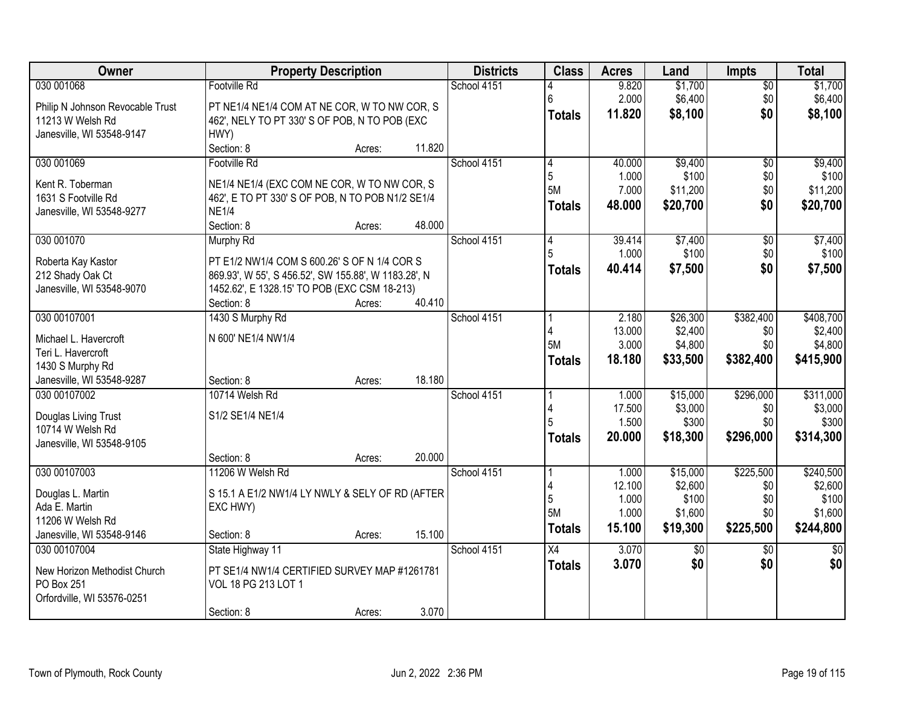| Owner                            |                                                      | <b>Property Description</b> |        | <b>Districts</b> | <b>Class</b>    | <b>Acres</b> | Land            | <b>Impts</b>    | <b>Total</b>    |
|----------------------------------|------------------------------------------------------|-----------------------------|--------|------------------|-----------------|--------------|-----------------|-----------------|-----------------|
| 030 001068                       | Footville Rd                                         |                             |        | School 4151      |                 | 9.820        | \$1,700         | $\overline{50}$ | \$1,700         |
| Philip N Johnson Revocable Trust | PT NE1/4 NE1/4 COM AT NE COR, W TO NW COR, S         |                             |        |                  | 6               | 2.000        | \$6,400         | \$0             | \$6,400         |
| 11213 W Welsh Rd                 | 462', NELY TO PT 330' S OF POB, N TO POB (EXC        |                             |        |                  | <b>Totals</b>   | 11.820       | \$8,100         | \$0             | \$8,100         |
| Janesville, WI 53548-9147        | HWY)                                                 |                             |        |                  |                 |              |                 |                 |                 |
|                                  | Section: 8                                           | Acres:                      | 11.820 |                  |                 |              |                 |                 |                 |
| 030 001069                       | Footville Rd                                         |                             |        | School 4151      | 4               | 40.000       | \$9,400         | $\overline{50}$ | \$9,400         |
|                                  |                                                      |                             |        |                  | 5               | 1.000        | \$100           | \$0             | \$100           |
| Kent R. Toberman                 | NE1/4 NE1/4 (EXC COM NE COR, W TO NW COR, S          |                             |        |                  | 5M              | 7.000        | \$11,200        | \$0             | \$11,200        |
| 1631 S Footville Rd              | 462', E TO PT 330' S OF POB, N TO POB N1/2 SE1/4     |                             |        |                  | <b>Totals</b>   | 48.000       | \$20,700        | \$0             | \$20,700        |
| Janesville, WI 53548-9277        | <b>NE1/4</b>                                         |                             |        |                  |                 |              |                 |                 |                 |
|                                  | Section: 8                                           | Acres:                      | 48.000 |                  |                 |              |                 |                 |                 |
| 030 001070                       | <b>Murphy Rd</b>                                     |                             |        | School 4151      | 4               | 39.414       | \$7,400         | \$0             | \$7,400         |
| Roberta Kay Kastor               | PT E1/2 NW1/4 COM S 600.26' S OF N 1/4 COR S         |                             |        |                  |                 | 1.000        | \$100           | \$0             | \$100           |
| 212 Shady Oak Ct                 | 869.93', W 55', S 456.52', SW 155.88', W 1183.28', N |                             |        |                  | Totals          | 40.414       | \$7,500         | \$0             | \$7,500         |
| Janesville, WI 53548-9070        | 1452.62', E 1328.15' TO POB (EXC CSM 18-213)         |                             |        |                  |                 |              |                 |                 |                 |
|                                  | Section: 8                                           | Acres:                      | 40.410 |                  |                 |              |                 |                 |                 |
| 030 00107001                     | 1430 S Murphy Rd                                     |                             |        | School 4151      |                 | 2.180        | \$26,300        | \$382,400       | \$408,700       |
| Michael L. Havercroft            | N 600' NE1/4 NW1/4                                   |                             |        |                  |                 | 13.000       | \$2,400         | \$0             | \$2,400         |
| Teri L. Havercroft               |                                                      |                             |        |                  | <b>5M</b>       | 3.000        | \$4,800         | \$0             | \$4,800         |
| 1430 S Murphy Rd                 |                                                      |                             |        |                  | <b>Totals</b>   | 18.180       | \$33,500        | \$382,400       | \$415,900       |
| Janesville, WI 53548-9287        | Section: 8                                           | Acres:                      | 18.180 |                  |                 |              |                 |                 |                 |
| 030 00107002                     | 10714 Welsh Rd                                       |                             |        | School 4151      |                 | 1.000        | \$15,000        | \$296,000       | \$311,000       |
|                                  |                                                      |                             |        |                  |                 | 17.500       | \$3,000         | \$0             | \$3,000         |
| Douglas Living Trust             | S1/2 SE1/4 NE1/4                                     |                             |        |                  |                 | 1.500        | \$300           | \$0             | \$300           |
| 10714 W Welsh Rd                 |                                                      |                             |        |                  | <b>Totals</b>   | 20.000       | \$18,300        | \$296,000       | \$314,300       |
| Janesville, WI 53548-9105        |                                                      |                             |        |                  |                 |              |                 |                 |                 |
|                                  | Section: 8                                           | Acres:                      | 20.000 |                  |                 |              |                 |                 |                 |
| 030 00107003                     | 11206 W Welsh Rd                                     |                             |        | School 4151      |                 | 1.000        | \$15,000        | \$225,500       | \$240,500       |
| Douglas L. Martin                | S 15.1 A E1/2 NW1/4 LY NWLY & SELY OF RD (AFTER      |                             |        |                  |                 | 12.100       | \$2,600         | \$0             | \$2,600         |
| Ada E. Martin                    | EXC HWY)                                             |                             |        |                  | 5               | 1.000        | \$100           | \$0             | \$100           |
| 11206 W Welsh Rd                 |                                                      |                             |        |                  | 5M              | 1.000        | \$1,600         | \$0             | \$1,600         |
| Janesville, WI 53548-9146        | Section: 8                                           | Acres:                      | 15.100 |                  | <b>Totals</b>   | 15.100       | \$19,300        | \$225,500       | \$244,800       |
| 030 00107004                     | State Highway 11                                     |                             |        | School 4151      | $\overline{X4}$ | 3.070        | $\overline{50}$ | $\overline{30}$ | $\overline{50}$ |
|                                  |                                                      |                             |        |                  | <b>Totals</b>   | 3.070        | \$0             | \$0             | \$0             |
| New Horizon Methodist Church     | PT SE1/4 NW1/4 CERTIFIED SURVEY MAP #1261781         |                             |        |                  |                 |              |                 |                 |                 |
| PO Box 251                       | VOL 18 PG 213 LOT 1                                  |                             |        |                  |                 |              |                 |                 |                 |
| Orfordville, WI 53576-0251       |                                                      |                             |        |                  |                 |              |                 |                 |                 |
|                                  | Section: 8                                           | Acres:                      | 3.070  |                  |                 |              |                 |                 |                 |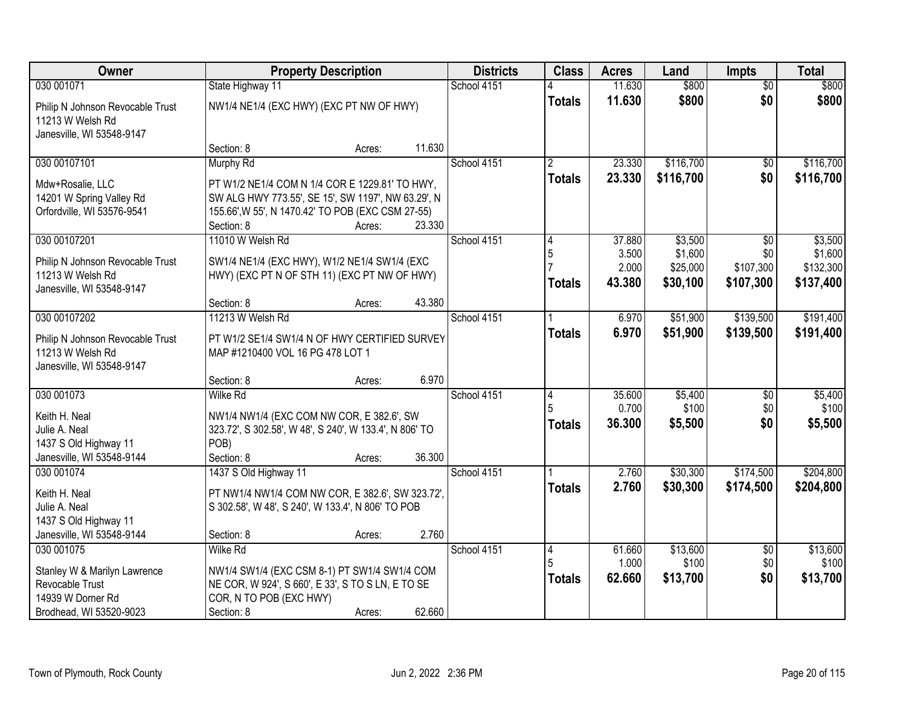| Owner                                                                             | <b>Property Description</b>                                                                                                                                             |        |        | <b>Districts</b> | <b>Class</b>                    | <b>Acres</b>             | Land                            | <b>Impts</b>                  | <b>Total</b>                      |
|-----------------------------------------------------------------------------------|-------------------------------------------------------------------------------------------------------------------------------------------------------------------------|--------|--------|------------------|---------------------------------|--------------------------|---------------------------------|-------------------------------|-----------------------------------|
| 030 001071                                                                        | State Highway 11                                                                                                                                                        |        |        | School 4151      |                                 | 11.630                   | \$800                           | $\overline{50}$               | \$800                             |
| Philip N Johnson Revocable Trust<br>11213 W Welsh Rd<br>Janesville, WI 53548-9147 | NW1/4 NE1/4 (EXC HWY) (EXC PT NW OF HWY)                                                                                                                                |        |        |                  | <b>Totals</b>                   | 11.630                   | \$800                           | \$0                           | \$800                             |
|                                                                                   | Section: 8                                                                                                                                                              | Acres: | 11.630 |                  |                                 |                          |                                 |                               |                                   |
| 030 00107101                                                                      | Murphy Rd                                                                                                                                                               |        |        | School 4151      | $\mathfrak{p}$<br><b>Totals</b> | 23.330<br>23.330         | \$116,700<br>\$116,700          | \$0<br>\$0                    | \$116,700<br>\$116,700            |
| Mdw+Rosalie, LLC<br>14201 W Spring Valley Rd<br>Orfordville, WI 53576-9541        | PT W1/2 NE1/4 COM N 1/4 COR E 1229.81' TO HWY,<br>SW ALG HWY 773.55', SE 15', SW 1197', NW 63.29', N<br>155.66', W 55', N 1470.42' TO POB (EXC CSM 27-55)<br>Section: 8 | Acres: | 23.330 |                  |                                 |                          |                                 |                               |                                   |
| 030 00107201                                                                      | 11010 W Welsh Rd                                                                                                                                                        |        |        | School 4151      | 4                               | 37.880                   | \$3,500                         | \$0                           | \$3,500                           |
| Philip N Johnson Revocable Trust<br>11213 W Welsh Rd<br>Janesville, WI 53548-9147 | SW1/4 NE1/4 (EXC HWY), W1/2 NE1/4 SW1/4 (EXC<br>HWY) (EXC PT N OF STH 11) (EXC PT NW OF HWY)                                                                            |        |        |                  | 5<br><b>Totals</b>              | 3.500<br>2.000<br>43.380 | \$1,600<br>\$25,000<br>\$30,100 | \$0<br>\$107,300<br>\$107,300 | \$1,600<br>\$132,300<br>\$137,400 |
|                                                                                   | Section: 8                                                                                                                                                              | Acres: | 43.380 |                  |                                 |                          |                                 |                               |                                   |
| 030 00107202                                                                      | 11213 W Welsh Rd                                                                                                                                                        |        |        | School 4151      |                                 | 6.970                    | \$51,900                        | \$139,500                     | \$191,400                         |
| Philip N Johnson Revocable Trust<br>11213 W Welsh Rd<br>Janesville, WI 53548-9147 | PT W1/2 SE1/4 SW1/4 N OF HWY CERTIFIED SURVEY<br>MAP #1210400 VOL 16 PG 478 LOT 1                                                                                       |        |        |                  | <b>Totals</b>                   | 6.970                    | \$51,900                        | \$139,500                     | \$191,400                         |
|                                                                                   | Section: 8                                                                                                                                                              | Acres: | 6.970  |                  |                                 |                          |                                 |                               |                                   |
| 030 001073                                                                        | <b>Wilke Rd</b>                                                                                                                                                         |        |        | School 4151      | 4                               | 35.600<br>0.700          | \$5,400<br>\$100                | $\overline{50}$<br>\$0        | \$5,400<br>\$100                  |
| Keith H. Neal<br>Julie A. Neal                                                    | NW1/4 NW1/4 (EXC COM NW COR, E 382.6', SW<br>323.72', S 302.58', W 48', S 240', W 133.4', N 806' TO                                                                     |        |        |                  | <b>Totals</b>                   | 36.300                   | \$5,500                         | \$0                           | \$5,500                           |
| 1437 S Old Highway 11                                                             | POB)                                                                                                                                                                    |        |        |                  |                                 |                          |                                 |                               |                                   |
| Janesville, WI 53548-9144                                                         | Section: 8                                                                                                                                                              | Acres: | 36.300 |                  |                                 |                          |                                 |                               |                                   |
| 030 001074                                                                        | 1437 S Old Highway 11                                                                                                                                                   |        |        | School 4151      |                                 | 2.760                    | \$30,300                        | \$174,500                     | \$204,800                         |
| Keith H. Neal<br>Julie A. Neal<br>1437 S Old Highway 11                           | PT NW1/4 NW1/4 COM NW COR, E 382.6', SW 323.72',<br>S 302.58', W 48', S 240', W 133.4', N 806' TO POB                                                                   |        |        |                  | <b>Totals</b>                   | 2.760                    | \$30,300                        | \$174,500                     | \$204,800                         |
| Janesville, WI 53548-9144                                                         | Section: 8                                                                                                                                                              | Acres: | 2.760  |                  |                                 |                          |                                 |                               |                                   |
| 030 001075                                                                        | <b>Wilke Rd</b>                                                                                                                                                         |        |        | School 4151      | 4                               | 61.660                   | \$13,600                        | $\overline{30}$               | \$13,600                          |
| Stanley W & Marilyn Lawrence<br>Revocable Trust<br>14939 W Dorner Rd              | NW1/4 SW1/4 (EXC CSM 8-1) PT SW1/4 SW1/4 COM<br>NE COR, W 924', S 660', E 33', S TO S LN, E TO SE<br>COR, N TO POB (EXC HWY)                                            |        |        |                  | <b>Totals</b>                   | 1.000<br>62.660          | \$100<br>\$13,700               | \$0<br>\$0                    | \$100<br>\$13,700                 |
| Brodhead, WI 53520-9023                                                           | Section: 8                                                                                                                                                              | Acres: | 62.660 |                  |                                 |                          |                                 |                               |                                   |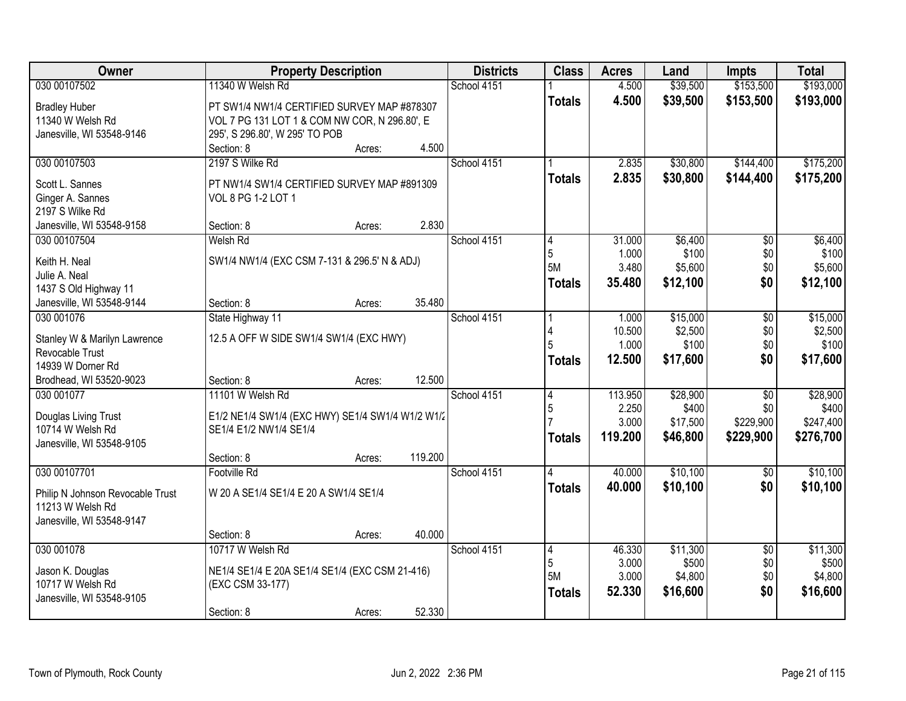| Owner                                           | <b>Property Description</b>                      |        |         | <b>Districts</b> | <b>Class</b>  | <b>Acres</b>    | Land             | <b>Impts</b>    | <b>Total</b>     |
|-------------------------------------------------|--------------------------------------------------|--------|---------|------------------|---------------|-----------------|------------------|-----------------|------------------|
| 030 00107502                                    | 11340 W Welsh Rd                                 |        |         | School 4151      |               | 4.500           | \$39,500         | \$153,500       | \$193,000        |
| <b>Bradley Huber</b>                            | PT SW1/4 NW1/4 CERTIFIED SURVEY MAP #878307      |        |         |                  | <b>Totals</b> | 4.500           | \$39,500         | \$153,500       | \$193,000        |
| 11340 W Welsh Rd                                | VOL 7 PG 131 LOT 1 & COM NW COR, N 296.80', E    |        |         |                  |               |                 |                  |                 |                  |
| Janesville, WI 53548-9146                       | 295', S 296.80', W 295' TO POB                   |        |         |                  |               |                 |                  |                 |                  |
|                                                 | Section: 8                                       | Acres: | 4.500   |                  |               |                 |                  |                 |                  |
| 030 00107503                                    | 2197 S Wilke Rd                                  |        |         | School 4151      |               | 2.835           | \$30,800         | \$144,400       | \$175,200        |
|                                                 |                                                  |        |         |                  | <b>Totals</b> | 2.835           | \$30,800         | \$144,400       | \$175,200        |
| Scott L. Sannes                                 | PT NW1/4 SW1/4 CERTIFIED SURVEY MAP #891309      |        |         |                  |               |                 |                  |                 |                  |
| Ginger A. Sannes                                | VOL 8 PG 1-2 LOT 1                               |        |         |                  |               |                 |                  |                 |                  |
| 2197 S Wilke Rd                                 |                                                  |        | 2.830   |                  |               |                 |                  |                 |                  |
| Janesville, WI 53548-9158                       | Section: 8                                       | Acres: |         |                  |               |                 |                  |                 |                  |
| 030 00107504                                    | Welsh Rd                                         |        |         | School 4151      | 4             | 31.000<br>1.000 | \$6,400<br>\$100 | \$0             | \$6,400<br>\$100 |
| Keith H. Neal                                   | SW1/4 NW1/4 (EXC CSM 7-131 & 296.5' N & ADJ)     |        |         |                  | 5<br>5M       | 3.480           | \$5,600          | \$0<br>\$0      | \$5,600          |
| Julie A. Neal                                   |                                                  |        |         |                  |               |                 |                  |                 |                  |
| 1437 S Old Highway 11                           |                                                  |        |         |                  | <b>Totals</b> | 35.480          | \$12,100         | \$0             | \$12,100         |
| Janesville, WI 53548-9144                       | Section: 8                                       | Acres: | 35.480  |                  |               |                 |                  |                 |                  |
| 030 001076                                      | State Highway 11                                 |        |         | School 4151      |               | 1.000           | \$15,000         | $\overline{50}$ | \$15,000         |
|                                                 |                                                  |        |         |                  | 4             | 10.500          | \$2,500          | \$0             | \$2,500          |
| Stanley W & Marilyn Lawrence<br>Revocable Trust | 12.5 A OFF W SIDE SW1/4 SW1/4 (EXC HWY)          |        |         |                  |               | 1.000           | \$100            | \$0             | \$100            |
| 14939 W Dorner Rd                               |                                                  |        |         |                  | <b>Totals</b> | 12.500          | \$17,600         | \$0             | \$17,600         |
| Brodhead, WI 53520-9023                         | Section: 8                                       | Acres: | 12.500  |                  |               |                 |                  |                 |                  |
| 030 001077                                      | 11101 W Welsh Rd                                 |        |         | School 4151      | 4             | 113.950         | \$28,900         | $\overline{50}$ | \$28,900         |
|                                                 |                                                  |        |         |                  | 5             | 2.250           | \$400            | \$0             | \$400            |
| Douglas Living Trust                            | E1/2 NE1/4 SW1/4 (EXC HWY) SE1/4 SW1/4 W1/2 W1/2 |        |         |                  |               | 3.000           | \$17,500         | \$229,900       | \$247,400        |
| 10714 W Welsh Rd                                | SE1/4 E1/2 NW1/4 SE1/4                           |        |         |                  |               | 119.200         | \$46,800         | \$229,900       | \$276,700        |
| Janesville, WI 53548-9105                       |                                                  |        |         |                  | <b>Totals</b> |                 |                  |                 |                  |
|                                                 | Section: 8                                       | Acres: | 119.200 |                  |               |                 |                  |                 |                  |
| 030 00107701                                    | <b>Footville Rd</b>                              |        |         | School 4151      |               | 40.000          | \$10,100         | $\overline{50}$ | \$10,100         |
| Philip N Johnson Revocable Trust                | W 20 A SE1/4 SE1/4 E 20 A SW1/4 SE1/4            |        |         |                  | <b>Totals</b> | 40.000          | \$10,100         | \$0             | \$10,100         |
| 11213 W Welsh Rd                                |                                                  |        |         |                  |               |                 |                  |                 |                  |
| Janesville, WI 53548-9147                       |                                                  |        |         |                  |               |                 |                  |                 |                  |
|                                                 | Section: 8                                       | Acres: | 40.000  |                  |               |                 |                  |                 |                  |
| 030 001078                                      | 10717 W Welsh Rd                                 |        |         | School 4151      | 4             | 46.330          | \$11,300         | $\overline{30}$ | \$11,300         |
|                                                 |                                                  |        |         |                  | 5             | 3.000           | \$500            | \$0             | \$500            |
| Jason K. Douglas                                | NE1/4 SE1/4 E 20A SE1/4 SE1/4 (EXC CSM 21-416)   |        |         |                  | 5M            | 3.000           | \$4,800          | \$0             | \$4,800          |
| 10717 W Welsh Rd                                | (EXC CSM 33-177)                                 |        |         |                  | <b>Totals</b> | 52.330          | \$16,600         | \$0             | \$16,600         |
| Janesville, WI 53548-9105                       |                                                  |        |         |                  |               |                 |                  |                 |                  |
|                                                 | Section: 8                                       | Acres: | 52.330  |                  |               |                 |                  |                 |                  |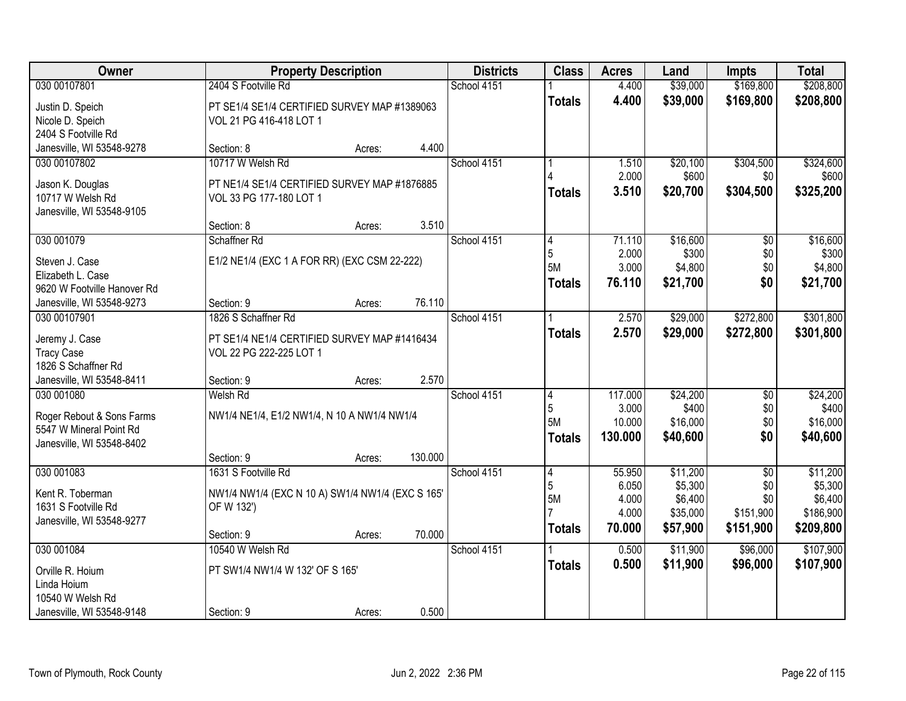| Owner                                                |                                                  | <b>Property Description</b> |         | <b>Districts</b> | <b>Class</b>   | <b>Acres</b> | Land     | <b>Impts</b>    | <b>Total</b> |
|------------------------------------------------------|--------------------------------------------------|-----------------------------|---------|------------------|----------------|--------------|----------|-----------------|--------------|
| 030 00107801                                         | 2404 S Footville Rd                              |                             |         | School 4151      |                | 4.400        | \$39,000 | \$169,800       | \$208,800    |
| Justin D. Speich                                     | PT SE1/4 SE1/4 CERTIFIED SURVEY MAP #1389063     |                             |         |                  | <b>Totals</b>  | 4.400        | \$39,000 | \$169,800       | \$208,800    |
| Nicole D. Speich                                     | VOL 21 PG 416-418 LOT 1                          |                             |         |                  |                |              |          |                 |              |
| 2404 S Footville Rd                                  |                                                  |                             |         |                  |                |              |          |                 |              |
| Janesville, WI 53548-9278                            | Section: 8                                       | Acres:                      | 4.400   |                  |                |              |          |                 |              |
| 030 00107802                                         | 10717 W Welsh Rd                                 |                             |         | School 4151      |                | 1.510        | \$20,100 | \$304,500       | \$324,600    |
| Jason K. Douglas                                     | PT NE1/4 SE1/4 CERTIFIED SURVEY MAP #1876885     |                             |         |                  |                | 2.000        | \$600    | \$0             | \$600        |
| 10717 W Welsh Rd                                     | VOL 33 PG 177-180 LOT 1                          |                             |         |                  | <b>Totals</b>  | 3.510        | \$20,700 | \$304,500       | \$325,200    |
| Janesville, WI 53548-9105                            |                                                  |                             |         |                  |                |              |          |                 |              |
|                                                      | Section: 8                                       | Acres:                      | 3.510   |                  |                |              |          |                 |              |
| 030 001079                                           | Schaffner Rd                                     |                             |         | School 4151      | $\overline{4}$ | 71.110       | \$16,600 | $\overline{50}$ | \$16,600     |
| Steven J. Case                                       | E1/2 NE1/4 (EXC 1 A FOR RR) (EXC CSM 22-222)     |                             |         |                  | 5              | 2.000        | \$300    | \$0             | \$300        |
| Elizabeth L. Case                                    |                                                  |                             |         |                  | 5M             | 3.000        | \$4,800  | \$0             | \$4,800      |
| 9620 W Footville Hanover Rd                          |                                                  |                             |         |                  | <b>Totals</b>  | 76.110       | \$21,700 | \$0             | \$21,700     |
| Janesville, WI 53548-9273                            | Section: 9                                       | Acres:                      | 76.110  |                  |                |              |          |                 |              |
| 030 00107901                                         | 1826 S Schaffner Rd                              |                             |         | School 4151      |                | 2.570        | \$29,000 | \$272,800       | \$301,800    |
| Jeremy J. Case                                       | PT SE1/4 NE1/4 CERTIFIED SURVEY MAP #1416434     |                             |         |                  | <b>Totals</b>  | 2.570        | \$29,000 | \$272,800       | \$301,800    |
| <b>Tracy Case</b>                                    | VOL 22 PG 222-225 LOT 1                          |                             |         |                  |                |              |          |                 |              |
| 1826 S Schaffner Rd                                  |                                                  |                             |         |                  |                |              |          |                 |              |
| Janesville, WI 53548-8411                            | Section: 9                                       | Acres:                      | 2.570   |                  |                |              |          |                 |              |
| 030 001080                                           | Welsh Rd                                         |                             |         | School 4151      | $\overline{4}$ | 117.000      | \$24,200 | $\overline{50}$ | \$24,200     |
|                                                      |                                                  |                             |         |                  | 5              | 3.000        | \$400    | \$0             | \$400        |
| Roger Rebout & Sons Farms                            | NW1/4 NE1/4, E1/2 NW1/4, N 10 A NW1/4 NW1/4      |                             |         |                  | 5M             | 10.000       | \$16,000 | \$0             | \$16,000     |
| 5547 W Mineral Point Rd<br>Janesville, WI 53548-8402 |                                                  |                             |         |                  | <b>Totals</b>  | 130,000      | \$40,600 | \$0             | \$40,600     |
|                                                      | Section: 9                                       | Acres:                      | 130.000 |                  |                |              |          |                 |              |
| 030 001083                                           | 1631 S Footville Rd                              |                             |         | School 4151      | 4              | 55.950       | \$11,200 | $\overline{50}$ | \$11,200     |
|                                                      |                                                  |                             |         |                  | 5              | 6.050        | \$5,300  | \$0             | \$5,300      |
| Kent R. Toberman                                     | NW1/4 NW1/4 (EXC N 10 A) SW1/4 NW1/4 (EXC S 165' |                             |         |                  | 5M             | 4.000        | \$6,400  | \$0             | \$6,400      |
| 1631 S Footville Rd                                  | OF W 132')                                       |                             |         |                  |                | 4.000        | \$35,000 | \$151,900       | \$186,900    |
| Janesville, WI 53548-9277                            |                                                  |                             |         |                  | <b>Totals</b>  | 70.000       | \$57,900 | \$151,900       | \$209,800    |
|                                                      | Section: 9                                       | Acres:                      | 70.000  |                  |                |              |          |                 |              |
| 030 001084                                           | 10540 W Welsh Rd                                 |                             |         | School 4151      |                | 0.500        | \$11,900 | \$96,000        | \$107,900    |
| Orville R. Hoium                                     | PT SW1/4 NW1/4 W 132' OF S 165'                  |                             |         |                  | <b>Totals</b>  | 0.500        | \$11,900 | \$96,000        | \$107,900    |
| Linda Hoium                                          |                                                  |                             |         |                  |                |              |          |                 |              |
| 10540 W Welsh Rd                                     |                                                  |                             |         |                  |                |              |          |                 |              |
| Janesville, WI 53548-9148                            | Section: 9                                       | Acres:                      | 0.500   |                  |                |              |          |                 |              |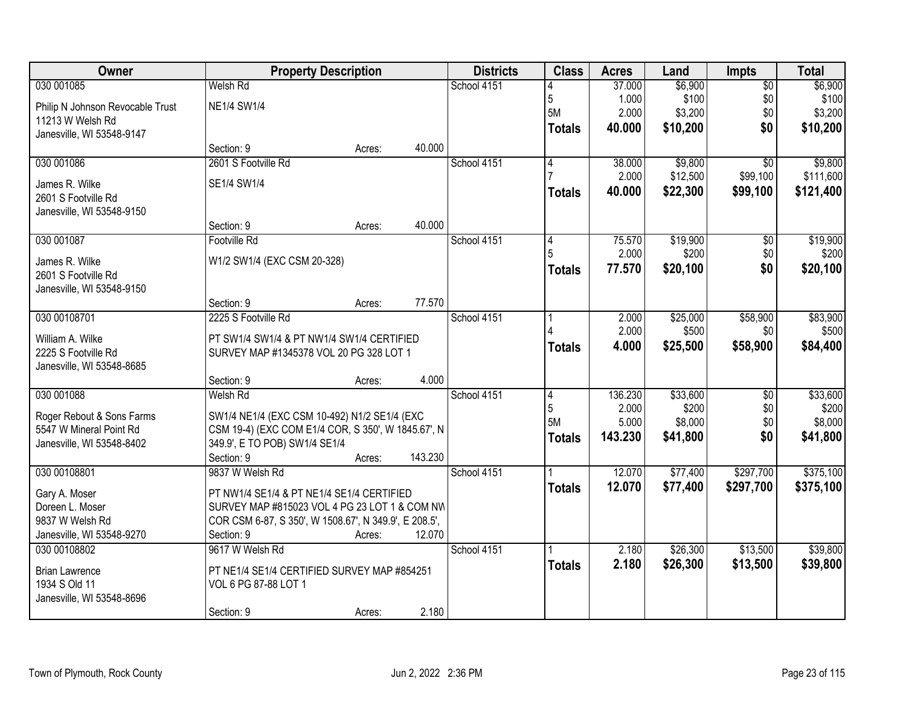| Owner                                  |                                                                     | <b>Property Description</b> |         | <b>Districts</b> | <b>Class</b>   | <b>Acres</b> | Land     | Impts           | <b>Total</b> |
|----------------------------------------|---------------------------------------------------------------------|-----------------------------|---------|------------------|----------------|--------------|----------|-----------------|--------------|
| 030 001085                             | <b>Welsh Rd</b>                                                     |                             |         | School 4151      |                | 37.000       | \$6,900  | $\overline{50}$ | \$6,900      |
| Philip N Johnson Revocable Trust       | <b>NE1/4 SW1/4</b>                                                  |                             |         |                  | 5              | 1.000        | \$100    | \$0             | \$100        |
| 11213 W Welsh Rd                       |                                                                     |                             |         |                  | 5M             | 2.000        | \$3,200  | \$0             | \$3,200      |
| Janesville, WI 53548-9147              |                                                                     |                             |         |                  | <b>Totals</b>  | 40.000       | \$10,200 | \$0             | \$10,200     |
|                                        | Section: 9                                                          | Acres:                      | 40.000  |                  |                |              |          |                 |              |
| 030 001086                             | 2601 S Footville Rd                                                 |                             |         | School 4151      | 4              | 38.000       | \$9,800  | $\overline{50}$ | \$9,800      |
| James R. Wilke                         | SE1/4 SW1/4                                                         |                             |         |                  |                | 2.000        | \$12,500 | \$99,100        | \$111,600    |
| 2601 S Footville Rd                    |                                                                     |                             |         |                  | <b>Totals</b>  | 40.000       | \$22,300 | \$99,100        | \$121,400    |
| Janesville, WI 53548-9150              |                                                                     |                             |         |                  |                |              |          |                 |              |
|                                        | Section: 9                                                          | Acres:                      | 40.000  |                  |                |              |          |                 |              |
| 030 001087                             | Footville Rd                                                        |                             |         | School 4151      | 4              | 75.570       | \$19,900 | \$0             | \$19,900     |
| James R. Wilke                         | W1/2 SW1/4 (EXC CSM 20-328)                                         |                             |         |                  |                | 2.000        | \$200    | \$0             | \$200        |
| 2601 S Footville Rd                    |                                                                     |                             |         |                  | <b>Totals</b>  | 77.570       | \$20,100 | \$0             | \$20,100     |
| Janesville, WI 53548-9150              |                                                                     |                             |         |                  |                |              |          |                 |              |
|                                        | Section: 9                                                          | Acres:                      | 77.570  |                  |                |              |          |                 |              |
| 030 00108701                           | 2225 S Footville Rd                                                 |                             |         | School 4151      |                | 2.000        | \$25,000 | \$58,900        | \$83,900     |
| William A. Wilke                       | PT SW1/4 SW1/4 & PT NW1/4 SW1/4 CERTIFIED                           |                             |         |                  |                | 2.000        | \$500    | \$0             | \$500        |
| 2225 S Footville Rd                    | SURVEY MAP #1345378 VOL 20 PG 328 LOT 1                             |                             |         |                  | <b>Totals</b>  | 4.000        | \$25,500 | \$58,900        | \$84,400     |
| Janesville, WI 53548-8685              |                                                                     |                             |         |                  |                |              |          |                 |              |
|                                        | Section: 9                                                          | Acres:                      | 4.000   |                  |                |              |          |                 |              |
| 030 001088                             | Welsh Rd                                                            |                             |         | School 4151      | $\overline{4}$ | 136.230      | \$33,600 | $\overline{50}$ | \$33,600     |
| Roger Rebout & Sons Farms              | SW1/4 NE1/4 (EXC CSM 10-492) N1/2 SE1/4 (EXC                        |                             |         |                  | 5              | 2.000        | \$200    | \$0             | \$200        |
| 5547 W Mineral Point Rd                | CSM 19-4) (EXC COM E1/4 COR, S 350', W 1845.67', N                  |                             |         |                  | 5M             | 5.000        | \$8,000  | \$0             | \$8,000      |
| Janesville, WI 53548-8402              | 349.9', E TO POB) SW1/4 SE1/4                                       |                             |         |                  | <b>Totals</b>  | 143.230      | \$41,800 | \$0             | \$41,800     |
|                                        | Section: 9                                                          | Acres:                      | 143.230 |                  |                |              |          |                 |              |
| 030 00108801                           | 9837 W Welsh Rd                                                     |                             |         | School 4151      |                | 12.070       | \$77,400 | \$297,700       | \$375,100    |
| Gary A. Moser                          | PT NW1/4 SE1/4 & PT NE1/4 SE1/4 CERTIFIED                           |                             |         |                  | <b>Totals</b>  | 12.070       | \$77,400 | \$297,700       | \$375,100    |
| Doreen L. Moser                        | SURVEY MAP #815023 VOL 4 PG 23 LOT 1 & COM NW                       |                             |         |                  |                |              |          |                 |              |
| 9837 W Welsh Rd                        | COR CSM 6-87, S 350', W 1508.67', N 349.9', E 208.5',               |                             |         |                  |                |              |          |                 |              |
| Janesville, WI 53548-9270              | Section: 9                                                          | Acres:                      | 12.070  |                  |                |              |          |                 |              |
| 030 00108802                           | 9617 W Welsh Rd                                                     |                             |         | School 4151      |                | 2.180        | \$26,300 | \$13,500        | \$39,800     |
|                                        |                                                                     |                             |         |                  | <b>Totals</b>  | 2.180        | \$26,300 | \$13,500        | \$39,800     |
| <b>Brian Lawrence</b><br>1934 S Old 11 | PT NE1/4 SE1/4 CERTIFIED SURVEY MAP #854251<br>VOL 6 PG 87-88 LOT 1 |                             |         |                  |                |              |          |                 |              |
| Janesville, WI 53548-8696              |                                                                     |                             |         |                  |                |              |          |                 |              |
|                                        | Section: 9                                                          | Acres:                      | 2.180   |                  |                |              |          |                 |              |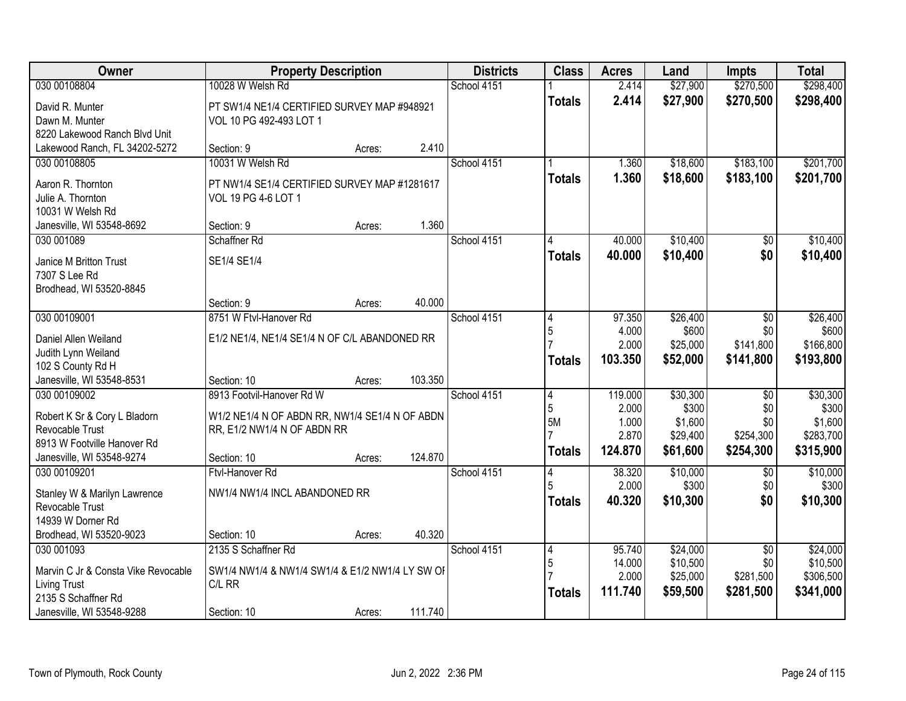| Owner                                                                                                                        | <b>Property Description</b>                                                                                               |        |         | <b>Districts</b> | <b>Class</b>                               | <b>Acres</b>                                  | Land                                                 | <b>Impts</b>                                            | <b>Total</b>                                           |
|------------------------------------------------------------------------------------------------------------------------------|---------------------------------------------------------------------------------------------------------------------------|--------|---------|------------------|--------------------------------------------|-----------------------------------------------|------------------------------------------------------|---------------------------------------------------------|--------------------------------------------------------|
| 030 00108804                                                                                                                 | 10028 W Welsh Rd                                                                                                          |        |         | School 4151      |                                            | 2.414                                         | \$27,900                                             | \$270,500                                               | \$298,400                                              |
| David R. Munter<br>Dawn M. Munter<br>8220 Lakewood Ranch Blvd Unit                                                           | PT SW1/4 NE1/4 CERTIFIED SURVEY MAP #948921<br>VOL 10 PG 492-493 LOT 1                                                    |        |         |                  | <b>Totals</b>                              | 2.414                                         | \$27,900                                             | \$270,500                                               | \$298,400                                              |
| Lakewood Ranch, FL 34202-5272                                                                                                | Section: 9                                                                                                                | Acres: | 2.410   |                  |                                            |                                               |                                                      |                                                         |                                                        |
| 030 00108805<br>Aaron R. Thornton<br>Julie A. Thornton<br>10031 W Welsh Rd                                                   | 10031 W Welsh Rd<br>PT NW1/4 SE1/4 CERTIFIED SURVEY MAP #1281617<br>VOL 19 PG 4-6 LOT 1                                   |        |         | School 4151      | <b>Totals</b>                              | 1.360<br>1.360                                | \$18,600<br>\$18,600                                 | \$183,100<br>\$183,100                                  | \$201,700<br>\$201,700                                 |
| Janesville, WI 53548-8692                                                                                                    | Section: 9                                                                                                                | Acres: | 1.360   |                  |                                            |                                               |                                                      |                                                         |                                                        |
| 030 001089                                                                                                                   | Schaffner Rd                                                                                                              |        |         | School 4151      |                                            | 40.000                                        | \$10,400                                             | $\overline{50}$                                         | \$10,400                                               |
| Janice M Britton Trust<br>7307 S Lee Rd<br>Brodhead, WI 53520-8845                                                           | SE1/4 SE1/4                                                                                                               |        |         |                  | <b>Totals</b>                              | 40.000                                        | \$10,400                                             | \$0                                                     | \$10,400                                               |
|                                                                                                                              | Section: 9                                                                                                                | Acres: | 40.000  |                  |                                            |                                               |                                                      |                                                         |                                                        |
| 030 00109001                                                                                                                 | 8751 W Ftvl-Hanover Rd                                                                                                    |        |         | School 4151      | 4<br>5                                     | 97.350<br>4.000                               | \$26,400<br>\$600                                    | \$0<br>\$0                                              | \$26,400<br>\$600                                      |
| Daniel Allen Weiland<br>Judith Lynn Weiland<br>102 S County Rd H                                                             | E1/2 NE1/4, NE1/4 SE1/4 N OF C/L ABANDONED RR                                                                             |        |         |                  | <b>Totals</b>                              | 2.000<br>103.350                              | \$25,000<br>\$52,000                                 | \$141,800<br>\$141,800                                  | \$166,800<br>\$193,800                                 |
| Janesville, WI 53548-8531                                                                                                    | Section: 10                                                                                                               | Acres: | 103.350 |                  |                                            |                                               |                                                      |                                                         |                                                        |
| 030 00109002<br>Robert K Sr & Cory L Bladorn<br>Revocable Trust<br>8913 W Footville Hanover Rd<br>Janesville, WI 53548-9274  | 8913 Footvil-Hanover Rd W<br>W1/2 NE1/4 N OF ABDN RR, NW1/4 SE1/4 N OF ABDN<br>RR, E1/2 NW1/4 N OF ABDN RR<br>Section: 10 | Acres: | 124.870 | School 4151      | $\overline{4}$<br>5<br>5M<br><b>Totals</b> | 119.000<br>2.000<br>1.000<br>2.870<br>124.870 | \$30,300<br>\$300<br>\$1,600<br>\$29,400<br>\$61,600 | $\overline{50}$<br>\$0<br>\$0<br>\$254,300<br>\$254,300 | \$30,300<br>\$300<br>\$1,600<br>\$283,700<br>\$315,900 |
| 030 00109201<br>Stanley W & Marilyn Lawrence<br>Revocable Trust<br>14939 W Dorner Rd<br>Brodhead, WI 53520-9023              | Ftvl-Hanover Rd<br>NW1/4 NW1/4 INCL ABANDONED RR<br>Section: 10                                                           | Acres: | 40.320  | School 4151      | 4<br>5<br><b>Totals</b>                    | 38.320<br>2.000<br>40.320                     | \$10,000<br>\$300<br>\$10,300                        | $\overline{50}$<br>\$0<br>\$0                           | \$10,000<br>\$300<br>\$10,300                          |
| 030 001093<br>Marvin C Jr & Consta Vike Revocable<br><b>Living Trust</b><br>2135 S Schaffner Rd<br>Janesville, WI 53548-9288 | 2135 S Schaffner Rd<br>SW1/4 NW1/4 & NW1/4 SW1/4 & E1/2 NW1/4 LY SW OF<br>C/L RR<br>Section: 10                           | Acres: | 111.740 | School 4151      | $\vert 4$<br>5<br><b>Totals</b>            | 95.740<br>14.000<br>2.000<br>111.740          | \$24,000<br>\$10,500<br>\$25,000<br>\$59,500         | $\overline{50}$<br>\$0<br>\$281,500<br>\$281,500        | \$24,000<br>\$10,500<br>\$306,500<br>\$341,000         |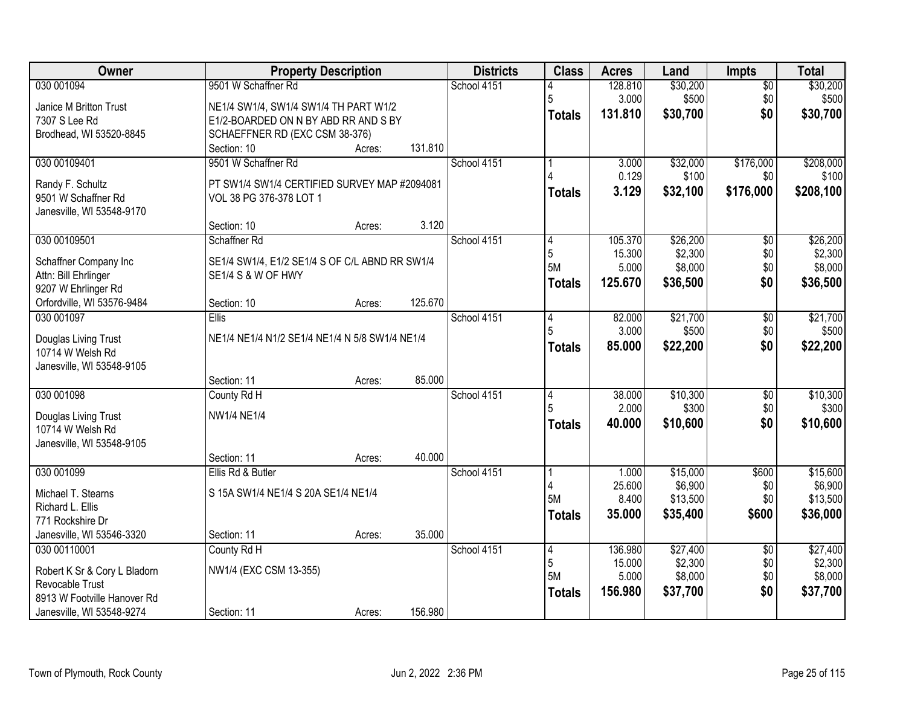| 030 001094<br>School 4151<br>128.810<br>$\overline{50}$<br>5<br>3.000<br>\$500<br>\$0<br>\$500<br>NE1/4 SW1/4, SW1/4 SW1/4 TH PART W1/2<br>Janice M Britton Trust<br>\$0<br>131.810<br>\$30,700<br>\$30,700<br><b>Totals</b><br>7307 S Lee Rd<br>E1/2-BOARDED ON N BY ABD RR AND S BY<br>Brodhead, WI 53520-8845<br>SCHAEFFNER RD (EXC CSM 38-376)<br>131.810<br>Section: 10<br>Acres:<br>030 00109401<br>9501 W Schaffner Rd<br>\$32,000<br>\$176,000<br>School 4151<br>3.000<br>0.129<br>\$100<br>\$0<br>Randy F. Schultz<br>PT SW1/4 SW1/4 CERTIFIED SURVEY MAP #2094081<br>3.129<br>\$208,100<br>\$32,100<br>\$176,000<br><b>Totals</b><br>9501 W Schaffner Rd<br>VOL 38 PG 376-378 LOT 1<br>Janesville, WI 53548-9170<br>3.120<br>Section: 10<br>Acres:<br>030 00109501<br>\$26,200<br>Schaffner Rd<br>School 4151<br>105.370<br>\$0<br>4<br>5<br>\$2,300<br>\$0<br>15.300<br>SE1/4 SW1/4, E1/2 SE1/4 S OF C/L ABND RR SW1/4<br>Schaffner Company Inc<br><b>5M</b><br>5.000<br>\$8,000<br>\$0<br>Attn: Bill Ehrlinger<br>SE1/4 S & W OF HWY<br>\$0<br>125.670<br>\$36,500<br>Totals<br>9207 W Ehrlinger Rd<br>125.670<br>Orfordville, WI 53576-9484<br>Section: 10<br>Acres:<br>030 001097<br>82.000<br>\$21,700<br>Ellis<br>School 4151<br>\$0<br>4<br>5<br>3.000<br>\$500<br>\$0<br>NE1/4 NE1/4 N1/2 SE1/4 NE1/4 N 5/8 SW1/4 NE1/4<br>Douglas Living Trust<br>\$0<br>85.000<br>\$22,200<br><b>Totals</b><br>10714 W Welsh Rd<br>Janesville, WI 53548-9105<br>85.000<br>Section: 11<br>Acres:<br>030 001098<br>38.000<br>\$10,300<br>School 4151<br>\$0<br>County Rd H<br>14<br>5<br>2.000<br>\$300<br>\$0<br><b>NW1/4 NE1/4</b><br>Douglas Living Trust<br>\$0<br>40.000<br>\$10,600<br><b>Totals</b><br>10714 W Welsh Rd<br>Janesville, WI 53548-9105<br>40.000<br>Section: 11<br>Acres:<br>030 001099<br>\$15,000<br>\$600<br>Ellis Rd & Butler<br>School 4151<br>1.000<br>\$6,900<br>25.600<br>\$0<br>S 15A SW1/4 NE1/4 S 20A SE1/4 NE1/4<br>Michael T. Stearns<br><b>5M</b><br>\$13,500<br>8.400<br>\$0<br>Richard L. Ellis<br>35.000<br>\$35,400<br>\$600<br>\$36,000<br><b>Totals</b><br>771 Rockshire Dr<br>35.000<br>Janesville, WI 53546-3320<br>Section: 11<br>Acres:<br>030 00110001<br>County Rd H<br>School 4151<br>136.980<br>\$27,400<br>$\overline{50}$<br>14<br>5<br>\$2,300<br>\$0<br>15.000<br>NW1/4 (EXC CSM 13-355)<br>Robert K Sr & Cory L Bladorn<br><b>5M</b><br>5.000<br>\$8,000<br>\$0<br>Revocable Trust<br>\$0<br>\$37,700<br>156.980<br><b>Totals</b><br>8913 W Footville Hanover Rd | Owner                     | <b>Property Description</b> |         | <b>Districts</b> | <b>Class</b> | <b>Acres</b> | Land     | <b>Impts</b> | <b>Total</b> |
|--------------------------------------------------------------------------------------------------------------------------------------------------------------------------------------------------------------------------------------------------------------------------------------------------------------------------------------------------------------------------------------------------------------------------------------------------------------------------------------------------------------------------------------------------------------------------------------------------------------------------------------------------------------------------------------------------------------------------------------------------------------------------------------------------------------------------------------------------------------------------------------------------------------------------------------------------------------------------------------------------------------------------------------------------------------------------------------------------------------------------------------------------------------------------------------------------------------------------------------------------------------------------------------------------------------------------------------------------------------------------------------------------------------------------------------------------------------------------------------------------------------------------------------------------------------------------------------------------------------------------------------------------------------------------------------------------------------------------------------------------------------------------------------------------------------------------------------------------------------------------------------------------------------------------------------------------------------------------------------------------------------------------------------------------------------------------------------------------------------------------------------------------------------------------------------------------------------------------------------------------------------------------------------------------------------------------------------------------------------------------------------------------------------------------------------------------------------------------------------------------------------------------|---------------------------|-----------------------------|---------|------------------|--------------|--------------|----------|--------------|--------------|
|                                                                                                                                                                                                                                                                                                                                                                                                                                                                                                                                                                                                                                                                                                                                                                                                                                                                                                                                                                                                                                                                                                                                                                                                                                                                                                                                                                                                                                                                                                                                                                                                                                                                                                                                                                                                                                                                                                                                                                                                                                                                                                                                                                                                                                                                                                                                                                                                                                                                                                                          |                           | 9501 W Schaffner Rd         |         |                  |              |              | \$30,200 |              | \$30,200     |
|                                                                                                                                                                                                                                                                                                                                                                                                                                                                                                                                                                                                                                                                                                                                                                                                                                                                                                                                                                                                                                                                                                                                                                                                                                                                                                                                                                                                                                                                                                                                                                                                                                                                                                                                                                                                                                                                                                                                                                                                                                                                                                                                                                                                                                                                                                                                                                                                                                                                                                                          |                           |                             |         |                  |              |              |          |              |              |
|                                                                                                                                                                                                                                                                                                                                                                                                                                                                                                                                                                                                                                                                                                                                                                                                                                                                                                                                                                                                                                                                                                                                                                                                                                                                                                                                                                                                                                                                                                                                                                                                                                                                                                                                                                                                                                                                                                                                                                                                                                                                                                                                                                                                                                                                                                                                                                                                                                                                                                                          |                           |                             |         |                  |              |              |          |              |              |
|                                                                                                                                                                                                                                                                                                                                                                                                                                                                                                                                                                                                                                                                                                                                                                                                                                                                                                                                                                                                                                                                                                                                                                                                                                                                                                                                                                                                                                                                                                                                                                                                                                                                                                                                                                                                                                                                                                                                                                                                                                                                                                                                                                                                                                                                                                                                                                                                                                                                                                                          |                           |                             |         |                  |              |              |          |              |              |
|                                                                                                                                                                                                                                                                                                                                                                                                                                                                                                                                                                                                                                                                                                                                                                                                                                                                                                                                                                                                                                                                                                                                                                                                                                                                                                                                                                                                                                                                                                                                                                                                                                                                                                                                                                                                                                                                                                                                                                                                                                                                                                                                                                                                                                                                                                                                                                                                                                                                                                                          |                           |                             |         |                  |              |              |          |              |              |
| \$100<br>\$26,200<br>\$2,300<br>\$8,000<br>\$36,500<br>\$21,700<br>\$500<br>\$22,200<br>\$10,300<br>\$300<br>\$10,600<br>\$15,600<br>\$6,900<br>\$13,500<br>\$27,400<br>\$2,300<br>\$8,000<br>\$37,700                                                                                                                                                                                                                                                                                                                                                                                                                                                                                                                                                                                                                                                                                                                                                                                                                                                                                                                                                                                                                                                                                                                                                                                                                                                                                                                                                                                                                                                                                                                                                                                                                                                                                                                                                                                                                                                                                                                                                                                                                                                                                                                                                                                                                                                                                                                   |                           |                             |         |                  |              |              |          |              | \$208,000    |
|                                                                                                                                                                                                                                                                                                                                                                                                                                                                                                                                                                                                                                                                                                                                                                                                                                                                                                                                                                                                                                                                                                                                                                                                                                                                                                                                                                                                                                                                                                                                                                                                                                                                                                                                                                                                                                                                                                                                                                                                                                                                                                                                                                                                                                                                                                                                                                                                                                                                                                                          |                           |                             |         |                  |              |              |          |              |              |
|                                                                                                                                                                                                                                                                                                                                                                                                                                                                                                                                                                                                                                                                                                                                                                                                                                                                                                                                                                                                                                                                                                                                                                                                                                                                                                                                                                                                                                                                                                                                                                                                                                                                                                                                                                                                                                                                                                                                                                                                                                                                                                                                                                                                                                                                                                                                                                                                                                                                                                                          |                           |                             |         |                  |              |              |          |              |              |
|                                                                                                                                                                                                                                                                                                                                                                                                                                                                                                                                                                                                                                                                                                                                                                                                                                                                                                                                                                                                                                                                                                                                                                                                                                                                                                                                                                                                                                                                                                                                                                                                                                                                                                                                                                                                                                                                                                                                                                                                                                                                                                                                                                                                                                                                                                                                                                                                                                                                                                                          |                           |                             |         |                  |              |              |          |              |              |
|                                                                                                                                                                                                                                                                                                                                                                                                                                                                                                                                                                                                                                                                                                                                                                                                                                                                                                                                                                                                                                                                                                                                                                                                                                                                                                                                                                                                                                                                                                                                                                                                                                                                                                                                                                                                                                                                                                                                                                                                                                                                                                                                                                                                                                                                                                                                                                                                                                                                                                                          |                           |                             |         |                  |              |              |          |              |              |
|                                                                                                                                                                                                                                                                                                                                                                                                                                                                                                                                                                                                                                                                                                                                                                                                                                                                                                                                                                                                                                                                                                                                                                                                                                                                                                                                                                                                                                                                                                                                                                                                                                                                                                                                                                                                                                                                                                                                                                                                                                                                                                                                                                                                                                                                                                                                                                                                                                                                                                                          |                           |                             |         |                  |              |              |          |              |              |
|                                                                                                                                                                                                                                                                                                                                                                                                                                                                                                                                                                                                                                                                                                                                                                                                                                                                                                                                                                                                                                                                                                                                                                                                                                                                                                                                                                                                                                                                                                                                                                                                                                                                                                                                                                                                                                                                                                                                                                                                                                                                                                                                                                                                                                                                                                                                                                                                                                                                                                                          |                           |                             |         |                  |              |              |          |              |              |
|                                                                                                                                                                                                                                                                                                                                                                                                                                                                                                                                                                                                                                                                                                                                                                                                                                                                                                                                                                                                                                                                                                                                                                                                                                                                                                                                                                                                                                                                                                                                                                                                                                                                                                                                                                                                                                                                                                                                                                                                                                                                                                                                                                                                                                                                                                                                                                                                                                                                                                                          |                           |                             |         |                  |              |              |          |              |              |
|                                                                                                                                                                                                                                                                                                                                                                                                                                                                                                                                                                                                                                                                                                                                                                                                                                                                                                                                                                                                                                                                                                                                                                                                                                                                                                                                                                                                                                                                                                                                                                                                                                                                                                                                                                                                                                                                                                                                                                                                                                                                                                                                                                                                                                                                                                                                                                                                                                                                                                                          |                           |                             |         |                  |              |              |          |              |              |
|                                                                                                                                                                                                                                                                                                                                                                                                                                                                                                                                                                                                                                                                                                                                                                                                                                                                                                                                                                                                                                                                                                                                                                                                                                                                                                                                                                                                                                                                                                                                                                                                                                                                                                                                                                                                                                                                                                                                                                                                                                                                                                                                                                                                                                                                                                                                                                                                                                                                                                                          |                           |                             |         |                  |              |              |          |              |              |
|                                                                                                                                                                                                                                                                                                                                                                                                                                                                                                                                                                                                                                                                                                                                                                                                                                                                                                                                                                                                                                                                                                                                                                                                                                                                                                                                                                                                                                                                                                                                                                                                                                                                                                                                                                                                                                                                                                                                                                                                                                                                                                                                                                                                                                                                                                                                                                                                                                                                                                                          |                           |                             |         |                  |              |              |          |              |              |
|                                                                                                                                                                                                                                                                                                                                                                                                                                                                                                                                                                                                                                                                                                                                                                                                                                                                                                                                                                                                                                                                                                                                                                                                                                                                                                                                                                                                                                                                                                                                                                                                                                                                                                                                                                                                                                                                                                                                                                                                                                                                                                                                                                                                                                                                                                                                                                                                                                                                                                                          |                           |                             |         |                  |              |              |          |              |              |
|                                                                                                                                                                                                                                                                                                                                                                                                                                                                                                                                                                                                                                                                                                                                                                                                                                                                                                                                                                                                                                                                                                                                                                                                                                                                                                                                                                                                                                                                                                                                                                                                                                                                                                                                                                                                                                                                                                                                                                                                                                                                                                                                                                                                                                                                                                                                                                                                                                                                                                                          |                           |                             |         |                  |              |              |          |              |              |
|                                                                                                                                                                                                                                                                                                                                                                                                                                                                                                                                                                                                                                                                                                                                                                                                                                                                                                                                                                                                                                                                                                                                                                                                                                                                                                                                                                                                                                                                                                                                                                                                                                                                                                                                                                                                                                                                                                                                                                                                                                                                                                                                                                                                                                                                                                                                                                                                                                                                                                                          |                           |                             |         |                  |              |              |          |              |              |
|                                                                                                                                                                                                                                                                                                                                                                                                                                                                                                                                                                                                                                                                                                                                                                                                                                                                                                                                                                                                                                                                                                                                                                                                                                                                                                                                                                                                                                                                                                                                                                                                                                                                                                                                                                                                                                                                                                                                                                                                                                                                                                                                                                                                                                                                                                                                                                                                                                                                                                                          |                           |                             |         |                  |              |              |          |              |              |
|                                                                                                                                                                                                                                                                                                                                                                                                                                                                                                                                                                                                                                                                                                                                                                                                                                                                                                                                                                                                                                                                                                                                                                                                                                                                                                                                                                                                                                                                                                                                                                                                                                                                                                                                                                                                                                                                                                                                                                                                                                                                                                                                                                                                                                                                                                                                                                                                                                                                                                                          |                           |                             |         |                  |              |              |          |              |              |
|                                                                                                                                                                                                                                                                                                                                                                                                                                                                                                                                                                                                                                                                                                                                                                                                                                                                                                                                                                                                                                                                                                                                                                                                                                                                                                                                                                                                                                                                                                                                                                                                                                                                                                                                                                                                                                                                                                                                                                                                                                                                                                                                                                                                                                                                                                                                                                                                                                                                                                                          |                           |                             |         |                  |              |              |          |              |              |
|                                                                                                                                                                                                                                                                                                                                                                                                                                                                                                                                                                                                                                                                                                                                                                                                                                                                                                                                                                                                                                                                                                                                                                                                                                                                                                                                                                                                                                                                                                                                                                                                                                                                                                                                                                                                                                                                                                                                                                                                                                                                                                                                                                                                                                                                                                                                                                                                                                                                                                                          |                           |                             |         |                  |              |              |          |              |              |
|                                                                                                                                                                                                                                                                                                                                                                                                                                                                                                                                                                                                                                                                                                                                                                                                                                                                                                                                                                                                                                                                                                                                                                                                                                                                                                                                                                                                                                                                                                                                                                                                                                                                                                                                                                                                                                                                                                                                                                                                                                                                                                                                                                                                                                                                                                                                                                                                                                                                                                                          |                           |                             |         |                  |              |              |          |              |              |
|                                                                                                                                                                                                                                                                                                                                                                                                                                                                                                                                                                                                                                                                                                                                                                                                                                                                                                                                                                                                                                                                                                                                                                                                                                                                                                                                                                                                                                                                                                                                                                                                                                                                                                                                                                                                                                                                                                                                                                                                                                                                                                                                                                                                                                                                                                                                                                                                                                                                                                                          |                           |                             |         |                  |              |              |          |              |              |
|                                                                                                                                                                                                                                                                                                                                                                                                                                                                                                                                                                                                                                                                                                                                                                                                                                                                                                                                                                                                                                                                                                                                                                                                                                                                                                                                                                                                                                                                                                                                                                                                                                                                                                                                                                                                                                                                                                                                                                                                                                                                                                                                                                                                                                                                                                                                                                                                                                                                                                                          |                           |                             |         |                  |              |              |          |              |              |
|                                                                                                                                                                                                                                                                                                                                                                                                                                                                                                                                                                                                                                                                                                                                                                                                                                                                                                                                                                                                                                                                                                                                                                                                                                                                                                                                                                                                                                                                                                                                                                                                                                                                                                                                                                                                                                                                                                                                                                                                                                                                                                                                                                                                                                                                                                                                                                                                                                                                                                                          |                           |                             |         |                  |              |              |          |              |              |
|                                                                                                                                                                                                                                                                                                                                                                                                                                                                                                                                                                                                                                                                                                                                                                                                                                                                                                                                                                                                                                                                                                                                                                                                                                                                                                                                                                                                                                                                                                                                                                                                                                                                                                                                                                                                                                                                                                                                                                                                                                                                                                                                                                                                                                                                                                                                                                                                                                                                                                                          |                           |                             |         |                  |              |              |          |              |              |
|                                                                                                                                                                                                                                                                                                                                                                                                                                                                                                                                                                                                                                                                                                                                                                                                                                                                                                                                                                                                                                                                                                                                                                                                                                                                                                                                                                                                                                                                                                                                                                                                                                                                                                                                                                                                                                                                                                                                                                                                                                                                                                                                                                                                                                                                                                                                                                                                                                                                                                                          |                           |                             |         |                  |              |              |          |              |              |
|                                                                                                                                                                                                                                                                                                                                                                                                                                                                                                                                                                                                                                                                                                                                                                                                                                                                                                                                                                                                                                                                                                                                                                                                                                                                                                                                                                                                                                                                                                                                                                                                                                                                                                                                                                                                                                                                                                                                                                                                                                                                                                                                                                                                                                                                                                                                                                                                                                                                                                                          |                           |                             |         |                  |              |              |          |              |              |
|                                                                                                                                                                                                                                                                                                                                                                                                                                                                                                                                                                                                                                                                                                                                                                                                                                                                                                                                                                                                                                                                                                                                                                                                                                                                                                                                                                                                                                                                                                                                                                                                                                                                                                                                                                                                                                                                                                                                                                                                                                                                                                                                                                                                                                                                                                                                                                                                                                                                                                                          |                           |                             |         |                  |              |              |          |              |              |
|                                                                                                                                                                                                                                                                                                                                                                                                                                                                                                                                                                                                                                                                                                                                                                                                                                                                                                                                                                                                                                                                                                                                                                                                                                                                                                                                                                                                                                                                                                                                                                                                                                                                                                                                                                                                                                                                                                                                                                                                                                                                                                                                                                                                                                                                                                                                                                                                                                                                                                                          |                           |                             |         |                  |              |              |          |              |              |
|                                                                                                                                                                                                                                                                                                                                                                                                                                                                                                                                                                                                                                                                                                                                                                                                                                                                                                                                                                                                                                                                                                                                                                                                                                                                                                                                                                                                                                                                                                                                                                                                                                                                                                                                                                                                                                                                                                                                                                                                                                                                                                                                                                                                                                                                                                                                                                                                                                                                                                                          |                           |                             |         |                  |              |              |          |              |              |
|                                                                                                                                                                                                                                                                                                                                                                                                                                                                                                                                                                                                                                                                                                                                                                                                                                                                                                                                                                                                                                                                                                                                                                                                                                                                                                                                                                                                                                                                                                                                                                                                                                                                                                                                                                                                                                                                                                                                                                                                                                                                                                                                                                                                                                                                                                                                                                                                                                                                                                                          |                           |                             |         |                  |              |              |          |              |              |
|                                                                                                                                                                                                                                                                                                                                                                                                                                                                                                                                                                                                                                                                                                                                                                                                                                                                                                                                                                                                                                                                                                                                                                                                                                                                                                                                                                                                                                                                                                                                                                                                                                                                                                                                                                                                                                                                                                                                                                                                                                                                                                                                                                                                                                                                                                                                                                                                                                                                                                                          |                           |                             |         |                  |              |              |          |              |              |
|                                                                                                                                                                                                                                                                                                                                                                                                                                                                                                                                                                                                                                                                                                                                                                                                                                                                                                                                                                                                                                                                                                                                                                                                                                                                                                                                                                                                                                                                                                                                                                                                                                                                                                                                                                                                                                                                                                                                                                                                                                                                                                                                                                                                                                                                                                                                                                                                                                                                                                                          | Janesville, WI 53548-9274 | Section: 11<br>Acres:       | 156.980 |                  |              |              |          |              |              |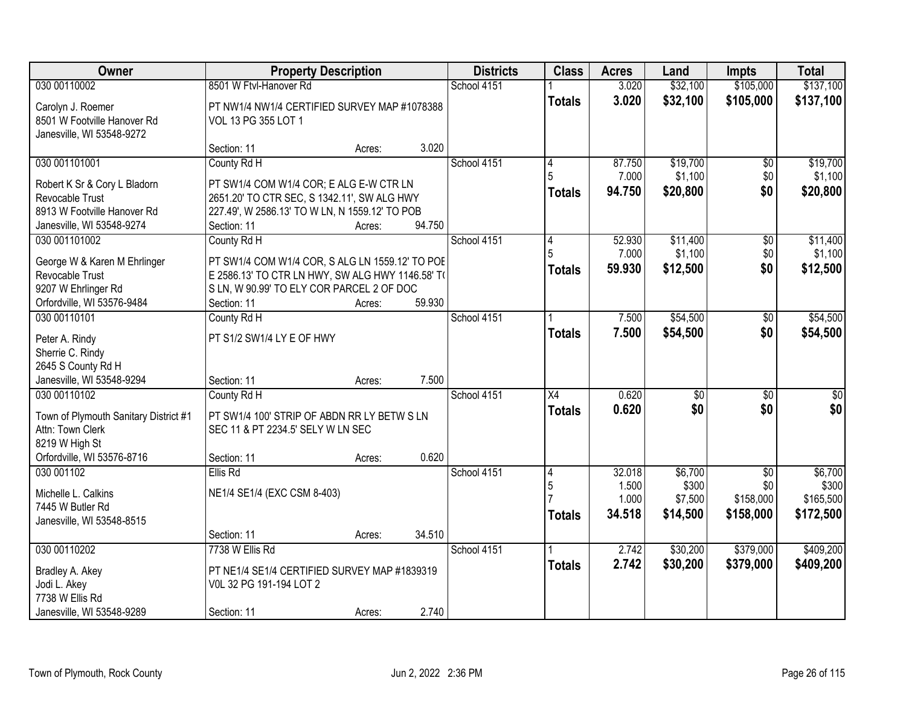| Owner                                                    |                                                                                                     | <b>Property Description</b> |        | <b>Districts</b> | <b>Class</b>    | <b>Acres</b> | Land     | <b>Impts</b>    | <b>Total</b> |
|----------------------------------------------------------|-----------------------------------------------------------------------------------------------------|-----------------------------|--------|------------------|-----------------|--------------|----------|-----------------|--------------|
| 030 00110002                                             | 8501 W Ftvl-Hanover Rd                                                                              |                             |        | School 4151      |                 | 3.020        | \$32,100 | \$105,000       | \$137,100    |
| Carolyn J. Roemer                                        | PT NW1/4 NW1/4 CERTIFIED SURVEY MAP #1078388                                                        |                             |        |                  | <b>Totals</b>   | 3.020        | \$32,100 | \$105,000       | \$137,100    |
| 8501 W Footville Hanover Rd<br>Janesville, WI 53548-9272 | VOL 13 PG 355 LOT 1                                                                                 |                             |        |                  |                 |              |          |                 |              |
|                                                          | Section: 11                                                                                         | Acres:                      | 3.020  |                  |                 |              |          |                 |              |
| 030 001101001                                            | County Rd H                                                                                         |                             |        | School 4151      | 4               | 87.750       | \$19,700 | \$0             | \$19,700     |
|                                                          |                                                                                                     |                             |        |                  |                 | 7.000        | \$1,100  | \$0             | \$1,100      |
| Robert K Sr & Cory L Bladorn<br>Revocable Trust          | PT SW1/4 COM W1/4 COR; E ALG E-W CTR LN<br>2651.20' TO CTR SEC, S 1342.11', SW ALG HWY              |                             |        |                  | <b>Totals</b>   | 94.750       | \$20,800 | \$0             | \$20,800     |
| 8913 W Footville Hanover Rd                              | 227.49', W 2586.13' TO W LN, N 1559.12' TO POB                                                      |                             |        |                  |                 |              |          |                 |              |
| Janesville, WI 53548-9274                                | Section: 11                                                                                         | Acres:                      | 94.750 |                  |                 |              |          |                 |              |
| 030 001101002                                            | County Rd H                                                                                         |                             |        | School 4151      | 4               | 52.930       | \$11,400 | \$0             | \$11,400     |
|                                                          |                                                                                                     |                             |        |                  |                 | 7.000        | \$1,100  | \$0             | \$1,100      |
| George W & Karen M Ehrlinger<br>Revocable Trust          | PT SW1/4 COM W1/4 COR, S ALG LN 1559.12' TO POE<br>E 2586.13' TO CTR LN HWY, SW ALG HWY 1146.58' TO |                             |        |                  | Totals          | 59.930       | \$12,500 | \$0             | \$12,500     |
| 9207 W Ehrlinger Rd                                      | S LN, W 90.99' TO ELY COR PARCEL 2 OF DOC                                                           |                             |        |                  |                 |              |          |                 |              |
| Orfordville, WI 53576-9484                               | Section: 11                                                                                         | Acres:                      | 59.930 |                  |                 |              |          |                 |              |
| 030 00110101                                             | County Rd H                                                                                         |                             |        | School 4151      |                 | 7.500        | \$54,500 | $\sqrt[6]{30}$  | \$54,500     |
| Peter A. Rindy                                           | PT S1/2 SW1/4 LY E OF HWY                                                                           |                             |        |                  | <b>Totals</b>   | 7.500        | \$54,500 | \$0             | \$54,500     |
| Sherrie C. Rindy                                         |                                                                                                     |                             |        |                  |                 |              |          |                 |              |
| 2645 S County Rd H                                       |                                                                                                     |                             |        |                  |                 |              |          |                 |              |
| Janesville, WI 53548-9294                                | Section: 11                                                                                         | Acres:                      | 7.500  |                  |                 |              |          |                 |              |
| 030 00110102                                             | County Rd H                                                                                         |                             |        | School 4151      | $\overline{X4}$ | 0.620        | \$0      | \$0             | $\sqrt{50}$  |
| Town of Plymouth Sanitary District #1                    | PT SW1/4 100' STRIP OF ABDN RR LY BETW S LN                                                         |                             |        |                  | <b>Totals</b>   | 0.620        | \$0      | \$0             | \$0          |
| Attn: Town Clerk                                         | SEC 11 & PT 2234.5' SELY W LN SEC                                                                   |                             |        |                  |                 |              |          |                 |              |
| 8219 W High St                                           |                                                                                                     |                             |        |                  |                 |              |          |                 |              |
| Orfordville, WI 53576-8716                               | Section: 11                                                                                         | Acres:                      | 0.620  |                  |                 |              |          |                 |              |
| 030 001102                                               | Ellis Rd                                                                                            |                             |        | School 4151      | 14              | 32.018       | \$6,700  | $\overline{50}$ | \$6,700      |
| Michelle L. Calkins                                      | NE1/4 SE1/4 (EXC CSM 8-403)                                                                         |                             |        |                  | 5               | 1.500        | \$300    | \$0             | \$300        |
| 7445 W Butler Rd                                         |                                                                                                     |                             |        |                  |                 | 1.000        | \$7,500  | \$158,000       | \$165,500    |
| Janesville, WI 53548-8515                                |                                                                                                     |                             |        |                  | <b>Totals</b>   | 34.518       | \$14,500 | \$158,000       | \$172,500    |
|                                                          | Section: 11                                                                                         | Acres:                      | 34.510 |                  |                 |              |          |                 |              |
| 030 00110202                                             | 7738 W Ellis Rd                                                                                     |                             |        | School 4151      |                 | 2.742        | \$30,200 | \$379,000       | \$409,200    |
| Bradley A. Akey                                          | PT NE1/4 SE1/4 CERTIFIED SURVEY MAP #1839319                                                        |                             |        |                  | <b>Totals</b>   | 2.742        | \$30,200 | \$379,000       | \$409,200    |
| Jodi L. Akey                                             | V0L 32 PG 191-194 LOT 2                                                                             |                             |        |                  |                 |              |          |                 |              |
| 7738 W Ellis Rd                                          |                                                                                                     |                             |        |                  |                 |              |          |                 |              |
| Janesville, WI 53548-9289                                | Section: 11                                                                                         | Acres:                      | 2.740  |                  |                 |              |          |                 |              |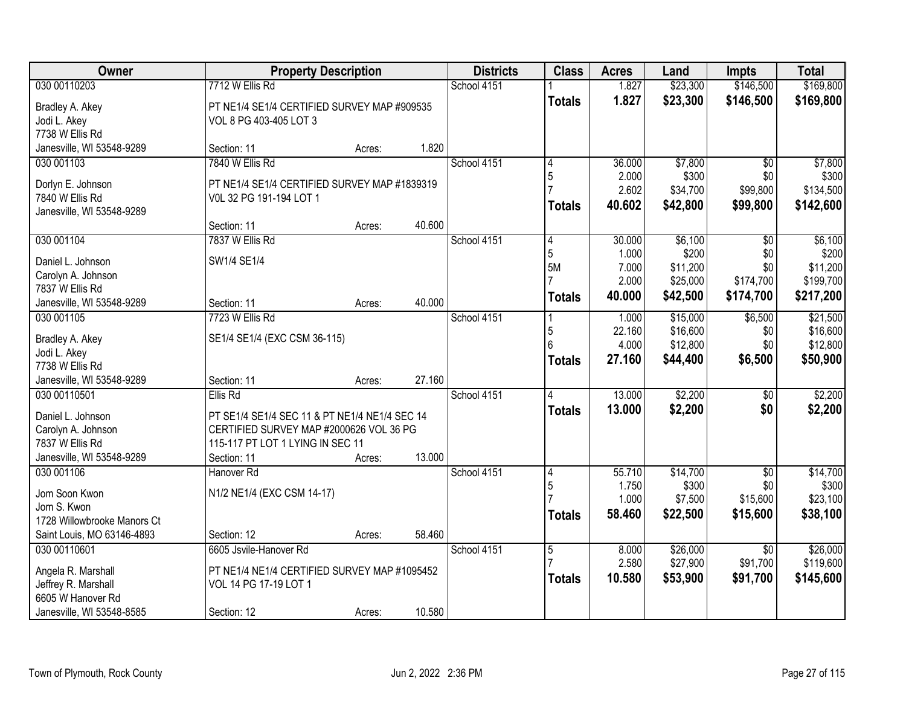| Owner                       |                                               | <b>Property Description</b> |        | <b>Districts</b> | <b>Class</b>   | <b>Acres</b>   | Land                 | <b>Impts</b>     | <b>Total</b>          |
|-----------------------------|-----------------------------------------------|-----------------------------|--------|------------------|----------------|----------------|----------------------|------------------|-----------------------|
| 030 00110203                | 7712 W Ellis Rd                               |                             |        | School 4151      |                | 1.827          | \$23,300             | \$146,500        | \$169,800             |
| Bradley A. Akey             | PT NE1/4 SE1/4 CERTIFIED SURVEY MAP #909535   |                             |        |                  | <b>Totals</b>  | 1.827          | \$23,300             | \$146,500        | \$169,800             |
| Jodi L. Akey                | VOL 8 PG 403-405 LOT 3                        |                             |        |                  |                |                |                      |                  |                       |
| 7738 W Ellis Rd             |                                               |                             |        |                  |                |                |                      |                  |                       |
| Janesville, WI 53548-9289   | Section: 11                                   | Acres:                      | 1.820  |                  |                |                |                      |                  |                       |
| 030 001103                  | 7840 W Ellis Rd                               |                             |        | School 4151      | 4              | 36.000         | \$7,800              | $\overline{50}$  | \$7,800               |
| Dorlyn E. Johnson           | PT NE1/4 SE1/4 CERTIFIED SURVEY MAP #1839319  |                             |        |                  | 5              | 2.000          | \$300                | \$0              | \$300                 |
| 7840 W Ellis Rd             | V0L 32 PG 191-194 LOT 1                       |                             |        |                  |                | 2.602          | \$34,700             | \$99,800         | \$134,500             |
| Janesville, WI 53548-9289   |                                               |                             |        |                  | <b>Totals</b>  | 40.602         | \$42,800             | \$99,800         | \$142,600             |
|                             | Section: 11                                   | Acres:                      | 40.600 |                  |                |                |                      |                  |                       |
| 030 001104                  | 7837 W Ellis Rd                               |                             |        | School 4151      | 4              | 30.000         | \$6,100              | \$0              | \$6,100               |
| Daniel L. Johnson           | SW1/4 SE1/4                                   |                             |        |                  | 5              | 1.000          | \$200                | \$0              | \$200                 |
| Carolyn A. Johnson          |                                               |                             |        |                  | 5M             | 7.000<br>2.000 | \$11,200<br>\$25,000 | \$0<br>\$174,700 | \$11,200<br>\$199,700 |
| 7837 W Ellis Rd             |                                               |                             |        |                  |                | 40.000         | \$42,500             | \$174,700        | \$217,200             |
| Janesville, WI 53548-9289   | Section: 11                                   | Acres:                      | 40.000 |                  | <b>Totals</b>  |                |                      |                  |                       |
| 030 001105                  | 7723 W Ellis Rd                               |                             |        | School 4151      |                | 1.000          | \$15,000             | \$6,500          | \$21,500              |
| Bradley A. Akey             | SE1/4 SE1/4 (EXC CSM 36-115)                  |                             |        |                  | 5              | 22.160         | \$16,600             | \$0              | \$16,600              |
| Jodi L. Akey                |                                               |                             |        |                  | 6              | 4.000          | \$12,800             | \$0              | \$12,800              |
| 7738 W Ellis Rd             |                                               |                             |        |                  | Totals         | 27.160         | \$44,400             | \$6,500          | \$50,900              |
| Janesville, WI 53548-9289   | Section: 11                                   | Acres:                      | 27.160 |                  |                |                |                      |                  |                       |
| 030 00110501                | Ellis Rd                                      |                             |        | School 4151      | 4              | 13.000         | \$2,200              | $\sqrt[6]{}$     | \$2,200               |
| Daniel L. Johnson           | PT SE1/4 SE1/4 SEC 11 & PT NE1/4 NE1/4 SEC 14 |                             |        |                  | <b>Totals</b>  | 13,000         | \$2,200              | \$0              | \$2,200               |
| Carolyn A. Johnson          | CERTIFIED SURVEY MAP #2000626 VOL 36 PG       |                             |        |                  |                |                |                      |                  |                       |
| 7837 W Ellis Rd             | 115-117 PT LOT 1 LYING IN SEC 11              |                             |        |                  |                |                |                      |                  |                       |
| Janesville, WI 53548-9289   | Section: 11                                   | Acres:                      | 13.000 |                  |                |                |                      |                  |                       |
| 030 001106                  | Hanover Rd                                    |                             |        | School 4151      | 4              | 55.710         | \$14,700             | $\overline{50}$  | \$14,700              |
| Jom Soon Kwon               | N1/2 NE1/4 (EXC CSM 14-17)                    |                             |        |                  | 5              | 1.750          | \$300                | \$0              | \$300                 |
| Jom S. Kwon                 |                                               |                             |        |                  |                | 1.000          | \$7,500              | \$15,600         | \$23,100              |
| 1728 Willowbrooke Manors Ct |                                               |                             |        |                  | Totals         | 58.460         | \$22,500             | \$15,600         | \$38,100              |
| Saint Louis, MO 63146-4893  | Section: 12                                   | Acres:                      | 58.460 |                  |                |                |                      |                  |                       |
| 030 00110601                | 6605 Jsvile-Hanover Rd                        |                             |        | School 4151      | $\overline{5}$ | 8.000          | \$26,000             | $\overline{30}$  | \$26,000              |
| Angela R. Marshall          | PT NE1/4 NE1/4 CERTIFIED SURVEY MAP #1095452  |                             |        |                  |                | 2.580          | \$27,900             | \$91,700         | \$119,600             |
| Jeffrey R. Marshall         | VOL 14 PG 17-19 LOT 1                         |                             |        |                  | <b>Totals</b>  | 10.580         | \$53,900             | \$91,700         | \$145,600             |
| 6605 W Hanover Rd           |                                               |                             |        |                  |                |                |                      |                  |                       |
| Janesville, WI 53548-8585   | Section: 12                                   | Acres:                      | 10.580 |                  |                |                |                      |                  |                       |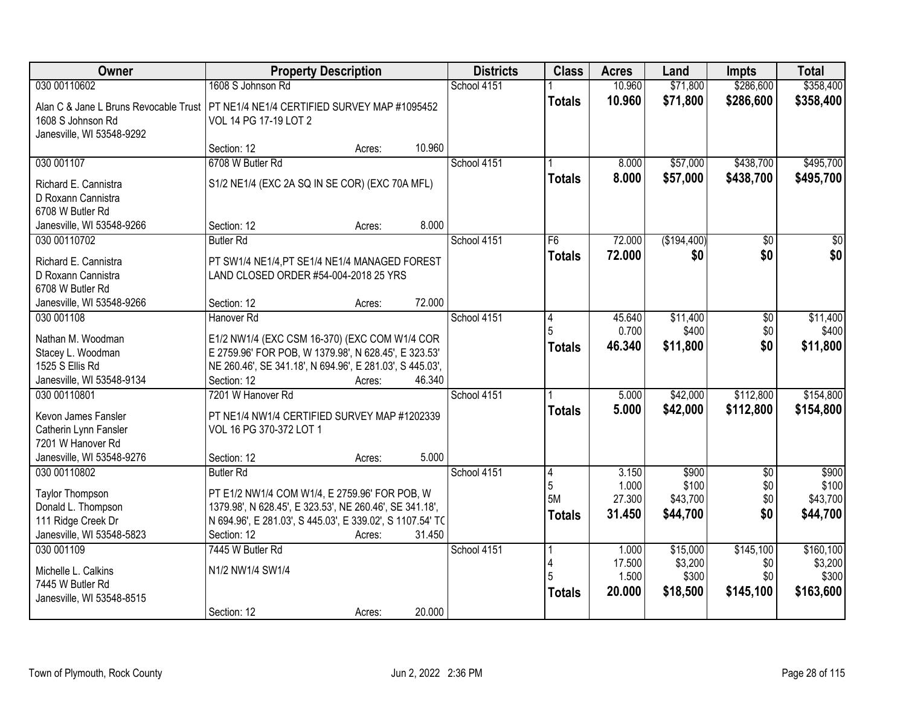| Owner                                                                                                                                  | <b>Property Description</b>                                                                                                                                                          |        |        | <b>Districts</b> | <b>Class</b>             | <b>Acres</b>                       | Land                                     | <b>Impts</b>                         | <b>Total</b>                                |
|----------------------------------------------------------------------------------------------------------------------------------------|--------------------------------------------------------------------------------------------------------------------------------------------------------------------------------------|--------|--------|------------------|--------------------------|------------------------------------|------------------------------------------|--------------------------------------|---------------------------------------------|
| 030 00110602                                                                                                                           | 1608 S Johnson Rd                                                                                                                                                                    |        |        | School 4151      |                          | 10.960                             | \$71,800                                 | \$286,600                            | \$358,400                                   |
| Alan C & Jane L Bruns Revocable Trust   PT NE1/4 NE1/4 CERTIFIED SURVEY MAP #1095452<br>1608 S Johnson Rd<br>Janesville, WI 53548-9292 | VOL 14 PG 17-19 LOT 2                                                                                                                                                                |        |        |                  | <b>Totals</b>            | 10.960                             | \$71,800                                 | \$286,600                            | \$358,400                                   |
|                                                                                                                                        | Section: 12                                                                                                                                                                          | Acres: | 10.960 |                  |                          |                                    |                                          |                                      |                                             |
| 030 001107                                                                                                                             | 6708 W Butler Rd                                                                                                                                                                     |        |        | School 4151      |                          | 8.000                              | \$57,000                                 | \$438,700                            | \$495,700                                   |
| Richard E. Cannistra<br>D Roxann Cannistra<br>6708 W Butler Rd                                                                         | S1/2 NE1/4 (EXC 2A SQ IN SE COR) (EXC 70A MFL)                                                                                                                                       |        |        |                  | <b>Totals</b>            | 8.000                              | \$57,000                                 | \$438,700                            | \$495,700                                   |
| Janesville, WI 53548-9266                                                                                                              | Section: 12                                                                                                                                                                          | Acres: | 8.000  |                  |                          |                                    |                                          |                                      |                                             |
| 030 00110702                                                                                                                           | <b>Butler Rd</b>                                                                                                                                                                     |        |        | School 4151      | F6                       | 72.000                             | (\$194,400)                              | \$0                                  | \$0                                         |
| Richard E. Cannistra<br>D Roxann Cannistra<br>6708 W Butler Rd                                                                         | PT SW1/4 NE1/4, PT SE1/4 NE1/4 MANAGED FOREST<br>LAND CLOSED ORDER #54-004-2018 25 YRS                                                                                               |        |        |                  | <b>Totals</b>            | 72.000                             | \$0                                      | \$0                                  | \$0                                         |
| Janesville, WI 53548-9266                                                                                                              | Section: 12                                                                                                                                                                          | Acres: | 72.000 |                  |                          |                                    |                                          |                                      |                                             |
| 030 001108                                                                                                                             | Hanover <sub>Rd</sub>                                                                                                                                                                |        |        | School 4151      | 14                       | 45.640<br>0.700                    | \$11,400<br>\$400                        | \$0<br>\$0                           | \$11,400<br>\$400                           |
| Nathan M. Woodman<br>Stacey L. Woodman<br>1525 S Ellis Rd<br>Janesville, WI 53548-9134                                                 | E1/2 NW1/4 (EXC CSM 16-370) (EXC COM W1/4 COR<br>E 2759.96' FOR POB, W 1379.98', N 628.45', E 323.53'<br>NE 260.46', SE 341.18', N 694.96', E 281.03', S 445.03',<br>Section: 12     | Acres: | 46.340 |                  | <b>Totals</b>            | 46.340                             | \$11,800                                 | \$0                                  | \$11,800                                    |
| 030 00110801                                                                                                                           | 7201 W Hanover Rd                                                                                                                                                                    |        |        | School 4151      |                          | 5.000                              | \$42,000                                 | \$112,800                            | \$154,800                                   |
| Kevon James Fansler<br>Catherin Lynn Fansler<br>7201 W Hanover Rd<br>Janesville, WI 53548-9276                                         | PT NE1/4 NW1/4 CERTIFIED SURVEY MAP #1202339<br>VOL 16 PG 370-372 LOT 1<br>Section: 12                                                                                               | Acres: | 5.000  |                  | <b>Totals</b>            | 5.000                              | \$42,000                                 | \$112,800                            | \$154,800                                   |
| 030 00110802                                                                                                                           | <b>Butler Rd</b>                                                                                                                                                                     |        |        | School 4151      | $\vert 4$                | 3.150                              | \$900                                    | $\overline{50}$                      | \$900                                       |
| Taylor Thompson<br>Donald L. Thompson<br>111 Ridge Creek Dr<br>Janesville, WI 53548-5823                                               | PT E1/2 NW1/4 COM W1/4, E 2759.96' FOR POB, W<br>1379.98', N 628.45', E 323.53', NE 260.46', SE 341.18',<br>N 694.96', E 281.03', S 445.03', E 339.02', S 1107.54' TO<br>Section: 12 | Acres: | 31.450 |                  | 5<br>5M<br><b>Totals</b> | 1.000<br>27.300<br>31.450          | \$100<br>\$43,700<br>\$44,700            | \$0<br>\$0<br>\$0                    | \$100<br>\$43,700<br>\$44,700               |
| 030 001109<br>Michelle L. Calkins<br>7445 W Butler Rd<br>Janesville, WI 53548-8515                                                     | 7445 W Butler Rd<br>N1/2 NW1/4 SW1/4                                                                                                                                                 |        |        | School 4151      | <b>Totals</b>            | 1.000<br>17.500<br>1.500<br>20,000 | \$15,000<br>\$3,200<br>\$300<br>\$18,500 | \$145,100<br>\$0<br>\$0<br>\$145,100 | \$160, 100<br>\$3,200<br>\$300<br>\$163,600 |
|                                                                                                                                        | Section: 12                                                                                                                                                                          | Acres: | 20.000 |                  |                          |                                    |                                          |                                      |                                             |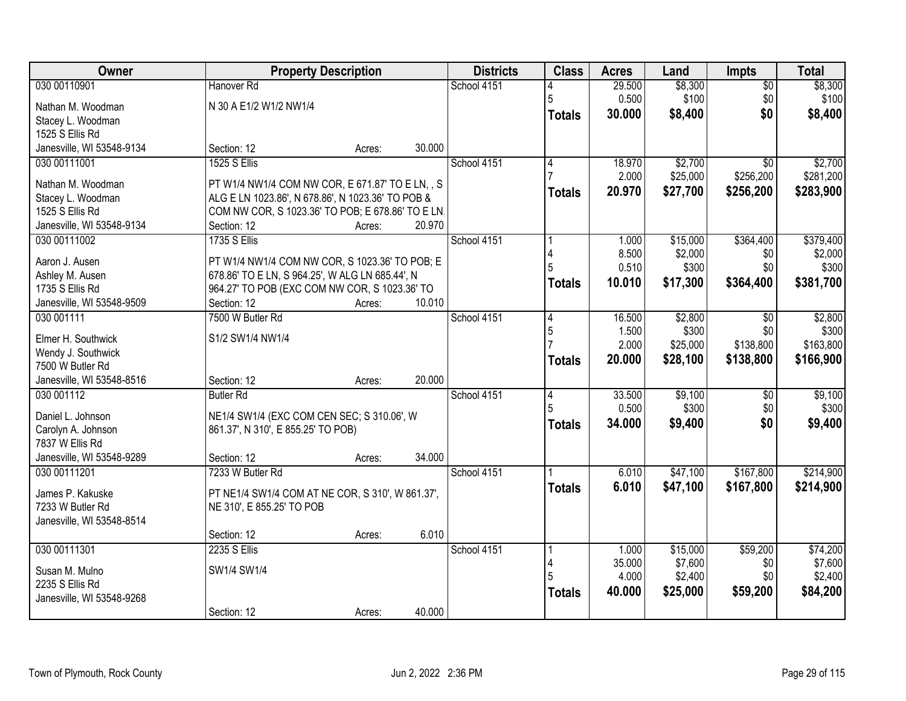| Owner                                  |                                                   | <b>Property Description</b> | <b>Districts</b> | <b>Class</b>   | <b>Acres</b>    | Land     | Impts           | <b>Total</b> |
|----------------------------------------|---------------------------------------------------|-----------------------------|------------------|----------------|-----------------|----------|-----------------|--------------|
| 030 00110901                           | Hanover <sub>Rd</sub>                             |                             | School 4151      |                | 29.500          | \$8,300  | $\overline{50}$ | \$8,300      |
| Nathan M. Woodman                      | N 30 A E1/2 W1/2 NW1/4                            |                             |                  | 5              | 0.500           | \$100    | \$0             | \$100        |
| Stacey L. Woodman                      |                                                   |                             |                  | <b>Totals</b>  | 30.000          | \$8,400  | \$0             | \$8,400      |
| 1525 S Ellis Rd                        |                                                   |                             |                  |                |                 |          |                 |              |
| Janesville, WI 53548-9134              | Section: 12                                       | Acres:                      | 30.000           |                |                 |          |                 |              |
| 030 00111001                           | <b>1525 S Ellis</b>                               |                             | School 4151      | 4              | 18.970          | \$2,700  | $\overline{50}$ | \$2,700      |
| Nathan M. Woodman                      | PT W1/4 NW1/4 COM NW COR, E 671.87' TO E LN, , S  |                             |                  |                | 2.000           | \$25,000 | \$256,200       | \$281,200    |
| Stacey L. Woodman                      | ALG E LN 1023.86', N 678.86', N 1023.36' TO POB & |                             |                  | <b>Totals</b>  | 20.970          | \$27,700 | \$256,200       | \$283,900    |
| 1525 S Ellis Rd                        | COM NW COR, S 1023.36' TO POB; E 678.86' TO E LN. |                             |                  |                |                 |          |                 |              |
| Janesville, WI 53548-9134              | Section: 12                                       | 20.970<br>Acres:            |                  |                |                 |          |                 |              |
| 030 00111002                           | <b>1735 S Ellis</b>                               |                             | School 4151      |                | 1.000           | \$15,000 | \$364,400       | \$379,400    |
| Aaron J. Ausen                         | PT W1/4 NW1/4 COM NW COR, S 1023.36' TO POB; E    |                             |                  | 4              | 8.500           | \$2,000  | \$0             | \$2,000      |
| Ashley M. Ausen                        | 678.86' TO E LN, S 964.25', W ALG LN 685.44', N   |                             |                  | 5              | 0.510           | \$300    | \$0             | \$300        |
| 1735 S Ellis Rd                        | 964.27' TO POB (EXC COM NW COR, S 1023.36' TO     |                             |                  | <b>Totals</b>  | 10.010          | \$17,300 | \$364,400       | \$381,700    |
| Janesville, WI 53548-9509              | Section: 12                                       | 10.010<br>Acres:            |                  |                |                 |          |                 |              |
| 030 001111                             | 7500 W Butler Rd                                  |                             | School 4151      | 4              | 16.500          | \$2,800  | \$0             | \$2,800      |
|                                        |                                                   |                             |                  | 5              | 1.500           | \$300    | \$0             | \$300        |
| Elmer H. Southwick                     | S1/2 SW1/4 NW1/4                                  |                             |                  |                | 2.000           | \$25,000 | \$138,800       | \$163,800    |
| Wendy J. Southwick<br>7500 W Butler Rd |                                                   |                             |                  | <b>Totals</b>  | 20.000          | \$28,100 | \$138,800       | \$166,900    |
| Janesville, WI 53548-8516              | Section: 12                                       | 20.000<br>Acres:            |                  |                |                 |          |                 |              |
| 030 001112                             | <b>Butler Rd</b>                                  |                             | School 4151      | $\overline{4}$ | 33.500          | \$9,100  | \$0             | \$9,100      |
|                                        |                                                   |                             |                  | 5              | 0.500           | \$300    | \$0             | \$300        |
| Daniel L. Johnson                      | NE1/4 SW1/4 (EXC COM CEN SEC; S 310.06', W        |                             |                  | <b>Totals</b>  | 34.000          | \$9,400  | \$0             | \$9,400      |
| Carolyn A. Johnson                     | 861.37', N 310', E 855.25' TO POB)                |                             |                  |                |                 |          |                 |              |
| 7837 W Ellis Rd                        |                                                   |                             |                  |                |                 |          |                 |              |
| Janesville, WI 53548-9289              | Section: 12                                       | 34.000<br>Acres:            |                  |                |                 |          |                 |              |
| 030 00111201                           | 7233 W Butler Rd                                  |                             | School 4151      |                | 6.010           | \$47,100 | \$167,800       | \$214,900    |
| James P. Kakuske                       | PT NE1/4 SW1/4 COM AT NE COR, S 310', W 861.37',  |                             |                  | <b>Totals</b>  | 6.010           | \$47,100 | \$167,800       | \$214,900    |
| 7233 W Butler Rd                       | NE 310', E 855.25' TO POB                         |                             |                  |                |                 |          |                 |              |
| Janesville, WI 53548-8514              |                                                   |                             |                  |                |                 |          |                 |              |
|                                        | Section: 12                                       | Acres:                      | 6.010            |                |                 |          |                 |              |
| 030 00111301                           | 2235 S Ellis                                      |                             | School 4151      |                | 1.000           | \$15,000 | \$59,200        | \$74,200     |
| Susan M. Mulno                         | SW1/4 SW1/4                                       |                             |                  | 4              | 35.000          | \$7,600  | \$0             | \$7,600      |
| 2235 S Ellis Rd                        |                                                   |                             |                  |                | 4.000<br>40.000 | \$2,400  | \$0             | \$2,400      |
| Janesville, WI 53548-9268              |                                                   |                             |                  | <b>Totals</b>  |                 | \$25,000 | \$59,200        | \$84,200     |
|                                        | Section: 12                                       | Acres:                      | 40.000           |                |                 |          |                 |              |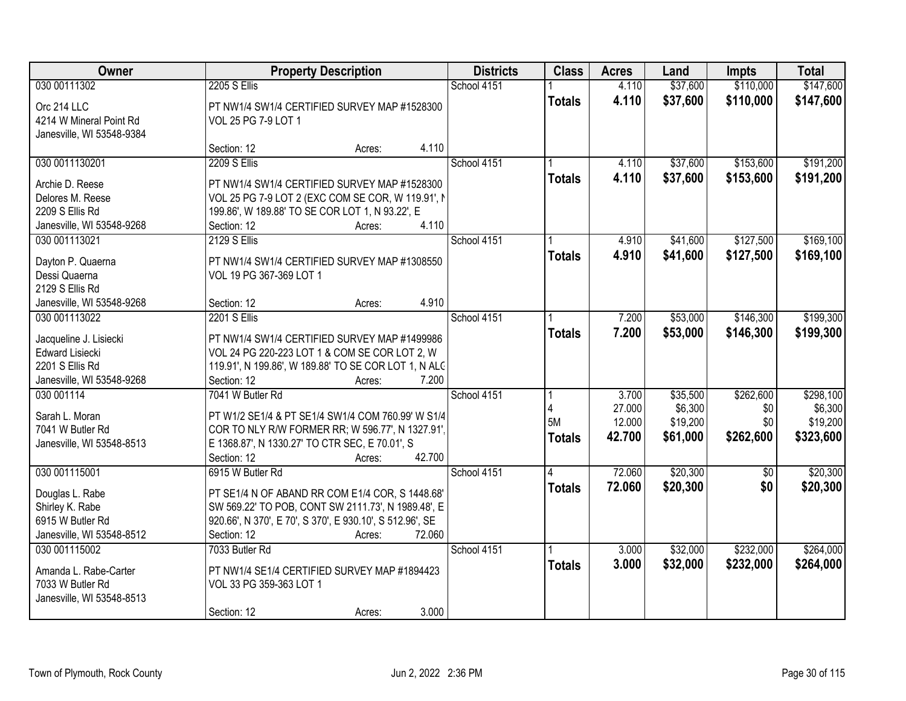| Owner                               |                                                                                                       | <b>Property Description</b> |             | <b>Class</b>  | <b>Acres</b> | Land     | <b>Impts</b>    | <b>Total</b> |
|-------------------------------------|-------------------------------------------------------------------------------------------------------|-----------------------------|-------------|---------------|--------------|----------|-----------------|--------------|
| 030 00111302                        | <b>2205 S Ellis</b>                                                                                   |                             | School 4151 |               | 4.110        | \$37,600 | \$110,000       | \$147,600    |
| Orc 214 LLC                         | PT NW1/4 SW1/4 CERTIFIED SURVEY MAP #1528300                                                          |                             |             | <b>Totals</b> | 4.110        | \$37,600 | \$110,000       | \$147,600    |
| 4214 W Mineral Point Rd             | VOL 25 PG 7-9 LOT 1                                                                                   |                             |             |               |              |          |                 |              |
| Janesville, WI 53548-9384           |                                                                                                       |                             |             |               |              |          |                 |              |
|                                     | Section: 12                                                                                           | Acres:                      | 4.110       |               |              |          |                 |              |
| 030 0011130201                      | <b>2209 S Ellis</b>                                                                                   |                             | School 4151 |               | 4.110        | \$37,600 | \$153,600       | \$191,200    |
| Archie D. Reese                     | PT NW1/4 SW1/4 CERTIFIED SURVEY MAP #1528300                                                          |                             |             | <b>Totals</b> | 4.110        | \$37,600 | \$153,600       | \$191,200    |
| Delores M. Reese                    | VOL 25 PG 7-9 LOT 2 (EXC COM SE COR, W 119.91', N                                                     |                             |             |               |              |          |                 |              |
| 2209 S Ellis Rd                     | 199.86', W 189.88' TO SE COR LOT 1, N 93.22', E                                                       |                             |             |               |              |          |                 |              |
| Janesville, WI 53548-9268           | Section: 12                                                                                           | Acres:                      | 4.110       |               |              |          |                 |              |
| 030 001113021                       | <b>2129 S Ellis</b>                                                                                   |                             | School 4151 |               | 4.910        | \$41,600 | \$127,500       | \$169,100    |
| Dayton P. Quaerna                   | PT NW1/4 SW1/4 CERTIFIED SURVEY MAP #1308550                                                          |                             |             | <b>Totals</b> | 4.910        | \$41,600 | \$127,500       | \$169,100    |
| Dessi Quaerna                       | VOL 19 PG 367-369 LOT 1                                                                               |                             |             |               |              |          |                 |              |
| 2129 S Ellis Rd                     |                                                                                                       |                             |             |               |              |          |                 |              |
| Janesville, WI 53548-9268           | Section: 12                                                                                           | Acres:                      | 4.910       |               |              |          |                 |              |
| 030 001113022                       | <b>2201 S Ellis</b>                                                                                   |                             | School 4151 |               | 7.200        | \$53,000 | \$146,300       | \$199,300    |
| Jacqueline J. Lisiecki              | PT NW1/4 SW1/4 CERTIFIED SURVEY MAP #1499986                                                          |                             |             | <b>Totals</b> | 7.200        | \$53,000 | \$146,300       | \$199,300    |
| <b>Edward Lisiecki</b>              | VOL 24 PG 220-223 LOT 1 & COM SE COR LOT 2, W                                                         |                             |             |               |              |          |                 |              |
| 2201 S Ellis Rd                     | 119.91', N 199.86', W 189.88' TO SE COR LOT 1, N ALC                                                  |                             |             |               |              |          |                 |              |
| Janesville, WI 53548-9268           | Section: 12                                                                                           | Acres:                      | 7.200       |               |              |          |                 |              |
| 030 001114                          | 7041 W Butler Rd                                                                                      |                             | School 4151 |               | 3.700        | \$35,500 | \$262,600       | \$298,100    |
|                                     |                                                                                                       |                             |             |               | 27.000       | \$6,300  | \$0             | \$6,300      |
| Sarah L. Moran<br>7041 W Butler Rd  | PT W1/2 SE1/4 & PT SE1/4 SW1/4 COM 760.99' W S1/4<br>COR TO NLY R/W FORMER RR; W 596.77', N 1327.91', |                             |             | 5M            | 12.000       | \$19,200 | \$0             | \$19,200     |
| Janesville, WI 53548-8513           | E 1368.87', N 1330.27' TO CTR SEC, E 70.01', S                                                        |                             |             | <b>Totals</b> | 42.700       | \$61,000 | \$262,600       | \$323,600    |
|                                     | Section: 12                                                                                           | Acres:                      | 42.700      |               |              |          |                 |              |
| 030 001115001                       | 6915 W Butler Rd                                                                                      |                             | School 4151 | 4             | 72.060       | \$20,300 | $\overline{50}$ | \$20,300     |
|                                     |                                                                                                       |                             |             | <b>Totals</b> | 72.060       | \$20,300 | \$0             | \$20,300     |
| Douglas L. Rabe                     | PT SE1/4 N OF ABAND RR COM E1/4 COR, S 1448.68'<br>SW 569.22' TO POB, CONT SW 2111.73', N 1989.48', E |                             |             |               |              |          |                 |              |
| Shirley K. Rabe<br>6915 W Butler Rd | 920.66', N 370', E 70', S 370', E 930.10', S 512.96', SE                                              |                             |             |               |              |          |                 |              |
| Janesville, WI 53548-8512           | Section: 12                                                                                           | Acres:                      | 72.060      |               |              |          |                 |              |
| 030 001115002                       | 7033 Butler Rd                                                                                        |                             | School 4151 |               | 3.000        | \$32,000 | \$232,000       | \$264,000    |
|                                     |                                                                                                       |                             |             | <b>Totals</b> | 3.000        | \$32,000 | \$232,000       | \$264,000    |
| Amanda L. Rabe-Carter               | PT NW1/4 SE1/4 CERTIFIED SURVEY MAP #1894423                                                          |                             |             |               |              |          |                 |              |
| 7033 W Butler Rd                    | VOL 33 PG 359-363 LOT 1                                                                               |                             |             |               |              |          |                 |              |
| Janesville, WI 53548-8513           | Section: 12                                                                                           |                             | 3.000       |               |              |          |                 |              |
|                                     |                                                                                                       | Acres:                      |             |               |              |          |                 |              |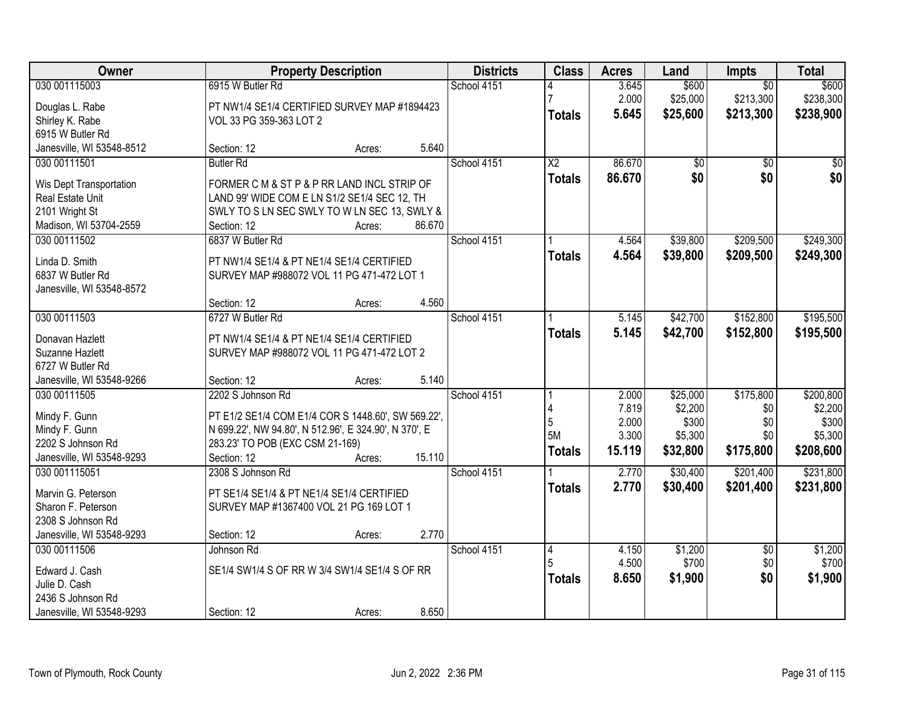| Owner                                       |                                                       | <b>Property Description</b> |        | <b>Districts</b> | <b>Class</b>           | <b>Acres</b> | Land     | <b>Impts</b>    | <b>Total</b> |
|---------------------------------------------|-------------------------------------------------------|-----------------------------|--------|------------------|------------------------|--------------|----------|-----------------|--------------|
| 030 001115003                               | 6915 W Butler Rd                                      |                             |        | School 4151      |                        | 3.645        | \$600    | $\overline{50}$ | \$600        |
| Douglas L. Rabe                             | PT NW1/4 SE1/4 CERTIFIED SURVEY MAP #1894423          |                             |        |                  |                        | 2.000        | \$25,000 | \$213,300       | \$238,300    |
| Shirley K. Rabe                             | VOL 33 PG 359-363 LOT 2                               |                             |        |                  | <b>Totals</b>          | 5.645        | \$25,600 | \$213,300       | \$238,900    |
| 6915 W Butler Rd                            |                                                       |                             |        |                  |                        |              |          |                 |              |
| Janesville, WI 53548-8512                   | Section: 12                                           | Acres:                      | 5.640  |                  |                        |              |          |                 |              |
| 030 00111501                                | <b>Butler Rd</b>                                      |                             |        | School 4151      | $\overline{\text{X2}}$ | 86.670       | \$0      | \$0             | \$0          |
|                                             | FORMER C M & ST P & P RR LAND INCL STRIP OF           |                             |        |                  | <b>Totals</b>          | 86.670       | \$0      | \$0             | \$0          |
| Wis Dept Transportation<br>Real Estate Unit | LAND 99' WIDE COM E LN S1/2 SE1/4 SEC 12, TH          |                             |        |                  |                        |              |          |                 |              |
| 2101 Wright St                              | SWLY TO S LN SEC SWLY TO W LN SEC 13, SWLY &          |                             |        |                  |                        |              |          |                 |              |
| Madison, WI 53704-2559                      | Section: 12                                           | Acres:                      | 86.670 |                  |                        |              |          |                 |              |
| 030 00111502                                | 6837 W Butler Rd                                      |                             |        | School 4151      |                        | 4.564        | \$39,800 | \$209,500       | \$249,300    |
|                                             |                                                       |                             |        |                  |                        | 4.564        | \$39,800 | \$209,500       | \$249,300    |
| Linda D. Smith                              | PT NW1/4 SE1/4 & PT NE1/4 SE1/4 CERTIFIED             |                             |        |                  | <b>Totals</b>          |              |          |                 |              |
| 6837 W Butler Rd                            | SURVEY MAP #988072 VOL 11 PG 471-472 LOT 1            |                             |        |                  |                        |              |          |                 |              |
| Janesville, WI 53548-8572                   |                                                       |                             |        |                  |                        |              |          |                 |              |
|                                             | Section: 12                                           | Acres:                      | 4.560  |                  |                        |              |          |                 |              |
| 030 00111503                                | 6727 W Butler Rd                                      |                             |        | School 4151      |                        | 5.145        | \$42,700 | \$152,800       | \$195,500    |
| Donavan Hazlett                             | PT NW1/4 SE1/4 & PT NE1/4 SE1/4 CERTIFIED             |                             |        |                  | <b>Totals</b>          | 5.145        | \$42,700 | \$152,800       | \$195,500    |
| Suzanne Hazlett                             | SURVEY MAP #988072 VOL 11 PG 471-472 LOT 2            |                             |        |                  |                        |              |          |                 |              |
| 6727 W Butler Rd                            |                                                       |                             |        |                  |                        |              |          |                 |              |
| Janesville, WI 53548-9266                   | Section: 12                                           | Acres:                      | 5.140  |                  |                        |              |          |                 |              |
| 030 00111505                                | 2202 S Johnson Rd                                     |                             |        | School 4151      |                        | 2.000        | \$25,000 | \$175,800       | \$200,800    |
|                                             |                                                       |                             |        |                  |                        | 7.819        | \$2,200  | \$0             | \$2,200      |
| Mindy F. Gunn                               | PT E1/2 SE1/4 COM E1/4 COR S 1448.60', SW 569.22',    |                             |        |                  | 5                      | 2.000        | \$300    | \$0             | \$300        |
| Mindy F. Gunn                               | N 699.22', NW 94.80', N 512.96', E 324.90', N 370', E |                             |        |                  | 5M                     | 3.300        | \$5,300  | \$0             | \$5,300      |
| 2202 S Johnson Rd                           | 283.23' TO POB (EXC CSM 21-169)                       |                             |        |                  | <b>Totals</b>          | 15.119       | \$32,800 | \$175,800       | \$208,600    |
| Janesville, WI 53548-9293                   | Section: 12                                           | Acres:                      | 15.110 |                  |                        |              |          |                 |              |
| 030 001115051                               | 2308 S Johnson Rd                                     |                             |        | School 4151      |                        | 2.770        | \$30,400 | \$201,400       | \$231,800    |
| Marvin G. Peterson                          | PT SE1/4 SE1/4 & PT NE1/4 SE1/4 CERTIFIED             |                             |        |                  | <b>Totals</b>          | 2.770        | \$30,400 | \$201,400       | \$231,800    |
| Sharon F. Peterson                          | SURVEY MAP #1367400 VOL 21 PG 169 LOT 1               |                             |        |                  |                        |              |          |                 |              |
| 2308 S Johnson Rd                           |                                                       |                             |        |                  |                        |              |          |                 |              |
| Janesville, WI 53548-9293                   | Section: 12                                           | Acres:                      | 2.770  |                  |                        |              |          |                 |              |
| 030 00111506                                | Johnson Rd                                            |                             |        | School 4151      | 4                      | 4.150        | \$1,200  | $\overline{50}$ | \$1,200      |
|                                             |                                                       |                             |        |                  |                        | 4.500        | \$700    | \$0             | \$700        |
| Edward J. Cash                              | SE1/4 SW1/4 S OF RR W 3/4 SW1/4 SE1/4 S OF RR         |                             |        |                  | <b>Totals</b>          | 8.650        | \$1,900  | \$0             | \$1,900      |
| Julie D. Cash                               |                                                       |                             |        |                  |                        |              |          |                 |              |
| 2436 S Johnson Rd                           |                                                       |                             |        |                  |                        |              |          |                 |              |
| Janesville, WI 53548-9293                   | Section: 12                                           | Acres:                      | 8.650  |                  |                        |              |          |                 |              |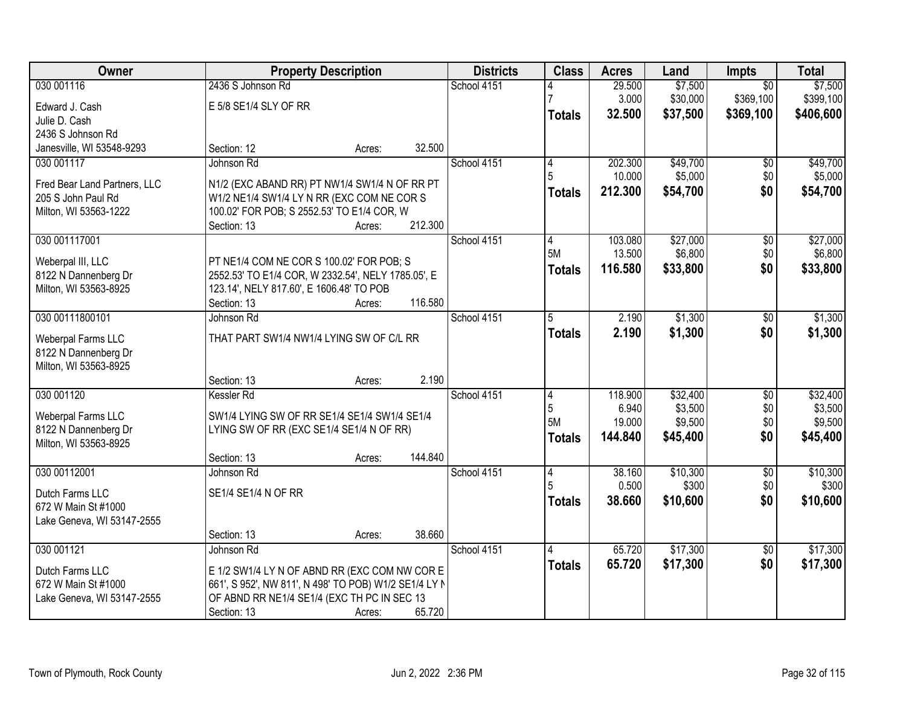| Owner                        |                                                       | <b>Property Description</b> |         | <b>Districts</b> | <b>Class</b>  | <b>Acres</b> | Land     | Impts           | <b>Total</b> |
|------------------------------|-------------------------------------------------------|-----------------------------|---------|------------------|---------------|--------------|----------|-----------------|--------------|
| 030 001116                   | 2436 S Johnson Rd                                     |                             |         | School 4151      |               | 29.500       | \$7,500  | $\overline{50}$ | \$7,500      |
| Edward J. Cash               | E 5/8 SE1/4 SLY OF RR                                 |                             |         |                  |               | 3.000        | \$30,000 | \$369,100       | \$399,100    |
| Julie D. Cash                |                                                       |                             |         |                  | <b>Totals</b> | 32.500       | \$37,500 | \$369,100       | \$406,600    |
| 2436 S Johnson Rd            |                                                       |                             |         |                  |               |              |          |                 |              |
| Janesville, WI 53548-9293    | Section: 12                                           | Acres:                      | 32.500  |                  |               |              |          |                 |              |
| 030 001117                   | Johnson Rd                                            |                             |         | School 4151      | 4             | 202.300      | \$49,700 | $\overline{50}$ | \$49,700     |
| Fred Bear Land Partners, LLC | N1/2 (EXC ABAND RR) PT NW1/4 SW1/4 N OF RR PT         |                             |         |                  | 5             | 10.000       | \$5,000  | \$0             | \$5,000      |
| 205 S John Paul Rd           | W1/2 NE1/4 SW1/4 LY N RR (EXC COM NE COR S            |                             |         |                  | <b>Totals</b> | 212.300      | \$54,700 | \$0             | \$54,700     |
| Milton, WI 53563-1222        | 100.02' FOR POB; S 2552.53' TO E1/4 COR, W            |                             |         |                  |               |              |          |                 |              |
|                              | Section: 13                                           | Acres:                      | 212.300 |                  |               |              |          |                 |              |
| 030 001117001                |                                                       |                             |         | School 4151      | 4             | 103.080      | \$27,000 | \$0             | \$27,000     |
| Weberpal III, LLC            | PT NE1/4 COM NE COR S 100.02' FOR POB; S              |                             |         |                  | 5M            | 13.500       | \$6,800  | \$0             | \$6,800      |
| 8122 N Dannenberg Dr         | 2552.53' TO E1/4 COR, W 2332.54', NELY 1785.05', E    |                             |         |                  | <b>Totals</b> | 116.580      | \$33,800 | \$0             | \$33,800     |
| Milton, WI 53563-8925        | 123.14', NELY 817.60', E 1606.48' TO POB              |                             |         |                  |               |              |          |                 |              |
|                              | Section: 13                                           | Acres:                      | 116.580 |                  |               |              |          |                 |              |
| 030 00111800101              | Johnson Rd                                            |                             |         | School 4151      | 5             | 2.190        | \$1,300  | \$0             | \$1,300      |
| Weberpal Farms LLC           | THAT PART SW1/4 NW1/4 LYING SW OF C/L RR              |                             |         |                  | <b>Totals</b> | 2.190        | \$1,300  | \$0             | \$1,300      |
| 8122 N Dannenberg Dr         |                                                       |                             |         |                  |               |              |          |                 |              |
| Milton, WI 53563-8925        |                                                       |                             |         |                  |               |              |          |                 |              |
|                              | Section: 13                                           | Acres:                      | 2.190   |                  |               |              |          |                 |              |
| 030 001120                   | Kessler Rd                                            |                             |         | School 4151      | 4             | 118.900      | \$32,400 | $\overline{50}$ | \$32,400     |
| Weberpal Farms LLC           | SW1/4 LYING SW OF RR SE1/4 SE1/4 SW1/4 SE1/4          |                             |         |                  | 5             | 6.940        | \$3,500  | \$0             | \$3,500      |
| 8122 N Dannenberg Dr         | LYING SW OF RR (EXC SE1/4 SE1/4 N OF RR)              |                             |         |                  | 5M            | 19.000       | \$9,500  | \$0             | \$9,500      |
| Milton, WI 53563-8925        |                                                       |                             |         |                  | <b>Totals</b> | 144.840      | \$45,400 | \$0             | \$45,400     |
|                              | Section: 13                                           | Acres:                      | 144.840 |                  |               |              |          |                 |              |
| 030 00112001                 | Johnson Rd                                            |                             |         | School 4151      | 4             | 38.160       | \$10,300 | $\overline{60}$ | \$10,300     |
| Dutch Farms LLC              | SE1/4 SE1/4 N OF RR                                   |                             |         |                  | 5             | 0.500        | \$300    | \$0             | \$300        |
| 672 W Main St #1000          |                                                       |                             |         |                  | <b>Totals</b> | 38.660       | \$10,600 | \$0             | \$10,600     |
| Lake Geneva, WI 53147-2555   |                                                       |                             |         |                  |               |              |          |                 |              |
|                              | Section: 13                                           | Acres:                      | 38.660  |                  |               |              |          |                 |              |
| 030 001121                   | Johnson Rd                                            |                             |         | School 4151      |               | 65.720       | \$17,300 | $\overline{50}$ | \$17,300     |
| Dutch Farms LLC              | E 1/2 SW1/4 LY N OF ABND RR (EXC COM NW COR E         |                             |         |                  | <b>Totals</b> | 65.720       | \$17,300 | \$0             | \$17,300     |
| 672 W Main St #1000          | 661', S 952', NW 811', N 498' TO POB) W1/2 SE1/4 LY N |                             |         |                  |               |              |          |                 |              |
| Lake Geneva, WI 53147-2555   | OF ABND RR NE1/4 SE1/4 (EXC TH PC IN SEC 13           |                             |         |                  |               |              |          |                 |              |
|                              | Section: 13                                           | Acres:                      | 65.720  |                  |               |              |          |                 |              |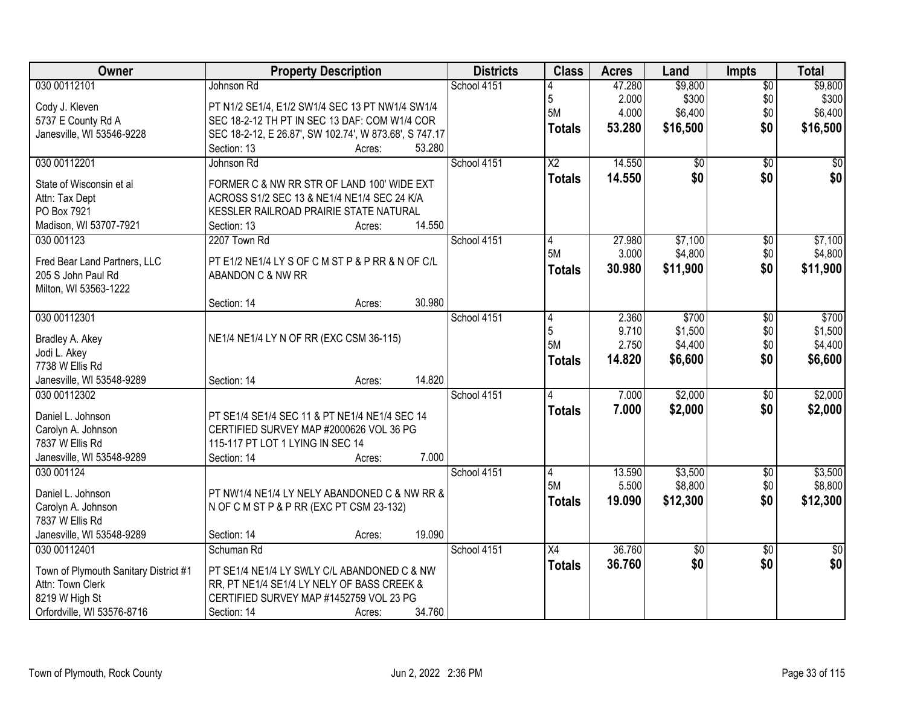| Owner                                   | <b>Property Description</b>                                                               | <b>Districts</b> | <b>Class</b>    | <b>Acres</b> | Land            | <b>Impts</b>    | <b>Total</b>    |
|-----------------------------------------|-------------------------------------------------------------------------------------------|------------------|-----------------|--------------|-----------------|-----------------|-----------------|
| 030 00112101                            | Johnson Rd                                                                                | School 4151      |                 | 47.280       | \$9,800         | $\overline{50}$ | \$9,800         |
| Cody J. Kleven                          | PT N1/2 SE1/4, E1/2 SW1/4 SEC 13 PT NW1/4 SW1/4                                           |                  | 5               | 2.000        | \$300           | \$0             | \$300           |
| 5737 E County Rd A                      | SEC 18-2-12 TH PT IN SEC 13 DAF: COM W1/4 COR                                             |                  | 5M              | 4.000        | \$6,400         | \$0             | \$6,400         |
| Janesville, WI 53546-9228               | SEC 18-2-12, E 26.87', SW 102.74', W 873.68', S 747.17                                    |                  | <b>Totals</b>   | 53.280       | \$16,500        | \$0             | \$16,500        |
|                                         | Section: 13<br>53.280<br>Acres:                                                           |                  |                 |              |                 |                 |                 |
| 030 00112201                            | Johnson Rd                                                                                | School 4151      | $\overline{X2}$ | 14.550       | \$0             | $\overline{50}$ | \$0             |
|                                         |                                                                                           |                  | <b>Totals</b>   | 14.550       | \$0             | \$0             | \$0             |
| State of Wisconsin et al                | FORMER C & NW RR STR OF LAND 100' WIDE EXT<br>ACROSS S1/2 SEC 13 & NE1/4 NE1/4 SEC 24 K/A |                  |                 |              |                 |                 |                 |
| Attn: Tax Dept<br>PO Box 7921           | KESSLER RAILROAD PRAIRIE STATE NATURAL                                                    |                  |                 |              |                 |                 |                 |
| Madison, WI 53707-7921                  | 14.550<br>Section: 13<br>Acres:                                                           |                  |                 |              |                 |                 |                 |
| 030 001123                              | 2207 Town Rd                                                                              | School 4151      | 4               | 27.980       | \$7,100         | \$0             | \$7,100         |
|                                         |                                                                                           |                  | 5M              | 3.000        | \$4,800         | \$0             | \$4,800         |
| Fred Bear Land Partners, LLC            | PT E1/2 NE1/4 LY S OF C M ST P & P RR & N OF C/L                                          |                  | Totals          | 30.980       | \$11,900        | \$0             | \$11,900        |
| 205 S John Paul Rd                      | ABANDON C & NW RR                                                                         |                  |                 |              |                 |                 |                 |
| Milton, WI 53563-1222                   |                                                                                           |                  |                 |              |                 |                 |                 |
|                                         | 30.980<br>Section: 14<br>Acres:                                                           |                  |                 |              |                 |                 |                 |
| 030 00112301                            |                                                                                           | School 4151      | 4               | 2.360        | \$700           | \$0             | \$700           |
| Bradley A. Akey                         | NE1/4 NE1/4 LY N OF RR (EXC CSM 36-115)                                                   |                  | 5               | 9.710        | \$1,500         | \$0             | \$1,500         |
| Jodi L. Akey                            |                                                                                           |                  | 5M              | 2.750        | \$4,400         | \$0             | \$4,400         |
| 7738 W Ellis Rd                         |                                                                                           |                  | <b>Totals</b>   | 14.820       | \$6,600         | \$0             | \$6,600         |
| Janesville, WI 53548-9289               | 14.820<br>Section: 14<br>Acres:                                                           |                  |                 |              |                 |                 |                 |
| 030 00112302                            |                                                                                           | School 4151      | 4               | 7.000        | \$2,000         | \$0             | \$2,000         |
|                                         |                                                                                           |                  | <b>Totals</b>   | 7.000        | \$2,000         | \$0             | \$2,000         |
| Daniel L. Johnson<br>Carolyn A. Johnson | PT SE1/4 SE1/4 SEC 11 & PT NE1/4 NE1/4 SEC 14<br>CERTIFIED SURVEY MAP #2000626 VOL 36 PG  |                  |                 |              |                 |                 |                 |
| 7837 W Ellis Rd                         | 115-117 PT LOT 1 LYING IN SEC 14                                                          |                  |                 |              |                 |                 |                 |
| Janesville, WI 53548-9289               | 7.000<br>Section: 14<br>Acres:                                                            |                  |                 |              |                 |                 |                 |
| 030 001124                              |                                                                                           | School 4151      | 4               | 13.590       | \$3,500         | $\overline{60}$ | \$3,500         |
|                                         |                                                                                           |                  | 5M              | 5.500        | \$8,800         | \$0             | \$8,800         |
| Daniel L. Johnson                       | PT NW1/4 NE1/4 LY NELY ABANDONED C & NW RR &                                              |                  | <b>Totals</b>   | 19.090       | \$12,300        | \$0             | \$12,300        |
| Carolyn A. Johnson                      | N OF C M ST P & P RR (EXC PT CSM 23-132)                                                  |                  |                 |              |                 |                 |                 |
| 7837 W Ellis Rd                         |                                                                                           |                  |                 |              |                 |                 |                 |
| Janesville, WI 53548-9289               | 19.090<br>Section: 14<br>Acres:                                                           |                  |                 |              |                 |                 |                 |
| 030 00112401                            | Schuman Rd                                                                                | School 4151      | $\overline{X4}$ | 36.760       | $\overline{50}$ | $\overline{30}$ | $\overline{50}$ |
| Town of Plymouth Sanitary District #1   | PT SE1/4 NE1/4 LY SWLY C/L ABANDONED C & NW                                               |                  | <b>Totals</b>   | 36.760       | \$0             | \$0             | \$0             |
| Attn: Town Clerk                        | RR, PT NE1/4 SE1/4 LY NELY OF BASS CREEK &                                                |                  |                 |              |                 |                 |                 |
| 8219 W High St                          | CERTIFIED SURVEY MAP #1452759 VOL 23 PG                                                   |                  |                 |              |                 |                 |                 |
| Orfordville, WI 53576-8716              | 34.760<br>Section: 14<br>Acres:                                                           |                  |                 |              |                 |                 |                 |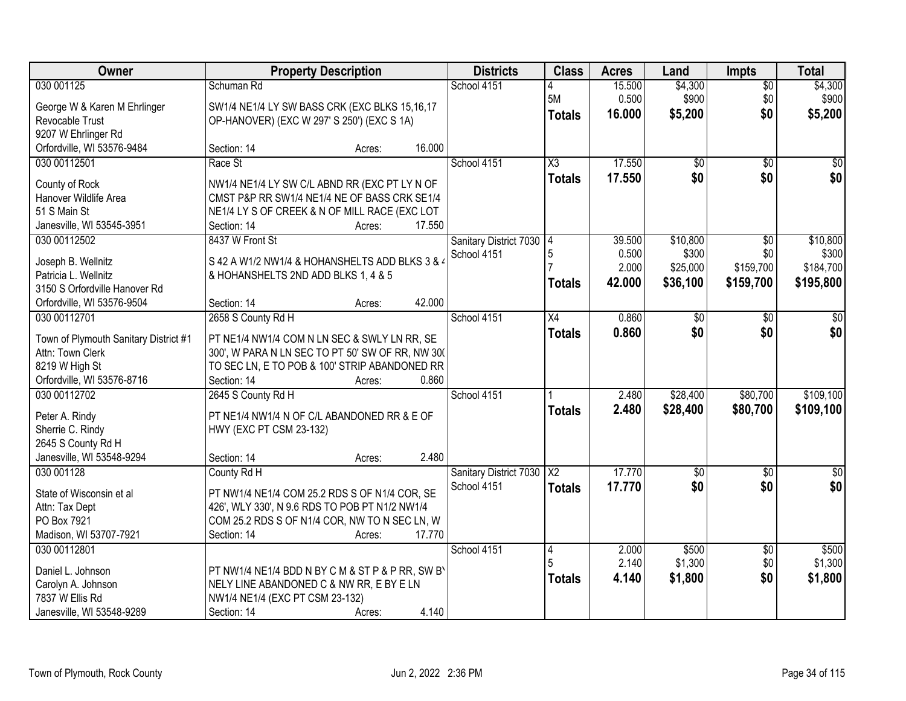| Owner                                 | <b>Property Description</b>                      |                  | <b>Districts</b>         | <b>Class</b>           | <b>Acres</b> | Land            | <b>Impts</b>    | <b>Total</b>     |
|---------------------------------------|--------------------------------------------------|------------------|--------------------------|------------------------|--------------|-----------------|-----------------|------------------|
| 030 001125                            | Schuman Rd                                       |                  | School 4151              |                        | 15.500       | \$4,300         | \$0             | \$4,300          |
| George W & Karen M Ehrlinger          | SW1/4 NE1/4 LY SW BASS CRK (EXC BLKS 15,16,17    |                  |                          | 5M                     | 0.500        | \$900           | \$0             | \$900            |
| Revocable Trust                       | OP-HANOVER) (EXC W 297' S 250') (EXC S 1A)       |                  |                          | <b>Totals</b>          | 16.000       | \$5,200         | \$0             | \$5,200          |
| 9207 W Ehrlinger Rd                   |                                                  |                  |                          |                        |              |                 |                 |                  |
| Orfordville, WI 53576-9484            | Section: 14                                      | 16.000<br>Acres: |                          |                        |              |                 |                 |                  |
| 030 00112501                          | Race St                                          |                  | School 4151              | $\overline{\chi_3}$    | 17.550       | $\overline{50}$ | \$0             | $\overline{50}$  |
|                                       |                                                  |                  |                          | <b>Totals</b>          | 17.550       | \$0             | \$0             | \$0              |
| County of Rock                        | NW1/4 NE1/4 LY SW C/L ABND RR (EXC PT LY N OF    |                  |                          |                        |              |                 |                 |                  |
| Hanover Wildlife Area                 | CMST P&P RR SW1/4 NE1/4 NE OF BASS CRK SE1/4     |                  |                          |                        |              |                 |                 |                  |
| 51 S Main St                          | NE1/4 LY S OF CREEK & N OF MILL RACE (EXC LOT    |                  |                          |                        |              |                 |                 |                  |
| Janesville, WI 53545-3951             | Section: 14                                      | 17.550<br>Acres: |                          |                        |              |                 |                 |                  |
| 030 00112502                          | 8437 W Front St                                  |                  | Sanitary District 7030 4 |                        | 39.500       | \$10,800        | $\sqrt{6}$      | \$10,800         |
| Joseph B. Wellnitz                    | S 42 A W1/2 NW1/4 & HOHANSHELTS ADD BLKS 3 & 4   |                  | School 4151              |                        | 0.500        | \$300           | \$0             | \$300            |
| Patricia L. Wellnitz                  | & HOHANSHELTS 2ND ADD BLKS 1, 4 & 5              |                  |                          |                        | 2.000        | \$25,000        | \$159,700       | \$184,700        |
| 3150 S Orfordville Hanover Rd         |                                                  |                  |                          | <b>Totals</b>          | 42.000       | \$36,100        | \$159,700       | \$195,800        |
| Orfordville, WI 53576-9504            | Section: 14                                      | 42.000<br>Acres: |                          |                        |              |                 |                 |                  |
| 030 00112701                          | 2658 S County Rd H                               |                  | School 4151              | X4                     | 0.860        | \$0             | \$0             | \$0              |
|                                       |                                                  |                  |                          | <b>Totals</b>          | 0.860        | \$0             | \$0             | \$0              |
| Town of Plymouth Sanitary District #1 | PT NE1/4 NW1/4 COM N LN SEC & SWLY LN RR, SE     |                  |                          |                        |              |                 |                 |                  |
| Attn: Town Clerk                      | 300', W PARA N LN SEC TO PT 50' SW OF RR, NW 300 |                  |                          |                        |              |                 |                 |                  |
| 8219 W High St                        | TO SEC LN, E TO POB & 100' STRIP ABANDONED RR    |                  |                          |                        |              |                 |                 |                  |
| Orfordville, WI 53576-8716            | Section: 14                                      | 0.860<br>Acres:  |                          |                        |              |                 |                 |                  |
| 030 00112702                          | 2645 S County Rd H                               |                  | School 4151              |                        | 2.480        | \$28,400        | \$80,700        | \$109,100        |
| Peter A. Rindy                        | PT NE1/4 NW1/4 N OF C/L ABANDONED RR & E OF      |                  |                          | <b>Totals</b>          | 2.480        | \$28,400        | \$80,700        | \$109,100        |
| Sherrie C. Rindy                      | HWY (EXC PT CSM 23-132)                          |                  |                          |                        |              |                 |                 |                  |
| 2645 S County Rd H                    |                                                  |                  |                          |                        |              |                 |                 |                  |
| Janesville, WI 53548-9294             | Section: 14                                      | 2.480<br>Acres:  |                          |                        |              |                 |                 |                  |
| 030 001128                            | County Rd H                                      |                  | Sanitary District 7030   | $\overline{\text{X2}}$ | 17.770       | $\overline{50}$ | $\sqrt{$0}$     | $\overline{\$0}$ |
|                                       |                                                  |                  | School 4151              | <b>Totals</b>          | 17.770       | \$0             | \$0             | \$0              |
| State of Wisconsin et al              | PT NW1/4 NE1/4 COM 25.2 RDS S OF N1/4 COR, SE    |                  |                          |                        |              |                 |                 |                  |
| Attn: Tax Dept                        | 426', WLY 330', N 9.6 RDS TO POB PT N1/2 NW1/4   |                  |                          |                        |              |                 |                 |                  |
| PO Box 7921                           | COM 25.2 RDS S OF N1/4 COR, NW TO N SEC LN, W    |                  |                          |                        |              |                 |                 |                  |
| Madison, WI 53707-7921                | Section: 14                                      | 17.770<br>Acres: |                          |                        |              |                 |                 |                  |
| 030 00112801                          |                                                  |                  | School 4151              | 14                     | 2.000        | \$500           | $\overline{60}$ | \$500            |
| Daniel L. Johnson                     | PT NW1/4 NE1/4 BDD N BY C M & ST P & P RR, SW B' |                  |                          |                        | 2.140        | \$1,300         | \$0             | \$1,300          |
| Carolyn A. Johnson                    | NELY LINE ABANDONED C & NW RR, E BY E LN         |                  |                          | <b>Totals</b>          | 4.140        | \$1,800         | \$0             | \$1,800          |
| 7837 W Ellis Rd                       | NW1/4 NE1/4 (EXC PT CSM 23-132)                  |                  |                          |                        |              |                 |                 |                  |
| Janesville, WI 53548-9289             | Section: 14                                      | 4.140<br>Acres:  |                          |                        |              |                 |                 |                  |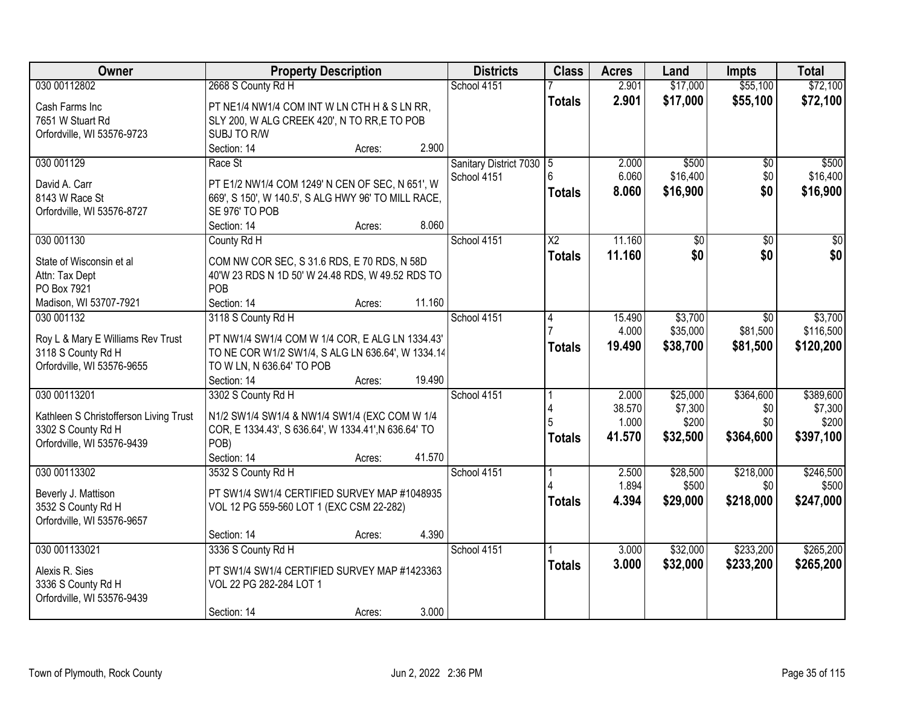| Owner                                                                                      | <b>Property Description</b>                                                                                                                        |        |        | <b>Districts</b>                        | <b>Class</b>           | <b>Acres</b>              | Land                          | <b>Impts</b>            | <b>Total</b>                  |
|--------------------------------------------------------------------------------------------|----------------------------------------------------------------------------------------------------------------------------------------------------|--------|--------|-----------------------------------------|------------------------|---------------------------|-------------------------------|-------------------------|-------------------------------|
| 030 00112802                                                                               | 2668 S County Rd H                                                                                                                                 |        |        | School 4151                             |                        | 2.901                     | \$17,000                      | \$55,100                | \$72,100                      |
| Cash Farms Inc<br>7651 W Stuart Rd<br>Orfordville, WI 53576-9723                           | PT NE1/4 NW1/4 COM INT W LN CTH H & S LN RR,<br>SLY 200, W ALG CREEK 420', N TO RR,E TO POB<br>SUBJ TO R/W                                         |        |        |                                         | <b>Totals</b>          | 2.901                     | \$17,000                      | \$55,100                | \$72,100                      |
|                                                                                            | Section: 14                                                                                                                                        | Acres: | 2.900  |                                         |                        |                           |                               |                         |                               |
| 030 001129<br>David A. Carr<br>8143 W Race St<br>Orfordville, WI 53576-8727                | Race St<br>PT E1/2 NW1/4 COM 1249' N CEN OF SEC, N 651', W<br>669', S 150', W 140.5', S ALG HWY 96' TO MILL RACE,<br>SE 976' TO POB<br>Section: 14 | Acres: | 8.060  | Sanitary District 7030 5<br>School 4151 | ĥ<br><b>Totals</b>     | 2.000<br>6.060<br>8.060   | \$500<br>\$16,400<br>\$16,900 | \$0<br>\$0<br>\$0       | \$500<br>\$16,400<br>\$16,900 |
| 030 001130                                                                                 | County Rd H                                                                                                                                        |        |        | School 4151                             | $\overline{\text{X2}}$ | 11.160                    | \$0                           | $\overline{50}$         | $\overline{50}$               |
| State of Wisconsin et al<br>Attn: Tax Dept<br>PO Box 7921<br>Madison, WI 53707-7921        | COM NW COR SEC, S 31.6 RDS, E 70 RDS, N 58D<br>40'W 23 RDS N 1D 50' W 24.48 RDS, W 49.52 RDS TO<br>POB<br>Section: 14                              | Acres: | 11.160 |                                         | <b>Totals</b>          | 11.160                    | \$0                           | \$0                     | \$0                           |
| 030 001132                                                                                 | 3118 S County Rd H                                                                                                                                 |        |        | School 4151                             | 4                      | 15.490                    | \$3,700                       | \$0                     | \$3,700                       |
| Roy L & Mary E Williams Rev Trust<br>3118 S County Rd H<br>Orfordville, WI 53576-9655      | PT NW1/4 SW1/4 COM W 1/4 COR, E ALG LN 1334.43'<br>TO NE COR W1/2 SW1/4, S ALG LN 636.64', W 1334.14<br>TO W LN, N 636.64' TO POB<br>Section: 14   | Acres: | 19.490 |                                         | <b>Totals</b>          | 4.000<br>19.490           | \$35,000<br>\$38,700          | \$81,500<br>\$81,500    | \$116,500<br>\$120,200        |
| 030 00113201                                                                               | 3302 S County Rd H                                                                                                                                 |        |        | School 4151                             |                        | 2.000                     | \$25,000                      | \$364,600               | \$389,600                     |
| Kathleen S Christofferson Living Trust<br>3302 S County Rd H<br>Orfordville, WI 53576-9439 | N1/2 SW1/4 SW1/4 & NW1/4 SW1/4 (EXC COM W 1/4<br>COR, E 1334.43', S 636.64', W 1334.41', N 636.64' TO<br>POB)<br>Section: 14                       | Acres: | 41.570 |                                         | <b>Totals</b>          | 38.570<br>1.000<br>41.570 | \$7,300<br>\$200<br>\$32,500  | \$0<br>\$0<br>\$364,600 | \$7,300<br>\$200<br>\$397,100 |
| 030 00113302                                                                               | 3532 S County Rd H                                                                                                                                 |        |        | School 4151                             |                        | 2.500                     | \$28,500                      | \$218,000               | \$246,500                     |
| Beverly J. Mattison<br>3532 S County Rd H<br>Orfordville, WI 53576-9657                    | PT SW1/4 SW1/4 CERTIFIED SURVEY MAP #1048935<br>VOL 12 PG 559-560 LOT 1 (EXC CSM 22-282)                                                           |        |        |                                         | <b>Totals</b>          | 1.894<br>4.394            | \$500<br>\$29,000             | \$0<br>\$218,000        | \$500<br>\$247,000            |
|                                                                                            | Section: 14                                                                                                                                        | Acres: | 4.390  |                                         |                        |                           |                               |                         |                               |
| 030 001133021<br>Alexis R. Sies<br>3336 S County Rd H<br>Orfordville, WI 53576-9439        | 3336 S County Rd H<br>PT SW1/4 SW1/4 CERTIFIED SURVEY MAP #1423363<br>VOL 22 PG 282-284 LOT 1<br>Section: 14                                       | Acres: | 3.000  | School 4151                             | <b>Totals</b>          | 3.000<br>3.000            | \$32,000<br>\$32,000          | \$233,200<br>\$233,200  | \$265,200<br>\$265,200        |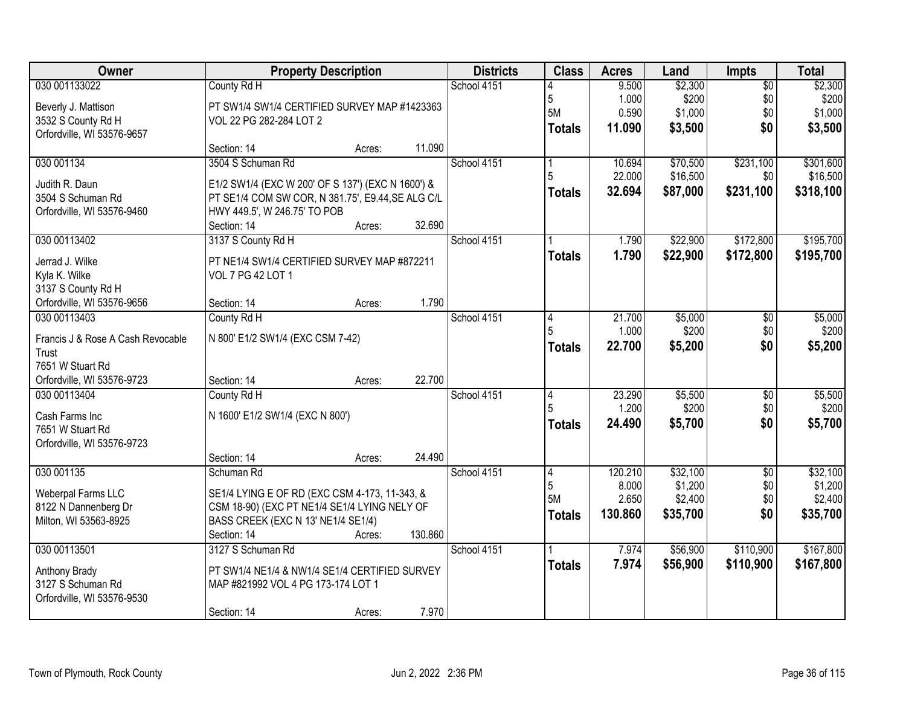| Owner                                                                                                        | <b>Property Description</b>                                                                                                                                                |         | <b>Districts</b> | <b>Class</b>                  | <b>Acres</b>                         | Land                                       | Impts                                | <b>Total</b>                               |
|--------------------------------------------------------------------------------------------------------------|----------------------------------------------------------------------------------------------------------------------------------------------------------------------------|---------|------------------|-------------------------------|--------------------------------------|--------------------------------------------|--------------------------------------|--------------------------------------------|
| 030 001133022<br>Beverly J. Mattison<br>3532 S County Rd H<br>Orfordville, WI 53576-9657                     | County Rd H<br>PT SW1/4 SW1/4 CERTIFIED SURVEY MAP #1423363<br>VOL 22 PG 282-284 LOT 2                                                                                     |         | School 4151      | 5<br>5M<br><b>Totals</b>      | 9.500<br>1.000<br>0.590<br>11.090    | \$2,300<br>\$200<br>\$1,000<br>\$3,500     | $\overline{50}$<br>\$0<br>\$0<br>\$0 | \$2,300<br>\$200<br>\$1,000<br>\$3,500     |
|                                                                                                              | Section: 14<br>Acres:                                                                                                                                                      | 11.090  |                  |                               |                                      |                                            |                                      |                                            |
| 030 001134<br>Judith R. Daun<br>3504 S Schuman Rd                                                            | 3504 S Schuman Rd<br>E1/2 SW1/4 (EXC W 200' OF S 137') (EXC N 1600') &<br>PT SE1/4 COM SW COR, N 381.75', E9.44, SE ALG C/L                                                |         | School 4151      | 5<br><b>Totals</b>            | 10.694<br>22.000<br>32.694           | \$70,500<br>\$16,500<br>\$87,000           | \$231,100<br>\$0<br>\$231,100        | \$301,600<br>\$16,500<br>\$318,100         |
| Orfordville, WI 53576-9460                                                                                   | HWY 449.5', W 246.75' TO POB<br>Section: 14<br>Acres:                                                                                                                      | 32.690  |                  |                               |                                      |                                            |                                      |                                            |
| 030 00113402<br>Jerrad J. Wilke<br>Kyla K. Wilke<br>3137 S County Rd H<br>Orfordville, WI 53576-9656         | 3137 S County Rd H<br>PT NE1/4 SW1/4 CERTIFIED SURVEY MAP #872211<br>VOL 7 PG 42 LOT 1<br>Section: 14<br>Acres:                                                            | 1.790   | School 4151      | <b>Totals</b>                 | 1.790<br>1.790                       | \$22,900<br>\$22,900                       | \$172,800<br>\$172,800               | \$195,700<br>\$195,700                     |
| 030 00113403<br>Francis J & Rose A Cash Revocable<br>Trust<br>7651 W Stuart Rd<br>Orfordville, WI 53576-9723 | County Rd H<br>N 800' E1/2 SW1/4 (EXC CSM 7-42)<br>Section: 14<br>Acres:                                                                                                   | 22.700  | School 4151      | 4<br><b>Totals</b>            | 21.700<br>1.000<br>22.700            | \$5,000<br>\$200<br>\$5,200                | $\sqrt[6]{}$<br>\$0<br>\$0           | \$5,000<br>\$200<br>\$5,200                |
| 030 00113404<br>Cash Farms Inc<br>7651 W Stuart Rd<br>Orfordville, WI 53576-9723                             | County Rd H<br>N 1600' E1/2 SW1/4 (EXC N 800')<br>Section: 14<br>Acres:                                                                                                    | 24.490  | School 4151      | 4<br>5<br><b>Totals</b>       | 23.290<br>1.200<br>24.490            | \$5,500<br>\$200<br>\$5,700                | $\overline{50}$<br>\$0<br>\$0        | \$5,500<br>\$200<br>\$5,700                |
| 030 001135<br>Weberpal Farms LLC<br>8122 N Dannenberg Dr<br>Milton, WI 53563-8925                            | Schuman Rd<br>SE1/4 LYING E OF RD (EXC CSM 4-173, 11-343, &<br>CSM 18-90) (EXC PT NE1/4 SE1/4 LYING NELY OF<br>BASS CREEK (EXC N 13' NE1/4 SE1/4)<br>Section: 14<br>Acres: | 130.860 | School 4151      | 4<br>5<br>5M<br><b>Totals</b> | 120.210<br>8.000<br>2.650<br>130.860 | \$32,100<br>\$1,200<br>\$2,400<br>\$35,700 | $\overline{50}$<br>\$0<br>\$0<br>\$0 | \$32,100<br>\$1,200<br>\$2,400<br>\$35,700 |
| 030 00113501<br>Anthony Brady<br>3127 S Schuman Rd<br>Orfordville, WI 53576-9530                             | 3127 S Schuman Rd<br>PT SW1/4 NE1/4 & NW1/4 SE1/4 CERTIFIED SURVEY<br>MAP #821992 VOL 4 PG 173-174 LOT 1<br>Section: 14<br>Acres:                                          | 7.970   | School 4151      | <b>Totals</b>                 | 7.974<br>7.974                       | \$56,900<br>\$56,900                       | \$110,900<br>\$110,900               | \$167,800<br>\$167,800                     |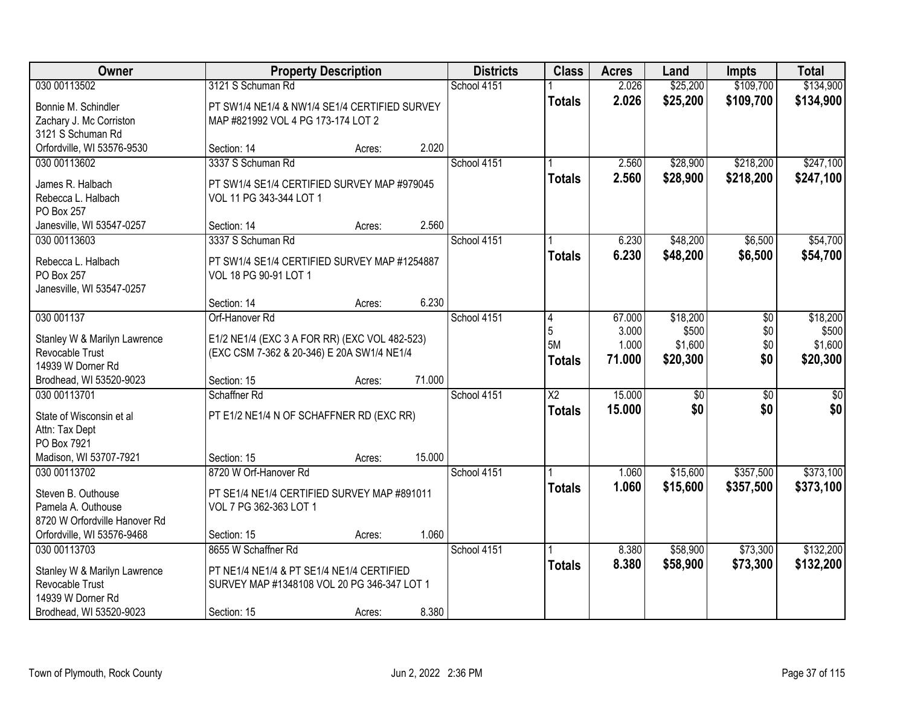| Owner                         |                                               | <b>Property Description</b> |        | <b>Districts</b> | <b>Class</b>    | <b>Acres</b> | Land            | <b>Impts</b>    | <b>Total</b> |
|-------------------------------|-----------------------------------------------|-----------------------------|--------|------------------|-----------------|--------------|-----------------|-----------------|--------------|
| 030 00113502                  | 3121 S Schuman Rd                             |                             |        | School 4151      |                 | 2.026        | \$25,200        | \$109,700       | \$134,900    |
| Bonnie M. Schindler           | PT SW1/4 NE1/4 & NW1/4 SE1/4 CERTIFIED SURVEY |                             |        |                  | <b>Totals</b>   | 2.026        | \$25,200        | \$109,700       | \$134,900    |
| Zachary J. Mc Corriston       | MAP #821992 VOL 4 PG 173-174 LOT 2            |                             |        |                  |                 |              |                 |                 |              |
| 3121 S Schuman Rd             |                                               |                             |        |                  |                 |              |                 |                 |              |
| Orfordville, WI 53576-9530    | Section: 14                                   | Acres:                      | 2.020  |                  |                 |              |                 |                 |              |
| 030 00113602                  | 3337 S Schuman Rd                             |                             |        | School 4151      |                 | 2.560        | \$28,900        | \$218,200       | \$247,100    |
| James R. Halbach              | PT SW1/4 SE1/4 CERTIFIED SURVEY MAP #979045   |                             |        |                  | <b>Totals</b>   | 2.560        | \$28,900        | \$218,200       | \$247,100    |
| Rebecca L. Halbach            | VOL 11 PG 343-344 LOT 1                       |                             |        |                  |                 |              |                 |                 |              |
| PO Box 257                    |                                               |                             |        |                  |                 |              |                 |                 |              |
| Janesville, WI 53547-0257     | Section: 14                                   | Acres:                      | 2.560  |                  |                 |              |                 |                 |              |
| 030 00113603                  | 3337 S Schuman Rd                             |                             |        | School 4151      |                 | 6.230        | \$48,200        | \$6,500         | \$54,700     |
| Rebecca L. Halbach            | PT SW1/4 SE1/4 CERTIFIED SURVEY MAP #1254887  |                             |        |                  | <b>Totals</b>   | 6.230        | \$48,200        | \$6,500         | \$54,700     |
| PO Box 257                    | VOL 18 PG 90-91 LOT 1                         |                             |        |                  |                 |              |                 |                 |              |
| Janesville, WI 53547-0257     |                                               |                             |        |                  |                 |              |                 |                 |              |
|                               | Section: 14                                   | Acres:                      | 6.230  |                  |                 |              |                 |                 |              |
| 030 001137                    | Orf-Hanover Rd                                |                             |        | School 4151      | 4               | 67.000       | \$18,200        | \$0             | \$18,200     |
| Stanley W & Marilyn Lawrence  | E1/2 NE1/4 (EXC 3 A FOR RR) (EXC VOL 482-523) |                             |        |                  | 5               | 3.000        | \$500           | \$0             | \$500        |
| Revocable Trust               | (EXC CSM 7-362 & 20-346) E 20A SW1/4 NE1/4    |                             |        |                  | <b>5M</b>       | 1.000        | \$1,600         | \$0             | \$1,600      |
| 14939 W Dorner Rd             |                                               |                             |        |                  | Totals          | 71.000       | \$20,300        | \$0             | \$20,300     |
| Brodhead, WI 53520-9023       | Section: 15                                   | Acres:                      | 71.000 |                  |                 |              |                 |                 |              |
| 030 00113701                  | Schaffner Rd                                  |                             |        | School 4151      | $\overline{X2}$ | 15.000       | $\overline{30}$ | $\overline{30}$ | \$0          |
| State of Wisconsin et al      | PT E1/2 NE1/4 N OF SCHAFFNER RD (EXC RR)      |                             |        |                  | <b>Totals</b>   | 15.000       | \$0             | \$0             | \$0          |
| Attn: Tax Dept                |                                               |                             |        |                  |                 |              |                 |                 |              |
| PO Box 7921                   |                                               |                             |        |                  |                 |              |                 |                 |              |
| Madison, WI 53707-7921        | Section: 15                                   | Acres:                      | 15.000 |                  |                 |              |                 |                 |              |
| 030 00113702                  | 8720 W Orf-Hanover Rd                         |                             |        | School 4151      |                 | 1.060        | \$15,600        | \$357,500       | \$373,100    |
| Steven B. Outhouse            | PT SE1/4 NE1/4 CERTIFIED SURVEY MAP #891011   |                             |        |                  | <b>Totals</b>   | 1.060        | \$15,600        | \$357,500       | \$373,100    |
| Pamela A. Outhouse            | VOL 7 PG 362-363 LOT 1                        |                             |        |                  |                 |              |                 |                 |              |
| 8720 W Orfordville Hanover Rd |                                               |                             |        |                  |                 |              |                 |                 |              |
| Orfordville, WI 53576-9468    | Section: 15                                   | Acres:                      | 1.060  |                  |                 |              |                 |                 |              |
| 030 00113703                  | 8655 W Schaffner Rd                           |                             |        | School 4151      |                 | 8.380        | \$58,900        | \$73,300        | \$132,200    |
| Stanley W & Marilyn Lawrence  | PT NE1/4 NE1/4 & PT SE1/4 NE1/4 CERTIFIED     |                             |        |                  | <b>Totals</b>   | 8.380        | \$58,900        | \$73,300        | \$132,200    |
| Revocable Trust               | SURVEY MAP #1348108 VOL 20 PG 346-347 LOT 1   |                             |        |                  |                 |              |                 |                 |              |
| 14939 W Dorner Rd             |                                               |                             |        |                  |                 |              |                 |                 |              |
| Brodhead, WI 53520-9023       | Section: 15                                   | Acres:                      | 8.380  |                  |                 |              |                 |                 |              |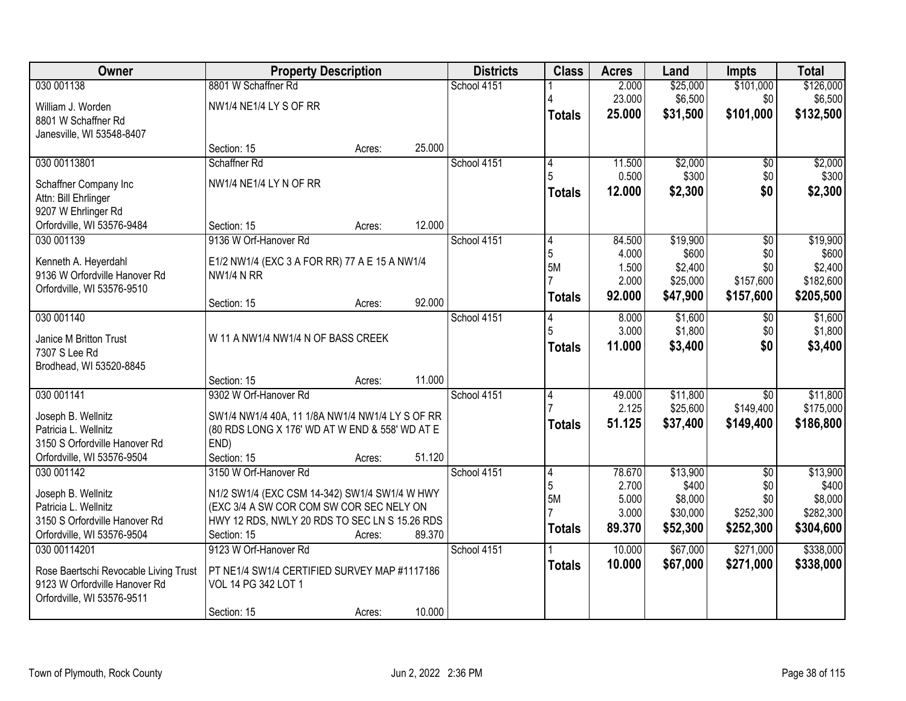| Owner                                                                  | <b>Property Description</b>                                                               |        |        | <b>Districts</b> | <b>Class</b>   | <b>Acres</b> | Land     | <b>Impts</b>    | <b>Total</b> |
|------------------------------------------------------------------------|-------------------------------------------------------------------------------------------|--------|--------|------------------|----------------|--------------|----------|-----------------|--------------|
| 030 001138                                                             | 8801 W Schaffner Rd                                                                       |        |        | School 4151      |                | 2.000        | \$25,000 | \$101,000       | \$126,000    |
| William J. Worden                                                      | NW1/4 NE1/4 LY S OF RR                                                                    |        |        |                  |                | 23.000       | \$6,500  | \$0             | \$6,500      |
| 8801 W Schaffner Rd                                                    |                                                                                           |        |        |                  | <b>Totals</b>  | 25.000       | \$31,500 | \$101,000       | \$132,500    |
| Janesville, WI 53548-8407                                              |                                                                                           |        |        |                  |                |              |          |                 |              |
|                                                                        | Section: 15                                                                               | Acres: | 25.000 |                  |                |              |          |                 |              |
| 030 00113801                                                           | Schaffner Rd                                                                              |        |        | School 4151      | 4              | 11.500       | \$2,000  | $\overline{50}$ | \$2,000      |
| Schaffner Company Inc                                                  | NW1/4 NE1/4 LY N OF RR                                                                    |        |        |                  | 5              | 0.500        | \$300    | \$0             | \$300        |
| Attn: Bill Ehrlinger                                                   |                                                                                           |        |        |                  | Totals         | 12.000       | \$2,300  | \$0             | \$2,300      |
| 9207 W Ehrlinger Rd                                                    |                                                                                           |        |        |                  |                |              |          |                 |              |
| Orfordville, WI 53576-9484                                             | Section: 15                                                                               | Acres: | 12.000 |                  |                |              |          |                 |              |
| 030 001139                                                             | 9136 W Orf-Hanover Rd                                                                     |        |        | School 4151      | 4              | 84.500       | \$19,900 | $\overline{50}$ | \$19,900     |
| Kenneth A. Heyerdahl                                                   | E1/2 NW1/4 (EXC 3 A FOR RR) 77 A E 15 A NW1/4                                             |        |        |                  | $\overline{5}$ | 4.000        | \$600    | \$0             | \$600        |
| 9136 W Orfordville Hanover Rd                                          | <b>NW1/4 N RR</b>                                                                         |        |        |                  | <b>5M</b>      | 1.500        | \$2,400  | \$0             | \$2,400      |
| Orfordville, WI 53576-9510                                             |                                                                                           |        |        |                  |                | 2.000        | \$25,000 | \$157,600       | \$182,600    |
|                                                                        | Section: 15                                                                               | Acres: | 92.000 |                  | Totals         | 92.000       | \$47,900 | \$157,600       | \$205,500    |
| 030 001140                                                             |                                                                                           |        |        | School 4151      | 4              | 8.000        | \$1,600  | \$0             | \$1,600      |
| Janice M Britton Trust                                                 | W 11 A NW1/4 NW1/4 N OF BASS CREEK                                                        |        |        |                  | 5              | 3.000        | \$1,800  | \$0             | \$1,800      |
| 7307 S Lee Rd                                                          |                                                                                           |        |        |                  | <b>Totals</b>  | 11.000       | \$3,400  | \$0             | \$3,400      |
| Brodhead, WI 53520-8845                                                |                                                                                           |        |        |                  |                |              |          |                 |              |
|                                                                        | Section: 15                                                                               | Acres: | 11.000 |                  |                |              |          |                 |              |
| 030 001141                                                             | 9302 W Orf-Hanover Rd                                                                     |        |        | School 4151      | 4              | 49.000       | \$11,800 | $\overline{30}$ | \$11,800     |
| Joseph B. Wellnitz                                                     | SW1/4 NW1/4 40A, 11 1/8A NW1/4 NW1/4 LY S OF RR                                           |        |        |                  |                | 2.125        | \$25,600 | \$149,400       | \$175,000    |
| Patricia L. Wellnitz                                                   | (80 RDS LONG X 176' WD AT W END & 558' WD AT E                                            |        |        |                  | <b>Totals</b>  | 51.125       | \$37,400 | \$149,400       | \$186,800    |
| 3150 S Orfordville Hanover Rd                                          | END)                                                                                      |        |        |                  |                |              |          |                 |              |
| Orfordville, WI 53576-9504                                             | Section: 15                                                                               | Acres: | 51.120 |                  |                |              |          |                 |              |
| 030 001142                                                             | 3150 W Orf-Hanover Rd                                                                     |        |        | School 4151      | 4              | 78.670       | \$13,900 | $\overline{50}$ | \$13,900     |
| Joseph B. Wellnitz                                                     |                                                                                           |        |        |                  | 5              | 2.700        | \$400    | \$0             | \$400        |
| Patricia L. Wellnitz                                                   | N1/2 SW1/4 (EXC CSM 14-342) SW1/4 SW1/4 W HWY<br>(EXC 3/4 A SW COR COM SW COR SEC NELY ON |        |        |                  | 5M             | 5.000        | \$8,000  | \$0             | \$8,000      |
| 3150 S Orfordville Hanover Rd                                          | HWY 12 RDS, NWLY 20 RDS TO SEC LN S 15.26 RDS                                             |        |        |                  |                | 3.000        | \$30,000 | \$252,300       | \$282,300    |
| Orfordville, WI 53576-9504                                             | Section: 15                                                                               | Acres: | 89.370 |                  | <b>Totals</b>  | 89.370       | \$52,300 | \$252,300       | \$304,600    |
| 030 00114201                                                           | 9123 W Orf-Hanover Rd                                                                     |        |        | School 4151      |                | 10.000       | \$67,000 | \$271,000       | \$338,000    |
|                                                                        |                                                                                           |        |        |                  | Totals         | 10.000       | \$67,000 | \$271,000       | \$338,000    |
| Rose Baertschi Revocable Living Trust<br>9123 W Orfordville Hanover Rd | PT NE1/4 SW1/4 CERTIFIED SURVEY MAP #1117186<br>VOL 14 PG 342 LOT 1                       |        |        |                  |                |              |          |                 |              |
| Orfordville, WI 53576-9511                                             |                                                                                           |        |        |                  |                |              |          |                 |              |
|                                                                        | Section: 15                                                                               | Acres: | 10.000 |                  |                |              |          |                 |              |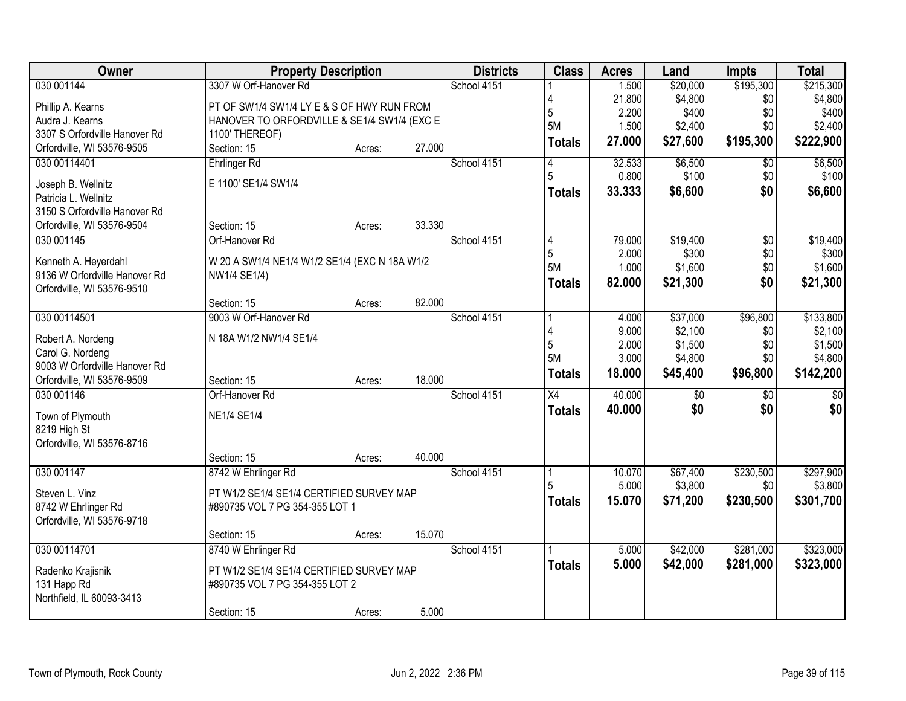| Owner                                                 | <b>Property Description</b>                   |        |        | <b>Districts</b> | <b>Class</b>    | <b>Acres</b>    | Land                | Impts            | <b>Total</b>         |
|-------------------------------------------------------|-----------------------------------------------|--------|--------|------------------|-----------------|-----------------|---------------------|------------------|----------------------|
| 030 001144                                            | 3307 W Orf-Hanover Rd                         |        |        | School 4151      |                 | 1.500           | \$20,000            | \$195,300        | \$215,300            |
| Phillip A. Kearns                                     | PT OF SW1/4 SW1/4 LY E & S OF HWY RUN FROM    |        |        |                  |                 | 21.800          | \$4,800             | \$0              | \$4,800              |
| Audra J. Kearns                                       | HANOVER TO ORFORDVILLE & SE1/4 SW1/4 (EXC E   |        |        |                  | 5               | 2.200           | \$400               | \$0              | \$400                |
| 3307 S Orfordville Hanover Rd                         | 1100' THEREOF)                                |        |        |                  | 5M              | 1.500           | \$2,400             | \$0              | \$2,400              |
| Orfordville, WI 53576-9505                            | Section: 15                                   | Acres: | 27.000 |                  | Totals          | 27.000          | \$27,600            | \$195,300        | \$222,900            |
| 030 00114401                                          | Ehrlinger Rd                                  |        |        | School 4151      | 4               | 32.533          | \$6,500             | $\overline{50}$  | \$6,500              |
|                                                       |                                               |        |        |                  | 5               | 0.800           | \$100               | \$0              | \$100                |
| Joseph B. Wellnitz                                    | E 1100' SE1/4 SW1/4                           |        |        |                  | Totals          | 33.333          | \$6,600             | \$0              | \$6,600              |
| Patricia L. Wellnitz<br>3150 S Orfordville Hanover Rd |                                               |        |        |                  |                 |                 |                     |                  |                      |
| Orfordville, WI 53576-9504                            | Section: 15                                   | Acres: | 33.330 |                  |                 |                 |                     |                  |                      |
| 030 001145                                            | Orf-Hanover Rd                                |        |        | School 4151      | 4               | 79.000          | \$19,400            | $\overline{50}$  | \$19,400             |
|                                                       |                                               |        |        |                  | $\overline{5}$  | 2.000           | \$300               | \$0              | \$300                |
| Kenneth A. Heyerdahl                                  | W 20 A SW1/4 NE1/4 W1/2 SE1/4 (EXC N 18A W1/2 |        |        |                  | 5M              | 1.000           | \$1,600             | \$0              | \$1,600              |
| 9136 W Orfordville Hanover Rd                         | NW1/4 SE1/4)                                  |        |        |                  | Totals          | 82.000          | \$21,300            | \$0              | \$21,300             |
| Orfordville, WI 53576-9510                            |                                               |        |        |                  |                 |                 |                     |                  |                      |
|                                                       | Section: 15                                   | Acres: | 82.000 |                  |                 |                 |                     |                  |                      |
| 030 00114501                                          | 9003 W Orf-Hanover Rd                         |        |        | School 4151      |                 | 4.000           | \$37,000            | \$96,800         | \$133,800            |
| Robert A. Nordeng                                     | N 18A W1/2 NW1/4 SE1/4                        |        |        |                  |                 | 9.000           | \$2,100             | \$0              | \$2,100              |
| Carol G. Nordeng                                      |                                               |        |        |                  | 5               | 2.000           | \$1,500             | \$0              | \$1,500              |
| 9003 W Orfordville Hanover Rd                         |                                               |        |        |                  | 5M              | 3.000           | \$4,800             | \$0              | \$4,800              |
| Orfordville, WI 53576-9509                            | Section: 15                                   | Acres: | 18.000 |                  | <b>Totals</b>   | 18.000          | \$45,400            | \$96,800         | \$142,200            |
| 030 001146                                            | Orf-Hanover Rd                                |        |        | School 4151      | $\overline{X4}$ | 40.000          | $\overline{30}$     | $\overline{30}$  | $\overline{50}$      |
|                                                       |                                               |        |        |                  | <b>Totals</b>   | 40.000          | \$0                 | \$0              | \$0                  |
| Town of Plymouth                                      | <b>NE1/4 SE1/4</b>                            |        |        |                  |                 |                 |                     |                  |                      |
| 8219 High St                                          |                                               |        |        |                  |                 |                 |                     |                  |                      |
| Orfordville, WI 53576-8716                            |                                               |        | 40.000 |                  |                 |                 |                     |                  |                      |
|                                                       | Section: 15                                   | Acres: |        |                  |                 |                 |                     |                  |                      |
| 030 001147                                            | 8742 W Ehrlinger Rd                           |        |        | School 4151      |                 | 10.070<br>5.000 | \$67,400<br>\$3,800 | \$230,500<br>\$0 | \$297,900<br>\$3,800 |
| Steven L. Vinz                                        | PT W1/2 SE1/4 SE1/4 CERTIFIED SURVEY MAP      |        |        |                  |                 |                 |                     |                  |                      |
| 8742 W Ehrlinger Rd                                   | #890735 VOL 7 PG 354-355 LOT 1                |        |        |                  | <b>Totals</b>   | 15.070          | \$71,200            | \$230,500        | \$301,700            |
| Orfordville, WI 53576-9718                            |                                               |        |        |                  |                 |                 |                     |                  |                      |
|                                                       | Section: 15                                   | Acres: | 15.070 |                  |                 |                 |                     |                  |                      |
| 030 00114701                                          | 8740 W Ehrlinger Rd                           |        |        | School 4151      |                 | 5.000           | \$42,000            | \$281,000        | \$323,000            |
| Radenko Krajisnik                                     | PT W1/2 SE1/4 SE1/4 CERTIFIED SURVEY MAP      |        |        |                  | <b>Totals</b>   | 5.000           | \$42,000            | \$281,000        | \$323,000            |
| 131 Happ Rd                                           | #890735 VOL 7 PG 354-355 LOT 2                |        |        |                  |                 |                 |                     |                  |                      |
| Northfield, IL 60093-3413                             |                                               |        |        |                  |                 |                 |                     |                  |                      |
|                                                       | Section: 15                                   | Acres: | 5.000  |                  |                 |                 |                     |                  |                      |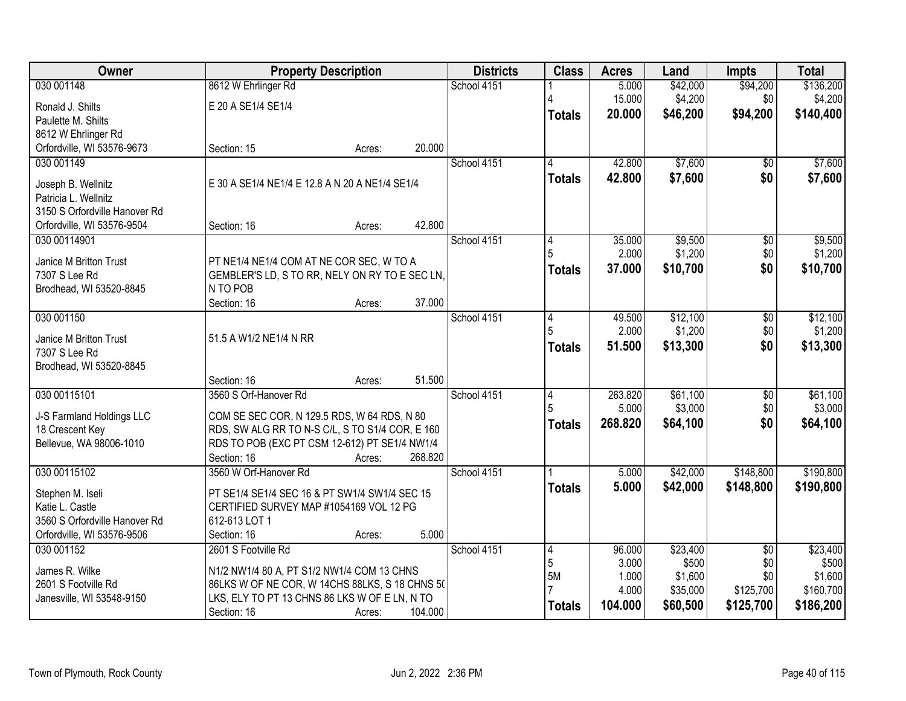| Owner                                   | <b>Property Description</b>                                |        |         | <b>Districts</b> | <b>Class</b>  | <b>Acres</b>   | Land             | <b>Impts</b>    | <b>Total</b>     |
|-----------------------------------------|------------------------------------------------------------|--------|---------|------------------|---------------|----------------|------------------|-----------------|------------------|
| 030 001148                              | 8612 W Ehrlinger Rd                                        |        |         | School 4151      |               | 5.000          | \$42,000         | \$94,200        | \$136,200        |
| Ronald J. Shilts                        | E 20 A SE1/4 SE1/4                                         |        |         |                  |               | 15.000         | \$4,200          | \$0             | \$4,200          |
| Paulette M. Shilts                      |                                                            |        |         |                  | <b>Totals</b> | 20.000         | \$46,200         | \$94,200        | \$140,400        |
| 8612 W Ehrlinger Rd                     |                                                            |        |         |                  |               |                |                  |                 |                  |
| Orfordville, WI 53576-9673              | Section: 15                                                | Acres: | 20.000  |                  |               |                |                  |                 |                  |
| 030 001149                              |                                                            |        |         | School 4151      | 4             | 42,800         | \$7,600          | $\overline{50}$ | \$7,600          |
| Joseph B. Wellnitz                      | E 30 A SE1/4 NE1/4 E 12.8 A N 20 A NE1/4 SE1/4             |        |         |                  | <b>Totals</b> | 42.800         | \$7,600          | \$0             | \$7,600          |
| Patricia L. Wellnitz                    |                                                            |        |         |                  |               |                |                  |                 |                  |
| 3150 S Orfordville Hanover Rd           |                                                            |        |         |                  |               |                |                  |                 |                  |
| Orfordville, WI 53576-9504              | Section: 16                                                | Acres: | 42.800  |                  |               |                |                  |                 |                  |
| 030 00114901                            |                                                            |        |         | School 4151      |               | 35.000         | \$9,500          | \$0             | \$9,500          |
|                                         |                                                            |        |         |                  |               | 2.000          | \$1,200          | \$0             | \$1,200          |
| Janice M Britton Trust<br>7307 S Lee Rd | PT NE1/4 NE1/4 COM AT NE COR SEC, W TO A                   |        |         |                  | <b>Totals</b> | 37,000         | \$10,700         | \$0             | \$10,700         |
| Brodhead, WI 53520-8845                 | GEMBLER'S LD, S TO RR, NELY ON RY TO E SEC LN,<br>N TO POB |        |         |                  |               |                |                  |                 |                  |
|                                         | Section: 16                                                | Acres: | 37.000  |                  |               |                |                  |                 |                  |
| 030 001150                              |                                                            |        |         | School 4151      | 4             | 49.500         | \$12,100         | \$0             | \$12,100         |
|                                         |                                                            |        |         |                  | 5             | 2.000          | \$1,200          | \$0             | \$1,200          |
| Janice M Britton Trust                  | 51.5 A W1/2 NE1/4 N RR                                     |        |         |                  | <b>Totals</b> | 51.500         | \$13,300         | \$0             | \$13,300         |
| 7307 S Lee Rd                           |                                                            |        |         |                  |               |                |                  |                 |                  |
| Brodhead, WI 53520-8845                 | Section: 16                                                | Acres: | 51.500  |                  |               |                |                  |                 |                  |
| 030 00115101                            | 3560 S Orf-Hanover Rd                                      |        |         | School 4151      | 4             | 263.820        | \$61,100         | $\overline{50}$ | \$61,100         |
|                                         |                                                            |        |         |                  | 5             | 5.000          | \$3,000          | \$0             | \$3,000          |
| J-S Farmland Holdings LLC               | COM SE SEC COR, N 129.5 RDS, W 64 RDS, N 80                |        |         |                  | <b>Totals</b> | 268.820        | \$64,100         | \$0             | \$64,100         |
| 18 Crescent Key                         | RDS, SW ALG RR TO N-S C/L, S TO S1/4 COR, E 160            |        |         |                  |               |                |                  |                 |                  |
| Bellevue, WA 98006-1010                 | RDS TO POB (EXC PT CSM 12-612) PT SE1/4 NW1/4              |        |         |                  |               |                |                  |                 |                  |
|                                         | Section: 16<br>3560 W Orf-Hanover Rd                       | Acres: | 268.820 |                  |               |                |                  |                 |                  |
| 030 00115102                            |                                                            |        |         | School 4151      |               | 5.000          | \$42,000         | \$148,800       | \$190,800        |
| Stephen M. Iseli                        | PT SE1/4 SE1/4 SEC 16 & PT SW1/4 SW1/4 SEC 15              |        |         |                  | <b>Totals</b> | 5.000          | \$42,000         | \$148,800       | \$190,800        |
| Katie L. Castle                         | CERTIFIED SURVEY MAP #1054169 VOL 12 PG                    |        |         |                  |               |                |                  |                 |                  |
| 3560 S Orfordville Hanover Rd           | 612-613 LOT 1                                              |        |         |                  |               |                |                  |                 |                  |
| Orfordville, WI 53576-9506              | Section: 16                                                | Acres: | 5.000   |                  |               |                |                  |                 |                  |
| 030 001152                              | 2601 S Footville Rd                                        |        |         | School 4151      | 4             | 96.000         | \$23,400         | $\overline{50}$ | \$23,400         |
| James R. Wilke                          | N1/2 NW1/4 80 A, PT S1/2 NW1/4 COM 13 CHNS                 |        |         |                  | 5<br>5M       | 3.000<br>1.000 | \$500<br>\$1,600 | \$0<br>\$0      | \$500<br>\$1,600 |
| 2601 S Footville Rd                     | 86LKS W OF NE COR, W 14CHS 88LKS, S 18 CHNS 50             |        |         |                  |               | 4.000          | \$35,000         | \$125,700       | \$160,700        |
| Janesville, WI 53548-9150               | LKS, ELY TO PT 13 CHNS 86 LKS W OF E LN, N TO              |        |         |                  | <b>Totals</b> | 104.000        | \$60,500         | \$125,700       | \$186,200        |
|                                         | Section: 16                                                | Acres: | 104.000 |                  |               |                |                  |                 |                  |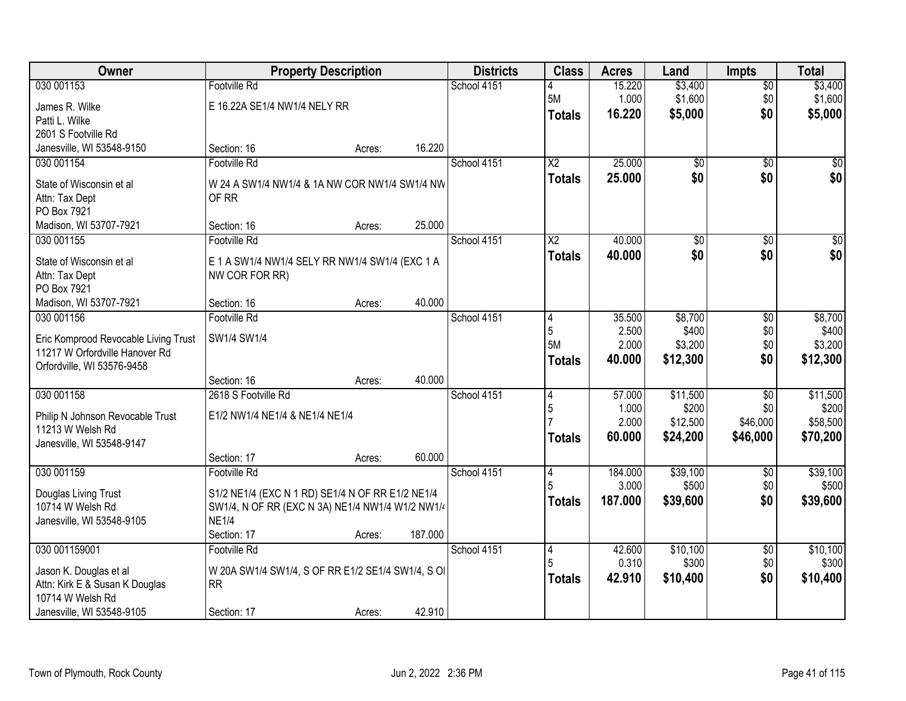| Owner                                 |                                                   | <b>Property Description</b> |         | <b>Districts</b> | <b>Class</b>           | <b>Acres</b>     | Land              | <b>Impts</b>    | <b>Total</b>      |
|---------------------------------------|---------------------------------------------------|-----------------------------|---------|------------------|------------------------|------------------|-------------------|-----------------|-------------------|
| 030 001153                            | <b>Footville Rd</b>                               |                             |         | School 4151      |                        | 15.220           | \$3,400           | $\overline{50}$ | \$3,400           |
| James R. Wilke                        | E 16.22A SE1/4 NW1/4 NELY RR                      |                             |         |                  | 5M                     | 1.000            | \$1,600           | \$0             | \$1,600           |
| Patti L. Wilke                        |                                                   |                             |         |                  | <b>Totals</b>          | 16.220           | \$5,000           | \$0             | \$5,000           |
| 2601 S Footville Rd                   |                                                   |                             |         |                  |                        |                  |                   |                 |                   |
| Janesville, WI 53548-9150             | Section: 16                                       | Acres:                      | 16.220  |                  |                        |                  |                   |                 |                   |
| 030 001154                            | Footville Rd                                      |                             |         | School 4151      | $\overline{\text{X2}}$ | 25.000           | $\overline{50}$   | $\overline{50}$ | \$0               |
|                                       |                                                   |                             |         |                  | <b>Totals</b>          | 25.000           | \$0               | \$0             | \$0               |
| State of Wisconsin et al              | W 24 A SW1/4 NW1/4 & 1A NW COR NW1/4 SW1/4 NW     |                             |         |                  |                        |                  |                   |                 |                   |
| Attn: Tax Dept                        | OF RR                                             |                             |         |                  |                        |                  |                   |                 |                   |
| PO Box 7921<br>Madison, WI 53707-7921 | Section: 16                                       |                             | 25.000  |                  |                        |                  |                   |                 |                   |
| 030 001155                            | <b>Footville Rd</b>                               | Acres:                      |         | School 4151      | $\overline{\text{X2}}$ | 40.000           | $\overline{50}$   | \$0             | $\overline{\$0}$  |
|                                       |                                                   |                             |         |                  |                        |                  |                   |                 |                   |
| State of Wisconsin et al              | E 1 A SW1/4 NW1/4 SELY RR NW1/4 SW1/4 (EXC 1 A    |                             |         |                  | <b>Totals</b>          | 40.000           | \$0               | \$0             | \$0               |
| Attn: Tax Dept                        | NW COR FOR RR)                                    |                             |         |                  |                        |                  |                   |                 |                   |
| PO Box 7921                           |                                                   |                             |         |                  |                        |                  |                   |                 |                   |
| Madison, WI 53707-7921                | Section: 16                                       | Acres:                      | 40.000  |                  |                        |                  |                   |                 |                   |
| 030 001156                            | <b>Footville Rd</b>                               |                             |         | School 4151      | 14                     | 35.500           | \$8,700           | \$0             | \$8,700           |
| Eric Komprood Revocable Living Trust  | SW1/4 SW1/4                                       |                             |         |                  | 5                      | 2.500            | \$400             | \$0             | \$400             |
| 11217 W Orfordville Hanover Rd        |                                                   |                             |         |                  | 5M                     | 2.000            | \$3,200           | \$0             | \$3,200           |
| Orfordville, WI 53576-9458            |                                                   |                             |         |                  | <b>Totals</b>          | 40.000           | \$12,300          | \$0             | \$12,300          |
|                                       | Section: 16                                       | Acres:                      | 40.000  |                  |                        |                  |                   |                 |                   |
| 030 001158                            | 2618 S Footville Rd                               |                             |         | School 4151      | 4                      | 57.000           | \$11,500          | $\overline{30}$ | \$11,500          |
|                                       |                                                   |                             |         |                  | 5                      | 1.000            | \$200             | \$0             | \$200             |
| Philip N Johnson Revocable Trust      | E1/2 NW1/4 NE1/4 & NE1/4 NE1/4                    |                             |         |                  |                        | 2.000            | \$12,500          | \$46,000        | \$58,500          |
| 11213 W Welsh Rd                      |                                                   |                             |         |                  | <b>Totals</b>          | 60.000           | \$24,200          | \$46,000        | \$70,200          |
| Janesville, WI 53548-9147             |                                                   |                             |         |                  |                        |                  |                   |                 |                   |
|                                       | Section: 17                                       | Acres:                      | 60.000  |                  |                        |                  |                   |                 |                   |
| 030 001159                            | <b>Footville Rd</b>                               |                             |         | School 4151      | 14<br>5                | 184.000<br>3.000 | \$39,100<br>\$500 | \$0             | \$39,100<br>\$500 |
| Douglas Living Trust                  | S1/2 NE1/4 (EXC N 1 RD) SE1/4 N OF RR E1/2 NE1/4  |                             |         |                  |                        |                  |                   | \$0             |                   |
| 10714 W Welsh Rd                      | SW1/4, N OF RR (EXC N 3A) NE1/4 NW1/4 W1/2 NW1/4  |                             |         |                  | <b>Totals</b>          | 187.000          | \$39,600          | \$0             | \$39,600          |
| Janesville, WI 53548-9105             | <b>NE1/4</b>                                      |                             |         |                  |                        |                  |                   |                 |                   |
|                                       | Section: 17                                       | Acres:                      | 187.000 |                  |                        |                  |                   |                 |                   |
| 030 001159001                         | Footville Rd                                      |                             |         | School 4151      | 14                     | 42.600           | \$10,100          | $\overline{50}$ | \$10,100          |
| Jason K. Douglas et al                | W 20A SW1/4 SW1/4, S OF RR E1/2 SE1/4 SW1/4, S OI |                             |         |                  |                        | 0.310            | \$300             | \$0             | \$300             |
| Attn: Kirk E & Susan K Douglas        | <b>RR</b>                                         |                             |         |                  | <b>Totals</b>          | 42.910           | \$10,400          | \$0             | \$10,400          |
| 10714 W Welsh Rd                      |                                                   |                             |         |                  |                        |                  |                   |                 |                   |
| Janesville, WI 53548-9105             | Section: 17                                       | Acres:                      | 42.910  |                  |                        |                  |                   |                 |                   |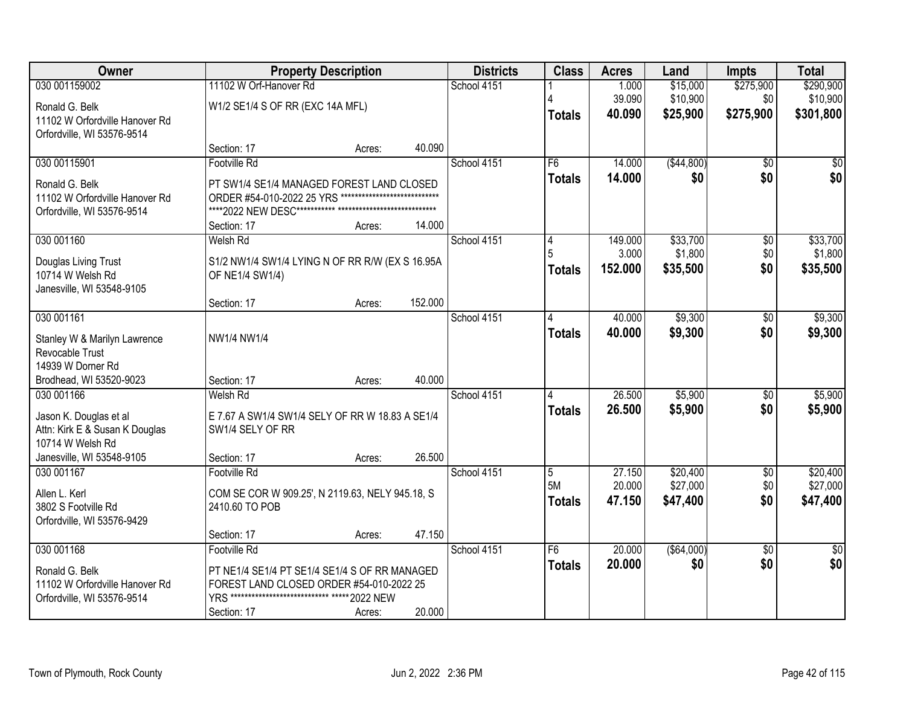| Owner                                                        |                                                                                                      | <b>Property Description</b> |         | <b>Districts</b> | <b>Class</b>    | <b>Acres</b> | Land         | <b>Impts</b>           | <b>Total</b>           |
|--------------------------------------------------------------|------------------------------------------------------------------------------------------------------|-----------------------------|---------|------------------|-----------------|--------------|--------------|------------------------|------------------------|
| 030 001159002                                                | 11102 W Orf-Hanover Rd                                                                               |                             |         | School 4151      |                 | 1.000        | \$15,000     | \$275,900              | \$290,900              |
| Ronald G. Belk                                               | W1/2 SE1/4 S OF RR (EXC 14A MFL)                                                                     |                             |         |                  |                 | 39.090       | \$10,900     | \$0                    | \$10,900               |
| 11102 W Orfordville Hanover Rd                               |                                                                                                      |                             |         |                  | <b>Totals</b>   | 40.090       | \$25,900     | \$275,900              | \$301,800              |
| Orfordville, WI 53576-9514                                   |                                                                                                      |                             | 40.090  |                  |                 |              |              |                        |                        |
| 030 00115901                                                 | Section: 17<br>Footville Rd                                                                          | Acres:                      |         | School 4151      | F6              | 14.000       | ( \$44, 800) | $\overline{50}$        | \$0                    |
|                                                              |                                                                                                      |                             |         |                  | <b>Totals</b>   | 14.000       | \$0          | \$0                    | \$0                    |
| Ronald G. Belk                                               | PT SW1/4 SE1/4 MANAGED FOREST LAND CLOSED<br>ORDER #54-010-2022 25 YRS ***************************** |                             |         |                  |                 |              |              |                        |                        |
| 11102 W Orfordville Hanover Rd<br>Orfordville, WI 53576-9514 |                                                                                                      |                             |         |                  |                 |              |              |                        |                        |
|                                                              | Section: 17                                                                                          | Acres:                      | 14.000  |                  |                 |              |              |                        |                        |
| 030 001160                                                   | <b>Welsh Rd</b>                                                                                      |                             |         | School 4151      | 4               | 149.000      | \$33,700     | $\overline{50}$        | \$33,700               |
| Douglas Living Trust                                         | S1/2 NW1/4 SW1/4 LYING N OF RR R/W (EX S 16.95A                                                      |                             |         |                  |                 | 3.000        | \$1,800      | \$0                    | \$1,800                |
| 10714 W Welsh Rd                                             | OF NE1/4 SW1/4)                                                                                      |                             |         |                  | <b>Totals</b>   | 152.000      | \$35,500     | \$0                    | \$35,500               |
| Janesville, WI 53548-9105                                    |                                                                                                      |                             |         |                  |                 |              |              |                        |                        |
|                                                              | Section: 17                                                                                          | Acres:                      | 152.000 |                  |                 |              |              |                        |                        |
| 030 001161                                                   |                                                                                                      |                             |         | School 4151      | 4               | 40.000       | \$9,300      | \$0                    | \$9,300                |
| Stanley W & Marilyn Lawrence                                 | NW1/4 NW1/4                                                                                          |                             |         |                  | <b>Totals</b>   | 40.000       | \$9,300      | \$0                    | \$9,300                |
| Revocable Trust                                              |                                                                                                      |                             |         |                  |                 |              |              |                        |                        |
| 14939 W Dorner Rd<br>Brodhead, WI 53520-9023                 | Section: 17                                                                                          | Acres:                      | 40.000  |                  |                 |              |              |                        |                        |
| 030 001166                                                   | Welsh Rd                                                                                             |                             |         | School 4151      |                 | 26.500       | \$5,900      | $\overline{50}$        | \$5,900                |
|                                                              |                                                                                                      |                             |         |                  | <b>Totals</b>   | 26.500       | \$5,900      | \$0                    | \$5,900                |
| Jason K. Douglas et al<br>Attn: Kirk E & Susan K Douglas     | E 7.67 A SW1/4 SW1/4 SELY OF RR W 18.83 A SE1/4<br>SW1/4 SELY OF RR                                  |                             |         |                  |                 |              |              |                        |                        |
| 10714 W Welsh Rd                                             |                                                                                                      |                             |         |                  |                 |              |              |                        |                        |
| Janesville, WI 53548-9105                                    | Section: 17                                                                                          | Acres:                      | 26.500  |                  |                 |              |              |                        |                        |
| 030 001167                                                   | Footville Rd                                                                                         |                             |         | School 4151      | $\overline{5}$  | 27.150       | \$20,400     | $\sqrt{6}$             | \$20,400               |
| Allen L. Kerl                                                | COM SE COR W 909.25', N 2119.63, NELY 945.18, S                                                      |                             |         |                  | 5M              | 20.000       | \$27,000     | \$0                    | \$27,000               |
| 3802 S Footville Rd                                          | 2410.60 TO POB                                                                                       |                             |         |                  | <b>Totals</b>   | 47.150       | \$47,400     | \$0                    | \$47,400               |
| Orfordville, WI 53576-9429                                   |                                                                                                      |                             |         |                  |                 |              |              |                        |                        |
| 030 001168                                                   | Section: 17<br><b>Footville Rd</b>                                                                   | Acres:                      | 47.150  | School 4151      | $\overline{F6}$ | 20.000       | ( \$64,000)  |                        |                        |
|                                                              |                                                                                                      |                             |         |                  | <b>Totals</b>   | 20.000       | \$0          | $\overline{50}$<br>\$0 | $\overline{50}$<br>\$0 |
| Ronald G. Belk                                               | PT NE1/4 SE1/4 PT SE1/4 SE1/4 S OF RR MANAGED                                                        |                             |         |                  |                 |              |              |                        |                        |
| 11102 W Orfordville Hanover Rd<br>Orfordville, WI 53576-9514 | FOREST LAND CLOSED ORDER #54-010-2022 25<br>YRS **************************** ***** 2022 NEW          |                             |         |                  |                 |              |              |                        |                        |
|                                                              | Section: 17                                                                                          | Acres:                      | 20.000  |                  |                 |              |              |                        |                        |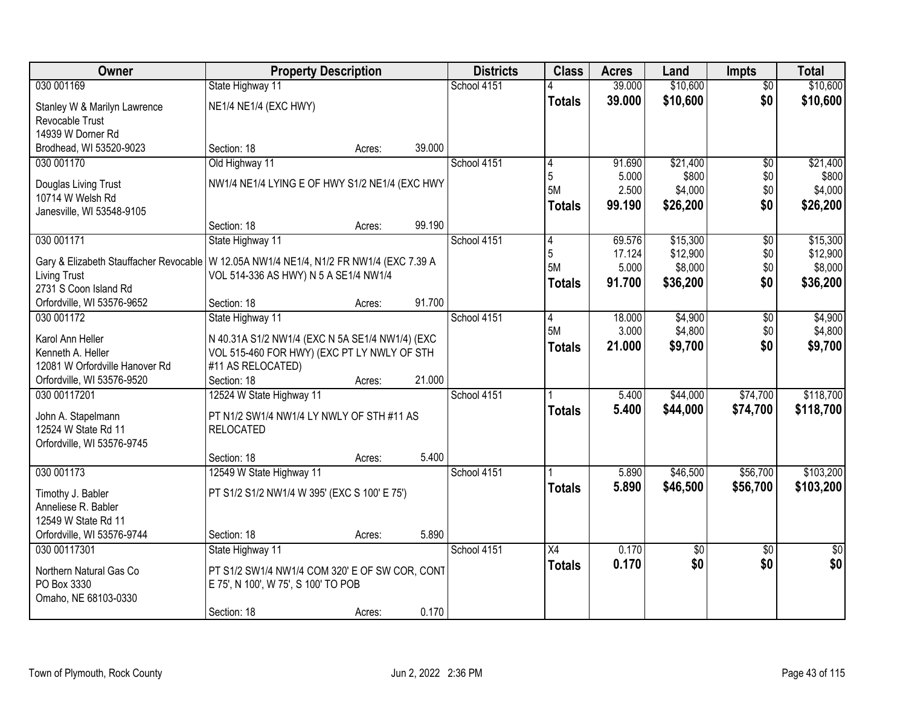| Owner                                                                                    | <b>Property Description</b>                     |        |        | <b>Districts</b> | <b>Class</b>  | <b>Acres</b> | Land            | <b>Impts</b>    | <b>Total</b>    |
|------------------------------------------------------------------------------------------|-------------------------------------------------|--------|--------|------------------|---------------|--------------|-----------------|-----------------|-----------------|
| 030 001169                                                                               | State Highway 11                                |        |        | School 4151      |               | 39.000       | \$10,600        | $\overline{50}$ | \$10,600        |
| Stanley W & Marilyn Lawrence                                                             | NE1/4 NE1/4 (EXC HWY)                           |        |        |                  | <b>Totals</b> | 39.000       | \$10,600        | \$0             | \$10,600        |
| Revocable Trust                                                                          |                                                 |        |        |                  |               |              |                 |                 |                 |
| 14939 W Dorner Rd                                                                        |                                                 |        |        |                  |               |              |                 |                 |                 |
| Brodhead, WI 53520-9023                                                                  | Section: 18                                     | Acres: | 39.000 |                  |               |              |                 |                 |                 |
| 030 001170                                                                               | Old Highway 11                                  |        |        | School 4151      | 4             | 91.690       | \$21,400        | $\overline{50}$ | \$21,400        |
| Douglas Living Trust                                                                     | NW1/4 NE1/4 LYING E OF HWY S1/2 NE1/4 (EXC HWY  |        |        |                  | 5             | 5.000        | \$800           | \$0             | \$800           |
| 10714 W Welsh Rd                                                                         |                                                 |        |        |                  | <b>5M</b>     | 2.500        | \$4,000         | \$0             | \$4,000         |
| Janesville, WI 53548-9105                                                                |                                                 |        |        |                  | <b>Totals</b> | 99.190       | \$26,200        | \$0             | \$26,200        |
|                                                                                          | Section: 18                                     | Acres: | 99.190 |                  |               |              |                 |                 |                 |
| 030 001171                                                                               | State Highway 11                                |        |        | School 4151      | 4             | 69.576       | \$15,300        | \$0             | \$15,300        |
| Gary & Elizabeth Stauffacher Revocable   W 12.05A NW1/4 NE1/4, N1/2 FR NW1/4 (EXC 7.39 A |                                                 |        |        |                  | 5             | 17.124       | \$12,900        | \$0             | \$12,900        |
| <b>Living Trust</b>                                                                      | VOL 514-336 AS HWY) N 5 A SE1/4 NW1/4           |        |        |                  | 5M            | 5.000        | \$8,000         | \$0             | \$8,000         |
| 2731 S Coon Island Rd                                                                    |                                                 |        |        |                  | Totals        | 91.700       | \$36,200        | \$0             | \$36,200        |
| Orfordville, WI 53576-9652                                                               | Section: 18                                     | Acres: | 91.700 |                  |               |              |                 |                 |                 |
| 030 001172                                                                               | State Highway 11                                |        |        | School 4151      | 4             | 18.000       | \$4,900         | \$0             | \$4,900         |
| Karol Ann Heller                                                                         | N 40.31A S1/2 NW1/4 (EXC N 5A SE1/4 NW1/4) (EXC |        |        |                  | 5M            | 3.000        | \$4,800         | \$0             | \$4,800         |
| Kenneth A. Heller                                                                        | VOL 515-460 FOR HWY) (EXC PT LY NWLY OF STH     |        |        |                  | <b>Totals</b> | 21.000       | \$9,700         | \$0             | \$9,700         |
| 12081 W Orfordville Hanover Rd                                                           | #11 AS RELOCATED)                               |        |        |                  |               |              |                 |                 |                 |
| Orfordville, WI 53576-9520                                                               | Section: 18                                     | Acres: | 21.000 |                  |               |              |                 |                 |                 |
| 030 00117201                                                                             | 12524 W State Highway 11                        |        |        | School 4151      |               | 5.400        | \$44,000        | \$74,700        | \$118,700       |
| John A. Stapelmann                                                                       | PT N1/2 SW1/4 NW1/4 LY NWLY OF STH #11 AS       |        |        |                  | <b>Totals</b> | 5.400        | \$44,000        | \$74,700        | \$118,700       |
| 12524 W State Rd 11                                                                      | <b>RELOCATED</b>                                |        |        |                  |               |              |                 |                 |                 |
| Orfordville, WI 53576-9745                                                               |                                                 |        |        |                  |               |              |                 |                 |                 |
|                                                                                          | Section: 18                                     | Acres: | 5.400  |                  |               |              |                 |                 |                 |
| 030 001173                                                                               | 12549 W State Highway 11                        |        |        | School 4151      |               | 5.890        | \$46,500        | \$56,700        | \$103,200       |
| Timothy J. Babler                                                                        | PT S1/2 S1/2 NW1/4 W 395' (EXC S 100' E 75')    |        |        |                  | <b>Totals</b> | 5.890        | \$46,500        | \$56,700        | \$103,200       |
| Anneliese R. Babler                                                                      |                                                 |        |        |                  |               |              |                 |                 |                 |
| 12549 W State Rd 11                                                                      |                                                 |        |        |                  |               |              |                 |                 |                 |
| Orfordville, WI 53576-9744                                                               | Section: 18                                     | Acres: | 5.890  |                  |               |              |                 |                 |                 |
| 030 00117301                                                                             | State Highway 11                                |        |        | School 4151      | X4            | 0.170        | $\overline{50}$ | $\overline{30}$ | $\overline{50}$ |
| Northern Natural Gas Co                                                                  | PT S1/2 SW1/4 NW1/4 COM 320' E OF SW COR, CONT  |        |        |                  | <b>Totals</b> | 0.170        | \$0             | \$0             | \$0             |
| PO Box 3330                                                                              | E 75', N 100', W 75', S 100' TO POB             |        |        |                  |               |              |                 |                 |                 |
| Omaho, NE 68103-0330                                                                     |                                                 |        |        |                  |               |              |                 |                 |                 |
|                                                                                          | Section: 18                                     | Acres: | 0.170  |                  |               |              |                 |                 |                 |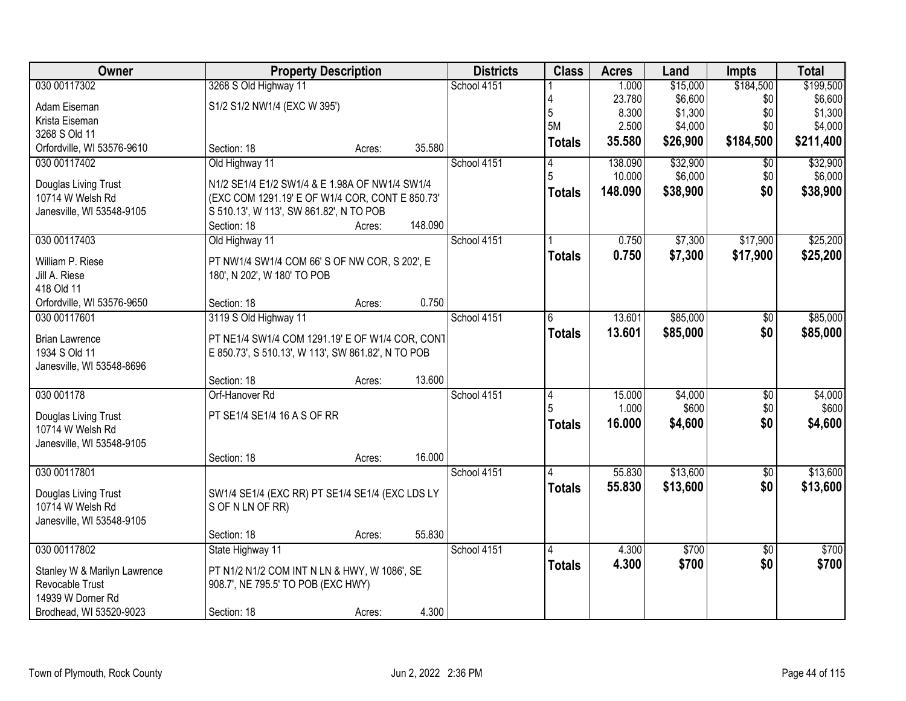| Owner                        |                                                    | <b>Property Description</b> |         | <b>Districts</b> | <b>Class</b>  | <b>Acres</b> | Land     | <b>Impts</b>    | <b>Total</b> |
|------------------------------|----------------------------------------------------|-----------------------------|---------|------------------|---------------|--------------|----------|-----------------|--------------|
| 030 00117302                 | 3268 S Old Highway 11                              |                             |         | School 4151      |               | 1.000        | \$15,000 | \$184,500       | \$199,500    |
| Adam Eiseman                 | S1/2 S1/2 NW1/4 (EXC W 395')                       |                             |         |                  |               | 23.780       | \$6,600  | \$0             | \$6,600      |
| Krista Eiseman               |                                                    |                             |         |                  | 5             | 8.300        | \$1,300  | \$0             | \$1,300      |
| 3268 S Old 11                |                                                    |                             |         |                  | 5M            | 2.500        | \$4,000  | \$0             | \$4,000      |
| Orfordville, WI 53576-9610   | Section: 18                                        | Acres:                      | 35.580  |                  | <b>Totals</b> | 35.580       | \$26,900 | \$184,500       | \$211,400    |
| 030 00117402                 | Old Highway 11                                     |                             |         | School 4151      | 4             | 138.090      | \$32,900 | $\overline{50}$ | \$32,900     |
| Douglas Living Trust         | N1/2 SE1/4 E1/2 SW1/4 & E 1.98A OF NW1/4 SW1/4     |                             |         |                  | 5             | 10.000       | \$6,000  | \$0             | \$6,000      |
| 10714 W Welsh Rd             | (EXC COM 1291.19' E OF W1/4 COR, CONT E 850.73'    |                             |         |                  | <b>Totals</b> | 148.090      | \$38,900 | \$0             | \$38,900     |
| Janesville, WI 53548-9105    | S 510.13', W 113', SW 861.82', N TO POB            |                             |         |                  |               |              |          |                 |              |
|                              | Section: 18                                        | Acres:                      | 148.090 |                  |               |              |          |                 |              |
| 030 00117403                 | Old Highway 11                                     |                             |         | School 4151      |               | 0.750        | \$7,300  | \$17,900        | \$25,200     |
| William P. Riese             | PT NW1/4 SW1/4 COM 66' S OF NW COR, S 202', E      |                             |         |                  | <b>Totals</b> | 0.750        | \$7,300  | \$17,900        | \$25,200     |
| Jill A. Riese                | 180', N 202', W 180' TO POB                        |                             |         |                  |               |              |          |                 |              |
| 418 Old 11                   |                                                    |                             |         |                  |               |              |          |                 |              |
| Orfordville, WI 53576-9650   | Section: 18                                        | Acres:                      | 0.750   |                  |               |              |          |                 |              |
| 030 00117601                 | 3119 S Old Highway 11                              |                             |         | School 4151      | 6             | 13.601       | \$85,000 | \$0             | \$85,000     |
| <b>Brian Lawrence</b>        | PT NE1/4 SW1/4 COM 1291.19' E OF W1/4 COR, CON1    |                             |         |                  | <b>Totals</b> | 13.601       | \$85,000 | \$0             | \$85,000     |
| 1934 S Old 11                | E 850.73', S 510.13', W 113', SW 861.82', N TO POB |                             |         |                  |               |              |          |                 |              |
| Janesville, WI 53548-8696    |                                                    |                             |         |                  |               |              |          |                 |              |
|                              | Section: 18                                        | Acres:                      | 13.600  |                  |               |              |          |                 |              |
| 030 001178                   | Orf-Hanover Rd                                     |                             |         | School 4151      | 4             | 15.000       | \$4,000  | $\overline{50}$ | \$4,000      |
| Douglas Living Trust         | PT SE1/4 SE1/4 16 A S OF RR                        |                             |         |                  |               | 1.000        | \$600    | \$0             | \$600        |
| 10714 W Welsh Rd             |                                                    |                             |         |                  | <b>Totals</b> | 16.000       | \$4,600  | \$0             | \$4,600      |
| Janesville, WI 53548-9105    |                                                    |                             |         |                  |               |              |          |                 |              |
|                              | Section: 18                                        | Acres:                      | 16.000  |                  |               |              |          |                 |              |
| 030 00117801                 |                                                    |                             |         | School 4151      |               | 55.830       | \$13,600 | $\sqrt{6}$      | \$13,600     |
| Douglas Living Trust         | SW1/4 SE1/4 (EXC RR) PT SE1/4 SE1/4 (EXC LDS LY    |                             |         |                  | <b>Totals</b> | 55.830       | \$13,600 | \$0             | \$13,600     |
| 10714 W Welsh Rd             | S OF N LN OF RR)                                   |                             |         |                  |               |              |          |                 |              |
| Janesville, WI 53548-9105    |                                                    |                             |         |                  |               |              |          |                 |              |
|                              | Section: 18                                        | Acres:                      | 55.830  |                  |               |              |          |                 |              |
| 030 00117802                 | State Highway 11                                   |                             |         | School 4151      | 4             | 4.300        | \$700    | $\overline{50}$ | \$700        |
| Stanley W & Marilyn Lawrence | PT N1/2 N1/2 COM INT N LN & HWY, W 1086', SE       |                             |         |                  | <b>Totals</b> | 4.300        | \$700    | \$0             | \$700        |
| Revocable Trust              | 908.7', NE 795.5' TO POB (EXC HWY)                 |                             |         |                  |               |              |          |                 |              |
| 14939 W Dorner Rd            |                                                    |                             |         |                  |               |              |          |                 |              |
| Brodhead, WI 53520-9023      | Section: 18                                        | Acres:                      | 4.300   |                  |               |              |          |                 |              |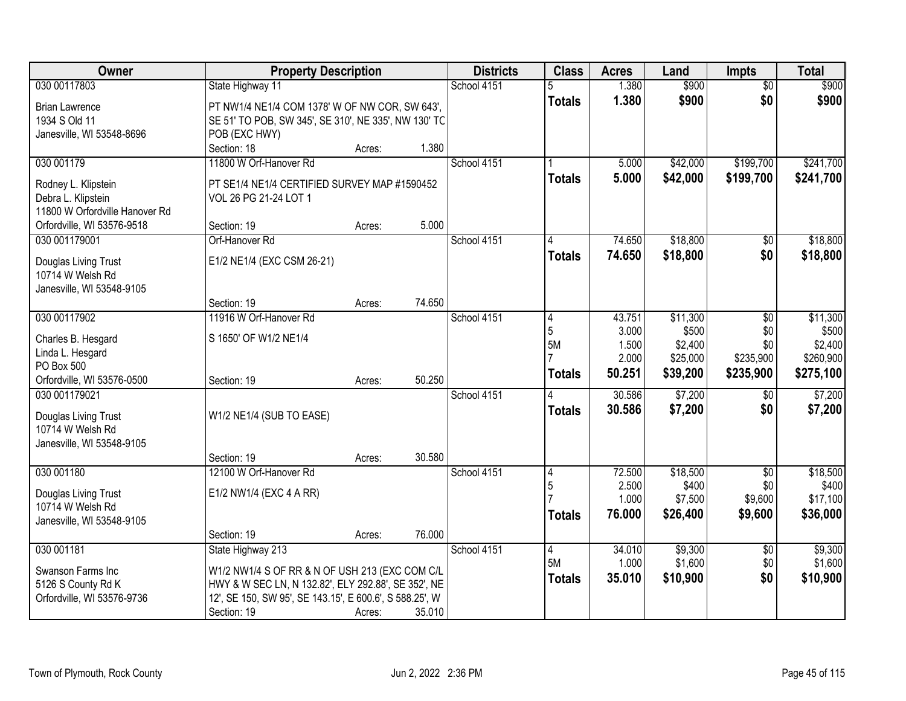| Owner                                     | <b>Property Description</b>                                           |        |        | <b>Districts</b> | <b>Class</b>  | <b>Acres</b>    | Land               | <b>Impts</b>    | <b>Total</b>       |
|-------------------------------------------|-----------------------------------------------------------------------|--------|--------|------------------|---------------|-----------------|--------------------|-----------------|--------------------|
| 030 00117803                              | State Highway 11                                                      |        |        | School 4151      |               | 1.380           | \$900              | $\overline{50}$ | \$900              |
| <b>Brian Lawrence</b>                     | PT NW1/4 NE1/4 COM 1378' W OF NW COR, SW 643',                        |        |        |                  | <b>Totals</b> | 1.380           | \$900              | \$0             | \$900              |
| 1934 S Old 11                             | SE 51' TO POB, SW 345', SE 310', NE 335', NW 130' TC                  |        |        |                  |               |                 |                    |                 |                    |
| Janesville, WI 53548-8696                 | POB (EXC HWY)                                                         |        |        |                  |               |                 |                    |                 |                    |
|                                           | Section: 18                                                           | Acres: | 1.380  |                  |               |                 |                    |                 |                    |
| 030 001179                                | 11800 W Orf-Hanover Rd                                                |        |        | School 4151      |               | 5.000           | \$42,000           | \$199,700       | \$241,700          |
|                                           |                                                                       |        |        |                  | <b>Totals</b> | 5.000           | \$42,000           | \$199,700       | \$241,700          |
| Rodney L. Klipstein<br>Debra L. Klipstein | PT SE1/4 NE1/4 CERTIFIED SURVEY MAP #1590452<br>VOL 26 PG 21-24 LOT 1 |        |        |                  |               |                 |                    |                 |                    |
| 11800 W Orfordville Hanover Rd            |                                                                       |        |        |                  |               |                 |                    |                 |                    |
| Orfordville, WI 53576-9518                | Section: 19                                                           | Acres: | 5.000  |                  |               |                 |                    |                 |                    |
| 030 001179001                             | Orf-Hanover Rd                                                        |        |        | School 4151      |               | 74.650          | \$18,800           | \$0             | \$18,800           |
|                                           |                                                                       |        |        |                  | <b>Totals</b> | 74.650          | \$18,800           | \$0             | \$18,800           |
| Douglas Living Trust                      | E1/2 NE1/4 (EXC CSM 26-21)                                            |        |        |                  |               |                 |                    |                 |                    |
| 10714 W Welsh Rd                          |                                                                       |        |        |                  |               |                 |                    |                 |                    |
| Janesville, WI 53548-9105                 |                                                                       |        |        |                  |               |                 |                    |                 |                    |
|                                           | Section: 19                                                           | Acres: | 74.650 |                  |               |                 |                    |                 |                    |
| 030 00117902                              | 11916 W Orf-Hanover Rd                                                |        |        | School 4151      | 4             | 43.751          | \$11,300           | \$0             | \$11,300           |
| Charles B. Hesgard                        | S 1650' OF W1/2 NE1/4                                                 |        |        |                  | 5             | 3.000           | \$500              | \$0             | \$500              |
| Linda L. Hesgard                          |                                                                       |        |        |                  | 5M            | 1.500           | \$2,400            | \$0             | \$2,400            |
| PO Box 500                                |                                                                       |        |        |                  |               | 2.000           | \$25,000           | \$235,900       | \$260,900          |
| Orfordville, WI 53576-0500                | Section: 19                                                           | Acres: | 50.250 |                  | <b>Totals</b> | 50.251          | \$39,200           | \$235,900       | \$275,100          |
| 030 001179021                             |                                                                       |        |        | School 4151      |               | 30.586          | \$7,200            | \$0             | \$7,200            |
| Douglas Living Trust                      | W1/2 NE1/4 (SUB TO EASE)                                              |        |        |                  | <b>Totals</b> | 30.586          | \$7,200            | \$0             | \$7,200            |
| 10714 W Welsh Rd                          |                                                                       |        |        |                  |               |                 |                    |                 |                    |
| Janesville, WI 53548-9105                 |                                                                       |        |        |                  |               |                 |                    |                 |                    |
|                                           | Section: 19                                                           | Acres: | 30.580 |                  |               |                 |                    |                 |                    |
| 030 001180                                | 12100 W Orf-Hanover Rd                                                |        |        | School 4151      | 4             | 72.500          | \$18,500           | $\overline{50}$ | \$18,500           |
|                                           |                                                                       |        |        |                  | 5             | 2.500           | \$400              | \$0             | \$400              |
| Douglas Living Trust                      | E1/2 NW1/4 (EXC 4 A RR)                                               |        |        |                  |               | 1.000           | \$7,500            | \$9,600         | \$17,100           |
| 10714 W Welsh Rd                          |                                                                       |        |        |                  | <b>Totals</b> | 76.000          | \$26,400           | \$9,600         | \$36,000           |
| Janesville, WI 53548-9105                 |                                                                       |        |        |                  |               |                 |                    |                 |                    |
|                                           | Section: 19                                                           | Acres: | 76.000 |                  |               |                 |                    |                 |                    |
| 030 001181                                | State Highway 213                                                     |        |        | School 4151      | 4<br>5M       | 34.010<br>1.000 | \$9,300<br>\$1,600 | $\overline{60}$ | \$9,300<br>\$1,600 |
| Swanson Farms Inc                         | W1/2 NW1/4 S OF RR & N OF USH 213 (EXC COM C/L                        |        |        |                  |               |                 |                    | \$0             |                    |
| 5126 S County Rd K                        | HWY & W SEC LN, N 132.82', ELY 292.88', SE 352', NE                   |        |        |                  | <b>Totals</b> | 35.010          | \$10,900           | \$0             | \$10,900           |
| Orfordville, WI 53576-9736                | 12', SE 150, SW 95', SE 143.15', E 600.6', S 588.25', W               |        |        |                  |               |                 |                    |                 |                    |
|                                           | Section: 19                                                           | Acres: | 35.010 |                  |               |                 |                    |                 |                    |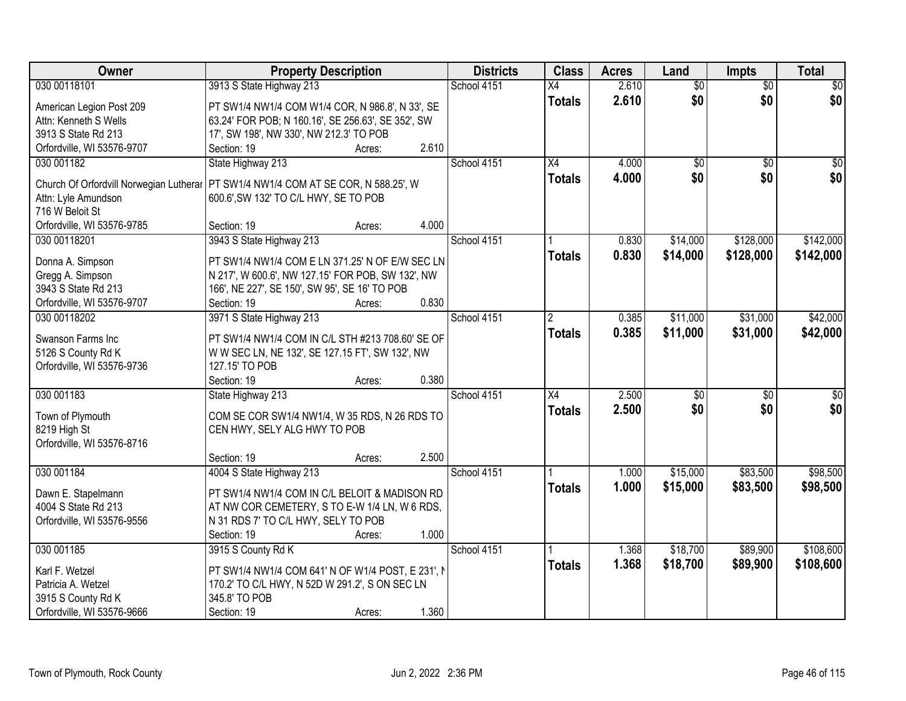| Owner                                  | <b>Property Description</b>                                                          | <b>Districts</b> | <b>Class</b>    | <b>Acres</b> | Land            | Impts           | <b>Total</b>    |
|----------------------------------------|--------------------------------------------------------------------------------------|------------------|-----------------|--------------|-----------------|-----------------|-----------------|
| 030 00118101                           | 3913 S State Highway 213                                                             | School 4151      | X4              | 2.610        | $\overline{60}$ | $\overline{30}$ | $\overline{50}$ |
| American Legion Post 209               | PT SW1/4 NW1/4 COM W1/4 COR, N 986.8', N 33', SE                                     |                  | <b>Totals</b>   | 2.610        | \$0             | \$0             | \$0             |
| Attn: Kenneth S Wells                  | 63.24' FOR POB; N 160.16', SE 256.63', SE 352', SW                                   |                  |                 |              |                 |                 |                 |
| 3913 S State Rd 213                    | 17', SW 198', NW 330', NW 212.3' TO POB                                              |                  |                 |              |                 |                 |                 |
| Orfordville, WI 53576-9707             | 2.610<br>Section: 19<br>Acres:                                                       |                  |                 |              |                 |                 |                 |
| 030 001182                             | State Highway 213                                                                    | School 4151      | $\overline{X4}$ | 4.000        | $\overline{50}$ | $\overline{50}$ | \$0             |
|                                        |                                                                                      |                  | <b>Totals</b>   | 4.000        | \$0             | \$0             | \$0             |
|                                        | Church Of Orfordvill Norwegian Lutherar   PT SW1/4 NW1/4 COM AT SE COR, N 588.25', W |                  |                 |              |                 |                 |                 |
| Attn: Lyle Amundson<br>716 W Beloit St | 600.6', SW 132' TO C/L HWY, SE TO POB                                                |                  |                 |              |                 |                 |                 |
| Orfordville, WI 53576-9785             | 4.000<br>Section: 19<br>Acres:                                                       |                  |                 |              |                 |                 |                 |
| 030 00118201                           | 3943 S State Highway 213                                                             | School 4151      |                 | 0.830        | \$14,000        | \$128,000       | \$142,000       |
|                                        |                                                                                      |                  |                 |              |                 |                 |                 |
| Donna A. Simpson                       | PT SW1/4 NW1/4 COM E LN 371.25' N OF E/W SEC LN                                      |                  | <b>Totals</b>   | 0.830        | \$14,000        | \$128,000       | \$142,000       |
| Gregg A. Simpson                       | N 217', W 600.6', NW 127.15' FOR POB, SW 132', NW                                    |                  |                 |              |                 |                 |                 |
| 3943 S State Rd 213                    | 166', NE 227', SE 150', SW 95', SE 16' TO POB                                        |                  |                 |              |                 |                 |                 |
| Orfordville, WI 53576-9707             | Section: 19<br>0.830<br>Acres:                                                       |                  |                 |              |                 |                 |                 |
| 030 00118202                           | 3971 S State Highway 213                                                             | School 4151      | $\overline{2}$  | 0.385        | \$11,000        | \$31,000        | \$42,000        |
| Swanson Farms Inc                      | PT SW1/4 NW1/4 COM IN C/L STH #213 708.60' SE OF                                     |                  | <b>Totals</b>   | 0.385        | \$11,000        | \$31,000        | \$42,000        |
| 5126 S County Rd K                     |                                                                                      |                  |                 |              |                 |                 |                 |
| Orfordville, WI 53576-9736             | W W SEC LN, NE 132', SE 127.15 FT', SW 132', NW<br>127.15' TO POB                    |                  |                 |              |                 |                 |                 |
|                                        | 0.380<br>Section: 19<br>Acres:                                                       |                  |                 |              |                 |                 |                 |
| 030 001183                             | State Highway 213                                                                    | School 4151      | $\overline{X4}$ | 2.500        | $\overline{50}$ | $\overline{50}$ | $\overline{50}$ |
|                                        |                                                                                      |                  |                 | 2.500        | \$0             | \$0             | \$0             |
| Town of Plymouth                       | COM SE COR SW1/4 NW1/4, W 35 RDS, N 26 RDS TO                                        |                  | <b>Totals</b>   |              |                 |                 |                 |
| 8219 High St                           | CEN HWY, SELY ALG HWY TO POB                                                         |                  |                 |              |                 |                 |                 |
| Orfordville, WI 53576-8716             |                                                                                      |                  |                 |              |                 |                 |                 |
|                                        | 2.500<br>Section: 19<br>Acres:                                                       |                  |                 |              |                 |                 |                 |
| 030 001184                             | 4004 S State Highway 213                                                             | School 4151      |                 | 1.000        | \$15,000        | \$83,500        | \$98,500        |
| Dawn E. Stapelmann                     | PT SW1/4 NW1/4 COM IN C/L BELOIT & MADISON RD                                        |                  | <b>Totals</b>   | 1.000        | \$15,000        | \$83,500        | \$98,500        |
| 4004 S State Rd 213                    | AT NW COR CEMETERY, S TO E-W 1/4 LN, W 6 RDS,                                        |                  |                 |              |                 |                 |                 |
| Orfordville, WI 53576-9556             | N 31 RDS 7' TO C/L HWY, SELY TO POB                                                  |                  |                 |              |                 |                 |                 |
|                                        | 1.000<br>Section: 19<br>Acres:                                                       |                  |                 |              |                 |                 |                 |
| 030 001185                             | 3915 S County Rd K                                                                   | School 4151      |                 | 1.368        | \$18,700        | \$89,900        | \$108,600       |
|                                        |                                                                                      |                  | <b>Totals</b>   | 1.368        | \$18,700        | \$89,900        | \$108,600       |
| Karl F. Wetzel                         | PT SW1/4 NW1/4 COM 641' N OF W1/4 POST, E 231', M                                    |                  |                 |              |                 |                 |                 |
| Patricia A. Wetzel                     | 170.2' TO C/L HWY, N 52D W 291.2', S ON SEC LN                                       |                  |                 |              |                 |                 |                 |
| 3915 S County Rd K                     | 345.8' TO POB                                                                        |                  |                 |              |                 |                 |                 |
| Orfordville, WI 53576-9666             | 1.360<br>Section: 19<br>Acres:                                                       |                  |                 |              |                 |                 |                 |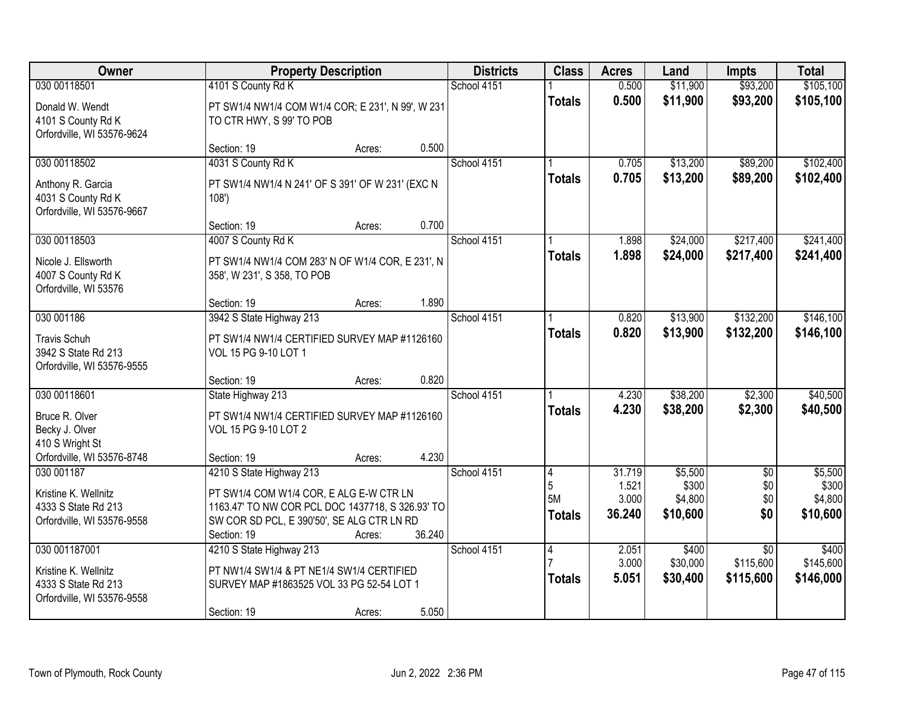| Owner                                                                                             | <b>Property Description</b>                                                                                                                                                          |        | <b>Districts</b>      | <b>Class</b>                    | <b>Acres</b>                       | Land                                    | <b>Impts</b>                              | <b>Total</b>                            |
|---------------------------------------------------------------------------------------------------|--------------------------------------------------------------------------------------------------------------------------------------------------------------------------------------|--------|-----------------------|---------------------------------|------------------------------------|-----------------------------------------|-------------------------------------------|-----------------------------------------|
| 030 00118501<br>Donald W. Wendt<br>4101 S County Rd K<br>Orfordville, WI 53576-9624               | 4101 S County Rd K<br>PT SW1/4 NW1/4 COM W1/4 COR; E 231', N 99', W 231<br>TO CTR HWY, S 99' TO POB                                                                                  |        | School 4151           | <b>Totals</b>                   | 0.500<br>0.500                     | \$11,900<br>\$11,900                    | \$93,200<br>\$93,200                      | \$105,100<br>\$105,100                  |
|                                                                                                   | Section: 19                                                                                                                                                                          | Acres: | 0.500                 |                                 |                                    |                                         |                                           |                                         |
| 030 00118502<br>Anthony R. Garcia<br>4031 S County Rd K<br>Orfordville, WI 53576-9667             | 4031 S County Rd K<br>PT SW1/4 NW1/4 N 241' OF S 391' OF W 231' (EXC N<br>108'                                                                                                       |        | School 4151           | <b>Totals</b>                   | 0.705<br>0.705                     | \$13,200<br>\$13,200                    | \$89,200<br>\$89,200                      | \$102,400<br>\$102,400                  |
|                                                                                                   | Section: 19                                                                                                                                                                          | Acres: | 0.700                 |                                 |                                    |                                         |                                           |                                         |
| 030 00118503<br>Nicole J. Ellsworth<br>4007 S County Rd K<br>Orfordville, WI 53576                | 4007 S County Rd K<br>PT SW1/4 NW1/4 COM 283' N OF W1/4 COR, E 231', N<br>358', W 231', S 358, TO POB                                                                                |        | School 4151           | <b>Totals</b>                   | 1.898<br>1.898                     | \$24,000<br>\$24,000                    | \$217,400<br>\$217,400                    | \$241,400<br>\$241,400                  |
|                                                                                                   | Section: 19                                                                                                                                                                          | Acres: | 1.890                 |                                 |                                    |                                         |                                           |                                         |
| 030 001186<br><b>Travis Schuh</b><br>3942 S State Rd 213<br>Orfordville, WI 53576-9555            | 3942 S State Highway 213<br>PT SW1/4 NW1/4 CERTIFIED SURVEY MAP #1126160<br>VOL 15 PG 9-10 LOT 1                                                                                     |        | School 4151           | <b>Totals</b>                   | 0.820<br>0.820                     | \$13,900<br>\$13,900                    | \$132,200<br>\$132,200                    | \$146,100<br>\$146,100                  |
|                                                                                                   | Section: 19                                                                                                                                                                          | Acres: | 0.820                 |                                 |                                    |                                         |                                           |                                         |
| 030 00118601<br>Bruce R. Olver<br>Becky J. Olver<br>410 S Wright St<br>Orfordville, WI 53576-8748 | State Highway 213<br>PT SW1/4 NW1/4 CERTIFIED SURVEY MAP #1126160<br>VOL 15 PG 9-10 LOT 2<br>Section: 19                                                                             | Acres: | School 4151<br>4.230  | <b>Totals</b>                   | 4.230<br>4.230                     | \$38,200<br>\$38,200                    | \$2,300<br>\$2,300                        | \$40,500<br>\$40,500                    |
| 030 001187<br>Kristine K. Wellnitz<br>4333 S State Rd 213<br>Orfordville, WI 53576-9558           | 4210 S State Highway 213<br>PT SW1/4 COM W1/4 COR, E ALG E-W CTR LN<br>1163.47' TO NW COR PCL DOC 1437718, S 326.93' TO<br>SW COR SD PCL, E 390'50', SE ALG CTR LN RD<br>Section: 19 | Acres: | School 4151<br>36.240 | 4<br>5<br>5M<br><b>Totals</b>   | 31.719<br>1.521<br>3.000<br>36.240 | \$5,500<br>\$300<br>\$4,800<br>\$10,600 | $\overline{50}$<br>\$0 <br>\$0<br>\$0     | \$5,500<br>\$300<br>\$4,800<br>\$10,600 |
| 030 001187001<br>Kristine K. Wellnitz<br>4333 S State Rd 213<br>Orfordville, WI 53576-9558        | 4210 S State Highway 213<br>PT NW1/4 SW1/4 & PT NE1/4 SW1/4 CERTIFIED<br>SURVEY MAP #1863525 VOL 33 PG 52-54 LOT 1<br>Section: 19                                                    | Acres: | School 4151<br>5.050  | $\overline{4}$<br><b>Totals</b> | 2.051<br>3.000<br>5.051            | \$400<br>\$30,000<br>\$30,400           | $\overline{30}$<br>\$115,600<br>\$115,600 | \$400<br>\$145,600<br>\$146,000         |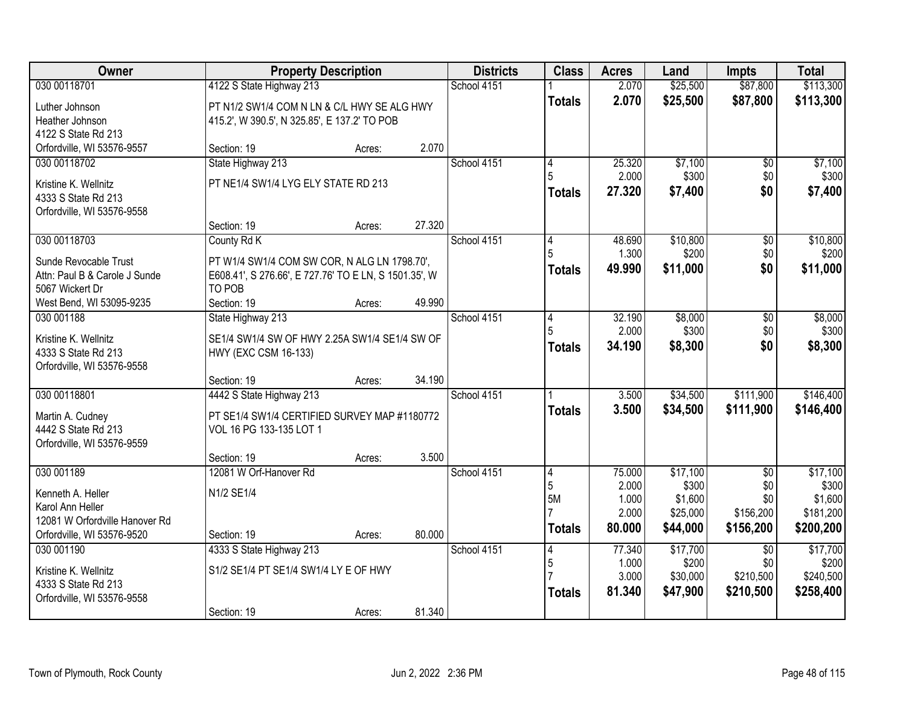| Owner                          |                                                       | <b>Property Description</b> |        | <b>Districts</b> | <b>Class</b>  | <b>Acres</b> | Land     | <b>Impts</b>    | <b>Total</b> |
|--------------------------------|-------------------------------------------------------|-----------------------------|--------|------------------|---------------|--------------|----------|-----------------|--------------|
| 030 00118701                   | 4122 S State Highway 213                              |                             |        | School 4151      |               | 2.070        | \$25,500 | \$87,800        | \$113,300    |
| Luther Johnson                 | PT N1/2 SW1/4 COM N LN & C/L HWY SE ALG HWY           |                             |        |                  | <b>Totals</b> | 2.070        | \$25,500 | \$87,800        | \$113,300    |
| Heather Johnson                | 415.2', W 390.5', N 325.85', E 137.2' TO POB          |                             |        |                  |               |              |          |                 |              |
| 4122 S State Rd 213            |                                                       |                             |        |                  |               |              |          |                 |              |
| Orfordville, WI 53576-9557     | Section: 19                                           | Acres:                      | 2.070  |                  |               |              |          |                 |              |
| 030 00118702                   | State Highway 213                                     |                             |        | School 4151      | 4             | 25.320       | \$7,100  | $\overline{50}$ | \$7,100      |
| Kristine K. Wellnitz           | PT NE1/4 SW1/4 LYG ELY STATE RD 213                   |                             |        |                  |               | 2.000        | \$300    | \$0             | \$300        |
| 4333 S State Rd 213            |                                                       |                             |        |                  | <b>Totals</b> | 27,320       | \$7,400  | \$0             | \$7,400      |
| Orfordville, WI 53576-9558     |                                                       |                             |        |                  |               |              |          |                 |              |
|                                | Section: 19                                           | Acres:                      | 27.320 |                  |               |              |          |                 |              |
| 030 00118703                   | County Rd K                                           |                             |        | School 4151      | 4             | 48.690       | \$10,800 | \$0             | \$10,800     |
| Sunde Revocable Trust          | PT W1/4 SW1/4 COM SW COR, N ALG LN 1798.70',          |                             |        |                  |               | 1.300        | \$200    | \$0             | \$200        |
| Attn: Paul B & Carole J Sunde  | E608.41', S 276.66', E 727.76' TO E LN, S 1501.35', W |                             |        |                  | <b>Totals</b> | 49.990       | \$11,000 | \$0             | \$11,000     |
| 5067 Wickert Dr                | TO POB                                                |                             |        |                  |               |              |          |                 |              |
| West Bend, WI 53095-9235       | Section: 19                                           | Acres:                      | 49.990 |                  |               |              |          |                 |              |
| 030 001188                     | State Highway 213                                     |                             |        | School 4151      | 4             | 32.190       | \$8,000  | \$0             | \$8,000      |
| Kristine K. Wellnitz           | SE1/4 SW1/4 SW OF HWY 2.25A SW1/4 SE1/4 SW OF         |                             |        |                  |               | 2.000        | \$300    | \$0             | \$300        |
| 4333 S State Rd 213            | HWY (EXC CSM 16-133)                                  |                             |        |                  | <b>Totals</b> | 34.190       | \$8,300  | \$0             | \$8,300      |
| Orfordville, WI 53576-9558     |                                                       |                             |        |                  |               |              |          |                 |              |
|                                | Section: 19                                           | Acres:                      | 34.190 |                  |               |              |          |                 |              |
| 030 00118801                   | 4442 S State Highway 213                              |                             |        | School 4151      |               | 3.500        | \$34,500 | \$111,900       | \$146,400    |
| Martin A. Cudney               | PT SE1/4 SW1/4 CERTIFIED SURVEY MAP #1180772          |                             |        |                  | <b>Totals</b> | 3.500        | \$34,500 | \$111,900       | \$146,400    |
| 4442 S State Rd 213            | VOL 16 PG 133-135 LOT 1                               |                             |        |                  |               |              |          |                 |              |
| Orfordville, WI 53576-9559     |                                                       |                             |        |                  |               |              |          |                 |              |
|                                | Section: 19                                           | Acres:                      | 3.500  |                  |               |              |          |                 |              |
| 030 001189                     | 12081 W Orf-Hanover Rd                                |                             |        | School 4151      | 4             | 75.000       | \$17,100 | $\overline{50}$ | \$17,100     |
| Kenneth A. Heller              | N1/2 SE1/4                                            |                             |        |                  | 5             | 2.000        | \$300    | \$0             | \$300        |
| Karol Ann Heller               |                                                       |                             |        |                  | 5M            | 1.000        | \$1,600  | \$0             | \$1,600      |
| 12081 W Orfordville Hanover Rd |                                                       |                             |        |                  |               | 2.000        | \$25,000 | \$156,200       | \$181,200    |
| Orfordville, WI 53576-9520     | Section: 19                                           | Acres:                      | 80.000 |                  | <b>Totals</b> | 80.000       | \$44,000 | \$156,200       | \$200,200    |
| 030 001190                     | 4333 S State Highway 213                              |                             |        | School 4151      | 4             | 77.340       | \$17,700 | $\overline{50}$ | \$17,700     |
| Kristine K. Wellnitz           | S1/2 SE1/4 PT SE1/4 SW1/4 LY E OF HWY                 |                             |        |                  | 5             | 1.000        | \$200    | \$0             | \$200        |
| 4333 S State Rd 213            |                                                       |                             |        |                  |               | 3.000        | \$30,000 | \$210,500       | \$240,500    |
| Orfordville, WI 53576-9558     |                                                       |                             |        |                  | <b>Totals</b> | 81.340       | \$47,900 | \$210,500       | \$258,400    |
|                                | Section: 19                                           | Acres:                      | 81.340 |                  |               |              |          |                 |              |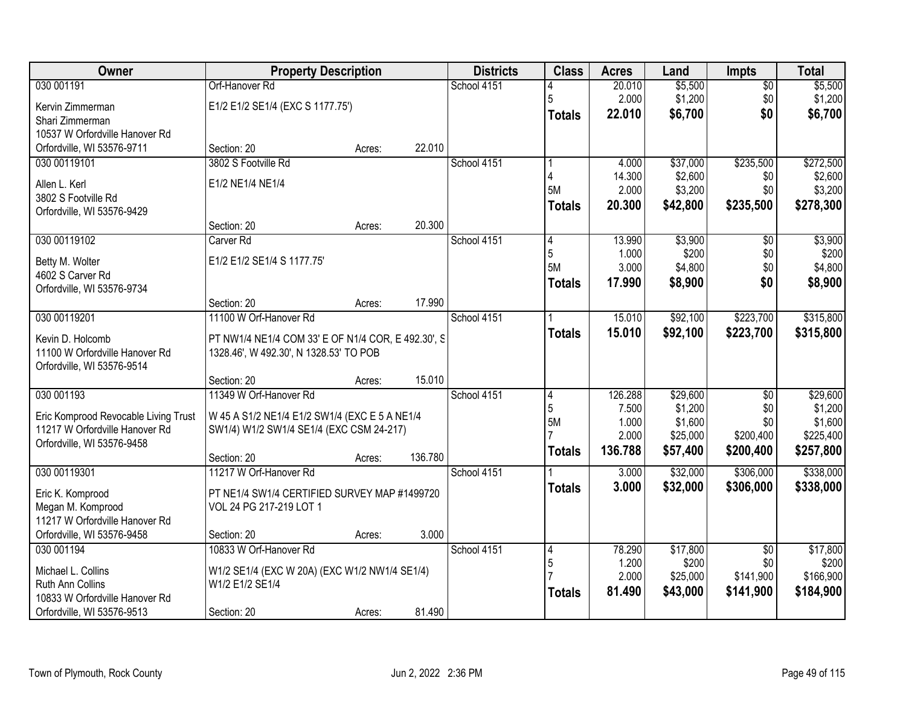| Owner                                | <b>Property Description</b>                        |        |         | <b>Districts</b> | <b>Class</b>  | <b>Acres</b> | Land     | <b>Impts</b>    | <b>Total</b> |
|--------------------------------------|----------------------------------------------------|--------|---------|------------------|---------------|--------------|----------|-----------------|--------------|
| 030 001191                           | Orf-Hanover Rd                                     |        |         | School 4151      |               | 20.010       | \$5,500  | $\sqrt{$0}$     | \$5,500      |
| Kervin Zimmerman                     | E1/2 E1/2 SE1/4 (EXC S 1177.75')                   |        |         |                  | 5             | 2.000        | \$1,200  | \$0             | \$1,200      |
| Shari Zimmerman                      |                                                    |        |         |                  | <b>Totals</b> | 22.010       | \$6,700  | \$0             | \$6,700      |
| 10537 W Orfordville Hanover Rd       |                                                    |        |         |                  |               |              |          |                 |              |
| Orfordville, WI 53576-9711           | Section: 20                                        | Acres: | 22.010  |                  |               |              |          |                 |              |
| 030 00119101                         | 3802 S Footville Rd                                |        |         | School 4151      |               | 4.000        | \$37,000 | \$235,500       | \$272,500    |
| Allen L. Kerl                        | E1/2 NE1/4 NE1/4                                   |        |         |                  |               | 14.300       | \$2,600  | \$0             | \$2,600      |
| 3802 S Footville Rd                  |                                                    |        |         |                  | 5M            | 2.000        | \$3,200  | \$0             | \$3,200      |
| Orfordville, WI 53576-9429           |                                                    |        |         |                  | <b>Totals</b> | 20.300       | \$42,800 | \$235,500       | \$278,300    |
|                                      | Section: 20                                        | Acres: | 20.300  |                  |               |              |          |                 |              |
| 030 00119102                         | Carver <sub>Rd</sub>                               |        |         | School 4151      | 4             | 13.990       | \$3,900  | \$0             | \$3,900      |
| Betty M. Wolter                      | E1/2 E1/2 SE1/4 S 1177.75'                         |        |         |                  | 5             | 1.000        | \$200    | \$0             | \$200        |
| 4602 S Carver Rd                     |                                                    |        |         |                  | 5M            | 3.000        | \$4,800  | \$0             | \$4,800      |
| Orfordville, WI 53576-9734           |                                                    |        |         |                  | <b>Totals</b> | 17.990       | \$8,900  | \$0             | \$8,900      |
|                                      | Section: 20                                        | Acres: | 17.990  |                  |               |              |          |                 |              |
| 030 00119201                         | 11100 W Orf-Hanover Rd                             |        |         | School 4151      |               | 15.010       | \$92,100 | \$223,700       | \$315,800    |
| Kevin D. Holcomb                     | PT NW1/4 NE1/4 COM 33' E OF N1/4 COR, E 492.30', S |        |         |                  | <b>Totals</b> | 15.010       | \$92,100 | \$223,700       | \$315,800    |
| 11100 W Orfordville Hanover Rd       | 1328.46', W 492.30', N 1328.53' TO POB             |        |         |                  |               |              |          |                 |              |
| Orfordville, WI 53576-9514           |                                                    |        |         |                  |               |              |          |                 |              |
|                                      | Section: 20                                        | Acres: | 15.010  |                  |               |              |          |                 |              |
| 030 001193                           | 11349 W Orf-Hanover Rd                             |        |         | School 4151      | 4             | 126.288      | \$29,600 | $\overline{50}$ | \$29,600     |
| Eric Komprood Revocable Living Trust | W 45 A S1/2 NE1/4 E1/2 SW1/4 (EXC E 5 A NE1/4      |        |         |                  | 5             | 7.500        | \$1,200  | \$0             | \$1,200      |
| 11217 W Orfordville Hanover Rd       | SW1/4) W1/2 SW1/4 SE1/4 (EXC CSM 24-217)           |        |         |                  | 5M            | 1.000        | \$1,600  | \$0             | \$1,600      |
| Orfordville, WI 53576-9458           |                                                    |        |         |                  |               | 2.000        | \$25,000 | \$200,400       | \$225,400    |
|                                      | Section: 20                                        | Acres: | 136.780 |                  | <b>Totals</b> | 136.788      | \$57,400 | \$200,400       | \$257,800    |
| 030 00119301                         | 11217 W Orf-Hanover Rd                             |        |         | School 4151      |               | 3.000        | \$32,000 | \$306,000       | \$338,000    |
| Eric K. Komprood                     | PT NE1/4 SW1/4 CERTIFIED SURVEY MAP #1499720       |        |         |                  | <b>Totals</b> | 3.000        | \$32,000 | \$306,000       | \$338,000    |
| Megan M. Komprood                    | VOL 24 PG 217-219 LOT 1                            |        |         |                  |               |              |          |                 |              |
| 11217 W Orfordville Hanover Rd       |                                                    |        |         |                  |               |              |          |                 |              |
| Orfordville, WI 53576-9458           | Section: 20                                        | Acres: | 3.000   |                  |               |              |          |                 |              |
| 030 001194                           | 10833 W Orf-Hanover Rd                             |        |         | School 4151      | 4             | 78.290       | \$17,800 | $\overline{50}$ | \$17,800     |
| Michael L. Collins                   | W1/2 SE1/4 (EXC W 20A) (EXC W1/2 NW1/4 SE1/4)      |        |         |                  | 5             | 1.200        | \$200    | \$0             | \$200        |
| Ruth Ann Collins                     | W1/2 E1/2 SE1/4                                    |        |         |                  |               | 2.000        | \$25,000 | \$141,900       | \$166,900    |
| 10833 W Orfordville Hanover Rd       |                                                    |        |         |                  | <b>Totals</b> | 81.490       | \$43,000 | \$141,900       | \$184,900    |
| Orfordville, WI 53576-9513           | Section: 20                                        | Acres: | 81.490  |                  |               |              |          |                 |              |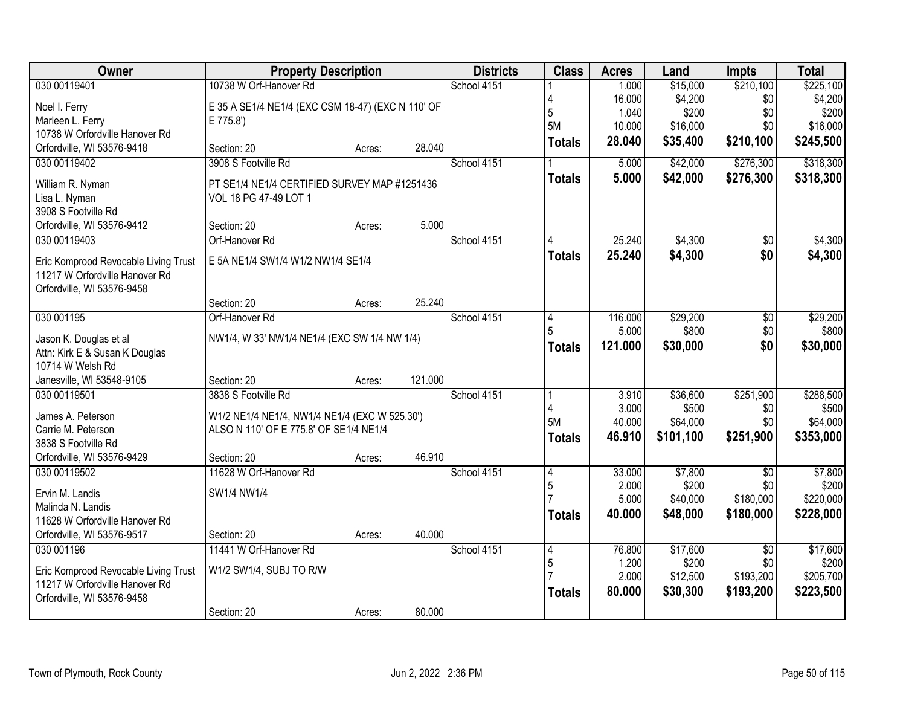| Owner                                | <b>Property Description</b>                       |        |         | <b>Districts</b> | <b>Class</b>   | <b>Acres</b> | Land      | <b>Impts</b>    | <b>Total</b> |
|--------------------------------------|---------------------------------------------------|--------|---------|------------------|----------------|--------------|-----------|-----------------|--------------|
| 030 00119401                         | 10738 W Orf-Hanover Rd                            |        |         | School 4151      |                | 1.000        | \$15,000  | \$210,100       | \$225,100    |
| Noel I. Ferry                        | E 35 A SE1/4 NE1/4 (EXC CSM 18-47) (EXC N 110' OF |        |         |                  |                | 16.000       | \$4,200   | \$0             | \$4,200      |
| Marleen L. Ferry                     | E 775.8')                                         |        |         |                  | 5              | 1.040        | \$200     | \$0             | \$200        |
| 10738 W Orfordville Hanover Rd       |                                                   |        |         |                  | 5M             | 10.000       | \$16,000  | \$0             | \$16,000     |
| Orfordville, WI 53576-9418           | Section: 20                                       | Acres: | 28.040  |                  | <b>Totals</b>  | 28.040       | \$35,400  | \$210,100       | \$245,500    |
| 030 00119402                         | 3908 S Footville Rd                               |        |         | School 4151      |                | 5.000        | \$42,000  | \$276,300       | \$318,300    |
| William R. Nyman                     | PT SE1/4 NE1/4 CERTIFIED SURVEY MAP #1251436      |        |         |                  | <b>Totals</b>  | 5.000        | \$42,000  | \$276,300       | \$318,300    |
| Lisa L. Nyman                        | VOL 18 PG 47-49 LOT 1                             |        |         |                  |                |              |           |                 |              |
| 3908 S Footville Rd                  |                                                   |        |         |                  |                |              |           |                 |              |
| Orfordville, WI 53576-9412           | Section: 20                                       | Acres: | 5.000   |                  |                |              |           |                 |              |
| 030 00119403                         | Orf-Hanover Rd                                    |        |         | School 4151      |                | 25.240       | \$4,300   | $\overline{50}$ | \$4,300      |
| Eric Komprood Revocable Living Trust | E 5A NE1/4 SW1/4 W1/2 NW1/4 SE1/4                 |        |         |                  | <b>Totals</b>  | 25.240       | \$4,300   | \$0             | \$4,300      |
| 11217 W Orfordville Hanover Rd       |                                                   |        |         |                  |                |              |           |                 |              |
| Orfordville, WI 53576-9458           |                                                   |        |         |                  |                |              |           |                 |              |
|                                      | Section: 20                                       | Acres: | 25.240  |                  |                |              |           |                 |              |
| 030 001195                           | Orf-Hanover Rd                                    |        |         | School 4151      | 4              | 116.000      | \$29,200  | $\overline{50}$ | \$29,200     |
| Jason K. Douglas et al               | NW1/4, W 33' NW1/4 NE1/4 (EXC SW 1/4 NW 1/4)      |        |         |                  | 5              | 5.000        | \$800     | \$0             | \$800        |
| Attn: Kirk E & Susan K Douglas       |                                                   |        |         |                  | <b>Totals</b>  | 121.000      | \$30,000  | \$0             | \$30,000     |
| 10714 W Welsh Rd                     |                                                   |        |         |                  |                |              |           |                 |              |
| Janesville, WI 53548-9105            | Section: 20                                       | Acres: | 121.000 |                  |                |              |           |                 |              |
| 030 00119501                         | 3838 S Footville Rd                               |        |         | School 4151      |                | 3.910        | \$36,600  | \$251,900       | \$288,500    |
| James A. Peterson                    | W1/2 NE1/4 NE1/4, NW1/4 NE1/4 (EXC W 525.30')     |        |         |                  |                | 3.000        | \$500     | \$0             | \$500        |
| Carrie M. Peterson                   | ALSO N 110' OF E 775.8' OF SE1/4 NE1/4            |        |         |                  | 5M             | 40.000       | \$64,000  | \$0             | \$64,000     |
| 3838 S Footville Rd                  |                                                   |        |         |                  | <b>Totals</b>  | 46.910       | \$101,100 | \$251,900       | \$353,000    |
| Orfordville, WI 53576-9429           | Section: 20                                       | Acres: | 46.910  |                  |                |              |           |                 |              |
| 030 00119502                         | 11628 W Orf-Hanover Rd                            |        |         | School 4151      | $\overline{4}$ | 33.000       | \$7,800   | $\overline{30}$ | \$7,800      |
| Ervin M. Landis                      | SW1/4 NW1/4                                       |        |         |                  | 5              | 2.000        | \$200     | \$0             | \$200        |
| Malinda N. Landis                    |                                                   |        |         |                  |                | 5.000        | \$40,000  | \$180,000       | \$220,000    |
| 11628 W Orfordville Hanover Rd       |                                                   |        |         |                  | <b>Totals</b>  | 40.000       | \$48,000  | \$180,000       | \$228,000    |
| Orfordville, WI 53576-9517           | Section: 20                                       | Acres: | 40.000  |                  |                |              |           |                 |              |
| 030 001196                           | 11441 W Orf-Hanover Rd                            |        |         | School 4151      | 4              | 76.800       | \$17,600  | $\overline{50}$ | \$17,600     |
| Eric Komprood Revocable Living Trust | W1/2 SW1/4, SUBJ TO R/W                           |        |         |                  | 5              | 1.200        | \$200     | \$0             | \$200        |
| 11217 W Orfordville Hanover Rd       |                                                   |        |         |                  |                | 2.000        | \$12,500  | \$193,200       | \$205,700    |
| Orfordville, WI 53576-9458           |                                                   |        |         |                  | <b>Totals</b>  | 80.000       | \$30,300  | \$193,200       | \$223,500    |
|                                      | Section: 20                                       | Acres: | 80.000  |                  |                |              |           |                 |              |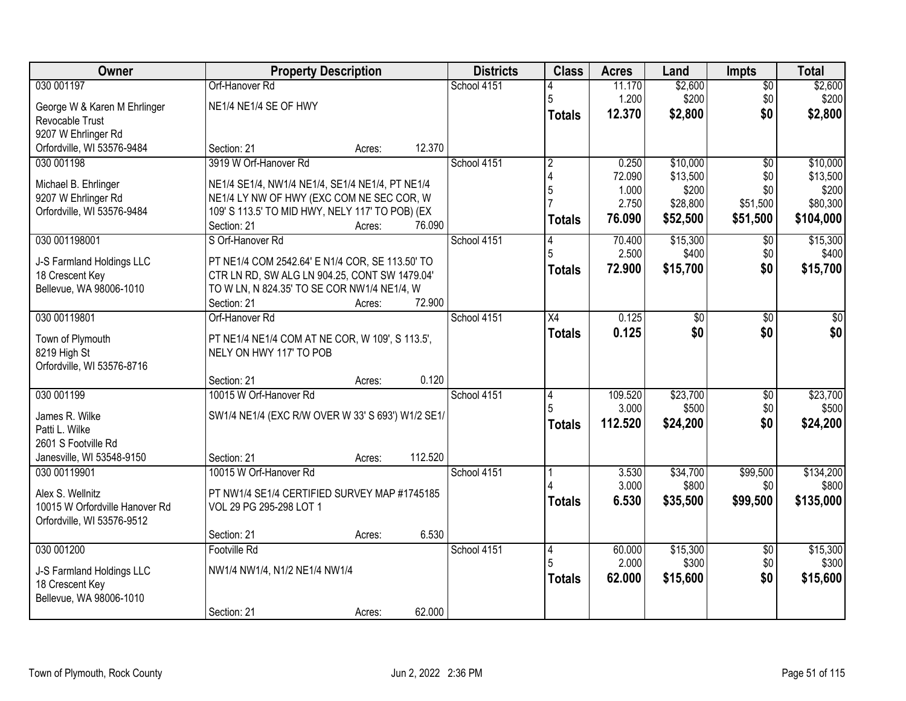| Owner                          | <b>Property Description</b>                       |        |         | <b>Districts</b> | <b>Class</b>   | <b>Acres</b>     | Land              | <b>Impts</b>           | <b>Total</b>       |
|--------------------------------|---------------------------------------------------|--------|---------|------------------|----------------|------------------|-------------------|------------------------|--------------------|
| 030 001197                     | Orf-Hanover Rd                                    |        |         | School 4151      |                | 11.170           | \$2,600           | $\overline{50}$        | \$2,600            |
| George W & Karen M Ehrlinger   | NE1/4 NE1/4 SE OF HWY                             |        |         |                  | 5              | 1.200            | \$200             | \$0                    | \$200              |
| Revocable Trust                |                                                   |        |         |                  | <b>Totals</b>  | 12.370           | \$2,800           | \$0                    | \$2,800            |
| 9207 W Ehrlinger Rd            |                                                   |        |         |                  |                |                  |                   |                        |                    |
| Orfordville, WI 53576-9484     | Section: 21                                       | Acres: | 12.370  |                  |                |                  |                   |                        |                    |
| 030 001198                     | 3919 W Orf-Hanover Rd                             |        |         | School 4151      | $\overline{2}$ | 0.250            | \$10,000          | $\overline{50}$        | \$10,000           |
| Michael B. Ehrlinger           | NE1/4 SE1/4, NW1/4 NE1/4, SE1/4 NE1/4, PT NE1/4   |        |         |                  | 5              | 72.090<br>1.000  | \$13,500<br>\$200 | \$0<br>\$0             | \$13,500<br>\$200  |
| 9207 W Ehrlinger Rd            | NE1/4 LY NW OF HWY (EXC COM NE SEC COR, W         |        |         |                  |                | 2.750            | \$28,800          | \$51,500               | \$80,300           |
| Orfordville, WI 53576-9484     | 109' S 113.5' TO MID HWY, NELY 117' TO POB) (EX   |        |         |                  | <b>Totals</b>  | 76.090           | \$52,500          | \$51,500               | \$104,000          |
|                                | Section: 21                                       | Acres: | 76.090  |                  |                |                  |                   |                        |                    |
| 030 001198001                  | S Orf-Hanover Rd                                  |        |         | School 4151      | 14             | 70.400           | \$15,300          | $\sqrt{6}$             | \$15,300           |
| J-S Farmland Holdings LLC      | PT NE1/4 COM 2542.64' E N1/4 COR, SE 113.50' TO   |        |         |                  |                | 2.500            | \$400             | \$0                    | \$400              |
| 18 Crescent Key                | CTR LN RD, SW ALG LN 904.25, CONT SW 1479.04'     |        |         |                  | <b>Totals</b>  | 72.900           | \$15,700          | \$0                    | \$15,700           |
| Bellevue, WA 98006-1010        | TO W LN, N 824.35' TO SE COR NW1/4 NE1/4, W       |        |         |                  |                |                  |                   |                        |                    |
|                                | Section: 21                                       | Acres: | 72.900  |                  |                |                  |                   |                        |                    |
| 030 00119801                   | Orf-Hanover Rd                                    |        |         | School 4151      | X4             | 0.125            | \$0               | $\sqrt[6]{}$           | \$0                |
| Town of Plymouth               | PT NE1/4 NE1/4 COM AT NE COR, W 109', S 113.5',   |        |         |                  | <b>Totals</b>  | 0.125            | \$0               | \$0                    | \$0                |
| 8219 High St                   | NELY ON HWY 117' TO POB                           |        |         |                  |                |                  |                   |                        |                    |
| Orfordville, WI 53576-8716     |                                                   |        |         |                  |                |                  |                   |                        |                    |
|                                | Section: 21                                       | Acres: | 0.120   |                  |                |                  |                   |                        |                    |
| 030 001199                     | 10015 W Orf-Hanover Rd                            |        |         | School 4151      | 14             | 109.520          | \$23,700          | $\overline{50}$        | \$23,700           |
| James R. Wilke                 | SW1/4 NE1/4 (EXC R/W OVER W 33' S 693') W1/2 SE1/ |        |         |                  |                | 3.000<br>112.520 | \$500<br>\$24,200 | \$0<br>\$0             | \$500<br>\$24,200  |
| Patti L. Wilke                 |                                                   |        |         |                  | <b>Totals</b>  |                  |                   |                        |                    |
| 2601 S Footville Rd            |                                                   |        |         |                  |                |                  |                   |                        |                    |
| Janesville, WI 53548-9150      | Section: 21                                       | Acres: | 112.520 |                  |                |                  |                   |                        |                    |
| 030 00119901                   | 10015 W Orf-Hanover Rd                            |        |         | School 4151      |                | 3.530<br>3.000   | \$34,700<br>\$800 | \$99,500               | \$134,200<br>\$800 |
| Alex S. Wellnitz               | PT NW1/4 SE1/4 CERTIFIED SURVEY MAP #1745185      |        |         |                  |                | 6.530            |                   | \$0                    | \$135,000          |
| 10015 W Orfordville Hanover Rd | VOL 29 PG 295-298 LOT 1                           |        |         |                  | <b>Totals</b>  |                  | \$35,500          | \$99,500               |                    |
| Orfordville, WI 53576-9512     |                                                   |        |         |                  |                |                  |                   |                        |                    |
|                                | Section: 21                                       | Acres: | 6.530   |                  |                |                  |                   |                        |                    |
| 030 001200                     | Footville Rd                                      |        |         | School 4151      | $\vert 4$      | 60.000<br>2.000  | \$15,300<br>\$300 | $\overline{50}$<br>\$0 | \$15,300<br>\$300  |
| J-S Farmland Holdings LLC      | NW1/4 NW1/4, N1/2 NE1/4 NW1/4                     |        |         |                  |                | 62.000           |                   | \$0                    | \$15,600           |
| 18 Crescent Key                |                                                   |        |         |                  | <b>Totals</b>  |                  | \$15,600          |                        |                    |
| Bellevue, WA 98006-1010        |                                                   |        |         |                  |                |                  |                   |                        |                    |
|                                | Section: 21                                       | Acres: | 62.000  |                  |                |                  |                   |                        |                    |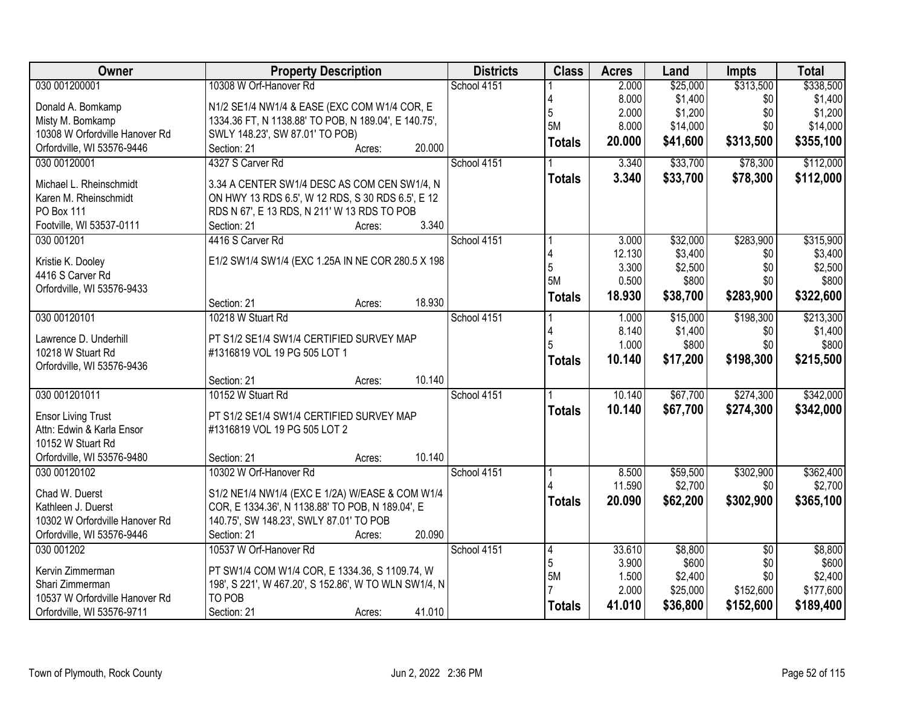| Owner                          | <b>Property Description</b>                                                                         | <b>Districts</b> | <b>Class</b>   | <b>Acres</b>    | Land             | <b>Impts</b>    | <b>Total</b>       |
|--------------------------------|-----------------------------------------------------------------------------------------------------|------------------|----------------|-----------------|------------------|-----------------|--------------------|
| 030 001200001                  | 10308 W Orf-Hanover Rd                                                                              | School 4151      |                | 2.000           | \$25,000         | \$313,500       | \$338,500          |
| Donald A. Bomkamp              | N1/2 SE1/4 NW1/4 & EASE (EXC COM W1/4 COR, E                                                        |                  |                | 8.000           | \$1,400          | \$0             | \$1,400            |
| Misty M. Bomkamp               | 1334.36 FT, N 1138.88' TO POB, N 189.04', E 140.75',                                                |                  | 5              | 2.000           | \$1,200          | \$0             | \$1,200            |
| 10308 W Orfordville Hanover Rd | SWLY 148.23', SW 87.01' TO POB)                                                                     |                  | 5M             | 8.000           | \$14,000         | \$0             | \$14,000           |
| Orfordville, WI 53576-9446     | Section: 21<br>20.000<br>Acres:                                                                     |                  | <b>Totals</b>  | 20.000          | \$41,600         | \$313,500       | \$355,100          |
| 030 00120001                   | 4327 S Carver Rd                                                                                    | School 4151      |                | 3.340           | \$33,700         | \$78,300        | \$112,000          |
|                                |                                                                                                     |                  | <b>Totals</b>  | 3.340           | \$33,700         | \$78,300        | \$112,000          |
| Michael L. Rheinschmidt        | 3.34 A CENTER SW1/4 DESC AS COM CEN SW1/4, N                                                        |                  |                |                 |                  |                 |                    |
| Karen M. Rheinschmidt          | ON HWY 13 RDS 6.5', W 12 RDS, S 30 RDS 6.5', E 12                                                   |                  |                |                 |                  |                 |                    |
| PO Box 111                     | RDS N 67', E 13 RDS, N 211' W 13 RDS TO POB                                                         |                  |                |                 |                  |                 |                    |
| Footville, WI 53537-0111       | 3.340<br>Section: 21<br>Acres:                                                                      |                  |                |                 |                  |                 |                    |
| 030 001201                     | 4416 S Carver Rd                                                                                    | School 4151      |                | 3.000           | \$32,000         | \$283,900       | \$315,900          |
| Kristie K. Dooley              | E1/2 SW1/4 SW1/4 (EXC 1.25A IN NE COR 280.5 X 198                                                   |                  | 5              | 12.130<br>3.300 | \$3,400          | \$0<br>\$0      | \$3,400<br>\$2,500 |
| 4416 S Carver Rd               |                                                                                                     |                  | 5M             | 0.500           | \$2,500<br>\$800 | \$0             | \$800              |
| Orfordville, WI 53576-9433     |                                                                                                     |                  |                |                 |                  |                 |                    |
|                                | 18.930<br>Section: 21<br>Acres:                                                                     |                  | <b>Totals</b>  | 18.930          | \$38,700         | \$283,900       | \$322,600          |
| 030 00120101                   | 10218 W Stuart Rd                                                                                   | School 4151      |                | 1.000           | \$15,000         | \$198,300       | \$213,300          |
|                                |                                                                                                     |                  | 4              | 8.140           | \$1,400          | \$0             | \$1,400            |
| Lawrence D. Underhill          | PT S1/2 SE1/4 SW1/4 CERTIFIED SURVEY MAP                                                            |                  |                | 1.000           | \$800            | \$0             | \$800              |
| 10218 W Stuart Rd              | #1316819 VOL 19 PG 505 LOT 1                                                                        |                  | <b>Totals</b>  | 10.140          | \$17,200         | \$198,300       | \$215,500          |
| Orfordville, WI 53576-9436     | 10.140                                                                                              |                  |                |                 |                  |                 |                    |
| 030 001201011                  | Section: 21<br>Acres:<br>10152 W Stuart Rd                                                          | School 4151      |                | 10.140          |                  | \$274,300       | \$342,000          |
|                                |                                                                                                     |                  |                |                 | \$67,700         |                 |                    |
| <b>Ensor Living Trust</b>      | PT S1/2 SE1/4 SW1/4 CERTIFIED SURVEY MAP                                                            |                  | <b>Totals</b>  | 10.140          | \$67,700         | \$274,300       | \$342,000          |
| Attn: Edwin & Karla Ensor      | #1316819 VOL 19 PG 505 LOT 2                                                                        |                  |                |                 |                  |                 |                    |
| 10152 W Stuart Rd              |                                                                                                     |                  |                |                 |                  |                 |                    |
| Orfordville, WI 53576-9480     | 10.140<br>Section: 21<br>Acres:                                                                     |                  |                |                 |                  |                 |                    |
| 030 00120102                   | 10302 W Orf-Hanover Rd                                                                              | School 4151      |                | 8.500           | \$59,500         | \$302,900       | \$362,400          |
| Chad W. Duerst                 |                                                                                                     |                  |                | 11.590          | \$2,700          | \$0             | \$2,700            |
| Kathleen J. Duerst             | S1/2 NE1/4 NW1/4 (EXC E 1/2A) W/EASE & COM W1/4<br>COR, E 1334.36', N 1138.88' TO POB, N 189.04', E |                  | <b>Totals</b>  | 20.090          | \$62,200         | \$302,900       | \$365,100          |
| 10302 W Orfordville Hanover Rd | 140.75', SW 148.23', SWLY 87.01' TO POB                                                             |                  |                |                 |                  |                 |                    |
| Orfordville, WI 53576-9446     | 20.090<br>Section: 21                                                                               |                  |                |                 |                  |                 |                    |
| 030 001202                     | Acres:<br>10537 W Orf-Hanover Rd                                                                    | School 4151      |                | 33.610          | \$8,800          | $\overline{50}$ | \$8,800            |
|                                |                                                                                                     |                  | $\vert 4$<br>5 | 3.900           | \$600            | \$0             | \$600              |
| Kervin Zimmerman               | PT SW1/4 COM W1/4 COR, E 1334.36, S 1109.74, W                                                      |                  | 5M             | 1.500           | \$2,400          | \$0             | \$2,400            |
| Shari Zimmerman                | 198', S 221', W 467.20', S 152.86', W TO WLN SW1/4, N                                               |                  |                | 2.000           | \$25,000         | \$152,600       | \$177,600          |
| 10537 W Orfordville Hanover Rd | TO POB                                                                                              |                  |                | 41.010          |                  |                 |                    |
| Orfordville, WI 53576-9711     | Section: 21<br>41.010<br>Acres:                                                                     |                  | <b>Totals</b>  |                 | \$36,800         | \$152,600       | \$189,400          |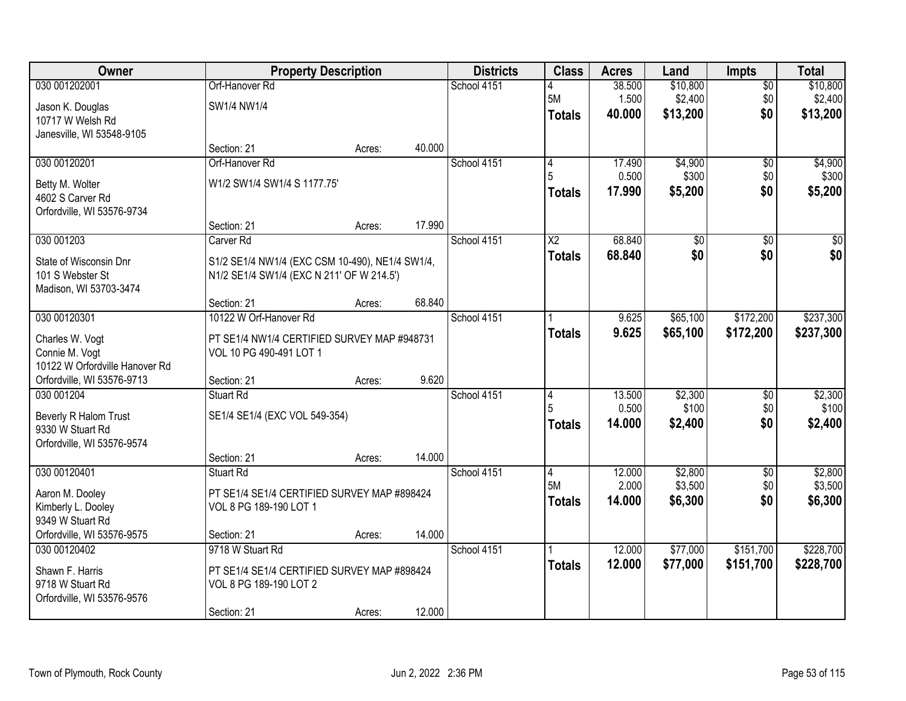| Owner                                                                                 |                                                                                                                      | <b>Property Description</b> |        | <b>Districts</b> | <b>Class</b>                     | <b>Acres</b>              | Land                            | <b>Impts</b>                  | <b>Total</b>                    |
|---------------------------------------------------------------------------------------|----------------------------------------------------------------------------------------------------------------------|-----------------------------|--------|------------------|----------------------------------|---------------------------|---------------------------------|-------------------------------|---------------------------------|
| 030 001202001<br>Jason K. Douglas<br>10717 W Welsh Rd                                 | Orf-Hanover Rd<br>SW1/4 NW1/4                                                                                        |                             |        | School 4151      | <b>5M</b><br><b>Totals</b>       | 38.500<br>1.500<br>40.000 | \$10,800<br>\$2,400<br>\$13,200 | $\overline{50}$<br>\$0<br>\$0 | \$10,800<br>\$2,400<br>\$13,200 |
| Janesville, WI 53548-9105                                                             | Section: 21                                                                                                          | Acres:                      | 40.000 |                  |                                  |                           |                                 |                               |                                 |
| 030 00120201                                                                          | Orf-Hanover Rd                                                                                                       |                             |        | School 4151      | 14<br>5                          | 17.490<br>0.500           | \$4,900<br>\$300                | $\overline{50}$<br>\$0        | \$4,900<br>\$300                |
| Betty M. Wolter<br>4602 S Carver Rd<br>Orfordville, WI 53576-9734                     | W1/2 SW1/4 SW1/4 S 1177.75'                                                                                          |                             |        |                  | <b>Totals</b>                    | 17.990                    | \$5,200                         | \$0                           | \$5,200                         |
|                                                                                       | Section: 21                                                                                                          | Acres:                      | 17.990 |                  |                                  |                           |                                 |                               |                                 |
| 030 001203<br>State of Wisconsin Dnr<br>101 S Webster St<br>Madison, WI 53703-3474    | Carver <sub>Rd</sub><br>S1/2 SE1/4 NW1/4 (EXC CSM 10-490), NE1/4 SW1/4,<br>N1/2 SE1/4 SW1/4 (EXC N 211' OF W 214.5') |                             |        | School 4151      | X2<br><b>Totals</b>              | 68.840<br>68.840          | \$0<br>\$0                      | \$0<br>\$0                    | $\overline{50}$<br>\$0          |
|                                                                                       | Section: 21                                                                                                          | Acres:                      | 68.840 |                  |                                  |                           |                                 |                               |                                 |
| 030 00120301<br>Charles W. Vogt<br>Connie M. Vogt<br>10122 W Orfordville Hanover Rd   | 10122 W Orf-Hanover Rd<br>PT SE1/4 NW1/4 CERTIFIED SURVEY MAP #948731<br>VOL 10 PG 490-491 LOT 1                     |                             |        | School 4151      | <b>Totals</b>                    | 9.625<br>9.625            | \$65,100<br>\$65,100            | \$172,200<br>\$172,200        | \$237,300<br>\$237,300          |
| Orfordville, WI 53576-9713                                                            | Section: 21                                                                                                          | Acres:                      | 9.620  |                  |                                  |                           |                                 |                               |                                 |
| 030 001204<br>Beverly R Halom Trust<br>9330 W Stuart Rd<br>Orfordville, WI 53576-9574 | Stuart Rd<br>SE1/4 SE1/4 (EXC VOL 549-354)                                                                           |                             |        | School 4151      | 4<br><b>Totals</b>               | 13.500<br>0.500<br>14.000 | \$2,300<br>\$100<br>\$2,400     | $\overline{50}$<br>\$0<br>\$0 | \$2,300<br>\$100<br>\$2,400     |
|                                                                                       | Section: 21                                                                                                          | Acres:                      | 14.000 |                  |                                  |                           |                                 |                               |                                 |
| 030 00120401<br>Aaron M. Dooley<br>Kimberly L. Dooley<br>9349 W Stuart Rd             | Stuart Rd<br>PT SE1/4 SE1/4 CERTIFIED SURVEY MAP #898424<br>VOL 8 PG 189-190 LOT 1                                   |                             |        | School 4151      | 14<br><b>5M</b><br><b>Totals</b> | 12.000<br>2.000<br>14.000 | \$2,800<br>\$3,500<br>\$6,300   | $\overline{50}$<br>\$0<br>\$0 | \$2,800<br>\$3,500<br>\$6,300   |
| Orfordville, WI 53576-9575                                                            | Section: 21                                                                                                          | Acres:                      | 14.000 |                  |                                  |                           |                                 |                               |                                 |
| 030 00120402<br>Shawn F. Harris<br>9718 W Stuart Rd<br>Orfordville, WI 53576-9576     | 9718 W Stuart Rd<br>PT SE1/4 SE1/4 CERTIFIED SURVEY MAP #898424<br>VOL 8 PG 189-190 LOT 2<br>Section: 21             | Acres:                      | 12.000 | School 4151      | <b>Totals</b>                    | 12.000<br>12.000          | \$77,000<br>\$77,000            | \$151,700<br>\$151,700        | \$228,700<br>\$228,700          |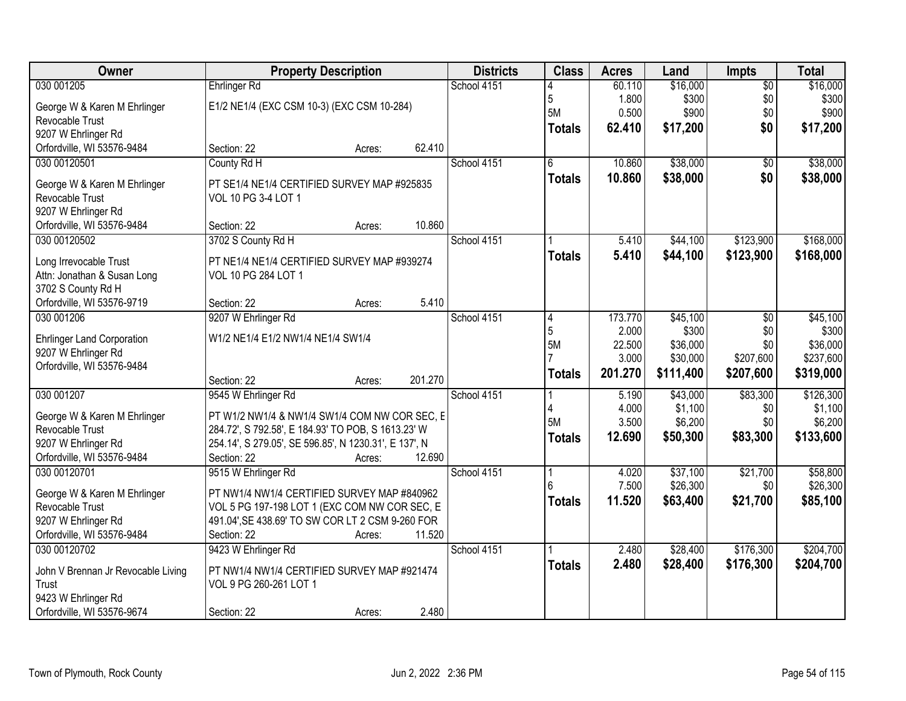| Owner                                             | <b>Property Description</b>                           |        |         | <b>Districts</b> | <b>Class</b>  | <b>Acres</b> | Land      | <b>Impts</b>    | <b>Total</b> |
|---------------------------------------------------|-------------------------------------------------------|--------|---------|------------------|---------------|--------------|-----------|-----------------|--------------|
| 030 001205                                        | <b>Ehrlinger Rd</b>                                   |        |         | School 4151      |               | 60.110       | \$16,000  | $\overline{50}$ | \$16,000     |
| George W & Karen M Ehrlinger                      | E1/2 NE1/4 (EXC CSM 10-3) (EXC CSM 10-284)            |        |         |                  | 5             | 1.800        | \$300     | \$0             | \$300        |
| Revocable Trust                                   |                                                       |        |         |                  | 5M            | 0.500        | \$900     | \$0             | \$900        |
| 9207 W Ehrlinger Rd                               |                                                       |        |         |                  | <b>Totals</b> | 62.410       | \$17,200  | \$0             | \$17,200     |
| Orfordville, WI 53576-9484                        | Section: 22                                           | Acres: | 62.410  |                  |               |              |           |                 |              |
| 030 00120501                                      | County Rd H                                           |        |         | School 4151      | 6             | 10.860       | \$38,000  | $\overline{50}$ | \$38,000     |
|                                                   |                                                       |        |         |                  | <b>Totals</b> | 10.860       | \$38,000  | \$0             | \$38,000     |
| George W & Karen M Ehrlinger                      | PT SE1/4 NE1/4 CERTIFIED SURVEY MAP #925835           |        |         |                  |               |              |           |                 |              |
| Revocable Trust                                   | VOL 10 PG 3-4 LOT 1                                   |        |         |                  |               |              |           |                 |              |
| 9207 W Ehrlinger Rd                               |                                                       |        |         |                  |               |              |           |                 |              |
| Orfordville, WI 53576-9484                        | Section: 22                                           | Acres: | 10.860  |                  |               |              |           |                 |              |
| 030 00120502                                      | 3702 S County Rd H                                    |        |         | School 4151      |               | 5.410        | \$44,100  | \$123,900       | \$168,000    |
| Long Irrevocable Trust                            | PT NE1/4 NE1/4 CERTIFIED SURVEY MAP #939274           |        |         |                  | <b>Totals</b> | 5.410        | \$44,100  | \$123,900       | \$168,000    |
| Attn: Jonathan & Susan Long                       | VOL 10 PG 284 LOT 1                                   |        |         |                  |               |              |           |                 |              |
| 3702 S County Rd H                                |                                                       |        |         |                  |               |              |           |                 |              |
| Orfordville, WI 53576-9719                        | Section: 22                                           | Acres: | 5.410   |                  |               |              |           |                 |              |
| 030 001206                                        | 9207 W Ehrlinger Rd                                   |        |         | School 4151      | 4             | 173.770      | \$45,100  | $\sqrt{6}$      | \$45,100     |
|                                                   |                                                       |        |         |                  | 5             | 2.000        | \$300     | \$0             | \$300        |
| <b>Ehrlinger Land Corporation</b>                 | W1/2 NE1/4 E1/2 NW1/4 NE1/4 SW1/4                     |        |         |                  | <b>5M</b>     | 22.500       | \$36,000  | \$0             | \$36,000     |
| 9207 W Ehrlinger Rd<br>Orfordville, WI 53576-9484 |                                                       |        |         |                  |               | 3.000        | \$30,000  | \$207,600       | \$237,600    |
|                                                   | Section: 22                                           |        | 201.270 |                  | <b>Totals</b> | 201.270      | \$111,400 | \$207,600       | \$319,000    |
| 030 001207                                        | 9545 W Ehrlinger Rd                                   | Acres: |         | School 4151      |               | 5.190        | \$43,000  | \$83,300        | \$126,300    |
|                                                   |                                                       |        |         |                  | 4             | 4.000        | \$1,100   | \$0             | \$1,100      |
| George W & Karen M Ehrlinger                      | PT W1/2 NW1/4 & NW1/4 SW1/4 COM NW COR SEC, E         |        |         |                  | 5M            | 3.500        | \$6,200   | \$0             | \$6,200      |
| Revocable Trust                                   | 284.72', S 792.58', E 184.93' TO POB, S 1613.23' W    |        |         |                  | <b>Totals</b> | 12.690       | \$50,300  | \$83,300        | \$133,600    |
| 9207 W Ehrlinger Rd                               | 254.14', S 279.05', SE 596.85', N 1230.31', E 137', N |        |         |                  |               |              |           |                 |              |
| Orfordville, WI 53576-9484                        | Section: 22                                           | Acres: | 12.690  |                  |               |              |           |                 |              |
| 030 00120701                                      | 9515 W Ehrlinger Rd                                   |        |         | School 4151      |               | 4.020        | \$37,100  | \$21,700        | \$58,800     |
| George W & Karen M Ehrlinger                      | PT NW1/4 NW1/4 CERTIFIED SURVEY MAP #840962           |        |         |                  |               | 7.500        | \$26,300  | \$0             | \$26,300     |
| Revocable Trust                                   | VOL 5 PG 197-198 LOT 1 (EXC COM NW COR SEC, E         |        |         |                  | <b>Totals</b> | 11.520       | \$63,400  | \$21,700        | \$85,100     |
| 9207 W Ehrlinger Rd                               | 491.04', SE 438.69' TO SW COR LT 2 CSM 9-260 FOR      |        |         |                  |               |              |           |                 |              |
| Orfordville, WI 53576-9484                        | Section: 22                                           | Acres: | 11.520  |                  |               |              |           |                 |              |
| 030 00120702                                      | 9423 W Ehrlinger Rd                                   |        |         | School 4151      |               | 2.480        | \$28,400  | \$176,300       | \$204,700    |
|                                                   |                                                       |        |         |                  | <b>Totals</b> | 2.480        | \$28,400  | \$176,300       | \$204,700    |
| John V Brennan Jr Revocable Living                | PT NW1/4 NW1/4 CERTIFIED SURVEY MAP #921474           |        |         |                  |               |              |           |                 |              |
| Trust                                             | VOL 9 PG 260-261 LOT 1                                |        |         |                  |               |              |           |                 |              |
| 9423 W Ehrlinger Rd                               |                                                       |        |         |                  |               |              |           |                 |              |
| Orfordville, WI 53576-9674                        | Section: 22                                           | Acres: | 2.480   |                  |               |              |           |                 |              |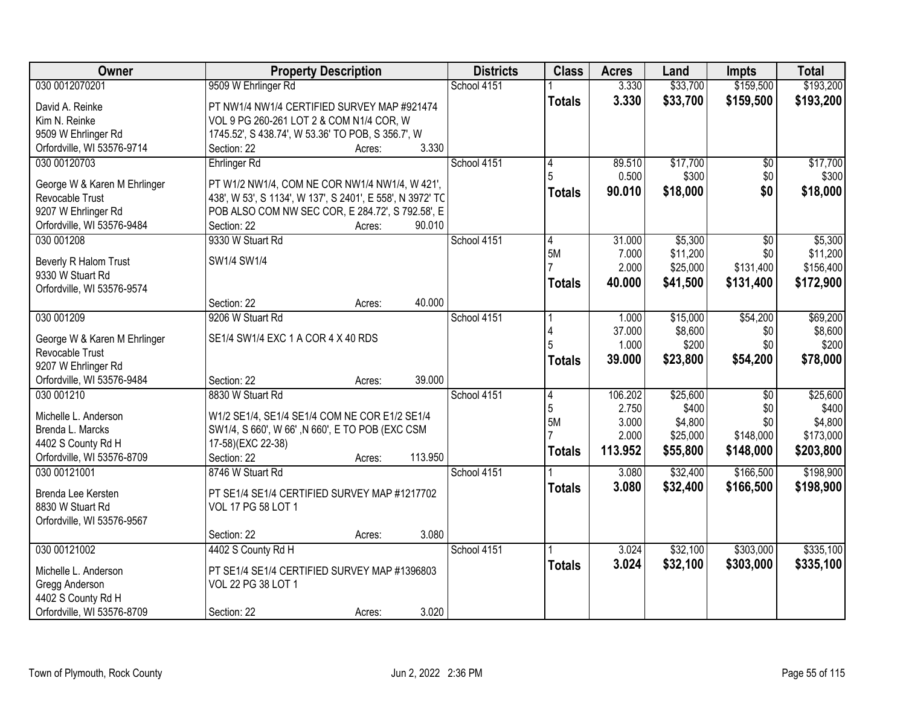| Owner                                           | <b>Property Description</b>                               |        |         | <b>Districts</b> | <b>Class</b>   | <b>Acres</b>   | Land                 | <b>Impts</b>     | <b>Total</b> |
|-------------------------------------------------|-----------------------------------------------------------|--------|---------|------------------|----------------|----------------|----------------------|------------------|--------------|
| 030 0012070201                                  | 9509 W Ehrlinger Rd                                       |        |         | School 4151      |                | 3.330          | \$33,700             | \$159,500        | \$193,200    |
| David A. Reinke                                 | PT NW1/4 NW1/4 CERTIFIED SURVEY MAP #921474               |        |         |                  | <b>Totals</b>  | 3.330          | \$33,700             | \$159,500        | \$193,200    |
| Kim N. Reinke                                   | VOL 9 PG 260-261 LOT 2 & COM N1/4 COR, W                  |        |         |                  |                |                |                      |                  |              |
| 9509 W Ehrlinger Rd                             | 1745.52', S 438.74', W 53.36' TO POB, S 356.7', W         |        |         |                  |                |                |                      |                  |              |
| Orfordville, WI 53576-9714                      | Section: 22                                               | Acres: | 3.330   |                  |                |                |                      |                  |              |
| 030 00120703                                    | <b>Ehrlinger Rd</b>                                       |        |         | School 4151      | 4              | 89.510         | \$17,700             | $\overline{50}$  | \$17,700     |
|                                                 |                                                           |        |         |                  |                | 0.500          | \$300                | \$0              | \$300        |
| George W & Karen M Ehrlinger                    | PT W1/2 NW1/4, COM NE COR NW1/4 NW1/4, W 421',            |        |         |                  | Totals         | 90.010         | \$18,000             | \$0              | \$18,000     |
| Revocable Trust                                 | 438', W 53', S 1134', W 137', S 2401', E 558', N 3972' TC |        |         |                  |                |                |                      |                  |              |
| 9207 W Ehrlinger Rd                             | POB ALSO COM NW SEC COR, E 284.72', S 792.58', E          |        |         |                  |                |                |                      |                  |              |
| Orfordville, WI 53576-9484                      | Section: 22                                               | Acres: | 90.010  |                  |                |                |                      |                  |              |
| 030 001208                                      | 9330 W Stuart Rd                                          |        |         | School 4151      | 4<br><b>5M</b> | 31.000         | \$5,300              | \$0              | \$5,300      |
| Beverly R Halom Trust                           | SW1/4 SW1/4                                               |        |         |                  |                | 7.000<br>2.000 | \$11,200<br>\$25,000 | \$0<br>\$131,400 | \$11,200     |
| 9330 W Stuart Rd                                |                                                           |        |         |                  |                |                |                      |                  | \$156,400    |
| Orfordville, WI 53576-9574                      |                                                           |        |         |                  | <b>Totals</b>  | 40.000         | \$41,500             | \$131,400        | \$172,900    |
|                                                 | Section: 22                                               | Acres: | 40.000  |                  |                |                |                      |                  |              |
| 030 001209                                      | 9206 W Stuart Rd                                          |        |         | School 4151      |                | 1.000          | \$15,000             | \$54,200         | \$69,200     |
|                                                 | SE1/4 SW1/4 EXC 1 A COR 4 X 40 RDS                        |        |         |                  |                | 37.000         | \$8,600              | \$0              | \$8,600      |
| George W & Karen M Ehrlinger<br>Revocable Trust |                                                           |        |         |                  | 5              | 1.000          | \$200                | \$0              | \$200        |
| 9207 W Ehrlinger Rd                             |                                                           |        |         |                  | Totals         | 39.000         | \$23,800             | \$54,200         | \$78,000     |
| Orfordville, WI 53576-9484                      | Section: 22                                               | Acres: | 39.000  |                  |                |                |                      |                  |              |
| 030 001210                                      | 8830 W Stuart Rd                                          |        |         | School 4151      | $\overline{4}$ | 106.202        | \$25,600             | $\overline{50}$  | \$25,600     |
|                                                 |                                                           |        |         |                  | 5              | 2.750          | \$400                | \$0              | \$400        |
| Michelle L. Anderson                            | W1/2 SE1/4, SE1/4 SE1/4 COM NE COR E1/2 SE1/4             |        |         |                  | 5M             | 3.000          | \$4,800              | \$0              | \$4,800      |
| Brenda L. Marcks                                | SW1/4, S 660', W 66', N 660', E TO POB (EXC CSM           |        |         |                  |                | 2.000          | \$25,000             | \$148,000        | \$173,000    |
| 4402 S County Rd H                              | 17-58)(EXC 22-38)                                         |        |         |                  |                | 113.952        | \$55,800             | \$148,000        | \$203,800    |
| Orfordville, WI 53576-8709                      | Section: 22                                               | Acres: | 113.950 |                  | <b>Totals</b>  |                |                      |                  |              |
| 030 00121001                                    | 8746 W Stuart Rd                                          |        |         | School 4151      |                | 3.080          | \$32,400             | \$166,500        | \$198,900    |
| Brenda Lee Kersten                              | PT SE1/4 SE1/4 CERTIFIED SURVEY MAP #1217702              |        |         |                  | <b>Totals</b>  | 3.080          | \$32,400             | \$166,500        | \$198,900    |
| 8830 W Stuart Rd                                | VOL 17 PG 58 LOT 1                                        |        |         |                  |                |                |                      |                  |              |
| Orfordville, WI 53576-9567                      |                                                           |        |         |                  |                |                |                      |                  |              |
|                                                 | Section: 22                                               | Acres: | 3.080   |                  |                |                |                      |                  |              |
| 030 00121002                                    | 4402 S County Rd H                                        |        |         | School 4151      |                | 3.024          | \$32,100             | \$303,000        | \$335,100    |
|                                                 |                                                           |        |         |                  | <b>Totals</b>  | 3.024          | \$32,100             | \$303,000        | \$335,100    |
| Michelle L. Anderson                            | PT SE1/4 SE1/4 CERTIFIED SURVEY MAP #1396803              |        |         |                  |                |                |                      |                  |              |
| Gregg Anderson                                  | VOL 22 PG 38 LOT 1                                        |        |         |                  |                |                |                      |                  |              |
| 4402 S County Rd H                              |                                                           |        |         |                  |                |                |                      |                  |              |
| Orfordville, WI 53576-8709                      | Section: 22                                               | Acres: | 3.020   |                  |                |                |                      |                  |              |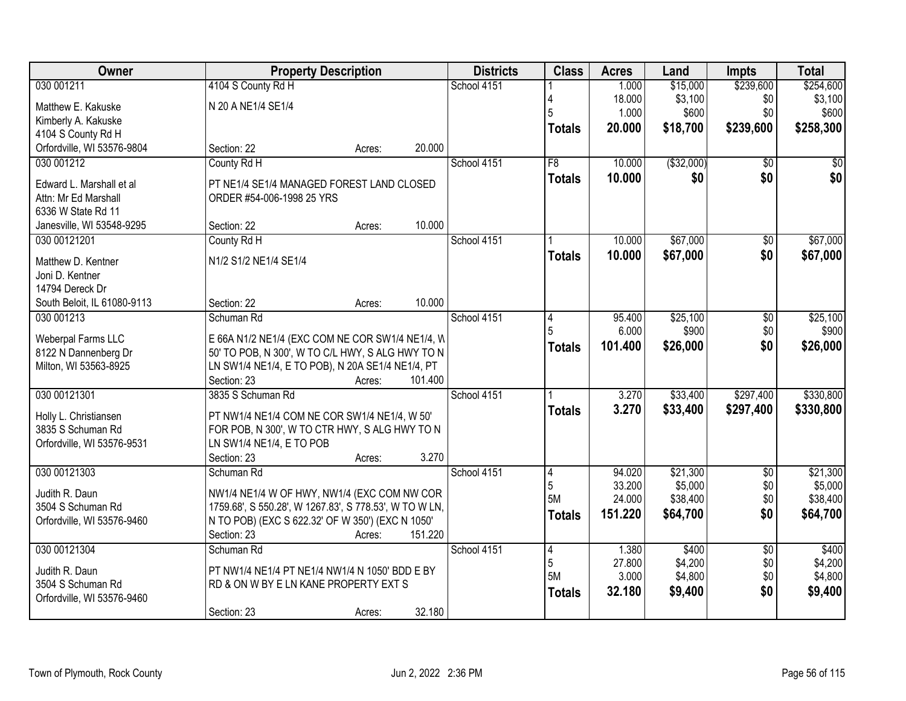| Owner                       |                                                        | <b>Property Description</b> |         | <b>Districts</b> | <b>Class</b>   | <b>Acres</b>     | Land                | <b>Impts</b>    | <b>Total</b>        |
|-----------------------------|--------------------------------------------------------|-----------------------------|---------|------------------|----------------|------------------|---------------------|-----------------|---------------------|
| 030 001211                  | 4104 S County Rd H                                     |                             |         | School 4151      |                | 1.000            | \$15,000            | \$239,600       | \$254,600           |
| Matthew E. Kakuske          | N 20 A NE1/4 SE1/4                                     |                             |         |                  |                | 18.000           | \$3,100             | \$0             | \$3,100             |
| Kimberly A. Kakuske         |                                                        |                             |         |                  | 5              | 1.000            | \$600               | \$0             | \$600               |
| 4104 S County Rd H          |                                                        |                             |         |                  | <b>Totals</b>  | 20,000           | \$18,700            | \$239,600       | \$258,300           |
| Orfordville, WI 53576-9804  | Section: 22                                            | Acres:                      | 20.000  |                  |                |                  |                     |                 |                     |
| 030 001212                  | County Rd H                                            |                             |         | School 4151      | F8             | 10.000           | ( \$32,000)         | $\overline{50}$ | \$0                 |
| Edward L. Marshall et al    | PT NE1/4 SE1/4 MANAGED FOREST LAND CLOSED              |                             |         |                  | <b>Totals</b>  | 10.000           | \$0                 | \$0             | \$0                 |
| Attn: Mr Ed Marshall        | ORDER #54-006-1998 25 YRS                              |                             |         |                  |                |                  |                     |                 |                     |
| 6336 W State Rd 11          |                                                        |                             |         |                  |                |                  |                     |                 |                     |
| Janesville, WI 53548-9295   | Section: 22                                            | Acres:                      | 10.000  |                  |                |                  |                     |                 |                     |
| 030 00121201                | County Rd H                                            |                             |         | School 4151      |                | 10.000           | \$67,000            | $\overline{50}$ | \$67,000            |
| Matthew D. Kentner          | N1/2 S1/2 NE1/4 SE1/4                                  |                             |         |                  | <b>Totals</b>  | 10.000           | \$67,000            | \$0             | \$67,000            |
| Joni D. Kentner             |                                                        |                             |         |                  |                |                  |                     |                 |                     |
| 14794 Dereck Dr             |                                                        |                             |         |                  |                |                  |                     |                 |                     |
| South Beloit, IL 61080-9113 | Section: 22                                            | Acres:                      | 10.000  |                  |                |                  |                     |                 |                     |
| 030 001213                  | Schuman Rd                                             |                             |         | School 4151      | 4              | 95.400           | \$25,100            | \$0             | \$25,100            |
| Weberpal Farms LLC          | E 66A N1/2 NE1/4 (EXC COM NE COR SW1/4 NE1/4, W        |                             |         |                  |                | 6.000            | \$900               | \$0             | \$900               |
| 8122 N Dannenberg Dr        | 50' TO POB, N 300', W TO C/L HWY, S ALG HWY TO N       |                             |         |                  | <b>Totals</b>  | 101.400          | \$26,000            | \$0             | \$26,000            |
| Milton, WI 53563-8925       | LN SW1/4 NE1/4, E TO POB), N 20A SE1/4 NE1/4, PT       |                             |         |                  |                |                  |                     |                 |                     |
|                             | Section: 23                                            | Acres:                      | 101.400 |                  |                |                  |                     |                 |                     |
| 030 00121301                | 3835 S Schuman Rd                                      |                             |         | School 4151      |                | 3.270            | \$33,400            | \$297,400       | \$330,800           |
| Holly L. Christiansen       | PT NW1/4 NE1/4 COM NE COR SW1/4 NE1/4, W 50'           |                             |         |                  | <b>Totals</b>  | 3.270            | \$33,400            | \$297,400       | \$330,800           |
| 3835 S Schuman Rd           | FOR POB, N 300', W TO CTR HWY, S ALG HWY TO N          |                             |         |                  |                |                  |                     |                 |                     |
| Orfordville, WI 53576-9531  | LN SW1/4 NE1/4, E TO POB                               |                             |         |                  |                |                  |                     |                 |                     |
|                             | Section: 23                                            | Acres:                      | 3.270   |                  |                |                  |                     |                 |                     |
| 030 00121303                | Schuman Rd                                             |                             |         | School 4151      | $\overline{4}$ | 94.020           | \$21,300            | $\sqrt{6}$      | \$21,300            |
| Judith R. Daun              | NW1/4 NE1/4 W OF HWY, NW1/4 (EXC COM NW COR            |                             |         |                  | 5<br>5M        | 33.200<br>24.000 | \$5,000<br>\$38,400 | \$0<br>\$0      | \$5,000<br>\$38,400 |
| 3504 S Schuman Rd           | 1759.68', S 550.28', W 1267.83', S 778.53', W TO W LN, |                             |         |                  | <b>Totals</b>  | 151.220          | \$64,700            | \$0             | \$64,700            |
| Orfordville, WI 53576-9460  | N TO POB) (EXC S 622.32' OF W 350') (EXC N 1050'       |                             |         |                  |                |                  |                     |                 |                     |
|                             | Section: 23                                            | Acres:                      | 151.220 |                  |                |                  |                     |                 |                     |
| 030 00121304                | Schuman Rd                                             |                             |         | School 4151      | $\overline{4}$ | 1.380            | \$400               | $\overline{50}$ | \$400               |
| Judith R. Daun              | PT NW1/4 NE1/4 PT NE1/4 NW1/4 N 1050' BDD E BY         |                             |         |                  | 5<br>5M        | 27.800<br>3.000  | \$4,200<br>\$4,800  | \$0<br>\$0      | \$4,200<br>\$4,800  |
| 3504 S Schuman Rd           | RD & ON W BY E LN KANE PROPERTY EXT S                  |                             |         |                  |                | 32.180           | \$9,400             | \$0             | \$9,400             |
| Orfordville, WI 53576-9460  |                                                        |                             |         |                  | <b>Totals</b>  |                  |                     |                 |                     |
|                             | Section: 23                                            | Acres:                      | 32.180  |                  |                |                  |                     |                 |                     |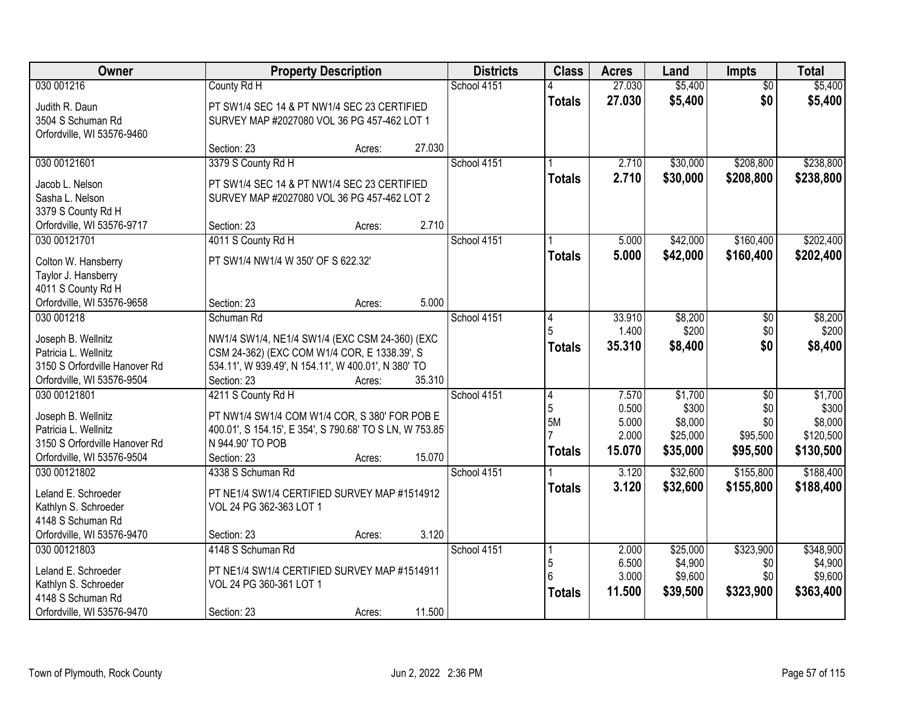| Owner                                            | <b>Property Description</b>                              |        |        | <b>Districts</b> | <b>Class</b>   | <b>Acres</b> | Land     | Impts           | <b>Total</b> |
|--------------------------------------------------|----------------------------------------------------------|--------|--------|------------------|----------------|--------------|----------|-----------------|--------------|
| 030 001216                                       | County Rd H                                              |        |        | School 4151      |                | 27.030       | \$5,400  | $\overline{50}$ | \$5,400      |
| Judith R. Daun                                   | PT SW1/4 SEC 14 & PT NW1/4 SEC 23 CERTIFIED              |        |        |                  | <b>Totals</b>  | 27.030       | \$5,400  | \$0             | \$5,400      |
| 3504 S Schuman Rd                                | SURVEY MAP #2027080 VOL 36 PG 457-462 LOT 1              |        |        |                  |                |              |          |                 |              |
| Orfordville, WI 53576-9460                       |                                                          |        |        |                  |                |              |          |                 |              |
|                                                  | Section: 23                                              | Acres: | 27.030 |                  |                |              |          |                 |              |
| 030 00121601                                     | 3379 S County Rd H                                       |        |        | School 4151      |                | 2.710        | \$30,000 | \$208,800       | \$238,800    |
| Jacob L. Nelson                                  | PT SW1/4 SEC 14 & PT NW1/4 SEC 23 CERTIFIED              |        |        |                  | <b>Totals</b>  | 2.710        | \$30,000 | \$208,800       | \$238,800    |
| Sasha L. Nelson                                  | SURVEY MAP #2027080 VOL 36 PG 457-462 LOT 2              |        |        |                  |                |              |          |                 |              |
| 3379 S County Rd H                               |                                                          |        |        |                  |                |              |          |                 |              |
| Orfordville, WI 53576-9717                       | Section: 23                                              | Acres: | 2.710  |                  |                |              |          |                 |              |
| 030 00121701                                     | 4011 S County Rd H                                       |        |        | School 4151      |                | 5.000        | \$42,000 | \$160,400       | \$202,400    |
|                                                  |                                                          |        |        |                  | <b>Totals</b>  | 5.000        | \$42,000 | \$160,400       | \$202,400    |
| Colton W. Hansberry                              | PT SW1/4 NW1/4 W 350' OF S 622.32'                       |        |        |                  |                |              |          |                 |              |
| Taylor J. Hansberry                              |                                                          |        |        |                  |                |              |          |                 |              |
| 4011 S County Rd H<br>Orfordville, WI 53576-9658 | Section: 23                                              | Acres: | 5.000  |                  |                |              |          |                 |              |
| 030 001218                                       | Schuman Rd                                               |        |        | School 4151      | 14             | 33.910       | \$8,200  | \$0             | \$8,200      |
|                                                  |                                                          |        |        |                  | 5              | 1.400        | \$200    | \$0             | \$200        |
| Joseph B. Wellnitz                               | NW1/4 SW1/4, NE1/4 SW1/4 (EXC CSM 24-360) (EXC           |        |        |                  | <b>Totals</b>  | 35.310       | \$8,400  | \$0             | \$8,400      |
| Patricia L. Wellnitz                             | CSM 24-362) (EXC COM W1/4 COR, E 1338.39', S             |        |        |                  |                |              |          |                 |              |
| 3150 S Orfordville Hanover Rd                    | 534.11', W 939.49', N 154.11', W 400.01', N 380' TO      |        |        |                  |                |              |          |                 |              |
| Orfordville, WI 53576-9504                       | Section: 23                                              | Acres: | 35.310 |                  |                |              |          |                 |              |
| 030 00121801                                     | 4211 S County Rd H                                       |        |        | School 4151      | $\overline{4}$ | 7.570        | \$1,700  | $\overline{60}$ | \$1,700      |
| Joseph B. Wellnitz                               | PT NW1/4 SW1/4 COM W1/4 COR, S 380' FOR POB E            |        |        |                  | 5              | 0.500        | \$300    | \$0             | \$300        |
| Patricia L. Wellnitz                             | 400.01', S 154.15', E 354', S 790.68' TO S LN, W 753.85' |        |        |                  | 5M             | 5.000        | \$8,000  | \$0             | \$8,000      |
| 3150 S Orfordville Hanover Rd                    | N 944.90' TO POB                                         |        |        |                  |                | 2.000        | \$25,000 | \$95,500        | \$120,500    |
| Orfordville, WI 53576-9504                       | Section: 23                                              | Acres: | 15.070 |                  | <b>Totals</b>  | 15.070       | \$35,000 | \$95,500        | \$130,500    |
| 030 00121802                                     | 4338 S Schuman Rd                                        |        |        | School 4151      |                | 3.120        | \$32,600 | \$155,800       | \$188,400    |
| Leland E. Schroeder                              | PT NE1/4 SW1/4 CERTIFIED SURVEY MAP #1514912             |        |        |                  | <b>Totals</b>  | 3.120        | \$32,600 | \$155,800       | \$188,400    |
| Kathlyn S. Schroeder                             | VOL 24 PG 362-363 LOT 1                                  |        |        |                  |                |              |          |                 |              |
| 4148 S Schuman Rd                                |                                                          |        |        |                  |                |              |          |                 |              |
| Orfordville, WI 53576-9470                       | Section: 23                                              | Acres: | 3.120  |                  |                |              |          |                 |              |
| 030 00121803                                     | 4148 S Schuman Rd                                        |        |        | School 4151      |                | 2.000        | \$25,000 | \$323,900       | \$348,900    |
| Leland E. Schroeder                              | PT NE1/4 SW1/4 CERTIFIED SURVEY MAP #1514911             |        |        |                  | 5              | 6.500        | \$4,900  | \$0             | \$4,900      |
| Kathlyn S. Schroeder                             | VOL 24 PG 360-361 LOT 1                                  |        |        |                  | 6              | 3.000        | \$9,600  | \$0             | \$9,600      |
| 4148 S Schuman Rd                                |                                                          |        |        |                  | <b>Totals</b>  | 11.500       | \$39,500 | \$323,900       | \$363,400    |
| Orfordville, WI 53576-9470                       | Section: 23                                              | Acres: | 11.500 |                  |                |              |          |                 |              |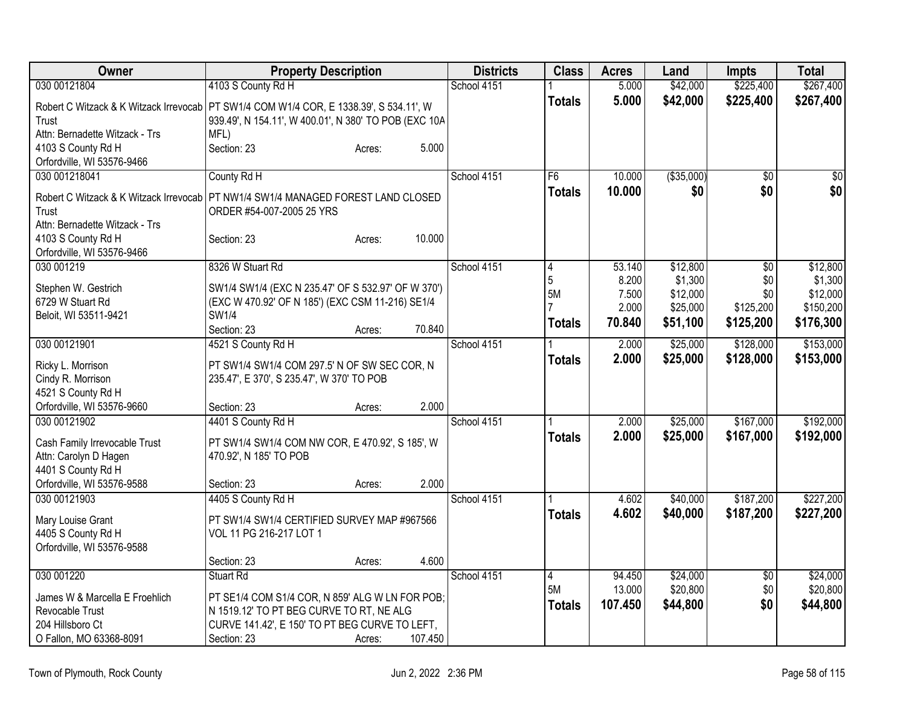| Owner                                                                                    | <b>Property Description</b>                           |        |         | <b>Districts</b> | <b>Class</b>  | <b>Acres</b>   | Land                 | <b>Impts</b>     | <b>Total</b>          |
|------------------------------------------------------------------------------------------|-------------------------------------------------------|--------|---------|------------------|---------------|----------------|----------------------|------------------|-----------------------|
| 030 00121804                                                                             | 4103 S County Rd H                                    |        |         | School 4151      |               | 5.000          | \$42,000             | \$225,400        | \$267,400             |
| Robert C Witzack & K Witzack Irrevocab   PT SW1/4 COM W1/4 COR, E 1338.39', S 534.11', W |                                                       |        |         |                  | <b>Totals</b> | 5.000          | \$42,000             | \$225,400        | \$267,400             |
| Trust                                                                                    | 939.49', N 154.11', W 400.01', N 380' TO POB (EXC 10A |        |         |                  |               |                |                      |                  |                       |
| Attn: Bernadette Witzack - Trs                                                           | MFL)                                                  |        |         |                  |               |                |                      |                  |                       |
| 4103 S County Rd H                                                                       | Section: 23                                           | Acres: | 5.000   |                  |               |                |                      |                  |                       |
| Orfordville, WI 53576-9466                                                               |                                                       |        |         |                  |               |                |                      |                  |                       |
| 030 001218041                                                                            | County Rd H                                           |        |         | School 4151      | F6            | 10.000         | ( \$35,000)          | $\overline{50}$  | \$0                   |
| Robert C Witzack & K Witzack Irrevocab                                                   | PT NW1/4 SW1/4 MANAGED FOREST LAND CLOSED             |        |         |                  | <b>Totals</b> | 10.000         | \$0                  | \$0              | \$0                   |
| Trust                                                                                    | ORDER #54-007-2005 25 YRS                             |        |         |                  |               |                |                      |                  |                       |
| Attn: Bernadette Witzack - Trs                                                           |                                                       |        |         |                  |               |                |                      |                  |                       |
| 4103 S County Rd H                                                                       | Section: 23                                           | Acres: | 10.000  |                  |               |                |                      |                  |                       |
| Orfordville, WI 53576-9466                                                               |                                                       |        |         |                  |               |                |                      |                  |                       |
| 030 001219                                                                               | 8326 W Stuart Rd                                      |        |         | School 4151      | 4             | 53.140         | \$12,800             | \$0              | \$12,800              |
| Stephen W. Gestrich                                                                      | SW1/4 SW1/4 (EXC N 235.47' OF S 532.97' OF W 370')    |        |         |                  | 5             | 8.200          | \$1,300              | \$0              | \$1,300               |
| 6729 W Stuart Rd                                                                         | (EXC W 470.92' OF N 185') (EXC CSM 11-216) SE1/4      |        |         |                  | <b>5M</b>     | 7.500<br>2.000 | \$12,000<br>\$25,000 | \$0<br>\$125,200 | \$12,000<br>\$150,200 |
| Beloit, WI 53511-9421                                                                    | SW1/4                                                 |        |         |                  |               | 70.840         | \$51,100             | \$125,200        | \$176,300             |
|                                                                                          | Section: 23                                           | Acres: | 70.840  |                  | <b>Totals</b> |                |                      |                  |                       |
| 030 00121901                                                                             | 4521 S County Rd H                                    |        |         | School 4151      |               | 2.000          | \$25,000             | \$128,000        | \$153,000             |
| Ricky L. Morrison                                                                        | PT SW1/4 SW1/4 COM 297.5' N OF SW SEC COR, N          |        |         |                  | <b>Totals</b> | 2.000          | \$25,000             | \$128,000        | \$153,000             |
| Cindy R. Morrison                                                                        | 235.47', E 370', S 235.47', W 370' TO POB             |        |         |                  |               |                |                      |                  |                       |
| 4521 S County Rd H                                                                       |                                                       |        |         |                  |               |                |                      |                  |                       |
| Orfordville, WI 53576-9660                                                               | Section: 23                                           | Acres: | 2.000   |                  |               |                |                      |                  |                       |
| 030 00121902                                                                             | 4401 S County Rd H                                    |        |         | School 4151      |               | 2.000          | \$25,000             | \$167,000        | \$192,000             |
| Cash Family Irrevocable Trust                                                            | PT SW1/4 SW1/4 COM NW COR, E 470.92', S 185', W       |        |         |                  | <b>Totals</b> | 2.000          | \$25,000             | \$167,000        | \$192,000             |
| Attn: Carolyn D Hagen                                                                    | 470.92', N 185' TO POB                                |        |         |                  |               |                |                      |                  |                       |
| 4401 S County Rd H                                                                       |                                                       |        |         |                  |               |                |                      |                  |                       |
| Orfordville, WI 53576-9588                                                               | Section: 23                                           | Acres: | 2.000   |                  |               |                |                      |                  |                       |
| 030 00121903                                                                             | 4405 S County Rd H                                    |        |         | School 4151      |               | 4.602          | \$40,000             | \$187,200        | \$227,200             |
| Mary Louise Grant                                                                        | PT SW1/4 SW1/4 CERTIFIED SURVEY MAP #967566           |        |         |                  | Totals        | 4.602          | \$40,000             | \$187,200        | \$227,200             |
| 4405 S County Rd H                                                                       | VOL 11 PG 216-217 LOT 1                               |        |         |                  |               |                |                      |                  |                       |
| Orfordville, WI 53576-9588                                                               |                                                       |        |         |                  |               |                |                      |                  |                       |
|                                                                                          | Section: 23                                           | Acres: | 4.600   |                  |               |                |                      |                  |                       |
| 030 001220                                                                               | Stuart Rd                                             |        |         | School 4151      | 4             | 94.450         | \$24,000             | $\sqrt{$0}$      | \$24,000              |
| James W & Marcella E Froehlich                                                           | PT SE1/4 COM S1/4 COR, N 859' ALG W LN FOR POB;       |        |         |                  | 5M            | 13.000         | \$20,800             | \$0              | \$20,800              |
| Revocable Trust                                                                          | N 1519.12' TO PT BEG CURVE TO RT, NE ALG              |        |         |                  | <b>Totals</b> | 107.450        | \$44,800             | \$0              | \$44,800              |
| 204 Hillsboro Ct                                                                         | CURVE 141.42', E 150' TO PT BEG CURVE TO LEFT,        |        |         |                  |               |                |                      |                  |                       |
| O Fallon, MO 63368-8091                                                                  | Section: 23                                           | Acres: | 107.450 |                  |               |                |                      |                  |                       |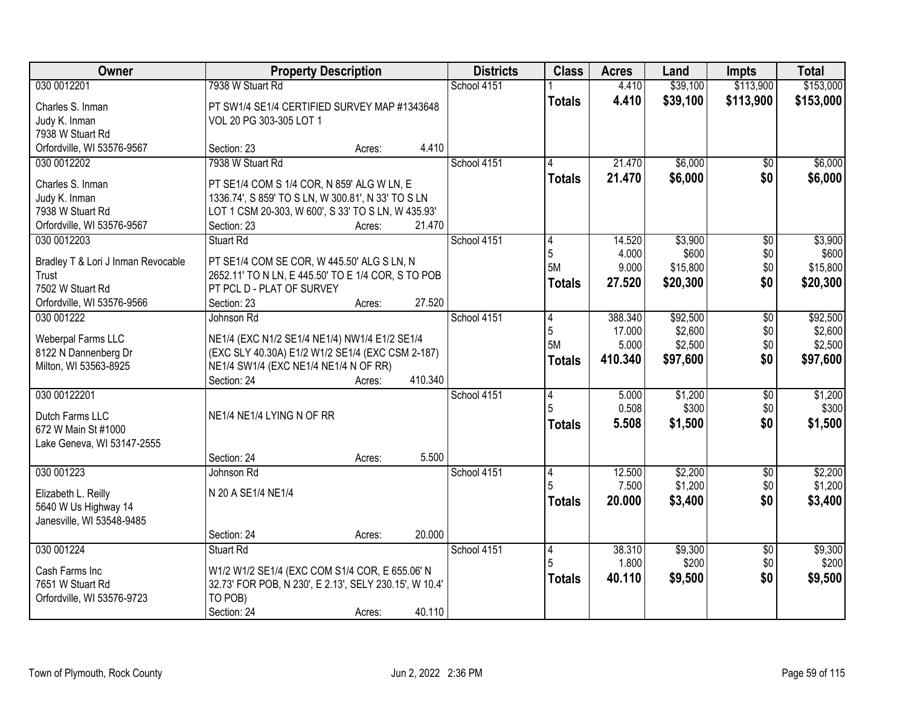| Owner                              | <b>Property Description</b>                                                     |        |         | <b>Districts</b> | <b>Class</b>   | <b>Acres</b> | Land     | <b>Impts</b>    | <b>Total</b> |
|------------------------------------|---------------------------------------------------------------------------------|--------|---------|------------------|----------------|--------------|----------|-----------------|--------------|
| 030 0012201                        | 7938 W Stuart Rd                                                                |        |         | School 4151      |                | 4.410        | \$39,100 | \$113,900       | \$153,000    |
| Charles S. Inman                   | PT SW1/4 SE1/4 CERTIFIED SURVEY MAP #1343648                                    |        |         |                  | <b>Totals</b>  | 4.410        | \$39,100 | \$113,900       | \$153,000    |
| Judy K. Inman                      | VOL 20 PG 303-305 LOT 1                                                         |        |         |                  |                |              |          |                 |              |
| 7938 W Stuart Rd                   |                                                                                 |        |         |                  |                |              |          |                 |              |
| Orfordville, WI 53576-9567         | Section: 23                                                                     | Acres: | 4.410   |                  |                |              |          |                 |              |
| 030 0012202                        | 7938 W Stuart Rd                                                                |        |         | School 4151      | 4              | 21.470       | \$6,000  | $\overline{50}$ | \$6,000      |
| Charles S. Inman                   | PT SE1/4 COM S 1/4 COR, N 859' ALG W LN, E                                      |        |         |                  | Totals         | 21.470       | \$6,000  | \$0             | \$6,000      |
| Judy K. Inman                      | 1336.74', S 859' TO S LN, W 300.81', N 33' TO S LN                              |        |         |                  |                |              |          |                 |              |
| 7938 W Stuart Rd                   | LOT 1 CSM 20-303, W 600', S 33' TO S LN, W 435.93'                              |        |         |                  |                |              |          |                 |              |
| Orfordville, WI 53576-9567         | Section: 23                                                                     | Acres: | 21.470  |                  |                |              |          |                 |              |
| 030 0012203                        | Stuart Rd                                                                       |        |         | School 4151      | 4              | 14.520       | \$3,900  | \$0             | \$3,900      |
|                                    |                                                                                 |        |         |                  | 5              | 4.000        | \$600    | \$0             | \$600        |
| Bradley T & Lori J Inman Revocable | PT SE1/4 COM SE COR, W 445.50' ALG S LN, N                                      |        |         |                  | 5M             | 9.000        | \$15,800 | \$0             | \$15,800     |
| Trust<br>7502 W Stuart Rd          | 2652.11' TO N LN, E 445.50' TO E 1/4 COR, S TO POB<br>PT PCL D - PLAT OF SURVEY |        |         |                  | <b>Totals</b>  | 27.520       | \$20,300 | \$0             | \$20,300     |
| Orfordville, WI 53576-9566         | Section: 23                                                                     | Acres: | 27.520  |                  |                |              |          |                 |              |
| 030 001222                         | Johnson Rd                                                                      |        |         | School 4151      | 4              | 388.340      | \$92,500 | \$0             | \$92,500     |
|                                    |                                                                                 |        |         |                  | 5              | 17.000       | \$2,600  | \$0             | \$2,600      |
| Weberpal Farms LLC                 | NE1/4 (EXC N1/2 SE1/4 NE1/4) NW1/4 E1/2 SE1/4                                   |        |         |                  | <b>5M</b>      | 5.000        | \$2,500  | \$0             | \$2,500      |
| 8122 N Dannenberg Dr               | (EXC SLY 40.30A) E1/2 W1/2 SE1/4 (EXC CSM 2-187)                                |        |         |                  | <b>Totals</b>  | 410.340      | \$97,600 | \$0             | \$97,600     |
| Milton, WI 53563-8925              | NE1/4 SW1/4 (EXC NE1/4 NE1/4 N OF RR)<br>Section: 24                            |        | 410.340 |                  |                |              |          |                 |              |
| 030 00122201                       |                                                                                 | Acres: |         | School 4151      | $\overline{4}$ | 5.000        | \$1,200  | $\overline{50}$ | \$1,200      |
|                                    |                                                                                 |        |         |                  |                | 0.508        | \$300    | \$0             | \$300        |
| Dutch Farms LLC                    | NE1/4 NE1/4 LYING N OF RR                                                       |        |         |                  | <b>Totals</b>  | 5.508        | \$1,500  | \$0             | \$1,500      |
| 672 W Main St #1000                |                                                                                 |        |         |                  |                |              |          |                 |              |
| Lake Geneva, WI 53147-2555         |                                                                                 |        |         |                  |                |              |          |                 |              |
|                                    | Section: 24                                                                     | Acres: | 5.500   |                  |                |              |          |                 |              |
| 030 001223                         | Johnson Rd                                                                      |        |         | School 4151      | 14             | 12.500       | \$2,200  | $\sqrt{6}$      | \$2,200      |
| Elizabeth L. Reilly                | N 20 A SE1/4 NE1/4                                                              |        |         |                  |                | 7.500        | \$1,200  | \$0             | \$1,200      |
| 5640 W Us Highway 14               |                                                                                 |        |         |                  | <b>Totals</b>  | 20.000       | \$3,400  | \$0             | \$3,400      |
| Janesville, WI 53548-9485          |                                                                                 |        |         |                  |                |              |          |                 |              |
|                                    | Section: 24                                                                     | Acres: | 20.000  |                  |                |              |          |                 |              |
| 030 001224                         | <b>Stuart Rd</b>                                                                |        |         | School 4151      | 4              | 38.310       | \$9,300  | $\overline{60}$ | \$9,300      |
| Cash Farms Inc                     | W1/2 W1/2 SE1/4 (EXC COM S1/4 COR, E 655.06' N                                  |        |         |                  | 5              | 1.800        | \$200    | \$0             | \$200        |
| 7651 W Stuart Rd                   | 32.73' FOR POB, N 230', E 2.13', SELY 230.15', W 10.4'                          |        |         |                  | <b>Totals</b>  | 40.110       | \$9,500  | \$0             | \$9,500      |
| Orfordville, WI 53576-9723         | TO POB)                                                                         |        |         |                  |                |              |          |                 |              |
|                                    | Section: 24                                                                     | Acres: | 40.110  |                  |                |              |          |                 |              |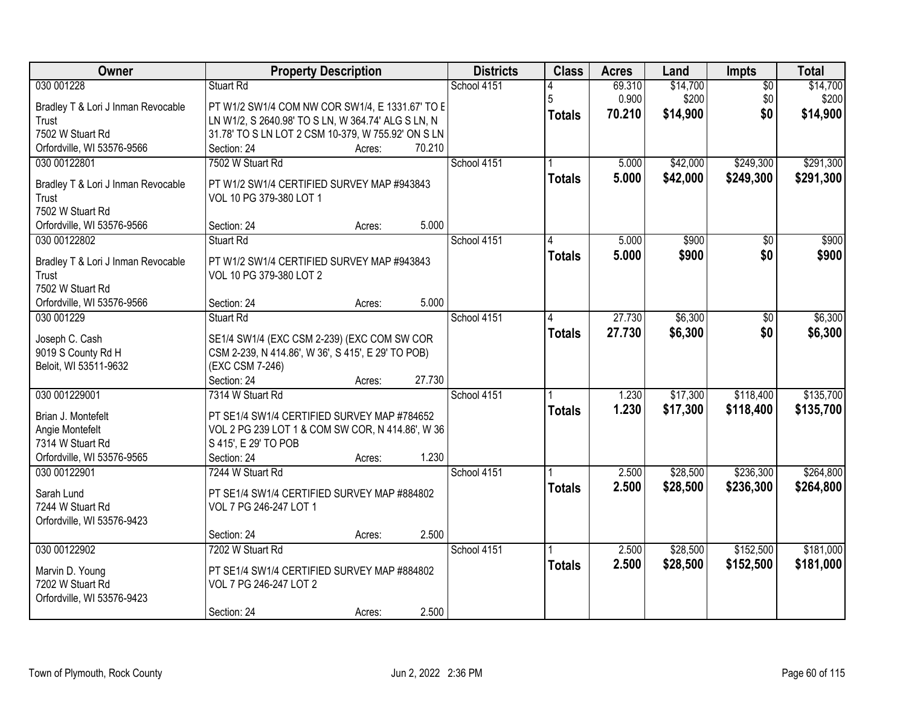| Owner                                       | <b>Property Description</b>                                           |        |        | <b>Districts</b> | <b>Class</b>  | <b>Acres</b> | Land     | Impts           | <b>Total</b> |
|---------------------------------------------|-----------------------------------------------------------------------|--------|--------|------------------|---------------|--------------|----------|-----------------|--------------|
| 030 001228                                  | <b>Stuart Rd</b>                                                      |        |        | School 4151      |               | 69.310       | \$14,700 | $\overline{50}$ | \$14,700     |
| Bradley T & Lori J Inman Revocable          | PT W1/2 SW1/4 COM NW COR SW1/4, E 1331.67' TO E                       |        |        |                  | 5             | 0.900        | \$200    | \$0             | \$200        |
| Trust                                       | LN W1/2, S 2640.98' TO S LN, W 364.74' ALG S LN, N                    |        |        |                  | <b>Totals</b> | 70.210       | \$14,900 | \$0             | \$14,900     |
| 7502 W Stuart Rd                            | 31.78' TO S LN LOT 2 CSM 10-379, W 755.92' ON S LN                    |        |        |                  |               |              |          |                 |              |
| Orfordville, WI 53576-9566                  | Section: 24                                                           | Acres: | 70.210 |                  |               |              |          |                 |              |
| 030 00122801                                | 7502 W Stuart Rd                                                      |        |        | School 4151      |               | 5.000        | \$42,000 | \$249,300       | \$291,300    |
| Bradley T & Lori J Inman Revocable          | PT W1/2 SW1/4 CERTIFIED SURVEY MAP #943843                            |        |        |                  | <b>Totals</b> | 5.000        | \$42,000 | \$249,300       | \$291,300    |
| Trust                                       | VOL 10 PG 379-380 LOT 1                                               |        |        |                  |               |              |          |                 |              |
| 7502 W Stuart Rd                            |                                                                       |        |        |                  |               |              |          |                 |              |
| Orfordville, WI 53576-9566                  | Section: 24                                                           | Acres: | 5.000  |                  |               |              |          |                 |              |
| 030 00122802                                | <b>Stuart Rd</b>                                                      |        |        | School 4151      |               | 5.000        | \$900    | \$0             | \$900        |
|                                             |                                                                       |        |        |                  | <b>Totals</b> | 5.000        | \$900    | \$0             | \$900        |
| Bradley T & Lori J Inman Revocable<br>Trust | PT W1/2 SW1/4 CERTIFIED SURVEY MAP #943843<br>VOL 10 PG 379-380 LOT 2 |        |        |                  |               |              |          |                 |              |
| 7502 W Stuart Rd                            |                                                                       |        |        |                  |               |              |          |                 |              |
| Orfordville, WI 53576-9566                  | Section: 24                                                           | Acres: | 5.000  |                  |               |              |          |                 |              |
| 030 001229                                  | <b>Stuart Rd</b>                                                      |        |        | School 4151      | 4             | 27.730       | \$6,300  | \$0             | \$6,300      |
|                                             |                                                                       |        |        |                  | <b>Totals</b> | 27.730       | \$6,300  | \$0             | \$6,300      |
| Joseph C. Cash                              | SE1/4 SW1/4 (EXC CSM 2-239) (EXC COM SW COR                           |        |        |                  |               |              |          |                 |              |
| 9019 S County Rd H                          | CSM 2-239, N 414.86', W 36', S 415', E 29' TO POB)                    |        |        |                  |               |              |          |                 |              |
| Beloit, WI 53511-9632                       | (EXC CSM 7-246)                                                       |        | 27.730 |                  |               |              |          |                 |              |
| 030 001229001                               | Section: 24<br>7314 W Stuart Rd                                       | Acres: |        | School 4151      |               | 1.230        | \$17,300 | \$118,400       | \$135,700    |
|                                             |                                                                       |        |        |                  |               |              |          |                 |              |
| Brian J. Montefelt                          | PT SE1/4 SW1/4 CERTIFIED SURVEY MAP #784652                           |        |        |                  | <b>Totals</b> | 1.230        | \$17,300 | \$118,400       | \$135,700    |
| Angie Montefelt                             | VOL 2 PG 239 LOT 1 & COM SW COR, N 414.86', W 36                      |        |        |                  |               |              |          |                 |              |
| 7314 W Stuart Rd                            | S 415', E 29' TO POB                                                  |        |        |                  |               |              |          |                 |              |
| Orfordville, WI 53576-9565                  | Section: 24                                                           | Acres: | 1.230  |                  |               |              |          |                 |              |
| 030 00122901                                | 7244 W Stuart Rd                                                      |        |        | School 4151      |               | 2.500        | \$28,500 | \$236,300       | \$264,800    |
| Sarah Lund                                  | PT SE1/4 SW1/4 CERTIFIED SURVEY MAP #884802                           |        |        |                  | <b>Totals</b> | 2.500        | \$28,500 | \$236,300       | \$264,800    |
| 7244 W Stuart Rd                            | VOL 7 PG 246-247 LOT 1                                                |        |        |                  |               |              |          |                 |              |
| Orfordville, WI 53576-9423                  |                                                                       |        |        |                  |               |              |          |                 |              |
|                                             | Section: 24                                                           | Acres: | 2.500  |                  |               |              |          |                 |              |
| 030 00122902                                | 7202 W Stuart Rd                                                      |        |        | School 4151      |               | 2.500        | \$28,500 | \$152,500       | \$181,000    |
| Marvin D. Young                             | PT SE1/4 SW1/4 CERTIFIED SURVEY MAP #884802                           |        |        |                  | <b>Totals</b> | 2.500        | \$28,500 | \$152,500       | \$181,000    |
| 7202 W Stuart Rd                            | VOL 7 PG 246-247 LOT 2                                                |        |        |                  |               |              |          |                 |              |
| Orfordville, WI 53576-9423                  |                                                                       |        |        |                  |               |              |          |                 |              |
|                                             | Section: 24                                                           | Acres: | 2.500  |                  |               |              |          |                 |              |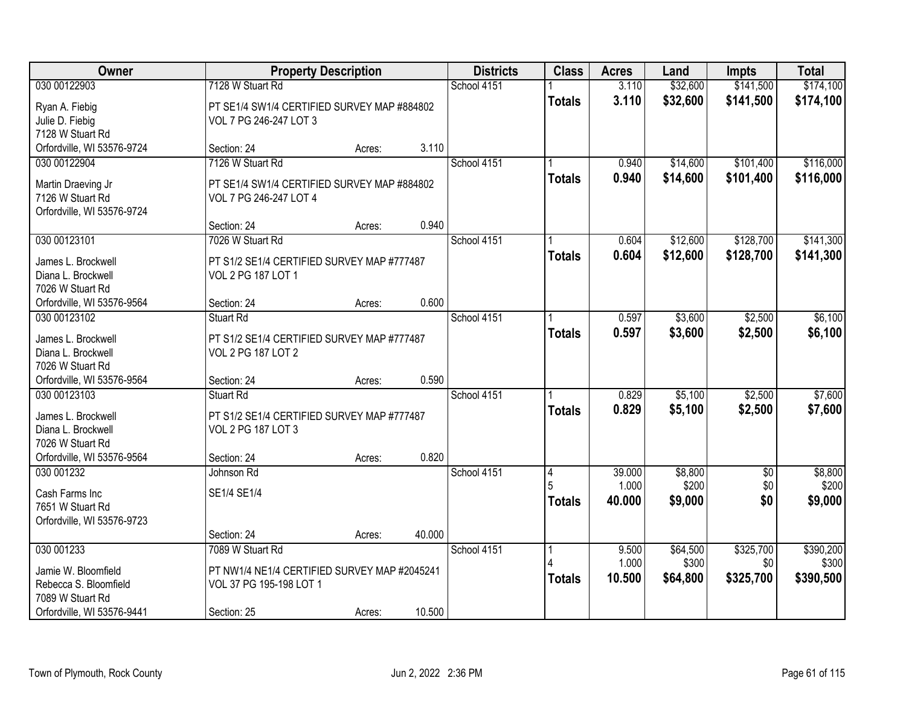| Owner                      |                                              | <b>Property Description</b> |        |             | <b>Class</b>  | <b>Acres</b> | Land     | <b>Impts</b> | <b>Total</b> |
|----------------------------|----------------------------------------------|-----------------------------|--------|-------------|---------------|--------------|----------|--------------|--------------|
| 030 00122903               | 7128 W Stuart Rd                             |                             |        | School 4151 |               | 3.110        | \$32,600 | \$141,500    | \$174,100    |
| Ryan A. Fiebig             | PT SE1/4 SW1/4 CERTIFIED SURVEY MAP #884802  |                             |        |             | <b>Totals</b> | 3.110        | \$32,600 | \$141,500    | \$174,100    |
| Julie D. Fiebig            | VOL 7 PG 246-247 LOT 3                       |                             |        |             |               |              |          |              |              |
| 7128 W Stuart Rd           |                                              |                             |        |             |               |              |          |              |              |
| Orfordville, WI 53576-9724 | Section: 24                                  | Acres:                      | 3.110  |             |               |              |          |              |              |
| 030 00122904               | 7126 W Stuart Rd                             |                             |        | School 4151 |               | 0.940        | \$14,600 | \$101,400    | \$116,000    |
| Martin Draeving Jr         | PT SE1/4 SW1/4 CERTIFIED SURVEY MAP #884802  |                             |        |             | <b>Totals</b> | 0.940        | \$14,600 | \$101,400    | \$116,000    |
| 7126 W Stuart Rd           | VOL 7 PG 246-247 LOT 4                       |                             |        |             |               |              |          |              |              |
| Orfordville, WI 53576-9724 |                                              |                             |        |             |               |              |          |              |              |
|                            | Section: 24                                  | Acres:                      | 0.940  |             |               |              |          |              |              |
| 030 00123101               | 7026 W Stuart Rd                             |                             |        | School 4151 |               | 0.604        | \$12,600 | \$128,700    | \$141,300    |
| James L. Brockwell         | PT S1/2 SE1/4 CERTIFIED SURVEY MAP #777487   |                             |        |             | <b>Totals</b> | 0.604        | \$12,600 | \$128,700    | \$141,300    |
| Diana L. Brockwell         | VOL 2 PG 187 LOT 1                           |                             |        |             |               |              |          |              |              |
| 7026 W Stuart Rd           |                                              |                             |        |             |               |              |          |              |              |
| Orfordville, WI 53576-9564 | Section: 24                                  | Acres:                      | 0.600  |             |               |              |          |              |              |
| 030 00123102               | <b>Stuart Rd</b>                             |                             |        | School 4151 |               | 0.597        | \$3,600  | \$2,500      | \$6,100      |
| James L. Brockwell         | PT S1/2 SE1/4 CERTIFIED SURVEY MAP #777487   |                             |        |             | <b>Totals</b> | 0.597        | \$3,600  | \$2,500      | \$6,100      |
| Diana L. Brockwell         | <b>VOL 2 PG 187 LOT 2</b>                    |                             |        |             |               |              |          |              |              |
| 7026 W Stuart Rd           |                                              |                             |        |             |               |              |          |              |              |
| Orfordville, WI 53576-9564 | Section: 24                                  | Acres:                      | 0.590  |             |               |              |          |              |              |
| 030 00123103               | Stuart Rd                                    |                             |        | School 4151 |               | 0.829        | \$5,100  | \$2,500      | \$7,600      |
| James L. Brockwell         | PT S1/2 SE1/4 CERTIFIED SURVEY MAP #777487   |                             |        |             | <b>Totals</b> | 0.829        | \$5,100  | \$2,500      | \$7,600      |
| Diana L. Brockwell         | VOL 2 PG 187 LOT 3                           |                             |        |             |               |              |          |              |              |
| 7026 W Stuart Rd           |                                              |                             |        |             |               |              |          |              |              |
| Orfordville, WI 53576-9564 | Section: 24                                  | Acres:                      | 0.820  |             |               |              |          |              |              |
| 030 001232                 | Johnson Rd                                   |                             |        | School 4151 | 4             | 39.000       | \$8,800  | $\sqrt{6}$   | \$8,800      |
| Cash Farms Inc             | SE1/4 SE1/4                                  |                             |        |             |               | 1.000        | \$200    | \$0          | \$200        |
| 7651 W Stuart Rd           |                                              |                             |        |             | <b>Totals</b> | 40.000       | \$9,000  | \$0          | \$9,000      |
| Orfordville, WI 53576-9723 |                                              |                             |        |             |               |              |          |              |              |
|                            | Section: 24                                  | Acres:                      | 40.000 |             |               |              |          |              |              |
| 030 001233                 | 7089 W Stuart Rd                             |                             |        | School 4151 |               | 9.500        | \$64,500 | \$325,700    | \$390,200    |
| Jamie W. Bloomfield        | PT NW1/4 NE1/4 CERTIFIED SURVEY MAP #2045241 |                             |        |             |               | 1.000        | \$300    | \$0          | \$300        |
| Rebecca S. Bloomfield      | VOL 37 PG 195-198 LOT 1                      |                             |        |             | <b>Totals</b> | 10.500       | \$64,800 | \$325,700    | \$390,500    |
| 7089 W Stuart Rd           |                                              |                             |        |             |               |              |          |              |              |
| Orfordville, WI 53576-9441 | Section: 25                                  | Acres:                      | 10.500 |             |               |              |          |              |              |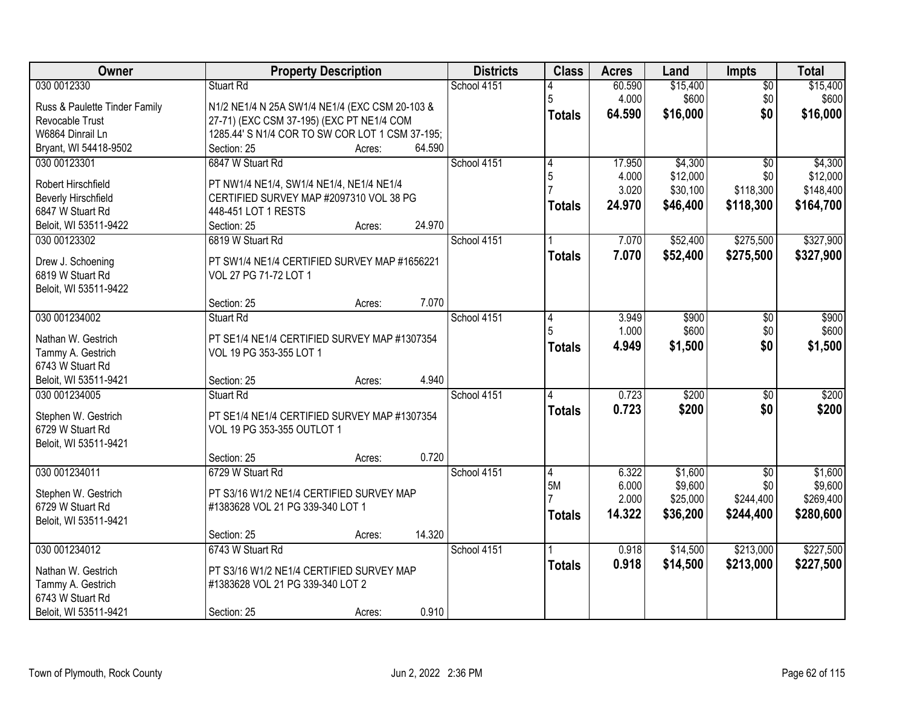| <b>Owner</b>                          | <b>Property Description</b>                                             |        | <b>Districts</b> | <b>Class</b>   | <b>Acres</b> | Land     | <b>Impts</b>    | <b>Total</b> |
|---------------------------------------|-------------------------------------------------------------------------|--------|------------------|----------------|--------------|----------|-----------------|--------------|
| 030 0012330                           | Stuart Rd                                                               |        | School 4151      |                | 60.590       | \$15,400 | $\overline{50}$ | \$15,400     |
| Russ & Paulette Tinder Family         | N1/2 NE1/4 N 25A SW1/4 NE1/4 (EXC CSM 20-103 &                          |        |                  | 5              | 4.000        | \$600    | \$0             | \$600        |
| Revocable Trust                       | 27-71) (EXC CSM 37-195) (EXC PT NE1/4 COM                               |        |                  | <b>Totals</b>  | 64.590       | \$16,000 | \$0             | \$16,000     |
| W6864 Dinrail Ln                      | 1285.44' S N1/4 COR TO SW COR LOT 1 CSM 37-195;                         |        |                  |                |              |          |                 |              |
| Bryant, WI 54418-9502                 | Section: 25<br>Acres:                                                   | 64.590 |                  |                |              |          |                 |              |
| 030 00123301                          | 6847 W Stuart Rd                                                        |        | School 4151      | 4              | 17.950       | \$4,300  | $\overline{30}$ | \$4,300      |
|                                       |                                                                         |        |                  | 5              | 4.000        | \$12,000 | \$0             | \$12,000     |
| Robert Hirschfield                    | PT NW1/4 NE1/4, SW1/4 NE1/4, NE1/4 NE1/4                                |        |                  |                | 3.020        | \$30,100 | \$118,300       | \$148,400    |
| <b>Beverly Hirschfield</b>            | CERTIFIED SURVEY MAP #2097310 VOL 38 PG                                 |        |                  | <b>Totals</b>  | 24.970       | \$46,400 | \$118,300       | \$164,700    |
| 6847 W Stuart Rd                      | 448-451 LOT 1 RESTS                                                     |        |                  |                |              |          |                 |              |
| Beloit, WI 53511-9422                 | Section: 25<br>Acres:                                                   | 24.970 |                  |                |              |          |                 |              |
| 030 00123302                          | 6819 W Stuart Rd                                                        |        | School 4151      |                | 7.070        | \$52,400 | \$275,500       | \$327,900    |
| Drew J. Schoening                     | PT SW1/4 NE1/4 CERTIFIED SURVEY MAP #1656221                            |        |                  | <b>Totals</b>  | 7.070        | \$52,400 | \$275,500       | \$327,900    |
| 6819 W Stuart Rd                      | VOL 27 PG 71-72 LOT 1                                                   |        |                  |                |              |          |                 |              |
| Beloit, WI 53511-9422                 |                                                                         |        |                  |                |              |          |                 |              |
|                                       | Section: 25<br>Acres:                                                   | 7.070  |                  |                |              |          |                 |              |
| 030 001234002                         | <b>Stuart Rd</b>                                                        |        | School 4151      | 4              | 3.949        | \$900    | \$0             | \$900        |
|                                       |                                                                         |        |                  |                | 1.000        | \$600    | \$0             | \$600        |
| Nathan W. Gestrich                    | PT SE1/4 NE1/4 CERTIFIED SURVEY MAP #1307354<br>VOL 19 PG 353-355 LOT 1 |        |                  | <b>Totals</b>  | 4.949        | \$1,500  | \$0             | \$1,500      |
| Tammy A. Gestrich<br>6743 W Stuart Rd |                                                                         |        |                  |                |              |          |                 |              |
| Beloit, WI 53511-9421                 | Section: 25<br>Acres:                                                   | 4.940  |                  |                |              |          |                 |              |
| 030 001234005                         | <b>Stuart Rd</b>                                                        |        | School 4151      |                | 0.723        | \$200    | $\overline{50}$ | \$200        |
|                                       |                                                                         |        |                  |                | 0.723        | \$200    | \$0             | \$200        |
| Stephen W. Gestrich                   | PT SE1/4 NE1/4 CERTIFIED SURVEY MAP #1307354                            |        |                  | Totals         |              |          |                 |              |
| 6729 W Stuart Rd                      | VOL 19 PG 353-355 OUTLOT 1                                              |        |                  |                |              |          |                 |              |
| Beloit, WI 53511-9421                 |                                                                         |        |                  |                |              |          |                 |              |
|                                       | Section: 25<br>Acres:                                                   | 0.720  |                  |                |              |          |                 |              |
| 030 001234011                         | 6729 W Stuart Rd                                                        |        | School 4151      | $\overline{4}$ | 6.322        | \$1,600  | $\overline{60}$ | \$1,600      |
| Stephen W. Gestrich                   | PT S3/16 W1/2 NE1/4 CERTIFIED SURVEY MAP                                |        |                  | 5M             | 6.000        | \$9,600  | \$0             | \$9,600      |
| 6729 W Stuart Rd                      | #1383628 VOL 21 PG 339-340 LOT 1                                        |        |                  |                | 2.000        | \$25,000 | \$244,400       | \$269,400    |
| Beloit, WI 53511-9421                 |                                                                         |        |                  | <b>Totals</b>  | 14.322       | \$36,200 | \$244,400       | \$280,600    |
|                                       | Section: 25<br>Acres:                                                   | 14.320 |                  |                |              |          |                 |              |
| 030 001234012                         | 6743 W Stuart Rd                                                        |        | School 4151      |                | 0.918        | \$14,500 | \$213,000       | \$227,500    |
|                                       |                                                                         |        |                  | <b>Totals</b>  | 0.918        | \$14,500 | \$213,000       | \$227,500    |
| Nathan W. Gestrich                    | PT S3/16 W1/2 NE1/4 CERTIFIED SURVEY MAP                                |        |                  |                |              |          |                 |              |
| Tammy A. Gestrich                     | #1383628 VOL 21 PG 339-340 LOT 2                                        |        |                  |                |              |          |                 |              |
| 6743 W Stuart Rd                      |                                                                         |        |                  |                |              |          |                 |              |
| Beloit, WI 53511-9421                 | Section: 25<br>Acres:                                                   | 0.910  |                  |                |              |          |                 |              |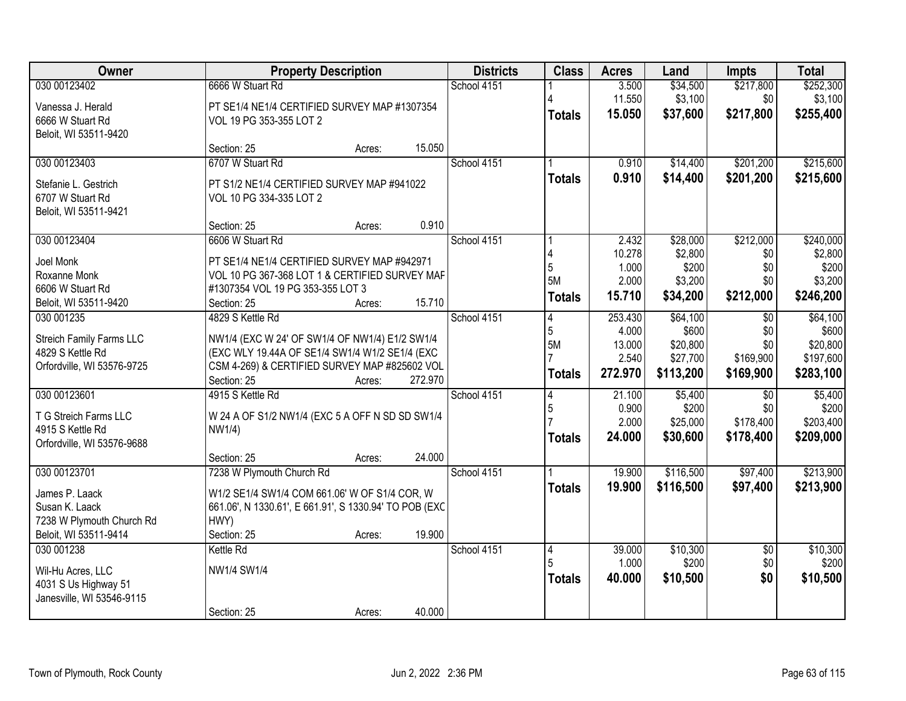| Owner                      |                                                        | <b>Property Description</b> |         | <b>Districts</b> | <b>Class</b>   | <b>Acres</b>    | Land      | <b>Impts</b>    | <b>Total</b> |
|----------------------------|--------------------------------------------------------|-----------------------------|---------|------------------|----------------|-----------------|-----------|-----------------|--------------|
| 030 00123402               | 6666 W Stuart Rd                                       |                             |         | School 4151      |                | 3.500           | \$34,500  | \$217,800       | \$252,300    |
| Vanessa J. Herald          | PT SE1/4 NE1/4 CERTIFIED SURVEY MAP #1307354           |                             |         |                  |                | 11.550          | \$3,100   | \$0             | \$3,100      |
| 6666 W Stuart Rd           | VOL 19 PG 353-355 LOT 2                                |                             |         |                  | <b>Totals</b>  | 15.050          | \$37,600  | \$217,800       | \$255,400    |
| Beloit, WI 53511-9420      |                                                        |                             |         |                  |                |                 |           |                 |              |
|                            | Section: 25                                            | Acres:                      | 15.050  |                  |                |                 |           |                 |              |
| 030 00123403               | 6707 W Stuart Rd                                       |                             |         | School 4151      |                | 0.910           | \$14,400  | \$201,200       | \$215,600    |
| Stefanie L. Gestrich       | PT S1/2 NE1/4 CERTIFIED SURVEY MAP #941022             |                             |         |                  | <b>Totals</b>  | 0.910           | \$14,400  | \$201,200       | \$215,600    |
| 6707 W Stuart Rd           | VOL 10 PG 334-335 LOT 2                                |                             |         |                  |                |                 |           |                 |              |
| Beloit, WI 53511-9421      |                                                        |                             |         |                  |                |                 |           |                 |              |
|                            | Section: 25                                            | Acres:                      | 0.910   |                  |                |                 |           |                 |              |
| 030 00123404               | 6606 W Stuart Rd                                       |                             |         | School 4151      |                | 2.432           | \$28,000  | \$212,000       | \$240,000    |
| Joel Monk                  | PT SE1/4 NE1/4 CERTIFIED SURVEY MAP #942971            |                             |         |                  |                | 10.278          | \$2,800   | \$0             | \$2,800      |
| Roxanne Monk               | VOL 10 PG 367-368 LOT 1 & CERTIFIED SURVEY MAF         |                             |         |                  | 5<br>5M        | 1.000           | \$200     | \$0             | \$200        |
| 6606 W Stuart Rd           | #1307354 VOL 19 PG 353-355 LOT 3                       |                             |         |                  |                | 2.000<br>15.710 | \$3,200   | \$0             | \$3,200      |
| Beloit, WI 53511-9420      | Section: 25                                            | Acres:                      | 15.710  |                  | <b>Totals</b>  |                 | \$34,200  | \$212,000       | \$246,200    |
| 030 001235                 | 4829 S Kettle Rd                                       |                             |         | School 4151      | 4              | 253.430         | \$64,100  | $\overline{50}$ | \$64,100     |
| Streich Family Farms LLC   | NW1/4 (EXC W 24' OF SW1/4 OF NW1/4) E1/2 SW1/4         |                             |         |                  | 5              | 4.000           | \$600     | \$0             | \$600        |
| 4829 S Kettle Rd           | (EXC WLY 19.44A OF SE1/4 SW1/4 W1/2 SE1/4 (EXC         |                             |         |                  | 5M             | 13.000          | \$20,800  | \$0             | \$20,800     |
| Orfordville, WI 53576-9725 | CSM 4-269) & CERTIFIED SURVEY MAP #825602 VOL          |                             |         |                  |                | 2.540           | \$27,700  | \$169,900       | \$197,600    |
|                            | Section: 25                                            | Acres:                      | 272.970 |                  | <b>Totals</b>  | 272.970         | \$113,200 | \$169,900       | \$283,100    |
| 030 00123601               | 4915 S Kettle Rd                                       |                             |         | School 4151      |                | 21.100          | \$5,400   | $\overline{50}$ | \$5,400      |
| T G Streich Farms LLC      | W 24 A OF S1/2 NW1/4 (EXC 5 A OFF N SD SD SW1/4        |                             |         |                  | 5              | 0.900           | \$200     | \$0             | \$200        |
| 4915 S Kettle Rd           | NW1/4)                                                 |                             |         |                  |                | 2.000           | \$25,000  | \$178,400       | \$203,400    |
| Orfordville, WI 53576-9688 |                                                        |                             |         |                  | <b>Totals</b>  | 24.000          | \$30,600  | \$178,400       | \$209,000    |
|                            | Section: 25                                            | Acres:                      | 24.000  |                  |                |                 |           |                 |              |
| 030 00123701               | 7238 W Plymouth Church Rd                              |                             |         | School 4151      |                | 19.900          | \$116,500 | \$97,400        | \$213,900    |
| James P. Laack             | W1/2 SE1/4 SW1/4 COM 661.06' W OF S1/4 COR, W          |                             |         |                  | <b>Totals</b>  | 19.900          | \$116,500 | \$97,400        | \$213,900    |
| Susan K. Laack             | 661.06', N 1330.61', E 661.91', S 1330.94' TO POB (EXC |                             |         |                  |                |                 |           |                 |              |
| 7238 W Plymouth Church Rd  | HWY)                                                   |                             |         |                  |                |                 |           |                 |              |
| Beloit, WI 53511-9414      | Section: 25                                            | Acres:                      | 19.900  |                  |                |                 |           |                 |              |
| 030 001238                 | Kettle Rd                                              |                             |         | School 4151      | $\overline{4}$ | 39.000          | \$10,300  | $\overline{50}$ | \$10,300     |
| Wil-Hu Acres, LLC          | NW1/4 SW1/4                                            |                             |         |                  |                | 1.000           | \$200     | \$0             | \$200        |
| 4031 S Us Highway 51       |                                                        |                             |         |                  | <b>Totals</b>  | 40.000          | \$10,500  | \$0             | \$10,500     |
| Janesville, WI 53546-9115  |                                                        |                             |         |                  |                |                 |           |                 |              |
|                            | Section: 25                                            | Acres:                      | 40.000  |                  |                |                 |           |                 |              |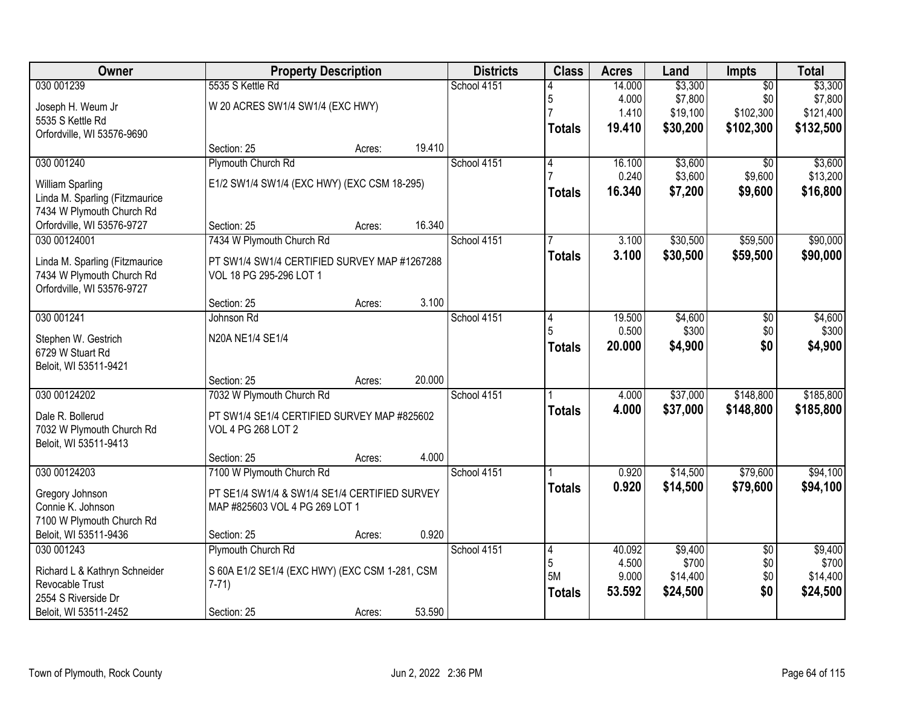| <b>Owner</b>                   |                                                | <b>Property Description</b> |        |             | <b>Class</b>  | <b>Acres</b>   | Land              | Impts           | <b>Total</b>      |
|--------------------------------|------------------------------------------------|-----------------------------|--------|-------------|---------------|----------------|-------------------|-----------------|-------------------|
| 030 001239                     | 5535 S Kettle Rd                               |                             |        | School 4151 |               | 14.000         | \$3,300           | $\overline{50}$ | \$3,300           |
| Joseph H. Weum Jr              | W 20 ACRES SW1/4 SW1/4 (EXC HWY)               |                             |        |             | 5             | 4.000          | \$7,800           | \$0             | \$7,800           |
| 5535 S Kettle Rd               |                                                |                             |        |             |               | 1.410          | \$19,100          | \$102,300       | \$121,400         |
| Orfordville, WI 53576-9690     |                                                |                             |        |             | <b>Totals</b> | 19.410         | \$30,200          | \$102,300       | \$132,500         |
|                                | Section: 25                                    | Acres:                      | 19.410 |             |               |                |                   |                 |                   |
| 030 001240                     | Plymouth Church Rd                             |                             |        | School 4151 | 4             | 16.100         | \$3,600           | \$0             | \$3,600           |
| William Sparling               | E1/2 SW1/4 SW1/4 (EXC HWY) (EXC CSM 18-295)    |                             |        |             |               | 0.240          | \$3,600           | \$9,600         | \$13,200          |
| Linda M. Sparling (Fitzmaurice |                                                |                             |        |             | <b>Totals</b> | 16.340         | \$7,200           | \$9,600         | \$16,800          |
| 7434 W Plymouth Church Rd      |                                                |                             |        |             |               |                |                   |                 |                   |
| Orfordville, WI 53576-9727     | Section: 25                                    | Acres:                      | 16.340 |             |               |                |                   |                 |                   |
| 030 00124001                   | 7434 W Plymouth Church Rd                      |                             |        | School 4151 |               | 3.100          | \$30,500          | \$59,500        | \$90,000          |
| Linda M. Sparling (Fitzmaurice | PT SW1/4 SW1/4 CERTIFIED SURVEY MAP #1267288   |                             |        |             | <b>Totals</b> | 3.100          | \$30,500          | \$59,500        | \$90,000          |
| 7434 W Plymouth Church Rd      | VOL 18 PG 295-296 LOT 1                        |                             |        |             |               |                |                   |                 |                   |
| Orfordville, WI 53576-9727     |                                                |                             |        |             |               |                |                   |                 |                   |
|                                | Section: 25                                    | Acres:                      | 3.100  |             |               |                |                   |                 |                   |
| 030 001241                     | Johnson Rd                                     |                             |        | School 4151 | 4             | 19.500         | \$4,600           | \$0             | \$4,600           |
| Stephen W. Gestrich            | N20A NE1/4 SE1/4                               |                             |        |             | 5             | 0.500          | \$300             | \$0             | \$300             |
| 6729 W Stuart Rd               |                                                |                             |        |             | <b>Totals</b> | 20.000         | \$4,900           | \$0             | \$4,900           |
| Beloit, WI 53511-9421          |                                                |                             |        |             |               |                |                   |                 |                   |
|                                | Section: 25                                    | Acres:                      | 20.000 |             |               |                |                   |                 |                   |
| 030 00124202                   | 7032 W Plymouth Church Rd                      |                             |        | School 4151 |               | 4.000          | \$37,000          | \$148,800       | \$185,800         |
| Dale R. Bollerud               | PT SW1/4 SE1/4 CERTIFIED SURVEY MAP #825602    |                             |        |             | <b>Totals</b> | 4.000          | \$37,000          | \$148,800       | \$185,800         |
| 7032 W Plymouth Church Rd      | VOL 4 PG 268 LOT 2                             |                             |        |             |               |                |                   |                 |                   |
| Beloit, WI 53511-9413          |                                                |                             |        |             |               |                |                   |                 |                   |
|                                | Section: 25                                    | Acres:                      | 4.000  |             |               |                |                   |                 |                   |
| 030 00124203                   | 7100 W Plymouth Church Rd                      |                             |        | School 4151 |               | 0.920          | \$14,500          | \$79,600        | \$94,100          |
| Gregory Johnson                | PT SE1/4 SW1/4 & SW1/4 SE1/4 CERTIFIED SURVEY  |                             |        |             | <b>Totals</b> | 0.920          | \$14,500          | \$79,600        | \$94,100          |
| Connie K. Johnson              | MAP #825603 VOL 4 PG 269 LOT 1                 |                             |        |             |               |                |                   |                 |                   |
| 7100 W Plymouth Church Rd      |                                                |                             |        |             |               |                |                   |                 |                   |
| Beloit, WI 53511-9436          | Section: 25                                    | Acres:                      | 0.920  |             |               |                |                   |                 |                   |
| 030 001243                     | Plymouth Church Rd                             |                             |        | School 4151 | 4             | 40.092         | \$9,400           | $\overline{30}$ | \$9,400           |
| Richard L & Kathryn Schneider  | S 60A E1/2 SE1/4 (EXC HWY) (EXC CSM 1-281, CSM |                             |        |             | 5<br>5M       | 4.500<br>9.000 | \$700<br>\$14,400 | \$0<br>\$0      | \$700<br>\$14,400 |
| Revocable Trust                | $7-71$                                         |                             |        |             |               | 53.592         | \$24,500          | \$0             | \$24,500          |
| 2554 S Riverside Dr            |                                                |                             |        |             | <b>Totals</b> |                |                   |                 |                   |
| Beloit, WI 53511-2452          | Section: 25                                    | Acres:                      | 53.590 |             |               |                |                   |                 |                   |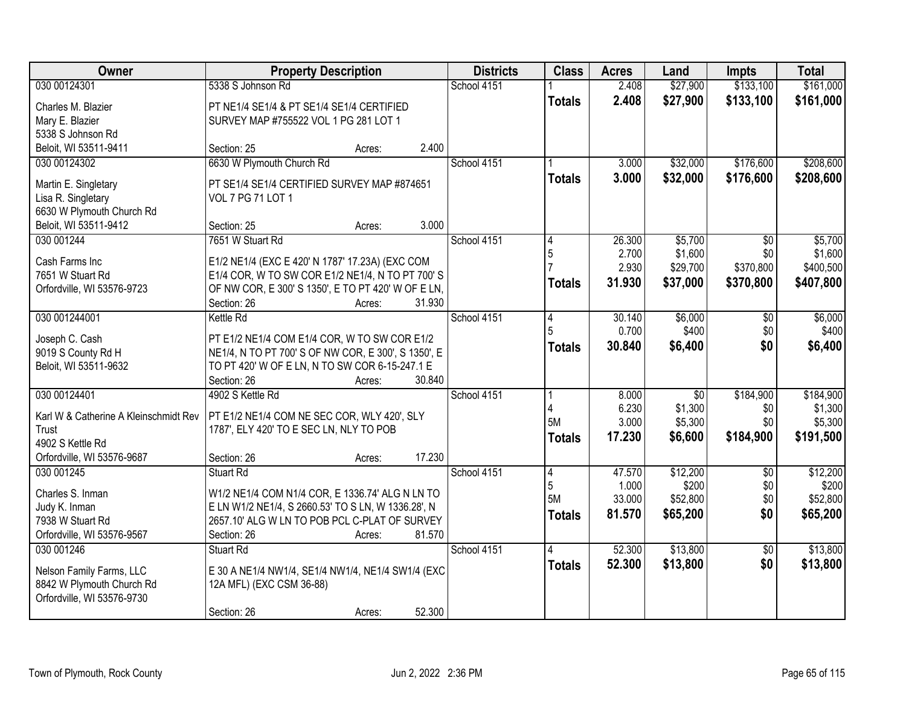| <b>Owner</b>                          | <b>Property Description</b>                                                                        | <b>Districts</b> | <b>Class</b>   | <b>Acres</b>    | Land              | <b>Impts</b>    | <b>Total</b>      |
|---------------------------------------|----------------------------------------------------------------------------------------------------|------------------|----------------|-----------------|-------------------|-----------------|-------------------|
| 030 00124301                          | 5338 S Johnson Rd                                                                                  | School 4151      |                | 2.408           | \$27,900          | \$133,100       | \$161,000         |
| Charles M. Blazier                    | PT NE1/4 SE1/4 & PT SE1/4 SE1/4 CERTIFIED                                                          |                  | <b>Totals</b>  | 2.408           | \$27,900          | \$133,100       | \$161,000         |
| Mary E. Blazier                       | SURVEY MAP #755522 VOL 1 PG 281 LOT 1                                                              |                  |                |                 |                   |                 |                   |
| 5338 S Johnson Rd                     |                                                                                                    |                  |                |                 |                   |                 |                   |
| Beloit, WI 53511-9411                 | 2.400<br>Section: 25<br>Acres:                                                                     |                  |                |                 |                   |                 |                   |
| 030 00124302                          | 6630 W Plymouth Church Rd                                                                          | School 4151      |                | 3.000           | \$32,000          | \$176,600       | \$208,600         |
| Martin E. Singletary                  | PT SE1/4 SE1/4 CERTIFIED SURVEY MAP #874651                                                        |                  | <b>Totals</b>  | 3.000           | \$32,000          | \$176,600       | \$208,600         |
| Lisa R. Singletary                    | VOL 7 PG 71 LOT 1                                                                                  |                  |                |                 |                   |                 |                   |
| 6630 W Plymouth Church Rd             |                                                                                                    |                  |                |                 |                   |                 |                   |
| Beloit, WI 53511-9412                 | 3.000<br>Section: 25<br>Acres:                                                                     |                  |                |                 |                   |                 |                   |
| 030 001244                            | 7651 W Stuart Rd                                                                                   | School 4151      |                | 26.300          | \$5,700           | \$0             | \$5,700           |
|                                       |                                                                                                    |                  | 5              | 2.700           | \$1,600           | \$0             | \$1,600           |
| Cash Farms Inc<br>7651 W Stuart Rd    | E1/2 NE1/4 (EXC E 420' N 1787' 17.23A) (EXC COM<br>E1/4 COR, W TO SW COR E1/2 NE1/4, N TO PT 700'S |                  |                | 2.930           | \$29,700          | \$370,800       | \$400,500         |
| Orfordville, WI 53576-9723            | OF NW COR, E 300' S 1350', E TO PT 420' W OF E LN,                                                 |                  | <b>Totals</b>  | 31.930          | \$37,000          | \$370,800       | \$407,800         |
|                                       | Section: 26<br>31.930<br>Acres:                                                                    |                  |                |                 |                   |                 |                   |
| 030 001244001                         | <b>Kettle Rd</b>                                                                                   | School 4151      | 4              | 30.140          | \$6,000           | \$0             | \$6,000           |
|                                       |                                                                                                    |                  | 5              | 0.700           | \$400             | \$0             | \$400             |
| Joseph C. Cash                        | PT E1/2 NE1/4 COM E1/4 COR, W TO SW COR E1/2                                                       |                  | <b>Totals</b>  | 30.840          | \$6,400           | \$0             | \$6,400           |
| 9019 S County Rd H                    | NE1/4, N TO PT 700' S OF NW COR, E 300', S 1350', E                                                |                  |                |                 |                   |                 |                   |
| Beloit, WI 53511-9632                 | TO PT 420' W OF E LN, N TO SW COR 6-15-247.1 E<br>Section: 26<br>30.840                            |                  |                |                 |                   |                 |                   |
| 030 00124401                          | Acres:<br>4902 S Kettle Rd                                                                         | School 4151      |                | 8.000           | $\overline{50}$   | \$184,900       | \$184,900         |
|                                       |                                                                                                    |                  |                | 6.230           | \$1,300           | \$0             | \$1,300           |
| Karl W & Catherine A Kleinschmidt Rev | PT E1/2 NE1/4 COM NE SEC COR, WLY 420', SLY                                                        |                  | 5M             | 3.000           | \$5,300           | \$0             | \$5,300           |
| Trust                                 | 1787', ELY 420' TO E SEC LN, NLY TO POB                                                            |                  | <b>Totals</b>  | 17.230          | \$6,600           | \$184,900       | \$191,500         |
| 4902 S Kettle Rd                      |                                                                                                    |                  |                |                 |                   |                 |                   |
| Orfordville, WI 53576-9687            | 17.230<br>Section: 26<br>Acres:                                                                    |                  |                |                 |                   |                 |                   |
| 030 001245                            | <b>Stuart Rd</b>                                                                                   | School 4151      | $\overline{4}$ | 47.570          | \$12,200          | $\overline{50}$ | \$12,200          |
| Charles S. Inman                      | W1/2 NE1/4 COM N1/4 COR, E 1336.74' ALG N LN TO                                                    |                  | 5<br>5M        | 1.000<br>33.000 | \$200<br>\$52,800 | \$0<br>\$0      | \$200<br>\$52,800 |
| Judy K. Inman                         | E LN W1/2 NE1/4, S 2660.53' TO S LN, W 1336.28', N                                                 |                  |                | 81.570          |                   | \$0             | \$65,200          |
| 7938 W Stuart Rd                      | 2657.10' ALG W LN TO POB PCL C-PLAT OF SURVEY                                                      |                  | <b>Totals</b>  |                 | \$65,200          |                 |                   |
| Orfordville, WI 53576-9567            | 81.570<br>Section: 26<br>Acres:                                                                    |                  |                |                 |                   |                 |                   |
| 030 001246                            | <b>Stuart Rd</b>                                                                                   | School 4151      | 4              | 52.300          | \$13,800          | $\overline{50}$ | \$13,800          |
| Nelson Family Farms, LLC              | E 30 A NE1/4 NW1/4, SE1/4 NW1/4, NE1/4 SW1/4 (EXC                                                  |                  | <b>Totals</b>  | 52.300          | \$13,800          | \$0             | \$13,800          |
| 8842 W Plymouth Church Rd             | 12A MFL) (EXC CSM 36-88)                                                                           |                  |                |                 |                   |                 |                   |
| Orfordville, WI 53576-9730            |                                                                                                    |                  |                |                 |                   |                 |                   |
|                                       | 52.300<br>Section: 26<br>Acres:                                                                    |                  |                |                 |                   |                 |                   |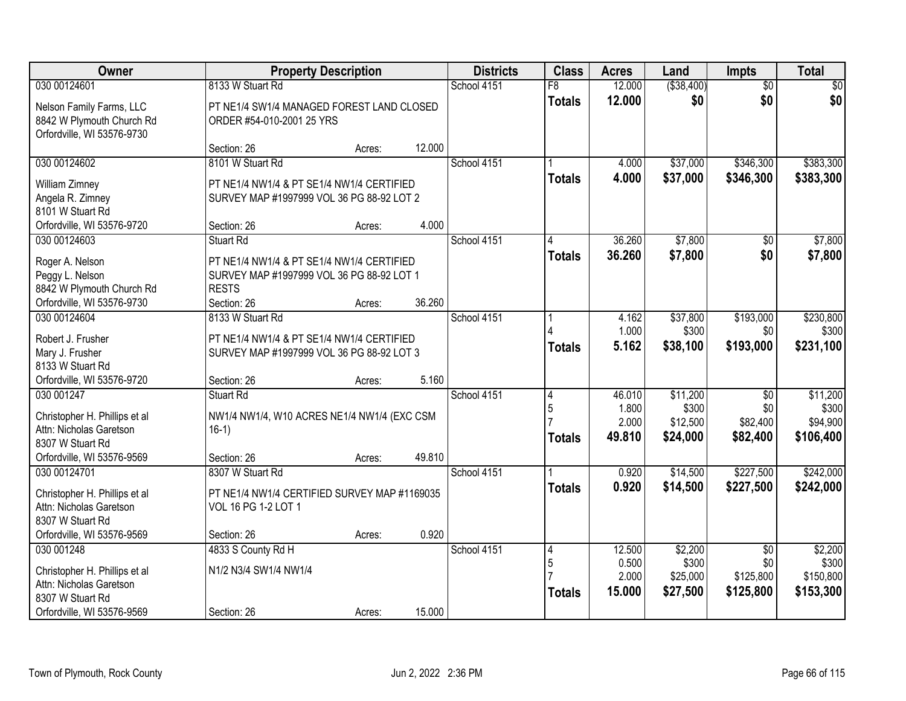| Owner                                                                                                                    | <b>Property Description</b>                                                                                           |        |        | <b>Districts</b> | <b>Class</b>            | <b>Acres</b>                       | Land                                      | Impts                                          | <b>Total</b>                               |
|--------------------------------------------------------------------------------------------------------------------------|-----------------------------------------------------------------------------------------------------------------------|--------|--------|------------------|-------------------------|------------------------------------|-------------------------------------------|------------------------------------------------|--------------------------------------------|
| 030 00124601                                                                                                             | 8133 W Stuart Rd                                                                                                      |        |        | School 4151      | $\overline{F8}$         | 12.000                             | ( \$38,400)                               | $\overline{50}$                                | $\sqrt{30}$                                |
| Nelson Family Farms, LLC<br>8842 W Plymouth Church Rd<br>Orfordville, WI 53576-9730                                      | PT NE1/4 SW1/4 MANAGED FOREST LAND CLOSED<br>ORDER #54-010-2001 25 YRS                                                |        |        |                  | <b>Totals</b>           | 12.000                             | \$0                                       | \$0                                            | \$0                                        |
|                                                                                                                          | Section: 26                                                                                                           | Acres: | 12.000 |                  |                         |                                    |                                           |                                                |                                            |
| 030 00124602                                                                                                             | 8101 W Stuart Rd                                                                                                      |        |        | School 4151      |                         | 4.000                              | \$37,000                                  | \$346,300                                      | \$383,300                                  |
| William Zimney<br>Angela R. Zimney<br>8101 W Stuart Rd                                                                   | PT NE1/4 NW1/4 & PT SE1/4 NW1/4 CERTIFIED<br>SURVEY MAP #1997999 VOL 36 PG 88-92 LOT 2                                |        |        |                  | <b>Totals</b>           | 4.000                              | \$37,000                                  | \$346,300                                      | \$383,300                                  |
| Orfordville, WI 53576-9720                                                                                               | Section: 26                                                                                                           | Acres: | 4.000  |                  |                         |                                    |                                           |                                                |                                            |
| 030 00124603                                                                                                             | Stuart Rd                                                                                                             |        |        | School 4151      |                         | 36.260                             | \$7,800                                   | \$0                                            | \$7,800                                    |
| Roger A. Nelson<br>Peggy L. Nelson<br>8842 W Plymouth Church Rd<br>Orfordville, WI 53576-9730                            | PT NE1/4 NW1/4 & PT SE1/4 NW1/4 CERTIFIED<br>SURVEY MAP #1997999 VOL 36 PG 88-92 LOT 1<br><b>RESTS</b><br>Section: 26 | Acres: | 36.260 |                  | <b>Totals</b>           | 36.260                             | \$7,800                                   | \$0                                            | \$7,800                                    |
| 030 00124604                                                                                                             | 8133 W Stuart Rd                                                                                                      |        |        | School 4151      |                         | 4.162                              | \$37,800                                  | \$193,000                                      | \$230,800                                  |
| Robert J. Frusher<br>Mary J. Frusher<br>8133 W Stuart Rd                                                                 | PT NE1/4 NW1/4 & PT SE1/4 NW1/4 CERTIFIED<br>SURVEY MAP #1997999 VOL 36 PG 88-92 LOT 3                                |        |        |                  | <b>Totals</b>           | 1.000<br>5.162                     | \$300<br>\$38,100                         | \$0<br>\$193,000                               | \$300<br>\$231,100                         |
| Orfordville, WI 53576-9720                                                                                               | Section: 26                                                                                                           | Acres: | 5.160  |                  |                         |                                    |                                           |                                                |                                            |
| 030 001247<br>Christopher H. Phillips et al<br>Attn: Nicholas Garetson<br>8307 W Stuart Rd<br>Orfordville, WI 53576-9569 | <b>Stuart Rd</b><br>NW1/4 NW1/4, W10 ACRES NE1/4 NW1/4 (EXC CSM<br>$16-1)$<br>Section: 26                             | Acres: | 49.810 | School 4151      | 4<br>5<br><b>Totals</b> | 46.010<br>1.800<br>2.000<br>49.810 | \$11,200<br>\$300<br>\$12,500<br>\$24,000 | $\overline{50}$<br>\$0<br>\$82,400<br>\$82,400 | \$11,200<br>\$300<br>\$94,900<br>\$106,400 |
| 030 00124701                                                                                                             | 8307 W Stuart Rd                                                                                                      |        |        | School 4151      |                         | 0.920                              | \$14,500                                  | \$227,500                                      | \$242,000                                  |
| Christopher H. Phillips et al<br>Attn: Nicholas Garetson<br>8307 W Stuart Rd<br>Orfordville, WI 53576-9569               | PT NE1/4 NW1/4 CERTIFIED SURVEY MAP #1169035<br>VOL 16 PG 1-2 LOT 1<br>Section: 26                                    | Acres: | 0.920  |                  | <b>Totals</b>           | 0.920                              | \$14,500                                  | \$227,500                                      | \$242,000                                  |
| 030 001248                                                                                                               | 4833 S County Rd H                                                                                                    |        |        | School 4151      | 4                       | 12.500                             | \$2,200                                   | $\overline{50}$                                | \$2,200                                    |
| Christopher H. Phillips et al<br>Attn: Nicholas Garetson<br>8307 W Stuart Rd<br>Orfordville, WI 53576-9569               | N1/2 N3/4 SW1/4 NW1/4<br>Section: 26                                                                                  |        | 15.000 |                  | 5<br><b>Totals</b>      | 0.500<br>2.000<br>15.000           | \$300<br>\$25,000<br>\$27,500             | \$0<br>\$125,800<br>\$125,800                  | \$300<br>\$150,800<br>\$153,300            |
|                                                                                                                          |                                                                                                                       | Acres: |        |                  |                         |                                    |                                           |                                                |                                            |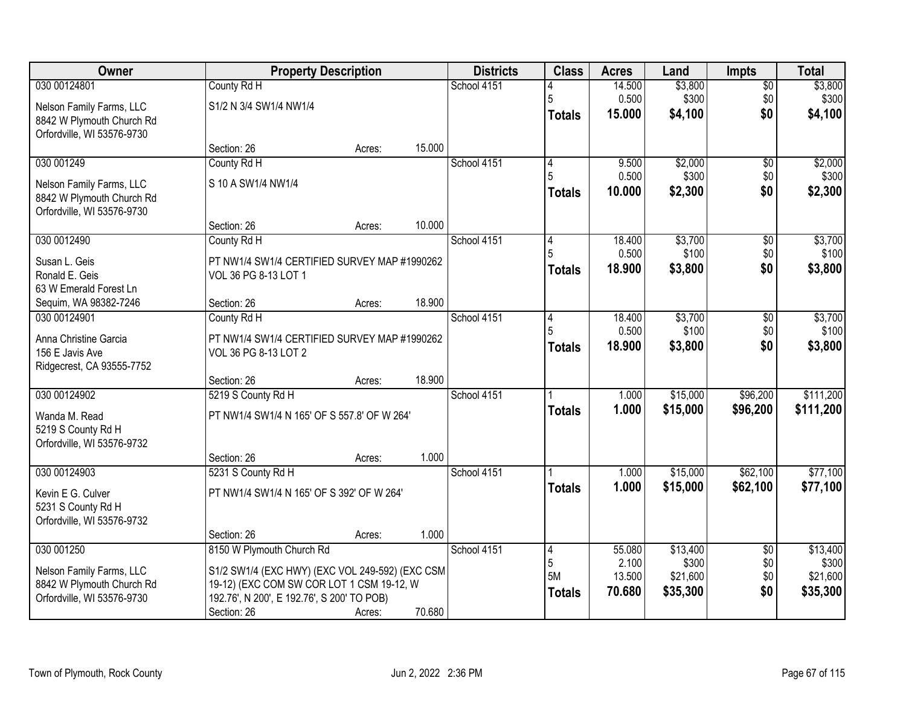| Owner                      |                                                 | <b>Property Description</b> |        |             | <b>Class</b>  | <b>Acres</b>    | Land                 | <b>Impts</b>         | <b>Total</b>     |
|----------------------------|-------------------------------------------------|-----------------------------|--------|-------------|---------------|-----------------|----------------------|----------------------|------------------|
| 030 00124801               | County Rd H                                     |                             |        | School 4151 |               | 14.500          | \$3,800              | \$0                  | \$3,800          |
| Nelson Family Farms, LLC   | S1/2 N 3/4 SW1/4 NW1/4                          |                             |        |             | 5             | 0.500           | \$300                | \$0                  | \$300            |
| 8842 W Plymouth Church Rd  |                                                 |                             |        |             | <b>Totals</b> | 15.000          | \$4,100              | \$0                  | \$4,100          |
| Orfordville, WI 53576-9730 |                                                 |                             |        |             |               |                 |                      |                      |                  |
|                            | Section: 26                                     | Acres:                      | 15.000 |             |               |                 |                      |                      |                  |
| 030 001249                 | County Rd H                                     |                             |        | School 4151 | 14            | 9.500           | \$2,000              | \$0                  | \$2,000          |
| Nelson Family Farms, LLC   | S 10 A SW1/4 NW1/4                              |                             |        |             | 5             | 0.500<br>10.000 | \$300                | \$0<br>\$0           | \$300            |
| 8842 W Plymouth Church Rd  |                                                 |                             |        |             | Totals        |                 | \$2,300              |                      | \$2,300          |
| Orfordville, WI 53576-9730 |                                                 |                             |        |             |               |                 |                      |                      |                  |
|                            | Section: 26                                     | Acres:                      | 10.000 |             |               |                 |                      |                      |                  |
| 030 0012490                | County Rd H                                     |                             |        | School 4151 | 4             | 18.400<br>0.500 | \$3,700<br>\$100     | \$0                  | \$3,700          |
| Susan L. Geis              | PT NW1/4 SW1/4 CERTIFIED SURVEY MAP #1990262    |                             |        |             | Totals        | 18.900          | \$3,800              | \$0<br>\$0           | \$100<br>\$3,800 |
| Ronald E. Geis             | VOL 36 PG 8-13 LOT 1                            |                             |        |             |               |                 |                      |                      |                  |
| 63 W Emerald Forest Ln     |                                                 |                             |        |             |               |                 |                      |                      |                  |
| Sequim, WA 98382-7246      | Section: 26                                     | Acres:                      | 18.900 |             |               |                 |                      |                      |                  |
| 030 00124901               | County Rd H                                     |                             |        | School 4151 | 4             | 18.400<br>0.500 | \$3,700<br>\$100     | \$0<br>\$0           | \$3,700<br>\$100 |
| Anna Christine Garcia      | PT NW1/4 SW1/4 CERTIFIED SURVEY MAP #1990262    |                             |        |             | <b>Totals</b> | 18.900          | \$3,800              | \$0                  | \$3,800          |
| 156 E Javis Ave            | VOL 36 PG 8-13 LOT 2                            |                             |        |             |               |                 |                      |                      |                  |
| Ridgecrest, CA 93555-7752  |                                                 |                             |        |             |               |                 |                      |                      |                  |
|                            | Section: 26                                     | Acres:                      | 18.900 |             |               |                 |                      |                      |                  |
| 030 00124902               | 5219 S County Rd H                              |                             |        | School 4151 |               | 1.000<br>1.000  | \$15,000             | \$96,200             | \$111,200        |
| Wanda M. Read              | PT NW1/4 SW1/4 N 165' OF S 557.8' OF W 264'     |                             |        |             | <b>Totals</b> |                 | \$15,000             | \$96,200             | \$111,200        |
| 5219 S County Rd H         |                                                 |                             |        |             |               |                 |                      |                      |                  |
| Orfordville, WI 53576-9732 |                                                 |                             |        |             |               |                 |                      |                      |                  |
|                            | Section: 26                                     | Acres:                      | 1.000  |             |               |                 |                      |                      | \$77,100         |
| 030 00124903               | 5231 S County Rd H                              |                             |        | School 4151 |               | 1.000<br>1.000  | \$15,000<br>\$15,000 | \$62,100<br>\$62,100 | \$77,100         |
| Kevin E G. Culver          | PT NW1/4 SW1/4 N 165' OF S 392' OF W 264'       |                             |        |             | <b>Totals</b> |                 |                      |                      |                  |
| 5231 S County Rd H         |                                                 |                             |        |             |               |                 |                      |                      |                  |
| Orfordville, WI 53576-9732 |                                                 |                             | 1.000  |             |               |                 |                      |                      |                  |
| 030 001250                 | Section: 26<br>8150 W Plymouth Church Rd        | Acres:                      |        | School 4151 | 4             | 55.080          | \$13,400             | $\overline{50}$      | \$13,400         |
|                            |                                                 |                             |        |             | 5             | 2.100           | \$300                | \$0                  | \$300            |
| Nelson Family Farms, LLC   | S1/2 SW1/4 (EXC HWY) (EXC VOL 249-592) (EXC CSM |                             |        |             | <b>5M</b>     | 13.500          | \$21,600             | \$0                  | \$21,600         |
| 8842 W Plymouth Church Rd  | 19-12) (EXC COM SW COR LOT 1 CSM 19-12, W       |                             |        |             | <b>Totals</b> | 70.680          | \$35,300             | \$0                  | \$35,300         |
| Orfordville, WI 53576-9730 | 192.76', N 200', E 192.76', S 200' TO POB)      |                             | 70.680 |             |               |                 |                      |                      |                  |
|                            | Section: 26                                     | Acres:                      |        |             |               |                 |                      |                      |                  |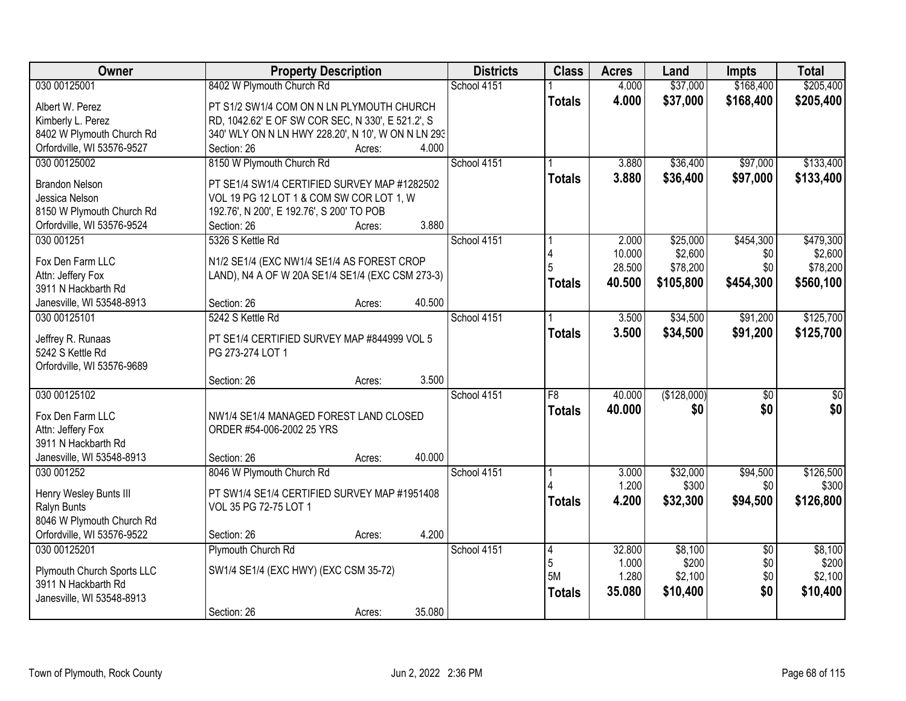| Owner                      | <b>Property Description</b>                        | <b>Districts</b> | <b>Class</b>    | <b>Acres</b>   | Land        | <b>Impts</b>    | <b>Total</b> |
|----------------------------|----------------------------------------------------|------------------|-----------------|----------------|-------------|-----------------|--------------|
| 030 00125001               | 8402 W Plymouth Church Rd                          | School 4151      |                 | 4.000          | \$37,000    | \$168,400       | \$205,400    |
| Albert W. Perez            | PT S1/2 SW1/4 COM ON N LN PLYMOUTH CHURCH          |                  | <b>Totals</b>   | 4.000          | \$37,000    | \$168,400       | \$205,400    |
| Kimberly L. Perez          | RD, 1042.62' E OF SW COR SEC, N 330', E 521.2', S  |                  |                 |                |             |                 |              |
| 8402 W Plymouth Church Rd  | 340' WLY ON N LN HWY 228.20', N 10', W ON N LN 293 |                  |                 |                |             |                 |              |
| Orfordville, WI 53576-9527 | 4.000<br>Section: 26<br>Acres:                     |                  |                 |                |             |                 |              |
| 030 00125002               | 8150 W Plymouth Church Rd                          | School 4151      |                 | 3.880          | \$36,400    | \$97,000        | \$133,400    |
|                            |                                                    |                  | <b>Totals</b>   | 3.880          | \$36,400    | \$97,000        | \$133,400    |
| <b>Brandon Nelson</b>      | PT SE1/4 SW1/4 CERTIFIED SURVEY MAP #1282502       |                  |                 |                |             |                 |              |
| Jessica Nelson             | VOL 19 PG 12 LOT 1 & COM SW COR LOT 1, W           |                  |                 |                |             |                 |              |
| 8150 W Plymouth Church Rd  | 192.76', N 200', E 192.76', S 200' TO POB          |                  |                 |                |             |                 |              |
| Orfordville, WI 53576-9524 | 3.880<br>Section: 26<br>Acres:                     |                  |                 |                |             |                 |              |
| 030 001251                 | 5326 S Kettle Rd                                   | School 4151      |                 | 2.000          | \$25,000    | \$454,300       | \$479,300    |
| Fox Den Farm LLC           | N1/2 SE1/4 (EXC NW1/4 SE1/4 AS FOREST CROP         |                  |                 | 10.000         | \$2,600     | \$0             | \$2,600      |
| Attn: Jeffery Fox          | LAND), N4 A OF W 20A SE1/4 SE1/4 (EXC CSM 273-3)   |                  |                 | 28.500         | \$78,200    | \$0             | \$78,200     |
| 3911 N Hackbarth Rd        |                                                    |                  | <b>Totals</b>   | 40.500         | \$105,800   | \$454,300       | \$560,100    |
| Janesville, WI 53548-8913  | 40.500<br>Section: 26<br>Acres:                    |                  |                 |                |             |                 |              |
| 030 00125101               | 5242 S Kettle Rd                                   | School 4151      |                 | 3.500          | \$34,500    | \$91,200        | \$125,700    |
|                            |                                                    |                  | <b>Totals</b>   | 3.500          | \$34,500    | \$91,200        | \$125,700    |
| Jeffrey R. Runaas          | PT SE1/4 CERTIFIED SURVEY MAP #844999 VOL 5        |                  |                 |                |             |                 |              |
| 5242 S Kettle Rd           | PG 273-274 LOT 1                                   |                  |                 |                |             |                 |              |
| Orfordville, WI 53576-9689 |                                                    |                  |                 |                |             |                 |              |
|                            | 3.500<br>Section: 26<br>Acres:                     |                  |                 |                |             |                 |              |
| 030 00125102               |                                                    | School 4151      | $\overline{F8}$ | 40.000         | (\$128,000) | $\overline{50}$ | $\sqrt{30}$  |
| Fox Den Farm LLC           | NW1/4 SE1/4 MANAGED FOREST LAND CLOSED             |                  | <b>Totals</b>   | 40.000         | \$0         | \$0             | \$0          |
| Attn: Jeffery Fox          | ORDER #54-006-2002 25 YRS                          |                  |                 |                |             |                 |              |
| 3911 N Hackbarth Rd        |                                                    |                  |                 |                |             |                 |              |
| Janesville, WI 53548-8913  | 40.000<br>Section: 26<br>Acres:                    |                  |                 |                |             |                 |              |
| 030 001252                 | 8046 W Plymouth Church Rd                          | School 4151      |                 | 3.000          | \$32,000    | \$94,500        | \$126,500    |
|                            |                                                    |                  |                 | 1.200          | \$300       | \$0             | \$300        |
| Henry Wesley Bunts III     | PT SW1/4 SE1/4 CERTIFIED SURVEY MAP #1951408       |                  | <b>Totals</b>   | 4.200          | \$32,300    | \$94,500        | \$126,800    |
| Ralyn Bunts                | VOL 35 PG 72-75 LOT 1                              |                  |                 |                |             |                 |              |
| 8046 W Plymouth Church Rd  |                                                    |                  |                 |                |             |                 |              |
| Orfordville, WI 53576-9522 | 4.200<br>Section: 26<br>Acres:                     |                  |                 |                |             |                 |              |
| 030 00125201               | Plymouth Church Rd                                 | School 4151      | 4               | 32.800         | \$8,100     | $\overline{50}$ | \$8,100      |
| Plymouth Church Sports LLC | SW1/4 SE1/4 (EXC HWY) (EXC CSM 35-72)              |                  | 5<br>5M         | 1.000<br>1.280 | \$200       | \$0             | \$200        |
| 3911 N Hackbarth Rd        |                                                    |                  |                 |                | \$2,100     | \$0             | \$2,100      |
| Janesville, WI 53548-8913  |                                                    |                  | <b>Totals</b>   | 35.080         | \$10,400    | \$0             | \$10,400     |
|                            | 35.080<br>Section: 26<br>Acres:                    |                  |                 |                |             |                 |              |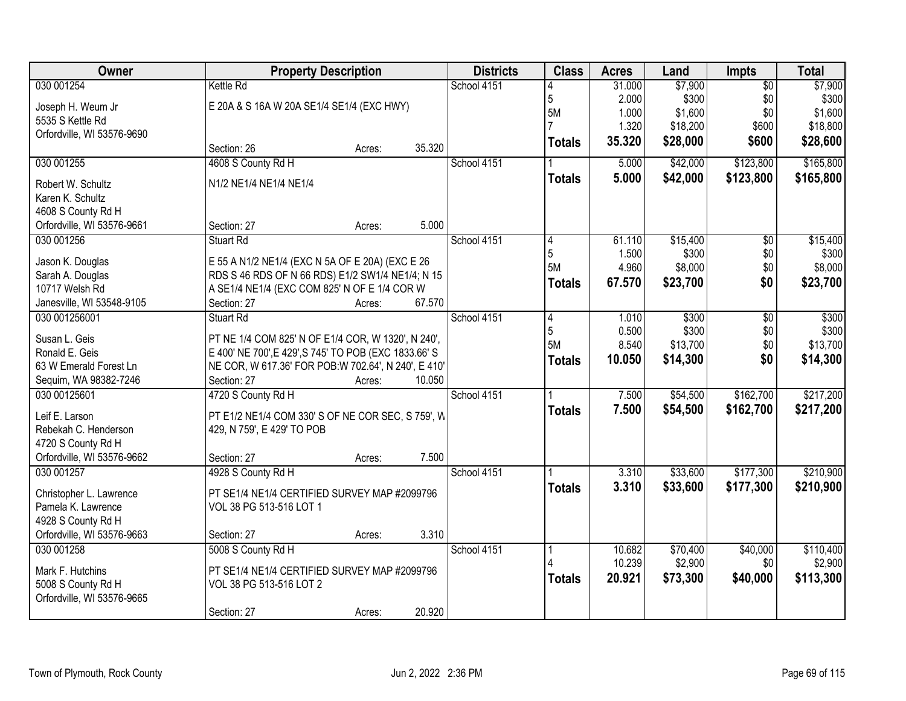| Owner                              | <b>Property Description</b>                                                                         | <b>Districts</b> | <b>Class</b> | <b>Acres</b>    | Land   | Impts    | <b>Total</b>    |           |
|------------------------------------|-----------------------------------------------------------------------------------------------------|------------------|--------------|-----------------|--------|----------|-----------------|-----------|
| 030 001254                         | Kettle Rd                                                                                           |                  | School 4151  |                 | 31.000 | \$7,900  | $\overline{50}$ | \$7,900   |
| Joseph H. Weum Jr                  | E 20A & S 16A W 20A SE1/4 SE1/4 (EXC HWY)                                                           |                  |              | 5               | 2.000  | \$300    | \$0             | \$300     |
| 5535 S Kettle Rd                   |                                                                                                     |                  |              | 5M              | 1.000  | \$1,600  | \$0             | \$1,600   |
| Orfordville, WI 53576-9690         |                                                                                                     |                  |              |                 | 1.320  | \$18,200 | \$600           | \$18,800  |
|                                    | Section: 26                                                                                         | 35.320<br>Acres: |              | <b>Totals</b>   | 35.320 | \$28,000 | \$600           | \$28,600  |
| 030 001255                         | 4608 S County Rd H                                                                                  |                  | School 4151  |                 | 5.000  | \$42,000 | \$123,800       | \$165,800 |
| Robert W. Schultz                  | N1/2 NE1/4 NE1/4 NE1/4                                                                              |                  |              | <b>Totals</b>   | 5.000  | \$42,000 | \$123,800       | \$165,800 |
| Karen K. Schultz                   |                                                                                                     |                  |              |                 |        |          |                 |           |
| 4608 S County Rd H                 |                                                                                                     |                  |              |                 |        |          |                 |           |
| Orfordville, WI 53576-9661         | Section: 27                                                                                         | 5.000<br>Acres:  |              |                 |        |          |                 |           |
| 030 001256                         | Stuart Rd                                                                                           |                  | School 4151  | 14              | 61.110 | \$15,400 | \$0             | \$15,400  |
|                                    |                                                                                                     |                  |              | 5               | 1.500  | \$300    | \$0             | \$300     |
| Jason K. Douglas                   | E 55 A N1/2 NE1/4 (EXC N 5A OF E 20A) (EXC E 26<br>RDS S 46 RDS OF N 66 RDS) E1/2 SW1/4 NE1/4; N 15 |                  |              | 5M              | 4.960  | \$8,000  | \$0             | \$8,000   |
| Sarah A. Douglas<br>10717 Welsh Rd | A SE1/4 NE1/4 (EXC COM 825' N OF E 1/4 COR W                                                        |                  |              | <b>Totals</b>   | 67.570 | \$23,700 | \$0             | \$23,700  |
| Janesville, WI 53548-9105          | Section: 27                                                                                         | 67.570<br>Acres: |              |                 |        |          |                 |           |
| 030 001256001                      | Stuart Rd                                                                                           |                  | School 4151  | $\vert 4 \vert$ | 1.010  | \$300    | \$0             | \$300     |
|                                    |                                                                                                     |                  |              | 5               | 0.500  | \$300    | \$0             | \$300     |
| Susan L. Geis                      | PT NE 1/4 COM 825' N OF E1/4 COR, W 1320', N 240',                                                  |                  |              | 5M              | 8.540  | \$13,700 | \$0             | \$13,700  |
| Ronald E. Geis                     | E 400' NE 700', E 429', S 745' TO POB (EXC 1833.66' S                                               |                  |              | <b>Totals</b>   | 10.050 | \$14,300 | \$0             | \$14,300  |
| 63 W Emerald Forest Ln             | NE COR, W 617.36' FOR POB: W 702.64', N 240', E 410'                                                |                  |              |                 |        |          |                 |           |
| Sequim, WA 98382-7246              | Section: 27                                                                                         | 10.050<br>Acres: |              |                 |        |          |                 |           |
| 030 00125601                       | 4720 S County Rd H                                                                                  |                  | School 4151  |                 | 7.500  | \$54,500 | \$162,700       | \$217,200 |
| Leif E. Larson                     | PT E1/2 NE1/4 COM 330' S OF NE COR SEC, S 759', W                                                   |                  |              | <b>Totals</b>   | 7.500  | \$54,500 | \$162,700       | \$217,200 |
| Rebekah C. Henderson               | 429, N 759', E 429' TO POB                                                                          |                  |              |                 |        |          |                 |           |
| 4720 S County Rd H                 |                                                                                                     |                  |              |                 |        |          |                 |           |
| Orfordville, WI 53576-9662         | Section: 27                                                                                         | 7.500<br>Acres:  |              |                 |        |          |                 |           |
| 030 001257                         | 4928 S County Rd H                                                                                  |                  | School 4151  |                 | 3.310  | \$33,600 | \$177,300       | \$210,900 |
| Christopher L. Lawrence            | PT SE1/4 NE1/4 CERTIFIED SURVEY MAP #2099796                                                        |                  |              | <b>Totals</b>   | 3.310  | \$33,600 | \$177,300       | \$210,900 |
| Pamela K. Lawrence                 | VOL 38 PG 513-516 LOT 1                                                                             |                  |              |                 |        |          |                 |           |
| 4928 S County Rd H                 |                                                                                                     |                  |              |                 |        |          |                 |           |
| Orfordville, WI 53576-9663         | Section: 27                                                                                         | 3.310<br>Acres:  |              |                 |        |          |                 |           |
| 030 001258                         | 5008 S County Rd H                                                                                  |                  | School 4151  |                 | 10.682 | \$70,400 | \$40,000        | \$110,400 |
| Mark F. Hutchins                   | PT SE1/4 NE1/4 CERTIFIED SURVEY MAP #2099796                                                        |                  |              |                 | 10.239 | \$2,900  | \$0             | \$2,900   |
| 5008 S County Rd H                 | VOL 38 PG 513-516 LOT 2                                                                             |                  |              | <b>Totals</b>   | 20.921 | \$73,300 | \$40,000        | \$113,300 |
| Orfordville, WI 53576-9665         |                                                                                                     |                  |              |                 |        |          |                 |           |
|                                    | Section: 27                                                                                         | 20.920<br>Acres: |              |                 |        |          |                 |           |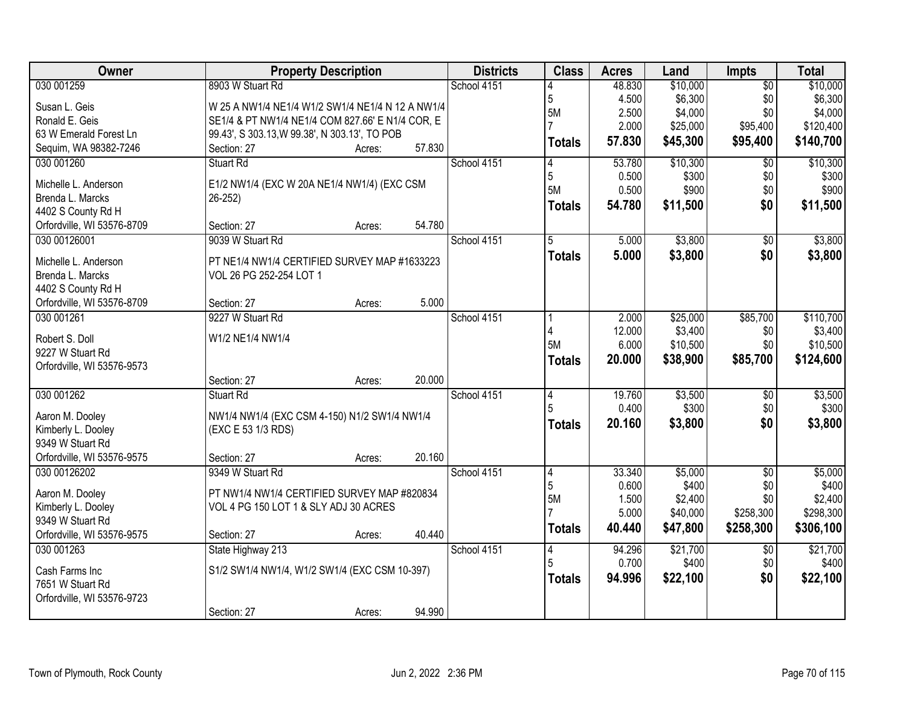| Owner                                  | <b>Property Description</b>                      |        | <b>Districts</b> | <b>Class</b>   | <b>Acres</b> | Land     | <b>Impts</b>           | <b>Total</b> |
|----------------------------------------|--------------------------------------------------|--------|------------------|----------------|--------------|----------|------------------------|--------------|
| 030 001259                             | 8903 W Stuart Rd                                 |        | School 4151      |                | 48.830       | \$10,000 | $\overline{50}$        | \$10,000     |
| Susan L. Geis                          | W 25 A NW1/4 NE1/4 W1/2 SW1/4 NE1/4 N 12 A NW1/4 |        |                  | 5              | 4.500        | \$6,300  | \$0                    | \$6,300      |
| Ronald E. Geis                         | SE1/4 & PT NW1/4 NE1/4 COM 827.66' E N1/4 COR, E |        |                  | 5M             | 2.500        | \$4,000  | \$0                    | \$4,000      |
| 63 W Emerald Forest Ln                 | 99.43', S 303.13, W 99.38', N 303.13', TO POB    |        |                  |                | 2.000        | \$25,000 | \$95,400               | \$120,400    |
| Sequim, WA 98382-7246                  | Section: 27<br>Acres:                            | 57.830 |                  | <b>Totals</b>  | 57.830       | \$45,300 | \$95,400               | \$140,700    |
| 030 001260                             | Stuart Rd                                        |        | School 4151      | 4              | 53.780       | \$10,300 | $\overline{50}$        | \$10,300     |
|                                        |                                                  |        |                  | 5              | 0.500        | \$300    | \$0                    | \$300        |
| Michelle L. Anderson                   | E1/2 NW1/4 (EXC W 20A NE1/4 NW1/4) (EXC CSM      |        |                  | <b>5M</b>      | 0.500        | \$900    | \$0                    | \$900        |
| Brenda L. Marcks                       | $26 - 252$                                       |        |                  | <b>Totals</b>  | 54.780       | \$11,500 | \$0                    | \$11,500     |
| 4402 S County Rd H                     |                                                  |        |                  |                |              |          |                        |              |
| Orfordville, WI 53576-8709             | Section: 27<br>Acres:                            | 54.780 |                  |                |              |          |                        |              |
| 030 00126001                           | 9039 W Stuart Rd                                 |        | School 4151      | 5              | 5.000        | \$3,800  | $\overline{50}$        | \$3,800      |
| Michelle L. Anderson                   | PT NE1/4 NW1/4 CERTIFIED SURVEY MAP #1633223     |        |                  | <b>Totals</b>  | 5.000        | \$3,800  | \$0                    | \$3,800      |
| Brenda L. Marcks                       | VOL 26 PG 252-254 LOT 1                          |        |                  |                |              |          |                        |              |
| 4402 S County Rd H                     |                                                  |        |                  |                |              |          |                        |              |
| Orfordville, WI 53576-8709             | Section: 27<br>Acres:                            | 5.000  |                  |                |              |          |                        |              |
| 030 001261                             | 9227 W Stuart Rd                                 |        | School 4151      |                | 2.000        | \$25,000 | \$85,700               | \$110,700    |
|                                        |                                                  |        |                  |                | 12.000       | \$3,400  | \$0                    | \$3,400      |
| Robert S. Doll                         | W1/2 NE1/4 NW1/4                                 |        |                  | <b>5M</b>      | 6.000        | \$10,500 | \$0                    | \$10,500     |
| 9227 W Stuart Rd                       |                                                  |        |                  | <b>Totals</b>  | 20.000       | \$38,900 | \$85,700               | \$124,600    |
| Orfordville, WI 53576-9573             |                                                  |        |                  |                |              |          |                        |              |
|                                        | Section: 27<br>Acres:                            | 20.000 |                  |                |              |          |                        |              |
| 030 001262                             | Stuart Rd                                        |        | School 4151      | 4              | 19.760       | \$3,500  | $\overline{30}$        | \$3,500      |
| Aaron M. Dooley                        | NW1/4 NW1/4 (EXC CSM 4-150) N1/2 SW1/4 NW1/4     |        |                  |                | 0.400        | \$300    | \$0                    | \$300        |
| Kimberly L. Dooley                     | (EXC E 53 1/3 RDS)                               |        |                  | <b>Totals</b>  | 20.160       | \$3,800  | \$0                    | \$3,800      |
| 9349 W Stuart Rd                       |                                                  |        |                  |                |              |          |                        |              |
| Orfordville, WI 53576-9575             | Section: 27<br>Acres:                            | 20.160 |                  |                |              |          |                        |              |
| 030 00126202                           | 9349 W Stuart Rd                                 |        | School 4151      | 4              | 33.340       | \$5,000  | $\overline{50}$        | \$5,000      |
|                                        | PT NW1/4 NW1/4 CERTIFIED SURVEY MAP #820834      |        |                  | 5              | 0.600        | \$400    | \$0                    | \$400        |
| Aaron M. Dooley                        |                                                  |        |                  | <b>5M</b>      | 1.500        | \$2,400  | \$0                    | \$2,400      |
| Kimberly L. Dooley<br>9349 W Stuart Rd | VOL 4 PG 150 LOT 1 & SLY ADJ 30 ACRES            |        |                  | $\overline{7}$ | 5.000        | \$40,000 | \$258,300              | \$298,300    |
| Orfordville, WI 53576-9575             | Section: 27<br>Acres:                            | 40.440 |                  | <b>Totals</b>  | 40.440       | \$47,800 | \$258,300              | \$306,100    |
| 030 001263                             |                                                  |        | School 4151      |                | 94.296       | \$21,700 |                        | \$21,700     |
|                                        | State Highway 213                                |        |                  | 4<br>5         | 0.700        | \$400    | $\overline{50}$<br>\$0 | \$400        |
| Cash Farms Inc                         | S1/2 SW1/4 NW1/4, W1/2 SW1/4 (EXC CSM 10-397)    |        |                  |                |              |          | \$0                    |              |
| 7651 W Stuart Rd                       |                                                  |        |                  | Totals         | 94.996       | \$22,100 |                        | \$22,100     |
| Orfordville, WI 53576-9723             |                                                  |        |                  |                |              |          |                        |              |
|                                        | Section: 27<br>Acres:                            | 94.990 |                  |                |              |          |                        |              |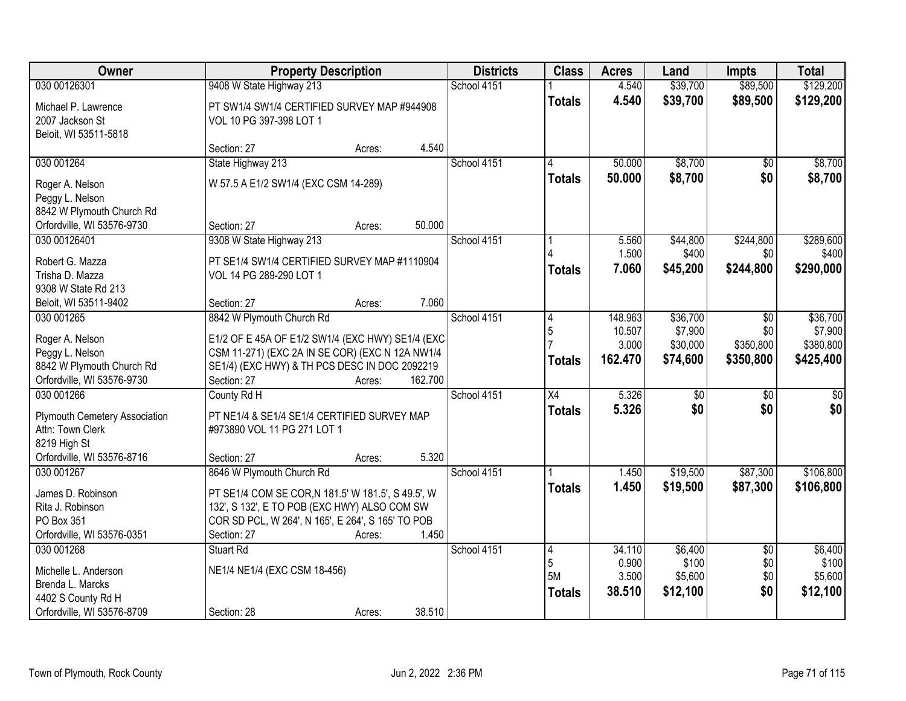| Owner                                                                                                       | <b>Property Description</b>                                                                                                                                                                                            | <b>Districts</b> | <b>Class</b>                     | <b>Acres</b>                          | Land                                        | <b>Impts</b>                         | <b>Total</b>                                  |
|-------------------------------------------------------------------------------------------------------------|------------------------------------------------------------------------------------------------------------------------------------------------------------------------------------------------------------------------|------------------|----------------------------------|---------------------------------------|---------------------------------------------|--------------------------------------|-----------------------------------------------|
| 030 00126301                                                                                                | 9408 W State Highway 213                                                                                                                                                                                               | School 4151      |                                  | 4.540                                 | \$39,700                                    | \$89,500                             | \$129,200                                     |
| Michael P. Lawrence<br>2007 Jackson St<br>Beloit, WI 53511-5818                                             | PT SW1/4 SW1/4 CERTIFIED SURVEY MAP #944908<br>VOL 10 PG 397-398 LOT 1                                                                                                                                                 |                  | <b>Totals</b>                    | 4.540                                 | \$39,700                                    | \$89,500                             | \$129,200                                     |
|                                                                                                             | 4.540<br>Section: 27<br>Acres:                                                                                                                                                                                         |                  |                                  |                                       |                                             |                                      |                                               |
| 030 001264                                                                                                  | State Highway 213                                                                                                                                                                                                      | School 4151      | $\mathbf{\Lambda}$               | 50.000                                | \$8,700                                     | $\overline{50}$                      | \$8,700                                       |
| Roger A. Nelson<br>Peggy L. Nelson<br>8842 W Plymouth Church Rd<br>Orfordville, WI 53576-9730               | W 57.5 A E1/2 SW1/4 (EXC CSM 14-289)<br>50.000<br>Section: 27<br>Acres:                                                                                                                                                |                  | <b>Totals</b>                    | 50.000                                | \$8,700                                     | \$0                                  | \$8,700                                       |
| 030 00126401                                                                                                | 9308 W State Highway 213                                                                                                                                                                                               | School 4151      |                                  | 5.560                                 | \$44,800                                    | \$244,800                            | \$289,600                                     |
| Robert G. Mazza<br>Trisha D. Mazza<br>9308 W State Rd 213                                                   | PT SE1/4 SW1/4 CERTIFIED SURVEY MAP #1110904<br>VOL 14 PG 289-290 LOT 1                                                                                                                                                |                  | <b>Totals</b>                    | 1.500<br>7.060                        | \$400<br>\$45,200                           | \$0<br>\$244,800                     | \$400<br>\$290,000                            |
| Beloit, WI 53511-9402                                                                                       | 7.060<br>Section: 27<br>Acres:                                                                                                                                                                                         |                  |                                  |                                       |                                             |                                      |                                               |
| 030 001265<br>Roger A. Nelson<br>Peggy L. Nelson<br>8842 W Plymouth Church Rd<br>Orfordville, WI 53576-9730 | 8842 W Plymouth Church Rd<br>E1/2 OF E 45A OF E1/2 SW1/4 (EXC HWY) SE1/4 (EXC<br>CSM 11-271) (EXC 2A IN SE COR) (EXC N 12A NW1/4<br>SE1/4) (EXC HWY) & TH PCS DESC IN DOC 2092219<br>162.700<br>Section: 27<br>Acres:  | School 4151      | 4<br>5<br><b>Totals</b>          | 148.963<br>10.507<br>3.000<br>162.470 | \$36,700<br>\$7,900<br>\$30,000<br>\$74,600 | \$0<br>\$0<br>\$350,800<br>\$350,800 | \$36,700<br>\$7,900<br>\$380,800<br>\$425,400 |
| 030 001266<br>Plymouth Cemetery Association<br>Attn: Town Clerk<br>8219 High St                             | County Rd H<br>PT NE1/4 & SE1/4 SE1/4 CERTIFIED SURVEY MAP<br>#973890 VOL 11 PG 271 LOT 1                                                                                                                              | School 4151      | $\overline{X4}$<br><b>Totals</b> | 5.326<br>5.326                        | $\overline{50}$<br>\$0                      | $\overline{50}$<br>\$0               | $\frac{1}{6}$<br>\$0                          |
| Orfordville, WI 53576-8716                                                                                  | 5.320<br>Section: 27<br>Acres:                                                                                                                                                                                         |                  |                                  |                                       |                                             |                                      |                                               |
| 030 001267<br>James D. Robinson<br>Rita J. Robinson<br>PO Box 351<br>Orfordville, WI 53576-0351             | 8646 W Plymouth Church Rd<br>PT SE1/4 COM SE COR, N 181.5' W 181.5', S 49.5', W<br>132', S 132', E TO POB (EXC HWY) ALSO COM SW<br>COR SD PCL, W 264', N 165', E 264', S 165' TO POB<br>1.450<br>Section: 27<br>Acres: | School 4151      | <b>Totals</b>                    | 1.450<br>1.450                        | \$19,500<br>\$19,500                        | \$87,300<br>\$87,300                 | \$106,800<br>\$106,800                        |
| 030 001268<br>Michelle L. Anderson<br>Brenda L. Marcks<br>4402 S County Rd H<br>Orfordville, WI 53576-8709  | Stuart Rd<br>NE1/4 NE1/4 (EXC CSM 18-456)<br>38.510<br>Section: 28<br>Acres:                                                                                                                                           | School 4151      | 4<br>5<br>5M<br><b>Totals</b>    | 34.110<br>0.900<br>3.500<br>38.510    | \$6,400<br>\$100<br>\$5,600<br>\$12,100     | $\overline{50}$<br>\$0<br>\$0<br>\$0 | \$6,400<br>\$100<br>\$5,600<br>\$12,100       |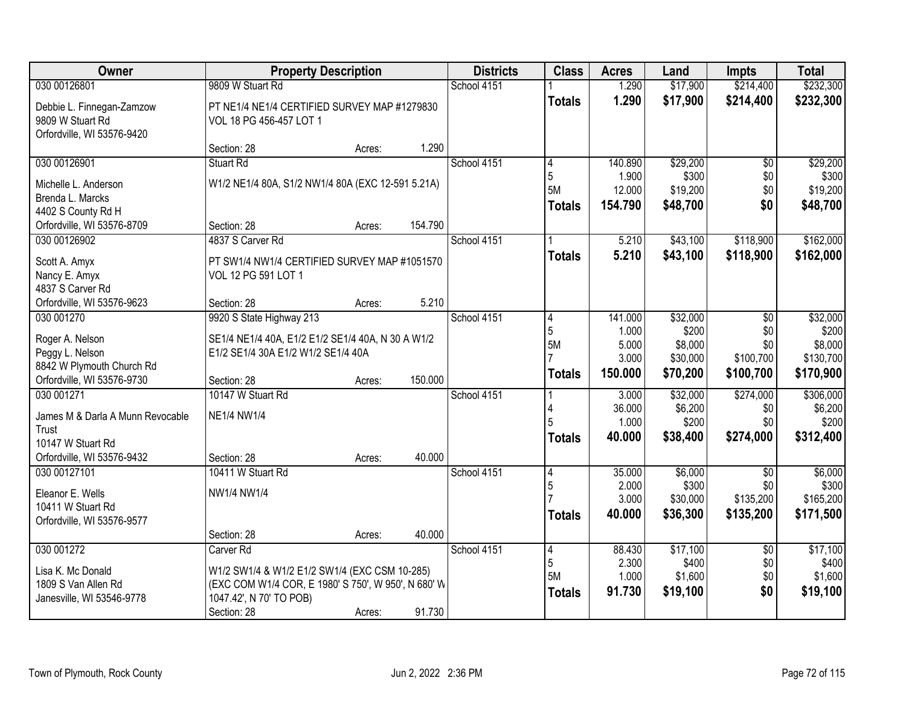| Owner                            | <b>Property Description</b>                         |        |         | <b>Districts</b> | <b>Class</b>  | <b>Acres</b> | Land     | <b>Impts</b>    | <b>Total</b> |
|----------------------------------|-----------------------------------------------------|--------|---------|------------------|---------------|--------------|----------|-----------------|--------------|
| 030 00126801                     | 9809 W Stuart Rd                                    |        |         | School 4151      |               | 1.290        | \$17,900 | \$214,400       | \$232,300    |
| Debbie L. Finnegan-Zamzow        | PT NE1/4 NE1/4 CERTIFIED SURVEY MAP #1279830        |        |         |                  | <b>Totals</b> | 1.290        | \$17,900 | \$214,400       | \$232,300    |
| 9809 W Stuart Rd                 | VOL 18 PG 456-457 LOT 1                             |        |         |                  |               |              |          |                 |              |
| Orfordville, WI 53576-9420       |                                                     |        |         |                  |               |              |          |                 |              |
|                                  | Section: 28                                         | Acres: | 1.290   |                  |               |              |          |                 |              |
| 030 00126901                     | <b>Stuart Rd</b>                                    |        |         | School 4151      | 4             | 140.890      | \$29,200 | $\overline{50}$ | \$29,200     |
| Michelle L. Anderson             | W1/2 NE1/4 80A, S1/2 NW1/4 80A (EXC 12-591 5.21A)   |        |         |                  | 5             | 1.900        | \$300    | \$0             | \$300        |
| Brenda L. Marcks                 |                                                     |        |         |                  | 5M            | 12.000       | \$19,200 | \$0             | \$19,200     |
| 4402 S County Rd H               |                                                     |        |         |                  | <b>Totals</b> | 154.790      | \$48,700 | \$0             | \$48,700     |
| Orfordville, WI 53576-8709       | Section: 28                                         | Acres: | 154.790 |                  |               |              |          |                 |              |
| 030 00126902                     | 4837 S Carver Rd                                    |        |         | School 4151      |               | 5.210        | \$43,100 | \$118,900       | \$162,000    |
| Scott A. Amyx                    | PT SW1/4 NW1/4 CERTIFIED SURVEY MAP #1051570        |        |         |                  | <b>Totals</b> | 5.210        | \$43,100 | \$118,900       | \$162,000    |
| Nancy E. Amyx                    | VOL 12 PG 591 LOT 1                                 |        |         |                  |               |              |          |                 |              |
| 4837 S Carver Rd                 |                                                     |        |         |                  |               |              |          |                 |              |
| Orfordville, WI 53576-9623       | Section: 28                                         | Acres: | 5.210   |                  |               |              |          |                 |              |
| 030 001270                       | 9920 S State Highway 213                            |        |         | School 4151      | 4             | 141.000      | \$32,000 | \$0             | \$32,000     |
| Roger A. Nelson                  | SE1/4 NE1/4 40A, E1/2 E1/2 SE1/4 40A, N 30 A W1/2   |        |         |                  | 5             | 1.000        | \$200    | \$0             | \$200        |
| Peggy L. Nelson                  | E1/2 SE1/4 30A E1/2 W1/2 SE1/4 40A                  |        |         |                  | 5M            | 5.000        | \$8,000  | \$0             | \$8,000      |
| 8842 W Plymouth Church Rd        |                                                     |        |         |                  |               | 3.000        | \$30,000 | \$100,700       | \$130,700    |
| Orfordville, WI 53576-9730       | Section: 28                                         | Acres: | 150.000 |                  | <b>Totals</b> | 150.000      | \$70,200 | \$100,700       | \$170,900    |
| 030 001271                       | 10147 W Stuart Rd                                   |        |         | School 4151      |               | 3.000        | \$32,000 | \$274,000       | \$306,000    |
| James M & Darla A Munn Revocable | <b>NE1/4 NW1/4</b>                                  |        |         |                  |               | 36.000       | \$6,200  | \$0             | \$6,200      |
| Trust                            |                                                     |        |         |                  |               | 1.000        | \$200    | \$0             | \$200        |
| 10147 W Stuart Rd                |                                                     |        |         |                  | <b>Totals</b> | 40.000       | \$38,400 | \$274,000       | \$312,400    |
| Orfordville, WI 53576-9432       | Section: 28                                         | Acres: | 40.000  |                  |               |              |          |                 |              |
| 030 00127101                     | 10411 W Stuart Rd                                   |        |         | School 4151      | 4             | 35.000       | \$6,000  | $\overline{50}$ | \$6,000      |
| Eleanor E. Wells                 | NW1/4 NW1/4                                         |        |         |                  | 5             | 2.000        | \$300    | \$0             | \$300        |
| 10411 W Stuart Rd                |                                                     |        |         |                  |               | 3.000        | \$30,000 | \$135,200       | \$165,200    |
| Orfordville, WI 53576-9577       |                                                     |        |         |                  | <b>Totals</b> | 40.000       | \$36,300 | \$135,200       | \$171,500    |
|                                  | Section: 28                                         | Acres: | 40.000  |                  |               |              |          |                 |              |
| 030 001272                       | Carver <sub>Rd</sub>                                |        |         | School 4151      | 4             | 88.430       | \$17,100 | $\overline{60}$ | \$17,100     |
| Lisa K. Mc Donald                | W1/2 SW1/4 & W1/2 E1/2 SW1/4 (EXC CSM 10-285)       |        |         |                  | 5             | 2.300        | \$400    | \$0             | \$400        |
| 1809 S Van Allen Rd              | (EXC COM W1/4 COR, E 1980' S 750', W 950', N 680' W |        |         |                  | 5M            | 1.000        | \$1,600  | \$0             | \$1,600      |
| Janesville, WI 53546-9778        | 1047.42', N 70' TO POB)                             |        |         |                  | <b>Totals</b> | 91.730       | \$19,100 | \$0             | \$19,100     |
|                                  | Section: 28                                         | Acres: | 91.730  |                  |               |              |          |                 |              |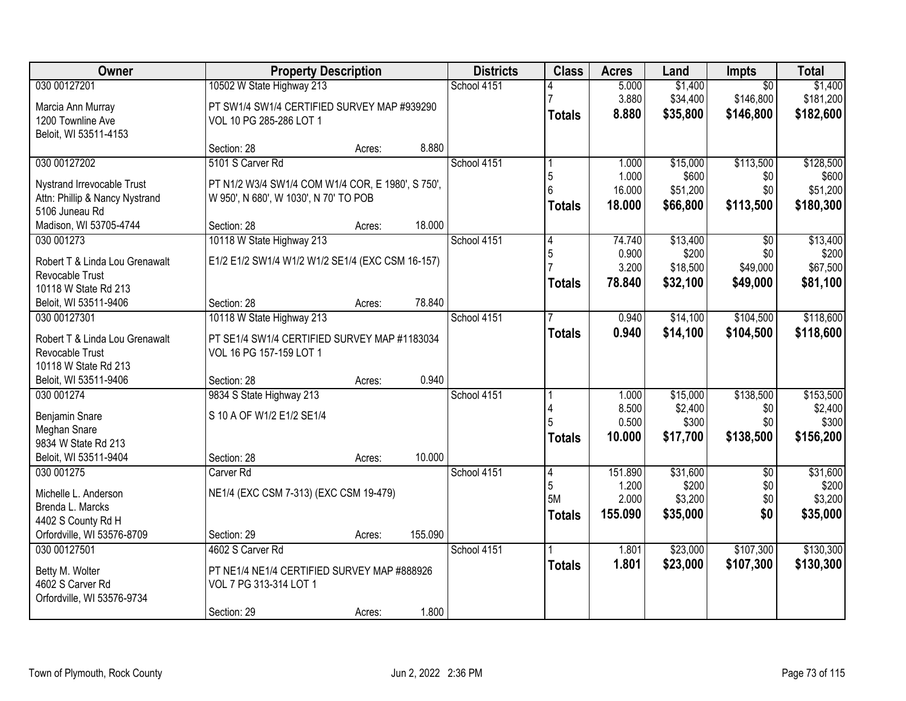| 030 00127201<br>10502 W State Highway 213<br>School 4151<br>\$1,400<br>5.000<br>$\overline{50}$<br>\$181,200<br>3.880<br>\$34,400<br>\$146,800<br>PT SW1/4 SW1/4 CERTIFIED SURVEY MAP #939290<br>Marcia Ann Murray<br>8.880<br>\$35,800<br>\$146,800<br><b>Totals</b><br>1200 Townline Ave<br>VOL 10 PG 285-286 LOT 1<br>Beloit, WI 53511-4153<br>8.880<br>Section: 28<br>Acres:<br>030 00127202<br>5101 S Carver Rd<br>School 4151<br>\$113,500<br>\$15,000<br>1.000<br>1.000<br>\$600<br>5<br>\$0<br>Nystrand Irrevocable Trust<br>PT N1/2 W3/4 SW1/4 COM W1/4 COR, E 1980', S 750',<br>6<br>16.000<br>\$51,200<br>\$0<br>Attn: Phillip & Nancy Nystrand<br>W 950', N 680', W 1030', N 70' TO POB<br>18.000<br>\$66,800<br>\$113,500<br>Totals<br>5106 Juneau Rd<br>18.000<br>Madison, WI 53705-4744<br>Section: 28<br>Acres:<br>030 001273<br>10118 W State Highway 213<br>School 4151<br>74.740<br>\$13,400<br>$\overline{50}$<br>4<br>\$200<br>0.900<br>\$0<br>5<br>E1/2 E1/2 SW1/4 W1/2 W1/2 SE1/4 (EXC CSM 16-157)<br>Robert T & Linda Lou Grenawalt<br>3.200<br>\$49,000<br>\$18,500<br>Revocable Trust<br>78.840<br>\$32,100<br>\$81,100<br>\$49,000<br><b>Totals</b><br>10118 W State Rd 213<br>78.840<br>Beloit, WI 53511-9406<br>Section: 28<br>Acres:<br>School 4151<br>\$14,100<br>\$104,500<br>030 00127301<br>10118 W State Highway 213<br>0.940<br>0.940<br>\$14,100<br>\$104,500<br><b>Totals</b><br>Robert T & Linda Lou Grenawalt<br>PT SE1/4 SW1/4 CERTIFIED SURVEY MAP #1183034<br>Revocable Trust<br>VOL 16 PG 157-159 LOT 1<br>10118 W State Rd 213<br>0.940<br>Beloit, WI 53511-9406<br>Section: 28<br>Acres:<br>\$15,000<br>\$138,500<br>030 001274<br>9834 S State Highway 213<br>School 4151<br>1.000<br>8.500<br>\$2,400<br>\$0<br>S 10 A OF W1/2 E1/2 SE1/4<br>Benjamin Snare<br>0.500<br>\$300<br>\$300<br>\$0<br>Meghan Snare<br>\$138,500<br>10.000<br>\$17,700<br><b>Totals</b><br>9834 W State Rd 213<br>10.000<br>Beloit, WI 53511-9404<br>Section: 28<br>Acres:<br>School 4151<br>151.890<br>\$31,600<br>030 001275<br>Carver <sub>Rd</sub><br>$\overline{50}$<br>4<br>\$200<br>5<br>1.200<br>\$0<br>NE1/4 (EXC CSM 7-313) (EXC CSM 19-479)<br>Michelle L. Anderson<br>5M<br>2.000<br>\$3,200<br>\$0<br>Brenda L. Marcks<br>155.090<br>\$35,000<br>\$0<br><b>Totals</b><br>4402 S County Rd H<br>Orfordville, WI 53576-8709<br>155.090<br>Section: 29<br>Acres:<br>030 00127501<br>4602 S Carver Rd<br>School 4151<br>\$23,000<br>\$107,300<br>1.801 | Owner | <b>Property Description</b> |  |  | <b>Districts</b> | <b>Class</b>  | <b>Acres</b> | Land     | Impts     | <b>Total</b> |
|-------------------------------------------------------------------------------------------------------------------------------------------------------------------------------------------------------------------------------------------------------------------------------------------------------------------------------------------------------------------------------------------------------------------------------------------------------------------------------------------------------------------------------------------------------------------------------------------------------------------------------------------------------------------------------------------------------------------------------------------------------------------------------------------------------------------------------------------------------------------------------------------------------------------------------------------------------------------------------------------------------------------------------------------------------------------------------------------------------------------------------------------------------------------------------------------------------------------------------------------------------------------------------------------------------------------------------------------------------------------------------------------------------------------------------------------------------------------------------------------------------------------------------------------------------------------------------------------------------------------------------------------------------------------------------------------------------------------------------------------------------------------------------------------------------------------------------------------------------------------------------------------------------------------------------------------------------------------------------------------------------------------------------------------------------------------------------------------------------------------------------------------------------------------------------------------------------------------------------------------------------------------------------------------------------------------------------------------------------------------------------------------------------------------------------------------------------------------------------------------|-------|-----------------------------|--|--|------------------|---------------|--------------|----------|-----------|--------------|
| \$182,600                                                                                                                                                                                                                                                                                                                                                                                                                                                                                                                                                                                                                                                                                                                                                                                                                                                                                                                                                                                                                                                                                                                                                                                                                                                                                                                                                                                                                                                                                                                                                                                                                                                                                                                                                                                                                                                                                                                                                                                                                                                                                                                                                                                                                                                                                                                                                                                                                                                                                 |       |                             |  |  |                  |               |              |          |           | \$1,400      |
|                                                                                                                                                                                                                                                                                                                                                                                                                                                                                                                                                                                                                                                                                                                                                                                                                                                                                                                                                                                                                                                                                                                                                                                                                                                                                                                                                                                                                                                                                                                                                                                                                                                                                                                                                                                                                                                                                                                                                                                                                                                                                                                                                                                                                                                                                                                                                                                                                                                                                           |       |                             |  |  |                  |               |              |          |           |              |
|                                                                                                                                                                                                                                                                                                                                                                                                                                                                                                                                                                                                                                                                                                                                                                                                                                                                                                                                                                                                                                                                                                                                                                                                                                                                                                                                                                                                                                                                                                                                                                                                                                                                                                                                                                                                                                                                                                                                                                                                                                                                                                                                                                                                                                                                                                                                                                                                                                                                                           |       |                             |  |  |                  |               |              |          |           |              |
| \$128,500<br>\$600<br>\$51,200<br>\$180,300<br>\$13,400<br>\$200<br>\$67,500<br>\$118,600<br>\$118,600<br>\$153,500<br>\$2,400<br>\$156,200<br>\$31,600<br>\$200<br>\$3,200<br>\$35,000<br>\$130,300                                                                                                                                                                                                                                                                                                                                                                                                                                                                                                                                                                                                                                                                                                                                                                                                                                                                                                                                                                                                                                                                                                                                                                                                                                                                                                                                                                                                                                                                                                                                                                                                                                                                                                                                                                                                                                                                                                                                                                                                                                                                                                                                                                                                                                                                                      |       |                             |  |  |                  |               |              |          |           |              |
|                                                                                                                                                                                                                                                                                                                                                                                                                                                                                                                                                                                                                                                                                                                                                                                                                                                                                                                                                                                                                                                                                                                                                                                                                                                                                                                                                                                                                                                                                                                                                                                                                                                                                                                                                                                                                                                                                                                                                                                                                                                                                                                                                                                                                                                                                                                                                                                                                                                                                           |       |                             |  |  |                  |               |              |          |           |              |
|                                                                                                                                                                                                                                                                                                                                                                                                                                                                                                                                                                                                                                                                                                                                                                                                                                                                                                                                                                                                                                                                                                                                                                                                                                                                                                                                                                                                                                                                                                                                                                                                                                                                                                                                                                                                                                                                                                                                                                                                                                                                                                                                                                                                                                                                                                                                                                                                                                                                                           |       |                             |  |  |                  |               |              |          |           |              |
|                                                                                                                                                                                                                                                                                                                                                                                                                                                                                                                                                                                                                                                                                                                                                                                                                                                                                                                                                                                                                                                                                                                                                                                                                                                                                                                                                                                                                                                                                                                                                                                                                                                                                                                                                                                                                                                                                                                                                                                                                                                                                                                                                                                                                                                                                                                                                                                                                                                                                           |       |                             |  |  |                  |               |              |          |           |              |
|                                                                                                                                                                                                                                                                                                                                                                                                                                                                                                                                                                                                                                                                                                                                                                                                                                                                                                                                                                                                                                                                                                                                                                                                                                                                                                                                                                                                                                                                                                                                                                                                                                                                                                                                                                                                                                                                                                                                                                                                                                                                                                                                                                                                                                                                                                                                                                                                                                                                                           |       |                             |  |  |                  |               |              |          |           |              |
|                                                                                                                                                                                                                                                                                                                                                                                                                                                                                                                                                                                                                                                                                                                                                                                                                                                                                                                                                                                                                                                                                                                                                                                                                                                                                                                                                                                                                                                                                                                                                                                                                                                                                                                                                                                                                                                                                                                                                                                                                                                                                                                                                                                                                                                                                                                                                                                                                                                                                           |       |                             |  |  |                  |               |              |          |           |              |
|                                                                                                                                                                                                                                                                                                                                                                                                                                                                                                                                                                                                                                                                                                                                                                                                                                                                                                                                                                                                                                                                                                                                                                                                                                                                                                                                                                                                                                                                                                                                                                                                                                                                                                                                                                                                                                                                                                                                                                                                                                                                                                                                                                                                                                                                                                                                                                                                                                                                                           |       |                             |  |  |                  |               |              |          |           |              |
|                                                                                                                                                                                                                                                                                                                                                                                                                                                                                                                                                                                                                                                                                                                                                                                                                                                                                                                                                                                                                                                                                                                                                                                                                                                                                                                                                                                                                                                                                                                                                                                                                                                                                                                                                                                                                                                                                                                                                                                                                                                                                                                                                                                                                                                                                                                                                                                                                                                                                           |       |                             |  |  |                  |               |              |          |           |              |
|                                                                                                                                                                                                                                                                                                                                                                                                                                                                                                                                                                                                                                                                                                                                                                                                                                                                                                                                                                                                                                                                                                                                                                                                                                                                                                                                                                                                                                                                                                                                                                                                                                                                                                                                                                                                                                                                                                                                                                                                                                                                                                                                                                                                                                                                                                                                                                                                                                                                                           |       |                             |  |  |                  |               |              |          |           |              |
|                                                                                                                                                                                                                                                                                                                                                                                                                                                                                                                                                                                                                                                                                                                                                                                                                                                                                                                                                                                                                                                                                                                                                                                                                                                                                                                                                                                                                                                                                                                                                                                                                                                                                                                                                                                                                                                                                                                                                                                                                                                                                                                                                                                                                                                                                                                                                                                                                                                                                           |       |                             |  |  |                  |               |              |          |           |              |
|                                                                                                                                                                                                                                                                                                                                                                                                                                                                                                                                                                                                                                                                                                                                                                                                                                                                                                                                                                                                                                                                                                                                                                                                                                                                                                                                                                                                                                                                                                                                                                                                                                                                                                                                                                                                                                                                                                                                                                                                                                                                                                                                                                                                                                                                                                                                                                                                                                                                                           |       |                             |  |  |                  |               |              |          |           |              |
|                                                                                                                                                                                                                                                                                                                                                                                                                                                                                                                                                                                                                                                                                                                                                                                                                                                                                                                                                                                                                                                                                                                                                                                                                                                                                                                                                                                                                                                                                                                                                                                                                                                                                                                                                                                                                                                                                                                                                                                                                                                                                                                                                                                                                                                                                                                                                                                                                                                                                           |       |                             |  |  |                  |               |              |          |           |              |
|                                                                                                                                                                                                                                                                                                                                                                                                                                                                                                                                                                                                                                                                                                                                                                                                                                                                                                                                                                                                                                                                                                                                                                                                                                                                                                                                                                                                                                                                                                                                                                                                                                                                                                                                                                                                                                                                                                                                                                                                                                                                                                                                                                                                                                                                                                                                                                                                                                                                                           |       |                             |  |  |                  |               |              |          |           |              |
|                                                                                                                                                                                                                                                                                                                                                                                                                                                                                                                                                                                                                                                                                                                                                                                                                                                                                                                                                                                                                                                                                                                                                                                                                                                                                                                                                                                                                                                                                                                                                                                                                                                                                                                                                                                                                                                                                                                                                                                                                                                                                                                                                                                                                                                                                                                                                                                                                                                                                           |       |                             |  |  |                  |               |              |          |           |              |
|                                                                                                                                                                                                                                                                                                                                                                                                                                                                                                                                                                                                                                                                                                                                                                                                                                                                                                                                                                                                                                                                                                                                                                                                                                                                                                                                                                                                                                                                                                                                                                                                                                                                                                                                                                                                                                                                                                                                                                                                                                                                                                                                                                                                                                                                                                                                                                                                                                                                                           |       |                             |  |  |                  |               |              |          |           |              |
|                                                                                                                                                                                                                                                                                                                                                                                                                                                                                                                                                                                                                                                                                                                                                                                                                                                                                                                                                                                                                                                                                                                                                                                                                                                                                                                                                                                                                                                                                                                                                                                                                                                                                                                                                                                                                                                                                                                                                                                                                                                                                                                                                                                                                                                                                                                                                                                                                                                                                           |       |                             |  |  |                  |               |              |          |           |              |
|                                                                                                                                                                                                                                                                                                                                                                                                                                                                                                                                                                                                                                                                                                                                                                                                                                                                                                                                                                                                                                                                                                                                                                                                                                                                                                                                                                                                                                                                                                                                                                                                                                                                                                                                                                                                                                                                                                                                                                                                                                                                                                                                                                                                                                                                                                                                                                                                                                                                                           |       |                             |  |  |                  |               |              |          |           |              |
|                                                                                                                                                                                                                                                                                                                                                                                                                                                                                                                                                                                                                                                                                                                                                                                                                                                                                                                                                                                                                                                                                                                                                                                                                                                                                                                                                                                                                                                                                                                                                                                                                                                                                                                                                                                                                                                                                                                                                                                                                                                                                                                                                                                                                                                                                                                                                                                                                                                                                           |       |                             |  |  |                  |               |              |          |           |              |
|                                                                                                                                                                                                                                                                                                                                                                                                                                                                                                                                                                                                                                                                                                                                                                                                                                                                                                                                                                                                                                                                                                                                                                                                                                                                                                                                                                                                                                                                                                                                                                                                                                                                                                                                                                                                                                                                                                                                                                                                                                                                                                                                                                                                                                                                                                                                                                                                                                                                                           |       |                             |  |  |                  |               |              |          |           |              |
|                                                                                                                                                                                                                                                                                                                                                                                                                                                                                                                                                                                                                                                                                                                                                                                                                                                                                                                                                                                                                                                                                                                                                                                                                                                                                                                                                                                                                                                                                                                                                                                                                                                                                                                                                                                                                                                                                                                                                                                                                                                                                                                                                                                                                                                                                                                                                                                                                                                                                           |       |                             |  |  |                  |               |              |          |           |              |
|                                                                                                                                                                                                                                                                                                                                                                                                                                                                                                                                                                                                                                                                                                                                                                                                                                                                                                                                                                                                                                                                                                                                                                                                                                                                                                                                                                                                                                                                                                                                                                                                                                                                                                                                                                                                                                                                                                                                                                                                                                                                                                                                                                                                                                                                                                                                                                                                                                                                                           |       |                             |  |  |                  |               |              |          |           |              |
|                                                                                                                                                                                                                                                                                                                                                                                                                                                                                                                                                                                                                                                                                                                                                                                                                                                                                                                                                                                                                                                                                                                                                                                                                                                                                                                                                                                                                                                                                                                                                                                                                                                                                                                                                                                                                                                                                                                                                                                                                                                                                                                                                                                                                                                                                                                                                                                                                                                                                           |       |                             |  |  |                  |               |              |          |           |              |
|                                                                                                                                                                                                                                                                                                                                                                                                                                                                                                                                                                                                                                                                                                                                                                                                                                                                                                                                                                                                                                                                                                                                                                                                                                                                                                                                                                                                                                                                                                                                                                                                                                                                                                                                                                                                                                                                                                                                                                                                                                                                                                                                                                                                                                                                                                                                                                                                                                                                                           |       |                             |  |  |                  |               |              |          |           |              |
|                                                                                                                                                                                                                                                                                                                                                                                                                                                                                                                                                                                                                                                                                                                                                                                                                                                                                                                                                                                                                                                                                                                                                                                                                                                                                                                                                                                                                                                                                                                                                                                                                                                                                                                                                                                                                                                                                                                                                                                                                                                                                                                                                                                                                                                                                                                                                                                                                                                                                           |       |                             |  |  |                  |               |              |          |           |              |
|                                                                                                                                                                                                                                                                                                                                                                                                                                                                                                                                                                                                                                                                                                                                                                                                                                                                                                                                                                                                                                                                                                                                                                                                                                                                                                                                                                                                                                                                                                                                                                                                                                                                                                                                                                                                                                                                                                                                                                                                                                                                                                                                                                                                                                                                                                                                                                                                                                                                                           |       |                             |  |  |                  |               |              |          |           |              |
|                                                                                                                                                                                                                                                                                                                                                                                                                                                                                                                                                                                                                                                                                                                                                                                                                                                                                                                                                                                                                                                                                                                                                                                                                                                                                                                                                                                                                                                                                                                                                                                                                                                                                                                                                                                                                                                                                                                                                                                                                                                                                                                                                                                                                                                                                                                                                                                                                                                                                           |       |                             |  |  |                  |               |              |          |           |              |
|                                                                                                                                                                                                                                                                                                                                                                                                                                                                                                                                                                                                                                                                                                                                                                                                                                                                                                                                                                                                                                                                                                                                                                                                                                                                                                                                                                                                                                                                                                                                                                                                                                                                                                                                                                                                                                                                                                                                                                                                                                                                                                                                                                                                                                                                                                                                                                                                                                                                                           |       |                             |  |  |                  |               |              |          |           |              |
|                                                                                                                                                                                                                                                                                                                                                                                                                                                                                                                                                                                                                                                                                                                                                                                                                                                                                                                                                                                                                                                                                                                                                                                                                                                                                                                                                                                                                                                                                                                                                                                                                                                                                                                                                                                                                                                                                                                                                                                                                                                                                                                                                                                                                                                                                                                                                                                                                                                                                           |       |                             |  |  |                  |               |              |          |           |              |
|                                                                                                                                                                                                                                                                                                                                                                                                                                                                                                                                                                                                                                                                                                                                                                                                                                                                                                                                                                                                                                                                                                                                                                                                                                                                                                                                                                                                                                                                                                                                                                                                                                                                                                                                                                                                                                                                                                                                                                                                                                                                                                                                                                                                                                                                                                                                                                                                                                                                                           |       |                             |  |  |                  | <b>Totals</b> | 1.801        | \$23,000 | \$107,300 | \$130,300    |
| PT NE1/4 NE1/4 CERTIFIED SURVEY MAP #888926<br>Betty M. Wolter                                                                                                                                                                                                                                                                                                                                                                                                                                                                                                                                                                                                                                                                                                                                                                                                                                                                                                                                                                                                                                                                                                                                                                                                                                                                                                                                                                                                                                                                                                                                                                                                                                                                                                                                                                                                                                                                                                                                                                                                                                                                                                                                                                                                                                                                                                                                                                                                                            |       |                             |  |  |                  |               |              |          |           |              |
| 4602 S Carver Rd<br>VOL 7 PG 313-314 LOT 1                                                                                                                                                                                                                                                                                                                                                                                                                                                                                                                                                                                                                                                                                                                                                                                                                                                                                                                                                                                                                                                                                                                                                                                                                                                                                                                                                                                                                                                                                                                                                                                                                                                                                                                                                                                                                                                                                                                                                                                                                                                                                                                                                                                                                                                                                                                                                                                                                                                |       |                             |  |  |                  |               |              |          |           |              |
| Orfordville, WI 53576-9734<br>1.800<br>Section: 29<br>Acres:                                                                                                                                                                                                                                                                                                                                                                                                                                                                                                                                                                                                                                                                                                                                                                                                                                                                                                                                                                                                                                                                                                                                                                                                                                                                                                                                                                                                                                                                                                                                                                                                                                                                                                                                                                                                                                                                                                                                                                                                                                                                                                                                                                                                                                                                                                                                                                                                                              |       |                             |  |  |                  |               |              |          |           |              |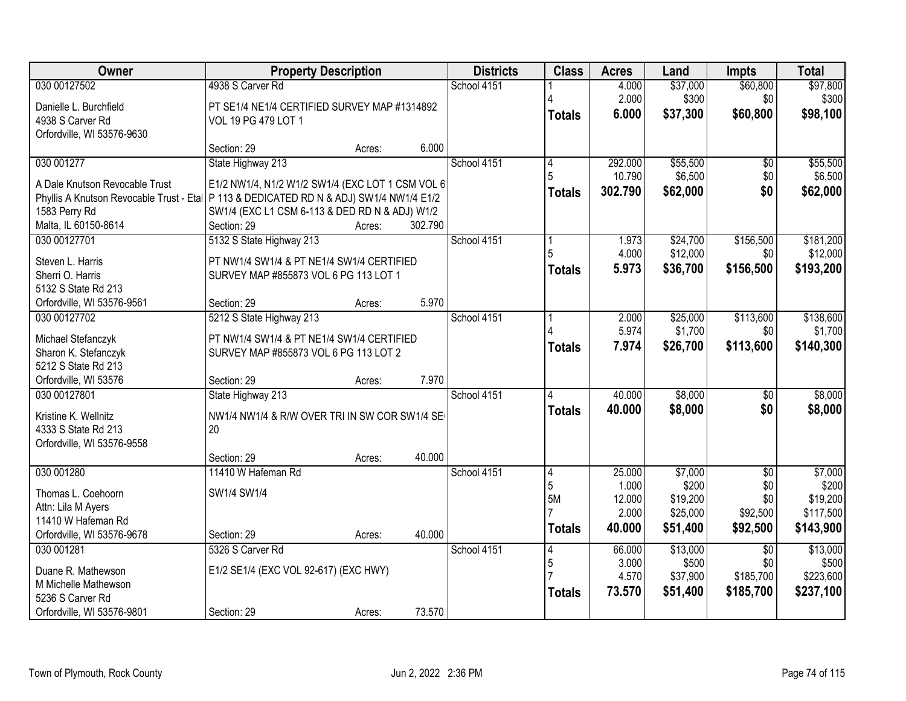| <b>Owner</b>                                                                              | <b>Property Description</b>                      |        |         | <b>Districts</b> | <b>Class</b>  | <b>Acres</b> | Land     | <b>Impts</b>    | <b>Total</b> |
|-------------------------------------------------------------------------------------------|--------------------------------------------------|--------|---------|------------------|---------------|--------------|----------|-----------------|--------------|
| 030 00127502                                                                              | 4938 S Carver Rd                                 |        |         | School 4151      |               | 4.000        | \$37,000 | \$60,800        | \$97,800     |
| Danielle L. Burchfield                                                                    | PT SE1/4 NE1/4 CERTIFIED SURVEY MAP #1314892     |        |         |                  |               | 2.000        | \$300    | \$0             | \$300        |
| 4938 S Carver Rd                                                                          | VOL 19 PG 479 LOT 1                              |        |         |                  | <b>Totals</b> | 6.000        | \$37,300 | \$60,800        | \$98,100     |
| Orfordville, WI 53576-9630                                                                |                                                  |        |         |                  |               |              |          |                 |              |
|                                                                                           | Section: 29                                      | Acres: | 6.000   |                  |               |              |          |                 |              |
| 030 001277                                                                                | State Highway 213                                |        |         | School 4151      | 4             | 292.000      | \$55,500 | $\overline{50}$ | \$55,500     |
| A Dale Knutson Revocable Trust                                                            | E1/2 NW1/4, N1/2 W1/2 SW1/4 (EXC LOT 1 CSM VOL 6 |        |         |                  |               | 10.790       | \$6,500  | \$0             | \$6,500      |
| Phyllis A Knutson Revocable Trust - Etal   P 113 & DEDICATED RD N & ADJ) SW1/4 NW1/4 E1/2 |                                                  |        |         |                  | <b>Totals</b> | 302.790      | \$62,000 | \$0             | \$62,000     |
| 1583 Perry Rd                                                                             | SW1/4 (EXC L1 CSM 6-113 & DED RD N & ADJ) W1/2   |        |         |                  |               |              |          |                 |              |
| Malta, IL 60150-8614                                                                      | Section: 29                                      | Acres: | 302.790 |                  |               |              |          |                 |              |
| 030 00127701                                                                              | 5132 S State Highway 213                         |        |         | School 4151      |               | 1.973        | \$24,700 | \$156,500       | \$181,200    |
| Steven L. Harris                                                                          | PT NW1/4 SW1/4 & PT NE1/4 SW1/4 CERTIFIED        |        |         |                  |               | 4.000        | \$12,000 | \$0             | \$12,000     |
| Sherri O. Harris                                                                          | SURVEY MAP #855873 VOL 6 PG 113 LOT 1            |        |         |                  | <b>Totals</b> | 5.973        | \$36,700 | \$156,500       | \$193,200    |
| 5132 S State Rd 213                                                                       |                                                  |        |         |                  |               |              |          |                 |              |
| Orfordville, WI 53576-9561                                                                | Section: 29                                      | Acres: | 5.970   |                  |               |              |          |                 |              |
| 030 00127702                                                                              | 5212 S State Highway 213                         |        |         | School 4151      |               | 2.000        | \$25,000 | \$113,600       | \$138,600    |
| Michael Stefanczyk                                                                        | PT NW1/4 SW1/4 & PT NE1/4 SW1/4 CERTIFIED        |        |         |                  |               | 5.974        | \$1,700  | \$0             | \$1,700      |
| Sharon K. Stefanczyk                                                                      | SURVEY MAP #855873 VOL 6 PG 113 LOT 2            |        |         |                  | <b>Totals</b> | 7.974        | \$26,700 | \$113,600       | \$140,300    |
| 5212 S State Rd 213                                                                       |                                                  |        |         |                  |               |              |          |                 |              |
| Orfordville, WI 53576                                                                     | Section: 29                                      | Acres: | 7.970   |                  |               |              |          |                 |              |
| 030 00127801                                                                              | State Highway 213                                |        |         | School 4151      |               | 40.000       | \$8,000  | $\overline{50}$ | \$8,000      |
| Kristine K. Wellnitz                                                                      | NW1/4 NW1/4 & R/W OVER TRI IN SW COR SW1/4 SE    |        |         |                  | <b>Totals</b> | 40.000       | \$8,000  | \$0             | \$8,000      |
| 4333 S State Rd 213                                                                       | 20                                               |        |         |                  |               |              |          |                 |              |
| Orfordville, WI 53576-9558                                                                |                                                  |        |         |                  |               |              |          |                 |              |
|                                                                                           | Section: 29                                      | Acres: | 40.000  |                  |               |              |          |                 |              |
| 030 001280                                                                                | 11410 W Hafeman Rd                               |        |         | School 4151      | 4             | 25.000       | \$7,000  | $\overline{50}$ | \$7,000      |
| Thomas L. Coehoorn                                                                        | SW1/4 SW1/4                                      |        |         |                  | 5             | 1.000        | \$200    | \$0             | \$200        |
| Attn: Lila M Ayers                                                                        |                                                  |        |         |                  | 5M            | 12.000       | \$19,200 | \$0             | \$19,200     |
| 11410 W Hafeman Rd                                                                        |                                                  |        |         |                  |               | 2.000        | \$25,000 | \$92,500        | \$117,500    |
| Orfordville, WI 53576-9678                                                                | Section: 29                                      | Acres: | 40.000  |                  | <b>Totals</b> | 40.000       | \$51,400 | \$92,500        | \$143,900    |
| 030 001281                                                                                | 5326 S Carver Rd                                 |        |         | School 4151      | 4             | 66.000       | \$13,000 | $\overline{50}$ | \$13,000     |
| Duane R. Mathewson                                                                        | E1/2 SE1/4 (EXC VOL 92-617) (EXC HWY)            |        |         |                  | 5             | 3.000        | \$500    | \$0             | \$500        |
| M Michelle Mathewson                                                                      |                                                  |        |         |                  |               | 4.570        | \$37,900 | \$185,700       | \$223,600    |
| 5236 S Carver Rd                                                                          |                                                  |        |         |                  | <b>Totals</b> | 73.570       | \$51,400 | \$185,700       | \$237,100    |
| Orfordville, WI 53576-9801                                                                | Section: 29                                      | Acres: | 73.570  |                  |               |              |          |                 |              |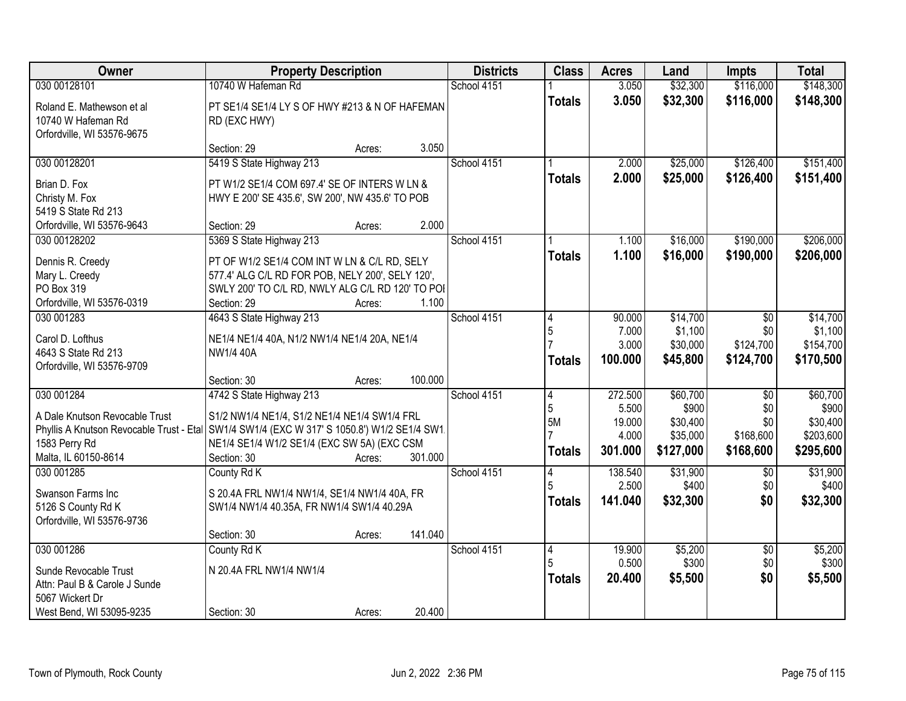| Owner                                                                                                               | <b>Property Description</b>                                                                                                                                                                                                                                          | <b>Districts</b> | <b>Class</b>                  | <b>Acres</b>                                   | Land                                                   | <b>Impts</b>                                            | <b>Total</b>                                            |
|---------------------------------------------------------------------------------------------------------------------|----------------------------------------------------------------------------------------------------------------------------------------------------------------------------------------------------------------------------------------------------------------------|------------------|-------------------------------|------------------------------------------------|--------------------------------------------------------|---------------------------------------------------------|---------------------------------------------------------|
| 030 00128101                                                                                                        | 10740 W Hafeman Rd                                                                                                                                                                                                                                                   | School 4151      |                               | 3.050                                          | \$32,300                                               | \$116,000                                               | \$148,300                                               |
| Roland E. Mathewson et al<br>10740 W Hafeman Rd<br>Orfordville, WI 53576-9675                                       | PT SE1/4 SE1/4 LY S OF HWY #213 & N OF HAFEMAN<br>RD (EXC HWY)                                                                                                                                                                                                       |                  | <b>Totals</b>                 | 3.050                                          | \$32,300                                               | \$116,000                                               | \$148,300                                               |
|                                                                                                                     | 3.050<br>Section: 29<br>Acres:                                                                                                                                                                                                                                       |                  |                               |                                                |                                                        |                                                         |                                                         |
| 030 00128201                                                                                                        | 5419 S State Highway 213                                                                                                                                                                                                                                             | School 4151      | <b>Totals</b>                 | 2.000<br>2.000                                 | \$25,000<br>\$25,000                                   | \$126,400<br>\$126,400                                  | \$151,400<br>\$151,400                                  |
| Brian D. Fox<br>Christy M. Fox<br>5419 S State Rd 213                                                               | PT W1/2 SE1/4 COM 697.4' SE OF INTERS W LN &<br>HWY E 200' SE 435.6', SW 200', NW 435.6' TO POB                                                                                                                                                                      |                  |                               |                                                |                                                        |                                                         |                                                         |
| Orfordville, WI 53576-9643                                                                                          | 2.000<br>Section: 29<br>Acres:                                                                                                                                                                                                                                       |                  |                               |                                                |                                                        |                                                         |                                                         |
| 030 00128202<br>Dennis R. Creedy<br>Mary L. Creedy<br>PO Box 319<br>Orfordville, WI 53576-0319                      | 5369 S State Highway 213<br>PT OF W1/2 SE1/4 COM INT W LN & C/L RD, SELY<br>577.4' ALG C/L RD FOR POB, NELY 200', SELY 120',<br>SWLY 200' TO C/L RD, NWLY ALG C/L RD 120' TO POI<br>1.100<br>Section: 29<br>Acres:                                                   | School 4151      | <b>Totals</b>                 | 1.100<br>1.100                                 | \$16,000<br>\$16,000                                   | \$190,000<br>\$190,000                                  | \$206,000<br>\$206,000                                  |
| 030 001283<br>Carol D. Lofthus<br>4643 S State Rd 213<br>Orfordville, WI 53576-9709                                 | 4643 S State Highway 213<br>NE1/4 NE1/4 40A, N1/2 NW1/4 NE1/4 20A, NE1/4<br>NW1/4 40A<br>100.000<br>Section: 30                                                                                                                                                      | School 4151      | 4<br>5<br><b>Totals</b>       | 90.000<br>7.000<br>3.000<br>100.000            | \$14,700<br>\$1,100<br>\$30,000<br>\$45,800            | $\overline{50}$<br>\$0<br>\$124,700<br>\$124,700        | \$14,700<br>\$1,100<br>\$154,700<br>\$170,500           |
| 030 001284<br>A Dale Knutson Revocable Trust<br>1583 Perry Rd<br>Malta, IL 60150-8614                               | Acres:<br>4742 S State Highway 213<br>S1/2 NW1/4 NE1/4, S1/2 NE1/4 NE1/4 SW1/4 FRL<br>Phyllis A Knutson Revocable Trust - Etal SW1/4 SW1/4 (EXC W 317' S 1050.8') W1/2 SE1/4 SW1.<br>NE1/4 SE1/4 W1/2 SE1/4 (EXC SW 5A) (EXC CSM<br>Section: 30<br>301.000<br>Acres: | School 4151      | 4<br>5<br>5M<br><b>Totals</b> | 272.500<br>5.500<br>19.000<br>4.000<br>301.000 | \$60,700<br>\$900<br>\$30,400<br>\$35,000<br>\$127,000 | $\overline{30}$<br>\$0<br>\$0<br>\$168,600<br>\$168,600 | \$60,700<br>\$900<br>\$30,400<br>\$203,600<br>\$295,600 |
| 030 001285<br>Swanson Farms Inc<br>5126 S County Rd K<br>Orfordville, WI 53576-9736                                 | County Rd K<br>S 20.4A FRL NW1/4 NW1/4, SE1/4 NW1/4 40A, FR<br>SW1/4 NW1/4 40.35A, FR NW1/4 SW1/4 40.29A<br>141.040<br>Section: 30<br>Acres:                                                                                                                         | School 4151      | 4<br>5<br><b>Totals</b>       | 138.540<br>2.500<br>141.040                    | \$31,900<br>\$400<br>\$32,300                          | \$0<br>\$0<br>\$0                                       | \$31,900<br>\$400<br>\$32,300                           |
| 030 001286<br>Sunde Revocable Trust<br>Attn: Paul B & Carole J Sunde<br>5067 Wickert Dr<br>West Bend, WI 53095-9235 | County Rd K<br>N 20.4A FRL NW1/4 NW1/4<br>20.400<br>Section: 30<br>Acres:                                                                                                                                                                                            | School 4151      | 4<br>5<br><b>Totals</b>       | 19.900<br>0.500<br>20.400                      | \$5,200<br>\$300<br>\$5,500                            | $\sqrt{$0}$<br>\$0<br>\$0                               | \$5,200<br>\$300<br>\$5,500                             |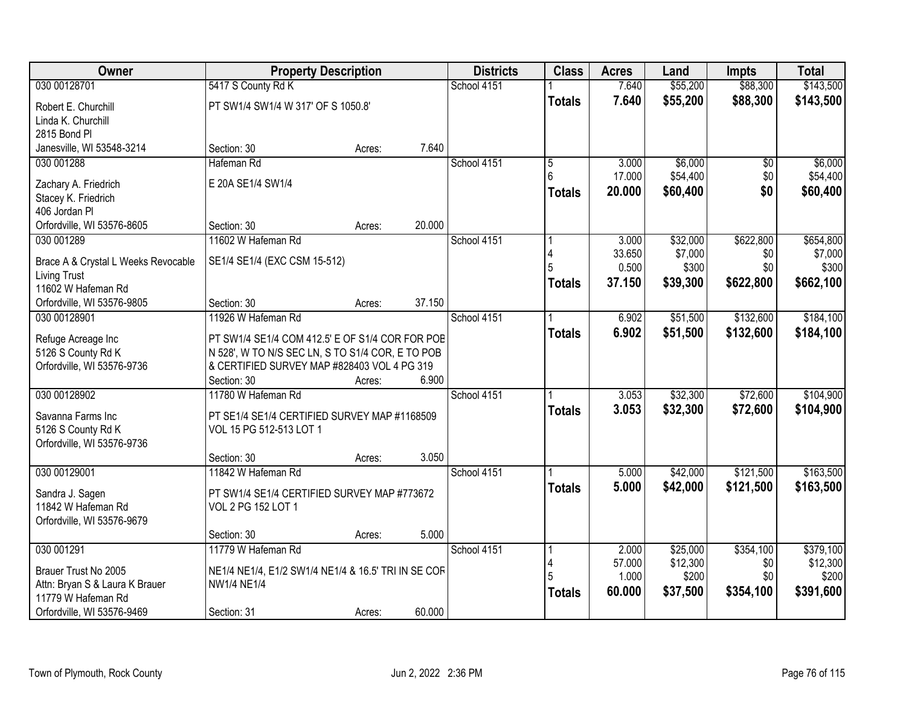| Owner                               | <b>Property Description</b>                         |        |        | <b>Districts</b> | <b>Class</b>  | <b>Acres</b> | Land     | <b>Impts</b> | <b>Total</b> |
|-------------------------------------|-----------------------------------------------------|--------|--------|------------------|---------------|--------------|----------|--------------|--------------|
| 030 00128701                        | 5417 S County Rd K                                  |        |        | School 4151      |               | 7.640        | \$55,200 | \$88,300     | \$143,500    |
| Robert E. Churchill                 | PT SW1/4 SW1/4 W 317' OF S 1050.8'                  |        |        |                  | <b>Totals</b> | 7.640        | \$55,200 | \$88,300     | \$143,500    |
| Linda K. Churchill                  |                                                     |        |        |                  |               |              |          |              |              |
| 2815 Bond PI                        |                                                     |        |        |                  |               |              |          |              |              |
| Janesville, WI 53548-3214           | Section: 30                                         | Acres: | 7.640  |                  |               |              |          |              |              |
| 030 001288                          | Hafeman Rd                                          |        |        | School 4151      | 5             | 3.000        | \$6,000  | \$0          | \$6,000      |
| Zachary A. Friedrich                | E 20A SE1/4 SW1/4                                   |        |        |                  | 6             | 17.000       | \$54,400 | \$0          | \$54,400     |
| Stacey K. Friedrich                 |                                                     |        |        |                  | <b>Totals</b> | 20.000       | \$60,400 | \$0          | \$60,400     |
| 406 Jordan Pl                       |                                                     |        |        |                  |               |              |          |              |              |
| Orfordville, WI 53576-8605          | Section: 30                                         | Acres: | 20.000 |                  |               |              |          |              |              |
| 030 001289                          | 11602 W Hafeman Rd                                  |        |        | School 4151      |               | 3.000        | \$32,000 | \$622,800    | \$654,800    |
| Brace A & Crystal L Weeks Revocable | SE1/4 SE1/4 (EXC CSM 15-512)                        |        |        |                  |               | 33.650       | \$7,000  | \$0          | \$7,000      |
| Living Trust                        |                                                     |        |        |                  |               | 0.500        | \$300    | \$0          | \$300        |
| 11602 W Hafeman Rd                  |                                                     |        |        |                  | <b>Totals</b> | 37.150       | \$39,300 | \$622,800    | \$662,100    |
| Orfordville, WI 53576-9805          | Section: 30                                         | Acres: | 37.150 |                  |               |              |          |              |              |
| 030 00128901                        | 11926 W Hafeman Rd                                  |        |        | School 4151      |               | 6.902        | \$51,500 | \$132,600    | \$184,100    |
| Refuge Acreage Inc                  | PT SW1/4 SE1/4 COM 412.5' E OF S1/4 COR FOR POE     |        |        |                  | <b>Totals</b> | 6.902        | \$51,500 | \$132,600    | \$184,100    |
| 5126 S County Rd K                  | N 528', W TO N/S SEC LN, S TO S1/4 COR, E TO POB    |        |        |                  |               |              |          |              |              |
| Orfordville, WI 53576-9736          | & CERTIFIED SURVEY MAP #828403 VOL 4 PG 319         |        |        |                  |               |              |          |              |              |
|                                     | Section: 30                                         | Acres: | 6.900  |                  |               |              |          |              |              |
| 030 00128902                        | 11780 W Hafeman Rd                                  |        |        | School 4151      |               | 3.053        | \$32,300 | \$72,600     | \$104,900    |
| Savanna Farms Inc                   | PT SE1/4 SE1/4 CERTIFIED SURVEY MAP #1168509        |        |        |                  | <b>Totals</b> | 3.053        | \$32,300 | \$72,600     | \$104,900    |
| 5126 S County Rd K                  | VOL 15 PG 512-513 LOT 1                             |        |        |                  |               |              |          |              |              |
| Orfordville, WI 53576-9736          |                                                     |        |        |                  |               |              |          |              |              |
|                                     | Section: 30                                         | Acres: | 3.050  |                  |               |              |          |              |              |
| 030 00129001                        | 11842 W Hafeman Rd                                  |        |        | School 4151      |               | 5.000        | \$42,000 | \$121,500    | \$163,500    |
| Sandra J. Sagen                     | PT SW1/4 SE1/4 CERTIFIED SURVEY MAP #773672         |        |        |                  | <b>Totals</b> | 5.000        | \$42,000 | \$121,500    | \$163,500    |
| 11842 W Hafeman Rd                  | VOL 2 PG 152 LOT 1                                  |        |        |                  |               |              |          |              |              |
| Orfordville, WI 53576-9679          |                                                     |        |        |                  |               |              |          |              |              |
|                                     | Section: 30                                         | Acres: | 5.000  |                  |               |              |          |              |              |
| 030 001291                          | 11779 W Hafeman Rd                                  |        |        | School 4151      |               | 2.000        | \$25,000 | \$354,100    | \$379,100    |
| Brauer Trust No 2005                | NE1/4 NE1/4, E1/2 SW1/4 NE1/4 & 16.5' TRI IN SE COF |        |        |                  | 4             | 57.000       | \$12,300 | \$0          | \$12,300     |
| Attn: Bryan S & Laura K Brauer      | <b>NW1/4 NE1/4</b>                                  |        |        |                  |               | 1.000        | \$200    | \$0          | \$200        |
| 11779 W Hafeman Rd                  |                                                     |        |        |                  | <b>Totals</b> | 60.000       | \$37,500 | \$354,100    | \$391,600    |
| Orfordville, WI 53576-9469          | Section: 31                                         | Acres: | 60.000 |                  |               |              |          |              |              |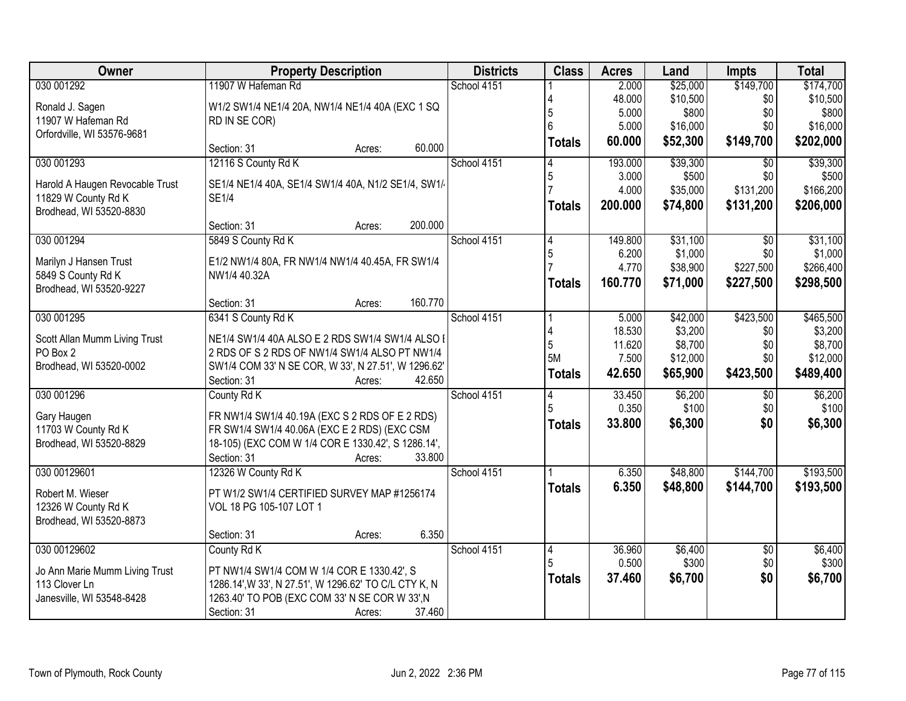| Owner                                     | <b>Property Description</b>                                                                    | <b>Districts</b> | <b>Class</b>  | <b>Acres</b>    | Land             | <b>Impts</b>           | <b>Total</b>     |
|-------------------------------------------|------------------------------------------------------------------------------------------------|------------------|---------------|-----------------|------------------|------------------------|------------------|
| 030 001292                                | 11907 W Hafeman Rd                                                                             | School 4151      |               | 2.000           | \$25,000         | \$149,700              | \$174,700        |
| Ronald J. Sagen                           | W1/2 SW1/4 NE1/4 20A, NW1/4 NE1/4 40A (EXC 1 SQ                                                |                  |               | 48.000          | \$10,500         | \$0                    | \$10,500         |
| 11907 W Hafeman Rd                        | RD IN SE COR)                                                                                  |                  |               | 5.000           | \$800            | \$0                    | \$800            |
| Orfordville, WI 53576-9681                |                                                                                                |                  |               | 5.000           | \$16,000         | \$0                    | \$16,000         |
|                                           | 60.000<br>Section: 31<br>Acres:                                                                |                  | <b>Totals</b> | 60.000          | \$52,300         | \$149,700              | \$202,000        |
| 030 001293                                | 12116 S County Rd K                                                                            | School 4151      |               | 193,000         | \$39,300         | \$0                    | \$39,300         |
| Harold A Haugen Revocable Trust           | SE1/4 NE1/4 40A, SE1/4 SW1/4 40A, N1/2 SE1/4, SW1/                                             |                  | 5             | 3.000           | \$500            | \$0                    | \$500            |
| 11829 W County Rd K                       | <b>SE1/4</b>                                                                                   |                  |               | 4.000           | \$35,000         | \$131,200              | \$166,200        |
| Brodhead, WI 53520-8830                   |                                                                                                |                  | <b>Totals</b> | 200.000         | \$74,800         | \$131,200              | \$206,000        |
|                                           | 200.000<br>Section: 31<br>Acres:                                                               |                  |               |                 |                  |                        |                  |
| 030 001294                                | 5849 S County Rd K                                                                             | School 4151      | 14            | 149.800         | \$31,100         | $\overline{50}$        | \$31,100         |
| Marilyn J Hansen Trust                    | E1/2 NW1/4 80A, FR NW1/4 NW1/4 40.45A, FR SW1/4                                                |                  | 5             | 6.200           | \$1,000          | \$0                    | \$1,000          |
| 5849 S County Rd K                        | NW1/4 40.32A                                                                                   |                  |               | 4.770           | \$38,900         | \$227,500              | \$266,400        |
| Brodhead, WI 53520-9227                   |                                                                                                |                  | <b>Totals</b> | 160.770         | \$71,000         | \$227,500              | \$298,500        |
|                                           | 160.770<br>Section: 31<br>Acres:                                                               |                  |               |                 |                  |                        |                  |
| 030 001295                                | 6341 S County Rd K                                                                             | School 4151      |               | 5.000           | \$42,000         | \$423,500              | \$465,500        |
|                                           | NE1/4 SW1/4 40A ALSO E 2 RDS SW1/4 SW1/4 ALSO I                                                |                  |               | 18.530          | \$3,200          | \$0                    | \$3,200          |
| Scott Allan Mumm Living Trust<br>PO Box 2 | 2 RDS OF S 2 RDS OF NW1/4 SW1/4 ALSO PT NW1/4                                                  |                  | 5             | 11.620          | \$8,700          | \$0                    | \$8,700          |
| Brodhead, WI 53520-0002                   | SW1/4 COM 33' N SE COR, W 33', N 27.51', W 1296.62'                                            |                  | 5M            | 7.500           | \$12,000         | \$0                    | \$12,000         |
|                                           | 42.650<br>Section: 31<br>Acres:                                                                |                  | <b>Totals</b> | 42.650          | \$65,900         | \$423,500              | \$489,400        |
| 030 001296                                | County Rd K                                                                                    | School 4151      |               | 33.450          | \$6,200          | $\overline{60}$        | \$6,200          |
|                                           |                                                                                                |                  |               | 0.350           | \$100            | \$0                    | \$100            |
| Gary Haugen<br>11703 W County Rd K        | FR NW1/4 SW1/4 40.19A (EXC S 2 RDS OF E 2 RDS)<br>FR SW1/4 SW1/4 40.06A (EXC E 2 RDS) (EXC CSM |                  | <b>Totals</b> | 33.800          | \$6,300          | \$0                    | \$6,300          |
| Brodhead, WI 53520-8829                   | 18-105) (EXC COM W 1/4 COR E 1330.42', S 1286.14',                                             |                  |               |                 |                  |                        |                  |
|                                           | Section: 31<br>33.800<br>Acres:                                                                |                  |               |                 |                  |                        |                  |
| 030 00129601                              | 12326 W County Rd K                                                                            | School 4151      |               | 6.350           | \$48,800         | \$144,700              | \$193,500        |
|                                           |                                                                                                |                  | <b>Totals</b> | 6.350           | \$48,800         | \$144,700              | \$193,500        |
| Robert M. Wieser                          | PT W1/2 SW1/4 CERTIFIED SURVEY MAP #1256174                                                    |                  |               |                 |                  |                        |                  |
| 12326 W County Rd K                       | VOL 18 PG 105-107 LOT 1                                                                        |                  |               |                 |                  |                        |                  |
| Brodhead, WI 53520-8873                   |                                                                                                |                  |               |                 |                  |                        |                  |
|                                           | 6.350<br>Section: 31<br>Acres:                                                                 |                  |               |                 |                  |                        |                  |
| 030 00129602                              | County Rd K                                                                                    | School 4151      | 14            | 36.960<br>0.500 | \$6,400<br>\$300 | $\overline{30}$<br>\$0 | \$6,400<br>\$300 |
| Jo Ann Marie Mumm Living Trust            | PT NW1/4 SW1/4 COM W 1/4 COR E 1330.42', S                                                     |                  |               |                 |                  | \$0                    |                  |
| 113 Clover Ln                             | 1286.14', W 33', N 27.51', W 1296.62' TO C/L CTY K, N                                          |                  | <b>Totals</b> | 37.460          | \$6,700          |                        | \$6,700          |
| Janesville, WI 53548-8428                 | 1263.40' TO POB (EXC COM 33' N SE COR W 33', N                                                 |                  |               |                 |                  |                        |                  |
|                                           | Section: 31<br>37.460<br>Acres:                                                                |                  |               |                 |                  |                        |                  |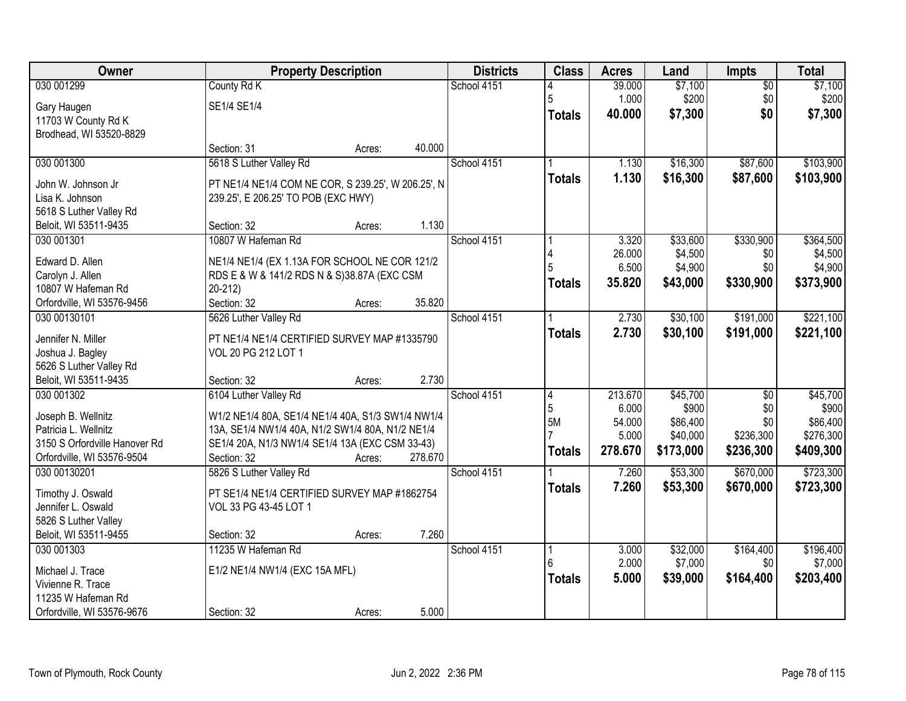| Owner                                                 | <b>Property Description</b>                                                                         |        |         | <b>Districts</b> | <b>Class</b>  | <b>Acres</b> | Land      | Impts           | <b>Total</b> |
|-------------------------------------------------------|-----------------------------------------------------------------------------------------------------|--------|---------|------------------|---------------|--------------|-----------|-----------------|--------------|
| 030 001299                                            | County Rd K                                                                                         |        |         | School 4151      |               | 39.000       | \$7,100   | $\overline{50}$ | \$7,100      |
| Gary Haugen                                           | SE1/4 SE1/4                                                                                         |        |         |                  | 5             | 1.000        | \$200     | \$0             | \$200        |
| 11703 W County Rd K                                   |                                                                                                     |        |         |                  | <b>Totals</b> | 40.000       | \$7,300   | \$0             | \$7,300      |
| Brodhead, WI 53520-8829                               |                                                                                                     |        |         |                  |               |              |           |                 |              |
|                                                       | Section: 31                                                                                         | Acres: | 40.000  |                  |               |              |           |                 |              |
| 030 001300                                            | 5618 S Luther Valley Rd                                                                             |        |         | School 4151      |               | 1.130        | \$16,300  | \$87,600        | \$103,900    |
| John W. Johnson Jr                                    | PT NE1/4 NE1/4 COM NE COR, S 239.25', W 206.25', N                                                  |        |         |                  | <b>Totals</b> | 1.130        | \$16,300  | \$87,600        | \$103,900    |
| Lisa K. Johnson                                       | 239.25', E 206.25' TO POB (EXC HWY)                                                                 |        |         |                  |               |              |           |                 |              |
| 5618 S Luther Valley Rd                               |                                                                                                     |        |         |                  |               |              |           |                 |              |
| Beloit, WI 53511-9435                                 | Section: 32                                                                                         | Acres: | 1.130   |                  |               |              |           |                 |              |
| 030 001301                                            | 10807 W Hafeman Rd                                                                                  |        |         | School 4151      |               | 3.320        | \$33,600  | \$330,900       | \$364,500    |
| Edward D. Allen                                       | NE1/4 NE1/4 (EX 1.13A FOR SCHOOL NE COR 121/2                                                       |        |         |                  |               | 26.000       | \$4,500   | \$0             | \$4,500      |
| Carolyn J. Allen                                      | RDS E & W & 141/2 RDS N & S)38.87A (EXC CSM                                                         |        |         |                  |               | 6.500        | \$4,900   | \$0             | \$4,900      |
| 10807 W Hafeman Rd                                    | $20 - 212$                                                                                          |        |         |                  | <b>Totals</b> | 35.820       | \$43,000  | \$330,900       | \$373,900    |
| Orfordville, WI 53576-9456                            | Section: 32                                                                                         | Acres: | 35.820  |                  |               |              |           |                 |              |
| 030 00130101                                          | 5626 Luther Valley Rd                                                                               |        |         | School 4151      |               | 2.730        | \$30,100  | \$191,000       | \$221,100    |
| Jennifer N. Miller                                    | PT NE1/4 NE1/4 CERTIFIED SURVEY MAP #1335790                                                        |        |         |                  | <b>Totals</b> | 2.730        | \$30,100  | \$191,000       | \$221,100    |
| Joshua J. Bagley                                      | VOL 20 PG 212 LOT 1                                                                                 |        |         |                  |               |              |           |                 |              |
| 5626 S Luther Valley Rd                               |                                                                                                     |        |         |                  |               |              |           |                 |              |
| Beloit, WI 53511-9435                                 | Section: 32                                                                                         | Acres: | 2.730   |                  |               |              |           |                 |              |
| 030 001302                                            | 6104 Luther Valley Rd                                                                               |        |         | School 4151      | 4             | 213.670      | \$45,700  | $\overline{50}$ | \$45,700     |
|                                                       |                                                                                                     |        |         |                  | 5             | 6.000        | \$900     | \$0             | \$900        |
| Joseph B. Wellnitz                                    | W1/2 NE1/4 80A, SE1/4 NE1/4 40A, S1/3 SW1/4 NW1/4                                                   |        |         |                  | 5M            | 54.000       | \$86,400  | \$0             | \$86,400     |
| Patricia L. Wellnitz<br>3150 S Orfordville Hanover Rd | 13A, SE1/4 NW1/4 40A, N1/2 SW1/4 80A, N1/2 NE1/4<br>SE1/4 20A, N1/3 NW1/4 SE1/4 13A (EXC CSM 33-43) |        |         |                  |               | 5.000        | \$40,000  | \$236,300       | \$276,300    |
| Orfordville, WI 53576-9504                            | Section: 32                                                                                         | Acres: | 278.670 |                  | <b>Totals</b> | 278.670      | \$173,000 | \$236,300       | \$409,300    |
| 030 00130201                                          | 5826 S Luther Valley Rd                                                                             |        |         | School 4151      |               | 7.260        | \$53,300  | \$670,000       | \$723,300    |
|                                                       |                                                                                                     |        |         |                  | <b>Totals</b> | 7.260        | \$53,300  | \$670,000       | \$723,300    |
| Timothy J. Oswald                                     | PT SE1/4 NE1/4 CERTIFIED SURVEY MAP #1862754                                                        |        |         |                  |               |              |           |                 |              |
| Jennifer L. Oswald                                    | VOL 33 PG 43-45 LOT 1                                                                               |        |         |                  |               |              |           |                 |              |
| 5826 S Luther Valley<br>Beloit, WI 53511-9455         | Section: 32                                                                                         | Acres: | 7.260   |                  |               |              |           |                 |              |
| 030 001303                                            | 11235 W Hafeman Rd                                                                                  |        |         | School 4151      |               | 3.000        | \$32,000  | \$164,400       | \$196,400    |
|                                                       |                                                                                                     |        |         |                  |               | 2.000        | \$7,000   | \$0             | \$7,000      |
| Michael J. Trace                                      | E1/2 NE1/4 NW1/4 (EXC 15A MFL)                                                                      |        |         |                  | <b>Totals</b> | 5.000        | \$39,000  | \$164,400       | \$203,400    |
| Vivienne R. Trace                                     |                                                                                                     |        |         |                  |               |              |           |                 |              |
| 11235 W Hafeman Rd                                    |                                                                                                     |        |         |                  |               |              |           |                 |              |
| Orfordville, WI 53576-9676                            | Section: 32                                                                                         | Acres: | 5.000   |                  |               |              |           |                 |              |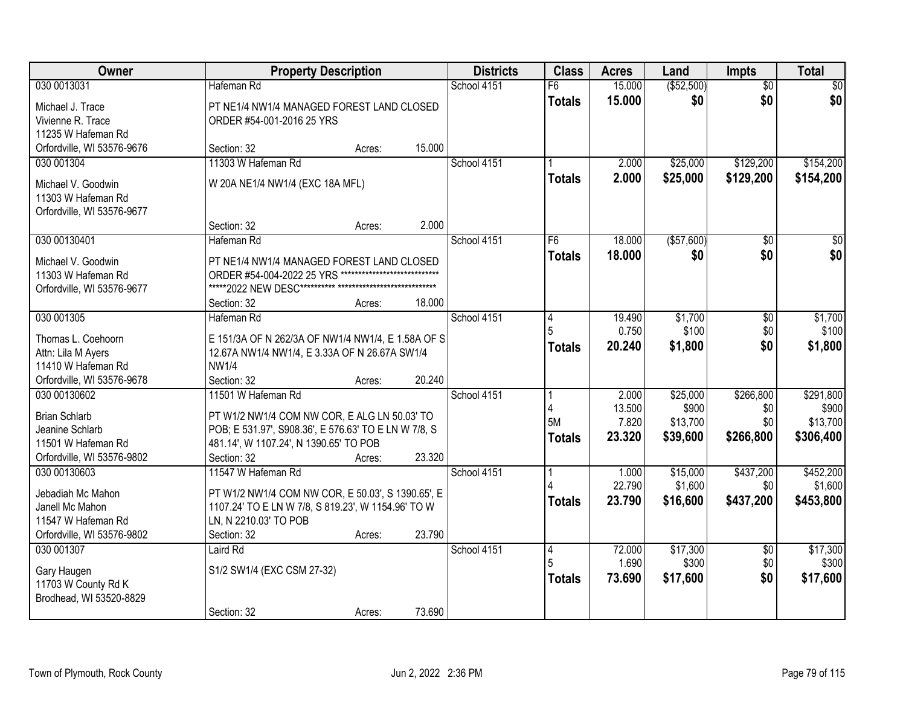| Owner                                                                                                       |                                                                                                                                                                                     | <b>Property Description</b> |        | <b>Districts</b> | <b>Class</b>              | <b>Acres</b>                       | Land                                      | <b>Impts</b>                         | <b>Total</b>                                |
|-------------------------------------------------------------------------------------------------------------|-------------------------------------------------------------------------------------------------------------------------------------------------------------------------------------|-----------------------------|--------|------------------|---------------------------|------------------------------------|-------------------------------------------|--------------------------------------|---------------------------------------------|
| 030 0013031                                                                                                 | Hafeman Rd                                                                                                                                                                          |                             |        | School 4151      | F6                        | 15.000                             | ( \$52,500)                               | $\overline{50}$                      | \$0                                         |
| Michael J. Trace<br>Vivienne R. Trace<br>11235 W Hafeman Rd                                                 | PT NE1/4 NW1/4 MANAGED FOREST LAND CLOSED<br>ORDER #54-001-2016 25 YRS                                                                                                              |                             |        |                  | <b>Totals</b>             | 15.000                             | \$0                                       | \$0                                  | \$0                                         |
| Orfordville, WI 53576-9676                                                                                  | Section: 32                                                                                                                                                                         | Acres:                      | 15.000 |                  |                           |                                    |                                           |                                      |                                             |
| 030 001304<br>Michael V. Goodwin                                                                            | 11303 W Hafeman Rd<br>W 20A NE1/4 NW1/4 (EXC 18A MFL)                                                                                                                               |                             |        | School 4151      | <b>Totals</b>             | 2.000<br>2.000                     | \$25,000<br>\$25,000                      | \$129,200<br>\$129,200               | \$154,200<br>\$154,200                      |
| 11303 W Hafeman Rd<br>Orfordville, WI 53576-9677                                                            |                                                                                                                                                                                     |                             |        |                  |                           |                                    |                                           |                                      |                                             |
|                                                                                                             | Section: 32<br>Hafeman Rd                                                                                                                                                           | Acres:                      | 2.000  |                  | F <sub>6</sub>            |                                    |                                           |                                      | $\sqrt{50}$                                 |
| 030 00130401<br>Michael V. Goodwin<br>11303 W Hafeman Rd<br>Orfordville, WI 53576-9677                      | PT NE1/4 NW1/4 MANAGED FOREST LAND CLOSED<br>ORDER #54-004-2022 25 YRS                                                                                                              |                             |        | School 4151      | <b>Totals</b>             | 18.000<br>18.000                   | ( \$57,600)<br>\$0                        | \$0<br>\$0                           | \$0                                         |
|                                                                                                             | Section: 32                                                                                                                                                                         | Acres:                      | 18.000 |                  |                           |                                    |                                           |                                      |                                             |
| 030 001305<br>Thomas L. Coehoorn<br>Attn: Lila M Ayers<br>11410 W Hafeman Rd                                | Hafeman Rd<br>E 151/3A OF N 262/3A OF NW1/4 NW1/4, E 1.58A OF S<br>12.67A NW1/4 NW1/4, E 3.33A OF N 26.67A SW1/4<br><b>NW1/4</b>                                                    |                             |        | School 4151      | 14<br><b>Totals</b>       | 19.490<br>0.750<br>20.240          | \$1,700<br>\$100<br>\$1,800               | \$0<br>\$0<br>\$0                    | \$1,700<br>\$100<br>\$1,800                 |
| Orfordville, WI 53576-9678                                                                                  | Section: 32                                                                                                                                                                         | Acres:                      | 20.240 |                  |                           |                                    |                                           |                                      |                                             |
| 030 00130602<br><b>Brian Schlarb</b><br>Jeanine Schlarb<br>11501 W Hafeman Rd<br>Orfordville, WI 53576-9802 | 11501 W Hafeman Rd<br>PT W1/2 NW1/4 COM NW COR, E ALG LN 50.03' TO<br>POB; E 531.97', S908.36', E 576.63' TO E LN W 7/8, S<br>481.14', W 1107.24', N 1390.65' TO POB<br>Section: 32 | Acres:                      | 23.320 | School 4151      | 5M<br><b>Totals</b>       | 2.000<br>13.500<br>7.820<br>23.320 | \$25,000<br>\$900<br>\$13,700<br>\$39,600 | \$266,800<br>\$0<br>\$0<br>\$266,800 | \$291,800<br>\$900<br>\$13,700<br>\$306,400 |
| 030 00130603<br>Jebadiah Mc Mahon<br>Janell Mc Mahon<br>11547 W Hafeman Rd<br>Orfordville, WI 53576-9802    | 11547 W Hafeman Rd<br>PT W1/2 NW1/4 COM NW COR, E 50.03', S 1390.65', E<br>1107.24' TO E LN W 7/8, S 819.23', W 1154.96' TO W<br>LN, N 2210.03' TO POB<br>Section: 32               | Acres:                      | 23.790 | School 4151      | <b>Totals</b>             | 1.000<br>22.790<br>23.790          | \$15,000<br>\$1,600<br>\$16,600           | \$437,200<br>\$0<br>\$437,200        | \$452,200<br>\$1,600<br>\$453,800           |
| 030 001307<br>Gary Haugen<br>11703 W County Rd K<br>Brodhead, WI 53520-8829                                 | Laird Rd<br>S1/2 SW1/4 (EXC CSM 27-32)<br>Section: 32                                                                                                                               | Acres:                      | 73.690 | School 4151      | <b>4</b><br><b>Totals</b> | 72.000<br>1.690<br>73.690          | \$17,300<br>\$300<br>\$17,600             | $\overline{50}$<br>\$0<br>\$0        | \$17,300<br>\$300<br>\$17,600               |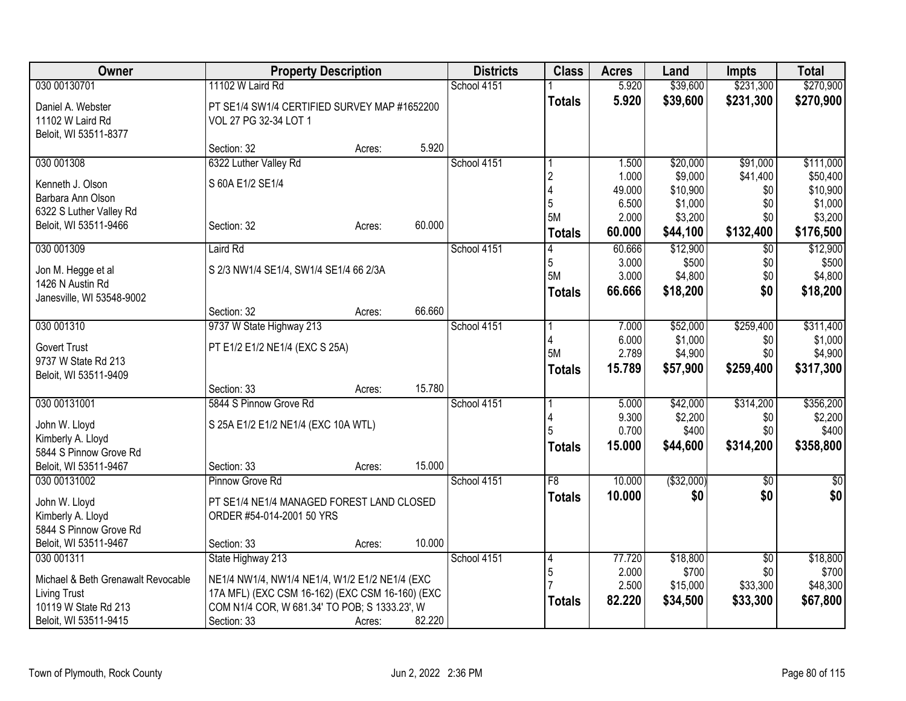| Owner                                         | <b>Property Description</b>                     |        |        | <b>Districts</b> | <b>Class</b>  | <b>Acres</b>    | Land                | <b>Impts</b>    | <b>Total</b>        |
|-----------------------------------------------|-------------------------------------------------|--------|--------|------------------|---------------|-----------------|---------------------|-----------------|---------------------|
| 030 00130701                                  | 11102 W Laird Rd                                |        |        | School 4151      |               | 5.920           | \$39,600            | \$231,300       | \$270,900           |
| Daniel A. Webster                             | PT SE1/4 SW1/4 CERTIFIED SURVEY MAP #1652200    |        |        |                  | <b>Totals</b> | 5.920           | \$39,600            | \$231,300       | \$270,900           |
| 11102 W Laird Rd                              | VOL 27 PG 32-34 LOT 1                           |        |        |                  |               |                 |                     |                 |                     |
| Beloit, WI 53511-8377                         |                                                 |        |        |                  |               |                 |                     |                 |                     |
|                                               | Section: 32                                     | Acres: | 5.920  |                  |               |                 |                     |                 |                     |
| 030 001308                                    | 6322 Luther Valley Rd                           |        |        | School 4151      |               | 1.500           | \$20,000            | \$91,000        | \$111,000           |
| Kenneth J. Olson                              | S 60A E1/2 SE1/4                                |        |        |                  | 2             | 1.000           | \$9,000             | \$41,400        | \$50,400            |
| Barbara Ann Olson                             |                                                 |        |        |                  | 5             | 49.000<br>6.500 | \$10,900<br>\$1,000 | \$0<br>\$0      | \$10,900<br>\$1,000 |
| 6322 S Luther Valley Rd                       |                                                 |        |        |                  | 5M            | 2.000           | \$3,200             | \$0             | \$3,200             |
| Beloit, WI 53511-9466                         | Section: 32                                     | Acres: | 60.000 |                  | <b>Totals</b> | 60.000          | \$44,100            | \$132,400       | \$176,500           |
| 030 001309                                    | Laird Rd                                        |        |        | School 4151      |               | 60.666          | \$12,900            | $\overline{50}$ | \$12,900            |
|                                               |                                                 |        |        |                  | 5             | 3.000           | \$500               | \$0             | \$500               |
| Jon M. Hegge et al                            | S 2/3 NW1/4 SE1/4, SW1/4 SE1/4 66 2/3A          |        |        |                  | 5M            | 3.000           | \$4,800             | \$0             | \$4,800             |
| 1426 N Austin Rd<br>Janesville, WI 53548-9002 |                                                 |        |        |                  | <b>Totals</b> | 66.666          | \$18,200            | \$0             | \$18,200            |
|                                               | Section: 32                                     | Acres: | 66.660 |                  |               |                 |                     |                 |                     |
| 030 001310                                    | 9737 W State Highway 213                        |        |        | School 4151      |               | 7.000           | \$52,000            | \$259,400       | \$311,400           |
|                                               |                                                 |        |        |                  |               | 6.000           | \$1,000             | \$0             | \$1,000             |
| <b>Govert Trust</b><br>9737 W State Rd 213    | PT E1/2 E1/2 NE1/4 (EXC S 25A)                  |        |        |                  | 5M            | 2.789           | \$4,900             | \$0             | \$4,900             |
| Beloit, WI 53511-9409                         |                                                 |        |        |                  | <b>Totals</b> | 15.789          | \$57,900            | \$259,400       | \$317,300           |
|                                               | Section: 33                                     | Acres: | 15.780 |                  |               |                 |                     |                 |                     |
| 030 00131001                                  | 5844 S Pinnow Grove Rd                          |        |        | School 4151      |               | 5.000           | \$42,000            | \$314,200       | \$356,200           |
| John W. Lloyd                                 | S 25A E1/2 E1/2 NE1/4 (EXC 10A WTL)             |        |        |                  |               | 9.300           | \$2,200             | \$0             | \$2,200             |
| Kimberly A. Lloyd                             |                                                 |        |        |                  |               | 0.700           | \$400               | \$0             | \$400               |
| 5844 S Pinnow Grove Rd                        |                                                 |        |        |                  | <b>Totals</b> | 15.000          | \$44,600            | \$314,200       | \$358,800           |
| Beloit, WI 53511-9467                         | Section: 33                                     | Acres: | 15.000 |                  |               |                 |                     |                 |                     |
| 030 00131002                                  | Pinnow Grove Rd                                 |        |        | School 4151      | F8            | 10.000          | ( \$32,000)         | \$0             | $\sqrt{50}$         |
| John W. Lloyd                                 | PT SE1/4 NE1/4 MANAGED FOREST LAND CLOSED       |        |        |                  | <b>Totals</b> | 10.000          | \$0                 | \$0             | \$0                 |
| Kimberly A. Lloyd                             | ORDER #54-014-2001 50 YRS                       |        |        |                  |               |                 |                     |                 |                     |
| 5844 S Pinnow Grove Rd                        |                                                 |        |        |                  |               |                 |                     |                 |                     |
| Beloit, WI 53511-9467                         | Section: 33                                     | Acres: | 10.000 |                  |               |                 |                     |                 |                     |
| 030 001311                                    | State Highway 213                               |        |        | School 4151      | 4             | 77.720          | \$18,800            | \$0             | \$18,800            |
| Michael & Beth Grenawalt Revocable            | NE1/4 NW1/4, NW1/4 NE1/4, W1/2 E1/2 NE1/4 (EXC  |        |        |                  | 5             | 2.000           | \$700               | \$0             | \$700               |
| <b>Living Trust</b>                           | 17A MFL) (EXC CSM 16-162) (EXC CSM 16-160) (EXC |        |        |                  |               | 2.500           | \$15,000            | \$33,300        | \$48,300            |
| 10119 W State Rd 213                          | COM N1/4 COR, W 681.34' TO POB; S 1333.23', W   |        |        |                  | <b>Totals</b> | 82.220          | \$34,500            | \$33,300        | \$67,800            |
| Beloit, WI 53511-9415                         | Section: 33                                     | Acres: | 82.220 |                  |               |                 |                     |                 |                     |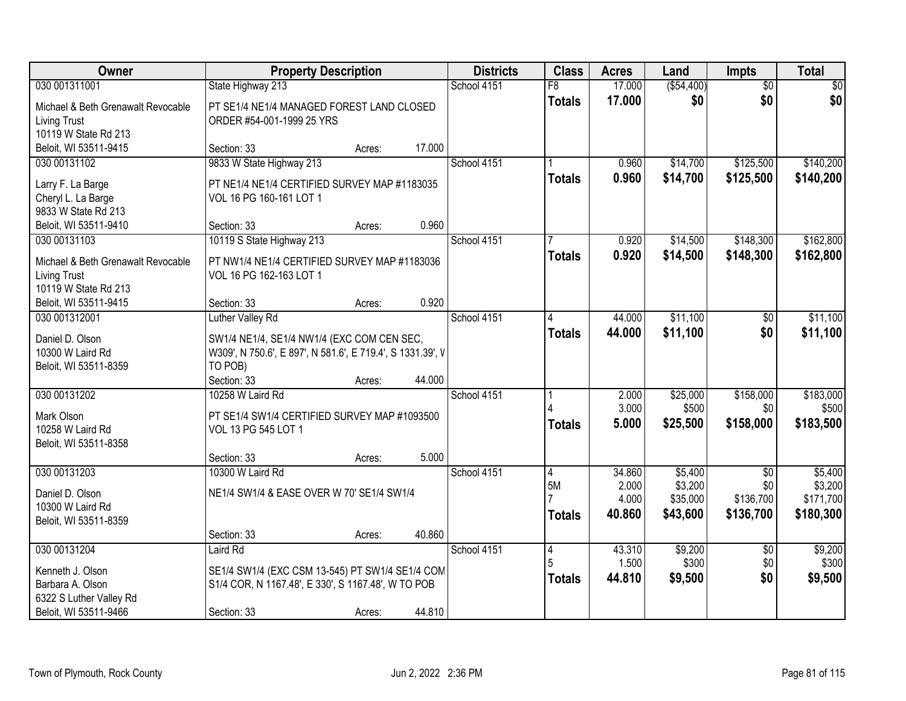| Owner                               | <b>Property Description</b>                                           |        |        | <b>Districts</b> | <b>Class</b>    | <b>Acres</b>    | Land               | Impts             | <b>Total</b>       |
|-------------------------------------|-----------------------------------------------------------------------|--------|--------|------------------|-----------------|-----------------|--------------------|-------------------|--------------------|
| 030 001311001                       | State Highway 213                                                     |        |        | School 4151      | $\overline{F8}$ | 17.000          | ( \$54,400)        | $\overline{50}$   | \$0                |
| Michael & Beth Grenawalt Revocable  | PT SE1/4 NE1/4 MANAGED FOREST LAND CLOSED                             |        |        |                  | <b>Totals</b>   | 17.000          | \$0                | \$0               | \$0                |
| Living Trust                        | ORDER #54-001-1999 25 YRS                                             |        |        |                  |                 |                 |                    |                   |                    |
| 10119 W State Rd 213                |                                                                       |        |        |                  |                 |                 |                    |                   |                    |
| Beloit, WI 53511-9415               | Section: 33                                                           | Acres: | 17.000 |                  |                 |                 |                    |                   |                    |
| 030 00131102                        | 9833 W State Highway 213                                              |        |        | School 4151      |                 | 0.960           | \$14,700           | \$125,500         | \$140,200          |
| Larry F. La Barge                   | PT NE1/4 NE1/4 CERTIFIED SURVEY MAP #1183035                          |        |        |                  | <b>Totals</b>   | 0.960           | \$14,700           | \$125,500         | \$140,200          |
| Cheryl L. La Barge                  | VOL 16 PG 160-161 LOT 1                                               |        |        |                  |                 |                 |                    |                   |                    |
| 9833 W State Rd 213                 |                                                                       |        |        |                  |                 |                 |                    |                   |                    |
| Beloit, WI 53511-9410               | Section: 33                                                           | Acres: | 0.960  |                  |                 |                 |                    |                   |                    |
| 030 00131103                        | 10119 S State Highway 213                                             |        |        | School 4151      |                 | 0.920           | \$14,500           | \$148,300         | \$162,800          |
| Michael & Beth Grenawalt Revocable  | PT NW1/4 NE1/4 CERTIFIED SURVEY MAP #1183036                          |        |        |                  | <b>Totals</b>   | 0.920           | \$14,500           | \$148,300         | \$162,800          |
| <b>Living Trust</b>                 | VOL 16 PG 162-163 LOT 1                                               |        |        |                  |                 |                 |                    |                   |                    |
| 10119 W State Rd 213                |                                                                       |        |        |                  |                 |                 |                    |                   |                    |
| Beloit, WI 53511-9415               | Section: 33                                                           | Acres: | 0.920  |                  |                 |                 |                    |                   |                    |
| 030 001312001                       | Luther Valley Rd                                                      |        |        | School 4151      | 4               | 44.000          | \$11,100           | \$0               | \$11,100           |
|                                     |                                                                       |        |        |                  | <b>Totals</b>   | 44.000          | \$11,100           | \$0               | \$11,100           |
| Daniel D. Olson<br>10300 W Laird Rd | SW1/4 NE1/4, SE1/4 NW1/4 (EXC COM CEN SEC,                            |        |        |                  |                 |                 |                    |                   |                    |
| Beloit, WI 53511-8359               | W309', N 750.6', E 897', N 581.6', E 719.4', S 1331.39', V<br>TO POB) |        |        |                  |                 |                 |                    |                   |                    |
|                                     | Section: 33                                                           | Acres: | 44.000 |                  |                 |                 |                    |                   |                    |
| 030 00131202                        | 10258 W Laird Rd                                                      |        |        | School 4151      |                 | 2.000           | \$25,000           | \$158,000         | \$183,000          |
|                                     |                                                                       |        |        |                  |                 | 3.000           | \$500              | \$0               | \$500              |
| Mark Olson                          | PT SE1/4 SW1/4 CERTIFIED SURVEY MAP #1093500                          |        |        |                  | <b>Totals</b>   | 5.000           | \$25,500           | \$158,000         | \$183,500          |
| 10258 W Laird Rd                    | VOL 13 PG 545 LOT 1                                                   |        |        |                  |                 |                 |                    |                   |                    |
| Beloit, WI 53511-8358               |                                                                       |        |        |                  |                 |                 |                    |                   |                    |
|                                     | Section: 33                                                           | Acres: | 5.000  |                  |                 |                 |                    |                   |                    |
| 030 00131203                        | 10300 W Laird Rd                                                      |        |        | School 4151      | 4<br>5M         | 34.860<br>2.000 | \$5,400<br>\$3,200 | $\sqrt{6}$<br>\$0 | \$5,400<br>\$3,200 |
| Daniel D. Olson                     | NE1/4 SW1/4 & EASE OVER W 70' SE1/4 SW1/4                             |        |        |                  |                 | 4.000           | \$35,000           | \$136,700         | \$171,700          |
| 10300 W Laird Rd                    |                                                                       |        |        |                  | <b>Totals</b>   | 40.860          | \$43,600           | \$136,700         | \$180,300          |
| Beloit, WI 53511-8359               |                                                                       |        |        |                  |                 |                 |                    |                   |                    |
|                                     | Section: 33                                                           | Acres: | 40.860 |                  |                 |                 |                    |                   |                    |
| 030 00131204                        | Laird Rd                                                              |        |        | School 4151      | 4               | 43.310          | \$9,200            | $\overline{50}$   | \$9,200            |
| Kenneth J. Olson                    | SE1/4 SW1/4 (EXC CSM 13-545) PT SW1/4 SE1/4 COM                       |        |        |                  | 5               | 1.500           | \$300              | \$0               | \$300              |
| Barbara A. Olson                    | S1/4 COR, N 1167.48', E 330', S 1167.48', W TO POB                    |        |        |                  | <b>Totals</b>   | 44.810          | \$9,500            | \$0               | \$9,500            |
| 6322 S Luther Valley Rd             |                                                                       |        |        |                  |                 |                 |                    |                   |                    |
| Beloit, WI 53511-9466               | Section: 33                                                           | Acres: | 44.810 |                  |                 |                 |                    |                   |                    |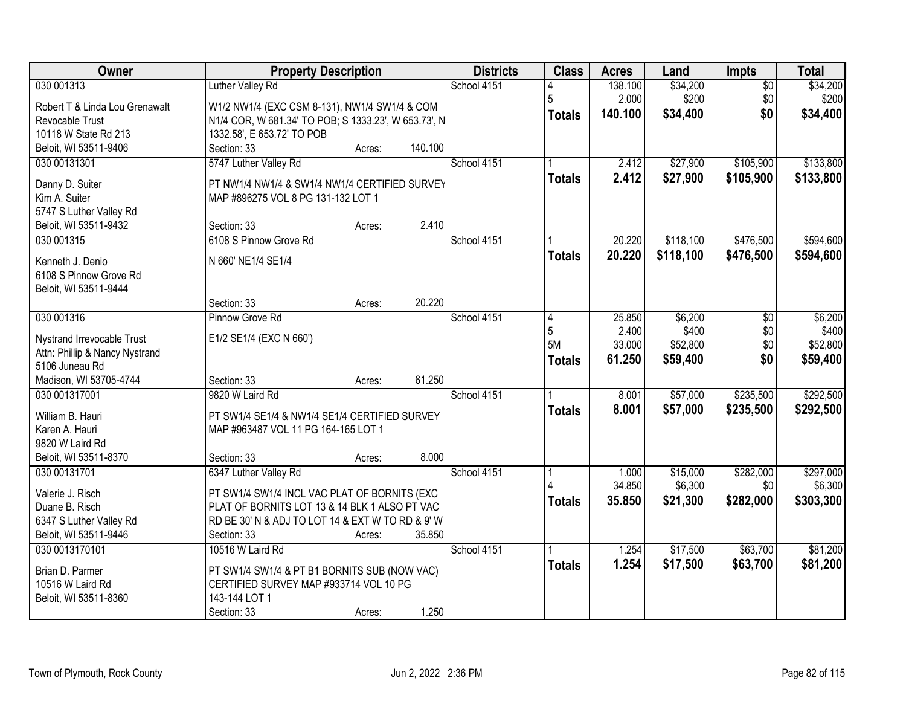| Owner                                     | <b>Property Description</b>                                                                   | <b>Districts</b> | <b>Class</b>  | <b>Acres</b> | Land      | <b>Impts</b>    | <b>Total</b> |
|-------------------------------------------|-----------------------------------------------------------------------------------------------|------------------|---------------|--------------|-----------|-----------------|--------------|
| 030 001313                                | <b>Luther Valley Rd</b>                                                                       | School 4151      |               | 138.100      | \$34,200  | $\overline{50}$ | \$34,200     |
| Robert T & Linda Lou Grenawalt            | W1/2 NW1/4 (EXC CSM 8-131), NW1/4 SW1/4 & COM                                                 |                  | 5             | 2.000        | \$200     | \$0             | \$200        |
| Revocable Trust                           | N1/4 COR, W 681.34' TO POB; S 1333.23', W 653.73', N                                          |                  | <b>Totals</b> | 140.100      | \$34,400  | \$0             | \$34,400     |
| 10118 W State Rd 213                      | 1332.58', E 653.72' TO POB                                                                    |                  |               |              |           |                 |              |
| Beloit, WI 53511-9406                     | 140.100<br>Section: 33<br>Acres:                                                              |                  |               |              |           |                 |              |
| 030 00131301                              | 5747 Luther Valley Rd                                                                         | School 4151      |               | 2.412        | \$27,900  | \$105,900       | \$133,800    |
|                                           |                                                                                               |                  | <b>Totals</b> | 2.412        | \$27,900  | \$105,900       | \$133,800    |
| Danny D. Suiter<br>Kim A. Suiter          | PT NW1/4 NW1/4 & SW1/4 NW1/4 CERTIFIED SURVEY<br>MAP #896275 VOL 8 PG 131-132 LOT 1           |                  |               |              |           |                 |              |
| 5747 S Luther Valley Rd                   |                                                                                               |                  |               |              |           |                 |              |
| Beloit, WI 53511-9432                     | 2.410<br>Section: 33<br>Acres:                                                                |                  |               |              |           |                 |              |
| 030 001315                                | 6108 S Pinnow Grove Rd                                                                        | School 4151      |               | 20.220       | \$118,100 | \$476,500       | \$594,600    |
|                                           |                                                                                               |                  | <b>Totals</b> | 20.220       | \$118,100 | \$476,500       | \$594,600    |
| Kenneth J. Denio                          | N 660' NE1/4 SE1/4                                                                            |                  |               |              |           |                 |              |
| 6108 S Pinnow Grove Rd                    |                                                                                               |                  |               |              |           |                 |              |
| Beloit, WI 53511-9444                     |                                                                                               |                  |               |              |           |                 |              |
|                                           | 20.220<br>Section: 33<br>Acres:                                                               |                  |               |              |           |                 |              |
| 030 001316                                | Pinnow Grove Rd                                                                               | School 4151      | 14            | 25.850       | \$6,200   | \$0             | \$6,200      |
| Nystrand Irrevocable Trust                | E1/2 SE1/4 (EXC N 660')                                                                       |                  | 5<br>5M       | 2.400        | \$400     | \$0             | \$400        |
| Attn: Phillip & Nancy Nystrand            |                                                                                               |                  |               | 33.000       | \$52,800  | \$0             | \$52,800     |
| 5106 Juneau Rd                            |                                                                                               |                  | <b>Totals</b> | 61.250       | \$59,400  | \$0             | \$59,400     |
| Madison, WI 53705-4744                    | 61.250<br>Section: 33<br>Acres:                                                               |                  |               |              |           |                 |              |
| 030 001317001                             | 9820 W Laird Rd                                                                               | School 4151      |               | 8.001        | \$57,000  | \$235,500       | \$292,500    |
| William B. Hauri                          | PT SW1/4 SE1/4 & NW1/4 SE1/4 CERTIFIED SURVEY                                                 |                  | <b>Totals</b> | 8.001        | \$57,000  | \$235,500       | \$292,500    |
| Karen A. Hauri                            | MAP #963487 VOL 11 PG 164-165 LOT 1                                                           |                  |               |              |           |                 |              |
| 9820 W Laird Rd                           |                                                                                               |                  |               |              |           |                 |              |
| Beloit, WI 53511-8370                     | 8.000<br>Section: 33<br>Acres:                                                                |                  |               |              |           |                 |              |
| 030 00131701                              | 6347 Luther Valley Rd                                                                         | School 4151      |               | 1.000        | \$15,000  | \$282,000       | \$297,000    |
|                                           |                                                                                               |                  |               | 34.850       | \$6,300   | \$0             | \$6,300      |
| Valerie J. Risch                          | PT SW1/4 SW1/4 INCL VAC PLAT OF BORNITS (EXC<br>PLAT OF BORNITS LOT 13 & 14 BLK 1 ALSO PT VAC |                  | <b>Totals</b> | 35.850       | \$21,300  | \$282,000       | \$303,300    |
| Duane B. Risch<br>6347 S Luther Valley Rd | RD BE 30' N & ADJ TO LOT 14 & EXT W TO RD & 9' W                                              |                  |               |              |           |                 |              |
| Beloit, WI 53511-9446                     | 35.850<br>Section: 33<br>Acres:                                                               |                  |               |              |           |                 |              |
| 030 0013170101                            | 10516 W Laird Rd                                                                              | School 4151      |               | 1.254        | \$17,500  | \$63,700        | \$81,200     |
|                                           |                                                                                               |                  |               | 1.254        | \$17,500  | \$63,700        | \$81,200     |
| Brian D. Parmer                           | PT SW1/4 SW1/4 & PT B1 BORNITS SUB (NOW VAC)                                                  |                  | <b>Totals</b> |              |           |                 |              |
| 10516 W Laird Rd                          | CERTIFIED SURVEY MAP #933714 VOL 10 PG                                                        |                  |               |              |           |                 |              |
| Beloit, WI 53511-8360                     | 143-144 LOT 1                                                                                 |                  |               |              |           |                 |              |
|                                           | 1.250<br>Section: 33<br>Acres:                                                                |                  |               |              |           |                 |              |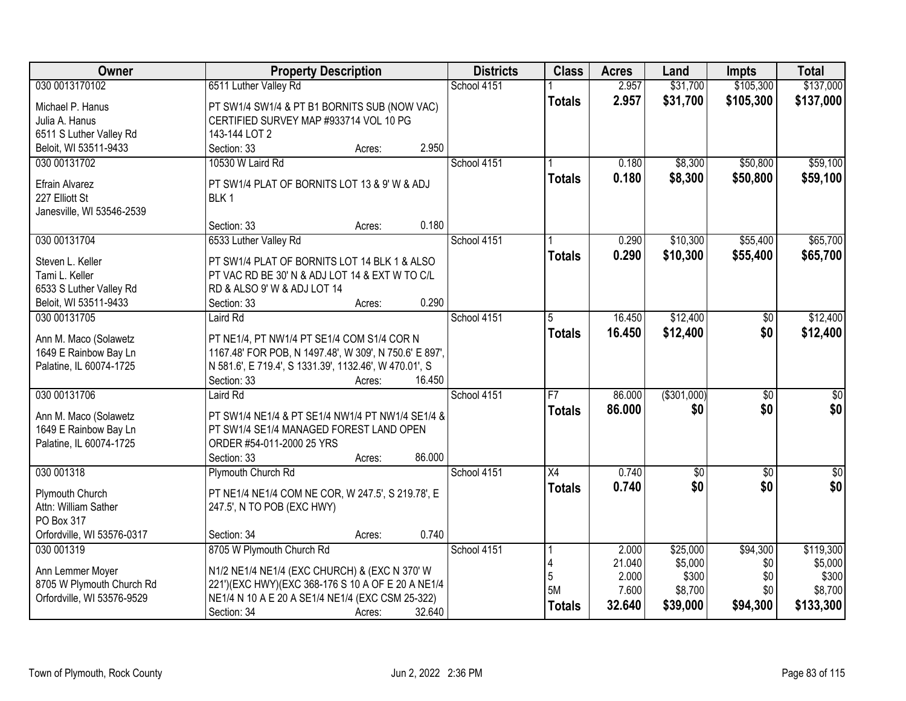| Owner                      | <b>Property Description</b>                            | <b>Districts</b> | <b>Class</b>    | <b>Acres</b> | Land         | Impts           | <b>Total</b> |
|----------------------------|--------------------------------------------------------|------------------|-----------------|--------------|--------------|-----------------|--------------|
| 030 0013170102             | 6511 Luther Valley Rd                                  | School 4151      |                 | 2.957        | \$31,700     | \$105,300       | \$137,000    |
| Michael P. Hanus           | PT SW1/4 SW1/4 & PT B1 BORNITS SUB (NOW VAC)           |                  | <b>Totals</b>   | 2.957        | \$31,700     | \$105,300       | \$137,000    |
| Julia A. Hanus             | CERTIFIED SURVEY MAP #933714 VOL 10 PG                 |                  |                 |              |              |                 |              |
| 6511 S Luther Valley Rd    | 143-144 LOT 2                                          |                  |                 |              |              |                 |              |
| Beloit, WI 53511-9433      | 2.950<br>Section: 33<br>Acres:                         |                  |                 |              |              |                 |              |
| 030 00131702               | 10530 W Laird Rd                                       | School 4151      |                 | 0.180        | \$8,300      | \$50,800        | \$59,100     |
|                            |                                                        |                  | <b>Totals</b>   | 0.180        | \$8,300      | \$50,800        | \$59,100     |
| Efrain Alvarez             | PT SW1/4 PLAT OF BORNITS LOT 13 & 9' W & ADJ           |                  |                 |              |              |                 |              |
| 227 Elliott St             | BLK <sub>1</sub>                                       |                  |                 |              |              |                 |              |
| Janesville, WI 53546-2539  |                                                        |                  |                 |              |              |                 |              |
|                            | 0.180<br>Section: 33<br>Acres:                         |                  |                 |              |              |                 |              |
| 030 00131704               | 6533 Luther Valley Rd                                  | School 4151      |                 | 0.290        | \$10,300     | \$55,400        | \$65,700     |
| Steven L. Keller           | PT SW1/4 PLAT OF BORNITS LOT 14 BLK 1 & ALSO           |                  | <b>Totals</b>   | 0.290        | \$10,300     | \$55,400        | \$65,700     |
| Tami L. Keller             | PT VAC RD BE 30' N & ADJ LOT 14 & EXT W TO C/L         |                  |                 |              |              |                 |              |
| 6533 S Luther Valley Rd    | RD & ALSO 9' W & ADJ LOT 14                            |                  |                 |              |              |                 |              |
| Beloit, WI 53511-9433      | 0.290<br>Section: 33<br>Acres:                         |                  |                 |              |              |                 |              |
| 030 00131705               | Laird Rd                                               | School 4151      | 5               | 16.450       | \$12,400     | \$0             | \$12,400     |
|                            |                                                        |                  | <b>Totals</b>   | 16.450       | \$12,400     | \$0             | \$12,400     |
| Ann M. Maco (Solawetz      | PT NE1/4, PT NW1/4 PT SE1/4 COM S1/4 COR N             |                  |                 |              |              |                 |              |
| 1649 E Rainbow Bay Ln      | 1167.48' FOR POB, N 1497.48', W 309', N 750.6' E 897', |                  |                 |              |              |                 |              |
| Palatine, IL 60074-1725    | N 581.6', E 719.4', S 1331.39', 1132.46', W 470.01', S |                  |                 |              |              |                 |              |
|                            | Section: 33<br>16.450<br>Acres:                        |                  |                 |              |              |                 |              |
| 030 00131706               | Laird Rd                                               | School 4151      | F7              | 86.000       | ( \$301,000) | $\overline{50}$ | $\sqrt{50}$  |
| Ann M. Maco (Solawetz      | PT SW1/4 NE1/4 & PT SE1/4 NW1/4 PT NW1/4 SE1/4 &       |                  | <b>Totals</b>   | 86,000       | \$0          | \$0             | \$0          |
| 1649 E Rainbow Bay Ln      | PT SW1/4 SE1/4 MANAGED FOREST LAND OPEN                |                  |                 |              |              |                 |              |
| Palatine, IL 60074-1725    | ORDER #54-011-2000 25 YRS                              |                  |                 |              |              |                 |              |
|                            | 86.000<br>Section: 33<br>Acres:                        |                  |                 |              |              |                 |              |
| 030 001318                 | Plymouth Church Rd                                     | School 4151      | $\overline{X4}$ | 0.740        | $\sqrt{6}$   | $\sqrt{6}$      | $\sqrt{50}$  |
| Plymouth Church            | PT NE1/4 NE1/4 COM NE COR, W 247.5', S 219.78', E      |                  | <b>Totals</b>   | 0.740        | \$0          | \$0             | \$0          |
| Attn: William Sather       | 247.5', N TO POB (EXC HWY)                             |                  |                 |              |              |                 |              |
| PO Box 317                 |                                                        |                  |                 |              |              |                 |              |
| Orfordville, WI 53576-0317 | 0.740<br>Section: 34<br>Acres:                         |                  |                 |              |              |                 |              |
| 030 001319                 | 8705 W Plymouth Church Rd                              | School 4151      |                 | 2.000        | \$25,000     | \$94,300        | \$119,300    |
|                            |                                                        |                  |                 | 21.040       | \$5,000      | \$0             | \$5,000      |
| Ann Lemmer Moyer           | N1/2 NE1/4 NE1/4 (EXC CHURCH) & (EXC N 370' W          |                  | 5               | 2.000        | \$300        | \$0             | \$300        |
| 8705 W Plymouth Church Rd  | 221')(EXC HWY)(EXC 368-176 S 10 A OF E 20 A NE1/4      |                  | 5M              | 7.600        | \$8,700      | \$0             | \$8,700      |
| Orfordville, WI 53576-9529 | NE1/4 N 10 A E 20 A SE1/4 NE1/4 (EXC CSM 25-322)       |                  | <b>Totals</b>   | 32.640       | \$39,000     | \$94,300        | \$133,300    |
|                            | 32.640<br>Section: 34<br>Acres:                        |                  |                 |              |              |                 |              |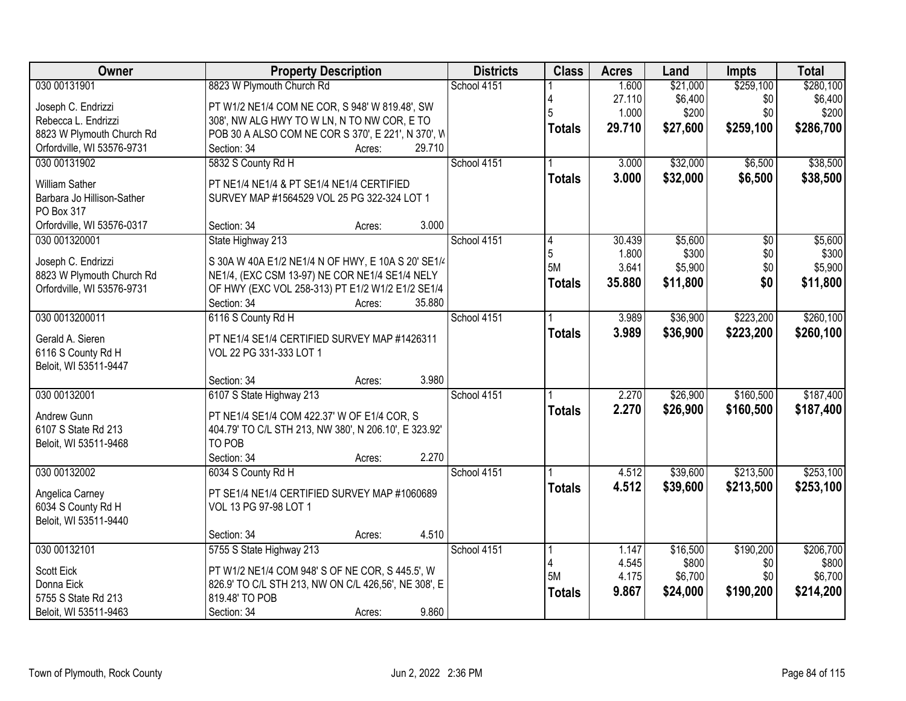| Owner                      | <b>Property Description</b>                                             | <b>Districts</b> | <b>Class</b>  | <b>Acres</b>    | Land             | <b>Impts</b> | <b>Total</b>     |
|----------------------------|-------------------------------------------------------------------------|------------------|---------------|-----------------|------------------|--------------|------------------|
| 030 00131901               | 8823 W Plymouth Church Rd                                               | School 4151      |               | 1.600           | \$21,000         | \$259,100    | \$280,100        |
| Joseph C. Endrizzi         | PT W1/2 NE1/4 COM NE COR, S 948' W 819.48', SW                          |                  |               | 27.110          | \$6,400          | \$0          | \$6,400          |
| Rebecca L. Endrizzi        | 308', NW ALG HWY TO W LN, N TO NW COR, E TO                             |                  | 5             | 1.000           | \$200            | \$0          | \$200            |
| 8823 W Plymouth Church Rd  | POB 30 A ALSO COM NE COR S 370', E 221', N 370', W                      |                  | <b>Totals</b> | 29.710          | \$27,600         | \$259,100    | \$286,700        |
| Orfordville, WI 53576-9731 | 29.710<br>Section: 34<br>Acres:                                         |                  |               |                 |                  |              |                  |
| 030 00131902               | 5832 S County Rd H                                                      | School 4151      |               | 3.000           | \$32,000         | \$6,500      | \$38,500         |
|                            |                                                                         |                  | <b>Totals</b> | 3.000           | \$32,000         | \$6,500      | \$38,500         |
| William Sather             | PT NE1/4 NE1/4 & PT SE1/4 NE1/4 CERTIFIED                               |                  |               |                 |                  |              |                  |
| Barbara Jo Hillison-Sather | SURVEY MAP #1564529 VOL 25 PG 322-324 LOT 1                             |                  |               |                 |                  |              |                  |
| PO Box 317                 | 3.000<br>Section: 34                                                    |                  |               |                 |                  |              |                  |
| Orfordville, WI 53576-0317 | Acres:                                                                  |                  |               |                 |                  |              |                  |
| 030 001320001              | State Highway 213                                                       | School 4151      | 5             | 30.439<br>1.800 | \$5,600<br>\$300 | \$0          | \$5,600          |
| Joseph C. Endrizzi         | S 30A W 40A E1/2 NE1/4 N OF HWY, E 10A S 20' SE1/4                      |                  | 5M            | 3.641           | \$5,900          | \$0<br>\$0   | \$300<br>\$5,900 |
| 8823 W Plymouth Church Rd  | NE1/4, (EXC CSM 13-97) NE COR NE1/4 SE1/4 NELY                          |                  |               |                 |                  |              |                  |
| Orfordville, WI 53576-9731 | OF HWY (EXC VOL 258-313) PT E1/2 W1/2 E1/2 SE1/4                        |                  | <b>Totals</b> | 35.880          | \$11,800         | \$0          | \$11,800         |
|                            | 35.880<br>Section: 34<br>Acres:                                         |                  |               |                 |                  |              |                  |
| 030 0013200011             | 6116 S County Rd H                                                      | School 4151      |               | 3.989           | \$36,900         | \$223,200    | \$260,100        |
| Gerald A. Sieren           |                                                                         |                  | <b>Totals</b> | 3.989           | \$36,900         | \$223,200    | \$260,100        |
| 6116 S County Rd H         | PT NE1/4 SE1/4 CERTIFIED SURVEY MAP #1426311<br>VOL 22 PG 331-333 LOT 1 |                  |               |                 |                  |              |                  |
| Beloit, WI 53511-9447      |                                                                         |                  |               |                 |                  |              |                  |
|                            | 3.980<br>Section: 34<br>Acres:                                          |                  |               |                 |                  |              |                  |
| 030 00132001               | 6107 S State Highway 213                                                | School 4151      |               | 2.270           | \$26,900         | \$160,500    | \$187,400        |
|                            |                                                                         |                  |               | 2.270           | \$26,900         | \$160,500    |                  |
| Andrew Gunn                | PT NE1/4 SE1/4 COM 422.37' W OF E1/4 COR, S                             |                  | <b>Totals</b> |                 |                  |              | \$187,400        |
| 6107 S State Rd 213        | 404.79' TO C/L STH 213, NW 380', N 206.10', E 323.92'                   |                  |               |                 |                  |              |                  |
| Beloit, WI 53511-9468      | TO POB                                                                  |                  |               |                 |                  |              |                  |
|                            | 2.270<br>Section: 34<br>Acres:                                          |                  |               |                 |                  |              |                  |
| 030 00132002               | 6034 S County Rd H                                                      | School 4151      |               | 4.512           | \$39,600         | \$213,500    | \$253,100        |
| Angelica Carney            | PT SE1/4 NE1/4 CERTIFIED SURVEY MAP #1060689                            |                  | <b>Totals</b> | 4.512           | \$39,600         | \$213,500    | \$253,100        |
| 6034 S County Rd H         | VOL 13 PG 97-98 LOT 1                                                   |                  |               |                 |                  |              |                  |
| Beloit, WI 53511-9440      |                                                                         |                  |               |                 |                  |              |                  |
|                            | 4.510<br>Section: 34<br>Acres:                                          |                  |               |                 |                  |              |                  |
| 030 00132101               | 5755 S State Highway 213                                                | School 4151      |               | 1.147           | \$16,500         | \$190,200    | \$206,700        |
|                            |                                                                         |                  | Δ             | 4.545           | \$800            | \$0          | \$800            |
| <b>Scott Eick</b>          | PT W1/2 NE1/4 COM 948' S OF NE COR, S 445.5', W                         |                  | 5M            | 4.175           | \$6,700          | \$0          | \$6,700          |
| Donna Eick                 | 826.9' TO C/L STH 213, NW ON C/L 426,56', NE 308', E                    |                  | <b>Totals</b> | 9.867           | \$24,000         | \$190,200    | \$214,200        |
| 5755 S State Rd 213        | 819.48' TO POB                                                          |                  |               |                 |                  |              |                  |
| Beloit, WI 53511-9463      | 9.860<br>Section: 34<br>Acres:                                          |                  |               |                 |                  |              |                  |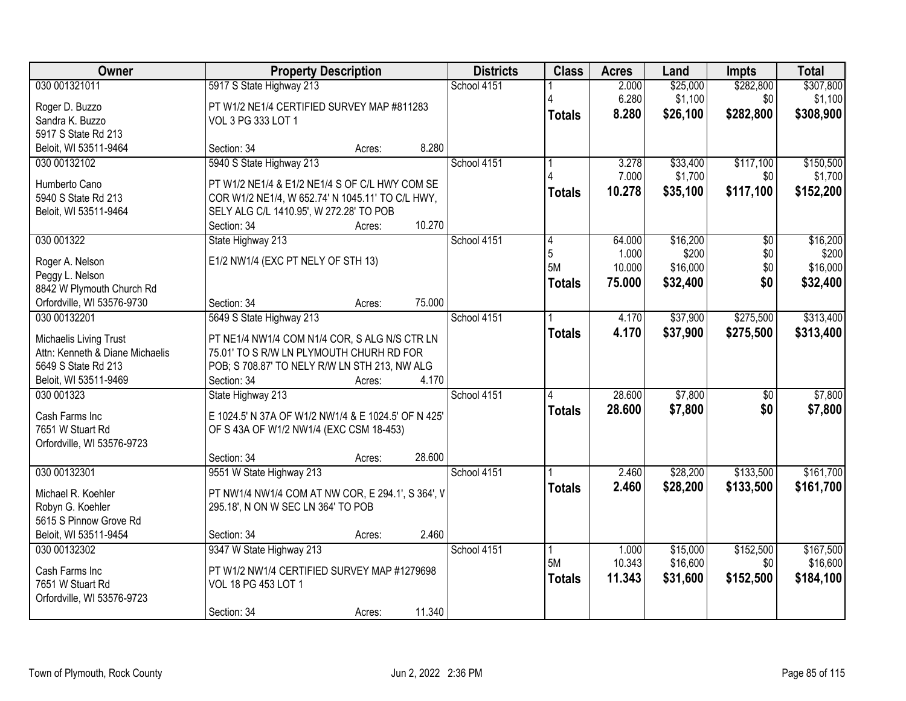| 030 001321011<br>5917 S State Highway 213<br>School 4151<br>2.000<br>\$25,000<br>\$307,800<br>\$1,100<br>6.280<br>\$1,100<br>\$0<br>Roger D. Buzzo<br>PT W1/2 NE1/4 CERTIFIED SURVEY MAP #811283<br>8.280<br>\$26,100<br>\$282,800<br>\$308,900<br><b>Totals</b><br>Sandra K. Buzzo<br>VOL 3 PG 333 LOT 1<br>5917 S State Rd 213<br>8.280<br>Beloit, WI 53511-9464<br>Section: 34<br>Acres:<br>5940 S State Highway 213<br>\$33,400<br>\$117,100<br>030 00132102<br>School 4151<br>3.278<br>7.000<br>\$1,700<br>\$0<br>Humberto Cano<br>PT W1/2 NE1/4 & E1/2 NE1/4 S OF C/L HWY COM SE<br>10.278<br>\$117,100<br>\$35,100<br><b>Totals</b><br>5940 S State Rd 213<br>COR W1/2 NE1/4, W 652.74' N 1045.11' TO C/L HWY,<br>Beloit, WI 53511-9464<br>SELY ALG C/L 1410.95', W 272.28' TO POB<br>10.270<br>Section: 34<br>Acres:<br>State Highway 213<br>\$16,200<br>030 001322<br>School 4151<br>64.000<br>$\overline{50}$<br>4<br>5<br>\$200<br>\$0<br>1.000<br>E1/2 NW1/4 (EXC PT NELY OF STH 13)<br>Roger A. Nelson<br>5M<br>\$16,000<br>\$0<br>10.000<br>Peggy L. Nelson<br>\$0<br>\$32,400<br>75.000<br>\$32,400<br><b>Totals</b><br>8842 W Plymouth Church Rd<br>Section: 34<br>75.000<br>Orfordville, WI 53576-9730<br>Acres:<br>\$37,900<br>\$275,500<br>030 00132201<br>5649 S State Highway 213<br>School 4151<br>4.170<br>4.170<br>\$37,900<br>\$275,500<br><b>Totals</b><br>Michaelis Living Trust<br>PT NE1/4 NW1/4 COM N1/4 COR, S ALG N/S CTR LN<br>Attn: Kenneth & Diane Michaelis<br>75.01' TO S R/W LN PLYMOUTH CHURH RD FOR<br>5649 S State Rd 213<br>POB; S 708.87' TO NELY R/W LN STH 213, NW ALG<br>Beloit, WI 53511-9469<br>4.170<br>Section: 34<br>Acres:<br>\$7,800<br>28.600<br>030 001323<br>State Highway 213<br>School 4151<br>$\overline{50}$<br>28,600<br>\$7,800<br>\$0<br><b>Totals</b><br>Cash Farms Inc<br>E 1024.5' N 37A OF W1/2 NW1/4 & E 1024.5' OF N 425'<br>7651 W Stuart Rd<br>OF S 43A OF W1/2 NW1/4 (EXC CSM 18-453)<br>Orfordville, WI 53576-9723<br>28.600<br>Section: 34<br>Acres:<br>030 00132301<br>9551 W State Highway 213<br>School 4151<br>\$28,200<br>\$133,500<br>2.460<br>2.460<br>\$28,200<br>\$133,500<br><b>Totals</b><br>PT NW1/4 NW1/4 COM AT NW COR, E 294.1', S 364', V<br>Michael R. Koehler<br>Robyn G. Koehler<br>295.18', N ON W SEC LN 364' TO POB<br>5615 S Pinnow Grove Rd<br>Beloit, WI 53511-9454<br>2.460<br>Section: 34<br>Acres:<br>030 00132302<br>9347 W State Highway 213<br>School 4151<br>\$15,000<br>\$152,500<br>1.000<br>5M<br>10.343<br>\$16,600<br>\$0<br>PT W1/2 NW1/4 CERTIFIED SURVEY MAP #1279698<br>Cash Farms Inc<br>\$31,600<br>\$152,500<br>\$184,100<br>11.343<br><b>Totals</b><br>7651 W Stuart Rd<br>VOL 18 PG 453 LOT 1<br>Orfordville, WI 53576-9723 | Owner | <b>Property Description</b> |        |        | <b>Districts</b> | <b>Class</b> | <b>Acres</b> | Land | <b>Impts</b> | <b>Total</b> |
|-----------------------------------------------------------------------------------------------------------------------------------------------------------------------------------------------------------------------------------------------------------------------------------------------------------------------------------------------------------------------------------------------------------------------------------------------------------------------------------------------------------------------------------------------------------------------------------------------------------------------------------------------------------------------------------------------------------------------------------------------------------------------------------------------------------------------------------------------------------------------------------------------------------------------------------------------------------------------------------------------------------------------------------------------------------------------------------------------------------------------------------------------------------------------------------------------------------------------------------------------------------------------------------------------------------------------------------------------------------------------------------------------------------------------------------------------------------------------------------------------------------------------------------------------------------------------------------------------------------------------------------------------------------------------------------------------------------------------------------------------------------------------------------------------------------------------------------------------------------------------------------------------------------------------------------------------------------------------------------------------------------------------------------------------------------------------------------------------------------------------------------------------------------------------------------------------------------------------------------------------------------------------------------------------------------------------------------------------------------------------------------------------------------------------------------------------------------------------------------------------------------------------------------------------------------------------------------------------------------------------------------------------------------------------------------------------------------------------------------------------------|-------|-----------------------------|--------|--------|------------------|--------------|--------------|------|--------------|--------------|
|                                                                                                                                                                                                                                                                                                                                                                                                                                                                                                                                                                                                                                                                                                                                                                                                                                                                                                                                                                                                                                                                                                                                                                                                                                                                                                                                                                                                                                                                                                                                                                                                                                                                                                                                                                                                                                                                                                                                                                                                                                                                                                                                                                                                                                                                                                                                                                                                                                                                                                                                                                                                                                                                                                                                                     |       |                             |        |        |                  |              |              |      | \$282,800    |              |
|                                                                                                                                                                                                                                                                                                                                                                                                                                                                                                                                                                                                                                                                                                                                                                                                                                                                                                                                                                                                                                                                                                                                                                                                                                                                                                                                                                                                                                                                                                                                                                                                                                                                                                                                                                                                                                                                                                                                                                                                                                                                                                                                                                                                                                                                                                                                                                                                                                                                                                                                                                                                                                                                                                                                                     |       |                             |        |        |                  |              |              |      |              |              |
| \$150,500<br>\$1,700<br>\$152,200<br>\$16,200<br>\$200<br>\$16,000<br>\$313,400<br>\$313,400<br>\$7,800<br>\$7,800                                                                                                                                                                                                                                                                                                                                                                                                                                                                                                                                                                                                                                                                                                                                                                                                                                                                                                                                                                                                                                                                                                                                                                                                                                                                                                                                                                                                                                                                                                                                                                                                                                                                                                                                                                                                                                                                                                                                                                                                                                                                                                                                                                                                                                                                                                                                                                                                                                                                                                                                                                                                                                  |       |                             |        |        |                  |              |              |      |              |              |
|                                                                                                                                                                                                                                                                                                                                                                                                                                                                                                                                                                                                                                                                                                                                                                                                                                                                                                                                                                                                                                                                                                                                                                                                                                                                                                                                                                                                                                                                                                                                                                                                                                                                                                                                                                                                                                                                                                                                                                                                                                                                                                                                                                                                                                                                                                                                                                                                                                                                                                                                                                                                                                                                                                                                                     |       |                             |        |        |                  |              |              |      |              |              |
|                                                                                                                                                                                                                                                                                                                                                                                                                                                                                                                                                                                                                                                                                                                                                                                                                                                                                                                                                                                                                                                                                                                                                                                                                                                                                                                                                                                                                                                                                                                                                                                                                                                                                                                                                                                                                                                                                                                                                                                                                                                                                                                                                                                                                                                                                                                                                                                                                                                                                                                                                                                                                                                                                                                                                     |       |                             |        |        |                  |              |              |      |              |              |
|                                                                                                                                                                                                                                                                                                                                                                                                                                                                                                                                                                                                                                                                                                                                                                                                                                                                                                                                                                                                                                                                                                                                                                                                                                                                                                                                                                                                                                                                                                                                                                                                                                                                                                                                                                                                                                                                                                                                                                                                                                                                                                                                                                                                                                                                                                                                                                                                                                                                                                                                                                                                                                                                                                                                                     |       |                             |        |        |                  |              |              |      |              |              |
|                                                                                                                                                                                                                                                                                                                                                                                                                                                                                                                                                                                                                                                                                                                                                                                                                                                                                                                                                                                                                                                                                                                                                                                                                                                                                                                                                                                                                                                                                                                                                                                                                                                                                                                                                                                                                                                                                                                                                                                                                                                                                                                                                                                                                                                                                                                                                                                                                                                                                                                                                                                                                                                                                                                                                     |       |                             |        |        |                  |              |              |      |              |              |
|                                                                                                                                                                                                                                                                                                                                                                                                                                                                                                                                                                                                                                                                                                                                                                                                                                                                                                                                                                                                                                                                                                                                                                                                                                                                                                                                                                                                                                                                                                                                                                                                                                                                                                                                                                                                                                                                                                                                                                                                                                                                                                                                                                                                                                                                                                                                                                                                                                                                                                                                                                                                                                                                                                                                                     |       |                             |        |        |                  |              |              |      |              |              |
|                                                                                                                                                                                                                                                                                                                                                                                                                                                                                                                                                                                                                                                                                                                                                                                                                                                                                                                                                                                                                                                                                                                                                                                                                                                                                                                                                                                                                                                                                                                                                                                                                                                                                                                                                                                                                                                                                                                                                                                                                                                                                                                                                                                                                                                                                                                                                                                                                                                                                                                                                                                                                                                                                                                                                     |       |                             |        |        |                  |              |              |      |              |              |
|                                                                                                                                                                                                                                                                                                                                                                                                                                                                                                                                                                                                                                                                                                                                                                                                                                                                                                                                                                                                                                                                                                                                                                                                                                                                                                                                                                                                                                                                                                                                                                                                                                                                                                                                                                                                                                                                                                                                                                                                                                                                                                                                                                                                                                                                                                                                                                                                                                                                                                                                                                                                                                                                                                                                                     |       |                             |        |        |                  |              |              |      |              |              |
|                                                                                                                                                                                                                                                                                                                                                                                                                                                                                                                                                                                                                                                                                                                                                                                                                                                                                                                                                                                                                                                                                                                                                                                                                                                                                                                                                                                                                                                                                                                                                                                                                                                                                                                                                                                                                                                                                                                                                                                                                                                                                                                                                                                                                                                                                                                                                                                                                                                                                                                                                                                                                                                                                                                                                     |       |                             |        |        |                  |              |              |      |              |              |
|                                                                                                                                                                                                                                                                                                                                                                                                                                                                                                                                                                                                                                                                                                                                                                                                                                                                                                                                                                                                                                                                                                                                                                                                                                                                                                                                                                                                                                                                                                                                                                                                                                                                                                                                                                                                                                                                                                                                                                                                                                                                                                                                                                                                                                                                                                                                                                                                                                                                                                                                                                                                                                                                                                                                                     |       |                             |        |        |                  |              |              |      |              |              |
|                                                                                                                                                                                                                                                                                                                                                                                                                                                                                                                                                                                                                                                                                                                                                                                                                                                                                                                                                                                                                                                                                                                                                                                                                                                                                                                                                                                                                                                                                                                                                                                                                                                                                                                                                                                                                                                                                                                                                                                                                                                                                                                                                                                                                                                                                                                                                                                                                                                                                                                                                                                                                                                                                                                                                     |       |                             |        |        |                  |              |              |      |              |              |
|                                                                                                                                                                                                                                                                                                                                                                                                                                                                                                                                                                                                                                                                                                                                                                                                                                                                                                                                                                                                                                                                                                                                                                                                                                                                                                                                                                                                                                                                                                                                                                                                                                                                                                                                                                                                                                                                                                                                                                                                                                                                                                                                                                                                                                                                                                                                                                                                                                                                                                                                                                                                                                                                                                                                                     |       |                             |        |        |                  |              |              |      |              |              |
|                                                                                                                                                                                                                                                                                                                                                                                                                                                                                                                                                                                                                                                                                                                                                                                                                                                                                                                                                                                                                                                                                                                                                                                                                                                                                                                                                                                                                                                                                                                                                                                                                                                                                                                                                                                                                                                                                                                                                                                                                                                                                                                                                                                                                                                                                                                                                                                                                                                                                                                                                                                                                                                                                                                                                     |       |                             |        |        |                  |              |              |      |              |              |
|                                                                                                                                                                                                                                                                                                                                                                                                                                                                                                                                                                                                                                                                                                                                                                                                                                                                                                                                                                                                                                                                                                                                                                                                                                                                                                                                                                                                                                                                                                                                                                                                                                                                                                                                                                                                                                                                                                                                                                                                                                                                                                                                                                                                                                                                                                                                                                                                                                                                                                                                                                                                                                                                                                                                                     |       |                             |        |        |                  |              |              |      |              |              |
|                                                                                                                                                                                                                                                                                                                                                                                                                                                                                                                                                                                                                                                                                                                                                                                                                                                                                                                                                                                                                                                                                                                                                                                                                                                                                                                                                                                                                                                                                                                                                                                                                                                                                                                                                                                                                                                                                                                                                                                                                                                                                                                                                                                                                                                                                                                                                                                                                                                                                                                                                                                                                                                                                                                                                     |       |                             |        |        |                  |              |              |      |              |              |
|                                                                                                                                                                                                                                                                                                                                                                                                                                                                                                                                                                                                                                                                                                                                                                                                                                                                                                                                                                                                                                                                                                                                                                                                                                                                                                                                                                                                                                                                                                                                                                                                                                                                                                                                                                                                                                                                                                                                                                                                                                                                                                                                                                                                                                                                                                                                                                                                                                                                                                                                                                                                                                                                                                                                                     |       |                             |        |        |                  |              |              |      |              |              |
| \$161,700<br>\$161,700<br>\$167,500<br>\$16,600                                                                                                                                                                                                                                                                                                                                                                                                                                                                                                                                                                                                                                                                                                                                                                                                                                                                                                                                                                                                                                                                                                                                                                                                                                                                                                                                                                                                                                                                                                                                                                                                                                                                                                                                                                                                                                                                                                                                                                                                                                                                                                                                                                                                                                                                                                                                                                                                                                                                                                                                                                                                                                                                                                     |       |                             |        |        |                  |              |              |      |              |              |
|                                                                                                                                                                                                                                                                                                                                                                                                                                                                                                                                                                                                                                                                                                                                                                                                                                                                                                                                                                                                                                                                                                                                                                                                                                                                                                                                                                                                                                                                                                                                                                                                                                                                                                                                                                                                                                                                                                                                                                                                                                                                                                                                                                                                                                                                                                                                                                                                                                                                                                                                                                                                                                                                                                                                                     |       |                             |        |        |                  |              |              |      |              |              |
|                                                                                                                                                                                                                                                                                                                                                                                                                                                                                                                                                                                                                                                                                                                                                                                                                                                                                                                                                                                                                                                                                                                                                                                                                                                                                                                                                                                                                                                                                                                                                                                                                                                                                                                                                                                                                                                                                                                                                                                                                                                                                                                                                                                                                                                                                                                                                                                                                                                                                                                                                                                                                                                                                                                                                     |       |                             |        |        |                  |              |              |      |              |              |
|                                                                                                                                                                                                                                                                                                                                                                                                                                                                                                                                                                                                                                                                                                                                                                                                                                                                                                                                                                                                                                                                                                                                                                                                                                                                                                                                                                                                                                                                                                                                                                                                                                                                                                                                                                                                                                                                                                                                                                                                                                                                                                                                                                                                                                                                                                                                                                                                                                                                                                                                                                                                                                                                                                                                                     |       |                             |        |        |                  |              |              |      |              |              |
|                                                                                                                                                                                                                                                                                                                                                                                                                                                                                                                                                                                                                                                                                                                                                                                                                                                                                                                                                                                                                                                                                                                                                                                                                                                                                                                                                                                                                                                                                                                                                                                                                                                                                                                                                                                                                                                                                                                                                                                                                                                                                                                                                                                                                                                                                                                                                                                                                                                                                                                                                                                                                                                                                                                                                     |       |                             |        |        |                  |              |              |      |              |              |
|                                                                                                                                                                                                                                                                                                                                                                                                                                                                                                                                                                                                                                                                                                                                                                                                                                                                                                                                                                                                                                                                                                                                                                                                                                                                                                                                                                                                                                                                                                                                                                                                                                                                                                                                                                                                                                                                                                                                                                                                                                                                                                                                                                                                                                                                                                                                                                                                                                                                                                                                                                                                                                                                                                                                                     |       |                             |        |        |                  |              |              |      |              |              |
|                                                                                                                                                                                                                                                                                                                                                                                                                                                                                                                                                                                                                                                                                                                                                                                                                                                                                                                                                                                                                                                                                                                                                                                                                                                                                                                                                                                                                                                                                                                                                                                                                                                                                                                                                                                                                                                                                                                                                                                                                                                                                                                                                                                                                                                                                                                                                                                                                                                                                                                                                                                                                                                                                                                                                     |       |                             |        |        |                  |              |              |      |              |              |
|                                                                                                                                                                                                                                                                                                                                                                                                                                                                                                                                                                                                                                                                                                                                                                                                                                                                                                                                                                                                                                                                                                                                                                                                                                                                                                                                                                                                                                                                                                                                                                                                                                                                                                                                                                                                                                                                                                                                                                                                                                                                                                                                                                                                                                                                                                                                                                                                                                                                                                                                                                                                                                                                                                                                                     |       |                             |        |        |                  |              |              |      |              |              |
|                                                                                                                                                                                                                                                                                                                                                                                                                                                                                                                                                                                                                                                                                                                                                                                                                                                                                                                                                                                                                                                                                                                                                                                                                                                                                                                                                                                                                                                                                                                                                                                                                                                                                                                                                                                                                                                                                                                                                                                                                                                                                                                                                                                                                                                                                                                                                                                                                                                                                                                                                                                                                                                                                                                                                     |       |                             |        |        |                  |              |              |      |              |              |
|                                                                                                                                                                                                                                                                                                                                                                                                                                                                                                                                                                                                                                                                                                                                                                                                                                                                                                                                                                                                                                                                                                                                                                                                                                                                                                                                                                                                                                                                                                                                                                                                                                                                                                                                                                                                                                                                                                                                                                                                                                                                                                                                                                                                                                                                                                                                                                                                                                                                                                                                                                                                                                                                                                                                                     |       |                             |        |        |                  |              |              |      |              |              |
|                                                                                                                                                                                                                                                                                                                                                                                                                                                                                                                                                                                                                                                                                                                                                                                                                                                                                                                                                                                                                                                                                                                                                                                                                                                                                                                                                                                                                                                                                                                                                                                                                                                                                                                                                                                                                                                                                                                                                                                                                                                                                                                                                                                                                                                                                                                                                                                                                                                                                                                                                                                                                                                                                                                                                     |       |                             |        |        |                  |              |              |      |              |              |
|                                                                                                                                                                                                                                                                                                                                                                                                                                                                                                                                                                                                                                                                                                                                                                                                                                                                                                                                                                                                                                                                                                                                                                                                                                                                                                                                                                                                                                                                                                                                                                                                                                                                                                                                                                                                                                                                                                                                                                                                                                                                                                                                                                                                                                                                                                                                                                                                                                                                                                                                                                                                                                                                                                                                                     |       |                             |        |        |                  |              |              |      |              |              |
|                                                                                                                                                                                                                                                                                                                                                                                                                                                                                                                                                                                                                                                                                                                                                                                                                                                                                                                                                                                                                                                                                                                                                                                                                                                                                                                                                                                                                                                                                                                                                                                                                                                                                                                                                                                                                                                                                                                                                                                                                                                                                                                                                                                                                                                                                                                                                                                                                                                                                                                                                                                                                                                                                                                                                     |       |                             |        |        |                  |              |              |      |              |              |
|                                                                                                                                                                                                                                                                                                                                                                                                                                                                                                                                                                                                                                                                                                                                                                                                                                                                                                                                                                                                                                                                                                                                                                                                                                                                                                                                                                                                                                                                                                                                                                                                                                                                                                                                                                                                                                                                                                                                                                                                                                                                                                                                                                                                                                                                                                                                                                                                                                                                                                                                                                                                                                                                                                                                                     |       |                             |        |        |                  |              |              |      |              |              |
|                                                                                                                                                                                                                                                                                                                                                                                                                                                                                                                                                                                                                                                                                                                                                                                                                                                                                                                                                                                                                                                                                                                                                                                                                                                                                                                                                                                                                                                                                                                                                                                                                                                                                                                                                                                                                                                                                                                                                                                                                                                                                                                                                                                                                                                                                                                                                                                                                                                                                                                                                                                                                                                                                                                                                     |       |                             |        |        |                  |              |              |      |              |              |
|                                                                                                                                                                                                                                                                                                                                                                                                                                                                                                                                                                                                                                                                                                                                                                                                                                                                                                                                                                                                                                                                                                                                                                                                                                                                                                                                                                                                                                                                                                                                                                                                                                                                                                                                                                                                                                                                                                                                                                                                                                                                                                                                                                                                                                                                                                                                                                                                                                                                                                                                                                                                                                                                                                                                                     |       |                             |        |        |                  |              |              |      |              |              |
|                                                                                                                                                                                                                                                                                                                                                                                                                                                                                                                                                                                                                                                                                                                                                                                                                                                                                                                                                                                                                                                                                                                                                                                                                                                                                                                                                                                                                                                                                                                                                                                                                                                                                                                                                                                                                                                                                                                                                                                                                                                                                                                                                                                                                                                                                                                                                                                                                                                                                                                                                                                                                                                                                                                                                     |       |                             |        |        |                  |              |              |      |              |              |
|                                                                                                                                                                                                                                                                                                                                                                                                                                                                                                                                                                                                                                                                                                                                                                                                                                                                                                                                                                                                                                                                                                                                                                                                                                                                                                                                                                                                                                                                                                                                                                                                                                                                                                                                                                                                                                                                                                                                                                                                                                                                                                                                                                                                                                                                                                                                                                                                                                                                                                                                                                                                                                                                                                                                                     |       | Section: 34                 | Acres: | 11.340 |                  |              |              |      |              |              |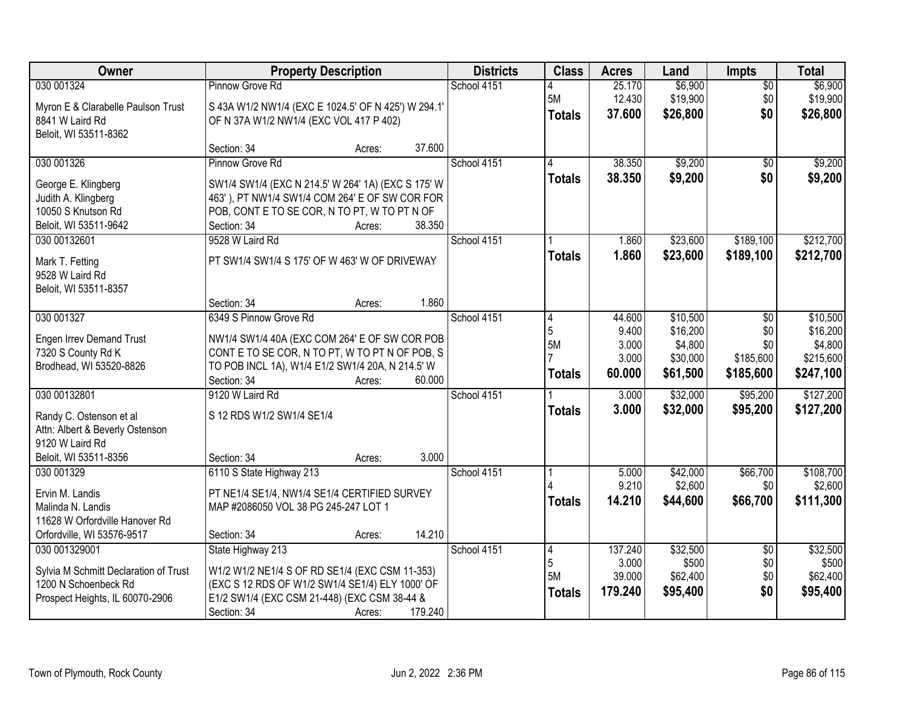| Owner                                                                                                                  | <b>Property Description</b>                                                                                                                                                                                | <b>Districts</b> | <b>Class</b>                          | <b>Acres</b>                          | Land                                                    | Impts                                | <b>Total</b>                                              |
|------------------------------------------------------------------------------------------------------------------------|------------------------------------------------------------------------------------------------------------------------------------------------------------------------------------------------------------|------------------|---------------------------------------|---------------------------------------|---------------------------------------------------------|--------------------------------------|-----------------------------------------------------------|
| 030 001324<br>Myron E & Clarabelle Paulson Trust<br>8841 W Laird Rd<br>Beloit, WI 53511-8362                           | Pinnow Grove Rd<br>S 43A W1/2 NW1/4 (EXC E 1024.5' OF N 425') W 294.1'<br>OF N 37A W1/2 NW1/4 (EXC VOL 417 P 402)                                                                                          | School 4151      | 5M<br><b>Totals</b>                   | 25.170<br>12.430<br>37.600            | \$6,900<br>\$19,900<br>\$26,800                         | $\overline{50}$<br>\$0<br>\$0        | \$6,900<br>\$19,900<br>\$26,800                           |
|                                                                                                                        | Section: 34<br>37.600<br>Acres:                                                                                                                                                                            |                  |                                       |                                       |                                                         |                                      |                                                           |
| 030 001326                                                                                                             | Pinnow Grove Rd                                                                                                                                                                                            | School 4151      | 4<br><b>Totals</b>                    | 38.350<br>38.350                      | \$9,200<br>\$9,200                                      | \$0<br>\$0                           | \$9,200<br>\$9,200                                        |
| George E. Klingberg<br>Judith A. Klingberg<br>10050 S Knutson Rd<br>Beloit, WI 53511-9642                              | SW1/4 SW1/4 (EXC N 214.5' W 264' 1A) (EXC S 175' W<br>463' ), PT NW1/4 SW1/4 COM 264' E OF SW COR FOR<br>POB, CONT E TO SE COR, N TO PT, W TO PT N OF<br>38.350<br>Section: 34<br>Acres:                   |                  |                                       |                                       |                                                         |                                      |                                                           |
| 030 00132601<br>Mark T. Fetting<br>9528 W Laird Rd<br>Beloit, WI 53511-8357                                            | 9528 W Laird Rd<br>PT SW1/4 SW1/4 S 175' OF W 463' W OF DRIVEWAY                                                                                                                                           | School 4151      | <b>Totals</b>                         | 1.860<br>1.860                        | \$23,600<br>\$23,600                                    | \$189,100<br>\$189,100               | \$212,700<br>\$212,700                                    |
| 030 001327                                                                                                             | 1.860<br>Section: 34<br>Acres:<br>6349 S Pinnow Grove Rd                                                                                                                                                   | School 4151      |                                       | 44.600                                |                                                         | $\overline{50}$                      |                                                           |
| <b>Engen Irrev Demand Trust</b><br>7320 S County Rd K<br>Brodhead, WI 53520-8826                                       | NW1/4 SW1/4 40A (EXC COM 264' E OF SW COR POB<br>CONTETO SE COR, N TO PT, W TO PT N OF POB, S<br>TO POB INCL 1A), W1/4 E1/2 SW1/4 20A, N 214.5' W<br>Section: 34<br>60.000<br>Acres:                       |                  | 14<br>5<br>5M<br><b>Totals</b>        | 9.400<br>3.000<br>3.000<br>60.000     | \$10,500<br>\$16,200<br>\$4,800<br>\$30,000<br>\$61,500 | \$0<br>\$0<br>\$185,600<br>\$185,600 | \$10,500<br>\$16,200<br>\$4,800<br>\$215,600<br>\$247,100 |
| 030 00132801<br>Randy C. Ostenson et al<br>Attn: Albert & Beverly Ostenson<br>9120 W Laird Rd<br>Beloit, WI 53511-8356 | 9120 W Laird Rd<br>S 12 RDS W1/2 SW1/4 SE1/4<br>3.000<br>Section: 34<br>Acres:                                                                                                                             | School 4151      | <b>Totals</b>                         | 3.000<br>3.000                        | \$32,000<br>\$32,000                                    | \$95,200<br>\$95,200                 | \$127,200<br>\$127,200                                    |
| 030 001329<br>Ervin M. Landis<br>Malinda N. Landis<br>11628 W Orfordville Hanover Rd<br>Orfordville, WI 53576-9517     | 6110 S State Highway 213<br>PT NE1/4 SE1/4, NW1/4 SE1/4 CERTIFIED SURVEY<br>MAP #2086050 VOL 38 PG 245-247 LOT 1<br>14.210<br>Section: 34<br>Acres:                                                        | School 4151      | <b>Totals</b>                         | 5.000<br>9.210<br>14.210              | \$42,000<br>\$2,600<br>\$44,600                         | \$66,700<br>\$0<br>\$66,700          | \$108,700<br>\$2,600<br>\$111,300                         |
| 030 001329001<br>Sylvia M Schmitt Declaration of Trust<br>1200 N Schoenbeck Rd<br>Prospect Heights, IL 60070-2906      | State Highway 213<br>W1/2 W1/2 NE1/4 S OF RD SE1/4 (EXC CSM 11-353)<br>(EXC S 12 RDS OF W1/2 SW1/4 SE1/4) ELY 1000' OF<br>E1/2 SW1/4 (EXC CSM 21-448) (EXC CSM 38-44 &<br>179.240<br>Section: 34<br>Acres: | School 4151      | $\vert 4$<br>5<br>5M<br><b>Totals</b> | 137.240<br>3.000<br>39.000<br>179.240 | \$32,500<br>\$500<br>\$62,400<br>\$95,400               | $\overline{30}$<br>\$0<br>\$0<br>\$0 | \$32,500<br>\$500<br>\$62,400<br>\$95,400                 |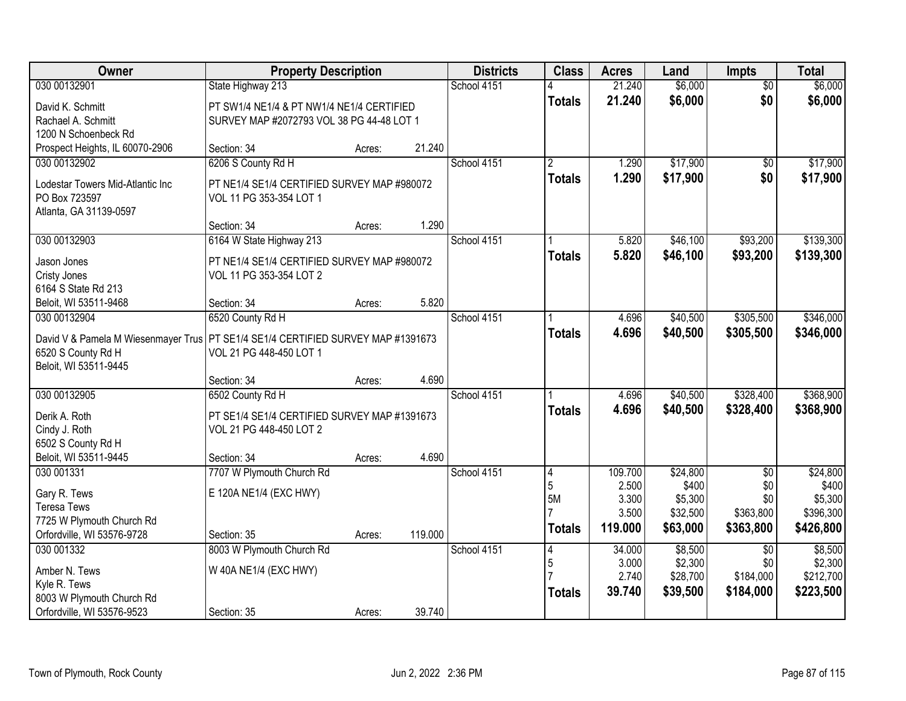| Owner                                                                              | <b>Property Description</b>                  |        |         | <b>Districts</b> | <b>Class</b>   | <b>Acres</b> | Land              | Impts                  | <b>Total</b>      |
|------------------------------------------------------------------------------------|----------------------------------------------|--------|---------|------------------|----------------|--------------|-------------------|------------------------|-------------------|
| 030 00132901                                                                       | State Highway 213                            |        |         | School 4151      |                | 21.240       | \$6,000           | $\overline{50}$        | \$6,000           |
| David K. Schmitt                                                                   | PT SW1/4 NE1/4 & PT NW1/4 NE1/4 CERTIFIED    |        |         |                  | <b>Totals</b>  | 21.240       | \$6,000           | \$0                    | \$6,000           |
| Rachael A. Schmitt                                                                 | SURVEY MAP #2072793 VOL 38 PG 44-48 LOT 1    |        |         |                  |                |              |                   |                        |                   |
| 1200 N Schoenbeck Rd                                                               |                                              |        |         |                  |                |              |                   |                        |                   |
| Prospect Heights, IL 60070-2906                                                    | Section: 34                                  | Acres: | 21.240  |                  |                |              |                   |                        |                   |
| 030 00132902                                                                       | 6206 S County Rd H                           |        |         | School 4151      | $\overline{2}$ | 1.290        | \$17,900          | $\overline{50}$        | \$17,900          |
| Lodestar Towers Mid-Atlantic Inc                                                   | PT NE1/4 SE1/4 CERTIFIED SURVEY MAP #980072  |        |         |                  | <b>Totals</b>  | 1.290        | \$17,900          | \$0                    | \$17,900          |
| PO Box 723597                                                                      | VOL 11 PG 353-354 LOT 1                      |        |         |                  |                |              |                   |                        |                   |
| Atlanta, GA 31139-0597                                                             |                                              |        |         |                  |                |              |                   |                        |                   |
|                                                                                    | Section: 34                                  | Acres: | 1.290   |                  |                |              |                   |                        |                   |
| 030 00132903                                                                       | 6164 W State Highway 213                     |        |         | School 4151      |                | 5.820        | \$46,100          | \$93,200               | \$139,300         |
| Jason Jones                                                                        | PT NE1/4 SE1/4 CERTIFIED SURVEY MAP #980072  |        |         |                  | <b>Totals</b>  | 5.820        | \$46,100          | \$93,200               | \$139,300         |
| Cristy Jones                                                                       | VOL 11 PG 353-354 LOT 2                      |        |         |                  |                |              |                   |                        |                   |
| 6164 S State Rd 213                                                                |                                              |        |         |                  |                |              |                   |                        |                   |
| Beloit, WI 53511-9468                                                              | Section: 34                                  | Acres: | 5.820   |                  |                |              |                   |                        |                   |
| 030 00132904                                                                       | 6520 County Rd H                             |        |         | School 4151      |                | 4.696        | \$40,500          | \$305,500              | \$346,000         |
|                                                                                    |                                              |        |         |                  | <b>Totals</b>  | 4.696        | \$40,500          | \$305,500              | \$346,000         |
| David V & Pamela M Wiesenmayer Trus   PT SE1/4 SE1/4 CERTIFIED SURVEY MAP #1391673 | VOL 21 PG 448-450 LOT 1                      |        |         |                  |                |              |                   |                        |                   |
| 6520 S County Rd H<br>Beloit, WI 53511-9445                                        |                                              |        |         |                  |                |              |                   |                        |                   |
|                                                                                    | Section: 34                                  | Acres: | 4.690   |                  |                |              |                   |                        |                   |
| 030 00132905                                                                       | 6502 County Rd H                             |        |         | School 4151      |                | 4.696        | \$40,500          | \$328,400              | \$368,900         |
|                                                                                    |                                              |        |         |                  | <b>Totals</b>  | 4.696        | \$40,500          | \$328,400              | \$368,900         |
| Derik A. Roth                                                                      | PT SE1/4 SE1/4 CERTIFIED SURVEY MAP #1391673 |        |         |                  |                |              |                   |                        |                   |
| Cindy J. Roth                                                                      | VOL 21 PG 448-450 LOT 2                      |        |         |                  |                |              |                   |                        |                   |
| 6502 S County Rd H                                                                 |                                              |        |         |                  |                |              |                   |                        |                   |
| Beloit, WI 53511-9445<br>030 001331                                                | Section: 34                                  | Acres: | 4.690   | School 4151      |                | 109.700      |                   |                        |                   |
|                                                                                    | 7707 W Plymouth Church Rd                    |        |         |                  | 4<br>5         | 2.500        | \$24,800<br>\$400 | $\overline{50}$<br>\$0 | \$24,800<br>\$400 |
| Gary R. Tews                                                                       | E 120A NE1/4 (EXC HWY)                       |        |         |                  | 5M             | 3.300        | \$5,300           | \$0                    | \$5,300           |
| <b>Teresa Tews</b>                                                                 |                                              |        |         |                  |                | 3.500        | \$32,500          | \$363,800              | \$396,300         |
| 7725 W Plymouth Church Rd                                                          |                                              |        |         |                  | <b>Totals</b>  | 119.000      | \$63,000          | \$363,800              | \$426,800         |
| Orfordville, WI 53576-9728                                                         | Section: 35                                  | Acres: | 119.000 |                  |                |              |                   |                        |                   |
| 030 001332                                                                         | 8003 W Plymouth Church Rd                    |        |         | School 4151      | 4              | 34.000       | \$8,500           | $\overline{50}$        | \$8,500           |
| Amber N. Tews                                                                      | W 40A NE1/4 (EXC HWY)                        |        |         |                  | 5              | 3.000        | \$2,300           | \$0                    | \$2,300           |
| Kyle R. Tews                                                                       |                                              |        |         |                  |                | 2.740        | \$28,700          | \$184,000              | \$212,700         |
| 8003 W Plymouth Church Rd                                                          |                                              |        |         |                  | <b>Totals</b>  | 39.740       | \$39,500          | \$184,000              | \$223,500         |
| Orfordville, WI 53576-9523                                                         | Section: 35                                  | Acres: | 39.740  |                  |                |              |                   |                        |                   |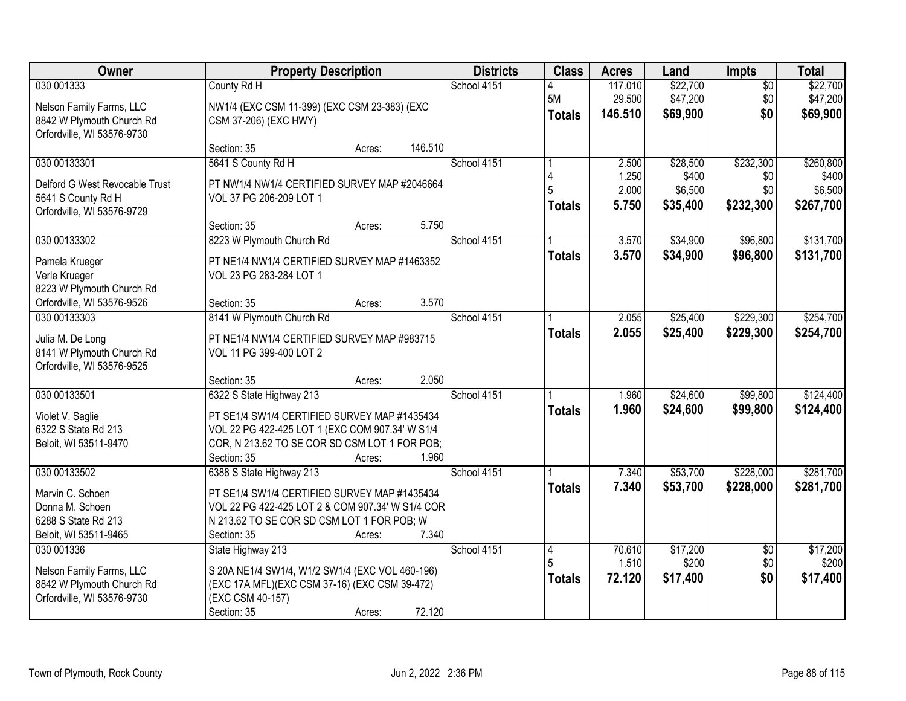| Owner                          | <b>Property Description</b>                      | <b>Districts</b> | <b>Class</b>  | <b>Acres</b> | Land     | <b>Impts</b>    | <b>Total</b> |
|--------------------------------|--------------------------------------------------|------------------|---------------|--------------|----------|-----------------|--------------|
| 030 001333                     | County Rd H                                      | School 4151      |               | 117.010      | \$22,700 | $\overline{50}$ | \$22,700     |
| Nelson Family Farms, LLC       | NW1/4 (EXC CSM 11-399) (EXC CSM 23-383) (EXC     |                  | 5M            | 29.500       | \$47,200 | \$0             | \$47,200     |
| 8842 W Plymouth Church Rd      | CSM 37-206) (EXC HWY)                            |                  | <b>Totals</b> | 146.510      | \$69,900 | \$0             | \$69,900     |
| Orfordville, WI 53576-9730     |                                                  |                  |               |              |          |                 |              |
|                                | 146.510<br>Section: 35<br>Acres:                 |                  |               |              |          |                 |              |
| 030 00133301                   | 5641 S County Rd H                               | School 4151      |               | 2.500        | \$28,500 | \$232,300       | \$260,800    |
| Delford G West Revocable Trust | PT NW1/4 NW1/4 CERTIFIED SURVEY MAP #2046664     |                  |               | 1.250        | \$400    | \$0             | \$400        |
| 5641 S County Rd H             | VOL 37 PG 206-209 LOT 1                          |                  |               | 2.000        | \$6,500  | \$0             | \$6,500      |
| Orfordville, WI 53576-9729     |                                                  |                  | <b>Totals</b> | 5.750        | \$35,400 | \$232,300       | \$267,700    |
|                                | 5.750<br>Section: 35<br>Acres:                   |                  |               |              |          |                 |              |
| 030 00133302                   | 8223 W Plymouth Church Rd                        | School 4151      |               | 3.570        | \$34,900 | \$96,800        | \$131,700    |
| Pamela Krueger                 | PT NE1/4 NW1/4 CERTIFIED SURVEY MAP #1463352     |                  | <b>Totals</b> | 3.570        | \$34,900 | \$96,800        | \$131,700    |
| Verle Krueger                  | VOL 23 PG 283-284 LOT 1                          |                  |               |              |          |                 |              |
| 8223 W Plymouth Church Rd      |                                                  |                  |               |              |          |                 |              |
| Orfordville, WI 53576-9526     | 3.570<br>Section: 35<br>Acres:                   |                  |               |              |          |                 |              |
| 030 00133303                   | 8141 W Plymouth Church Rd                        | School 4151      |               | 2.055        | \$25,400 | \$229,300       | \$254,700    |
| Julia M. De Long               | PT NE1/4 NW1/4 CERTIFIED SURVEY MAP #983715      |                  | <b>Totals</b> | 2.055        | \$25,400 | \$229,300       | \$254,700    |
| 8141 W Plymouth Church Rd      | VOL 11 PG 399-400 LOT 2                          |                  |               |              |          |                 |              |
| Orfordville, WI 53576-9525     |                                                  |                  |               |              |          |                 |              |
|                                | 2.050<br>Section: 35<br>Acres:                   |                  |               |              |          |                 |              |
| 030 00133501                   | 6322 S State Highway 213                         | School 4151      |               | 1.960        | \$24,600 | \$99,800        | \$124,400    |
| Violet V. Saglie               | PT SE1/4 SW1/4 CERTIFIED SURVEY MAP #1435434     |                  | <b>Totals</b> | 1.960        | \$24,600 | \$99,800        | \$124,400    |
| 6322 S State Rd 213            | VOL 22 PG 422-425 LOT 1 (EXC COM 907.34' W S1/4  |                  |               |              |          |                 |              |
| Beloit, WI 53511-9470          | COR, N 213.62 TO SE COR SD CSM LOT 1 FOR POB;    |                  |               |              |          |                 |              |
|                                | 1.960<br>Section: 35<br>Acres:                   |                  |               |              |          |                 |              |
| 030 00133502                   | 6388 S State Highway 213                         | School 4151      |               | 7.340        | \$53,700 | \$228,000       | \$281,700    |
| Marvin C. Schoen               | PT SE1/4 SW1/4 CERTIFIED SURVEY MAP #1435434     |                  | <b>Totals</b> | 7.340        | \$53,700 | \$228,000       | \$281,700    |
| Donna M. Schoen                | VOL 22 PG 422-425 LOT 2 & COM 907.34' W S1/4 COR |                  |               |              |          |                 |              |
| 6288 S State Rd 213            | N 213.62 TO SE COR SD CSM LOT 1 FOR POB; W       |                  |               |              |          |                 |              |
| Beloit, WI 53511-9465          | 7.340<br>Section: 35<br>Acres:                   |                  |               |              |          |                 |              |
| 030 001336                     | State Highway 213                                | School 4151      | 14            | 70.610       | \$17,200 | $\overline{50}$ | \$17,200     |
| Nelson Family Farms, LLC       | S 20A NE1/4 SW1/4, W1/2 SW1/4 (EXC VOL 460-196)  |                  |               | 1.510        | \$200    | \$0             | \$200        |
| 8842 W Plymouth Church Rd      | (EXC 17A MFL)(EXC CSM 37-16) (EXC CSM 39-472)    |                  | <b>Totals</b> | 72.120       | \$17,400 | \$0             | \$17,400     |
| Orfordville, WI 53576-9730     | (EXC CSM 40-157)                                 |                  |               |              |          |                 |              |
|                                | 72.120<br>Section: 35<br>Acres:                  |                  |               |              |          |                 |              |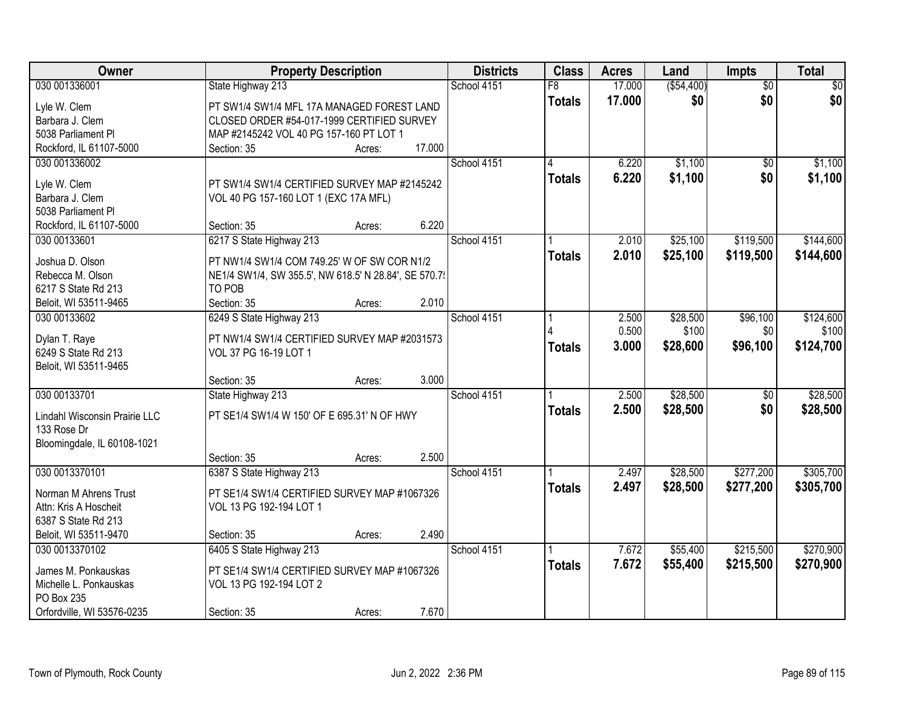| Owner                         | <b>Property Description</b>                           |        |        | <b>Districts</b> | <b>Class</b>  | <b>Acres</b> | Land        | Impts           | <b>Total</b> |
|-------------------------------|-------------------------------------------------------|--------|--------|------------------|---------------|--------------|-------------|-----------------|--------------|
| 030 001336001                 | State Highway 213                                     |        |        | School 4151      | F8            | 17.000       | ( \$54,400) | $\overline{30}$ | \$0          |
| Lyle W. Clem                  | PT SW1/4 SW1/4 MFL 17A MANAGED FOREST LAND            |        |        |                  | <b>Totals</b> | 17.000       | \$0         | \$0             | \$0          |
| Barbara J. Clem               | CLOSED ORDER #54-017-1999 CERTIFIED SURVEY            |        |        |                  |               |              |             |                 |              |
| 5038 Parliament PI            | MAP #2145242 VOL 40 PG 157-160 PT LOT 1               |        |        |                  |               |              |             |                 |              |
| Rockford, IL 61107-5000       | Section: 35                                           | Acres: | 17.000 |                  |               |              |             |                 |              |
| 030 001336002                 |                                                       |        |        | School 4151      |               | 6.220        | \$1,100     | $\overline{50}$ | \$1,100      |
|                               |                                                       |        |        |                  | <b>Totals</b> | 6.220        | \$1,100     | \$0             | \$1,100      |
| Lyle W. Clem                  | PT SW1/4 SW1/4 CERTIFIED SURVEY MAP #2145242          |        |        |                  |               |              |             |                 |              |
| Barbara J. Clem               | VOL 40 PG 157-160 LOT 1 (EXC 17A MFL)                 |        |        |                  |               |              |             |                 |              |
| 5038 Parliament PI            |                                                       |        |        |                  |               |              |             |                 |              |
| Rockford, IL 61107-5000       | Section: 35                                           | Acres: | 6.220  |                  |               |              |             |                 |              |
| 030 00133601                  | 6217 S State Highway 213                              |        |        | School 4151      |               | 2.010        | \$25,100    | \$119,500       | \$144,600    |
| Joshua D. Olson               | PT NW1/4 SW1/4 COM 749.25' W OF SW COR N1/2           |        |        |                  | <b>Totals</b> | 2.010        | \$25,100    | \$119,500       | \$144,600    |
| Rebecca M. Olson              | NE1/4 SW1/4, SW 355.5', NW 618.5' N 28.84', SE 570.7! |        |        |                  |               |              |             |                 |              |
| 6217 S State Rd 213           | TO POB                                                |        |        |                  |               |              |             |                 |              |
| Beloit, WI 53511-9465         | Section: 35                                           | Acres: | 2.010  |                  |               |              |             |                 |              |
| 030 00133602                  | 6249 S State Highway 213                              |        |        | School 4151      |               | 2.500        | \$28,500    | \$96,100        | \$124,600    |
|                               |                                                       |        |        |                  |               | 0.500        | \$100       | \$0             | \$100        |
| Dylan T. Raye                 | PT NW1/4 SW1/4 CERTIFIED SURVEY MAP #2031573          |        |        |                  | <b>Totals</b> | 3.000        | \$28,600    | \$96,100        | \$124,700    |
| 6249 S State Rd 213           | VOL 37 PG 16-19 LOT 1                                 |        |        |                  |               |              |             |                 |              |
| Beloit, WI 53511-9465         |                                                       |        |        |                  |               |              |             |                 |              |
|                               | Section: 35                                           | Acres: | 3.000  |                  |               |              |             |                 |              |
| 030 00133701                  | State Highway 213                                     |        |        | School 4151      |               | 2.500        | \$28,500    | $\overline{50}$ | \$28,500     |
| Lindahl Wisconsin Prairie LLC | PT SE1/4 SW1/4 W 150' OF E 695.31' N OF HWY           |        |        |                  | <b>Totals</b> | 2.500        | \$28,500    | \$0             | \$28,500     |
| 133 Rose Dr                   |                                                       |        |        |                  |               |              |             |                 |              |
| Bloomingdale, IL 60108-1021   |                                                       |        |        |                  |               |              |             |                 |              |
|                               | Section: 35                                           | Acres: | 2.500  |                  |               |              |             |                 |              |
| 030 0013370101                | 6387 S State Highway 213                              |        |        | School 4151      |               | 2.497        | \$28,500    | \$277,200       | \$305,700    |
| Norman M Ahrens Trust         | PT SE1/4 SW1/4 CERTIFIED SURVEY MAP #1067326          |        |        |                  | <b>Totals</b> | 2.497        | \$28,500    | \$277,200       | \$305,700    |
| Attn: Kris A Hoscheit         | VOL 13 PG 192-194 LOT 1                               |        |        |                  |               |              |             |                 |              |
| 6387 S State Rd 213           |                                                       |        |        |                  |               |              |             |                 |              |
| Beloit, WI 53511-9470         | Section: 35                                           | Acres: | 2.490  |                  |               |              |             |                 |              |
| 030 0013370102                | 6405 S State Highway 213                              |        |        | School 4151      |               | 7.672        | \$55,400    | \$215,500       | \$270,900    |
|                               |                                                       |        |        |                  | <b>Totals</b> | 7.672        | \$55,400    | \$215,500       | \$270,900    |
| James M. Ponkauskas           | PT SE1/4 SW1/4 CERTIFIED SURVEY MAP #1067326          |        |        |                  |               |              |             |                 |              |
| Michelle L. Ponkauskas        | VOL 13 PG 192-194 LOT 2                               |        |        |                  |               |              |             |                 |              |
| PO Box 235                    |                                                       |        |        |                  |               |              |             |                 |              |
| Orfordville, WI 53576-0235    | Section: 35                                           | Acres: | 7.670  |                  |               |              |             |                 |              |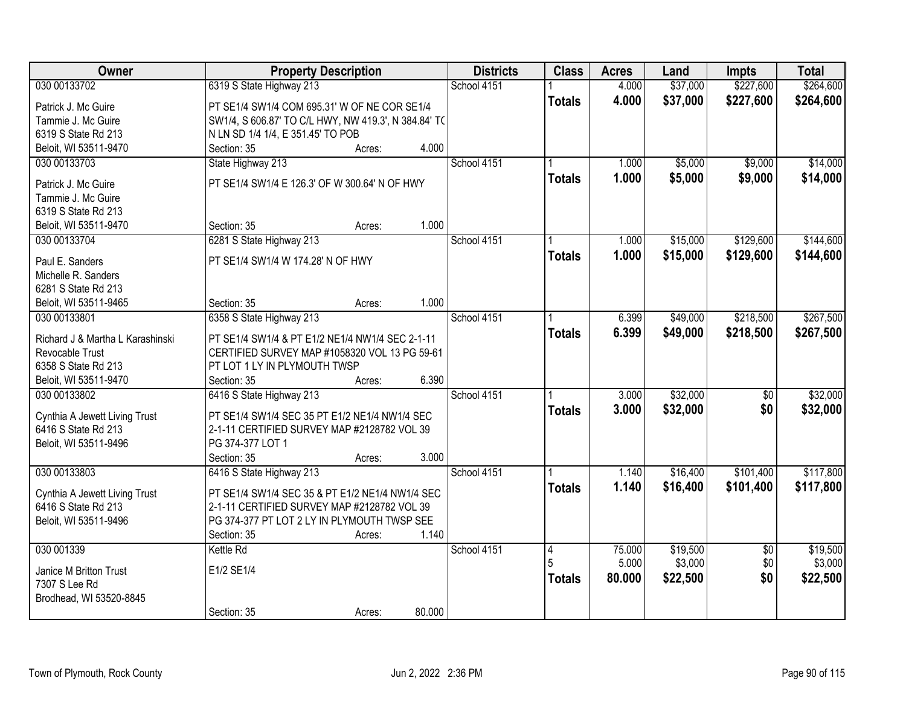| \$37,000<br>\$227,600<br>\$264,600<br>030 00133702<br>6319 S State Highway 213<br>School 4151<br>4.000<br>4.000<br>\$227,600<br>\$37,000<br>\$264,600<br><b>Totals</b><br>PT SE1/4 SW1/4 COM 695.31' W OF NE COR SE1/4<br>Patrick J. Mc Guire<br>Tammie J. Mc Guire<br>SW1/4, S 606.87' TO C/L HWY, NW 419.3', N 384.84' TO<br>6319 S State Rd 213<br>N LN SD 1/4 1/4, E 351.45' TO POB<br>4.000<br>Beloit, WI 53511-9470<br>Section: 35<br>Acres:<br>\$5,000<br>030 00133703<br>State Highway 213<br>School 4151<br>\$9,000<br>1.000<br>1.000<br>\$5,000<br>\$9,000<br>\$14,000<br><b>Totals</b><br>PT SE1/4 SW1/4 E 126.3' OF W 300.64' N OF HWY<br>Patrick J. Mc Guire<br>Tammie J. Mc Guire<br>6319 S State Rd 213<br>1.000<br>Section: 35<br>Beloit, WI 53511-9470<br>Acres:<br>\$129,600<br>030 00133704<br>6281 S State Highway 213<br>School 4151<br>\$15,000<br>1.000<br>\$15,000<br>\$129,600<br>1.000<br>\$144,600<br><b>Totals</b><br>PT SE1/4 SW1/4 W 174.28' N OF HWY<br>Paul E. Sanders<br>Michelle R. Sanders |
|-------------------------------------------------------------------------------------------------------------------------------------------------------------------------------------------------------------------------------------------------------------------------------------------------------------------------------------------------------------------------------------------------------------------------------------------------------------------------------------------------------------------------------------------------------------------------------------------------------------------------------------------------------------------------------------------------------------------------------------------------------------------------------------------------------------------------------------------------------------------------------------------------------------------------------------------------------------------------------------------------------------------------------|
|                                                                                                                                                                                                                                                                                                                                                                                                                                                                                                                                                                                                                                                                                                                                                                                                                                                                                                                                                                                                                               |
|                                                                                                                                                                                                                                                                                                                                                                                                                                                                                                                                                                                                                                                                                                                                                                                                                                                                                                                                                                                                                               |
| \$14,000<br>\$144,600                                                                                                                                                                                                                                                                                                                                                                                                                                                                                                                                                                                                                                                                                                                                                                                                                                                                                                                                                                                                         |
|                                                                                                                                                                                                                                                                                                                                                                                                                                                                                                                                                                                                                                                                                                                                                                                                                                                                                                                                                                                                                               |
|                                                                                                                                                                                                                                                                                                                                                                                                                                                                                                                                                                                                                                                                                                                                                                                                                                                                                                                                                                                                                               |
|                                                                                                                                                                                                                                                                                                                                                                                                                                                                                                                                                                                                                                                                                                                                                                                                                                                                                                                                                                                                                               |
|                                                                                                                                                                                                                                                                                                                                                                                                                                                                                                                                                                                                                                                                                                                                                                                                                                                                                                                                                                                                                               |
|                                                                                                                                                                                                                                                                                                                                                                                                                                                                                                                                                                                                                                                                                                                                                                                                                                                                                                                                                                                                                               |
|                                                                                                                                                                                                                                                                                                                                                                                                                                                                                                                                                                                                                                                                                                                                                                                                                                                                                                                                                                                                                               |
|                                                                                                                                                                                                                                                                                                                                                                                                                                                                                                                                                                                                                                                                                                                                                                                                                                                                                                                                                                                                                               |
|                                                                                                                                                                                                                                                                                                                                                                                                                                                                                                                                                                                                                                                                                                                                                                                                                                                                                                                                                                                                                               |
|                                                                                                                                                                                                                                                                                                                                                                                                                                                                                                                                                                                                                                                                                                                                                                                                                                                                                                                                                                                                                               |
|                                                                                                                                                                                                                                                                                                                                                                                                                                                                                                                                                                                                                                                                                                                                                                                                                                                                                                                                                                                                                               |
|                                                                                                                                                                                                                                                                                                                                                                                                                                                                                                                                                                                                                                                                                                                                                                                                                                                                                                                                                                                                                               |
| 6281 S State Rd 213                                                                                                                                                                                                                                                                                                                                                                                                                                                                                                                                                                                                                                                                                                                                                                                                                                                                                                                                                                                                           |
| 1.000<br>Section: 35<br>Beloit, WI 53511-9465<br>Acres:                                                                                                                                                                                                                                                                                                                                                                                                                                                                                                                                                                                                                                                                                                                                                                                                                                                                                                                                                                       |
| \$49,000<br>\$218,500<br>\$267,500<br>6358 S State Highway 213<br>School 4151<br>030 00133801<br>6.399                                                                                                                                                                                                                                                                                                                                                                                                                                                                                                                                                                                                                                                                                                                                                                                                                                                                                                                        |
| 6.399<br>\$49,000<br>\$218,500<br>\$267,500<br><b>Totals</b><br>Richard J & Martha L Karashinski<br>PT SE1/4 SW1/4 & PT E1/2 NE1/4 NW1/4 SEC 2-1-11                                                                                                                                                                                                                                                                                                                                                                                                                                                                                                                                                                                                                                                                                                                                                                                                                                                                           |
| Revocable Trust<br>CERTIFIED SURVEY MAP #1058320 VOL 13 PG 59-61                                                                                                                                                                                                                                                                                                                                                                                                                                                                                                                                                                                                                                                                                                                                                                                                                                                                                                                                                              |
| 6358 S State Rd 213<br>PT LOT 1 LY IN PLYMOUTH TWSP                                                                                                                                                                                                                                                                                                                                                                                                                                                                                                                                                                                                                                                                                                                                                                                                                                                                                                                                                                           |
| 6.390<br>Beloit, WI 53511-9470<br>Section: 35<br>Acres:                                                                                                                                                                                                                                                                                                                                                                                                                                                                                                                                                                                                                                                                                                                                                                                                                                                                                                                                                                       |
| \$32,000<br>\$32,000<br>030 00133802<br>6416 S State Highway 213<br>School 4151<br>3.000<br>\$0                                                                                                                                                                                                                                                                                                                                                                                                                                                                                                                                                                                                                                                                                                                                                                                                                                                                                                                               |
| \$32,000<br>3.000<br>\$0<br>\$32,000<br><b>Totals</b><br>Cynthia A Jewett Living Trust<br>PT SE1/4 SW1/4 SEC 35 PT E1/2 NE1/4 NW1/4 SEC                                                                                                                                                                                                                                                                                                                                                                                                                                                                                                                                                                                                                                                                                                                                                                                                                                                                                       |
| 6416 S State Rd 213<br>2-1-11 CERTIFIED SURVEY MAP #2128782 VOL 39                                                                                                                                                                                                                                                                                                                                                                                                                                                                                                                                                                                                                                                                                                                                                                                                                                                                                                                                                            |
| PG 374-377 LOT 1<br>Beloit, WI 53511-9496                                                                                                                                                                                                                                                                                                                                                                                                                                                                                                                                                                                                                                                                                                                                                                                                                                                                                                                                                                                     |
| 3.000<br>Section: 35<br>Acres:                                                                                                                                                                                                                                                                                                                                                                                                                                                                                                                                                                                                                                                                                                                                                                                                                                                                                                                                                                                                |
| School 4151<br>030 00133803<br>6416 S State Highway 213<br>\$16,400<br>\$101,400<br>\$117,800<br>1.140                                                                                                                                                                                                                                                                                                                                                                                                                                                                                                                                                                                                                                                                                                                                                                                                                                                                                                                        |
| 1.140<br>\$16,400<br>\$101,400<br>\$117,800<br><b>Totals</b><br>PT SE1/4 SW1/4 SEC 35 & PT E1/2 NE1/4 NW1/4 SEC<br>Cynthia A Jewett Living Trust                                                                                                                                                                                                                                                                                                                                                                                                                                                                                                                                                                                                                                                                                                                                                                                                                                                                              |
| 2-1-11 CERTIFIED SURVEY MAP #2128782 VOL 39<br>6416 S State Rd 213                                                                                                                                                                                                                                                                                                                                                                                                                                                                                                                                                                                                                                                                                                                                                                                                                                                                                                                                                            |
| Beloit, WI 53511-9496<br>PG 374-377 PT LOT 2 LY IN PLYMOUTH TWSP SEE                                                                                                                                                                                                                                                                                                                                                                                                                                                                                                                                                                                                                                                                                                                                                                                                                                                                                                                                                          |
| 1.140<br>Section: 35<br>Acres:                                                                                                                                                                                                                                                                                                                                                                                                                                                                                                                                                                                                                                                                                                                                                                                                                                                                                                                                                                                                |
| 030 001339<br>School 4151<br>$\overline{4}$<br>\$19,500<br>\$19,500<br>Kettle Rd<br>75.000<br>$\overline{50}$                                                                                                                                                                                                                                                                                                                                                                                                                                                                                                                                                                                                                                                                                                                                                                                                                                                                                                                 |
| \$3,000<br>\$0<br>5.000<br>\$3,000<br>E1/2 SE1/4                                                                                                                                                                                                                                                                                                                                                                                                                                                                                                                                                                                                                                                                                                                                                                                                                                                                                                                                                                              |
| Janice M Britton Trust<br>\$0<br>80.000<br>\$22,500<br>\$22,500<br><b>Totals</b><br>7307 S Lee Rd                                                                                                                                                                                                                                                                                                                                                                                                                                                                                                                                                                                                                                                                                                                                                                                                                                                                                                                             |
| Brodhead, WI 53520-8845                                                                                                                                                                                                                                                                                                                                                                                                                                                                                                                                                                                                                                                                                                                                                                                                                                                                                                                                                                                                       |
| 80.000<br>Section: 35<br>Acres:                                                                                                                                                                                                                                                                                                                                                                                                                                                                                                                                                                                                                                                                                                                                                                                                                                                                                                                                                                                               |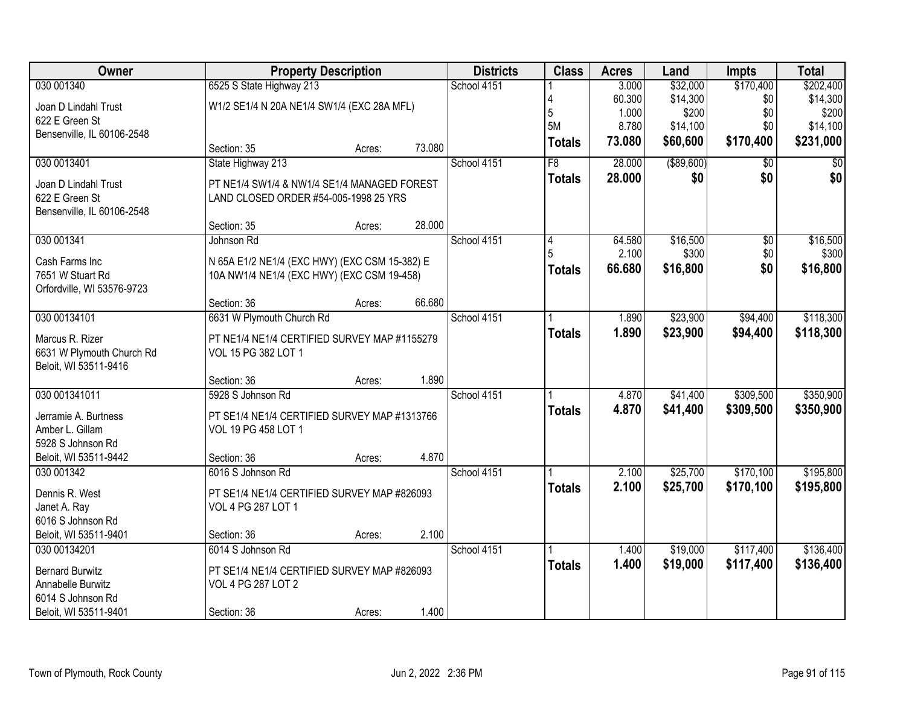| Owner                      |                                               | <b>Property Description</b> |        | <b>Districts</b> | <b>Class</b>    | <b>Acres</b> | Land        | <b>Impts</b>    | <b>Total</b>    |
|----------------------------|-----------------------------------------------|-----------------------------|--------|------------------|-----------------|--------------|-------------|-----------------|-----------------|
| 030 001340                 | 6525 S State Highway 213                      |                             |        | School 4151      |                 | 3.000        | \$32,000    | \$170,400       | \$202,400       |
| Joan D Lindahl Trust       | W1/2 SE1/4 N 20A NE1/4 SW1/4 (EXC 28A MFL)    |                             |        |                  |                 | 60.300       | \$14,300    | \$0             | \$14,300        |
| 622 E Green St             |                                               |                             |        |                  | 5<br>5M         | 1.000        | \$200       | \$0             | \$200           |
| Bensenville, IL 60106-2548 |                                               |                             |        |                  |                 | 8.780        | \$14,100    | \$0             | \$14,100        |
|                            | Section: 35                                   | Acres:                      | 73.080 |                  | <b>Totals</b>   | 73.080       | \$60,600    | \$170,400       | \$231,000       |
| 030 0013401                | State Highway 213                             |                             |        | School 4151      | $\overline{F8}$ | 28.000       | ( \$89,600) | \$0             | $\overline{50}$ |
| Joan D Lindahl Trust       | PT NE1/4 SW1/4 & NW1/4 SE1/4 MANAGED FOREST   |                             |        |                  | <b>Totals</b>   | 28.000       | \$0         | \$0             | \$0             |
| 622 E Green St             | LAND CLOSED ORDER #54-005-1998 25 YRS         |                             |        |                  |                 |              |             |                 |                 |
| Bensenville, IL 60106-2548 |                                               |                             |        |                  |                 |              |             |                 |                 |
|                            | Section: 35                                   | Acres:                      | 28.000 |                  |                 |              |             |                 |                 |
| 030 001341                 | Johnson Rd                                    |                             |        | School 4151      | 4               | 64.580       | \$16,500    | $\overline{50}$ | \$16,500        |
| Cash Farms Inc             | N 65A E1/2 NE1/4 (EXC HWY) (EXC CSM 15-382) E |                             |        |                  |                 | 2.100        | \$300       | \$0             | \$300           |
| 7651 W Stuart Rd           | 10A NW1/4 NE1/4 (EXC HWY) (EXC CSM 19-458)    |                             |        |                  | <b>Totals</b>   | 66,680       | \$16,800    | \$0             | \$16,800        |
| Orfordville, WI 53576-9723 |                                               |                             |        |                  |                 |              |             |                 |                 |
|                            | Section: 36                                   | Acres:                      | 66.680 |                  |                 |              |             |                 |                 |
| 030 00134101               | 6631 W Plymouth Church Rd                     |                             |        | School 4151      |                 | 1.890        | \$23,900    | \$94,400        | \$118,300       |
| Marcus R. Rizer            | PT NE1/4 NE1/4 CERTIFIED SURVEY MAP #1155279  |                             |        |                  | <b>Totals</b>   | 1.890        | \$23,900    | \$94,400        | \$118,300       |
| 6631 W Plymouth Church Rd  | VOL 15 PG 382 LOT 1                           |                             |        |                  |                 |              |             |                 |                 |
| Beloit, WI 53511-9416      |                                               |                             |        |                  |                 |              |             |                 |                 |
|                            | Section: 36                                   | Acres:                      | 1.890  |                  |                 |              |             |                 |                 |
| 030 001341011              | 5928 S Johnson Rd                             |                             |        | School 4151      |                 | 4.870        | \$41,400    | \$309,500       | \$350,900       |
| Jerramie A. Burtness       | PT SE1/4 NE1/4 CERTIFIED SURVEY MAP #1313766  |                             |        |                  | <b>Totals</b>   | 4.870        | \$41,400    | \$309,500       | \$350,900       |
| Amber L. Gillam            | VOL 19 PG 458 LOT 1                           |                             |        |                  |                 |              |             |                 |                 |
| 5928 S Johnson Rd          |                                               |                             |        |                  |                 |              |             |                 |                 |
| Beloit, WI 53511-9442      | Section: 36                                   | Acres:                      | 4.870  |                  |                 |              |             |                 |                 |
| 030 001342                 | 6016 S Johnson Rd                             |                             |        | School 4151      |                 | 2.100        | \$25,700    | \$170,100       | \$195,800       |
| Dennis R. West             | PT SE1/4 NE1/4 CERTIFIED SURVEY MAP #826093   |                             |        |                  | <b>Totals</b>   | 2.100        | \$25,700    | \$170,100       | \$195,800       |
| Janet A. Ray               | VOL 4 PG 287 LOT 1                            |                             |        |                  |                 |              |             |                 |                 |
| 6016 S Johnson Rd          |                                               |                             |        |                  |                 |              |             |                 |                 |
| Beloit, WI 53511-9401      | Section: 36                                   | Acres:                      | 2.100  |                  |                 |              |             |                 |                 |
| 030 00134201               | 6014 S Johnson Rd                             |                             |        | School 4151      |                 | 1.400        | \$19,000    | \$117,400       | \$136,400       |
| <b>Bernard Burwitz</b>     | PT SE1/4 NE1/4 CERTIFIED SURVEY MAP #826093   |                             |        |                  | <b>Totals</b>   | 1.400        | \$19,000    | \$117,400       | \$136,400       |
| Annabelle Burwitz          | VOL 4 PG 287 LOT 2                            |                             |        |                  |                 |              |             |                 |                 |
| 6014 S Johnson Rd          |                                               |                             |        |                  |                 |              |             |                 |                 |
| Beloit, WI 53511-9401      | Section: 36                                   | Acres:                      | 1.400  |                  |                 |              |             |                 |                 |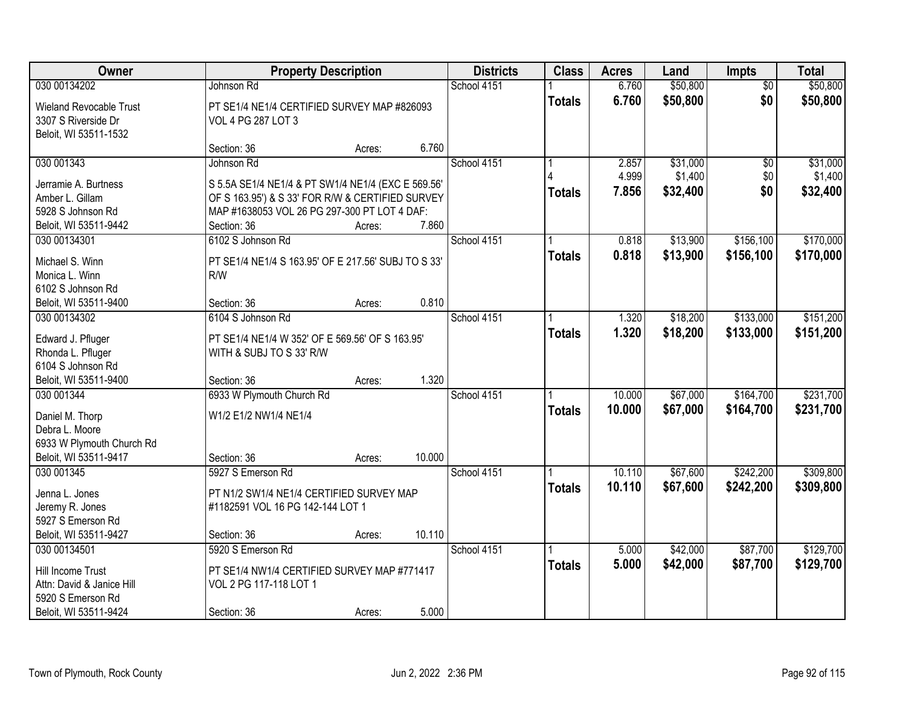| Owner                                |                                                                              | <b>Property Description</b> |        | <b>Districts</b> | <b>Class</b>  | <b>Acres</b> | Land     | <b>Impts</b>    | <b>Total</b> |
|--------------------------------------|------------------------------------------------------------------------------|-----------------------------|--------|------------------|---------------|--------------|----------|-----------------|--------------|
| 030 00134202                         | Johnson Rd                                                                   |                             |        | School 4151      |               | 6.760        | \$50,800 | $\overline{30}$ | \$50,800     |
| <b>Wieland Revocable Trust</b>       | PT SE1/4 NE1/4 CERTIFIED SURVEY MAP #826093                                  |                             |        |                  | <b>Totals</b> | 6.760        | \$50,800 | \$0             | \$50,800     |
| 3307 S Riverside Dr                  | VOL 4 PG 287 LOT 3                                                           |                             |        |                  |               |              |          |                 |              |
| Beloit, WI 53511-1532                |                                                                              |                             |        |                  |               |              |          |                 |              |
|                                      | Section: 36                                                                  | Acres:                      | 6.760  |                  |               |              |          |                 |              |
| 030 001343                           | Johnson Rd                                                                   |                             |        | School 4151      |               | 2.857        | \$31,000 | \$0             | \$31,000     |
| Jerramie A. Burtness                 | S 5.5A SE1/4 NE1/4 & PT SW1/4 NE1/4 (EXC E 569.56'                           |                             |        |                  |               | 4.999        | \$1,400  | \$0             | \$1,400      |
| Amber L. Gillam                      | OF S 163.95') & S 33' FOR R/W & CERTIFIED SURVEY                             |                             |        |                  | <b>Totals</b> | 7.856        | \$32,400 | \$0             | \$32,400     |
| 5928 S Johnson Rd                    | MAP #1638053 VOL 26 PG 297-300 PT LOT 4 DAF:                                 |                             |        |                  |               |              |          |                 |              |
| Beloit, WI 53511-9442                | Section: 36                                                                  | Acres:                      | 7.860  |                  |               |              |          |                 |              |
| 030 00134301                         | 6102 S Johnson Rd                                                            |                             |        | School 4151      |               | 0.818        | \$13,900 | \$156,100       | \$170,000    |
|                                      |                                                                              |                             |        |                  | <b>Totals</b> | 0.818        | \$13,900 | \$156,100       | \$170,000    |
| Michael S. Winn                      | PT SE1/4 NE1/4 S 163.95' OF E 217.56' SUBJ TO S 33'                          |                             |        |                  |               |              |          |                 |              |
| Monica L. Winn                       | R/W                                                                          |                             |        |                  |               |              |          |                 |              |
| 6102 S Johnson Rd                    |                                                                              |                             |        |                  |               |              |          |                 |              |
| Beloit, WI 53511-9400                | Section: 36                                                                  | Acres:                      | 0.810  |                  |               |              |          |                 |              |
| 030 00134302                         | 6104 S Johnson Rd                                                            |                             |        | School 4151      |               | 1.320        | \$18,200 | \$133,000       | \$151,200    |
| Edward J. Pfluger                    | PT SE1/4 NE1/4 W 352' OF E 569.56' OF S 163.95'                              |                             |        |                  | <b>Totals</b> | 1.320        | \$18,200 | \$133,000       | \$151,200    |
| Rhonda L. Pfluger                    | WITH & SUBJ TO S 33' R/W                                                     |                             |        |                  |               |              |          |                 |              |
| 6104 S Johnson Rd                    |                                                                              |                             |        |                  |               |              |          |                 |              |
| Beloit, WI 53511-9400                | Section: 36                                                                  | Acres:                      | 1.320  |                  |               |              |          |                 |              |
| 030 001344                           | 6933 W Plymouth Church Rd                                                    |                             |        | School 4151      |               | 10.000       | \$67,000 | \$164,700       | \$231,700    |
| Daniel M. Thorp                      | W1/2 E1/2 NW1/4 NE1/4                                                        |                             |        |                  | <b>Totals</b> | 10,000       | \$67,000 | \$164,700       | \$231,700    |
| Debra L. Moore                       |                                                                              |                             |        |                  |               |              |          |                 |              |
| 6933 W Plymouth Church Rd            |                                                                              |                             |        |                  |               |              |          |                 |              |
| Beloit, WI 53511-9417                | Section: 36                                                                  | Acres:                      | 10.000 |                  |               |              |          |                 |              |
| 030 001345                           | 5927 S Emerson Rd                                                            |                             |        | School 4151      |               | 10.110       | \$67,600 | \$242,200       | \$309,800    |
|                                      |                                                                              |                             |        |                  | <b>Totals</b> | 10.110       | \$67,600 | \$242,200       | \$309,800    |
| Jenna L. Jones                       | PT N1/2 SW1/4 NE1/4 CERTIFIED SURVEY MAP<br>#1182591 VOL 16 PG 142-144 LOT 1 |                             |        |                  |               |              |          |                 |              |
| Jeremy R. Jones<br>5927 S Emerson Rd |                                                                              |                             |        |                  |               |              |          |                 |              |
| Beloit, WI 53511-9427                | Section: 36                                                                  | Acres:                      | 10.110 |                  |               |              |          |                 |              |
| 030 00134501                         | 5920 S Emerson Rd                                                            |                             |        | School 4151      |               | 5.000        | \$42,000 | \$87,700        | \$129,700    |
|                                      |                                                                              |                             |        |                  | <b>Totals</b> | 5.000        | \$42,000 | \$87,700        | \$129,700    |
| Hill Income Trust                    | PT SE1/4 NW1/4 CERTIFIED SURVEY MAP #771417                                  |                             |        |                  |               |              |          |                 |              |
| Attn: David & Janice Hill            | VOL 2 PG 117-118 LOT 1                                                       |                             |        |                  |               |              |          |                 |              |
| 5920 S Emerson Rd                    |                                                                              |                             |        |                  |               |              |          |                 |              |
| Beloit, WI 53511-9424                | Section: 36                                                                  | Acres:                      | 5.000  |                  |               |              |          |                 |              |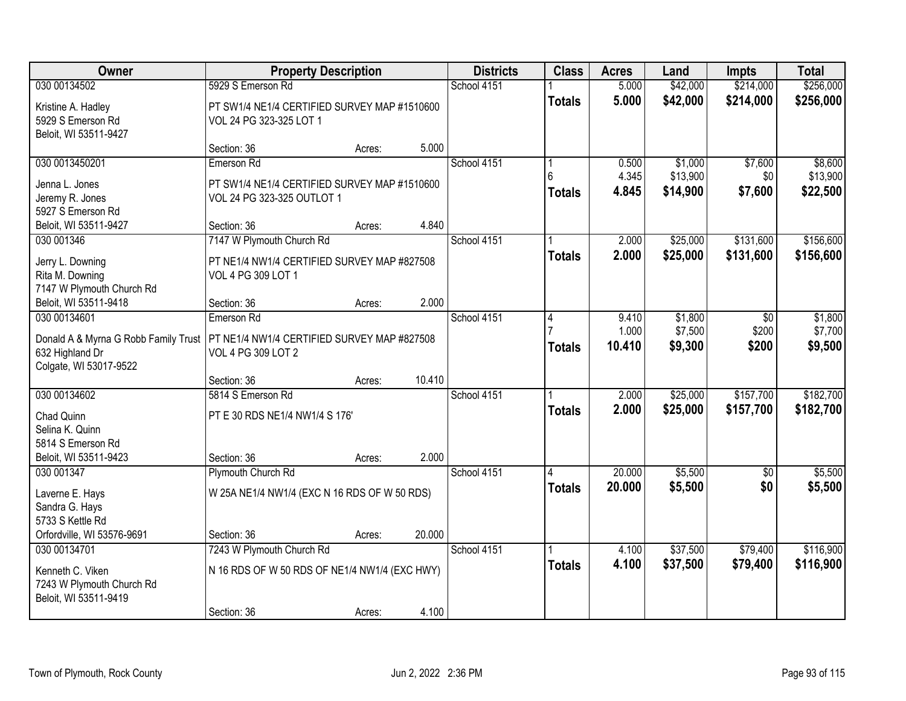| <b>Owner</b>                                                                                      | <b>Property Description</b>                                                               |        |        | <b>Districts</b> | <b>Class</b>       | <b>Acres</b>             | Land                            | <b>Impts</b>              | <b>Total</b>                    |
|---------------------------------------------------------------------------------------------------|-------------------------------------------------------------------------------------------|--------|--------|------------------|--------------------|--------------------------|---------------------------------|---------------------------|---------------------------------|
| 030 00134502                                                                                      | 5929 S Emerson Rd                                                                         |        |        | School 4151      |                    | 5.000                    | \$42,000                        | \$214,000                 | \$256,000                       |
| Kristine A. Hadley<br>5929 S Emerson Rd<br>Beloit, WI 53511-9427                                  | PT SW1/4 NE1/4 CERTIFIED SURVEY MAP #1510600<br>VOL 24 PG 323-325 LOT 1                   |        |        |                  | <b>Totals</b>      | 5.000                    | \$42,000                        | \$214,000                 | \$256,000                       |
|                                                                                                   | Section: 36                                                                               | Acres: | 5.000  |                  |                    |                          |                                 |                           |                                 |
| 030 0013450201<br>Jenna L. Jones<br>Jeremy R. Jones                                               | Emerson Rd<br>PT SW1/4 NE1/4 CERTIFIED SURVEY MAP #1510600<br>VOL 24 PG 323-325 OUTLOT 1  |        |        | School 4151      | հ<br><b>Totals</b> | 0.500<br>4.345<br>4.845  | \$1,000<br>\$13,900<br>\$14,900 | \$7,600<br>\$0<br>\$7,600 | \$8,600<br>\$13,900<br>\$22,500 |
| 5927 S Emerson Rd<br>Beloit, WI 53511-9427                                                        | Section: 36                                                                               | Acres: | 4.840  |                  |                    |                          |                                 |                           |                                 |
| 030 001346                                                                                        | 7147 W Plymouth Church Rd                                                                 |        |        | School 4151      |                    | 2.000                    | \$25,000                        | \$131,600                 | \$156,600                       |
| Jerry L. Downing<br>Rita M. Downing<br>7147 W Plymouth Church Rd                                  | PT NE1/4 NW1/4 CERTIFIED SURVEY MAP #827508<br>VOL 4 PG 309 LOT 1                         |        |        |                  | <b>Totals</b>      | 2.000                    | \$25,000                        | \$131,600                 | \$156,600                       |
| Beloit, WI 53511-9418                                                                             | Section: 36                                                                               | Acres: | 2.000  |                  |                    |                          |                                 |                           |                                 |
| 030 00134601<br>Donald A & Myrna G Robb Family Trust<br>632 Highland Dr<br>Colgate, WI 53017-9522 | Emerson Rd<br>PT NE1/4 NW1/4 CERTIFIED SURVEY MAP #827508<br>VOL 4 PG 309 LOT 2           |        |        | School 4151      | 4<br><b>Totals</b> | 9.410<br>1.000<br>10.410 | \$1,800<br>\$7,500<br>\$9,300   | \$0<br>\$200<br>\$200     | \$1,800<br>\$7,700<br>\$9,500   |
|                                                                                                   | Section: 36                                                                               | Acres: | 10.410 |                  |                    |                          |                                 |                           |                                 |
| 030 00134602<br>Chad Quinn<br>Selina K. Quinn<br>5814 S Emerson Rd<br>Beloit, WI 53511-9423       | 5814 S Emerson Rd<br>PT E 30 RDS NE1/4 NW1/4 S 176'<br>Section: 36                        | Acres: | 2.000  | School 4151      | <b>Totals</b>      | 2.000<br>2.000           | \$25,000<br>\$25,000            | \$157,700<br>\$157,700    | \$182,700<br>\$182,700          |
| 030 001347                                                                                        | Plymouth Church Rd                                                                        |        |        | School 4151      |                    | 20.000                   | \$5,500                         | $\sqrt{6}$                | \$5,500                         |
| Laverne E. Hays<br>Sandra G. Hays<br>5733 S Kettle Rd                                             | W 25A NE1/4 NW1/4 (EXC N 16 RDS OF W 50 RDS)                                              |        |        |                  | <b>Totals</b>      | 20.000                   | \$5,500                         | \$0                       | \$5,500                         |
| Orfordville, WI 53576-9691                                                                        | Section: 36                                                                               | Acres: | 20.000 |                  |                    |                          |                                 |                           |                                 |
| 030 00134701<br>Kenneth C. Viken<br>7243 W Plymouth Church Rd<br>Beloit, WI 53511-9419            | 7243 W Plymouth Church Rd<br>N 16 RDS OF W 50 RDS OF NE1/4 NW1/4 (EXC HWY)<br>Section: 36 | Acres: | 4.100  | School 4151      | <b>Totals</b>      | 4.100<br>4.100           | \$37,500<br>\$37,500            | \$79,400<br>\$79,400      | \$116,900<br>\$116,900          |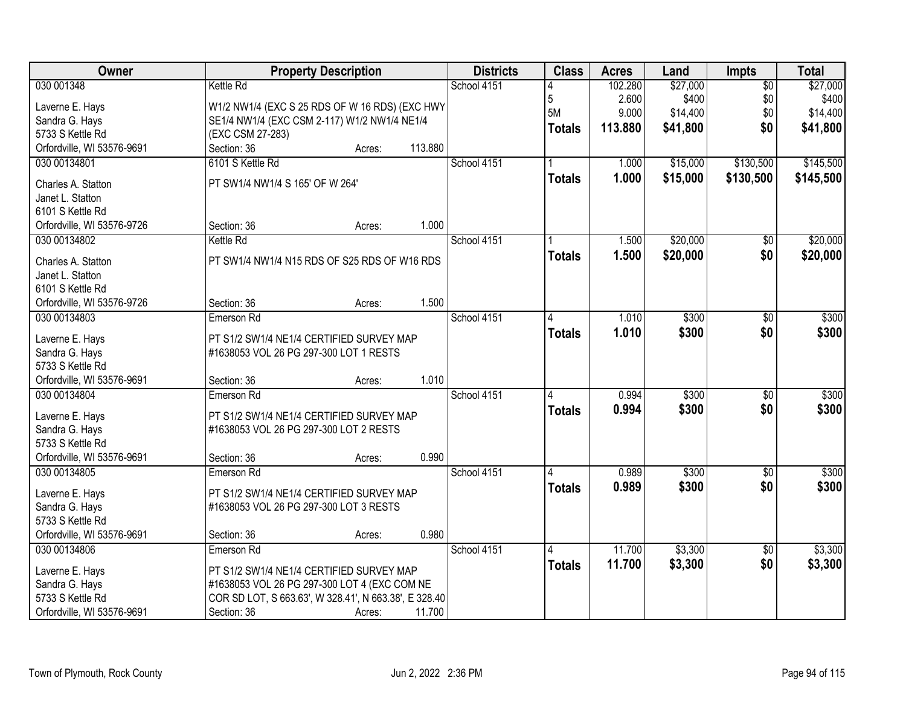| Owner                      | <b>Property Description</b>                           |        |         | <b>Districts</b> | <b>Class</b>  | <b>Acres</b> | Land     | <b>Impts</b>    | <b>Total</b> |
|----------------------------|-------------------------------------------------------|--------|---------|------------------|---------------|--------------|----------|-----------------|--------------|
| 030 001348                 | <b>Kettle Rd</b>                                      |        |         | School 4151      |               | 102.280      | \$27,000 | $\overline{50}$ | \$27,000     |
| Laverne E. Hays            | W1/2 NW1/4 (EXC S 25 RDS OF W 16 RDS) (EXC HWY        |        |         |                  | 5             | 2.600        | \$400    | \$0             | \$400        |
| Sandra G. Hays             | SE1/4 NW1/4 (EXC CSM 2-117) W1/2 NW1/4 NE1/4          |        |         |                  | 5M            | 9.000        | \$14,400 | \$0             | \$14,400     |
| 5733 S Kettle Rd           | (EXC CSM 27-283)                                      |        |         |                  | <b>Totals</b> | 113.880      | \$41,800 | \$0             | \$41,800     |
| Orfordville, WI 53576-9691 | Section: 36                                           | Acres: | 113.880 |                  |               |              |          |                 |              |
| 030 00134801               | 6101 S Kettle Rd                                      |        |         | School 4151      |               | 1.000        | \$15,000 | \$130,500       | \$145,500    |
|                            |                                                       |        |         |                  | <b>Totals</b> | 1.000        | \$15,000 | \$130,500       | \$145,500    |
| Charles A. Statton         | PT SW1/4 NW1/4 S 165' OF W 264'                       |        |         |                  |               |              |          |                 |              |
| Janet L. Statton           |                                                       |        |         |                  |               |              |          |                 |              |
| 6101 S Kettle Rd           |                                                       |        |         |                  |               |              |          |                 |              |
| Orfordville, WI 53576-9726 | Section: 36                                           | Acres: | 1.000   |                  |               |              |          |                 |              |
| 030 00134802               | <b>Kettle Rd</b>                                      |        |         | School 4151      |               | 1.500        | \$20,000 | $\overline{50}$ | \$20,000     |
| Charles A. Statton         | PT SW1/4 NW1/4 N15 RDS OF S25 RDS OF W16 RDS          |        |         |                  | <b>Totals</b> | 1.500        | \$20,000 | \$0             | \$20,000     |
| Janet L. Statton           |                                                       |        |         |                  |               |              |          |                 |              |
| 6101 S Kettle Rd           |                                                       |        |         |                  |               |              |          |                 |              |
| Orfordville, WI 53576-9726 | Section: 36                                           | Acres: | 1.500   |                  |               |              |          |                 |              |
| 030 00134803               | Emerson Rd                                            |        |         | School 4151      | 4             | 1.010        | \$300    | \$0             | \$300        |
| Laverne E. Hays            | PT S1/2 SW1/4 NE1/4 CERTIFIED SURVEY MAP              |        |         |                  | <b>Totals</b> | 1.010        | \$300    | \$0             | \$300        |
| Sandra G. Hays             | #1638053 VOL 26 PG 297-300 LOT 1 RESTS                |        |         |                  |               |              |          |                 |              |
| 5733 S Kettle Rd           |                                                       |        |         |                  |               |              |          |                 |              |
| Orfordville, WI 53576-9691 | Section: 36                                           | Acres: | 1.010   |                  |               |              |          |                 |              |
| 030 00134804               | Emerson Rd                                            |        |         | School 4151      | Δ             | 0.994        | \$300    | \$0             | \$300        |
|                            |                                                       |        |         |                  | <b>Totals</b> | 0.994        | \$300    | \$0             | \$300        |
| Laverne E. Hays            | PT S1/2 SW1/4 NE1/4 CERTIFIED SURVEY MAP              |        |         |                  |               |              |          |                 |              |
| Sandra G. Hays             | #1638053 VOL 26 PG 297-300 LOT 2 RESTS                |        |         |                  |               |              |          |                 |              |
| 5733 S Kettle Rd           |                                                       |        |         |                  |               |              |          |                 |              |
| Orfordville, WI 53576-9691 | Section: 36                                           | Acres: | 0.990   |                  |               |              |          |                 |              |
| 030 00134805               | Emerson Rd                                            |        |         | School 4151      |               | 0.989        | \$300    | $\overline{60}$ | \$300        |
| Laverne E. Hays            | PT S1/2 SW1/4 NE1/4 CERTIFIED SURVEY MAP              |        |         |                  | <b>Totals</b> | 0.989        | \$300    | \$0             | \$300        |
| Sandra G. Hays             | #1638053 VOL 26 PG 297-300 LOT 3 RESTS                |        |         |                  |               |              |          |                 |              |
| 5733 S Kettle Rd           |                                                       |        |         |                  |               |              |          |                 |              |
| Orfordville, WI 53576-9691 | Section: 36                                           | Acres: | 0.980   |                  |               |              |          |                 |              |
| 030 00134806               | Emerson Rd                                            |        |         | School 4151      |               | 11.700       | \$3,300  | \$0             | \$3,300      |
| Laverne E. Hays            | PT S1/2 SW1/4 NE1/4 CERTIFIED SURVEY MAP              |        |         |                  | <b>Totals</b> | 11.700       | \$3,300  | \$0             | \$3,300      |
| Sandra G. Hays             | #1638053 VOL 26 PG 297-300 LOT 4 (EXC COM NE          |        |         |                  |               |              |          |                 |              |
| 5733 S Kettle Rd           | COR SD LOT, S 663.63', W 328.41', N 663.38', E 328.40 |        |         |                  |               |              |          |                 |              |
| Orfordville, WI 53576-9691 | Section: 36                                           | Acres: | 11.700  |                  |               |              |          |                 |              |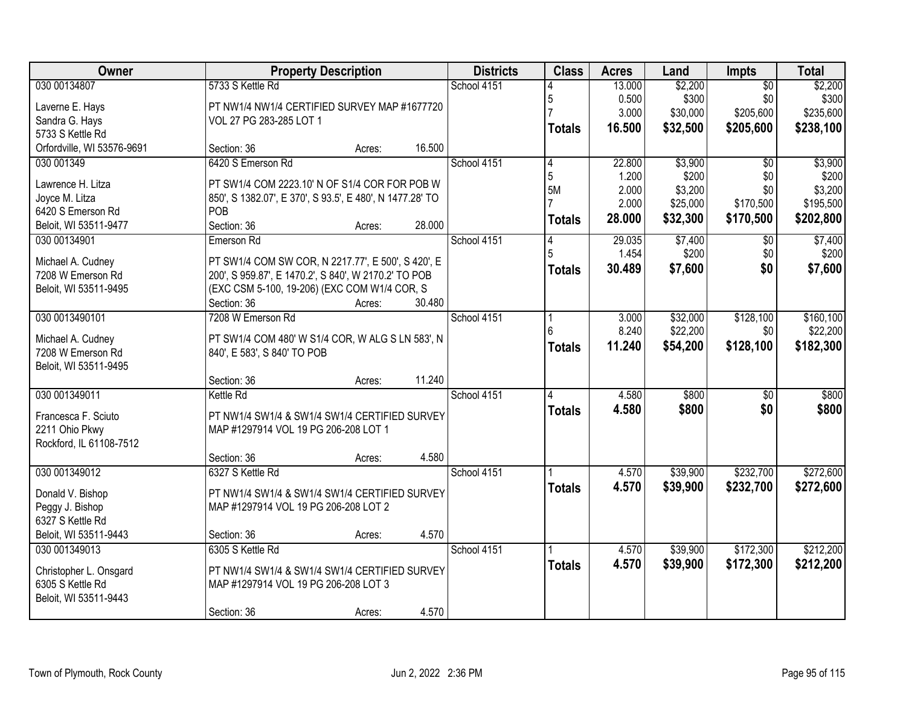| Owner                                  | <b>Property Description</b>                                                     | <b>Districts</b> | <b>Class</b>  | <b>Acres</b> | Land     | <b>Impts</b>    | <b>Total</b> |
|----------------------------------------|---------------------------------------------------------------------------------|------------------|---------------|--------------|----------|-----------------|--------------|
| 030 00134807                           | 5733 S Kettle Rd                                                                | School 4151      |               | 13.000       | \$2,200  | $\overline{50}$ | \$2,200      |
| Laverne E. Hays                        | PT NW1/4 NW1/4 CERTIFIED SURVEY MAP #1677720                                    |                  | 5             | 0.500        | \$300    | \$0             | \$300        |
| Sandra G. Hays                         | VOL 27 PG 283-285 LOT 1                                                         |                  |               | 3.000        | \$30,000 | \$205,600       | \$235,600    |
| 5733 S Kettle Rd                       |                                                                                 |                  | <b>Totals</b> | 16.500       | \$32,500 | \$205,600       | \$238,100    |
| Orfordville, WI 53576-9691             | 16.500<br>Section: 36<br>Acres:                                                 |                  |               |              |          |                 |              |
| 030 001349                             | 6420 S Emerson Rd                                                               | School 4151      | 4             | 22.800       | \$3,900  | $\overline{50}$ | \$3,900      |
| Lawrence H. Litza                      | PT SW1/4 COM 2223.10' N OF S1/4 COR FOR POB W                                   |                  | 5             | 1.200        | \$200    | \$0             | \$200        |
| Joyce M. Litza                         | 850', S 1382.07', E 370', S 93.5', E 480', N 1477.28' TO                        |                  | 5M            | 2.000        | \$3,200  | \$0             | \$3,200      |
| 6420 S Emerson Rd                      | POB                                                                             |                  |               | 2.000        | \$25,000 | \$170,500       | \$195,500    |
| Beloit, WI 53511-9477                  | Section: 36<br>28.000<br>Acres:                                                 |                  | <b>Totals</b> | 28.000       | \$32,300 | \$170,500       | \$202,800    |
| 030 00134901                           | Emerson Rd                                                                      | School 4151      | 4             | 29.035       | \$7,400  | $\sqrt[6]{}$    | \$7,400      |
| Michael A. Cudney                      | PT SW1/4 COM SW COR, N 2217.77', E 500', S 420', E                              |                  |               | 1.454        | \$200    | \$0             | \$200        |
| 7208 W Emerson Rd                      | 200', S 959.87', E 1470.2', S 840', W 2170.2' TO POB                            |                  | Totals        | 30.489       | \$7,600  | \$0             | \$7,600      |
| Beloit, WI 53511-9495                  | (EXC CSM 5-100, 19-206) (EXC COM W1/4 COR, S                                    |                  |               |              |          |                 |              |
|                                        | 30.480<br>Section: 36<br>Acres:                                                 |                  |               |              |          |                 |              |
| 030 0013490101                         | 7208 W Emerson Rd                                                               | School 4151      |               | 3.000        | \$32,000 | \$128,100       | \$160, 100   |
|                                        |                                                                                 |                  |               | 8.240        | \$22,200 | \$0             | \$22,200     |
| Michael A. Cudney<br>7208 W Emerson Rd | PT SW1/4 COM 480' W S1/4 COR, W ALG S LN 583', N<br>840', E 583', S 840' TO POB |                  | <b>Totals</b> | 11.240       | \$54,200 | \$128,100       | \$182,300    |
| Beloit, WI 53511-9495                  |                                                                                 |                  |               |              |          |                 |              |
|                                        | 11.240<br>Section: 36<br>Acres:                                                 |                  |               |              |          |                 |              |
| 030 001349011                          | Kettle Rd                                                                       | School 4151      |               | 4.580        | \$800    | \$0             | \$800        |
|                                        |                                                                                 |                  | <b>Totals</b> | 4.580        | \$800    | \$0             | \$800        |
| Francesca F. Sciuto                    | PT NW1/4 SW1/4 & SW1/4 SW1/4 CERTIFIED SURVEY                                   |                  |               |              |          |                 |              |
| 2211 Ohio Pkwy                         | MAP #1297914 VOL 19 PG 206-208 LOT 1                                            |                  |               |              |          |                 |              |
| Rockford, IL 61108-7512                |                                                                                 |                  |               |              |          |                 |              |
| 030 001349012                          | 4.580<br>Section: 36<br>Acres:<br>6327 S Kettle Rd                              | School 4151      |               | 4.570        | \$39,900 | \$232,700       | \$272,600    |
|                                        |                                                                                 |                  |               | 4.570        | \$39,900 |                 |              |
| Donald V. Bishop                       | PT NW1/4 SW1/4 & SW1/4 SW1/4 CERTIFIED SURVEY                                   |                  | <b>Totals</b> |              |          | \$232,700       | \$272,600    |
| Peggy J. Bishop                        | MAP #1297914 VOL 19 PG 206-208 LOT 2                                            |                  |               |              |          |                 |              |
| 6327 S Kettle Rd                       |                                                                                 |                  |               |              |          |                 |              |
| Beloit, WI 53511-9443                  | 4.570<br>Section: 36<br>Acres:                                                  |                  |               |              |          |                 |              |
| 030 001349013                          | 6305 S Kettle Rd                                                                | School 4151      |               | 4.570        | \$39,900 | \$172,300       | \$212,200    |
| Christopher L. Onsgard                 | PT NW1/4 SW1/4 & SW1/4 SW1/4 CERTIFIED SURVEY                                   |                  | <b>Totals</b> | 4.570        | \$39,900 | \$172,300       | \$212,200    |
| 6305 S Kettle Rd                       | MAP #1297914 VOL 19 PG 206-208 LOT 3                                            |                  |               |              |          |                 |              |
| Beloit, WI 53511-9443                  |                                                                                 |                  |               |              |          |                 |              |
|                                        | 4.570<br>Section: 36<br>Acres:                                                  |                  |               |              |          |                 |              |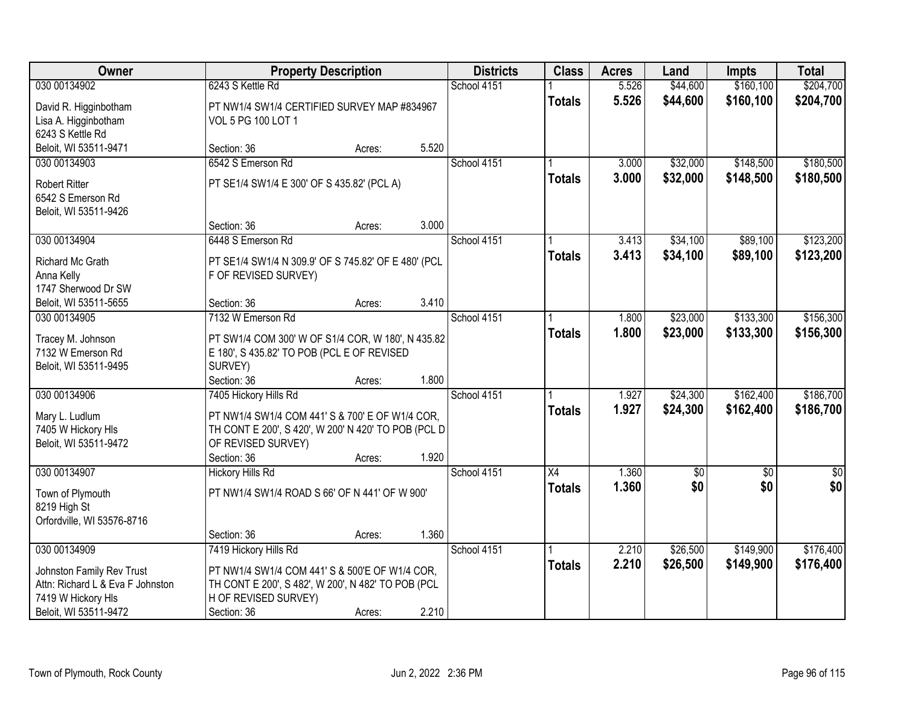| Owner                                                                                                        |                                                                                                                                                                      | <b>Property Description</b> |       | <b>Districts</b> | <b>Class</b>    | <b>Acres</b>   | Land                 | <b>Impts</b>           | <b>Total</b>           |
|--------------------------------------------------------------------------------------------------------------|----------------------------------------------------------------------------------------------------------------------------------------------------------------------|-----------------------------|-------|------------------|-----------------|----------------|----------------------|------------------------|------------------------|
| 030 00134902                                                                                                 | 6243 S Kettle Rd                                                                                                                                                     |                             |       | School 4151      |                 | 5.526          | \$44,600             | \$160,100              | \$204,700              |
| David R. Higginbotham<br>Lisa A. Higginbotham<br>6243 S Kettle Rd                                            | PT NW1/4 SW1/4 CERTIFIED SURVEY MAP #834967<br>VOL 5 PG 100 LOT 1                                                                                                    |                             |       |                  | <b>Totals</b>   | 5.526          | \$44,600             | \$160,100              | \$204,700              |
| Beloit, WI 53511-9471                                                                                        | Section: 36                                                                                                                                                          | Acres:                      | 5.520 |                  |                 |                |                      |                        |                        |
| 030 00134903                                                                                                 | 6542 S Emerson Rd                                                                                                                                                    |                             |       | School 4151      |                 | 3.000          | \$32,000             | \$148,500              | \$180,500              |
| <b>Robert Ritter</b><br>6542 S Emerson Rd<br>Beloit, WI 53511-9426                                           | PT SE1/4 SW1/4 E 300' OF S 435.82' (PCL A)                                                                                                                           |                             |       |                  | <b>Totals</b>   | 3.000          | \$32,000             | \$148,500              | \$180,500              |
|                                                                                                              | Section: 36                                                                                                                                                          | Acres:                      | 3.000 |                  |                 |                |                      |                        |                        |
| 030 00134904                                                                                                 | 6448 S Emerson Rd                                                                                                                                                    |                             |       | School 4151      |                 | 3.413          | \$34,100             | \$89,100               | \$123,200              |
| Richard Mc Grath<br>Anna Kelly<br>1747 Sherwood Dr SW                                                        | PT SE1/4 SW1/4 N 309.9' OF S 745.82' OF E 480' (PCL<br>F OF REVISED SURVEY)                                                                                          |                             |       |                  | <b>Totals</b>   | 3.413          | \$34,100             | \$89,100               | \$123,200              |
| Beloit, WI 53511-5655                                                                                        | Section: 36                                                                                                                                                          | Acres:                      | 3.410 |                  |                 |                |                      |                        |                        |
| 030 00134905                                                                                                 | 7132 W Emerson Rd                                                                                                                                                    |                             |       | School 4151      |                 | 1.800          | \$23,000             | \$133,300              | \$156,300              |
| Tracey M. Johnson<br>7132 W Emerson Rd<br>Beloit, WI 53511-9495                                              | PT SW1/4 COM 300' W OF S1/4 COR, W 180', N 435.82<br>E 180', S 435.82' TO POB (PCL E OF REVISED<br>SURVEY)                                                           |                             |       |                  | <b>Totals</b>   | 1.800          | \$23,000             | \$133,300              | \$156,300              |
|                                                                                                              | Section: 36                                                                                                                                                          | Acres:                      | 1.800 |                  |                 |                |                      |                        |                        |
| 030 00134906<br>Mary L. Ludlum<br>7405 W Hickory HIs<br>Beloit, WI 53511-9472                                | 7405 Hickory Hills Rd<br>PT NW1/4 SW1/4 COM 441' S & 700' E OF W1/4 COR,<br>TH CONT E 200', S 420', W 200' N 420' TO POB (PCL D<br>OF REVISED SURVEY)<br>Section: 36 | Acres:                      | 1.920 | School 4151      | <b>Totals</b>   | 1.927<br>1.927 | \$24,300<br>\$24,300 | \$162,400<br>\$162,400 | \$186,700<br>\$186,700 |
| 030 00134907                                                                                                 | <b>Hickory Hills Rd</b>                                                                                                                                              |                             |       | School 4151      | $\overline{X4}$ | 1.360          | $\sqrt{30}$          | $\overline{50}$        | $\frac{6}{3}$          |
| Town of Plymouth<br>8219 High St<br>Orfordville, WI 53576-8716                                               | PT NW1/4 SW1/4 ROAD S 66' OF N 441' OF W 900'                                                                                                                        |                             |       |                  | <b>Totals</b>   | 1.360          | \$0                  | \$0                    | \$0                    |
|                                                                                                              | Section: 36                                                                                                                                                          | Acres:                      | 1.360 |                  |                 |                |                      |                        |                        |
| 030 00134909                                                                                                 | 7419 Hickory Hills Rd                                                                                                                                                |                             |       | School 4151      |                 | 2.210          | \$26,500             | \$149,900              | \$176,400              |
| Johnston Family Rev Trust<br>Attn: Richard L & Eva F Johnston<br>7419 W Hickory HIs<br>Beloit, WI 53511-9472 | PT NW1/4 SW1/4 COM 441' S & 500'E OF W1/4 COR,<br>TH CONT E 200', S 482', W 200', N 482' TO POB (PCL<br>H OF REVISED SURVEY)<br>Section: 36                          | Acres:                      | 2.210 |                  | <b>Totals</b>   | 2.210          | \$26,500             | \$149,900              | \$176,400              |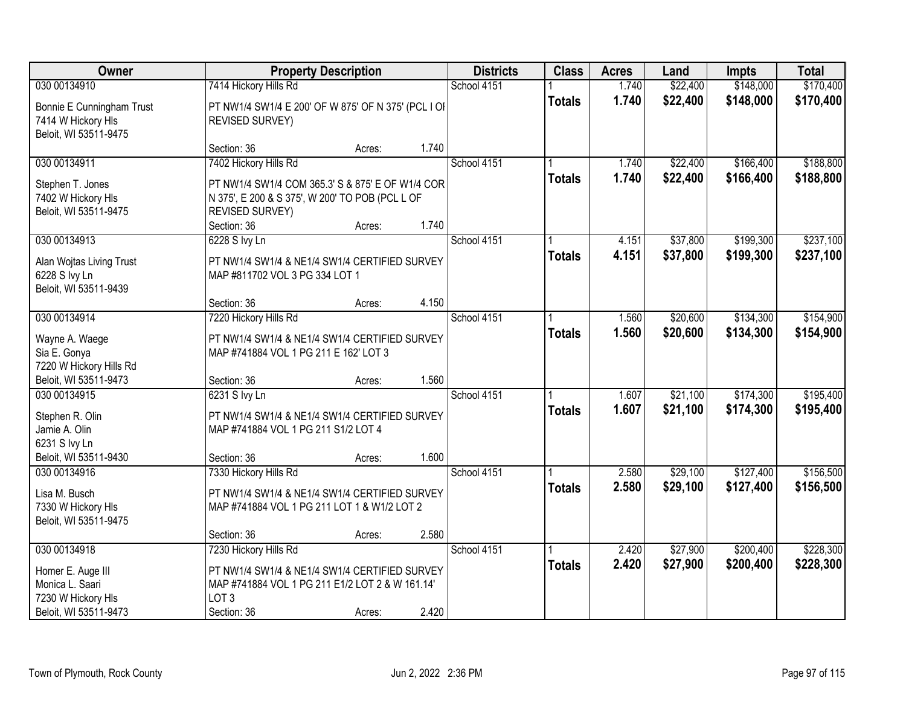| Owner                                                                    |                                                                                                                      | <b>Property Description</b> |       | <b>Districts</b> | <b>Class</b>  | <b>Acres</b>   | Land                 | <b>Impts</b>           | <b>Total</b>           |
|--------------------------------------------------------------------------|----------------------------------------------------------------------------------------------------------------------|-----------------------------|-------|------------------|---------------|----------------|----------------------|------------------------|------------------------|
| 030 00134910                                                             | 7414 Hickory Hills Rd                                                                                                |                             |       | School 4151      |               | 1.740          | \$22,400             | \$148,000              | \$170,400              |
| Bonnie E Cunningham Trust<br>7414 W Hickory HIs<br>Beloit, WI 53511-9475 | PT NW1/4 SW1/4 E 200' OF W 875' OF N 375' (PCL I OI)<br><b>REVISED SURVEY)</b>                                       |                             |       |                  | <b>Totals</b> | 1.740          | \$22,400             | \$148,000              | \$170,400              |
|                                                                          | Section: 36                                                                                                          | Acres:                      | 1.740 |                  |               |                |                      |                        |                        |
| 030 00134911<br>Stephen T. Jones                                         | 7402 Hickory Hills Rd<br>PT NW1/4 SW1/4 COM 365.3' S & 875' E OF W1/4 COR                                            |                             |       | School 4151      | <b>Totals</b> | 1.740<br>1.740 | \$22,400<br>\$22,400 | \$166,400<br>\$166,400 | \$188,800<br>\$188,800 |
| 7402 W Hickory HIs<br>Beloit, WI 53511-9475                              | N 375', E 200 & S 375', W 200' TO POB (PCL L OF<br><b>REVISED SURVEY)</b><br>Section: 36                             | Acres:                      | 1.740 |                  |               |                |                      |                        |                        |
| 030 00134913                                                             | 6228 S Ivy Ln                                                                                                        |                             |       | School 4151      |               | 4.151          | \$37,800             | \$199,300              | \$237,100              |
| Alan Wojtas Living Trust<br>6228 S Ivy Ln<br>Beloit, WI 53511-9439       | PT NW1/4 SW1/4 & NE1/4 SW1/4 CERTIFIED SURVEY<br>MAP #811702 VOL 3 PG 334 LOT 1                                      |                             |       |                  | <b>Totals</b> | 4.151          | \$37,800             | \$199,300              | \$237,100              |
|                                                                          | Section: 36                                                                                                          | Acres:                      | 4.150 |                  |               |                |                      |                        |                        |
| 030 00134914                                                             | 7220 Hickory Hills Rd                                                                                                |                             |       | School 4151      |               | 1.560          | \$20,600             | \$134,300              | \$154,900              |
| Wayne A. Waege<br>Sia E. Gonya<br>7220 W Hickory Hills Rd                | PT NW1/4 SW1/4 & NE1/4 SW1/4 CERTIFIED SURVEY<br>MAP #741884 VOL 1 PG 211 E 162' LOT 3                               |                             |       |                  | <b>Totals</b> | 1.560          | \$20,600             | \$134,300              | \$154,900              |
| Beloit, WI 53511-9473                                                    | Section: 36                                                                                                          | Acres:                      | 1.560 |                  |               |                |                      |                        |                        |
| 030 00134915                                                             | 6231 S Ivy Ln                                                                                                        |                             |       | School 4151      | <b>Totals</b> | 1.607<br>1.607 | \$21,100<br>\$21,100 | \$174,300<br>\$174,300 | \$195,400<br>\$195,400 |
| Stephen R. Olin<br>Jamie A. Olin<br>6231 S Ivy Ln                        | PT NW1/4 SW1/4 & NE1/4 SW1/4 CERTIFIED SURVEY<br>MAP #741884 VOL 1 PG 211 S1/2 LOT 4                                 |                             |       |                  |               |                |                      |                        |                        |
| Beloit, WI 53511-9430                                                    | Section: 36                                                                                                          | Acres:                      | 1.600 |                  |               |                |                      |                        |                        |
| 030 00134916                                                             | 7330 Hickory Hills Rd                                                                                                |                             |       | School 4151      |               | 2.580          | \$29,100             | \$127,400              | \$156,500              |
| Lisa M. Busch<br>7330 W Hickory HIs<br>Beloit, WI 53511-9475             | PT NW1/4 SW1/4 & NE1/4 SW1/4 CERTIFIED SURVEY<br>MAP #741884 VOL 1 PG 211 LOT 1 & W1/2 LOT 2                         |                             |       |                  | <b>Totals</b> | 2.580          | \$29,100             | \$127,400              | \$156,500              |
|                                                                          | Section: 36                                                                                                          | Acres:                      | 2.580 |                  |               |                |                      |                        |                        |
| 030 00134918                                                             | 7230 Hickory Hills Rd                                                                                                |                             |       | School 4151      |               | 2.420          | \$27,900             | \$200,400              | \$228,300              |
| Homer E. Auge III<br>Monica L. Saari<br>7230 W Hickory HIs               | PT NW1/4 SW1/4 & NE1/4 SW1/4 CERTIFIED SURVEY<br>MAP #741884 VOL 1 PG 211 E1/2 LOT 2 & W 161.14'<br>LOT <sub>3</sub> |                             |       |                  | <b>Totals</b> | 2.420          | \$27,900             | \$200,400              | \$228,300              |
| Beloit, WI 53511-9473                                                    | Section: 36                                                                                                          | Acres:                      | 2.420 |                  |               |                |                      |                        |                        |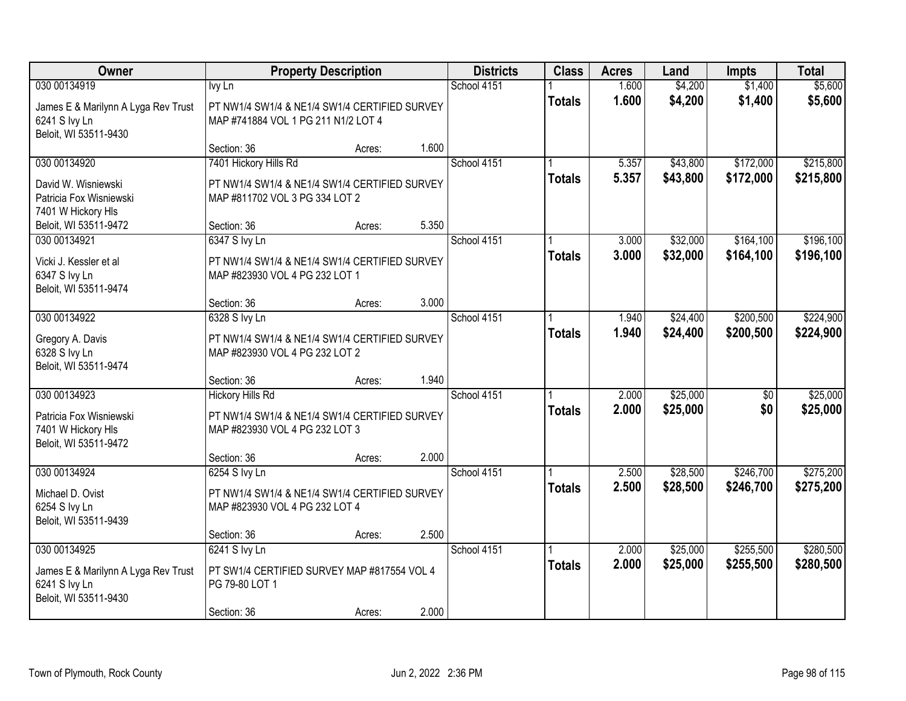| Owner                                                                                         |                                                                                                            | <b>Property Description</b> |       | <b>Districts</b> | <b>Class</b>  | <b>Acres</b>   | Land                 | <b>Impts</b>           | <b>Total</b>           |
|-----------------------------------------------------------------------------------------------|------------------------------------------------------------------------------------------------------------|-----------------------------|-------|------------------|---------------|----------------|----------------------|------------------------|------------------------|
| 030 00134919<br>James E & Marilynn A Lyga Rev Trust<br>6241 S Ivy Ln<br>Beloit, WI 53511-9430 | Ivy Ln<br>PT NW1/4 SW1/4 & NE1/4 SW1/4 CERTIFIED SURVEY<br>MAP #741884 VOL 1 PG 211 N1/2 LOT 4             |                             |       | School 4151      | <b>Totals</b> | 1.600<br>1.600 | \$4,200<br>\$4,200   | \$1,400<br>\$1,400     | \$5,600<br>\$5,600     |
|                                                                                               | Section: 36                                                                                                | Acres:                      | 1.600 |                  |               |                |                      |                        |                        |
| 030 00134920<br>David W. Wisniewski<br>Patricia Fox Wisniewski<br>7401 W Hickory HIs          | 7401 Hickory Hills Rd<br>PT NW1/4 SW1/4 & NE1/4 SW1/4 CERTIFIED SURVEY<br>MAP #811702 VOL 3 PG 334 LOT 2   |                             |       | School 4151      | <b>Totals</b> | 5.357<br>5.357 | \$43,800<br>\$43,800 | \$172,000<br>\$172,000 | \$215,800<br>\$215,800 |
| Beloit, WI 53511-9472                                                                         | Section: 36                                                                                                | Acres:                      | 5.350 |                  |               |                |                      |                        |                        |
| 030 00134921<br>Vicki J. Kessler et al<br>6347 S Ivy Ln<br>Beloit, WI 53511-9474              | 6347 S Ivy Ln<br>PT NW1/4 SW1/4 & NE1/4 SW1/4 CERTIFIED SURVEY<br>MAP #823930 VOL 4 PG 232 LOT 1           |                             |       | School 4151      | <b>Totals</b> | 3.000<br>3.000 | \$32,000<br>\$32,000 | \$164,100<br>\$164,100 | \$196,100<br>\$196,100 |
|                                                                                               | Section: 36                                                                                                | Acres:                      | 3.000 |                  |               |                |                      |                        |                        |
| 030 00134922<br>Gregory A. Davis<br>6328 S Ivy Ln<br>Beloit, WI 53511-9474                    | 6328 S Ivy Ln<br>PT NW1/4 SW1/4 & NE1/4 SW1/4 CERTIFIED SURVEY<br>MAP #823930 VOL 4 PG 232 LOT 2           |                             |       | School 4151      | <b>Totals</b> | 1.940<br>1.940 | \$24,400<br>\$24,400 | \$200,500<br>\$200,500 | \$224,900<br>\$224,900 |
|                                                                                               | Section: 36                                                                                                | Acres:                      | 1.940 |                  |               |                |                      |                        |                        |
| 030 00134923<br>Patricia Fox Wisniewski<br>7401 W Hickory HIs<br>Beloit, WI 53511-9472        | <b>Hickory Hills Rd</b><br>PT NW1/4 SW1/4 & NE1/4 SW1/4 CERTIFIED SURVEY<br>MAP #823930 VOL 4 PG 232 LOT 3 |                             |       | School 4151      | <b>Totals</b> | 2.000<br>2.000 | \$25,000<br>\$25,000 | $\overline{50}$<br>\$0 | \$25,000<br>\$25,000   |
|                                                                                               | Section: 36                                                                                                | Acres:                      | 2.000 |                  |               |                |                      |                        |                        |
| 030 00134924<br>Michael D. Ovist<br>6254 S Ivy Ln<br>Beloit, WI 53511-9439                    | 6254 S Ivy Ln<br>PT NW1/4 SW1/4 & NE1/4 SW1/4 CERTIFIED SURVEY<br>MAP #823930 VOL 4 PG 232 LOT 4           |                             |       | School 4151      | <b>Totals</b> | 2.500<br>2.500 | \$28,500<br>\$28,500 | \$246,700<br>\$246,700 | \$275,200<br>\$275,200 |
|                                                                                               | Section: 36                                                                                                | Acres:                      | 2.500 |                  |               |                |                      |                        |                        |
| 030 00134925<br>James E & Marilynn A Lyga Rev Trust<br>6241 S Ivy Ln<br>Beloit, WI 53511-9430 | 6241 S Ivy Ln<br>PT SW1/4 CERTIFIED SURVEY MAP #817554 VOL 4<br>PG 79-80 LOT 1<br>Section: 36              | Acres:                      | 2.000 | School 4151      | <b>Totals</b> | 2.000<br>2.000 | \$25,000<br>\$25,000 | \$255,500<br>\$255,500 | \$280,500<br>\$280,500 |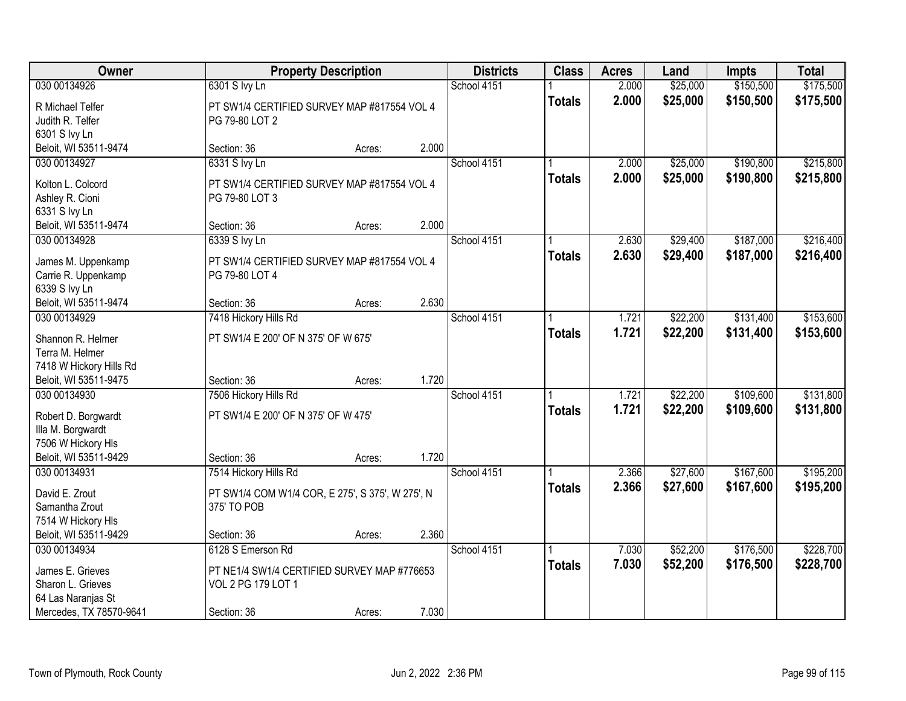| Owner                                            |                                                  | <b>Property Description</b> |       | <b>Districts</b> | <b>Class</b>  | <b>Acres</b> | Land     | Impts     | <b>Total</b> |
|--------------------------------------------------|--------------------------------------------------|-----------------------------|-------|------------------|---------------|--------------|----------|-----------|--------------|
| 030 00134926                                     | 6301 S lvy Ln                                    |                             |       | School 4151      |               | 2.000        | \$25,000 | \$150,500 | \$175,500    |
| R Michael Telfer                                 | PT SW1/4 CERTIFIED SURVEY MAP #817554 VOL 4      |                             |       |                  | <b>Totals</b> | 2.000        | \$25,000 | \$150,500 | \$175,500    |
| Judith R. Telfer                                 | PG 79-80 LOT 2                                   |                             |       |                  |               |              |          |           |              |
| 6301 S Ivy Ln                                    |                                                  |                             |       |                  |               |              |          |           |              |
| Beloit, WI 53511-9474                            | Section: 36                                      | Acres:                      | 2.000 |                  |               |              |          |           |              |
| 030 00134927                                     | 6331 S Ivy Ln                                    |                             |       | School 4151      |               | 2.000        | \$25,000 | \$190,800 | \$215,800    |
|                                                  |                                                  |                             |       |                  | <b>Totals</b> | 2.000        | \$25,000 | \$190,800 | \$215,800    |
| Kolton L. Colcord                                | PT SW1/4 CERTIFIED SURVEY MAP #817554 VOL 4      |                             |       |                  |               |              |          |           |              |
| Ashley R. Cioni                                  | PG 79-80 LOT 3                                   |                             |       |                  |               |              |          |           |              |
| 6331 S Ivy Ln                                    |                                                  |                             | 2.000 |                  |               |              |          |           |              |
| Beloit, WI 53511-9474                            | Section: 36                                      | Acres:                      |       |                  |               |              |          |           |              |
| 030 00134928                                     | 6339 S Ivy Ln                                    |                             |       | School 4151      |               | 2.630        | \$29,400 | \$187,000 | \$216,400    |
| James M. Uppenkamp                               | PT SW1/4 CERTIFIED SURVEY MAP #817554 VOL 4      |                             |       |                  | <b>Totals</b> | 2.630        | \$29,400 | \$187,000 | \$216,400    |
| Carrie R. Uppenkamp                              | PG 79-80 LOT 4                                   |                             |       |                  |               |              |          |           |              |
| 6339 S Ivy Ln                                    |                                                  |                             |       |                  |               |              |          |           |              |
| Beloit, WI 53511-9474                            | Section: 36                                      | Acres:                      | 2.630 |                  |               |              |          |           |              |
| 030 00134929                                     | 7418 Hickory Hills Rd                            |                             |       | School 4151      |               | 1.721        | \$22,200 | \$131,400 | \$153,600    |
|                                                  |                                                  |                             |       |                  | <b>Totals</b> | 1.721        | \$22,200 | \$131,400 | \$153,600    |
| Shannon R. Helmer<br>Terra M. Helmer             | PT SW1/4 E 200' OF N 375' OF W 675'              |                             |       |                  |               |              |          |           |              |
|                                                  |                                                  |                             |       |                  |               |              |          |           |              |
| 7418 W Hickory Hills Rd<br>Beloit, WI 53511-9475 | Section: 36                                      |                             | 1.720 |                  |               |              |          |           |              |
| 030 00134930                                     |                                                  | Acres:                      |       | School 4151      |               | 1.721        | \$22,200 | \$109,600 | \$131,800    |
|                                                  | 7506 Hickory Hills Rd                            |                             |       |                  |               |              |          |           |              |
| Robert D. Borgwardt                              | PT SW1/4 E 200' OF N 375' OF W 475'              |                             |       |                  | <b>Totals</b> | 1.721        | \$22,200 | \$109,600 | \$131,800    |
| Illa M. Borgwardt                                |                                                  |                             |       |                  |               |              |          |           |              |
| 7506 W Hickory HIs                               |                                                  |                             |       |                  |               |              |          |           |              |
| Beloit, WI 53511-9429                            | Section: 36                                      | Acres:                      | 1.720 |                  |               |              |          |           |              |
| 030 00134931                                     | 7514 Hickory Hills Rd                            |                             |       | School 4151      |               | 2.366        | \$27,600 | \$167,600 | \$195,200    |
| David E. Zrout                                   | PT SW1/4 COM W1/4 COR, E 275', S 375', W 275', N |                             |       |                  | <b>Totals</b> | 2.366        | \$27,600 | \$167,600 | \$195,200    |
| Samantha Zrout                                   | 375' TO POB                                      |                             |       |                  |               |              |          |           |              |
| 7514 W Hickory HIs                               |                                                  |                             |       |                  |               |              |          |           |              |
| Beloit, WI 53511-9429                            | Section: 36                                      | Acres:                      | 2.360 |                  |               |              |          |           |              |
| 030 00134934                                     | 6128 S Emerson Rd                                |                             |       | School 4151      |               | 7.030        | \$52,200 | \$176,500 | \$228,700    |
|                                                  |                                                  |                             |       |                  |               | 7.030        |          |           |              |
| James E. Grieves                                 | PT NE1/4 SW1/4 CERTIFIED SURVEY MAP #776653      |                             |       |                  | <b>Totals</b> |              | \$52,200 | \$176,500 | \$228,700    |
| Sharon L. Grieves                                | VOL 2 PG 179 LOT 1                               |                             |       |                  |               |              |          |           |              |
| 64 Las Naranjas St                               |                                                  |                             |       |                  |               |              |          |           |              |
| Mercedes, TX 78570-9641                          | Section: 36                                      | Acres:                      | 7.030 |                  |               |              |          |           |              |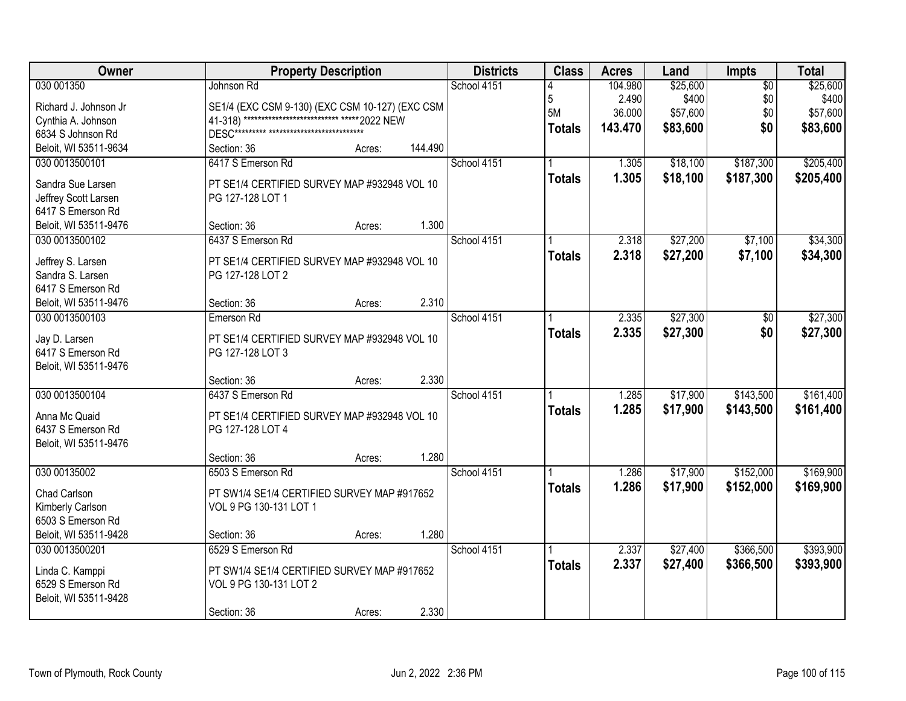| <b>Districts</b><br>Owner<br><b>Property Description</b><br><b>Class</b><br><b>Acres</b><br>Impts<br>Land     | <b>Total</b>                |
|---------------------------------------------------------------------------------------------------------------|-----------------------------|
| 030 001350<br>School 4151<br>\$25,600<br>Johnson Rd<br>104.980                                                | \$25,600<br>$\overline{50}$ |
| 5<br>\$400<br>2.490<br>SE1/4 (EXC CSM 9-130) (EXC CSM 10-127) (EXC CSM<br>Richard J. Johnson Jr               | \$0<br>\$400                |
| 5M<br>36.000<br>\$57,600<br>41-318) *************************** ***** 2022 NEW<br>Cynthia A. Johnson          | \$0<br>\$57,600             |
| \$83,600<br>143.470<br><b>Totals</b><br>6834 S Johnson Rd                                                     | \$0<br>\$83,600             |
| 144.490<br>Beloit, WI 53511-9634<br>Section: 36<br>Acres:                                                     |                             |
| 6417 S Emerson Rd<br>School 4151<br>\$18,100<br>030 0013500101<br>1.305                                       | \$187,300<br>\$205,400      |
| 1.305<br>\$18,100<br><b>Totals</b><br>PT SE1/4 CERTIFIED SURVEY MAP #932948 VOL 10<br>Sandra Sue Larsen       | \$187,300<br>\$205,400      |
| Jeffrey Scott Larsen<br>PG 127-128 LOT 1                                                                      |                             |
| 6417 S Emerson Rd                                                                                             |                             |
| 1.300<br>Beloit, WI 53511-9476<br>Section: 36<br>Acres:                                                       |                             |
| \$27,200<br>030 0013500102<br>6437 S Emerson Rd<br>School 4151<br>2.318                                       | \$7,100<br>\$34,300         |
| 2.318<br>\$27,200<br><b>Totals</b>                                                                            | \$7,100<br>\$34,300         |
| PT SE1/4 CERTIFIED SURVEY MAP #932948 VOL 10<br>Jeffrey S. Larsen                                             |                             |
| Sandra S. Larsen<br>PG 127-128 LOT 2                                                                          |                             |
| 6417 S Emerson Rd                                                                                             |                             |
| 2.310<br>Beloit, WI 53511-9476<br>Section: 36<br>Acres:                                                       |                             |
| \$27,300<br>School 4151<br>2.335<br>030 0013500103<br>Emerson Rd                                              | \$27,300<br>\$0             |
| 2.335<br>\$27,300<br><b>Totals</b><br>PT SE1/4 CERTIFIED SURVEY MAP #932948 VOL 10<br>Jay D. Larsen           | \$0<br>\$27,300             |
| 6417 S Emerson Rd<br>PG 127-128 LOT 3                                                                         |                             |
| Beloit, WI 53511-9476                                                                                         |                             |
| 2.330<br>Section: 36<br>Acres:                                                                                |                             |
| 030 0013500104<br>6437 S Emerson Rd<br>School 4151<br>1.285<br>\$17,900                                       | \$143,500<br>\$161,400      |
| 1.285<br>\$17,900<br><b>Totals</b><br>Anna Mc Quaid<br>PT SE1/4 CERTIFIED SURVEY MAP #932948 VOL 10           | \$143,500<br>\$161,400      |
| 6437 S Emerson Rd<br>PG 127-128 LOT 4                                                                         |                             |
| Beloit, WI 53511-9476                                                                                         |                             |
| 1.280<br>Section: 36<br>Acres:                                                                                |                             |
| School 4151<br>030 00135002<br>6503 S Emerson Rd<br>1.286<br>\$17,900                                         | \$152,000<br>\$169,900      |
| 1.286<br>\$17,900<br><b>Totals</b><br>Chad Carlson<br>PT SW1/4 SE1/4 CERTIFIED SURVEY MAP #917652             | \$152,000<br>\$169,900      |
| Kimberly Carlson<br>VOL 9 PG 130-131 LOT 1                                                                    |                             |
| 6503 S Emerson Rd                                                                                             |                             |
| Beloit, WI 53511-9428<br>1.280<br>Section: 36<br>Acres:                                                       |                             |
| 030 0013500201<br>6529 S Emerson Rd<br>2.337<br>\$27,400<br>School 4151                                       | \$366,500<br>\$393,900      |
| 2.337<br>\$27,400<br><b>Totals</b>                                                                            | \$366,500<br>\$393,900      |
| Linda C. Kamppi<br>PT SW1/4 SE1/4 CERTIFIED SURVEY MAP #917652<br>6529 S Emerson Rd<br>VOL 9 PG 130-131 LOT 2 |                             |
| Beloit, WI 53511-9428                                                                                         |                             |
| 2.330<br>Section: 36<br>Acres:                                                                                |                             |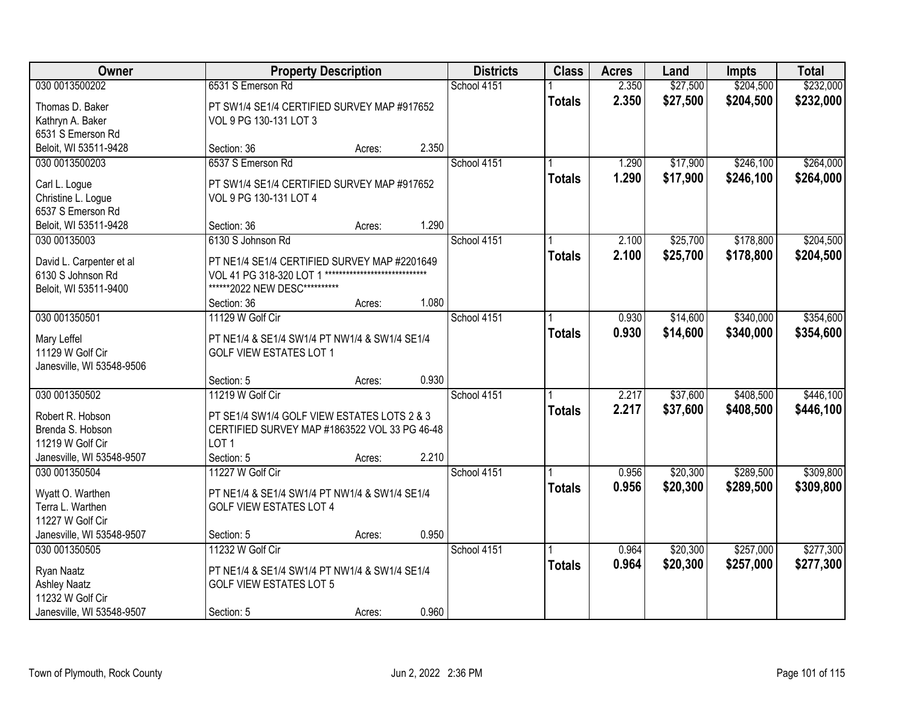| Owner                     |                                               | <b>Property Description</b>   |       | <b>Districts</b> | <b>Class</b>  | <b>Acres</b> | Land     | <b>Impts</b> | <b>Total</b> |
|---------------------------|-----------------------------------------------|-------------------------------|-------|------------------|---------------|--------------|----------|--------------|--------------|
| 030 0013500202            | 6531 S Emerson Rd                             |                               |       | School 4151      |               | 2.350        | \$27,500 | \$204,500    | \$232,000    |
| Thomas D. Baker           | PT SW1/4 SE1/4 CERTIFIED SURVEY MAP #917652   |                               |       |                  | <b>Totals</b> | 2.350        | \$27,500 | \$204,500    | \$232,000    |
| Kathryn A. Baker          | VOL 9 PG 130-131 LOT 3                        |                               |       |                  |               |              |          |              |              |
| 6531 S Emerson Rd         |                                               |                               |       |                  |               |              |          |              |              |
| Beloit, WI 53511-9428     | Section: 36                                   | Acres:                        | 2.350 |                  |               |              |          |              |              |
| 030 0013500203            | 6537 S Emerson Rd                             |                               |       | School 4151      |               | 1.290        | \$17,900 | \$246,100    | \$264,000    |
| Carl L. Logue             | PT SW1/4 SE1/4 CERTIFIED SURVEY MAP #917652   |                               |       |                  | <b>Totals</b> | 1.290        | \$17,900 | \$246,100    | \$264,000    |
| Christine L. Logue        | VOL 9 PG 130-131 LOT 4                        |                               |       |                  |               |              |          |              |              |
| 6537 S Emerson Rd         |                                               |                               |       |                  |               |              |          |              |              |
| Beloit, WI 53511-9428     | Section: 36                                   | Acres:                        | 1.290 |                  |               |              |          |              |              |
| 030 00135003              | 6130 S Johnson Rd                             |                               |       | School 4151      |               | 2.100        | \$25,700 | \$178,800    | \$204,500    |
|                           |                                               |                               |       |                  | <b>Totals</b> | 2.100        | \$25,700 | \$178,800    | \$204,500    |
| David L. Carpenter et al  | PT NE1/4 SE1/4 CERTIFIED SURVEY MAP #2201649  | ***************************** |       |                  |               |              |          |              |              |
| 6130 S Johnson Rd         | VOL 41 PG 318-320 LOT 1                       |                               |       |                  |               |              |          |              |              |
| Beloit, WI 53511-9400     | ******2022 NEW DESC**********<br>Section: 36  |                               | 1.080 |                  |               |              |          |              |              |
| 030 001350501             | 11129 W Golf Cir                              | Acres:                        |       | School 4151      |               | 0.930        | \$14,600 | \$340,000    | \$354,600    |
|                           |                                               |                               |       |                  |               |              |          |              |              |
| Mary Leffel               | PT NE1/4 & SE1/4 SW1/4 PT NW1/4 & SW1/4 SE1/4 |                               |       |                  | <b>Totals</b> | 0.930        | \$14,600 | \$340,000    | \$354,600    |
| 11129 W Golf Cir          | <b>GOLF VIEW ESTATES LOT 1</b>                |                               |       |                  |               |              |          |              |              |
| Janesville, WI 53548-9506 |                                               |                               |       |                  |               |              |          |              |              |
|                           | Section: 5                                    | Acres:                        | 0.930 |                  |               |              |          |              |              |
| 030 001350502             | 11219 W Golf Cir                              |                               |       | School 4151      |               | 2.217        | \$37,600 | \$408,500    | \$446,100    |
| Robert R. Hobson          | PT SE1/4 SW1/4 GOLF VIEW ESTATES LOTS 2 & 3   |                               |       |                  | <b>Totals</b> | 2.217        | \$37,600 | \$408,500    | \$446,100    |
| Brenda S. Hobson          | CERTIFIED SURVEY MAP #1863522 VOL 33 PG 46-48 |                               |       |                  |               |              |          |              |              |
| 11219 W Golf Cir          | LOT <sub>1</sub>                              |                               |       |                  |               |              |          |              |              |
| Janesville, WI 53548-9507 | Section: 5                                    | Acres:                        | 2.210 |                  |               |              |          |              |              |
| 030 001350504             | 11227 W Golf Cir                              |                               |       | School 4151      |               | 0.956        | \$20,300 | \$289,500    | \$309,800    |
| Wyatt O. Warthen          | PT NE1/4 & SE1/4 SW1/4 PT NW1/4 & SW1/4 SE1/4 |                               |       |                  | <b>Totals</b> | 0.956        | \$20,300 | \$289,500    | \$309,800    |
| Terra L. Warthen          | <b>GOLF VIEW ESTATES LOT 4</b>                |                               |       |                  |               |              |          |              |              |
| 11227 W Golf Cir          |                                               |                               |       |                  |               |              |          |              |              |
| Janesville, WI 53548-9507 | Section: 5                                    | Acres:                        | 0.950 |                  |               |              |          |              |              |
| 030 001350505             | 11232 W Golf Cir                              |                               |       | School 4151      |               | 0.964        | \$20,300 | \$257,000    | \$277,300    |
|                           |                                               |                               |       |                  | <b>Totals</b> | 0.964        | \$20,300 | \$257,000    | \$277,300    |
| Ryan Naatz                | PT NE1/4 & SE1/4 SW1/4 PT NW1/4 & SW1/4 SE1/4 |                               |       |                  |               |              |          |              |              |
| <b>Ashley Naatz</b>       | <b>GOLF VIEW ESTATES LOT 5</b>                |                               |       |                  |               |              |          |              |              |
| 11232 W Golf Cir          |                                               |                               |       |                  |               |              |          |              |              |
| Janesville, WI 53548-9507 | Section: 5                                    | Acres:                        | 0.960 |                  |               |              |          |              |              |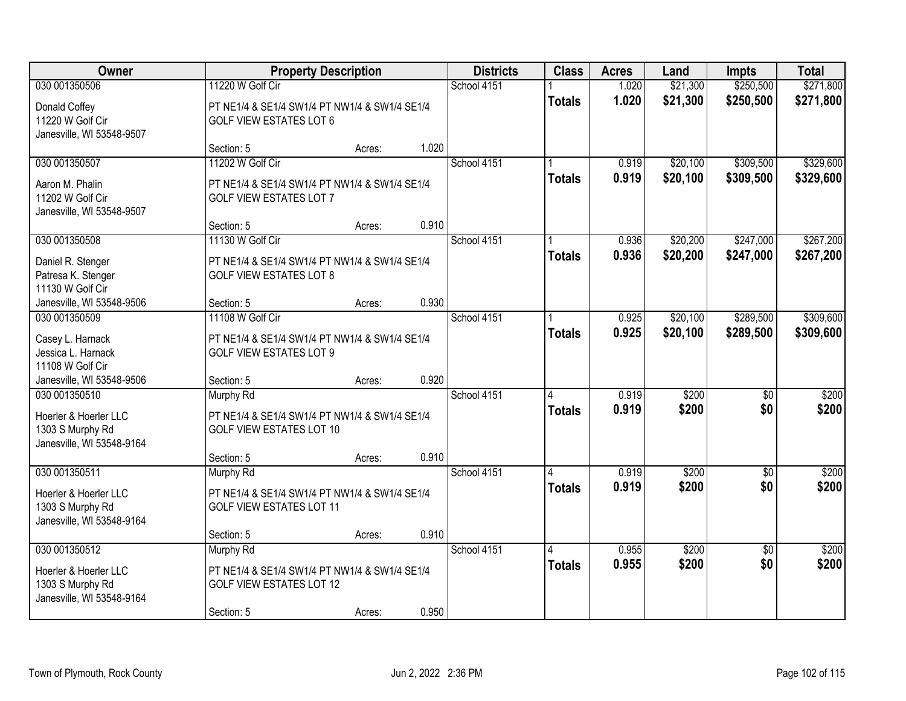| <b>Owner</b>                                                           |                                                                                               | <b>Property Description</b> |       | <b>Districts</b> | <b>Class</b>       | <b>Acres</b>   | Land                 | <b>Impts</b>           | <b>Total</b>           |
|------------------------------------------------------------------------|-----------------------------------------------------------------------------------------------|-----------------------------|-------|------------------|--------------------|----------------|----------------------|------------------------|------------------------|
| 030 001350506                                                          | 11220 W Golf Cir                                                                              |                             |       | School 4151      |                    | 1.020          | \$21,300             | \$250,500              | \$271,800              |
| Donald Coffey<br>11220 W Golf Cir<br>Janesville, WI 53548-9507         | PT NE1/4 & SE1/4 SW1/4 PT NW1/4 & SW1/4 SE1/4<br><b>GOLF VIEW ESTATES LOT 6</b>               |                             |       |                  | <b>Totals</b>      | 1.020          | \$21,300             | \$250,500              | \$271,800              |
|                                                                        | Section: 5                                                                                    | Acres:                      | 1.020 |                  |                    |                |                      |                        |                        |
| 030 001350507<br>Aaron M. Phalin                                       | 11202 W Golf Cir<br>PT NE1/4 & SE1/4 SW1/4 PT NW1/4 & SW1/4 SE1/4                             |                             |       | School 4151      | <b>Totals</b>      | 0.919<br>0.919 | \$20,100<br>\$20,100 | \$309,500<br>\$309,500 | \$329,600<br>\$329,600 |
| 11202 W Golf Cir<br>Janesville, WI 53548-9507                          | <b>GOLF VIEW ESTATES LOT 7</b><br>Section: 5                                                  |                             | 0.910 |                  |                    |                |                      |                        |                        |
| 030 001350508                                                          | 11130 W Golf Cir                                                                              | Acres:                      |       | School 4151      |                    | 0.936          | \$20,200             | \$247,000              | \$267,200              |
| Daniel R. Stenger<br>Patresa K. Stenger<br>11130 W Golf Cir            | PT NE1/4 & SE1/4 SW1/4 PT NW1/4 & SW1/4 SE1/4<br><b>GOLF VIEW ESTATES LOT 8</b>               |                             |       |                  | <b>Totals</b>      | 0.936          | \$20,200             | \$247,000              | \$267,200              |
| Janesville, WI 53548-9506                                              | Section: 5                                                                                    | Acres:                      | 0.930 |                  |                    |                |                      |                        |                        |
| 030 001350509                                                          | 11108 W Golf Cir                                                                              |                             |       | School 4151      |                    | 0.925          | \$20,100             | \$289,500              | \$309,600              |
| Casey L. Harnack<br>Jessica L. Harnack<br>11108 W Golf Cir             | PT NE1/4 & SE1/4 SW1/4 PT NW1/4 & SW1/4 SE1/4<br><b>GOLF VIEW ESTATES LOT 9</b>               |                             |       |                  | <b>Totals</b>      | 0.925          | \$20,100             | \$289,500              | \$309,600              |
| Janesville, WI 53548-9506                                              | Section: 5                                                                                    | Acres:                      | 0.920 |                  |                    |                |                      |                        |                        |
| 030 001350510<br>Hoerler & Hoerler LLC<br>1303 S Murphy Rd             | <b>Murphy Rd</b><br>PT NE1/4 & SE1/4 SW1/4 PT NW1/4 & SW1/4 SE1/4<br>GOLF VIEW ESTATES LOT 10 |                             |       | School 4151      | 4<br><b>Totals</b> | 0.919<br>0.919 | \$200<br>\$200       | $\overline{60}$<br>\$0 | \$200<br>\$200         |
| Janesville, WI 53548-9164                                              | Section: 5                                                                                    | Acres:                      | 0.910 |                  |                    |                |                      |                        |                        |
| 030 001350511                                                          | Murphy Rd                                                                                     |                             |       | School 4151      |                    | 0.919          | \$200                | $\sqrt{6}$             | \$200                  |
| Hoerler & Hoerler LLC<br>1303 S Murphy Rd<br>Janesville, WI 53548-9164 | PT NE1/4 & SE1/4 SW1/4 PT NW1/4 & SW1/4 SE1/4<br><b>GOLF VIEW ESTATES LOT 11</b>              |                             |       |                  | <b>Totals</b>      | 0.919          | \$200                | \$0                    | \$200                  |
|                                                                        | Section: 5                                                                                    | Acres:                      | 0.910 |                  |                    |                |                      |                        |                        |
| 030 001350512                                                          | Murphy Rd                                                                                     |                             |       | School 4151      | 4                  | 0.955          | \$200                | $\overline{50}$        | \$200                  |
| Hoerler & Hoerler LLC<br>1303 S Murphy Rd<br>Janesville, WI 53548-9164 | PT NE1/4 & SE1/4 SW1/4 PT NW1/4 & SW1/4 SE1/4<br><b>GOLF VIEW ESTATES LOT 12</b>              |                             |       |                  | <b>Totals</b>      | 0.955          | \$200                | \$0                    | \$200                  |
|                                                                        | Section: 5                                                                                    | Acres:                      | 0.950 |                  |                    |                |                      |                        |                        |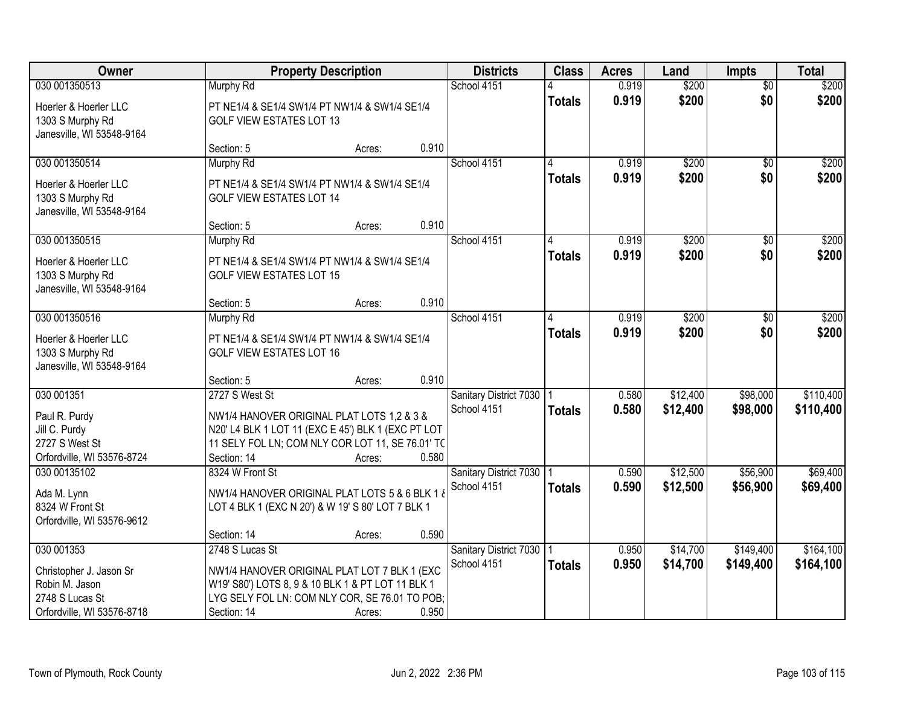| Owner                                                                  |                                                                                                        | <b>Property Description</b> |       | <b>Districts</b>                      | <b>Class</b>  | <b>Acres</b>   | Land                 | <b>Impts</b>         | <b>Total</b>           |
|------------------------------------------------------------------------|--------------------------------------------------------------------------------------------------------|-----------------------------|-------|---------------------------------------|---------------|----------------|----------------------|----------------------|------------------------|
| 030 001350513                                                          | <b>Murphy Rd</b>                                                                                       |                             |       | School 4151                           |               | 0.919          | \$200                | $\overline{50}$      | \$200                  |
| Hoerler & Hoerler LLC<br>1303 S Murphy Rd<br>Janesville, WI 53548-9164 | PT NE1/4 & SE1/4 SW1/4 PT NW1/4 & SW1/4 SE1/4<br><b>GOLF VIEW ESTATES LOT 13</b>                       |                             |       |                                       | <b>Totals</b> | 0.919          | \$200                | \$0                  | \$200                  |
|                                                                        | Section: 5                                                                                             | Acres:                      | 0.910 |                                       |               |                |                      |                      |                        |
| 030 001350514                                                          | Murphy Rd                                                                                              |                             |       | School 4151                           | 4             | 0.919          | \$200                | $\overline{50}$      | \$200                  |
| Hoerler & Hoerler LLC<br>1303 S Murphy Rd<br>Janesville, WI 53548-9164 | PT NE1/4 & SE1/4 SW1/4 PT NW1/4 & SW1/4 SE1/4<br><b>GOLF VIEW ESTATES LOT 14</b>                       |                             |       |                                       | <b>Totals</b> | 0.919          | \$200                | \$0                  | \$200                  |
|                                                                        | Section: 5                                                                                             | Acres:                      | 0.910 |                                       |               |                |                      |                      |                        |
| 030 001350515                                                          | <b>Murphy Rd</b>                                                                                       |                             |       | School 4151                           |               | 0.919          | \$200                | \$0                  | \$200                  |
| Hoerler & Hoerler LLC<br>1303 S Murphy Rd<br>Janesville, WI 53548-9164 | PT NE1/4 & SE1/4 SW1/4 PT NW1/4 & SW1/4 SE1/4<br><b>GOLF VIEW ESTATES LOT 15</b>                       |                             |       |                                       | <b>Totals</b> | 0.919          | \$200                | \$0                  | \$200                  |
|                                                                        | Section: 5                                                                                             | Acres:                      | 0.910 |                                       |               |                |                      |                      |                        |
| 030 001350516                                                          | Murphy Rd                                                                                              |                             |       | School 4151                           | 4             | 0.919          | \$200                | $\sqrt[6]{}$         | \$200                  |
| Hoerler & Hoerler LLC<br>1303 S Murphy Rd<br>Janesville, WI 53548-9164 | PT NE1/4 & SE1/4 SW1/4 PT NW1/4 & SW1/4 SE1/4<br><b>GOLF VIEW ESTATES LOT 16</b>                       |                             |       |                                       | <b>Totals</b> | 0.919          | \$200                | \$0                  | \$200                  |
|                                                                        | Section: 5                                                                                             | Acres:                      | 0.910 |                                       |               |                |                      |                      |                        |
| 030 001351                                                             | 2727 S West St                                                                                         |                             |       | Sanitary District 7030<br>School 4151 | <b>Totals</b> | 0.580<br>0.580 | \$12,400<br>\$12,400 | \$98,000<br>\$98,000 | \$110,400<br>\$110,400 |
| Paul R. Purdy                                                          | NW1/4 HANOVER ORIGINAL PLAT LOTS 1.2 & 3 &                                                             |                             |       |                                       |               |                |                      |                      |                        |
| Jill C. Purdy<br>2727 S West St                                        | N20' L4 BLK 1 LOT 11 (EXC E 45') BLK 1 (EXC PT LOT<br>11 SELY FOL LN; COM NLY COR LOT 11, SE 76.01' TC |                             |       |                                       |               |                |                      |                      |                        |
| Orfordville, WI 53576-8724                                             | Section: 14                                                                                            | Acres:                      | 0.580 |                                       |               |                |                      |                      |                        |
| 030 00135102                                                           | 8324 W Front St                                                                                        |                             |       | Sanitary District 7030                |               | 0.590          | \$12,500             | \$56,900             | \$69,400               |
|                                                                        |                                                                                                        |                             |       | School 4151                           | <b>Totals</b> | 0.590          | \$12,500             | \$56,900             | \$69,400               |
| Ada M. Lynn<br>8324 W Front St                                         | NW1/4 HANOVER ORIGINAL PLAT LOTS 5 & 6 BLK 1 &                                                         |                             |       |                                       |               |                |                      |                      |                        |
| Orfordville, WI 53576-9612                                             | LOT 4 BLK 1 (EXC N 20') & W 19' S 80' LOT 7 BLK 1                                                      |                             |       |                                       |               |                |                      |                      |                        |
|                                                                        | Section: 14                                                                                            | Acres:                      | 0.590 |                                       |               |                |                      |                      |                        |
| 030 001353                                                             | 2748 S Lucas St                                                                                        |                             |       | Sanitary District 7030                |               | 0.950          | \$14,700             | \$149,400            | \$164,100              |
| Christopher J. Jason Sr                                                | NW1/4 HANOVER ORIGINAL PLAT LOT 7 BLK 1 (EXC                                                           |                             |       | School 4151                           | <b>Totals</b> | 0.950          | \$14,700             | \$149,400            | \$164,100              |
| Robin M. Jason                                                         | W19' S80') LOTS 8, 9 & 10 BLK 1 & PT LOT 11 BLK 1                                                      |                             |       |                                       |               |                |                      |                      |                        |
| 2748 S Lucas St                                                        | LYG SELY FOL LN: COM NLY COR, SE 76.01 TO POB;                                                         |                             |       |                                       |               |                |                      |                      |                        |
| Orfordville, WI 53576-8718                                             | Section: 14                                                                                            | Acres:                      | 0.950 |                                       |               |                |                      |                      |                        |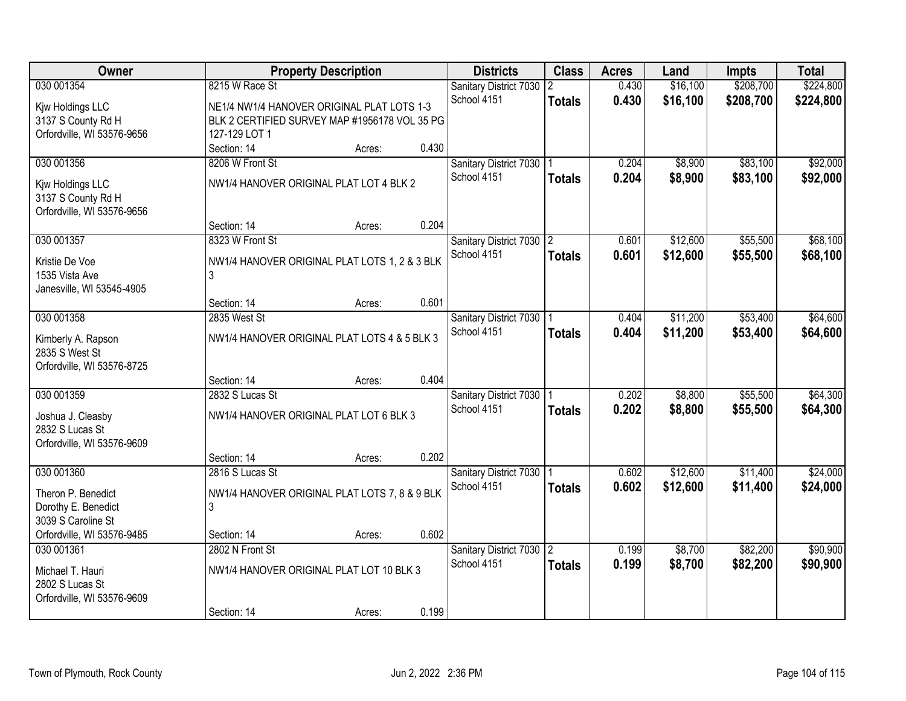| Owner                                            |                                                                                             | <b>Property Description</b> |       | <b>Districts</b>                      | <b>Class</b>  | <b>Acres</b> | Land     | <b>Impts</b> | <b>Total</b> |
|--------------------------------------------------|---------------------------------------------------------------------------------------------|-----------------------------|-------|---------------------------------------|---------------|--------------|----------|--------------|--------------|
| 030 001354                                       | 8215 W Race St                                                                              |                             |       | Sanitary District 7030<br>School 4151 |               | 0.430        | \$16,100 | \$208,700    | \$224,800    |
| Kjw Holdings LLC                                 | NE1/4 NW1/4 HANOVER ORIGINAL PLAT LOTS 1-3<br>BLK 2 CERTIFIED SURVEY MAP #1956178 VOL 35 PG |                             |       |                                       | <b>Totals</b> | 0.430        | \$16,100 | \$208,700    | \$224,800    |
| 3137 S County Rd H<br>Orfordville, WI 53576-9656 | 127-129 LOT 1                                                                               |                             |       |                                       |               |              |          |              |              |
|                                                  | Section: 14                                                                                 | Acres:                      | 0.430 |                                       |               |              |          |              |              |
| 030 001356                                       | 8206 W Front St                                                                             |                             |       | Sanitary District 7030                |               | 0.204        | \$8,900  | \$83,100     | \$92,000     |
|                                                  |                                                                                             |                             |       | School 4151                           | <b>Totals</b> | 0.204        | \$8,900  | \$83,100     | \$92,000     |
| Kjw Holdings LLC<br>3137 S County Rd H           | NW1/4 HANOVER ORIGINAL PLAT LOT 4 BLK 2                                                     |                             |       |                                       |               |              |          |              |              |
| Orfordville, WI 53576-9656                       | Section: 14                                                                                 | Acres:                      | 0.204 |                                       |               |              |          |              |              |
| 030 001357                                       | 8323 W Front St                                                                             |                             |       | Sanitary District 7030 2              |               | 0.601        | \$12,600 | \$55,500     | \$68,100     |
|                                                  |                                                                                             |                             |       | School 4151                           | <b>Totals</b> | 0.601        | \$12,600 | \$55,500     | \$68,100     |
| Kristie De Voe<br>1535 Vista Ave                 | NW1/4 HANOVER ORIGINAL PLAT LOTS 1, 2 & 3 BLK<br>3                                          |                             |       |                                       |               |              |          |              |              |
| Janesville, WI 53545-4905                        |                                                                                             |                             |       |                                       |               |              |          |              |              |
|                                                  | Section: 14                                                                                 | Acres:                      | 0.601 |                                       |               |              |          |              |              |
| 030 001358                                       | 2835 West St                                                                                |                             |       | Sanitary District 7030   1            |               | 0.404        | \$11,200 | \$53,400     | \$64,600     |
|                                                  | NW1/4 HANOVER ORIGINAL PLAT LOTS 4 & 5 BLK 3                                                |                             |       | School 4151                           | <b>Totals</b> | 0.404        | \$11,200 | \$53,400     | \$64,600     |
| Kimberly A. Rapson<br>2835 S West St             |                                                                                             |                             |       |                                       |               |              |          |              |              |
| Orfordville, WI 53576-8725                       |                                                                                             |                             |       |                                       |               |              |          |              |              |
|                                                  | Section: 14                                                                                 | Acres:                      | 0.404 |                                       |               |              |          |              |              |
| 030 001359                                       | 2832 S Lucas St                                                                             |                             |       | Sanitary District 7030                |               | 0.202        | \$8,800  | \$55,500     | \$64,300     |
| Joshua J. Cleasby                                | NW1/4 HANOVER ORIGINAL PLAT LOT 6 BLK 3                                                     |                             |       | School 4151                           | <b>Totals</b> | 0.202        | \$8,800  | \$55,500     | \$64,300     |
| 2832 S Lucas St                                  |                                                                                             |                             |       |                                       |               |              |          |              |              |
| Orfordville, WI 53576-9609                       |                                                                                             |                             |       |                                       |               |              |          |              |              |
|                                                  | Section: 14                                                                                 | Acres:                      | 0.202 |                                       |               |              |          |              |              |
| 030 001360                                       | 2816 S Lucas St                                                                             |                             |       | Sanitary District 7030                |               | 0.602        | \$12,600 | \$11,400     | \$24,000     |
| Theron P. Benedict                               | NW1/4 HANOVER ORIGINAL PLAT LOTS 7, 8 & 9 BLK                                               |                             |       | School 4151                           | <b>Totals</b> | 0.602        | \$12,600 | \$11,400     | \$24,000     |
| Dorothy E. Benedict                              | 3                                                                                           |                             |       |                                       |               |              |          |              |              |
| 3039 S Caroline St                               |                                                                                             |                             |       |                                       |               |              |          |              |              |
| Orfordville, WI 53576-9485                       | Section: 14                                                                                 | Acres:                      | 0.602 |                                       |               |              |          |              |              |
| 030 001361                                       | 2802 N Front St                                                                             |                             |       | Sanitary District 7030 2              |               | 0.199        | \$8,700  | \$82,200     | \$90,900     |
| Michael T. Hauri                                 | NW1/4 HANOVER ORIGINAL PLAT LOT 10 BLK 3                                                    |                             |       | School 4151                           | <b>Totals</b> | 0.199        | \$8,700  | \$82,200     | \$90,900     |
| 2802 S Lucas St                                  |                                                                                             |                             |       |                                       |               |              |          |              |              |
| Orfordville, WI 53576-9609                       |                                                                                             |                             |       |                                       |               |              |          |              |              |
|                                                  | Section: 14                                                                                 | Acres:                      | 0.199 |                                       |               |              |          |              |              |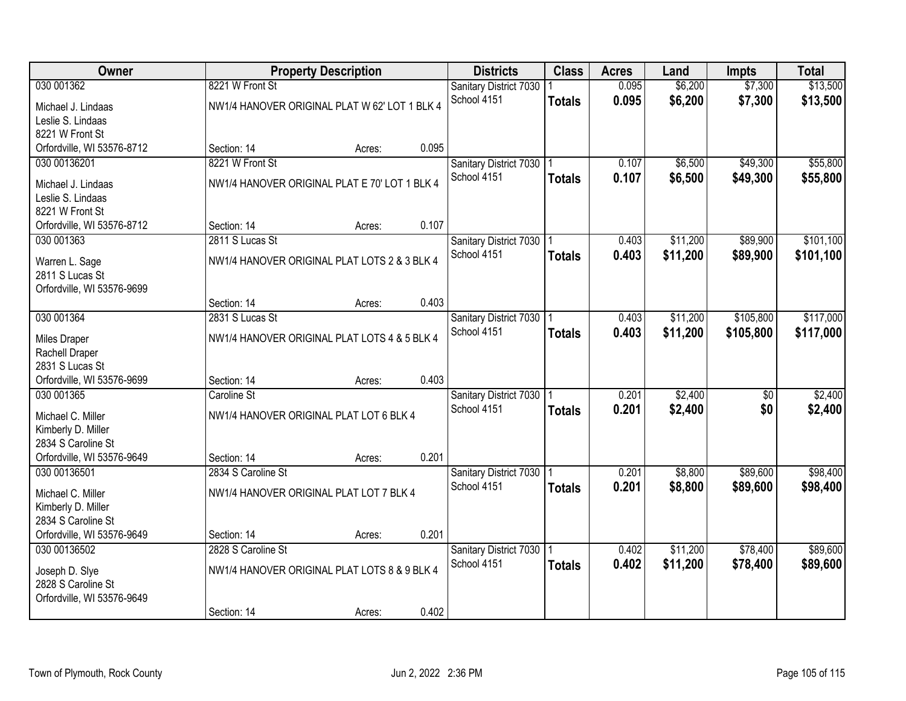|                                                                                                                         | \$13,500                   |           | <b>Impts</b> | Land    | <b>Acres</b> | <b>Class</b> | <b>Districts</b>       | <b>Property Description</b> |                 | Owner      |
|-------------------------------------------------------------------------------------------------------------------------|----------------------------|-----------|--------------|---------|--------------|--------------|------------------------|-----------------------------|-----------------|------------|
|                                                                                                                         |                            | \$7,300   |              | \$6,200 | 0.095        |              | Sanitary District 7030 |                             | 8221 W Front St | 030 001362 |
| 0.095<br>School 4151<br>\$6,200<br><b>Totals</b><br>NW1/4 HANOVER ORIGINAL PLAT W 62' LOT 1 BLK 4<br>Michael J. Lindaas | \$13,500                   | \$7,300   |              |         |              |              |                        |                             |                 |            |
| Leslie S. Lindaas                                                                                                       |                            |           |              |         |              |              |                        |                             |                 |            |
| 8221 W Front St                                                                                                         |                            |           |              |         |              |              |                        |                             |                 |            |
| 0.095<br>Orfordville, WI 53576-8712<br>Section: 14<br>Acres:                                                            |                            |           |              |         |              |              |                        |                             |                 |            |
| 8221 W Front St<br>\$6,500<br>030 00136201<br>Sanitary District 7030<br>0.107                                           | \$49,300<br>\$55,800       |           |              |         |              |              |                        |                             |                 |            |
| School 4151<br>0.107<br>\$6,500<br><b>Totals</b><br>NW1/4 HANOVER ORIGINAL PLAT E 70' LOT 1 BLK 4<br>Michael J. Lindaas | \$55,800                   | \$49,300  |              |         |              |              |                        |                             |                 |            |
| Leslie S. Lindaas                                                                                                       |                            |           |              |         |              |              |                        |                             |                 |            |
| 8221 W Front St                                                                                                         |                            |           |              |         |              |              |                        |                             |                 |            |
| 0.107<br>Orfordville, WI 53576-8712<br>Section: 14<br>Acres:                                                            |                            |           |              |         |              |              |                        |                             |                 |            |
| \$11,200<br>030 001363<br>2811 S Lucas St<br>Sanitary District 7030   1<br>0.403                                        | \$101,100<br>\$89,900      |           |              |         |              |              |                        |                             |                 |            |
| School 4151<br>0.403<br>\$11,200<br><b>Totals</b><br>NW1/4 HANOVER ORIGINAL PLAT LOTS 2 & 3 BLK 4<br>Warren L. Sage     | \$101,100                  | \$89,900  |              |         |              |              |                        |                             |                 |            |
| 2811 S Lucas St                                                                                                         |                            |           |              |         |              |              |                        |                             |                 |            |
| Orfordville, WI 53576-9699                                                                                              |                            |           |              |         |              |              |                        |                             |                 |            |
| 0.403<br>Section: 14<br>Acres:                                                                                          |                            |           |              |         |              |              |                        |                             |                 |            |
| 030 001364<br>2831 S Lucas St<br>Sanitary District 7030 1<br>\$11,200<br>0.403                                          | \$117,000                  | \$105,800 |              |         |              |              |                        |                             |                 |            |
| School 4151<br>0.403<br>\$11,200<br><b>Totals</b><br>NW1/4 HANOVER ORIGINAL PLAT LOTS 4 & 5 BLK 4                       | \$117,000                  | \$105,800 |              |         |              |              |                        |                             |                 |            |
| Miles Draper<br>Rachell Draper                                                                                          |                            |           |              |         |              |              |                        |                             |                 |            |
| 2831 S Lucas St                                                                                                         |                            |           |              |         |              |              |                        |                             |                 |            |
| 0.403<br>Orfordville, WI 53576-9699<br>Section: 14<br>Acres:                                                            |                            |           |              |         |              |              |                        |                             |                 |            |
| 0.201<br>\$2,400<br>030 001365<br>Caroline St<br>Sanitary District 7030                                                 | \$2,400<br>$\overline{50}$ |           |              |         |              |              |                        |                             |                 |            |
| School 4151<br>0.201<br>\$2,400<br><b>Totals</b>                                                                        | \$0<br>\$2,400             |           |              |         |              |              |                        |                             |                 |            |
| NW1/4 HANOVER ORIGINAL PLAT LOT 6 BLK 4<br>Michael C. Miller<br>Kimberly D. Miller                                      |                            |           |              |         |              |              |                        |                             |                 |            |
| 2834 S Caroline St                                                                                                      |                            |           |              |         |              |              |                        |                             |                 |            |
| 0.201<br>Orfordville, WI 53576-9649<br>Section: 14<br>Acres:                                                            |                            |           |              |         |              |              |                        |                             |                 |            |
| \$8,800<br>030 00136501<br>2834 S Caroline St<br>0.201<br>Sanitary District 7030   1                                    | \$89,600<br>\$98,400       |           |              |         |              |              |                        |                             |                 |            |
| School 4151<br>0.201<br>\$8,800<br><b>Totals</b>                                                                        | \$98,400                   | \$89,600  |              |         |              |              |                        |                             |                 |            |
| NW1/4 HANOVER ORIGINAL PLAT LOT 7 BLK 4<br>Michael C. Miller                                                            |                            |           |              |         |              |              |                        |                             |                 |            |
| Kimberly D. Miller<br>2834 S Caroline St                                                                                |                            |           |              |         |              |              |                        |                             |                 |            |
| 0.201<br>Orfordville, WI 53576-9649<br>Section: 14<br>Acres:                                                            |                            |           |              |         |              |              |                        |                             |                 |            |
| 030 00136502<br>2828 S Caroline St<br>Sanitary District 7030<br>\$11,200<br>0.402                                       | \$78,400<br>\$89,600       |           |              |         |              |              |                        |                             |                 |            |
| 0.402<br>\$11,200<br>School 4151<br><b>Totals</b>                                                                       | \$89,600                   | \$78,400  |              |         |              |              |                        |                             |                 |            |
| NW1/4 HANOVER ORIGINAL PLAT LOTS 8 & 9 BLK 4<br>Joseph D. Slye<br>2828 S Caroline St                                    |                            |           |              |         |              |              |                        |                             |                 |            |
| Orfordville, WI 53576-9649                                                                                              |                            |           |              |         |              |              |                        |                             |                 |            |
| 0.402<br>Section: 14<br>Acres:                                                                                          |                            |           |              |         |              |              |                        |                             |                 |            |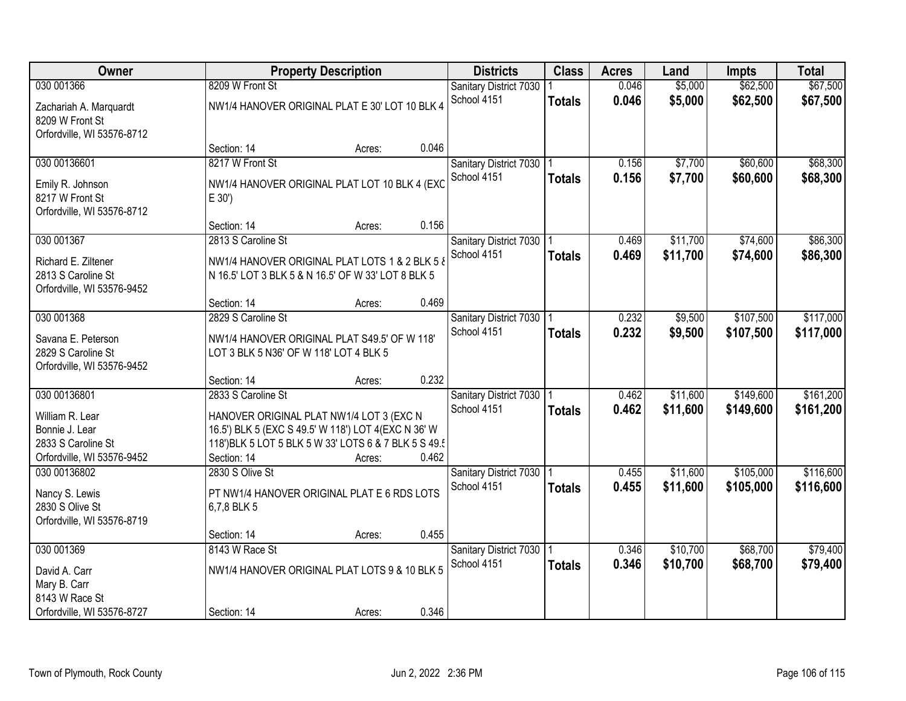| Owner                      |                                                       | <b>Property Description</b> |       | <b>Districts</b>           | <b>Class</b>  | <b>Acres</b> | Land     | <b>Impts</b> | <b>Total</b> |
|----------------------------|-------------------------------------------------------|-----------------------------|-------|----------------------------|---------------|--------------|----------|--------------|--------------|
| 030 001366                 | 8209 W Front St                                       |                             |       | Sanitary District 7030     |               | 0.046        | \$5,000  | \$62,500     | \$67,500     |
| Zachariah A. Marquardt     | NW1/4 HANOVER ORIGINAL PLAT E 30' LOT 10 BLK 4        |                             |       | School 4151                | <b>Totals</b> | 0.046        | \$5,000  | \$62,500     | \$67,500     |
| 8209 W Front St            |                                                       |                             |       |                            |               |              |          |              |              |
| Orfordville, WI 53576-8712 |                                                       |                             |       |                            |               |              |          |              |              |
|                            | Section: 14                                           | Acres:                      | 0.046 |                            |               |              |          |              |              |
| 030 00136601               | 8217 W Front St                                       |                             |       | Sanitary District 7030     |               | 0.156        | \$7,700  | \$60,600     | \$68,300     |
| Emily R. Johnson           | NW1/4 HANOVER ORIGINAL PLAT LOT 10 BLK 4 (EXC         |                             |       | School 4151                | <b>Totals</b> | 0.156        | \$7,700  | \$60,600     | \$68,300     |
| 8217 W Front St            | E 30')                                                |                             |       |                            |               |              |          |              |              |
| Orfordville, WI 53576-8712 |                                                       |                             |       |                            |               |              |          |              |              |
|                            | Section: 14                                           | Acres:                      | 0.156 |                            |               |              |          |              |              |
| 030 001367                 | 2813 S Caroline St                                    |                             |       | Sanitary District 7030   1 |               | 0.469        | \$11,700 | \$74,600     | \$86,300     |
| Richard E. Ziltener        | NW1/4 HANOVER ORIGINAL PLAT LOTS 1 & 2 BLK 5 &        |                             |       | School 4151                | <b>Totals</b> | 0.469        | \$11,700 | \$74,600     | \$86,300     |
| 2813 S Caroline St         | N 16.5' LOT 3 BLK 5 & N 16.5' OF W 33' LOT 8 BLK 5    |                             |       |                            |               |              |          |              |              |
| Orfordville, WI 53576-9452 |                                                       |                             |       |                            |               |              |          |              |              |
|                            | Section: 14                                           | Acres:                      | 0.469 |                            |               |              |          |              |              |
| 030 001368                 | 2829 S Caroline St                                    |                             |       | Sanitary District 7030     |               | 0.232        | \$9,500  | \$107,500    | \$117,000    |
| Savana E. Peterson         | NW1/4 HANOVER ORIGINAL PLAT S49.5' OF W 118'          |                             |       | School 4151                | <b>Totals</b> | 0.232        | \$9,500  | \$107,500    | \$117,000    |
| 2829 S Caroline St         | LOT 3 BLK 5 N36' OF W 118' LOT 4 BLK 5                |                             |       |                            |               |              |          |              |              |
| Orfordville, WI 53576-9452 |                                                       |                             |       |                            |               |              |          |              |              |
|                            | Section: 14                                           | Acres:                      | 0.232 |                            |               |              |          |              |              |
| 030 00136801               | 2833 S Caroline St                                    |                             |       | Sanitary District 7030     |               | 0.462        | \$11,600 | \$149,600    | \$161,200    |
| William R. Lear            | HANOVER ORIGINAL PLAT NW1/4 LOT 3 (EXC N              |                             |       | School 4151                | <b>Totals</b> | 0.462        | \$11,600 | \$149,600    | \$161,200    |
| Bonnie J. Lear             | 16.5') BLK 5 (EXC S 49.5' W 118') LOT 4 (EXC N 36' W  |                             |       |                            |               |              |          |              |              |
| 2833 S Caroline St         | 118') BLK 5 LOT 5 BLK 5 W 33' LOTS 6 & 7 BLK 5 S 49.5 |                             |       |                            |               |              |          |              |              |
| Orfordville, WI 53576-9452 | Section: 14                                           | Acres:                      | 0.462 |                            |               |              |          |              |              |
| 030 00136802               | 2830 S Olive St                                       |                             |       | Sanitary District 7030     |               | 0.455        | \$11,600 | \$105,000    | \$116,600    |
| Nancy S. Lewis             | PT NW1/4 HANOVER ORIGINAL PLAT E 6 RDS LOTS           |                             |       | School 4151                | <b>Totals</b> | 0.455        | \$11,600 | \$105,000    | \$116,600    |
| 2830 S Olive St            | 6,7,8 BLK 5                                           |                             |       |                            |               |              |          |              |              |
| Orfordville, WI 53576-8719 |                                                       |                             |       |                            |               |              |          |              |              |
|                            | Section: 14                                           | Acres:                      | 0.455 |                            |               |              |          |              |              |
| 030 001369                 | 8143 W Race St                                        |                             |       | Sanitary District 7030     |               | 0.346        | \$10,700 | \$68,700     | \$79,400     |
| David A. Carr              | NW1/4 HANOVER ORIGINAL PLAT LOTS 9 & 10 BLK 5         |                             |       | School 4151                | <b>Totals</b> | 0.346        | \$10,700 | \$68,700     | \$79,400     |
| Mary B. Carr               |                                                       |                             |       |                            |               |              |          |              |              |
| 8143 W Race St             |                                                       |                             |       |                            |               |              |          |              |              |
| Orfordville, WI 53576-8727 | Section: 14                                           | Acres:                      | 0.346 |                            |               |              |          |              |              |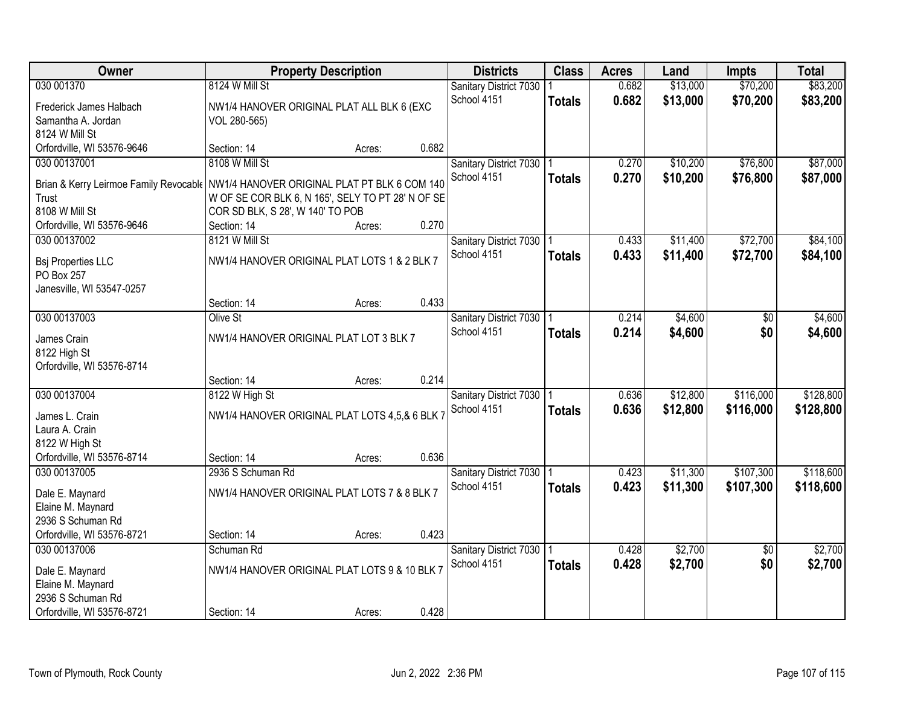| Owner                                                                                                                          |                                                                                                         | <b>Property Description</b> |       | <b>Districts</b>                          | <b>Class</b>  | <b>Acres</b>   | Land                 | <b>Impts</b>           | <b>Total</b>           |
|--------------------------------------------------------------------------------------------------------------------------------|---------------------------------------------------------------------------------------------------------|-----------------------------|-------|-------------------------------------------|---------------|----------------|----------------------|------------------------|------------------------|
| 030 001370<br>Frederick James Halbach<br>Samantha A. Jordan                                                                    | 8124 W Mill St<br>NW1/4 HANOVER ORIGINAL PLAT ALL BLK 6 (EXC<br>VOL 280-565)                            |                             |       | Sanitary District 7030<br>School 4151     | <b>Totals</b> | 0.682<br>0.682 | \$13,000<br>\$13,000 | \$70,200<br>\$70,200   | \$83,200<br>\$83,200   |
| 8124 W Mill St<br>Orfordville, WI 53576-9646                                                                                   | Section: 14                                                                                             | Acres:                      | 0.682 |                                           |               |                |                      |                        |                        |
| 030 00137001<br>Brian & Kerry Leirmoe Family Revocable NW1/4 HANOVER ORIGINAL PLAT PT BLK 6 COM 140<br>Trust<br>8108 W Mill St | 8108 W Mill St<br>W OF SE COR BLK 6, N 165', SELY TO PT 28' N OF SE<br>COR SD BLK, S 28', W 140' TO POB |                             |       | Sanitary District 7030<br>School 4151     | <b>Totals</b> | 0.270<br>0.270 | \$10,200<br>\$10,200 | \$76,800<br>\$76,800   | \$87,000<br>\$87,000   |
| Orfordville, WI 53576-9646                                                                                                     | Section: 14                                                                                             | Acres:                      | 0.270 |                                           |               |                |                      |                        |                        |
| 030 00137002<br><b>Bsj Properties LLC</b><br>PO Box 257<br>Janesville, WI 53547-0257                                           | 8121 W Mill St<br>NW1/4 HANOVER ORIGINAL PLAT LOTS 1 & 2 BLK 7                                          |                             |       | Sanitary District 7030   1<br>School 4151 | <b>Totals</b> | 0.433<br>0.433 | \$11,400<br>\$11,400 | \$72,700<br>\$72,700   | \$84,100<br>\$84,100   |
|                                                                                                                                | Section: 14                                                                                             | Acres:                      | 0.433 |                                           |               |                |                      |                        |                        |
| 030 00137003<br>James Crain<br>8122 High St                                                                                    | Olive St<br>NW1/4 HANOVER ORIGINAL PLAT LOT 3 BLK 7                                                     |                             |       | Sanitary District 7030 1<br>School 4151   | <b>Totals</b> | 0.214<br>0.214 | \$4,600<br>\$4,600   | \$0<br>\$0             | \$4,600<br>\$4,600     |
| Orfordville, WI 53576-8714                                                                                                     | Section: 14                                                                                             | Acres:                      | 0.214 |                                           |               |                |                      |                        |                        |
| 030 00137004<br>James L. Crain<br>Laura A. Crain<br>8122 W High St<br>Orfordville, WI 53576-8714                               | 8122 W High St<br>NW1/4 HANOVER ORIGINAL PLAT LOTS 4,5,& 6 BLK<br>Section: 14                           | Acres:                      | 0.636 | Sanitary District 7030<br>School 4151     | <b>Totals</b> | 0.636<br>0.636 | \$12,800<br>\$12,800 | \$116,000<br>\$116,000 | \$128,800<br>\$128,800 |
| 030 00137005<br>Dale E. Maynard<br>Elaine M. Maynard<br>2936 S Schuman Rd                                                      | 2936 S Schuman Rd<br>NW1/4 HANOVER ORIGINAL PLAT LOTS 7 & 8 BLK 7                                       |                             |       | Sanitary District 7030   1<br>School 4151 | <b>Totals</b> | 0.423<br>0.423 | \$11,300<br>\$11,300 | \$107,300<br>\$107,300 | \$118,600<br>\$118,600 |
| Orfordville, WI 53576-8721<br>030 00137006                                                                                     | Section: 14<br>Schuman Rd                                                                               | Acres:                      | 0.423 | Sanitary District 7030                    |               | 0.428          | \$2,700              | $\overline{50}$        | \$2,700                |
| Dale E. Maynard<br>Elaine M. Maynard<br>2936 S Schuman Rd                                                                      | NW1/4 HANOVER ORIGINAL PLAT LOTS 9 & 10 BLK 7                                                           |                             |       | School 4151                               | <b>Totals</b> | 0.428          | \$2,700              | \$0                    | \$2,700                |
| Orfordville, WI 53576-8721                                                                                                     | Section: 14                                                                                             | Acres:                      | 0.428 |                                           |               |                |                      |                        |                        |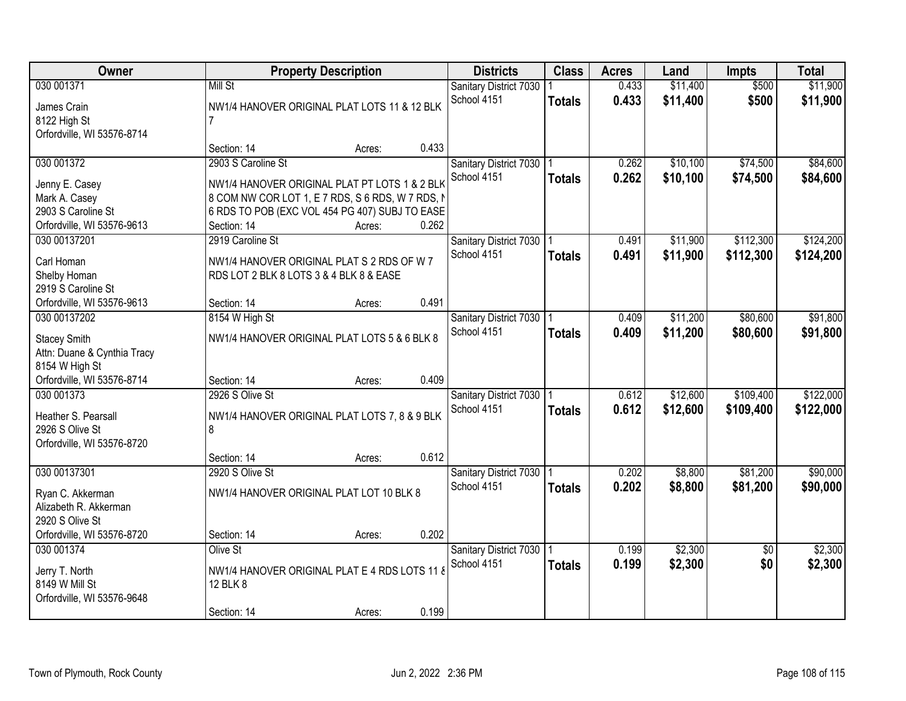| Owner                                        |                                                         | <b>Property Description</b> |       | <b>Districts</b>                      | <b>Class</b>  | <b>Acres</b>   | Land                 | <b>Impts</b>    | <b>Total</b>         |
|----------------------------------------------|---------------------------------------------------------|-----------------------------|-------|---------------------------------------|---------------|----------------|----------------------|-----------------|----------------------|
| 030 001371                                   | Mill St<br>NW1/4 HANOVER ORIGINAL PLAT LOTS 11 & 12 BLK |                             |       | Sanitary District 7030<br>School 4151 | <b>Totals</b> | 0.433<br>0.433 | \$11,400<br>\$11,400 | \$500<br>\$500  | \$11,900<br>\$11,900 |
| James Crain<br>8122 High St                  | 7                                                       |                             |       |                                       |               |                |                      |                 |                      |
| Orfordville, WI 53576-8714                   |                                                         |                             |       |                                       |               |                |                      |                 |                      |
|                                              | Section: 14                                             | Acres:                      | 0.433 |                                       |               |                |                      |                 |                      |
| 030 001372                                   | 2903 S Caroline St                                      |                             |       | Sanitary District 7030                |               | 0.262          | \$10,100             | \$74,500        | \$84,600             |
| Jenny E. Casey                               | NW1/4 HANOVER ORIGINAL PLAT PT LOTS 1 & 2 BLK           |                             |       | School 4151                           | <b>Totals</b> | 0.262          | \$10,100             | \$74,500        | \$84,600             |
| Mark A. Casey                                | 8 COM NW COR LOT 1, E 7 RDS, S 6 RDS, W 7 RDS, N        |                             |       |                                       |               |                |                      |                 |                      |
| 2903 S Caroline St                           | 6 RDS TO POB (EXC VOL 454 PG 407) SUBJ TO EASE          |                             |       |                                       |               |                |                      |                 |                      |
| Orfordville, WI 53576-9613                   | Section: 14                                             | Acres:                      | 0.262 |                                       |               |                |                      |                 |                      |
| 030 00137201                                 | 2919 Caroline St                                        |                             |       | Sanitary District 7030   1            |               | 0.491          | \$11,900             | \$112,300       | \$124,200            |
| Carl Homan                                   | NW1/4 HANOVER ORIGINAL PLAT S 2 RDS OF W 7              |                             |       | School 4151                           | <b>Totals</b> | 0.491          | \$11,900             | \$112,300       | \$124,200            |
| Shelby Homan                                 | RDS LOT 2 BLK 8 LOTS 3 & 4 BLK 8 & EASE                 |                             |       |                                       |               |                |                      |                 |                      |
| 2919 S Caroline St                           |                                                         |                             |       |                                       |               |                |                      |                 |                      |
| Orfordville, WI 53576-9613                   | Section: 14                                             | Acres:                      | 0.491 |                                       |               |                |                      |                 |                      |
| 030 00137202                                 | 8154 W High St                                          |                             |       | Sanitary District 7030 1              |               | 0.409          | \$11,200             | \$80,600        | \$91,800             |
|                                              |                                                         |                             |       | School 4151                           | <b>Totals</b> | 0.409          | \$11,200             | \$80,600        | \$91,800             |
| <b>Stacey Smith</b>                          | NW1/4 HANOVER ORIGINAL PLAT LOTS 5 & 6 BLK 8            |                             |       |                                       |               |                |                      |                 |                      |
| Attn: Duane & Cynthia Tracy                  |                                                         |                             |       |                                       |               |                |                      |                 |                      |
| 8154 W High St<br>Orfordville, WI 53576-8714 | Section: 14                                             |                             | 0.409 |                                       |               |                |                      |                 |                      |
| 030 001373                                   | 2926 S Olive St                                         | Acres:                      |       |                                       |               | 0.612          | \$12,600             | \$109,400       | \$122,000            |
|                                              |                                                         |                             |       | Sanitary District 7030<br>School 4151 |               | 0.612          | \$12,600             | \$109,400       | \$122,000            |
| Heather S. Pearsall                          | NW1/4 HANOVER ORIGINAL PLAT LOTS 7, 8 & 9 BLK           |                             |       |                                       | <b>Totals</b> |                |                      |                 |                      |
| 2926 S Olive St                              | 8                                                       |                             |       |                                       |               |                |                      |                 |                      |
| Orfordville, WI 53576-8720                   |                                                         |                             |       |                                       |               |                |                      |                 |                      |
|                                              | Section: 14                                             | Acres:                      | 0.612 |                                       |               |                |                      |                 |                      |
| 030 00137301                                 | 2920 S Olive St                                         |                             |       | Sanitary District 7030   1            |               | 0.202          | \$8,800              | \$81,200        | \$90,000             |
| Ryan C. Akkerman                             | NW1/4 HANOVER ORIGINAL PLAT LOT 10 BLK 8                |                             |       | School 4151                           | <b>Totals</b> | 0.202          | \$8,800              | \$81,200        | \$90,000             |
| Alizabeth R. Akkerman                        |                                                         |                             |       |                                       |               |                |                      |                 |                      |
| 2920 S Olive St                              |                                                         |                             |       |                                       |               |                |                      |                 |                      |
| Orfordville, WI 53576-8720                   | Section: 14                                             | Acres:                      | 0.202 |                                       |               |                |                      |                 |                      |
| 030 001374                                   | Olive St                                                |                             |       | Sanitary District 7030   1            |               | 0.199          | \$2,300              | $\overline{50}$ | \$2,300              |
| Jerry T. North                               | NW1/4 HANOVER ORIGINAL PLAT E 4 RDS LOTS 11 8           |                             |       | School 4151                           | <b>Totals</b> | 0.199          | \$2,300              | \$0             | \$2,300              |
| 8149 W Mill St                               | 12 BLK 8                                                |                             |       |                                       |               |                |                      |                 |                      |
| Orfordville, WI 53576-9648                   |                                                         |                             |       |                                       |               |                |                      |                 |                      |
|                                              | Section: 14                                             | Acres:                      | 0.199 |                                       |               |                |                      |                 |                      |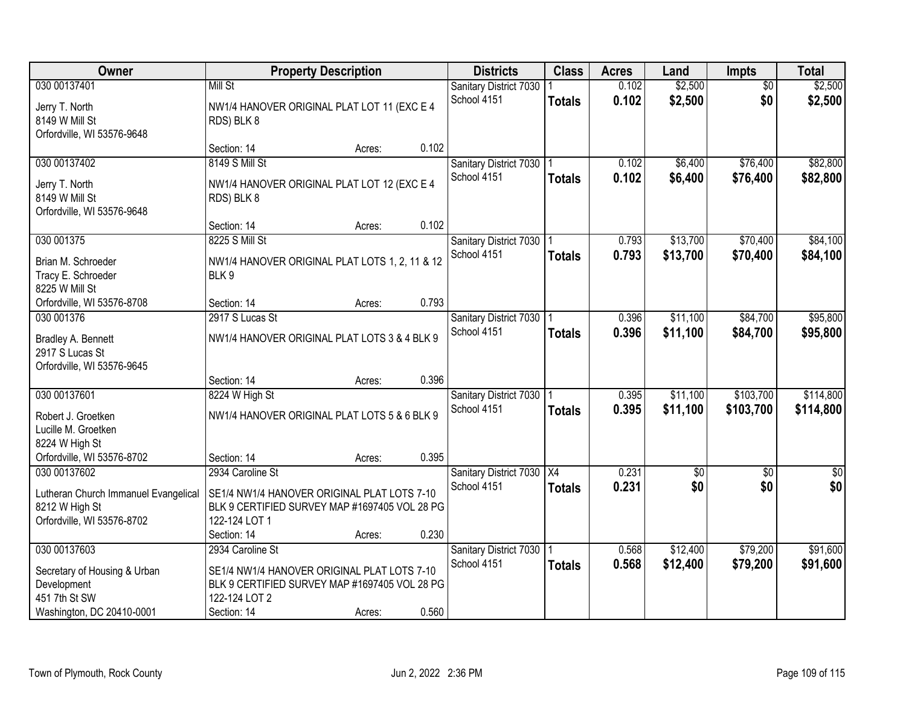| Owner                                                                                | <b>Property Description</b>                                                                                                       | <b>Districts</b> | <b>Class</b>                          | <b>Acres</b>  | Land           | Impts                | <b>Total</b>           |                        |
|--------------------------------------------------------------------------------------|-----------------------------------------------------------------------------------------------------------------------------------|------------------|---------------------------------------|---------------|----------------|----------------------|------------------------|------------------------|
| 030 00137401<br>Jerry T. North<br>8149 W Mill St                                     | Mill St<br>NW1/4 HANOVER ORIGINAL PLAT LOT 11 (EXC E 4<br>RDS) BLK 8                                                              |                  | Sanitary District 7030<br>School 4151 | <b>Totals</b> | 0.102<br>0.102 | \$2,500<br>\$2,500   | $\overline{50}$<br>\$0 | \$2,500<br>\$2,500     |
| Orfordville, WI 53576-9648                                                           | Section: 14                                                                                                                       | 0.102<br>Acres:  |                                       |               |                |                      |                        |                        |
| 030 00137402<br>Jerry T. North                                                       | 8149 S Mill St<br>NW1/4 HANOVER ORIGINAL PLAT LOT 12 (EXC E 4                                                                     |                  | Sanitary District 7030<br>School 4151 | <b>Totals</b> | 0.102<br>0.102 | \$6,400<br>\$6,400   | \$76,400<br>\$76,400   | \$82,800<br>\$82,800   |
| 8149 W Mill St<br>Orfordville, WI 53576-9648                                         | RDS) BLK 8<br>Section: 14                                                                                                         | 0.102<br>Acres:  |                                       |               |                |                      |                        |                        |
| 030 001375                                                                           | 8225 S Mill St                                                                                                                    |                  | Sanitary District 7030   1            |               | 0.793          | \$13,700             | \$70,400               | \$84,100               |
| Brian M. Schroeder<br>Tracy E. Schroeder<br>8225 W Mill St                           | NW1/4 HANOVER ORIGINAL PLAT LOTS 1, 2, 11 & 12<br>BLK9                                                                            |                  | School 4151                           | <b>Totals</b> | 0.793          | \$13,700             | \$70,400               | \$84,100               |
| Orfordville, WI 53576-8708                                                           | Section: 14                                                                                                                       | 0.793<br>Acres:  |                                       |               |                |                      |                        |                        |
| 030 001376                                                                           | 2917 S Lucas St                                                                                                                   |                  | Sanitary District 7030                |               | 0.396          | \$11,100             | \$84,700               | \$95,800               |
| Bradley A. Bennett<br>2917 S Lucas St<br>Orfordville, WI 53576-9645                  | NW1/4 HANOVER ORIGINAL PLAT LOTS 3 & 4 BLK 9                                                                                      |                  | School 4151                           | <b>Totals</b> | 0.396          | \$11,100             | \$84,700               | \$95,800               |
|                                                                                      | Section: 14                                                                                                                       | 0.396<br>Acres:  |                                       |               |                |                      |                        |                        |
| 030 00137601<br>Robert J. Groetken<br>Lucille M. Groetken                            | 8224 W High St<br>NW1/4 HANOVER ORIGINAL PLAT LOTS 5 & 6 BLK 9                                                                    |                  | Sanitary District 7030<br>School 4151 | <b>Totals</b> | 0.395<br>0.395 | \$11,100<br>\$11,100 | \$103,700<br>\$103,700 | \$114,800<br>\$114,800 |
| 8224 W High St<br>Orfordville, WI 53576-8702                                         | Section: 14                                                                                                                       | 0.395<br>Acres:  |                                       |               |                |                      |                        |                        |
| 030 00137602                                                                         | 2934 Caroline St                                                                                                                  |                  | Sanitary District 7030   X4           |               | 0.231          | $\overline{50}$      | $\overline{50}$        | $\overline{50}$        |
| Lutheran Church Immanuel Evangelical<br>8212 W High St<br>Orfordville, WI 53576-8702 | SE1/4 NW1/4 HANOVER ORIGINAL PLAT LOTS 7-10<br>BLK 9 CERTIFIED SURVEY MAP #1697405 VOL 28 PG<br>122-124 LOT 1                     |                  | School 4151                           | <b>Totals</b> | 0.231          | \$0                  | \$0                    | \$0                    |
|                                                                                      | Section: 14                                                                                                                       | 0.230<br>Acres:  |                                       |               |                |                      |                        |                        |
| 030 00137603<br>Secretary of Housing & Urban<br>Development<br>451 7th St SW         | 2934 Caroline St<br>SE1/4 NW1/4 HANOVER ORIGINAL PLAT LOTS 7-10<br>BLK 9 CERTIFIED SURVEY MAP #1697405 VOL 28 PG<br>122-124 LOT 2 |                  | Sanitary District 7030<br>School 4151 | <b>Totals</b> | 0.568<br>0.568 | \$12,400<br>\$12,400 | \$79,200<br>\$79,200   | \$91,600<br>\$91,600   |
| Washington, DC 20410-0001                                                            | Section: 14                                                                                                                       | 0.560<br>Acres:  |                                       |               |                |                      |                        |                        |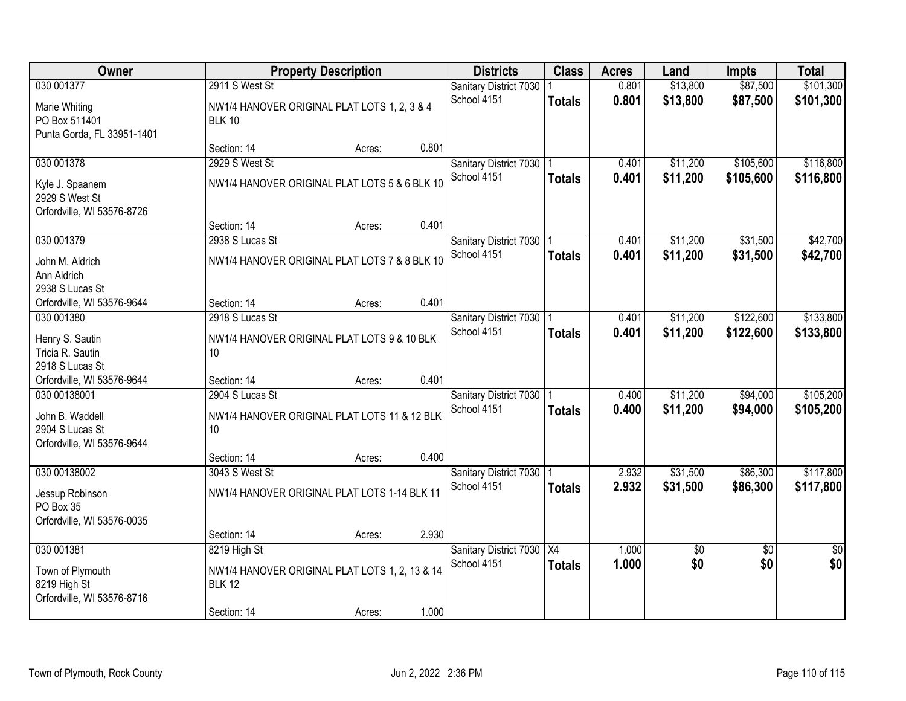| Owner                                                                            | <b>Property Description</b>                                                                    |        |       | <b>Districts</b>                          | <b>Class</b>  | <b>Acres</b>   | Land                   | <b>Impts</b>           | <b>Total</b>           |
|----------------------------------------------------------------------------------|------------------------------------------------------------------------------------------------|--------|-------|-------------------------------------------|---------------|----------------|------------------------|------------------------|------------------------|
| 030 001377<br>Marie Whiting<br>PO Box 511401<br>Punta Gorda, FL 33951-1401       | 2911 S West St<br>NW1/4 HANOVER ORIGINAL PLAT LOTS 1, 2, 3 & 4<br><b>BLK 10</b>                |        |       | Sanitary District 7030<br>School 4151     | <b>Totals</b> | 0.801<br>0.801 | \$13,800<br>\$13,800   | \$87,500<br>\$87,500   | \$101,300<br>\$101,300 |
|                                                                                  | Section: 14                                                                                    | Acres: | 0.801 |                                           |               |                |                        |                        |                        |
| 030 001378<br>Kyle J. Spaanem<br>2929 S West St<br>Orfordville, WI 53576-8726    | 2929 S West St<br>NW1/4 HANOVER ORIGINAL PLAT LOTS 5 & 6 BLK 10                                |        | 0.401 | Sanitary District 7030<br>School 4151     | <b>Totals</b> | 0.401<br>0.401 | \$11,200<br>\$11,200   | \$105,600<br>\$105,600 | \$116,800<br>\$116,800 |
| 030 001379                                                                       | Section: 14<br>2938 S Lucas St                                                                 | Acres: |       | Sanitary District 7030   1                |               | 0.401          | \$11,200               | \$31,500               | \$42,700               |
| John M. Aldrich<br>Ann Aldrich<br>2938 S Lucas St                                | NW1/4 HANOVER ORIGINAL PLAT LOTS 7 & 8 BLK 10                                                  |        |       | School 4151                               | <b>Totals</b> | 0.401          | \$11,200               | \$31,500               | \$42,700               |
| Orfordville, WI 53576-9644                                                       | Section: 14                                                                                    | Acres: | 0.401 |                                           |               |                |                        |                        |                        |
| 030 001380<br>Henry S. Sautin<br>Tricia R. Sautin                                | 2918 S Lucas St<br>NW1/4 HANOVER ORIGINAL PLAT LOTS 9 & 10 BLK<br>10 <sup>1</sup>              |        |       | Sanitary District 7030<br>School 4151     | <b>Totals</b> | 0.401<br>0.401 | \$11,200<br>\$11,200   | \$122,600<br>\$122,600 | \$133,800<br>\$133,800 |
| 2918 S Lucas St<br>Orfordville, WI 53576-9644                                    | Section: 14                                                                                    |        | 0.401 |                                           |               |                |                        |                        |                        |
| 030 00138001<br>John B. Waddell<br>2904 S Lucas St<br>Orfordville, WI 53576-9644 | 2904 S Lucas St<br>NW1/4 HANOVER ORIGINAL PLAT LOTS 11 & 12 BLK<br>10 <sup>°</sup>             | Acres: |       | Sanitary District 7030<br>School 4151     | <b>Totals</b> | 0.400<br>0.400 | \$11,200<br>\$11,200   | \$94,000<br>\$94,000   | \$105,200<br>\$105,200 |
|                                                                                  | Section: 14                                                                                    | Acres: | 0.400 |                                           |               |                |                        |                        |                        |
| 030 00138002<br>Jessup Robinson<br>PO Box 35<br>Orfordville, WI 53576-0035       | 3043 S West St<br>NW1/4 HANOVER ORIGINAL PLAT LOTS 1-14 BLK 11                                 |        |       | Sanitary District 7030   1<br>School 4151 | <b>Totals</b> | 2.932<br>2.932 | \$31,500<br>\$31,500   | \$86,300<br>\$86,300   | \$117,800<br>\$117,800 |
|                                                                                  | Section: 14                                                                                    | Acres: | 2.930 |                                           |               |                |                        |                        |                        |
| 030 001381<br>Town of Plymouth<br>8219 High St<br>Orfordville, WI 53576-8716     | 8219 High St<br>NW1/4 HANOVER ORIGINAL PLAT LOTS 1, 2, 13 & 14<br><b>BLK 12</b><br>Section: 14 | Acres: | 1.000 | Sanitary District 7030 X4<br>School 4151  | <b>Totals</b> | 1.000<br>1.000 | $\overline{50}$<br>\$0 | $\overline{50}$<br>\$0 | $\overline{50}$<br>\$0 |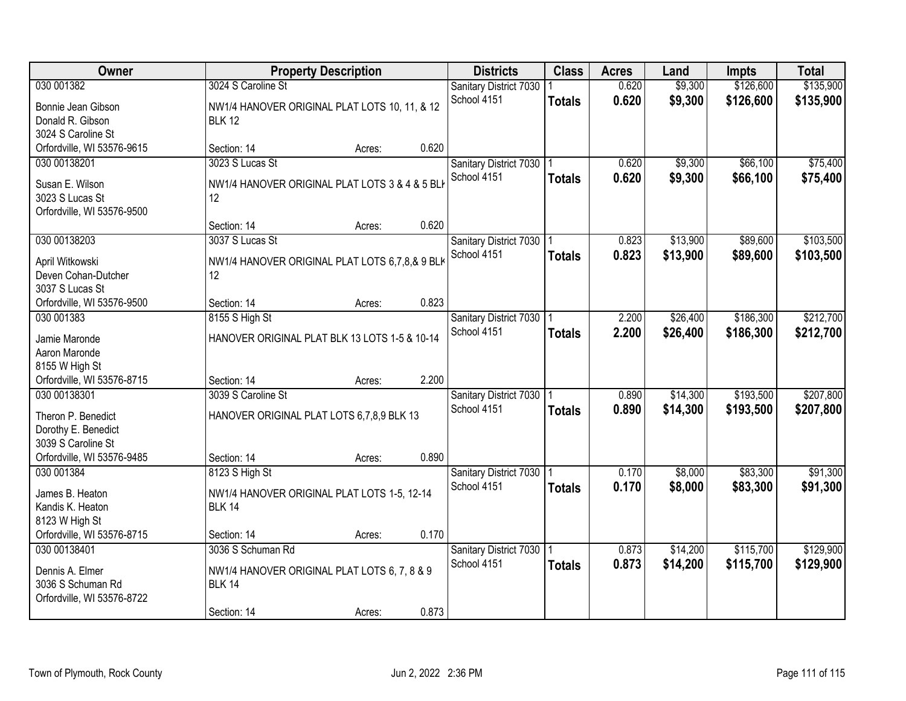| Owner                      |                                                | <b>Property Description</b> |       |                            | <b>Class</b>  | <b>Acres</b> | Land     | <b>Impts</b> | <b>Total</b> |
|----------------------------|------------------------------------------------|-----------------------------|-------|----------------------------|---------------|--------------|----------|--------------|--------------|
| 030 001382                 | 3024 S Caroline St                             |                             |       | Sanitary District 7030     |               | 0.620        | \$9,300  | \$126,600    | \$135,900    |
| Bonnie Jean Gibson         | NW1/4 HANOVER ORIGINAL PLAT LOTS 10, 11, & 12  |                             |       | School 4151                | <b>Totals</b> | 0.620        | \$9,300  | \$126,600    | \$135,900    |
| Donald R. Gibson           | <b>BLK 12</b>                                  |                             |       |                            |               |              |          |              |              |
| 3024 S Caroline St         |                                                |                             |       |                            |               |              |          |              |              |
| Orfordville, WI 53576-9615 | Section: 14                                    | Acres:                      | 0.620 |                            |               |              |          |              |              |
| 030 00138201               | 3023 S Lucas St                                |                             |       | Sanitary District 7030     |               | 0.620        | \$9,300  | \$66,100     | \$75,400     |
|                            |                                                |                             |       | School 4151                | <b>Totals</b> | 0.620        | \$9,300  | \$66,100     | \$75,400     |
| Susan E. Wilson            | NW1/4 HANOVER ORIGINAL PLAT LOTS 3 & 4 & 5 BLI |                             |       |                            |               |              |          |              |              |
| 3023 S Lucas St            | 12                                             |                             |       |                            |               |              |          |              |              |
| Orfordville, WI 53576-9500 |                                                |                             |       |                            |               |              |          |              |              |
|                            | Section: 14                                    | Acres:                      | 0.620 |                            |               |              |          |              |              |
| 030 00138203               | 3037 S Lucas St                                |                             |       | Sanitary District 7030   1 |               | 0.823        | \$13,900 | \$89,600     | \$103,500    |
| April Witkowski            | NW1/4 HANOVER ORIGINAL PLAT LOTS 6,7,8,& 9 BLK |                             |       | School 4151                | <b>Totals</b> | 0.823        | \$13,900 | \$89,600     | \$103,500    |
| Deven Cohan-Dutcher        | 12                                             |                             |       |                            |               |              |          |              |              |
| 3037 S Lucas St            |                                                |                             |       |                            |               |              |          |              |              |
| Orfordville, WI 53576-9500 | Section: 14                                    | Acres:                      | 0.823 |                            |               |              |          |              |              |
| 030 001383                 | 8155 S High St                                 |                             |       | Sanitary District 7030     |               | 2.200        | \$26,400 | \$186,300    | \$212,700    |
| Jamie Maronde              | HANOVER ORIGINAL PLAT BLK 13 LOTS 1-5 & 10-14  |                             |       | School 4151                | <b>Totals</b> | 2.200        | \$26,400 | \$186,300    | \$212,700    |
| Aaron Maronde              |                                                |                             |       |                            |               |              |          |              |              |
| 8155 W High St             |                                                |                             |       |                            |               |              |          |              |              |
| Orfordville, WI 53576-8715 | Section: 14                                    | Acres:                      | 2.200 |                            |               |              |          |              |              |
| 030 00138301               | 3039 S Caroline St                             |                             |       | Sanitary District 7030     |               | 0.890        | \$14,300 | \$193,500    | \$207,800    |
|                            |                                                |                             |       | School 4151                |               | 0.890        | \$14,300 | \$193,500    | \$207,800    |
| Theron P. Benedict         | HANOVER ORIGINAL PLAT LOTS 6,7,8,9 BLK 13      |                             |       |                            | <b>Totals</b> |              |          |              |              |
| Dorothy E. Benedict        |                                                |                             |       |                            |               |              |          |              |              |
| 3039 S Caroline St         |                                                |                             |       |                            |               |              |          |              |              |
| Orfordville, WI 53576-9485 | Section: 14                                    | Acres:                      | 0.890 |                            |               |              |          |              |              |
| 030 001384                 | 8123 S High St                                 |                             |       | Sanitary District 7030   1 |               | 0.170        | \$8,000  | \$83,300     | \$91,300     |
| James B. Heaton            | NW1/4 HANOVER ORIGINAL PLAT LOTS 1-5, 12-14    |                             |       | School 4151                | <b>Totals</b> | 0.170        | \$8,000  | \$83,300     | \$91,300     |
| Kandis K. Heaton           | <b>BLK 14</b>                                  |                             |       |                            |               |              |          |              |              |
| 8123 W High St             |                                                |                             |       |                            |               |              |          |              |              |
| Orfordville, WI 53576-8715 | Section: 14                                    | Acres:                      | 0.170 |                            |               |              |          |              |              |
| 030 00138401               | 3036 S Schuman Rd                              |                             |       | Sanitary District 7030     |               | 0.873        | \$14,200 | \$115,700    | \$129,900    |
|                            |                                                |                             |       | School 4151                | <b>Totals</b> | 0.873        | \$14,200 | \$115,700    | \$129,900    |
| Dennis A. Elmer            | NW1/4 HANOVER ORIGINAL PLAT LOTS 6, 7, 8 & 9   |                             |       |                            |               |              |          |              |              |
| 3036 S Schuman Rd          | <b>BLK 14</b>                                  |                             |       |                            |               |              |          |              |              |
| Orfordville, WI 53576-8722 |                                                |                             |       |                            |               |              |          |              |              |
|                            | Section: 14                                    | Acres:                      | 0.873 |                            |               |              |          |              |              |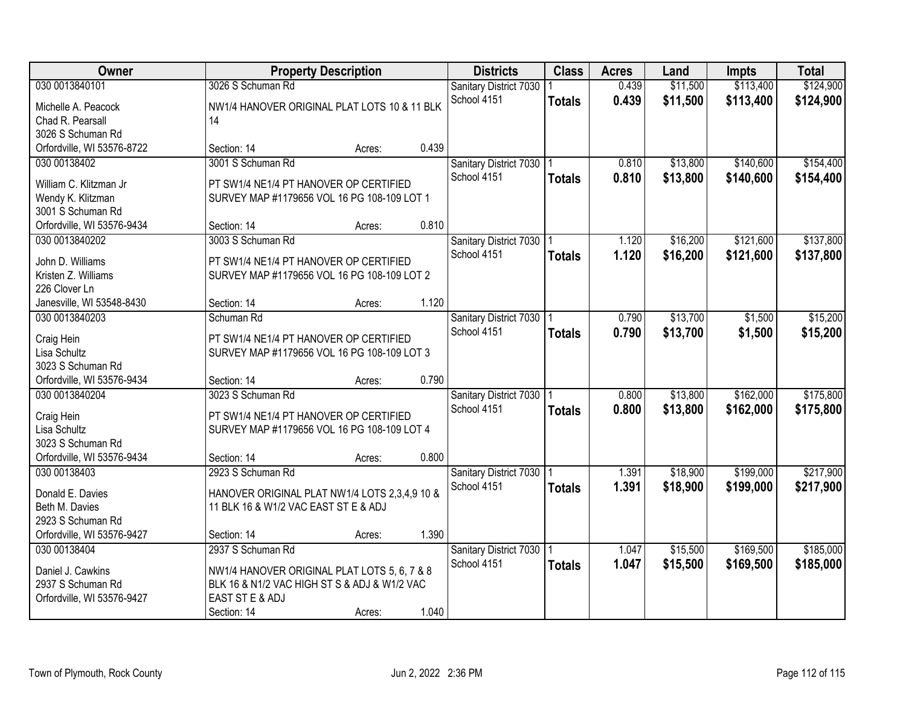| Owner                      | <b>Property Description</b>                   |        |       | <b>Districts</b>           | <b>Class</b>  | <b>Acres</b> | Land     | <b>Impts</b> | <b>Total</b> |
|----------------------------|-----------------------------------------------|--------|-------|----------------------------|---------------|--------------|----------|--------------|--------------|
| 030 0013840101             | 3026 S Schuman Rd                             |        |       | Sanitary District 7030     |               | 0.439        | \$11,500 | \$113,400    | \$124,900    |
| Michelle A. Peacock        | NW1/4 HANOVER ORIGINAL PLAT LOTS 10 & 11 BLK  |        |       | School 4151                | <b>Totals</b> | 0.439        | \$11,500 | \$113,400    | \$124,900    |
| Chad R. Pearsall           | 14                                            |        |       |                            |               |              |          |              |              |
| 3026 S Schuman Rd          |                                               |        |       |                            |               |              |          |              |              |
| Orfordville, WI 53576-8722 | Section: 14                                   | Acres: | 0.439 |                            |               |              |          |              |              |
| 030 00138402               | 3001 S Schuman Rd                             |        |       | Sanitary District 7030   1 |               | 0.810        | \$13,800 | \$140,600    | \$154,400    |
|                            |                                               |        |       | School 4151                | <b>Totals</b> | 0.810        | \$13,800 | \$140,600    | \$154,400    |
| William C. Klitzman Jr     | PT SW1/4 NE1/4 PT HANOVER OP CERTIFIED        |        |       |                            |               |              |          |              |              |
| Wendy K. Klitzman          | SURVEY MAP #1179656 VOL 16 PG 108-109 LOT 1   |        |       |                            |               |              |          |              |              |
| 3001 S Schuman Rd          |                                               |        |       |                            |               |              |          |              |              |
| Orfordville, WI 53576-9434 | Section: 14                                   | Acres: | 0.810 |                            |               |              |          |              |              |
| 030 0013840202             | 3003 S Schuman Rd                             |        |       | Sanitary District 7030   1 |               | 1.120        | \$16,200 | \$121,600    | \$137,800    |
| John D. Williams           | PT SW1/4 NE1/4 PT HANOVER OP CERTIFIED        |        |       | School 4151                | <b>Totals</b> | 1.120        | \$16,200 | \$121,600    | \$137,800    |
| Kristen Z. Williams        | SURVEY MAP #1179656 VOL 16 PG 108-109 LOT 2   |        |       |                            |               |              |          |              |              |
| 226 Clover Ln              |                                               |        |       |                            |               |              |          |              |              |
| Janesville, WI 53548-8430  | Section: 14                                   | Acres: | 1.120 |                            |               |              |          |              |              |
| 030 0013840203             | Schuman Rd                                    |        |       | Sanitary District 7030     |               | 0.790        | \$13,700 | \$1,500      | \$15,200     |
|                            |                                               |        |       | School 4151                | <b>Totals</b> | 0.790        | \$13,700 | \$1,500      | \$15,200     |
| Craig Hein                 | PT SW1/4 NE1/4 PT HANOVER OP CERTIFIED        |        |       |                            |               |              |          |              |              |
| Lisa Schultz               | SURVEY MAP #1179656 VOL 16 PG 108-109 LOT 3   |        |       |                            |               |              |          |              |              |
| 3023 S Schuman Rd          |                                               |        |       |                            |               |              |          |              |              |
| Orfordville, WI 53576-9434 | Section: 14                                   | Acres: | 0.790 |                            |               |              |          |              |              |
| 030 0013840204             | 3023 S Schuman Rd                             |        |       | Sanitary District 7030     |               | 0.800        | \$13,800 | \$162,000    | \$175,800    |
| Craig Hein                 | PT SW1/4 NE1/4 PT HANOVER OP CERTIFIED        |        |       | School 4151                | <b>Totals</b> | 0.800        | \$13,800 | \$162,000    | \$175,800    |
| Lisa Schultz               | SURVEY MAP #1179656 VOL 16 PG 108-109 LOT 4   |        |       |                            |               |              |          |              |              |
| 3023 S Schuman Rd          |                                               |        |       |                            |               |              |          |              |              |
| Orfordville, WI 53576-9434 | Section: 14                                   | Acres: | 0.800 |                            |               |              |          |              |              |
| 030 00138403               | 2923 S Schuman Rd                             |        |       | Sanitary District 7030   1 |               | 1.391        | \$18,900 | \$199,000    | \$217,900    |
|                            |                                               |        |       | School 4151                | <b>Totals</b> | 1.391        | \$18,900 | \$199,000    | \$217,900    |
| Donald E. Davies           | HANOVER ORIGINAL PLAT NW1/4 LOTS 2,3,4,9 10 & |        |       |                            |               |              |          |              |              |
| Beth M. Davies             | 11 BLK 16 & W1/2 VAC EAST ST E & ADJ          |        |       |                            |               |              |          |              |              |
| 2923 S Schuman Rd          |                                               |        | 1.390 |                            |               |              |          |              |              |
| Orfordville, WI 53576-9427 | Section: 14                                   | Acres: |       |                            |               |              |          |              |              |
| 030 00138404               | 2937 S Schuman Rd                             |        |       | Sanitary District 7030     |               | 1.047        | \$15,500 | \$169,500    | \$185,000    |
| Daniel J. Cawkins          | NW1/4 HANOVER ORIGINAL PLAT LOTS 5, 6, 7 & 8  |        |       | School 4151                | <b>Totals</b> | 1.047        | \$15,500 | \$169,500    | \$185,000    |
| 2937 S Schuman Rd          | BLK 16 & N1/2 VAC HIGH ST S & ADJ & W1/2 VAC  |        |       |                            |               |              |          |              |              |
| Orfordville, WI 53576-9427 | EAST ST E & ADJ                               |        |       |                            |               |              |          |              |              |
|                            | Section: 14                                   | Acres: | 1.040 |                            |               |              |          |              |              |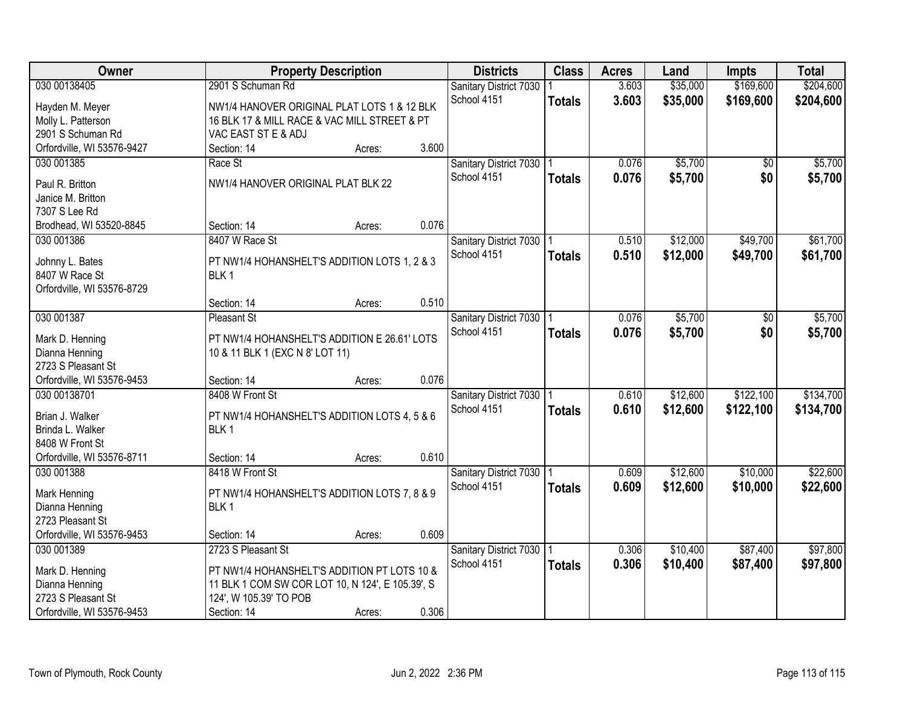| Owner                              |                                                  | <b>Property Description</b> |       | <b>Districts</b>           | <b>Class</b>  | <b>Acres</b> | Land     | <b>Impts</b>    | <b>Total</b> |
|------------------------------------|--------------------------------------------------|-----------------------------|-------|----------------------------|---------------|--------------|----------|-----------------|--------------|
| 030 00138405                       | 2901 S Schuman Rd                                |                             |       | Sanitary District 7030     |               | 3.603        | \$35,000 | \$169,600       | \$204,600    |
| Hayden M. Meyer                    | NW1/4 HANOVER ORIGINAL PLAT LOTS 1 & 12 BLK      |                             |       | School 4151                | <b>Totals</b> | 3.603        | \$35,000 | \$169,600       | \$204,600    |
| Molly L. Patterson                 | 16 BLK 17 & MILL RACE & VAC MILL STREET & PT     |                             |       |                            |               |              |          |                 |              |
| 2901 S Schuman Rd                  | VAC EAST ST E & ADJ                              |                             |       |                            |               |              |          |                 |              |
| Orfordville, WI 53576-9427         | Section: 14                                      | Acres:                      | 3.600 |                            |               |              |          |                 |              |
| 030 001385                         | Race St                                          |                             |       | Sanitary District 7030     |               | 0.076        | \$5,700  | $\overline{50}$ | \$5,700      |
|                                    |                                                  |                             |       | School 4151                | <b>Totals</b> | 0.076        | \$5,700  | \$0             | \$5,700      |
| Paul R. Britton                    | NW1/4 HANOVER ORIGINAL PLAT BLK 22               |                             |       |                            |               |              |          |                 |              |
| Janice M. Britton<br>7307 S Lee Rd |                                                  |                             |       |                            |               |              |          |                 |              |
| Brodhead, WI 53520-8845            | Section: 14                                      | Acres:                      | 0.076 |                            |               |              |          |                 |              |
| 030 001386                         | 8407 W Race St                                   |                             |       | Sanitary District 7030   1 |               | 0.510        | \$12,000 | \$49,700        | \$61,700     |
|                                    |                                                  |                             |       | School 4151                |               |              |          |                 |              |
| Johnny L. Bates                    | PT NW1/4 HOHANSHELT'S ADDITION LOTS 1, 2 & 3     |                             |       |                            | <b>Totals</b> | 0.510        | \$12,000 | \$49,700        | \$61,700     |
| 8407 W Race St                     | BLK <sub>1</sub>                                 |                             |       |                            |               |              |          |                 |              |
| Orfordville, WI 53576-8729         |                                                  |                             |       |                            |               |              |          |                 |              |
|                                    | Section: 14                                      | Acres:                      | 0.510 |                            |               |              |          |                 |              |
| 030 001387                         | <b>Pleasant St</b>                               |                             |       | Sanitary District 7030   1 |               | 0.076        | \$5,700  | \$0             | \$5,700      |
| Mark D. Henning                    | PT NW1/4 HOHANSHELT'S ADDITION E 26.61' LOTS     |                             |       | School 4151                | <b>Totals</b> | 0.076        | \$5,700  | \$0             | \$5,700      |
| Dianna Henning                     | 10 & 11 BLK 1 (EXC N 8' LOT 11)                  |                             |       |                            |               |              |          |                 |              |
| 2723 S Pleasant St                 |                                                  |                             |       |                            |               |              |          |                 |              |
| Orfordville, WI 53576-9453         | Section: 14                                      | Acres:                      | 0.076 |                            |               |              |          |                 |              |
| 030 00138701                       | 8408 W Front St                                  |                             |       | Sanitary District 7030     |               | 0.610        | \$12,600 | \$122,100       | \$134,700    |
|                                    |                                                  |                             |       | School 4151                | <b>Totals</b> | 0.610        | \$12,600 | \$122,100       | \$134,700    |
| Brian J. Walker                    | PT NW1/4 HOHANSHELT'S ADDITION LOTS 4, 5 & 6     |                             |       |                            |               |              |          |                 |              |
| Brinda L. Walker                   | BLK <sub>1</sub>                                 |                             |       |                            |               |              |          |                 |              |
| 8408 W Front St                    |                                                  |                             | 0.610 |                            |               |              |          |                 |              |
| Orfordville, WI 53576-8711         | Section: 14                                      | Acres:                      |       |                            |               |              |          |                 |              |
| 030 001388                         | 8418 W Front St                                  |                             |       | Sanitary District 7030     |               | 0.609        | \$12,600 | \$10,000        | \$22,600     |
| Mark Henning                       | PT NW1/4 HOHANSHELT'S ADDITION LOTS 7, 8 & 9     |                             |       | School 4151                | <b>Totals</b> | 0.609        | \$12,600 | \$10,000        | \$22,600     |
| Dianna Henning                     | BLK <sub>1</sub>                                 |                             |       |                            |               |              |          |                 |              |
| 2723 Pleasant St                   |                                                  |                             |       |                            |               |              |          |                 |              |
| Orfordville, WI 53576-9453         | Section: 14                                      | Acres:                      | 0.609 |                            |               |              |          |                 |              |
| 030 001389                         | 2723 S Pleasant St                               |                             |       | Sanitary District 7030   1 |               | 0.306        | \$10,400 | \$87,400        | \$97,800     |
| Mark D. Henning                    | PT NW1/4 HOHANSHELT'S ADDITION PT LOTS 10 &      |                             |       | School 4151                | <b>Totals</b> | 0.306        | \$10,400 | \$87,400        | \$97,800     |
| Dianna Henning                     | 11 BLK 1 COM SW COR LOT 10, N 124', E 105.39', S |                             |       |                            |               |              |          |                 |              |
| 2723 S Pleasant St                 | 124', W 105.39' TO POB                           |                             |       |                            |               |              |          |                 |              |
| Orfordville, WI 53576-9453         | Section: 14                                      | Acres:                      | 0.306 |                            |               |              |          |                 |              |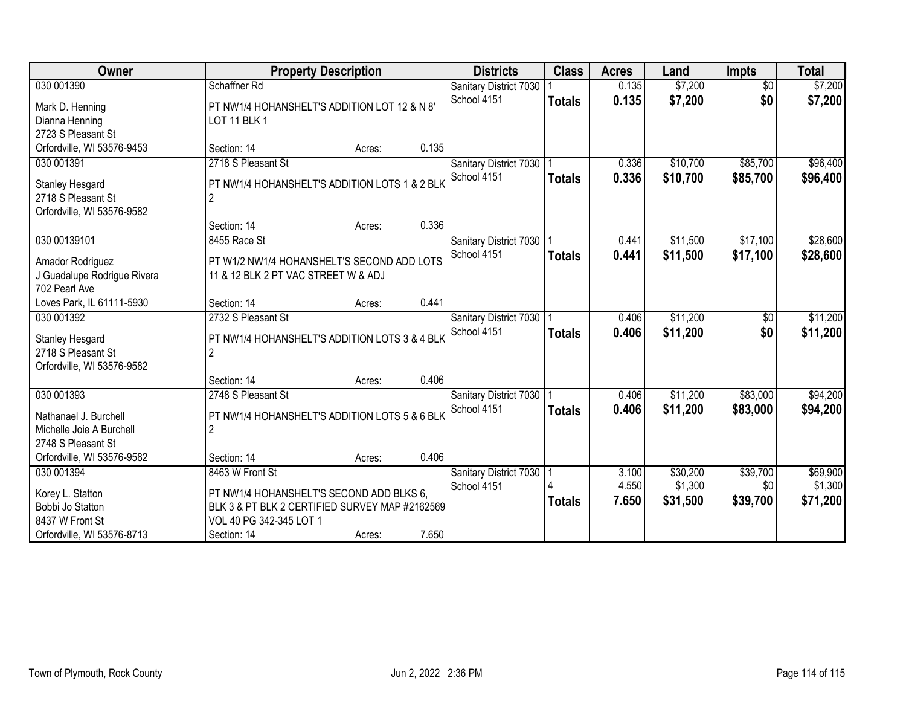| <b>Owner</b>                                    |                                                                                   | <b>Property Description</b> |       |                                       | <b>Class</b>  | <b>Acres</b> | Land     | Impts           | <b>Total</b> |
|-------------------------------------------------|-----------------------------------------------------------------------------------|-----------------------------|-------|---------------------------------------|---------------|--------------|----------|-----------------|--------------|
| 030 001390                                      | Schaffner Rd                                                                      |                             |       | Sanitary District 7030                |               | 0.135        | \$7,200  | $\overline{50}$ | \$7,200      |
| Mark D. Henning                                 | PT NW1/4 HOHANSHELT'S ADDITION LOT 12 & N 8'                                      |                             |       | School 4151                           | <b>Totals</b> | 0.135        | \$7,200  | \$0             | \$7,200      |
| Dianna Henning                                  | LOT 11 BLK 1                                                                      |                             |       |                                       |               |              |          |                 |              |
| 2723 S Pleasant St                              |                                                                                   |                             |       |                                       |               |              |          |                 |              |
| Orfordville, WI 53576-9453                      | Section: 14                                                                       | Acres:                      | 0.135 |                                       |               |              |          |                 |              |
| 030 001391                                      | 2718 S Pleasant St                                                                |                             |       | Sanitary District 7030                |               | 0.336        | \$10,700 | \$85,700        | \$96,400     |
| <b>Stanley Hesgard</b>                          | PT NW1/4 HOHANSHELT'S ADDITION LOTS 1 & 2 BLK                                     |                             |       | School 4151                           | <b>Totals</b> | 0.336        | \$10,700 | \$85,700        | \$96,400     |
| 2718 S Pleasant St                              |                                                                                   |                             |       |                                       |               |              |          |                 |              |
| Orfordville, WI 53576-9582                      |                                                                                   |                             |       |                                       |               |              |          |                 |              |
|                                                 | Section: 14                                                                       | Acres:                      | 0.336 |                                       |               |              |          |                 |              |
| 030 00139101                                    | 8455 Race St                                                                      |                             |       | Sanitary District 7030                |               | 0.441        | \$11,500 | \$17,100        | \$28,600     |
|                                                 |                                                                                   |                             |       | School 4151                           | <b>Totals</b> | 0.441        | \$11,500 | \$17,100        | \$28,600     |
| Amador Rodriguez<br>J Guadalupe Rodrigue Rivera | PT W1/2 NW1/4 HOHANSHELT'S SECOND ADD LOTS<br>11 & 12 BLK 2 PT VAC STREET W & ADJ |                             |       |                                       |               |              |          |                 |              |
| 702 Pearl Ave                                   |                                                                                   |                             |       |                                       |               |              |          |                 |              |
| Loves Park, IL 61111-5930                       | Section: 14                                                                       | Acres:                      | 0.441 |                                       |               |              |          |                 |              |
| 030 001392                                      | 2732 S Pleasant St                                                                |                             |       | Sanitary District 7030                |               | 0.406        | \$11,200 | \$0             | \$11,200     |
|                                                 |                                                                                   |                             |       | School 4151                           | <b>Totals</b> | 0.406        | \$11,200 | \$0             | \$11,200     |
| <b>Stanley Hesgard</b>                          | PT NW1/4 HOHANSHELT'S ADDITION LOTS 3 & 4 BLK                                     |                             |       |                                       |               |              |          |                 |              |
| 2718 S Pleasant St                              |                                                                                   |                             |       |                                       |               |              |          |                 |              |
| Orfordville, WI 53576-9582                      | Section: 14                                                                       |                             | 0.406 |                                       |               |              |          |                 |              |
| 030 001393                                      | 2748 S Pleasant St                                                                | Acres:                      |       |                                       |               | 0.406        | \$11,200 | \$83,000        | \$94,200     |
|                                                 |                                                                                   |                             |       | Sanitary District 7030<br>School 4151 |               | 0.406        | \$11,200 | \$83,000        |              |
| Nathanael J. Burchell                           | PT NW1/4 HOHANSHELT'S ADDITION LOTS 5 & 6 BLK                                     |                             |       |                                       | <b>Totals</b> |              |          |                 | \$94,200     |
| Michelle Joie A Burchell                        | $\mathfrak{p}$                                                                    |                             |       |                                       |               |              |          |                 |              |
| 2748 S Pleasant St                              |                                                                                   |                             |       |                                       |               |              |          |                 |              |
| Orfordville, WI 53576-9582                      | Section: 14                                                                       | Acres:                      | 0.406 |                                       |               |              |          |                 |              |
| 030 001394                                      | 8463 W Front St                                                                   |                             |       | Sanitary District 7030                |               | 3.100        | \$30,200 | \$39,700        | \$69,900     |
| Korey L. Statton                                | PT NW1/4 HOHANSHELT'S SECOND ADD BLKS 6,                                          |                             |       | School 4151                           |               | 4.550        | \$1,300  | \$0             | \$1,300      |
| Bobbi Jo Statton                                | BLK 3 & PT BLK 2 CERTIFIED SURVEY MAP #2162569                                    |                             |       |                                       | <b>Totals</b> | 7.650        | \$31,500 | \$39,700        | \$71,200     |
| 8437 W Front St                                 | VOL 40 PG 342-345 LOT 1                                                           |                             |       |                                       |               |              |          |                 |              |
| Orfordville, WI 53576-8713                      | Section: 14                                                                       | Acres:                      | 7.650 |                                       |               |              |          |                 |              |